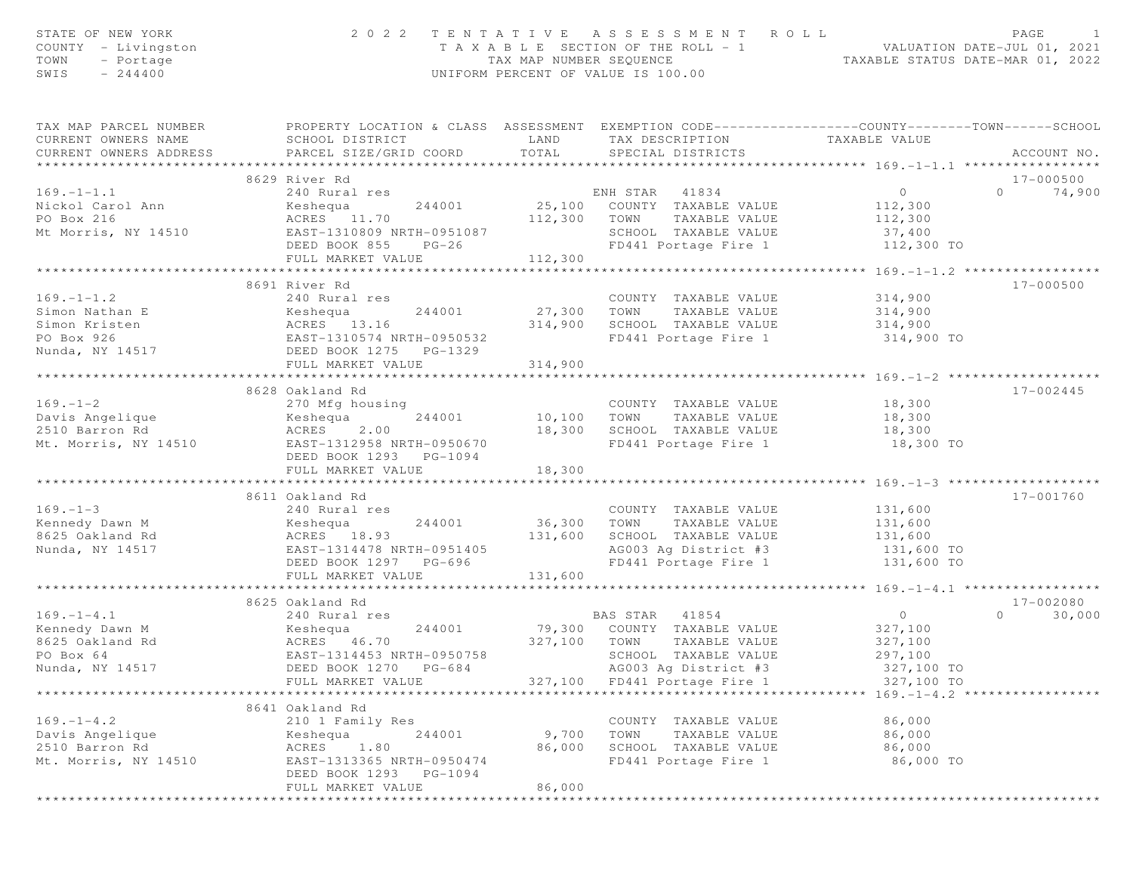| STATE OF NEW YORK<br>COUNTY - Livingston<br>TOWN<br>- Portage<br>$-244400$<br>SWIS    | 2 0 2 2                                                                                                                                       | TAX MAP NUMBER SEQUENCE | TENTATIVE ASSESSMENT ROLL<br>T A X A B L E SECTION OF THE ROLL - 1<br>UNIFORM PERCENT OF VALUE IS 100.00                                       | ROLL - 1<br>TAXABLE STATUS DATE-MAR 01, 2022<br>TAXABLE STATUS DATE-MAR 01, 2022 | PAGE               |
|---------------------------------------------------------------------------------------|-----------------------------------------------------------------------------------------------------------------------------------------------|-------------------------|------------------------------------------------------------------------------------------------------------------------------------------------|----------------------------------------------------------------------------------|--------------------|
| TAX MAP PARCEL NUMBER<br>CURRENT OWNERS NAME<br>CURRENT OWNERS ADDRESS                | PROPERTY LOCATION & CLASS ASSESSMENT EXEMPTION CODE----------------COUNTY-------TOWN------SCHOOL<br>SCHOOL DISTRICT<br>PARCEL SIZE/GRID COORD | LAND<br>TOTAL           | TAX DESCRIPTION<br>SPECIAL DISTRICTS                                                                                                           | TAXABLE VALUE                                                                    | ACCOUNT NO.        |
|                                                                                       | 8629 River Rd                                                                                                                                 |                         |                                                                                                                                                |                                                                                  | 17-000500          |
| $169. - 1 - 1.1$<br>Nickol Carol Ann<br>PO Box 216<br>Mt Morris, NY 14510             | 240 Rural res<br>Keshequa<br>244001<br>ACRES 11.70<br>EAST-1310809 NRTH-0951087<br>DEED BOOK 855<br>$PG-26$<br>FULL MARKET VALUE              | 112,300<br>112,300      | ENH STAR 41834<br>25,100 COUNTY TAXABLE VALUE<br>TAXABLE VALUE<br>TOWN<br>SCHOOL TAXABLE VALUE<br>FD441 Portage Fire 1                         | $\overline{0}$<br>112,300<br>112,300<br>37,400<br>112,300 TO                     | $\Omega$<br>74,900 |
|                                                                                       | ************************                                                                                                                      | **********              |                                                                                                                                                | ************** 169.-1-1.2 *****************                                      |                    |
| $169. - 1 - 1.2$<br>Simon Nathan E<br>Simon Kristen<br>PO Box 926<br>Nunda, NY 14517  | 8691 River Rd<br>240 Rural res<br>Keshequa<br>244001<br>ACRES 13.16<br>EAST-1310574 NRTH-0950532<br>DEED BOOK 1275 PG-1329                    | 27,300 TOWN<br>314,900  | COUNTY TAXABLE VALUE<br>TAXABLE VALUE<br>SCHOOL TAXABLE VALUE<br>FD441 Portage Fire 1                                                          | 314,900<br>314,900<br>314,900<br>314,900 TO                                      | 17-000500          |
|                                                                                       | FULL MARKET VALUE                                                                                                                             | 314,900                 |                                                                                                                                                |                                                                                  |                    |
| $169. - 1 - 2$<br>Davis Angelique<br>2510 Barron Rd<br>Mt. Morris, NY 14510           | 8628 Oakland Rd<br>270 Mfg housing<br>244001<br>Keshequa<br>ACRES<br>2.00<br>EAST-1312958 NRTH-0950670                                        | 10,100<br>18,300        | COUNTY TAXABLE VALUE<br>TOWN<br>TAXABLE VALUE<br>SCHOOL TAXABLE VALUE<br>FD441 Portage Fire 1                                                  | 18,300<br>18,300<br>18,300<br>18,300 TO                                          | $17 - 002445$      |
|                                                                                       | DEED BOOK 1293 PG-1094<br>FULL MARKET VALUE                                                                                                   | 18,300                  |                                                                                                                                                |                                                                                  |                    |
| $169. - 1 - 3$<br>Kennedy Dawn M<br>8625 Oakland Rd                                   | ********************************<br>8611 Oakland Rd<br>240 Rural res<br>Keshequa<br>244001<br>ACRES 18.93                                     | 36,300<br>131,600       | COUNTY TAXABLE VALUE<br>TOWN<br>TAXABLE VALUE<br>SCHOOL TAXABLE VALUE                                                                          | 131,600<br>131,600<br>131,600                                                    | 17-001760          |
| Nunda, NY 14517                                                                       | EAST-1314478 NRTH-0951405                                                                                                                     |                         | AG003 Ag District #3                                                                                                                           | 131,600 TO                                                                       |                    |
|                                                                                       | DEED BOOK 1297 PG-696<br>FULL MARKET VALUE                                                                                                    | 131,600                 | FD441 Portage Fire 1                                                                                                                           | 131,600 TO                                                                       |                    |
|                                                                                       | ************************                                                                                                                      |                         |                                                                                                                                                |                                                                                  |                    |
|                                                                                       | 8625 Oakland Rd                                                                                                                               |                         |                                                                                                                                                |                                                                                  | 17-002080          |
| $169. - 1 - 4.1$<br>Kennedy Dawn M<br>8625 Oakland Rd<br>PO Box 64<br>Nunda, NY 14517 | 240 Rural res<br>244001<br>Keshequa<br>ACRES 46.70<br>EAST-1314453 NRTH-0950758<br>DEED BOOK 1270<br>PG-684<br>FULL MARKET VALUE              | 327,100<br>327,100      | BAS STAR 41854<br>79,300 COUNTY TAXABLE VALUE<br>TOWN<br>TAXABLE VALUE<br>SCHOOL TAXABLE VALUE<br>AG003 Ag District #3<br>FD441 Portage Fire 1 | $\overline{0}$<br>327,100<br>327,100<br>297,100<br>327,100 TO<br>327,100 TO      | $\circ$<br>30,000  |
|                                                                                       |                                                                                                                                               |                         |                                                                                                                                                | $169 - 1 - 4.2$ *******************                                              |                    |
| $169. - 1 - 4.2$<br>Davis Angelique<br>2510 Barron Rd<br>Mt. Morris, NY 14510         | 8641 Oakland Rd<br>210 1 Family Res<br>244001<br>Keshequa<br>ACRES<br>1.80<br>EAST-1313365 NRTH-0950474<br>DEED BOOK 1293<br>PG-1094          | 9,700<br>86,000         | COUNTY TAXABLE VALUE<br>TOWN<br>TAXABLE VALUE<br>SCHOOL TAXABLE VALUE<br>FD441 Portage Fire 1                                                  | 86,000<br>86,000<br>86,000<br>86,000 TO                                          |                    |
|                                                                                       | FULL MARKET VALUE                                                                                                                             | 86,000                  |                                                                                                                                                |                                                                                  |                    |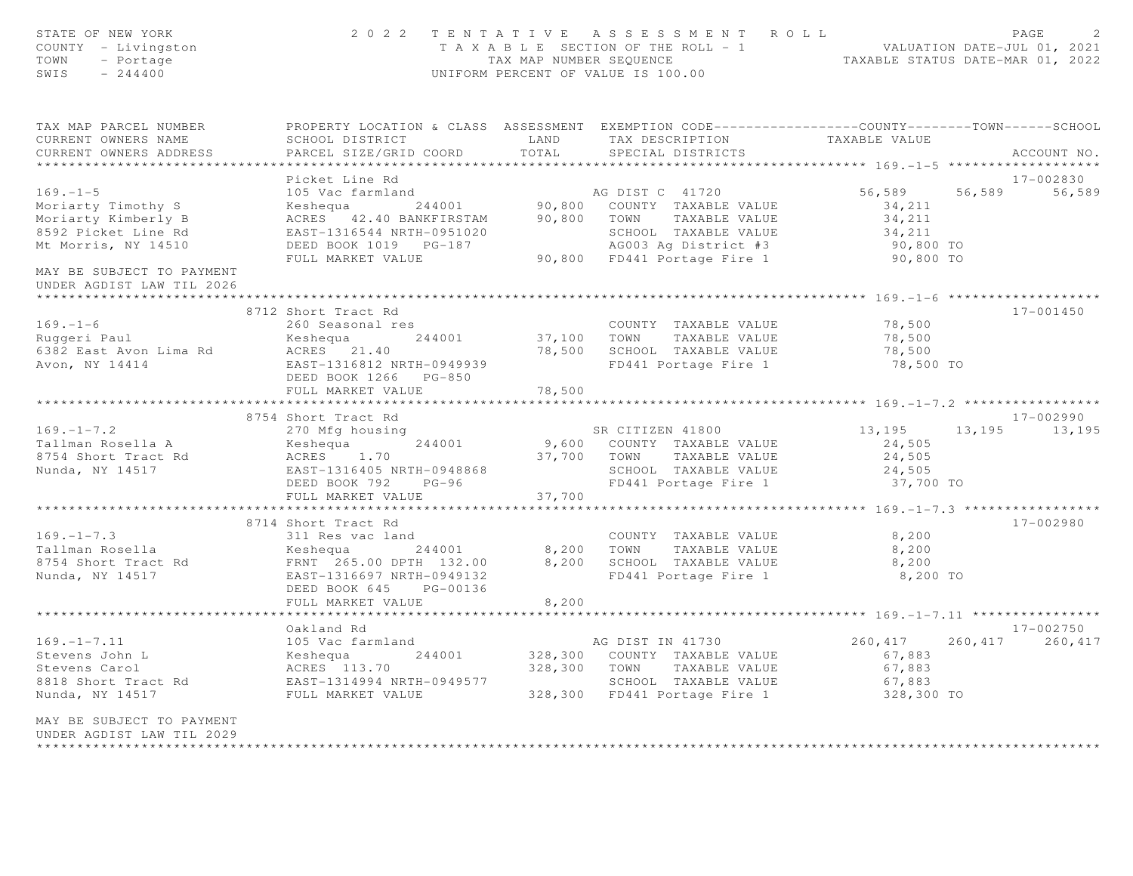| STATE OF NEW YORK<br>COUNTY - Livingston<br>TOWN<br>- Portage<br>SWIS<br>$-244400$   |                                                     |                                    | 2022 TENTATIVE ASSESSMENT ROLL<br>UNIFORM PERCENT OF VALUE IS 100.00                                               | PAGE<br>$\mathcal{D}$<br>T A X A B L E SECTION OF THE ROLL - 1 VALUATION DATE-JUL 01, 2021<br>TAX MAP NUMBER SEQUENCE TAXABLE STATUS DATE-MAR 01, 2022 |                         |  |
|--------------------------------------------------------------------------------------|-----------------------------------------------------|------------------------------------|--------------------------------------------------------------------------------------------------------------------|--------------------------------------------------------------------------------------------------------------------------------------------------------|-------------------------|--|
| TAX MAP PARCEL NUMBER<br>CURRENT OWNERS NAME                                         | SCHOOL DISTRICT                                     | LAND                               | PROPERTY LOCATION & CLASS ASSESSMENT EXEMPTION CODE---------------COUNTY-------TOWN------SCHOOL<br>TAX DESCRIPTION | TAXABLE VALUE                                                                                                                                          |                         |  |
| CURRENT OWNERS ADDRESS                                                               | PARCEL SIZE/GRID COORD                              | TOTAL                              | SPECIAL DISTRICTS                                                                                                  |                                                                                                                                                        | ACCOUNT NO.             |  |
|                                                                                      |                                                     |                                    |                                                                                                                    |                                                                                                                                                        |                         |  |
|                                                                                      | Picket Line Rd                                      |                                    |                                                                                                                    |                                                                                                                                                        | 17-002830               |  |
| $169. - 1 - 5$                                                                       | 105 Vac farmland                                    |                                    | AG DIST C 41720                                                                                                    | 56,589                                                                                                                                                 | 56,589<br>56,589        |  |
| Moriarty Timothy S                                                                   | Keshequa 244001                                     |                                    | 90,800 COUNTY TAXABLE VALUE<br>90,800 TOWN TAXABLE VALUE                                                           | 34,211                                                                                                                                                 |                         |  |
| Moriarty Kimberly B                                                                  | ACRES 42.40 BANKFIRSTAM                             |                                    |                                                                                                                    | 34,211                                                                                                                                                 |                         |  |
| 8592 Picket Line Rd                                                                  | EAST-1316544 NRTH-0951020                           |                                    | SCHOOL TAXABLE VALUE                                                                                               | 34,211                                                                                                                                                 |                         |  |
| Mt Morris, NY 14510                                                                  | DEED BOOK 1019 PG-187                               |                                    | AG003 Ag District #3                                                                                               | 90,800 TO                                                                                                                                              |                         |  |
| MAY BE SUBJECT TO PAYMENT<br>UNDER AGDIST LAW TIL 2026                               | FULL MARKET VALUE                                   |                                    | 90,800 FD441 Portage Fire 1                                                                                        | 90,800 TO                                                                                                                                              |                         |  |
| *********************                                                                |                                                     |                                    |                                                                                                                    |                                                                                                                                                        |                         |  |
|                                                                                      | 8712 Short Tract Rd                                 |                                    |                                                                                                                    |                                                                                                                                                        | 17-001450               |  |
| $169. - 1 - 6$<br>109.-1-0<br>Ruggeri Paul                                           | 260 Seasonal res                                    |                                    | COUNTY TAXABLE VALUE                                                                                               | 78,500                                                                                                                                                 |                         |  |
|                                                                                      | Keshequa<br>244001                                  |                                    | 37,100 TOWN<br>TAXABLE VALUE                                                                                       | 78,500                                                                                                                                                 |                         |  |
| 6382 East Avon Lima Rd                                                               | ACRES 21.40<br>EAST-1316812 NRTH-0949939            |                                    | 78,500 SCHOOL TAXABLE VALUE<br>FD441 Portage Fire 1                                                                | 78,500<br>78,500 TO                                                                                                                                    |                         |  |
| Avon, NY 14414                                                                       | DEED BOOK 1266 PG-850<br>FULL MARKET VALUE          | 78,500                             |                                                                                                                    |                                                                                                                                                        |                         |  |
|                                                                                      |                                                     | * * * * * * * * * * * *            | ******************************** 169. - 1 - 7. 2 *****************                                                 |                                                                                                                                                        |                         |  |
|                                                                                      | 8754 Short Tract Rd                                 |                                    |                                                                                                                    |                                                                                                                                                        | 17-002990               |  |
| $169. - 1 - 7.2$                                                                     | 270 Mfg housing                                     |                                    | SR CITIZEN 41800                                                                                                   |                                                                                                                                                        | 13, 195 13, 195 13, 195 |  |
| Tallman Rosella A                                                                    | 244001<br>Keshequa                                  |                                    | 9,600 COUNTY TAXABLE VALUE                                                                                         | 24,505                                                                                                                                                 |                         |  |
| 8754 Short Tract Rd                                                                  | ACRES 1.70                                          |                                    | 37,700 TOWN<br>TAXABLE VALUE                                                                                       | 24,505                                                                                                                                                 |                         |  |
| Nunda, NY 14517                                                                      | EAST-1316405 NRTH-0948868                           |                                    | SCHOOL TAXABLE VALUE                                                                                               | 24,505                                                                                                                                                 |                         |  |
|                                                                                      | DEED BOOK 792 PG-96                                 |                                    | FD441 Portage Fire 1                                                                                               | 37,700 TO                                                                                                                                              |                         |  |
|                                                                                      | FULL MARKET VALUE                                   | 37,700                             |                                                                                                                    |                                                                                                                                                        |                         |  |
|                                                                                      | ********************                                | * * * * * * * * * *                |                                                                                                                    | **************** 169. -1-7.3 ******************                                                                                                        |                         |  |
|                                                                                      | 8714 Short Tract Rd                                 |                                    |                                                                                                                    |                                                                                                                                                        | 17-002980               |  |
| $169. - 1 - 7.3$                                                                     | 311 Res vac land                                    |                                    | COUNTY TAXABLE VALUE                                                                                               | 8,200                                                                                                                                                  |                         |  |
| Tallman Rosella                                                                      | 244001<br>Keshequa                                  | 8,200                              | TOWN<br>TAXABLE VALUE                                                                                              | 8,200                                                                                                                                                  |                         |  |
| 8754 Short Tract Rd                                                                  | FRNT 265.00 DPTH 132.00                             |                                    | 8,200 SCHOOL TAXABLE VALUE                                                                                         | 8,200                                                                                                                                                  |                         |  |
| Nunda, NY 14517                                                                      | EAST-1316697 NRTH-0949132<br>DEED BOOK 645 PG-00136 |                                    | FD441 Portage Fire 1                                                                                               | 8,200 TO                                                                                                                                               |                         |  |
|                                                                                      | FULL MARKET VALUE                                   | 8,200<br>* * * * * * * * * * * * * |                                                                                                                    |                                                                                                                                                        |                         |  |
|                                                                                      | Oakland Rd                                          |                                    |                                                                                                                    |                                                                                                                                                        | 17-002750               |  |
| $169. - 1 - 7.11$                                                                    | 105 Vac farmland                                    |                                    | AG DIST IN 41730                                                                                                   | 260,417                                                                                                                                                | 260, 417 260, 417       |  |
| Stevens John L                                                                       | 244001<br>Keshequa                                  |                                    | 328,300 COUNTY TAXABLE VALUE                                                                                       | 67,883                                                                                                                                                 |                         |  |
| Stevens Carol                                                                        | ACRES 113.70                                        |                                    | 328,300 TOWN TAXABLE VALUE                                                                                         | 67,883                                                                                                                                                 |                         |  |
| 8818 Short Tract Rd                                                                  | EAST-1314994 NRTH-0949577                           |                                    | SCHOOL TAXABLE VALUE                                                                                               | 67,883                                                                                                                                                 |                         |  |
| Nunda, NY 14517                                                                      | FULL MARKET VALUE                                   |                                    | 328,300 FD441 Portage Fire 1 328,300 TO                                                                            |                                                                                                                                                        |                         |  |
| MAY BE SUBJECT TO PAYMENT<br>UNDER AGDIST LAW TIL 2029<br>************************** |                                                     |                                    |                                                                                                                    |                                                                                                                                                        |                         |  |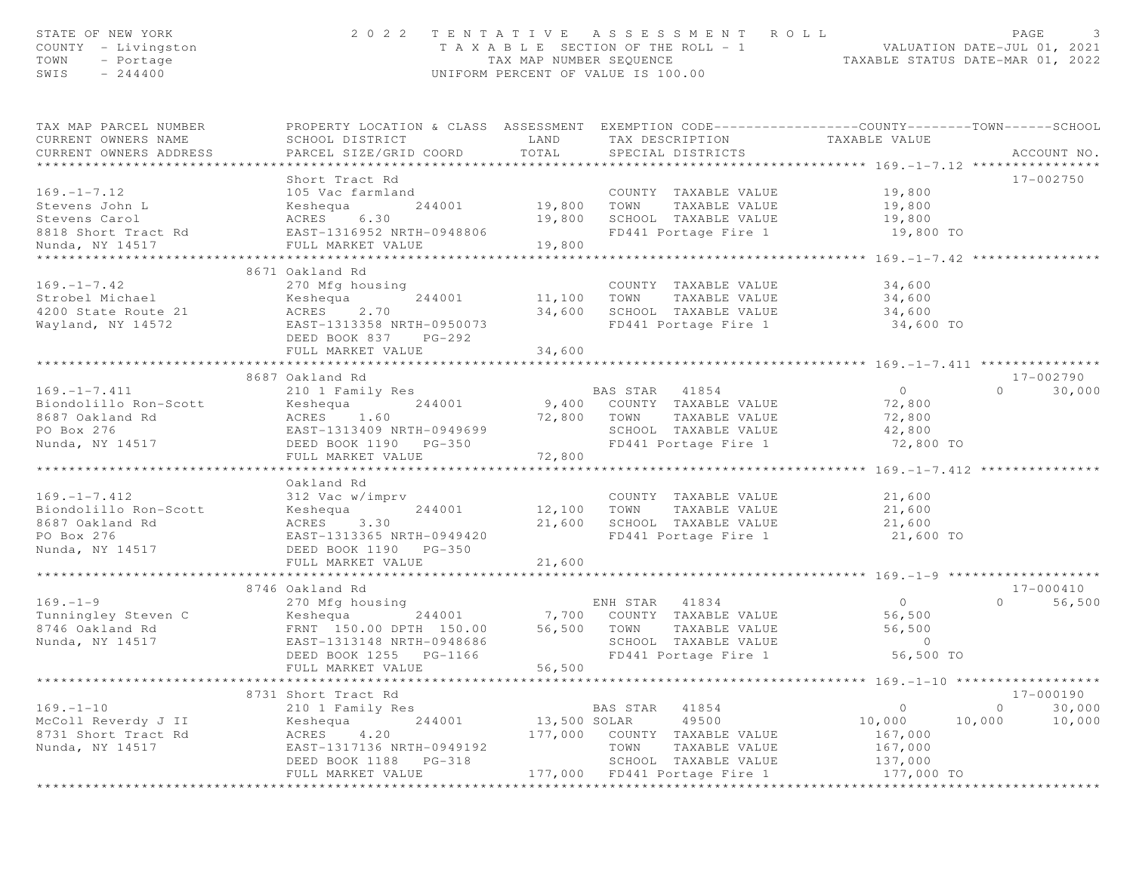| STATE OF NEW YORK<br>COUNTY - Livingston<br>TOWN<br>- Portage<br>$-244400$<br>SWIS | 2022 TENTATIVE ASSESSMENT                                                                                                                    | TAX MAP NUMBER SEQUENCE<br>UNIFORM PERCENT OF VALUE IS 100.00 |                | T A X A B L E SECTION OF THE ROLL - 1 | ROLL<br>VALUATION DATE-JUL 01, 2021<br>TAXABLE STATUS DATE-MAR 01, 2022 | PAGE     | 3                   |
|------------------------------------------------------------------------------------|----------------------------------------------------------------------------------------------------------------------------------------------|---------------------------------------------------------------|----------------|---------------------------------------|-------------------------------------------------------------------------|----------|---------------------|
| TAX MAP PARCEL NUMBER<br>CURRENT OWNERS NAME<br>CURRENT OWNERS ADDRESS             | PROPERTY LOCATION & CLASS ASSESSMENT EXEMPTION CODE---------------COUNTY-------TOWN------SCHOOL<br>SCHOOL DISTRICT<br>PARCEL SIZE/GRID COORD | LAND<br>TOTAL                                                 |                | SPECIAL DISTRICTS                     | TAX DESCRIPTION TAXABLE VALUE                                           |          | ACCOUNT NO.         |
|                                                                                    | Short Tract Rd                                                                                                                               |                                                               |                |                                       |                                                                         |          | 17-002750           |
| $169. - 1 - 7.12$                                                                  | 105 Vac farmland                                                                                                                             |                                                               |                | COUNTY TAXABLE VALUE                  | 19,800                                                                  |          |                     |
| Stevens John L                                                                     | 244001<br>Keshequa                                                                                                                           | 19,800                                                        | TOWN           | TAXABLE VALUE                         | 19,800                                                                  |          |                     |
| Stevens Carol                                                                      | ACRES<br>6.30                                                                                                                                | 19,800                                                        |                | SCHOOL TAXABLE VALUE                  | 19,800                                                                  |          |                     |
| 8818 Short Tract Rd<br>Nunda, NY 14517                                             | EAST-1316952 NRTH-0948806<br>FULL MARKET VALUE                                                                                               | 19,800                                                        |                | FD441 Portage Fire 1                  | 19,800 TO                                                               |          |                     |
|                                                                                    | 8671 Oakland Rd                                                                                                                              |                                                               |                |                                       |                                                                         |          |                     |
| $169. - 1 - 7.42$                                                                  | 270 Mfg housing                                                                                                                              |                                                               |                | COUNTY TAXABLE VALUE                  | 34,600                                                                  |          |                     |
| Strobel Michael                                                                    | 244001<br>Keshequa                                                                                                                           | 11,100 TOWN                                                   |                | TAXABLE VALUE                         | 34,600                                                                  |          |                     |
| 4200 State Route 21                                                                | 2.70<br>ACRES                                                                                                                                | 34,600                                                        |                | SCHOOL TAXABLE VALUE                  | 34,600                                                                  |          |                     |
| Wayland, NY 14572                                                                  | EAST-1313358 NRTH-0950073<br>DEED BOOK 837 PG-292                                                                                            |                                                               |                | FD441 Portage Fire 1                  | 34,600 TO                                                               |          |                     |
|                                                                                    | FULL MARKET VALUE                                                                                                                            | 34,600                                                        |                |                                       |                                                                         |          |                     |
|                                                                                    |                                                                                                                                              |                                                               |                |                                       |                                                                         |          |                     |
| $169. - 1 - 7.411$                                                                 | 8687 Oakland Rd                                                                                                                              |                                                               | BAS STAR 41854 |                                       | $\overline{0}$                                                          | $\Omega$ | 17-002790<br>30,000 |
| Biondolillo Ron-Scott                                                              | 210 1 Family Res<br>244001<br>Keshequa                                                                                                       |                                                               |                | 9,400 COUNTY TAXABLE VALUE            | 72,800                                                                  |          |                     |
| 8687 Oakland Rd                                                                    | ACRES 1.60                                                                                                                                   |                                                               | 72,800 TOWN    | TAXABLE VALUE                         | 72,800                                                                  |          |                     |
| PO Box 276                                                                         | EAST-1313409 NRTH-0949699                                                                                                                    |                                                               |                | SCHOOL TAXABLE VALUE                  | 42,800                                                                  |          |                     |
| Nunda, NY 14517                                                                    | DEED BOOK 1190 PG-350                                                                                                                        |                                                               |                | FD441 Portage Fire 1                  | 72,800 TO                                                               |          |                     |
|                                                                                    | FULL MARKET VALUE                                                                                                                            | 72,800                                                        |                |                                       |                                                                         |          |                     |
|                                                                                    |                                                                                                                                              |                                                               |                |                                       |                                                                         |          |                     |
|                                                                                    | Oakland Rd                                                                                                                                   |                                                               |                |                                       |                                                                         |          |                     |
| $169. - 1 - 7.412$                                                                 | 312 Vac w/imprv                                                                                                                              |                                                               |                | COUNTY TAXABLE VALUE                  | 21,600                                                                  |          |                     |
| Biondolillo Ron-Scott                                                              | 244001<br>Keshequa                                                                                                                           | 12,100                                                        | TOWN           | TAXABLE VALUE                         | 21,600                                                                  |          |                     |
| 8687 Oakland Rd                                                                    | ACRES<br>3.30                                                                                                                                | 21,600                                                        |                | SCHOOL TAXABLE VALUE                  | 21,600                                                                  |          |                     |
| PO Box 276                                                                         | EAST-1313365 NRTH-0949420                                                                                                                    |                                                               |                | FD441 Portage Fire 1                  | 21,600 TO                                                               |          |                     |
| Nunda, NY 14517                                                                    | DEED BOOK 1190 PG-350                                                                                                                        |                                                               |                |                                       |                                                                         |          |                     |
|                                                                                    | FULL MARKET VALUE                                                                                                                            | 21,600                                                        |                |                                       |                                                                         |          |                     |
|                                                                                    | 8746 Oakland Rd                                                                                                                              |                                                               |                |                                       |                                                                         |          | 17-000410           |
| $169. - 1 - 9$                                                                     | 270 Mfg housing                                                                                                                              |                                                               | ENH STAR       | 41834                                 | $\overline{0}$                                                          | $\Omega$ | 56,500              |
| Tunningley Steven C                                                                | Keshequa<br>244001                                                                                                                           |                                                               |                | 7,700 COUNTY TAXABLE VALUE            | 56,500                                                                  |          |                     |
| 8746 Oakland Rd                                                                    | FRNT 150.00 DPTH 150.00                                                                                                                      | 56,500                                                        | TOWN           | TAXABLE VALUE                         | 56,500                                                                  |          |                     |
| Nunda, NY 14517                                                                    | EAST-1313148 NRTH-0948686                                                                                                                    |                                                               |                | SCHOOL TAXABLE VALUE                  | $\circ$                                                                 |          |                     |
|                                                                                    | DEED BOOK 1255 PG-1166                                                                                                                       |                                                               |                | FD441 Portage Fire 1                  | 56,500 TO                                                               |          |                     |
|                                                                                    | FULL MARKET VALUE                                                                                                                            | 56,500                                                        |                |                                       |                                                                         |          |                     |
|                                                                                    |                                                                                                                                              |                                                               |                |                                       | ********* 169. -1-10 ******************                                 |          |                     |
|                                                                                    | 8731 Short Tract Rd                                                                                                                          |                                                               |                |                                       |                                                                         |          | 17-000190           |
| $169. - 1 - 10$                                                                    | 210 1 Family Res                                                                                                                             |                                                               | BAS STAR       | 41854                                 | $\circ$                                                                 | $\circ$  | 30,000              |
| McColl Reverdy J II                                                                | 244001<br>Keshequa                                                                                                                           | 13,500 SOLAR                                                  |                | 49500                                 | 10,000                                                                  | 10,000   | 10,000              |
| 8731 Short Tract Rd                                                                | ACRES<br>4.20                                                                                                                                | 177,000                                                       | COUNTY         | TAXABLE VALUE                         | 167,000                                                                 |          |                     |
| Nunda, NY 14517                                                                    | EAST-1317136 NRTH-0949192                                                                                                                    |                                                               | TOWN           | TAXABLE VALUE                         | 167,000                                                                 |          |                     |
|                                                                                    | DEED BOOK 1188 PG-318                                                                                                                        |                                                               |                | SCHOOL TAXABLE VALUE                  | 137,000                                                                 |          |                     |
|                                                                                    | FULL MARKET VALUE                                                                                                                            | 177,000                                                       |                | FD441 Portage Fire 1                  | 177,000 TO                                                              |          |                     |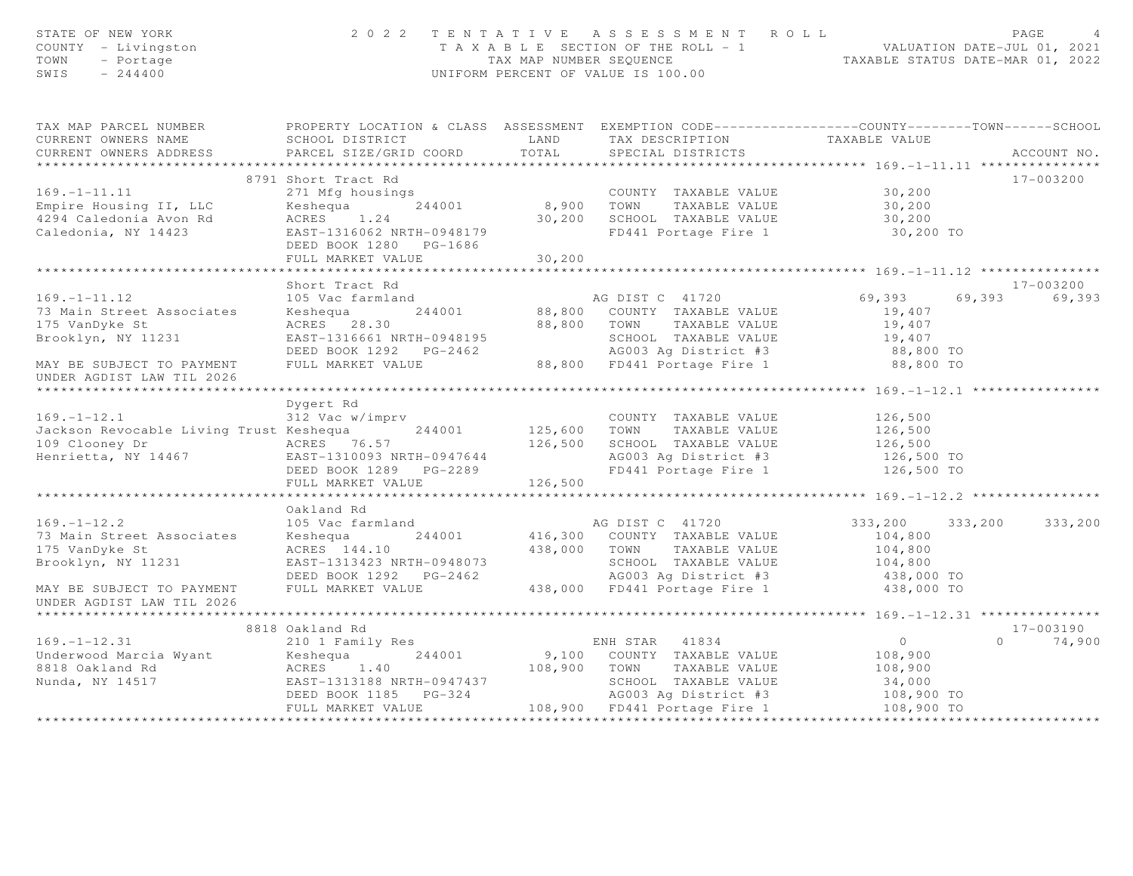| STATE OF NEW YORK<br>COUNTY - Livingston<br>TOWN - Portage<br>SWIS - 244400                                                                                                                                                          |                                                                                                                                                                                                                                        |         | $\begin{array}{cccccccccccccccc} 2&0&2&2&2&\text{T} &\text{E} &\text{N} &\text{T} &\text{A} &\text{T} &\text{A} &\text{E} &\text{B} &\text{A} &\text{E} &\text{B} &\text{E} &\text{E} &\text{E} &\text{E} &\text{E} &\text{E} &\text{E} &\text{E} &\text{E} &\text{E} &\text{E} &\text{E} &\text{E} &\text{E} &\text{E} &\text{E} &\text{E} &\text{E} &\text{E} &\text{E} &\text{E} &\text{E$ |                          |                            |
|--------------------------------------------------------------------------------------------------------------------------------------------------------------------------------------------------------------------------------------|----------------------------------------------------------------------------------------------------------------------------------------------------------------------------------------------------------------------------------------|---------|-----------------------------------------------------------------------------------------------------------------------------------------------------------------------------------------------------------------------------------------------------------------------------------------------------------------------------------------------------------------------------------------------|--------------------------|----------------------------|
| TAX MAP PARCEL NUMBER FROPERTY LOCATION & CLASS ASSESSMENT EXEMPTION CODE---------------COUNTY--------TOWN------SCHOOL                                                                                                               |                                                                                                                                                                                                                                        |         |                                                                                                                                                                                                                                                                                                                                                                                               |                          |                            |
| CURRENT OWNERS NAME                                                                                                                                                                                                                  | SCHOOL DISTRICT                     LAND         TAX DESCRIPTION                   TAXABLE VALUE PARCEL SIZE/GRID COORD           TOTAL       SPECIAL DISTRICTS                                                                        |         |                                                                                                                                                                                                                                                                                                                                                                                               |                          |                            |
| CURRENT OWNERS ADDRESS                                                                                                                                                                                                               |                                                                                                                                                                                                                                        |         |                                                                                                                                                                                                                                                                                                                                                                                               |                          | ACCOUNT NO.                |
|                                                                                                                                                                                                                                      |                                                                                                                                                                                                                                        |         |                                                                                                                                                                                                                                                                                                                                                                                               |                          |                            |
|                                                                                                                                                                                                                                      | 8791 Short Tract Rd                                                                                                                                                                                                                    |         |                                                                                                                                                                                                                                                                                                                                                                                               |                          | 17-003200                  |
|                                                                                                                                                                                                                                      |                                                                                                                                                                                                                                        |         |                                                                                                                                                                                                                                                                                                                                                                                               |                          |                            |
|                                                                                                                                                                                                                                      |                                                                                                                                                                                                                                        |         |                                                                                                                                                                                                                                                                                                                                                                                               |                          |                            |
| 6791 SHOLL ITECT ROMAN COUNTY TAXABLE VALUE 30,200<br>Empire Housing II, LLC (Keshequa 244001 8,900 TOWN TAXABLE VALUE 30,200<br>4294 Caledonia Avon Rd ACRES 1.24 30,200 SCHOOL TAXABLE VALUE 30,200<br>Caledonia, NY 14423 EAST-13 |                                                                                                                                                                                                                                        |         |                                                                                                                                                                                                                                                                                                                                                                                               |                          |                            |
|                                                                                                                                                                                                                                      | DEED BOOK 1280 PG-1686                                                                                                                                                                                                                 |         |                                                                                                                                                                                                                                                                                                                                                                                               |                          |                            |
|                                                                                                                                                                                                                                      | FULL MARKET VALUE                                                                                                                                                                                                                      | 30, 200 |                                                                                                                                                                                                                                                                                                                                                                                               |                          |                            |
|                                                                                                                                                                                                                                      |                                                                                                                                                                                                                                        |         |                                                                                                                                                                                                                                                                                                                                                                                               |                          |                            |
|                                                                                                                                                                                                                                      | Short Tract Rd                                                                                                                                                                                                                         |         |                                                                                                                                                                                                                                                                                                                                                                                               |                          | 17-003200                  |
| $169. - 1 - 11.12$                                                                                                                                                                                                                   | 105 Vac farmland                                                                                                                                                                                                                       |         | AG DIST C 41720                                                                                                                                                                                                                                                                                                                                                                               | 69,393 69,393 69,393     |                            |
| 73 Main Street Associates<br>175 VanDyke St                                                                                                                                                                                          |                                                                                                                                                                                                                                        |         |                                                                                                                                                                                                                                                                                                                                                                                               | 19,407<br>19,407         |                            |
| Brooklyn, NY 11231                                                                                                                                                                                                                   |                                                                                                                                                                                                                                        |         |                                                                                                                                                                                                                                                                                                                                                                                               | 19,407                   |                            |
|                                                                                                                                                                                                                                      |                                                                                                                                                                                                                                        |         |                                                                                                                                                                                                                                                                                                                                                                                               |                          |                            |
| MAY BE SUBJECT TO PAYMENT                                                                                                                                                                                                            | EXERCISE TO MANUS AND AN AUDIST C 41720<br>Keshequa 244001 88,800 COUNTY TAXABLE VALUE<br>RAST-1316661 NRTH-0948195 SCHOOL TAXABLE VALUE<br>DEED BOOK 1292 PG-2462 AG003 Ag District #3<br>FULL MARKET VALUE 88,800 FD441 Portage Fire |         |                                                                                                                                                                                                                                                                                                                                                                                               | 88,800 TO<br>88,800 TO   |                            |
| UNDER AGDIST LAW TIL 2026                                                                                                                                                                                                            |                                                                                                                                                                                                                                        |         |                                                                                                                                                                                                                                                                                                                                                                                               |                          |                            |
|                                                                                                                                                                                                                                      | Dygert Rd                                                                                                                                                                                                                              |         |                                                                                                                                                                                                                                                                                                                                                                                               |                          |                            |
|                                                                                                                                                                                                                                      |                                                                                                                                                                                                                                        |         |                                                                                                                                                                                                                                                                                                                                                                                               |                          |                            |
| 169.-1-12.1 312 Vac w/imprv COUNTY TAXABLE VALUE 126,500<br>169.-1-12.1 312 Vac w/imprv COUNTY TAXABLE VALUE 126,500<br>109 Clooney Dr ACRES 76.57 126,500 SCHOOL TAXABLE VALUE 126,500<br>Henrietta, NY 14467 EAST-1310093 NRTH-094 |                                                                                                                                                                                                                                        |         |                                                                                                                                                                                                                                                                                                                                                                                               |                          |                            |
|                                                                                                                                                                                                                                      |                                                                                                                                                                                                                                        |         |                                                                                                                                                                                                                                                                                                                                                                                               |                          |                            |
|                                                                                                                                                                                                                                      |                                                                                                                                                                                                                                        |         |                                                                                                                                                                                                                                                                                                                                                                                               |                          |                            |
|                                                                                                                                                                                                                                      | DEED BOOK 1289 PG-2289<br>FULL MARKET VALUE 126,500                                                                                                                                                                                    |         |                                                                                                                                                                                                                                                                                                                                                                                               |                          |                            |
|                                                                                                                                                                                                                                      |                                                                                                                                                                                                                                        |         |                                                                                                                                                                                                                                                                                                                                                                                               |                          |                            |
|                                                                                                                                                                                                                                      |                                                                                                                                                                                                                                        |         |                                                                                                                                                                                                                                                                                                                                                                                               |                          |                            |
|                                                                                                                                                                                                                                      | Oakland Rd                                                                                                                                                                                                                             |         |                                                                                                                                                                                                                                                                                                                                                                                               |                          |                            |
| $169. - 1 - 12.2$                                                                                                                                                                                                                    | 105 Vac farmland                                                                                                                                                                                                                       |         | AG DIST C 41720                                                                                                                                                                                                                                                                                                                                                                               | 333,200                  | 333,200 333,200            |
| 73 Main Street Associates                                                                                                                                                                                                            | Xeshequa 244001 416,300 COUNTY TAXABLE VALUE 103 VaC LaTMLAND<br>ACRES 144.10 438,000 TOWN TAXABLE VALUE 104,800<br>EAST-1313423 NRTH-0948073 SCHOOL TAXABLE VALUE 104,800<br>DEED BOOK 1292 PG-2462 AG003 Ag District #3 438,000<br>F |         |                                                                                                                                                                                                                                                                                                                                                                                               |                          |                            |
| 175 VanDyke St                                                                                                                                                                                                                       |                                                                                                                                                                                                                                        |         |                                                                                                                                                                                                                                                                                                                                                                                               |                          |                            |
| Brooklyn, NY 11231                                                                                                                                                                                                                   |                                                                                                                                                                                                                                        |         |                                                                                                                                                                                                                                                                                                                                                                                               |                          |                            |
|                                                                                                                                                                                                                                      |                                                                                                                                                                                                                                        |         |                                                                                                                                                                                                                                                                                                                                                                                               | 438,000 TO<br>438,000 TO |                            |
| MAY BE SUBJECT TO PAYMENT<br>UNDER AGDIST LAW TIL 2026                                                                                                                                                                               |                                                                                                                                                                                                                                        |         |                                                                                                                                                                                                                                                                                                                                                                                               |                          |                            |
|                                                                                                                                                                                                                                      |                                                                                                                                                                                                                                        |         |                                                                                                                                                                                                                                                                                                                                                                                               |                          |                            |
|                                                                                                                                                                                                                                      | 8818 Oakland Rd                                                                                                                                                                                                                        |         |                                                                                                                                                                                                                                                                                                                                                                                               |                          | 17-003190<br>$0 \t 74,900$ |
|                                                                                                                                                                                                                                      |                                                                                                                                                                                                                                        |         |                                                                                                                                                                                                                                                                                                                                                                                               |                          |                            |
|                                                                                                                                                                                                                                      |                                                                                                                                                                                                                                        |         |                                                                                                                                                                                                                                                                                                                                                                                               |                          |                            |
|                                                                                                                                                                                                                                      |                                                                                                                                                                                                                                        |         |                                                                                                                                                                                                                                                                                                                                                                                               |                          |                            |
|                                                                                                                                                                                                                                      |                                                                                                                                                                                                                                        |         |                                                                                                                                                                                                                                                                                                                                                                                               |                          |                            |
| 8818 Oakland Kanad Kanad Kanad Kanad Kanad Kanad Kanad 244001 and 244001 and 244001 and 244001 and 244001 and 244001 and 244001 and 244001 and 244001 and 244001 and 244001 and 244001 and 244001 and 244001 and 244001 and 24       |                                                                                                                                                                                                                                        |         |                                                                                                                                                                                                                                                                                                                                                                                               |                          |                            |
|                                                                                                                                                                                                                                      |                                                                                                                                                                                                                                        |         |                                                                                                                                                                                                                                                                                                                                                                                               |                          |                            |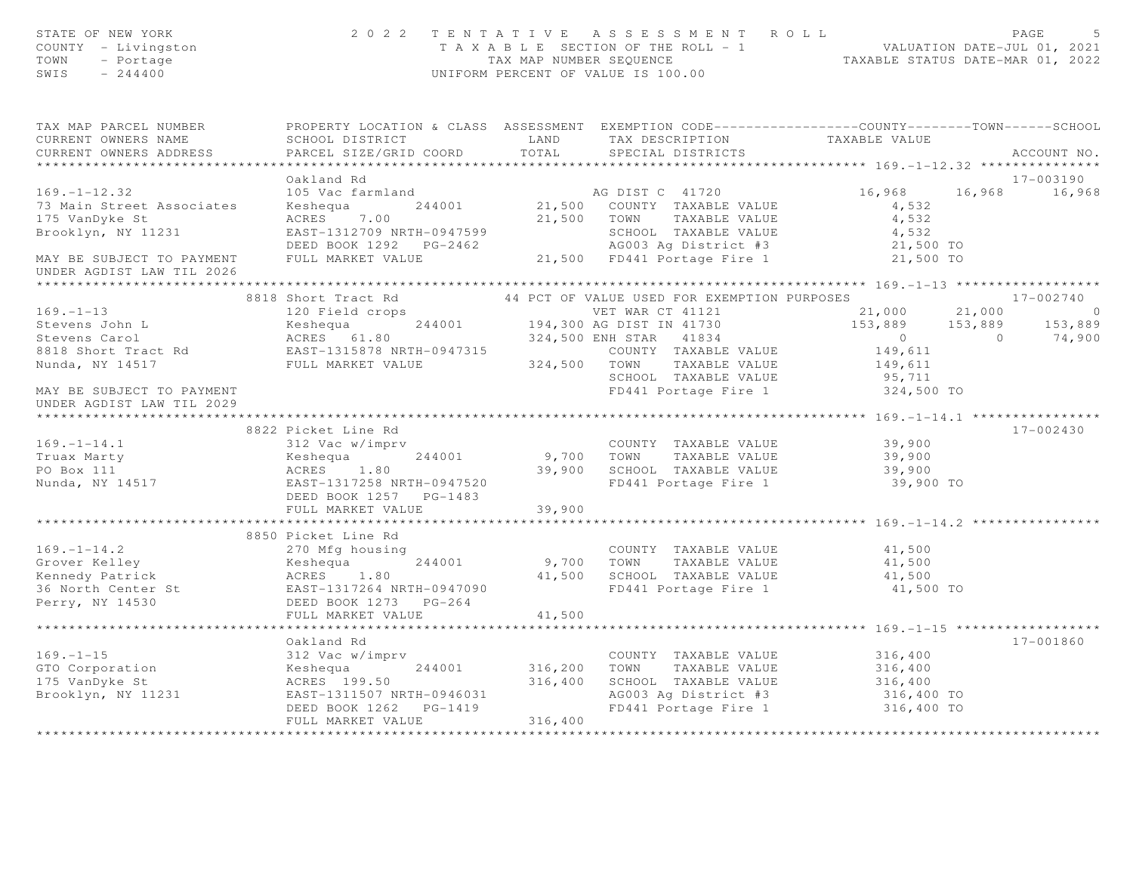| STATE OF NEW YORK<br>COUNTY - Livingston<br>TOWN<br>- Portage<br>SWIS<br>$-244400$                                                                                                                                                         |                                                                                                                                                                                                                                                |                              | 2022 TENTATIVE ASSESSMENT ROLL<br>TAXABLE SECTION OF THE ROLL - 1<br>TAX MAP NUMBER SEQUENCE TAXABLE STATUS DATE-JUL 01, 2021<br>INIEODM PERCENT OF WILLIE 1999 (2022<br>UNIFORM PERCENT OF VALUE IS 100.00 |                                                                         | PAGE          |
|--------------------------------------------------------------------------------------------------------------------------------------------------------------------------------------------------------------------------------------------|------------------------------------------------------------------------------------------------------------------------------------------------------------------------------------------------------------------------------------------------|------------------------------|-------------------------------------------------------------------------------------------------------------------------------------------------------------------------------------------------------------|-------------------------------------------------------------------------|---------------|
| TAX MAP PARCEL NUMBER<br>CURRENT OWNERS NAME                                                                                                                                                                                               | PROPERTY LOCATION & CLASS ASSESSMENT EXEMPTION CODE----------------COUNTY-------TOWN------SCHOOL                                                                                                                                               |                              |                                                                                                                                                                                                             |                                                                         |               |
| CURRENT OWNERS ADDRESS                                                                                                                                                                                                                     | PARCEL SIZE/GRID COORD                                                                                                                                                                                                                         | TOTAL                        | SPECIAL DISTRICTS                                                                                                                                                                                           |                                                                         | ACCOUNT NO.   |
|                                                                                                                                                                                                                                            |                                                                                                                                                                                                                                                |                              |                                                                                                                                                                                                             |                                                                         |               |
|                                                                                                                                                                                                                                            | Oakland Rd                                                                                                                                                                                                                                     |                              |                                                                                                                                                                                                             |                                                                         | 17-003190     |
| $169. - 1 - 12.32$                                                                                                                                                                                                                         | 16,968 16<br>16,968 16<br>244001 21,500 COUNTY TAXABLE VALUE<br>21,500 COUNTY TAXABLE VALUE<br>21,500 TOWN TAXABLE VALUE<br>21,500 TOWN TAXABLE VALUE<br>21,500 TOWN TAXABLE VALUE<br>21,500 SCHOOL TAXABLE VALUE<br>21,500 TOWN TAXABLE VALUE |                              |                                                                                                                                                                                                             | 16,968 16,968 16,968                                                    |               |
| 73 Main Street Associates                                                                                                                                                                                                                  |                                                                                                                                                                                                                                                |                              |                                                                                                                                                                                                             |                                                                         |               |
| 175 VanDyke St                                                                                                                                                                                                                             |                                                                                                                                                                                                                                                |                              |                                                                                                                                                                                                             |                                                                         |               |
| Brooklyn, NY 11231                                                                                                                                                                                                                         |                                                                                                                                                                                                                                                |                              |                                                                                                                                                                                                             |                                                                         |               |
| MAY BE SUBJECT TO PAYMENT                                                                                                                                                                                                                  | DEED BOOK 1292 PG-2462                                                                                                                                                                                                                         |                              |                                                                                                                                                                                                             |                                                                         |               |
| UNDER AGDIST LAW TIL 2026                                                                                                                                                                                                                  |                                                                                                                                                                                                                                                |                              |                                                                                                                                                                                                             |                                                                         |               |
|                                                                                                                                                                                                                                            |                                                                                                                                                                                                                                                |                              |                                                                                                                                                                                                             |                                                                         |               |
|                                                                                                                                                                                                                                            |                                                                                                                                                                                                                                                |                              |                                                                                                                                                                                                             |                                                                         | $17 - 002740$ |
| 169.-1-13<br>Stevens John L<br>Stevens Carol (199. 120 Field crops<br>Stevens Carol (199. 1994,300 AG DIST IN 41730<br>Stevens Carol (199.300 AG DIST IN 41730<br>Stevens Carol (199.300 AG DIST IN 41730<br>Stevens Carol (199.300 AG DIS | 8818 Short Tract Rd <sup>44</sup> PCT OF VALUE USED FOR EXEMPTION PURPOSES<br>120 Field crops <b>120</b> VET WAR CT 41121 21,000                                                                                                               |                              |                                                                                                                                                                                                             | $21,000$ $21,000$ 0<br>153,889 153,889 153,889<br>0 0 74,900<br>149,611 |               |
|                                                                                                                                                                                                                                            |                                                                                                                                                                                                                                                |                              |                                                                                                                                                                                                             |                                                                         |               |
|                                                                                                                                                                                                                                            |                                                                                                                                                                                                                                                |                              |                                                                                                                                                                                                             |                                                                         |               |
|                                                                                                                                                                                                                                            |                                                                                                                                                                                                                                                |                              |                                                                                                                                                                                                             |                                                                         |               |
|                                                                                                                                                                                                                                            |                                                                                                                                                                                                                                                |                              |                                                                                                                                                                                                             | 149,611                                                                 |               |
|                                                                                                                                                                                                                                            |                                                                                                                                                                                                                                                |                              | SCHOOL TAXABLE VALUE                                                                                                                                                                                        | $95,711$<br>$324,500$ TO                                                |               |
| MAY BE SUBJECT TO PAYMENT<br>UNDER AGDIST LAW TIL 2029                                                                                                                                                                                     |                                                                                                                                                                                                                                                |                              | FD441 Portage Fire 1                                                                                                                                                                                        |                                                                         |               |
|                                                                                                                                                                                                                                            |                                                                                                                                                                                                                                                |                              |                                                                                                                                                                                                             |                                                                         |               |
| 169.-1-14.1<br>Truax Marty (199.-1-14.1 312 Vac w/imprv (199.-1-14.1 312 Vac w/imprv (199.1)<br>244001 9,700 TOWN TAXABLE VALUE 39,900<br>PO Box 111 (199.900 ACRES 1.80 39,900 SCHOOL TAXABLE VALUE 39,900<br>Nunda, NY 14517 (199.9      |                                                                                                                                                                                                                                                |                              |                                                                                                                                                                                                             |                                                                         | $17 - 002430$ |
|                                                                                                                                                                                                                                            |                                                                                                                                                                                                                                                |                              |                                                                                                                                                                                                             |                                                                         |               |
|                                                                                                                                                                                                                                            |                                                                                                                                                                                                                                                |                              |                                                                                                                                                                                                             |                                                                         |               |
|                                                                                                                                                                                                                                            |                                                                                                                                                                                                                                                |                              |                                                                                                                                                                                                             |                                                                         |               |
|                                                                                                                                                                                                                                            |                                                                                                                                                                                                                                                |                              |                                                                                                                                                                                                             |                                                                         |               |
|                                                                                                                                                                                                                                            | FULL MARKET VALUE                                                                                                                                                                                                                              | 39,900                       |                                                                                                                                                                                                             |                                                                         |               |
|                                                                                                                                                                                                                                            |                                                                                                                                                                                                                                                |                              |                                                                                                                                                                                                             |                                                                         |               |
|                                                                                                                                                                                                                                            |                                                                                                                                                                                                                                                |                              |                                                                                                                                                                                                             |                                                                         |               |
|                                                                                                                                                                                                                                            |                                                                                                                                                                                                                                                |                              | COUNTY TAXABLE VALUE 41,500<br>TOWN TAXABLE VALUE 41,500                                                                                                                                                    |                                                                         |               |
|                                                                                                                                                                                                                                            |                                                                                                                                                                                                                                                |                              |                                                                                                                                                                                                             |                                                                         |               |
|                                                                                                                                                                                                                                            |                                                                                                                                                                                                                                                |                              |                                                                                                                                                                                                             | $41,500$<br>$41,500$ TO                                                 |               |
|                                                                                                                                                                                                                                            |                                                                                                                                                                                                                                                |                              |                                                                                                                                                                                                             |                                                                         |               |
|                                                                                                                                                                                                                                            | FULL MARKET VALUE                                                                                                                                                                                                                              | 41,500                       |                                                                                                                                                                                                             |                                                                         |               |
|                                                                                                                                                                                                                                            |                                                                                                                                                                                                                                                |                              |                                                                                                                                                                                                             |                                                                         |               |
|                                                                                                                                                                                                                                            | Oakland Rd                                                                                                                                                                                                                                     |                              |                                                                                                                                                                                                             |                                                                         | 17-001860     |
| $169. - 1 - 15$                                                                                                                                                                                                                            | 312 Vac w/imprv                                                                                                                                                                                                                                |                              | COUNTY TAXABLE VALUE<br>244001 316,200 TOWN TAXABLE VALUE<br>COUNTY TAXABLE VALUE 316,400                                                                                                                   |                                                                         |               |
|                                                                                                                                                                                                                                            |                                                                                                                                                                                                                                                |                              |                                                                                                                                                                                                             |                                                                         |               |
|                                                                                                                                                                                                                                            |                                                                                                                                                                                                                                                |                              |                                                                                                                                                                                                             |                                                                         |               |
|                                                                                                                                                                                                                                            |                                                                                                                                                                                                                                                |                              |                                                                                                                                                                                                             | 316,400 TO                                                              |               |
| 169.-1-15<br>GTO Corporation (Exchange 199.50 169.200 TOWN TAXABLE VALUE 316,400<br>175 VanDyke St (ACRES 199.50 316,400 SCHOOL TAXABLE VALUE 316,400<br>Brooklyn, NY 11231 EAST-1311507 NRTH-0946031 AG003 Ag District #3 316,400<br>     |                                                                                                                                                                                                                                                |                              | FD441 Portage Fire 1 316,400 TO                                                                                                                                                                             |                                                                         |               |
|                                                                                                                                                                                                                                            | FULL MARKET VALUE                                                                                                                                                                                                                              | 316,400<br>***************** |                                                                                                                                                                                                             |                                                                         |               |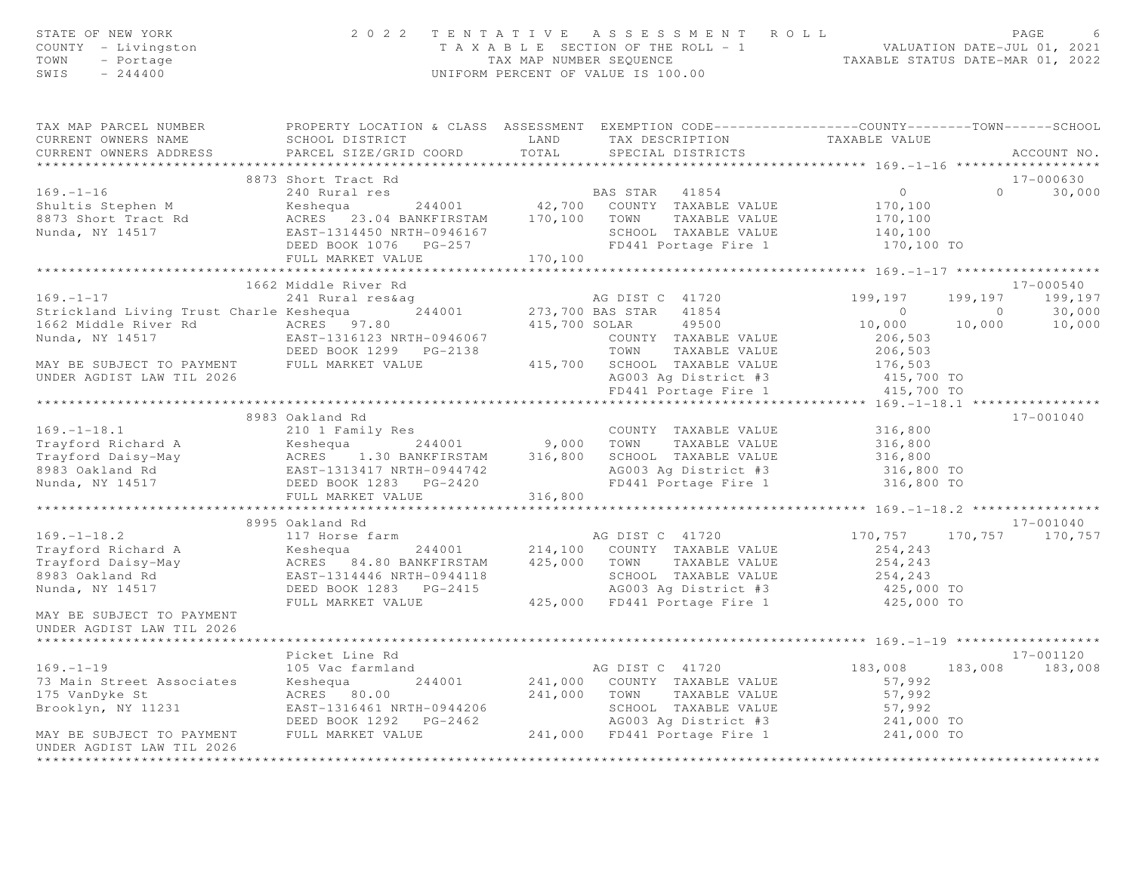| STATE OF NEW YORK<br>COUNTY - Livingston<br>TOWN - Portage<br>SWIS<br>$-244400$                                                                                                                                                                                    |                        |         | 2022 TENTATIVE ASSESSMENT ROLL<br>TAXABLE SECTION OF THE ROLL - 1<br>TAXABLE SECTION OF THE ROLL - 1<br>TAXABLE STATUS DATE-MAR 01, 2022<br>UNIFORM PERCENT OF VALUE IS 100.00 |                                                                                       | PAGE              |
|--------------------------------------------------------------------------------------------------------------------------------------------------------------------------------------------------------------------------------------------------------------------|------------------------|---------|--------------------------------------------------------------------------------------------------------------------------------------------------------------------------------|---------------------------------------------------------------------------------------|-------------------|
| TAX MAP PARCEL NUMBER FROPERTY LOCATION & CLASS ASSESSMENT EXEMPTION CODE---------------COUNTY-------TOWN------SCHOOL<br>CURRENT OWNERS NAME<br>CURRENT OWNERS ADDRESS                                                                                             | PARCEL SIZE/GRID COORD | TOTAL   | SCHOOL DISTRICT                   LAND       TAX DESCRIPTION                TAXABLE VALUE<br>SPECIAL DISTRICTS                                                                 |                                                                                       | ACCOUNT NO.       |
| ***********************                                                                                                                                                                                                                                            |                        |         |                                                                                                                                                                                |                                                                                       |                   |
|                                                                                                                                                                                                                                                                    | 8873 Short Tract Rd    |         |                                                                                                                                                                                |                                                                                       | 17-000630         |
|                                                                                                                                                                                                                                                                    |                        |         |                                                                                                                                                                                |                                                                                       | $0 \t 30,000$     |
|                                                                                                                                                                                                                                                                    |                        |         |                                                                                                                                                                                |                                                                                       |                   |
|                                                                                                                                                                                                                                                                    |                        |         |                                                                                                                                                                                |                                                                                       |                   |
|                                                                                                                                                                                                                                                                    |                        |         |                                                                                                                                                                                |                                                                                       |                   |
|                                                                                                                                                                                                                                                                    |                        |         |                                                                                                                                                                                |                                                                                       |                   |
| 8873 Short Tract Rd 240 Rural res 240 Rural res 240 Rural res 240 Rural res 240 Rural res 240 Rural res 240 Rural res 240 Rural res 240 Rural 170,100<br>24001 242,700 COUNTY TAXABLE VALUE 2673 Short Tract Rd 2673 Short Tract                                   |                        |         |                                                                                                                                                                                |                                                                                       |                   |
|                                                                                                                                                                                                                                                                    | 1662 Middle River Rd   |         |                                                                                                                                                                                |                                                                                       | 17-000540         |
| $169. - 1 - 17$                                                                                                                                                                                                                                                    | 241 Rural res&aq       |         | AG DIST C 41720                                                                                                                                                                | 199,197                                                                               | 199, 197 199, 197 |
|                                                                                                                                                                                                                                                                    |                        |         |                                                                                                                                                                                |                                                                                       |                   |
|                                                                                                                                                                                                                                                                    |                        |         |                                                                                                                                                                                | $\begin{array}{cccc} & 0 & & 0 & & 30,000 \ 10,000 & & 10,000 & & 10,000 \end{array}$ |                   |
|                                                                                                                                                                                                                                                                    |                        |         |                                                                                                                                                                                |                                                                                       |                   |
|                                                                                                                                                                                                                                                                    |                        |         |                                                                                                                                                                                |                                                                                       |                   |
| Strickland Living Trust Charle Keshequa and 244001 273,700 BAS STAR 41854 0<br>1662 Middle River Rd ACRES 97.80 415,700 SOLAR 49500 10,000<br>Nunda, NY 14517 EAST-1316123 NRTH-0946067 COUNTY TAXABLE VALUE 206,503<br>MAY BE SUBJE                               |                        |         |                                                                                                                                                                                |                                                                                       |                   |
| UNDER AGDIST LAW TIL 2026                                                                                                                                                                                                                                          |                        |         | AG003 Ag District #3                                                                                                                                                           | 415,700 TO                                                                            |                   |
|                                                                                                                                                                                                                                                                    |                        |         | FD441 Portage Fire 1                                                                                                                                                           | 415,700 TO                                                                            |                   |
|                                                                                                                                                                                                                                                                    |                        |         |                                                                                                                                                                                |                                                                                       |                   |
|                                                                                                                                                                                                                                                                    | 8983 Oakland Rd        |         |                                                                                                                                                                                |                                                                                       | 17-001040         |
|                                                                                                                                                                                                                                                                    |                        |         |                                                                                                                                                                                |                                                                                       |                   |
|                                                                                                                                                                                                                                                                    |                        |         |                                                                                                                                                                                |                                                                                       |                   |
|                                                                                                                                                                                                                                                                    |                        |         |                                                                                                                                                                                |                                                                                       |                   |
| 169.-1-18.1<br>Trayford Richard A 2101 Family Res COUNTY TAXABLE VALUE 316,800<br>Trayford Daisy-May ACRES 1.30 BANKFIRSTAM 316,800 SCHOOL TAXABLE VALUE 316,800<br>8983 Oakland Rd EAST-1313417 NRTH-0944742 AG003 Ag District #3                                 |                        |         |                                                                                                                                                                                |                                                                                       |                   |
|                                                                                                                                                                                                                                                                    | FULL MARKET VALUE      | 316,800 |                                                                                                                                                                                |                                                                                       |                   |
|                                                                                                                                                                                                                                                                    |                        |         |                                                                                                                                                                                |                                                                                       |                   |
|                                                                                                                                                                                                                                                                    | 8995 Oakland Rd        |         |                                                                                                                                                                                |                                                                                       | 17-001040         |
|                                                                                                                                                                                                                                                                    |                        |         |                                                                                                                                                                                |                                                                                       | 170, 757 170, 757 |
|                                                                                                                                                                                                                                                                    |                        |         |                                                                                                                                                                                |                                                                                       |                   |
|                                                                                                                                                                                                                                                                    |                        |         |                                                                                                                                                                                |                                                                                       |                   |
|                                                                                                                                                                                                                                                                    |                        |         |                                                                                                                                                                                |                                                                                       |                   |
| 169. -1-18.2<br>17 Horse farm<br>17 Horse farm<br>17 Horse farm<br>244001 214,100 COUNTY TAXABLE VALUE 254,243<br>254,243<br>254,243<br>254,243<br>254,243<br>254,243<br>254,243<br>254,243<br>254,243<br>254,243<br>254,243<br>254,243<br>254,243<br>254,243<br>2 |                        |         |                                                                                                                                                                                |                                                                                       |                   |
| MAY BE SUBJECT TO PAYMENT<br>UNDER AGDIST LAW TIL 2026                                                                                                                                                                                                             |                        |         |                                                                                                                                                                                |                                                                                       |                   |
|                                                                                                                                                                                                                                                                    |                        |         |                                                                                                                                                                                |                                                                                       |                   |
|                                                                                                                                                                                                                                                                    | Picket Line Rd         |         |                                                                                                                                                                                |                                                                                       | 17-001120         |
| $169. - 1 - 19$                                                                                                                                                                                                                                                    | 105 Vac farmland       |         | AG DIST C 41720                                                                                                                                                                | 183,008                                                                               | 183,008 183,008   |
| 73 Main Street Associates                                                                                                                                                                                                                                          |                        |         | Keshequa 244001 241,000 COUNTY TAXABLE VALUE                                                                                                                                   | 57,992                                                                                |                   |
| 175 VanDyke St                                                                                                                                                                                                                                                     |                        |         |                                                                                                                                                                                |                                                                                       |                   |
| Brooklyn, NY 11231                                                                                                                                                                                                                                                 |                        |         |                                                                                                                                                                                |                                                                                       |                   |
|                                                                                                                                                                                                                                                                    |                        |         |                                                                                                                                                                                |                                                                                       |                   |
| MAY BE SUBJECT TO PAYMENT                                                                                                                                                                                                                                          |                        |         | ACRES 80.00<br>EAST-1316461 NRTH-0944206<br>DEED BOOK 1292 PG-2462<br>FULL MARKET VALUE 241,000 FD441 Portage Fire 1<br>241,000 FD441 Portage Fire 1<br>241,000 TO             |                                                                                       |                   |
| UNDER AGDIST LAW TIL 2026                                                                                                                                                                                                                                          |                        |         |                                                                                                                                                                                |                                                                                       |                   |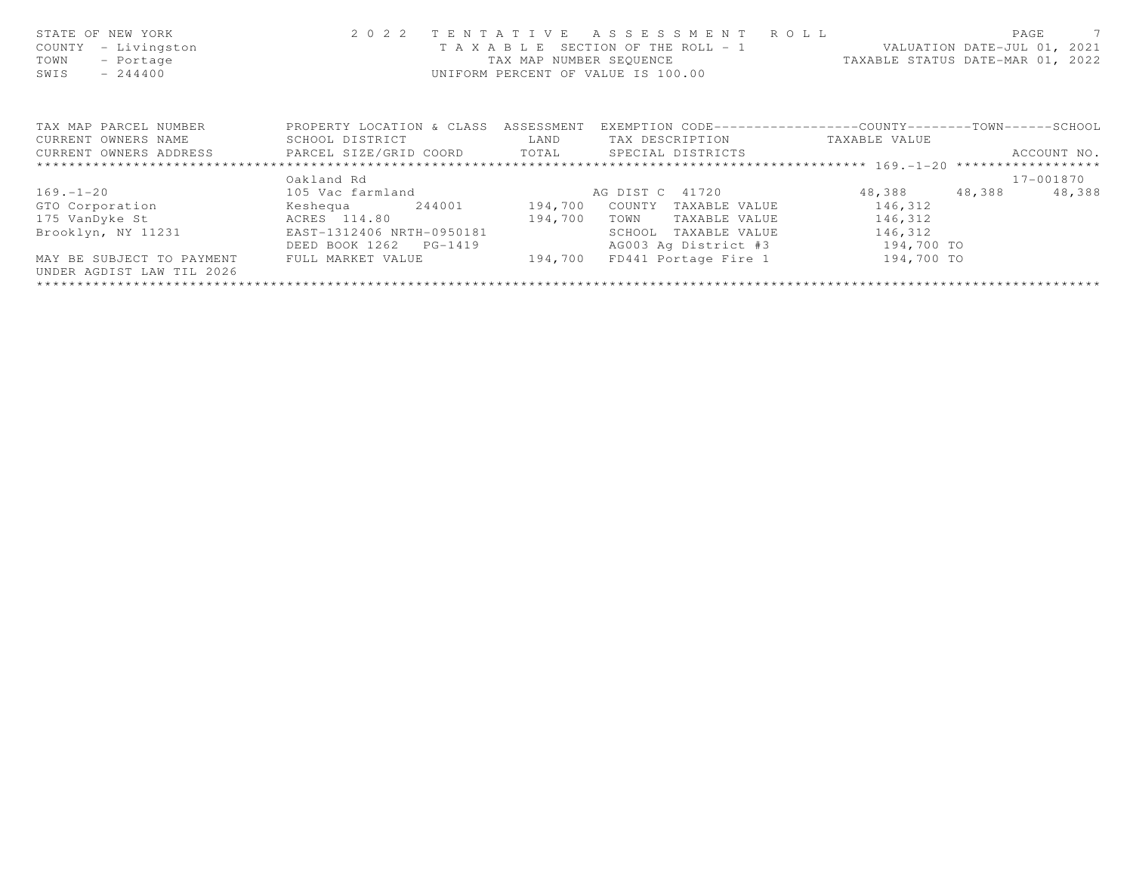| STATE OF NEW YORK<br>- Livingston<br>COUNTY<br>TOWN<br>- Portage<br>SWIS<br>$-244400$   | 2 0 2 2                              | TENTATIVE | ASSESSMENT ROLL<br>UNIFORM PERCENT OF VALUE IS 100.00 | T A X A B L E SECTION OF THE ROLL - 1 VALUATION DATE-JUL 01, 2021<br>TAX MAP NUMBER SEQUENCE TAXABLE STATUS DATE-MAR 01, 2022 | $\overline{7}$<br>PAGE |
|-----------------------------------------------------------------------------------------|--------------------------------------|-----------|-------------------------------------------------------|-------------------------------------------------------------------------------------------------------------------------------|------------------------|
| TAX MAP PARCEL NUMBER                                                                   | PROPERTY LOCATION & CLASS ASSESSMENT |           |                                                       | EXEMPTION CODE-----------------COUNTY-------TOWN------SCHOOL                                                                  |                        |
| CURRENT OWNERS NAME                                                                     | SCHOOL DISTRICT                      | LAND      | TAX DESCRIPTION                                       | TAXABLE VALUE                                                                                                                 |                        |
| CURRENT OWNERS ADDRESS         PARCEL SIZE/GRID COORD       TOTAL     SPECIAL DISTRICTS |                                      |           |                                                       |                                                                                                                               | ACCOUNT NO.            |
|                                                                                         |                                      |           |                                                       |                                                                                                                               |                        |
|                                                                                         | Oakland Rd                           |           |                                                       |                                                                                                                               | 17-001870              |
| $169. - 1 - 20$                                                                         |                                      |           |                                                       | 48,388 48,388                                                                                                                 | 48,388                 |
| GTO Corporation                                                                         | Keshequa 244001                      | 194,700   | COUNTY<br>TAXABLE VALUE                               | 146,312                                                                                                                       |                        |
| 175 VanDyke St                                                                          | ACRES 114.80                         | 194,700   | TAXABLE VALUE<br>TOWN                                 | 146,312                                                                                                                       |                        |
| Brooklyn, NY 11231                                                                      | EAST-1312406 NRTH-0950181            |           | SCHOOL<br>TAXABLE VALUE                               | 146,312                                                                                                                       |                        |
|                                                                                         | DEED BOOK 1262 PG-1419               |           | AG003 Ag District #3 194,700 TO                       |                                                                                                                               |                        |
| MAY BE SUBJECT TO PAYMENT<br>UNDER AGDIST LAW TIL 2026                                  | FULL MARKET VALUE                    | 194,700   | FD441 Portage Fire 1                                  | 194,700 TO                                                                                                                    |                        |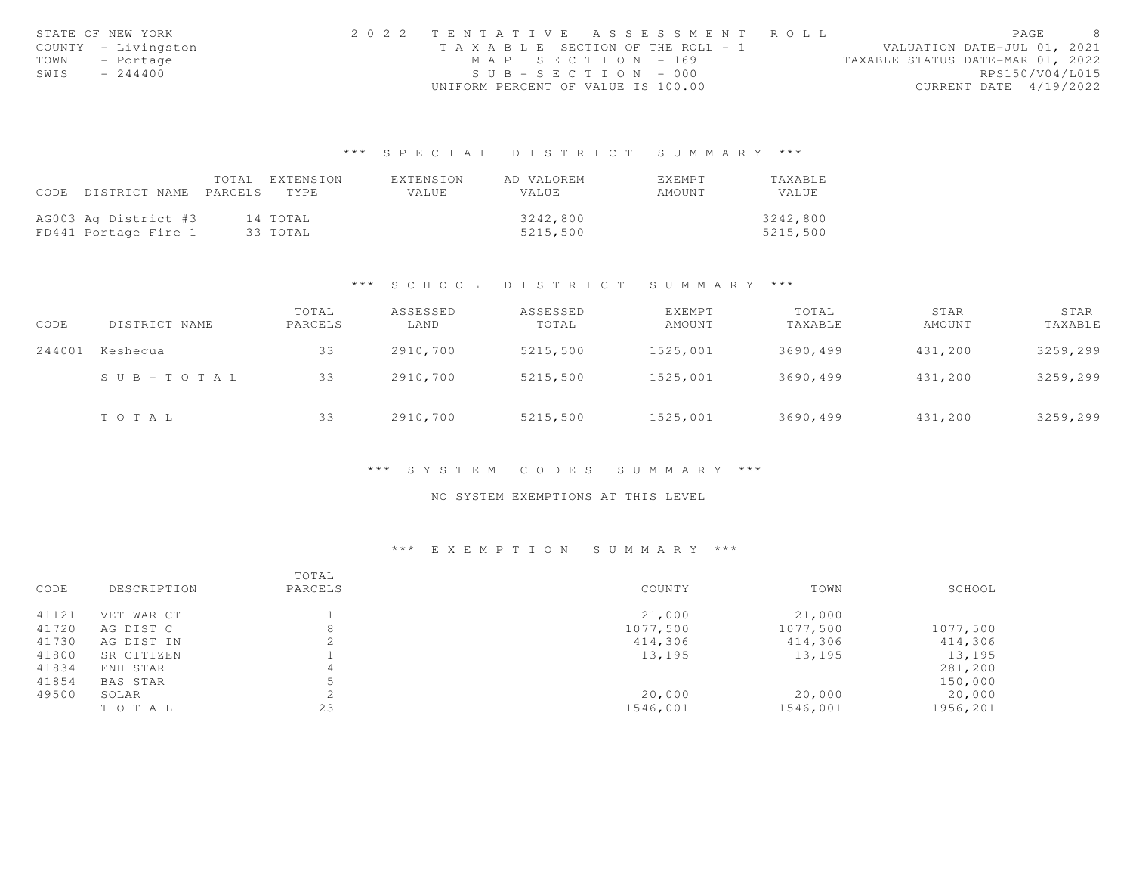|      | STATE OF NEW YORK   | 2022 TENTATIVE ASSESSMENT ROLL        | PAGE                             |
|------|---------------------|---------------------------------------|----------------------------------|
|      | COUNTY - Livingston | T A X A B L E SECTION OF THE ROLL - 1 | VALUATION DATE-JUL 01, 2021      |
|      | TOWN - Portage      | MAP SECTION - 169                     | TAXABLE STATUS DATE-MAR 01, 2022 |
| SWIS | $-244400$           | $SUB - SECTION - 000$                 | RPS150/V04/L015                  |
|      |                     | UNIFORM PERCENT OF VALUE IS 100.00    | CURRENT DATE 4/19/2022           |

# \*\*\* S P E C I A L D I S T R I C T S U M M A R Y \*\*\*

|                      | TOTAL   | FXTENSION | EXTENSION | AD VALOREM   | EXEMPT | TAXABLE      |
|----------------------|---------|-----------|-----------|--------------|--------|--------------|
| CODE DISTRICT NAME   | PARCELS | TYPE.     | VALUE     | <b>VALUE</b> | AMOUNT | <b>VALUE</b> |
|                      |         |           |           |              |        |              |
| AG003 Ag District #3 |         | 14 TOTAL  |           | 3242,800     |        | 3242,800     |
| FD441 Portage Fire 1 |         | 33 ТОТАЬ  |           | 5215,500     |        | 5215,500     |

### \*\*\* S C H O O L D I S T R I C T S U M M A R Y \*\*\*

| CODE   | DISTRICT NAME         | TOTAL<br>PARCELS | ASSESSED<br>LAND | ASSESSED<br>TOTAL | EXEMPT<br>AMOUNT | TOTAL<br>TAXABLE | STAR<br>AMOUNT | STAR<br>TAXABLE |
|--------|-----------------------|------------------|------------------|-------------------|------------------|------------------|----------------|-----------------|
| 244001 | Keshequa              | 33               | 2910,700         | 5215,500          | 1525,001         | 3690,499         | 431,200        | 3259,299        |
|        | $S \cup B - TO T A L$ | 33               | 2910,700         | 5215,500          | 1525,001         | 3690,499         | 431,200        | 3259,299        |
|        | TOTAL                 | 33               | 2910,700         | 5215,500          | 1525,001         | 3690,499         | 431,200        | 3259,299        |

### \*\*\* S Y S T E M C O D E S S U M M A R Y \*\*\*

## NO SYSTEM EXEMPTIONS AT THIS LEVEL

# \*\*\* E X E M P T I O N S U M M A R Y \*\*\*

| CODE  | DESCRIPTION | TOTAL<br>PARCELS | COUNTY   | TOWN     | SCHOOL   |
|-------|-------------|------------------|----------|----------|----------|
| 41121 | VET WAR CT  |                  | 21,000   | 21,000   |          |
| 41720 | AG DIST C   | 8                | 1077,500 | 1077,500 | 1077,500 |
| 41730 | AG DIST IN  |                  | 414,306  | 414,306  | 414,306  |
| 41800 | SR CITIZEN  |                  | 13,195   | 13,195   | 13,195   |
| 41834 | ENH STAR    |                  |          |          | 281,200  |
| 41854 | BAS STAR    |                  |          |          | 150,000  |
| 49500 | SOLAR       |                  | 20,000   | 20,000   | 20,000   |
|       | TO TAL      | 23               | 1546,001 | 1546,001 | 1956,201 |
|       |             |                  |          |          |          |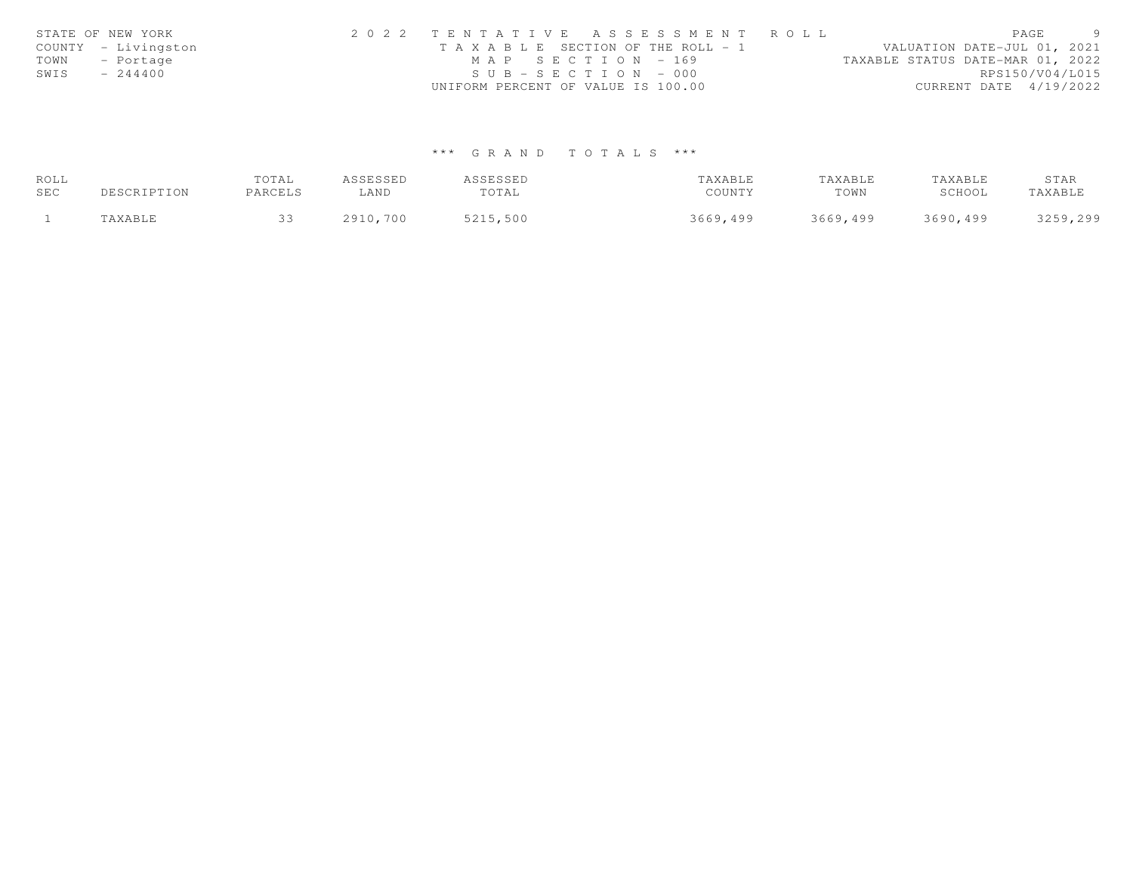|      | STATE OF NEW YORK   | 2022 TENTATIVE ASSESSMENT ROLL        |                                  | PAGE                        | $\overline{Q}$ |
|------|---------------------|---------------------------------------|----------------------------------|-----------------------------|----------------|
|      | COUNTY - Livingston | T A X A B L E SECTION OF THE ROLL - 1 |                                  | VALUATION DATE-JUL 01, 2021 |                |
|      | TOWN - Portage      | MAP SECTION - 169                     | TAXABLE STATUS DATE-MAR 01, 2022 |                             |                |
| SWIS | $-244400$           | $SUB - SECTION - 000$                 |                                  | RPS150/V04/L015             |                |
|      |                     | UNIFORM PERCENT OF VALUE IS 100.00    |                                  | CURRENT DATE 4/19/2022      |                |

# \*\*\* G R A N D T O T A L S \*\*\*

| ROLL |             | TOTAL   | ASSESSED | ASSESSED | TAXABLE  | TAXABLE  | TAXABLE  | STAR     |
|------|-------------|---------|----------|----------|----------|----------|----------|----------|
| SEC  | DESCRIPTION | PARCELS | LAND     | TOTAL    | COUNTY   | TOWN     | SCHOOL   | TAXABLE  |
|      | TAXABLE     |         | 2910,700 | 5215,500 | 3669,499 | 3669,499 | 3690,499 | 3259,299 |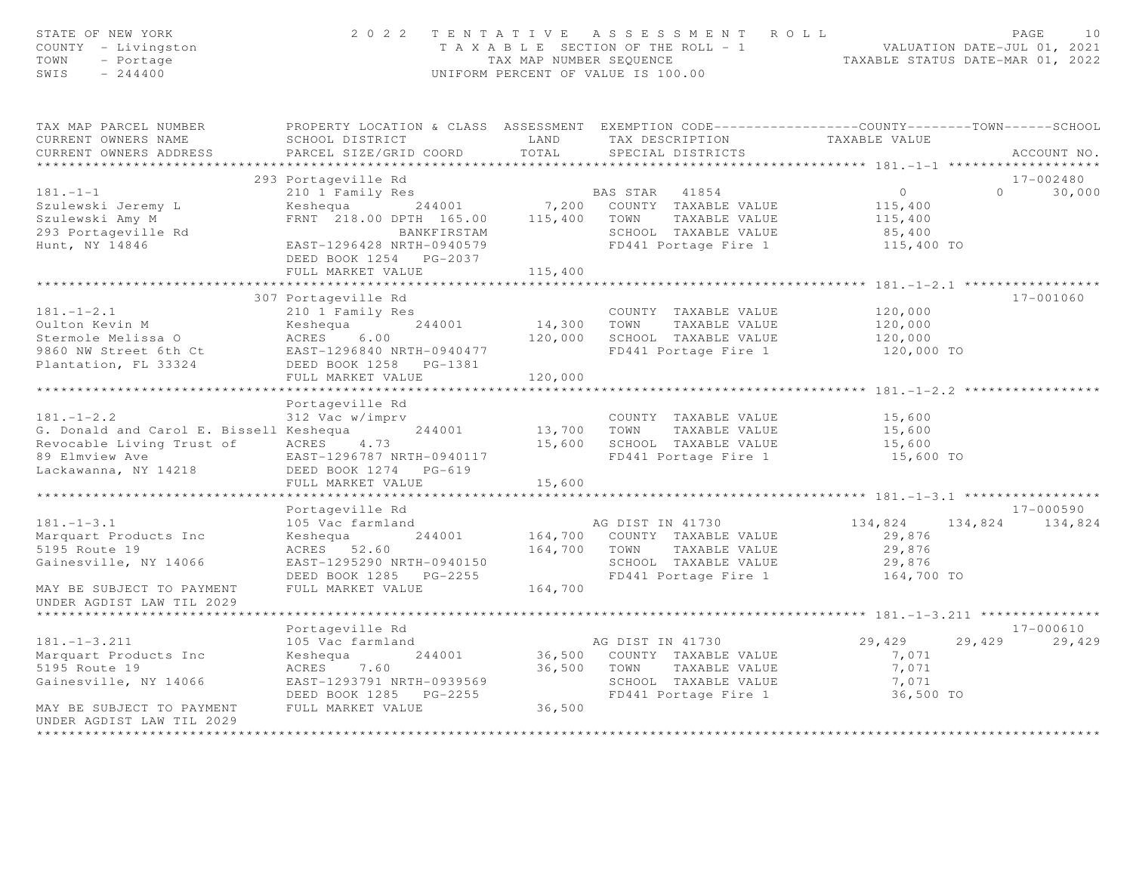| STATE OF NEW YORK<br>COUNTY - Livingston<br>TOWN<br>- Portage<br>$-244400$<br>SWIS |                                                                                                  |             | 2022 TENTATIVE ASSESSMENT ROLL<br>UNIFORM PERCENT OF VALUE IS 100.00 | PAGE<br>10<br>T A X A B L E SECTION OF THE ROLL - 1 VALUATION DATE-JUL 01, 2021<br>TAX MAP NUMBER SEQUENCE TAXABLE STATUS DATE-MAR 01, 2022 |                    |  |
|------------------------------------------------------------------------------------|--------------------------------------------------------------------------------------------------|-------------|----------------------------------------------------------------------|---------------------------------------------------------------------------------------------------------------------------------------------|--------------------|--|
| TAX MAP PARCEL NUMBER                                                              | PROPERTY LOCATION & CLASS ASSESSMENT EXEMPTION CODE----------------COUNTY-------TOWN------SCHOOL |             |                                                                      |                                                                                                                                             |                    |  |
| CURRENT OWNERS NAME<br>CURRENT OWNERS ADDRESS                                      | LAND<br>SCHOOL DISTRICT                                                                          | TOTAL       | TAX DESCRIPTION                                                      | TAXABLE VALUE                                                                                                                               | ACCOUNT NO.        |  |
| **********************                                                             | PARCEL SIZE/GRID COORD                                                                           |             | SPECIAL DISTRICTS                                                    |                                                                                                                                             |                    |  |
|                                                                                    | 293 Portageville Rd                                                                              |             |                                                                      |                                                                                                                                             | 17-002480          |  |
| $181 - 1 - 1$                                                                      |                                                                                                  |             |                                                                      | $\overline{0}$                                                                                                                              | 30,000<br>$\Omega$ |  |
| Szulewski Jeremy L                                                                 | 210 1 Family Res<br>Keshequa 244001 7,200 COUNTY TAXABLE VALUE                                   |             |                                                                      | 115,400                                                                                                                                     |                    |  |
| Szulewski Amy M                                                                    | FRNT 218.00 DPTH 165.00 115,400 TOWN                                                             |             | TAXABLE VALUE                                                        | 115,400                                                                                                                                     |                    |  |
| 293 Portageville Rd                                                                | BANKFIRSTAM                                                                                      |             | SCHOOL TAXABLE VALUE                                                 | 85,400                                                                                                                                      |                    |  |
| Hunt, NY 14846                                                                     | EAST-1296428 NRTH-0940579                                                                        |             | FD441 Portage Fire 1                                                 | 115,400 TO                                                                                                                                  |                    |  |
|                                                                                    | DEED BOOK 1254 PG-2037                                                                           |             |                                                                      |                                                                                                                                             |                    |  |
|                                                                                    | FULL MARKET VALUE                                                                                | 115,400     |                                                                      |                                                                                                                                             |                    |  |
|                                                                                    |                                                                                                  |             |                                                                      |                                                                                                                                             |                    |  |
|                                                                                    | 307 Portageville Rd                                                                              |             |                                                                      |                                                                                                                                             | 17-001060          |  |
| $181. - 1 - 2.1$                                                                   | 210 1 Family Res                                                                                 |             | COUNTY TAXABLE VALUE                                                 | 120,000                                                                                                                                     |                    |  |
|                                                                                    |                                                                                                  | 14,300 TOWN | TAXABLE VALUE                                                        | 120,000                                                                                                                                     |                    |  |
|                                                                                    |                                                                                                  |             | 120,000 SCHOOL TAXABLE VALUE                                         | 120,000                                                                                                                                     |                    |  |
| 9860 NW Street 6th Ct<br>Plantation, FL 33324                                      |                                                                                                  |             | FD441 Portage Fire 1                                                 | 120,000 TO                                                                                                                                  |                    |  |
|                                                                                    | DEED BOOK 1258 PG-1381                                                                           |             |                                                                      |                                                                                                                                             |                    |  |
|                                                                                    | FULL MARKET VALUE                                                                                | 120,000     |                                                                      |                                                                                                                                             |                    |  |
|                                                                                    | Portageville Rd                                                                                  |             |                                                                      |                                                                                                                                             |                    |  |
| $181. - 1 - 2.2$                                                                   | 312 Vac w/imprv                                                                                  |             | COUNTY TAXABLE VALUE                                                 | 15,600                                                                                                                                      |                    |  |
| G. Donald and Carol E. Bissell Keshequa                                            | 244001                                                                                           | 13,700 TOWN | TAXABLE VALUE                                                        | 15,600                                                                                                                                      |                    |  |
| Revocable Living Trust of                                                          | ACRES 4.73                                                                                       |             | 15,600 SCHOOL TAXABLE VALUE                                          | 15,600                                                                                                                                      |                    |  |
| 89 Elmview Ave                                                                     | EAST-1296787 NRTH-0940117                                                                        |             | FD441 Portage Fire 1                                                 | 15,600 TO                                                                                                                                   |                    |  |
| Lackawanna, NY 14218                                                               | DEED BOOK 1274 PG-619                                                                            |             |                                                                      |                                                                                                                                             |                    |  |
|                                                                                    | FULL MARKET VALUE                                                                                | 15,600      |                                                                      |                                                                                                                                             |                    |  |
|                                                                                    |                                                                                                  |             |                                                                      |                                                                                                                                             |                    |  |
|                                                                                    | Portageville Rd                                                                                  |             |                                                                      |                                                                                                                                             | 17-000590          |  |
| $181. - 1 - 3.1$                                                                   | 105 Vac farmland                                                                                 |             | AG DIST IN 41730                                                     | 134,824                                                                                                                                     | 134,824 134,824    |  |
| Marquart Products Inc                                                              | 244001<br>Keshequa                                                                               |             | 164,700 COUNTY TAXABLE VALUE                                         | 29,876                                                                                                                                      |                    |  |
| 5195 Route 19                                                                      | ACRES 52.60                                                                                      |             | 164,700 TOWN TAXABLE VALUE                                           | 29,876                                                                                                                                      |                    |  |
| Gainesville, NY 14066                                                              | EAST-1295290 NRTH-0940150                                                                        |             | SCHOOL TAXABLE VALUE                                                 | 29,876                                                                                                                                      |                    |  |
|                                                                                    | DEED BOOK 1285 PG-2255                                                                           |             | FD441 Portage Fire 1 164,700 TO                                      |                                                                                                                                             |                    |  |
| MAY BE SUBJECT TO PAYMENT                                                          | FULL MARKET VALUE                                                                                | 164,700     |                                                                      |                                                                                                                                             |                    |  |
| UNDER AGDIST LAW TIL 2029                                                          |                                                                                                  |             |                                                                      |                                                                                                                                             |                    |  |
| ***********************                                                            |                                                                                                  |             |                                                                      |                                                                                                                                             |                    |  |
|                                                                                    | Portageville Rd                                                                                  |             |                                                                      |                                                                                                                                             | 17-000610          |  |
| $181. - 1 - 3.211$                                                                 | 105 Vac farmland                                                                                 |             | AG DIST IN 41730                                                     | 29,429                                                                                                                                      | 29,429 29,429      |  |
| Marquart Products Inc                                                              | 244001<br>Keshequa                                                                               |             | 36,500 COUNTY TAXABLE VALUE                                          | 7,071                                                                                                                                       |                    |  |
| 5195 Route 19                                                                      | ACRES 7.60                                                                                       |             | 36,500 TOWN TAXABLE VALUE                                            | 7,071                                                                                                                                       |                    |  |
| Gainesville, NY 14066                                                              | EAST-1293791 NRTH-0939569                                                                        |             | SCHOOL TAXABLE VALUE                                                 | 7,071                                                                                                                                       |                    |  |
|                                                                                    | DEED BOOK 1285 PG-2255                                                                           |             | FD441 Portage Fire 1                                                 | 36,500 TO                                                                                                                                   |                    |  |
| MAY BE SUBJECT TO PAYMENT                                                          | FULL MARKET VALUE                                                                                | 36,500      |                                                                      |                                                                                                                                             |                    |  |
| UNDER AGDIST LAW TIL 2029<br>**********************                                |                                                                                                  |             |                                                                      |                                                                                                                                             |                    |  |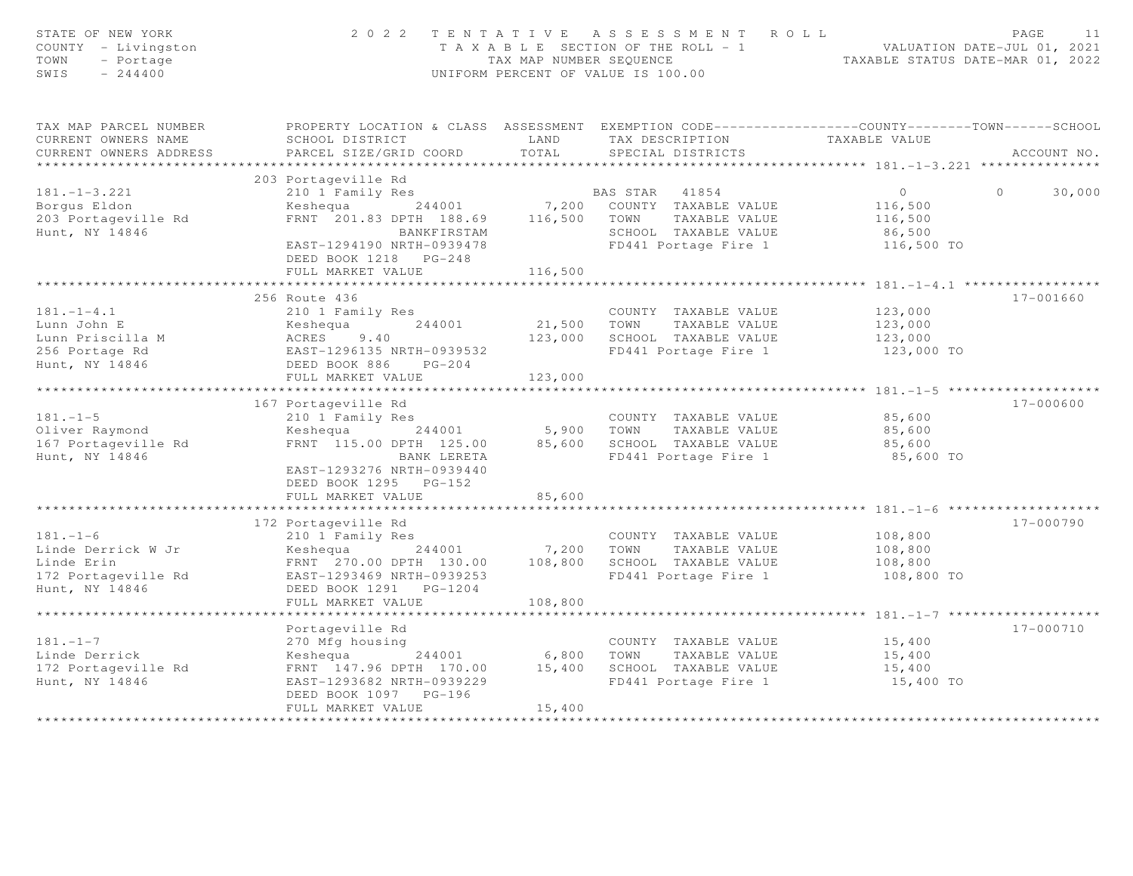| STATE OF NEW YORK<br>COUNTY - Livingston<br>TOWN<br>$-$ Portage<br>$-244400$<br>SWIS | 2 0 2 2                                                                                          | TAX MAP NUMBER SEOUENCE  | TENTATIVE ASSESSMENT ROLL<br>T A X A B L E SECTION OF THE ROLL = 1<br>UNIFORM PERCENT OF VALUE IS 100.00 | VALUATION DATE-JUL 01, 2021<br>TAXABLE STATUS DATE-MAR 01, 2022 | PAGE<br>11        |
|--------------------------------------------------------------------------------------|--------------------------------------------------------------------------------------------------|--------------------------|----------------------------------------------------------------------------------------------------------|-----------------------------------------------------------------|-------------------|
| TAX MAP PARCEL NUMBER                                                                | PROPERTY LOCATION & CLASS ASSESSMENT EXEMPTION CODE----------------COUNTY-------TOWN------SCHOOL |                          |                                                                                                          |                                                                 |                   |
| CURRENT OWNERS NAME<br>CURRENT OWNERS ADDRESS                                        | SCHOOL DISTRICT<br>PARCEL SIZE/GRID COORD                                                        | LAND<br>TOTAL            | TAX DESCRIPTION<br>SPECIAL DISTRICTS                                                                     | TAXABLE VALUE                                                   | ACCOUNT NO.       |
|                                                                                      |                                                                                                  |                          |                                                                                                          |                                                                 |                   |
|                                                                                      | 203 Portageville Rd                                                                              |                          |                                                                                                          |                                                                 |                   |
| $181. - 1 - 3.221$                                                                   | 210 1 Family Res                                                                                 |                          | BAS STAR<br>41854                                                                                        | $\overline{O}$                                                  | $\circ$<br>30,000 |
| Borqus Eldon                                                                         | 244001<br>Keshequa                                                                               | 7,200                    | COUNTY TAXABLE VALUE                                                                                     | 116,500                                                         |                   |
| 203 Portageville Rd                                                                  | FRNT 201.83 DPTH 188.69 116,500                                                                  |                          | TOWN<br>TAXABLE VALUE                                                                                    | 116,500                                                         |                   |
| Hunt, NY 14846                                                                       | BANKFIRSTAM                                                                                      |                          | SCHOOL TAXABLE VALUE                                                                                     | 86,500                                                          |                   |
|                                                                                      | EAST-1294190 NRTH-0939478                                                                        |                          | FD441 Portage Fire 1                                                                                     | 116,500 TO                                                      |                   |
|                                                                                      | DEED BOOK 1218 PG-248                                                                            |                          |                                                                                                          |                                                                 |                   |
|                                                                                      | FULL MARKET VALUE                                                                                | 116,500                  |                                                                                                          |                                                                 |                   |
|                                                                                      |                                                                                                  |                          |                                                                                                          |                                                                 |                   |
|                                                                                      | 256 Route 436                                                                                    |                          |                                                                                                          |                                                                 | 17-001660         |
| $181. - 1 - 4.1$                                                                     | 210 1 Family Res                                                                                 |                          | COUNTY TAXABLE VALUE                                                                                     | 123,000                                                         |                   |
| Lunn John E                                                                          | 244001<br>Keshequa                                                                               | 21,500                   | TOWN<br>TAXABLE VALUE                                                                                    | 123,000                                                         |                   |
| Lunn Priscilla M                                                                     | <b>ACRES</b><br>9.40                                                                             | 123,000                  | SCHOOL TAXABLE VALUE                                                                                     | 123,000                                                         |                   |
| 256 Portage Rd                                                                       | EAST-1296135 NRTH-0939532                                                                        |                          | FD441 Portage Fire 1                                                                                     | 123,000 TO                                                      |                   |
| Hunt, NY 14846                                                                       | DEED BOOK 886<br>$PG-204$                                                                        |                          |                                                                                                          |                                                                 |                   |
|                                                                                      | FULL MARKET VALUE                                                                                | 123,000                  |                                                                                                          |                                                                 |                   |
|                                                                                      |                                                                                                  |                          |                                                                                                          |                                                                 |                   |
|                                                                                      | 167 Portageville Rd                                                                              |                          |                                                                                                          |                                                                 | 17-000600         |
| $181. - 1 - 5$                                                                       | 210 1 Family Res                                                                                 |                          | COUNTY TAXABLE VALUE                                                                                     | 85,600                                                          |                   |
| Oliver Raymond<br>167 Portageville Rd                                                | 244001<br>Keshequa<br>FRNT 115.00 DPTH 125.00                                                    | 5,900<br>85,600          | TAXABLE VALUE<br>TOWN<br>SCHOOL TAXABLE VALUE                                                            | 85,600<br>85,600                                                |                   |
| Hunt, NY 14846                                                                       | BANK LERETA                                                                                      |                          | FD441 Portage Fire 1                                                                                     | 85,600 TO                                                       |                   |
|                                                                                      | EAST-1293276 NRTH-0939440<br>DEED BOOK 1295 PG-152                                               |                          |                                                                                                          |                                                                 |                   |
|                                                                                      | FULL MARKET VALUE                                                                                | 85,600                   |                                                                                                          |                                                                 |                   |
|                                                                                      | ****************************                                                                     |                          |                                                                                                          |                                                                 |                   |
|                                                                                      | 172 Portageville Rd                                                                              |                          |                                                                                                          |                                                                 | 17-000790         |
| $181. - 1 - 6$                                                                       | 210 1 Family Res                                                                                 |                          | COUNTY TAXABLE VALUE                                                                                     | 108,800                                                         |                   |
| Linde Derrick W Jr                                                                   | Keshequa 244001                                                                                  | 7,200                    | TOWN<br>TAXABLE VALUE                                                                                    | 108,800                                                         |                   |
| Linde Erin                                                                           | FRNT 270.00 DPTH 130.00                                                                          | 108,800                  | SCHOOL TAXABLE VALUE                                                                                     | 108,800                                                         |                   |
| 172 Portageville Rd                                                                  | EAST-1293469 NRTH-0939253                                                                        |                          | FD441 Portage Fire 1                                                                                     | 108,800 TO                                                      |                   |
| Hunt, NY 14846                                                                       | DEED BOOK 1291 PG-1204                                                                           |                          |                                                                                                          |                                                                 |                   |
|                                                                                      | FULL MARKET VALUE<br>*************************                                                   | 108,800<br>************* |                                                                                                          |                                                                 |                   |
|                                                                                      | Portageville Rd                                                                                  |                          |                                                                                                          |                                                                 | 17-000710         |
| $181. - 1 - 7$                                                                       |                                                                                                  |                          |                                                                                                          | 15,400                                                          |                   |
| Linde Derrick                                                                        | 270 Mfg housing<br>244001<br>Keshequa                                                            | 6,800                    | COUNTY TAXABLE VALUE<br>TOWN<br>TAXABLE VALUE                                                            | 15,400                                                          |                   |
| 172 Portageville Rd                                                                  | FRNT 147.96 DPTH 170.00                                                                          | 15,400                   | SCHOOL TAXABLE VALUE                                                                                     | 15,400                                                          |                   |
| Hunt, NY 14846                                                                       | EAST-1293682 NRTH-0939229<br>DEED BOOK 1097    PG-196                                            |                          | FD441 Portage Fire 1                                                                                     | 15,400 TO                                                       |                   |
|                                                                                      | FULL MARKET VALUE                                                                                | 15,400                   |                                                                                                          |                                                                 |                   |
|                                                                                      |                                                                                                  |                          |                                                                                                          |                                                                 |                   |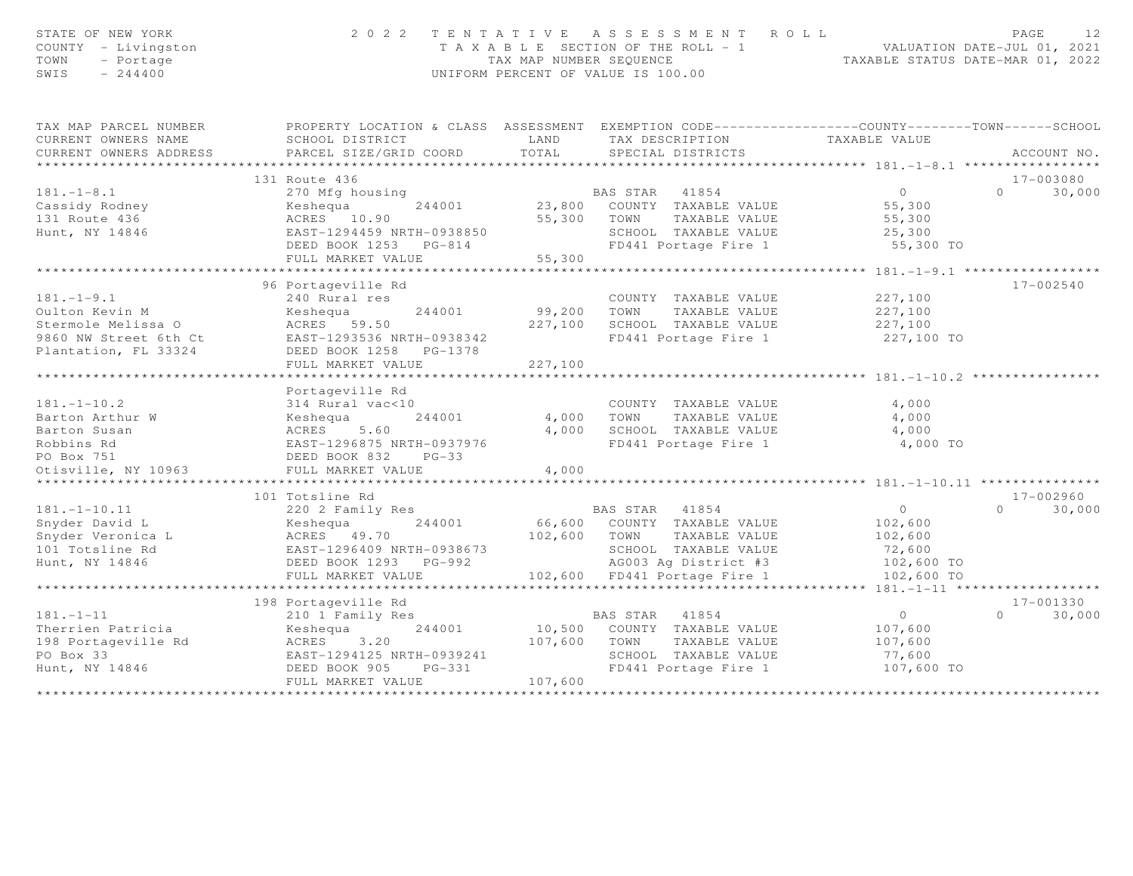| STATE OF NEW YORK<br>COUNTY - Livingston<br>TOWN<br>- Portage<br>$-244400$<br>SWIS | 2 0 2 2                                            | TAX MAP NUMBER SEQUENCE | TENTATIVE ASSESSMENT<br>T A X A B L E SECTION OF THE ROLL - 1<br>UNIFORM PERCENT OF VALUE IS 100.00                               | ROLL<br>TAXABLE STATUS DATE-MAR 01, 2022     | PAGE<br>12<br>VALUATION DATE-JUL 01, 2021 |
|------------------------------------------------------------------------------------|----------------------------------------------------|-------------------------|-----------------------------------------------------------------------------------------------------------------------------------|----------------------------------------------|-------------------------------------------|
| TAX MAP PARCEL NUMBER<br>CURRENT OWNERS NAME                                       | SCHOOL DISTRICT                                    | LAND                    | PROPERTY LOCATION & CLASS ASSESSMENT EXEMPTION CODE----------------COUNTY-------TOWN------SCHOOL<br>TAX DESCRIPTION TAXABLE VALUE |                                              |                                           |
| CURRENT OWNERS ADDRESS                                                             | PARCEL SIZE/GRID COORD                             | TOTAL                   | SPECIAL DISTRICTS                                                                                                                 |                                              | ACCOUNT NO.                               |
|                                                                                    |                                                    |                         |                                                                                                                                   |                                              |                                           |
|                                                                                    | 131 Route 436                                      |                         |                                                                                                                                   |                                              | 17-003080                                 |
| $181. - 1 - 8.1$                                                                   | 270 Mfg housing                                    |                         | BAS STAR 41854                                                                                                                    | $\Omega$                                     | 30,000<br>$\Omega$                        |
| Cassidy Rodney                                                                     | 244001<br>Keshequa                                 |                         | 23,800 COUNTY TAXABLE VALUE                                                                                                       | 55,300                                       |                                           |
| 131 Route 436                                                                      | ACRES 10.90                                        |                         | 55,300 TOWN<br>TAXABLE VALUE                                                                                                      | 55,300                                       |                                           |
| Hunt, NY 14846                                                                     | EAST-1294459 NRTH-0938850<br>DEED BOOK 1253 PG-814 |                         | SCHOOL TAXABLE VALUE<br>FD441 Portage Fire 1                                                                                      | 25,300<br>55,300 TO                          |                                           |
|                                                                                    | FULL MARKET VALUE                                  | 55,300                  |                                                                                                                                   |                                              |                                           |
|                                                                                    |                                                    |                         |                                                                                                                                   | ***************** 181.-1-9.1 *****           |                                           |
|                                                                                    | 96 Portageville Rd                                 |                         |                                                                                                                                   |                                              | $17 - 002540$                             |
| $181. - 1 - 9.1$                                                                   | 240 Rural res                                      |                         | COUNTY TAXABLE VALUE                                                                                                              | 227,100                                      |                                           |
| Oulton Kevin M                                                                     | Keshequa<br>244001                                 | 99,200                  | TOWN<br>TAXABLE VALUE                                                                                                             | 227,100                                      |                                           |
| Stermole Melissa O                                                                 | ACRES 59.50                                        | 227,100                 | SCHOOL TAXABLE VALUE                                                                                                              | 227,100                                      |                                           |
| 9860 NW Street 6th Ct                                                              | EAST-1293536 NRTH-0938342                          |                         | FD441 Portage Fire 1                                                                                                              | 227,100 TO                                   |                                           |
| Plantation, FL 33324                                                               | DEED BOOK 1258 PG-1378                             |                         |                                                                                                                                   |                                              |                                           |
|                                                                                    | FULL MARKET VALUE                                  | 227,100                 |                                                                                                                                   |                                              |                                           |
|                                                                                    |                                                    | *************           |                                                                                                                                   |                                              |                                           |
| $181. - 1 - 10.2$                                                                  | Portageville Rd<br>314 Rural vac<10                |                         | COUNTY TAXABLE VALUE                                                                                                              | 4,000                                        |                                           |
| Barton Arthur W                                                                    | Keshequa<br>244001                                 | 4,000                   | TOWN<br>TAXABLE VALUE                                                                                                             | 4,000                                        |                                           |
| Barton Susan                                                                       | ACRES<br>5.60                                      | 4,000                   | SCHOOL TAXABLE VALUE                                                                                                              | 4,000                                        |                                           |
| Robbins Rd                                                                         | EAST-1296875 NRTH-0937976                          |                         | FD441 Portage Fire 1                                                                                                              | 4,000 TO                                     |                                           |
| PO Box 751                                                                         | DEED BOOK 832<br>$PG-33$                           |                         |                                                                                                                                   |                                              |                                           |
| Otisville, NY 10963                                                                | FULL MARKET VALUE                                  | 4,000                   |                                                                                                                                   |                                              |                                           |
|                                                                                    | ********************                               | ********                |                                                                                                                                   | ******************** 181.-1-10.11 ********** |                                           |
|                                                                                    | 101 Totsline Rd                                    |                         |                                                                                                                                   |                                              | $17 - 002960$                             |
| $181. - 1 - 10.11$                                                                 | 220 2 Family Res                                   |                         | BAS STAR<br>41854                                                                                                                 | $\circ$                                      | 30,000<br>$\Omega$                        |
| Snyder David L                                                                     | 244001<br>Keshequa                                 |                         | 66,600 COUNTY TAXABLE VALUE                                                                                                       | 102,600                                      |                                           |
| Snyder Veronica L                                                                  | ACRES 49.70                                        | 102,600                 | TOWN<br>TAXABLE VALUE                                                                                                             | 102,600                                      |                                           |
| 101 Totsline Rd                                                                    | EAST-1296409 NRTH-0938673                          |                         | SCHOOL TAXABLE VALUE                                                                                                              | 72,600                                       |                                           |
| Hunt, NY 14846                                                                     | DEED BOOK 1293 PG-992                              |                         | AG003 Ag District #3                                                                                                              | 102,600 TO                                   |                                           |
|                                                                                    | FULL MARKET VALUE<br>***********************       |                         | 102,600 FD441 Portage Fire 1                                                                                                      | 102,600 TO                                   |                                           |
|                                                                                    | 198 Portageville Rd                                |                         |                                                                                                                                   | ***** $181 - 1 - 11$ *******************     | 17-001330                                 |
| $181. - 1 - 11$                                                                    | 210 1 Family Res                                   |                         | 41854<br>BAS STAR                                                                                                                 | $\circ$                                      | $\Omega$<br>30,000                        |
| Therrien Patricia                                                                  | 244001<br>Keshequa                                 | 10,500                  | COUNTY TAXABLE VALUE                                                                                                              | 107,600                                      |                                           |
| 198 Portageville Rd                                                                | ACRES<br>3.20                                      | 107,600                 | TOWN<br>TAXABLE VALUE                                                                                                             | 107,600                                      |                                           |
| PO Box 33                                                                          | EAST-1294125 NRTH-0939241                          |                         | SCHOOL TAXABLE VALUE                                                                                                              | 77,600                                       |                                           |
| Hunt, NY 14846                                                                     | DEED BOOK 905<br>PG-331                            |                         | FD441 Portage Fire 1                                                                                                              | 107,600 TO                                   |                                           |
|                                                                                    | FULL MARKET VALUE                                  | 107,600                 |                                                                                                                                   |                                              |                                           |
|                                                                                    | ***********************************                |                         |                                                                                                                                   |                                              |                                           |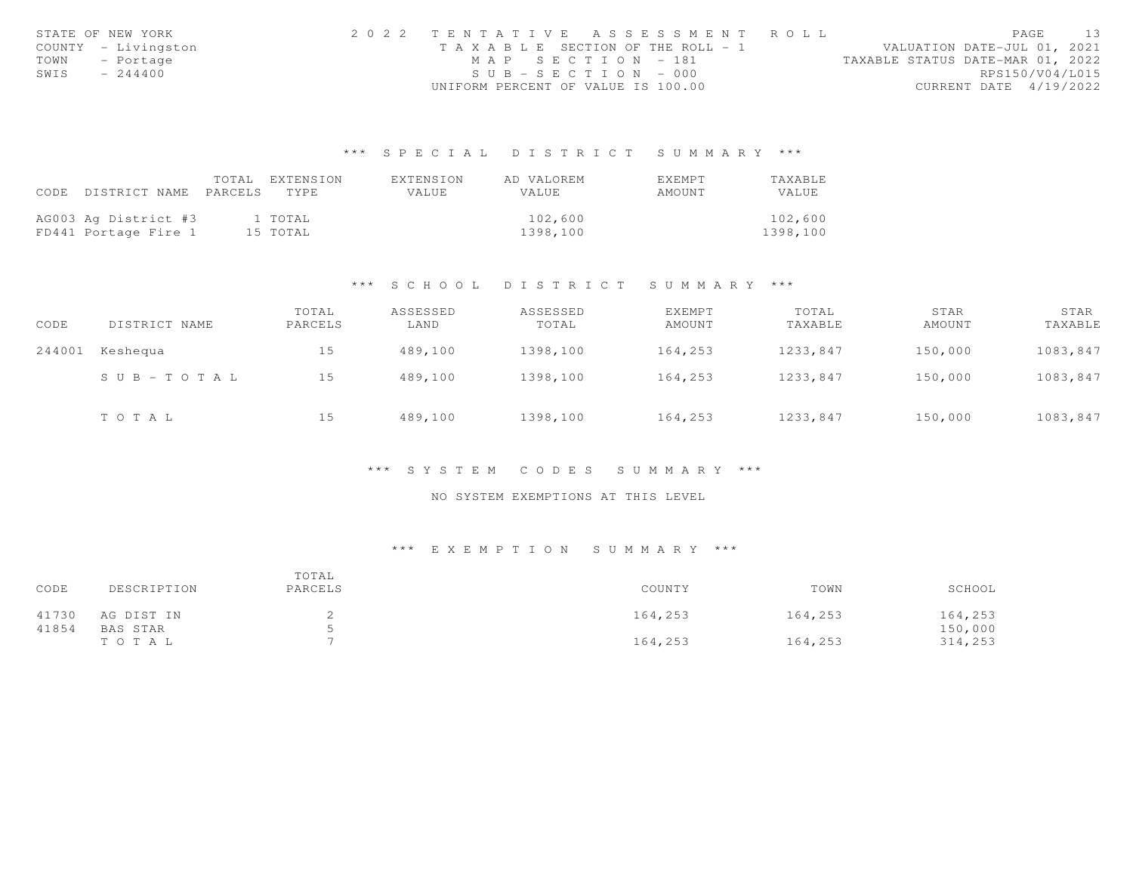|      | STATE OF NEW YORK   | 2022 TENTATIVE ASSESSMENT ROLL        |  |  |                                  | PAGE.                  | 13 |
|------|---------------------|---------------------------------------|--|--|----------------------------------|------------------------|----|
|      | COUNTY - Livingston | T A X A B L E SECTION OF THE ROLL - 1 |  |  | VALUATION DATE-JUL 01, 2021      |                        |    |
|      | TOWN - Portage      | MAP SECTION - 181                     |  |  | TAXABLE STATUS DATE-MAR 01, 2022 |                        |    |
| SWIS | $-244400$           | $SUB - SECTION - 000$                 |  |  |                                  | RPS150/V04/L015        |    |
|      |                     | UNIFORM PERCENT OF VALUE IS 100.00    |  |  |                                  | CURRENT DATE 4/19/2022 |    |

# \*\*\* S P E C I A L D I S T R I C T S U M M A R Y \*\*\*

|      |                       | TOTAL | EXTENSION | EXTENSION    | AD VALOREM   | EXEMPT | <b>TAXABLE</b> |
|------|-----------------------|-------|-----------|--------------|--------------|--------|----------------|
| CODE | DISTRICT NAME PARCELS |       | TYPE.     | <b>VALUE</b> | <b>VALUE</b> | AMOUNT | VALUE          |
|      |                       |       |           |              |              |        |                |
|      | AG003 Ag District #3  |       | 1 TOTAL   |              | 102,600      |        | 102,600        |
|      | FD441 Portage Fire 1  |       | 15 TOTAL  |              | 1398,100     |        | 1398,100       |

### \*\*\* S C H O O L D I S T R I C T S U M M A R Y \*\*\*

| CODE   | DISTRICT NAME         | TOTAL<br>PARCELS | ASSESSED<br>LAND | ASSESSED<br>TOTAL | EXEMPT<br>AMOUNT | TOTAL<br>TAXABLE | STAR<br>AMOUNT | STAR<br>TAXABLE |
|--------|-----------------------|------------------|------------------|-------------------|------------------|------------------|----------------|-----------------|
| 244001 | Keshequa              | 15               | 489,100          | 1398,100          | 164,253          | 1233,847         | 150,000        | 1083,847        |
|        | $S \cup B - TO T A L$ | 15               | 489,100          | 1398,100          | 164,253          | 1233,847         | 150,000        | 1083,847        |
|        | TOTAL                 | 15               | 489,100          | 1398,100          | 164,253          | 1233,847         | 150,000        | 1083,847        |

### \*\*\* S Y S T E M C O D E S S U M M A R Y \*\*\*

## NO SYSTEM EXEMPTIONS AT THIS LEVEL

# \*\*\* E X E M P T I O N S U M M A R Y \*\*\*

| CODE  | DESCRIPTION | TOTAL<br>PARCELS | COUNTY  | TOWN    | SCHOOL  |
|-------|-------------|------------------|---------|---------|---------|
| 41730 | AG DIST IN  |                  | 164,253 | 164,253 | 164,253 |
| 41854 | BAS STAR    |                  |         |         | 150,000 |
|       | тота ц      |                  | 164,253 | 164,253 | 314,253 |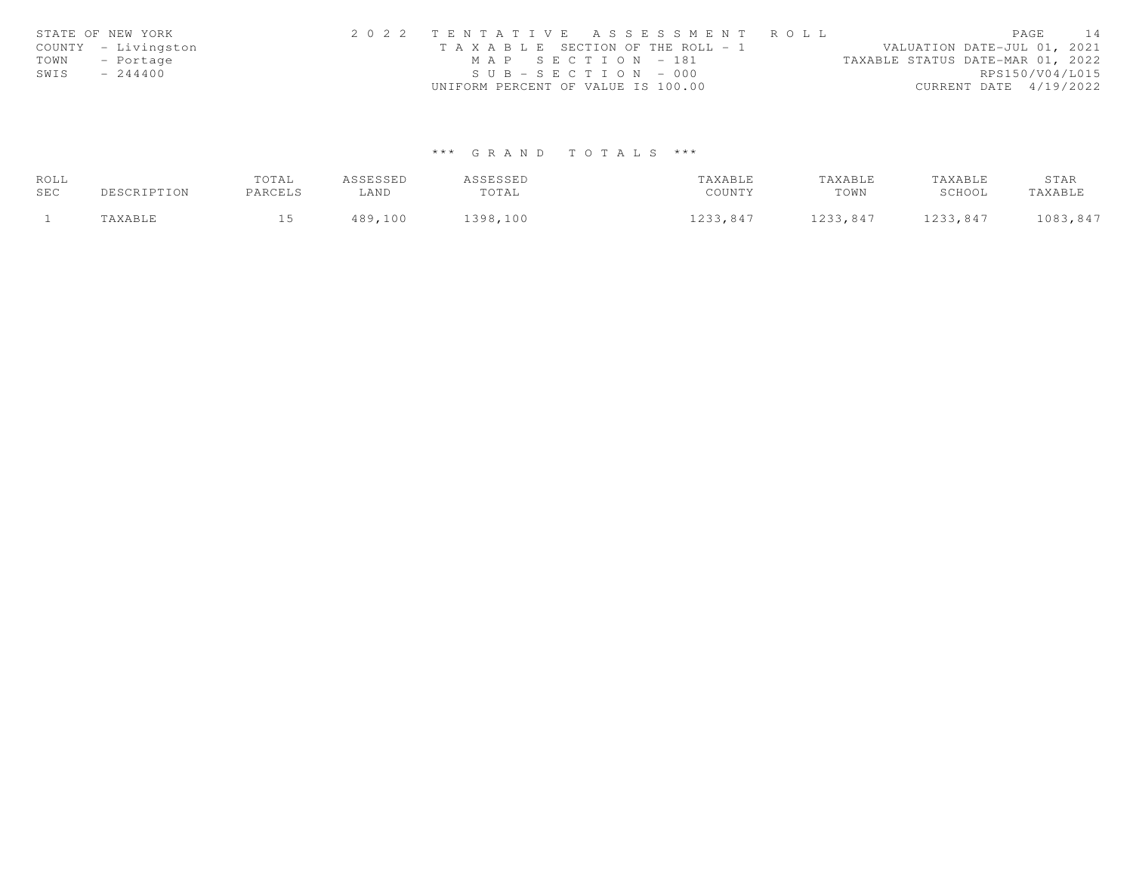|      | STATE OF NEW YORK   | 2022 TENTATIVE ASSESSMENT ROLL        |  |                                  |                        | PAGE | 14 |
|------|---------------------|---------------------------------------|--|----------------------------------|------------------------|------|----|
|      | COUNTY - Livingston | T A X A B L E SECTION OF THE ROLL - 1 |  | VALUATION DATE-JUL 01, 2021      |                        |      |    |
|      | TOWN - Portage      | MAP SECTION - 181                     |  | TAXABLE STATUS DATE-MAR 01, 2022 |                        |      |    |
| SWIS | $-244400$           | $SUB - SECTION - 000$                 |  |                                  | RPS150/V04/L015        |      |    |
|      |                     | UNIFORM PERCENT OF VALUE IS 100.00    |  |                                  | CURRENT DATE 4/19/2022 |      |    |

# \*\*\* G R A N D T O T A L S \*\*\*

| ROLL |             | TOTAL   | ASSESSED | ASSESSED | TAXABLE  | TAXABLE  | TAXABLE  | STAR     |
|------|-------------|---------|----------|----------|----------|----------|----------|----------|
| SEC  | DESCRIPTION | PARCELS | LAND     | TOTAL    | COUNTY   | TOWN     | SCHOOL   | TAXABLE  |
|      | 'AXABLE     |         | 489,100  | 398,100  | 1233,847 | 1233,847 | 1233,847 | 1083,847 |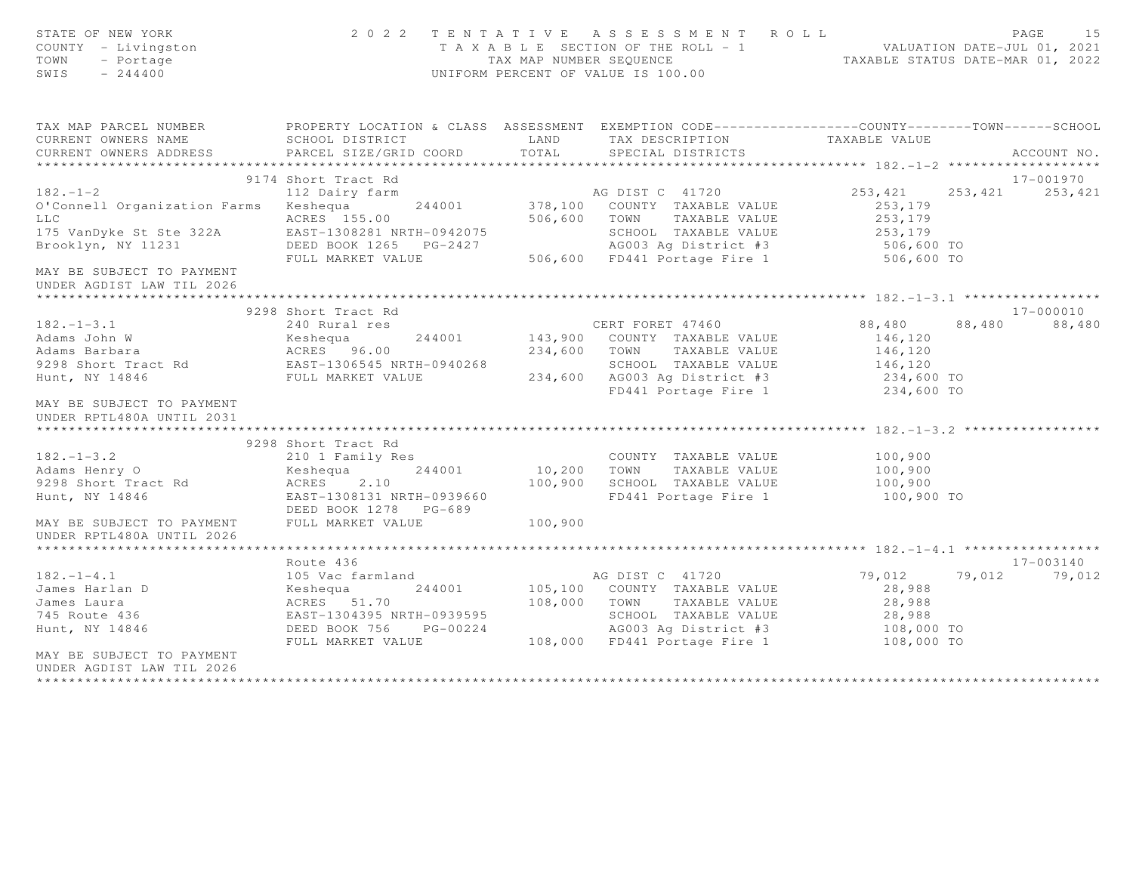| STATE OF NEW YORK<br>COUNTY - Livingston<br>TOWN<br>- Portage<br>$-244400$<br>SWIS                                                                                                                                              |                                                                                                                     | 2022 TENTATIVE ASSESSMENT ROLL<br>T A X A B L E SECTION OF THE ROLL - 1 WALUATION DATE-JUL 01, 2021<br>TAX MAP NUMBER SEQUENCE TAXABLE STATUS DATE-MAR 01, 2022<br>UNIFORM PERCENT OF VALUE IS 100.00 |            | PAGE<br>1.5          |
|---------------------------------------------------------------------------------------------------------------------------------------------------------------------------------------------------------------------------------|---------------------------------------------------------------------------------------------------------------------|-------------------------------------------------------------------------------------------------------------------------------------------------------------------------------------------------------|------------|----------------------|
| TAX MAP PARCEL NUMBER            PROPERTY LOCATION & CLASS ASSESSMENT EXEMPTION CODE----------------COUNTY-------TOWN------SCHOOL<br>CURRENT OWNERS NAME             SCHOOL DISTRICT                 LAND       TAX DESCRIPTION |                                                                                                                     |                                                                                                                                                                                                       |            |                      |
|                                                                                                                                                                                                                                 |                                                                                                                     |                                                                                                                                                                                                       |            |                      |
| CURRENT OWNERS ADDRESS                                                                                                                                                                                                          | PARCEL SIZE/GRID COORD TOTAL                                                                                        | SPECIAL DISTRICTS                                                                                                                                                                                     |            | ACCOUNT NO.          |
|                                                                                                                                                                                                                                 |                                                                                                                     |                                                                                                                                                                                                       |            |                      |
|                                                                                                                                                                                                                                 | 9174 Short Tract Rd                                                                                                 |                                                                                                                                                                                                       |            | 17-001970            |
| 182.-1-2<br>112 Dairy farm<br>112 Dairy farm<br>244001 278,100 COUNTY TAXABLE VALUE 253,179<br>12 Dairy farm<br>244001 378,100 COUNTY TAXABLE VALUE 253,179<br>253,179<br>253,179<br>253,179                                    |                                                                                                                     | AG DIST C 41720 253, 421                                                                                                                                                                              |            | 253, 421 253, 421    |
|                                                                                                                                                                                                                                 |                                                                                                                     |                                                                                                                                                                                                       |            |                      |
|                                                                                                                                                                                                                                 |                                                                                                                     |                                                                                                                                                                                                       |            |                      |
| 175 VanDyke St Ste 322A<br>Brooklyn, NY 11231                                                                                                                                                                                   |                                                                                                                     |                                                                                                                                                                                                       |            |                      |
|                                                                                                                                                                                                                                 |                                                                                                                     |                                                                                                                                                                                                       |            |                      |
| MAY BE SUBJECT TO PAYMENT<br>UNDER AGDIST LAW TIL 2026                                                                                                                                                                          |                                                                                                                     |                                                                                                                                                                                                       |            |                      |
|                                                                                                                                                                                                                                 |                                                                                                                     |                                                                                                                                                                                                       |            |                      |
|                                                                                                                                                                                                                                 | 9298 Short Tract Rd                                                                                                 |                                                                                                                                                                                                       |            | 17-000010            |
| $182. - 1 - 3.1$                                                                                                                                                                                                                | 240 Rural res                                                                                                       | CERT FORET 47460 88,480 88,480<br>244001 143,900 COUNTY TAXABLE VALUE 146,120                                                                                                                         |            | 88,480               |
|                                                                                                                                                                                                                                 |                                                                                                                     |                                                                                                                                                                                                       |            |                      |
|                                                                                                                                                                                                                                 |                                                                                                                     |                                                                                                                                                                                                       |            |                      |
|                                                                                                                                                                                                                                 |                                                                                                                     | -0940268<br>234,600 TOWN TAXABLE VALUE 146,120<br>234,600 AG003 Ag District #3<br>234,600 AG003 Ag District #3<br>234,600 TO                                                                          |            |                      |
|                                                                                                                                                                                                                                 |                                                                                                                     | FD441 Portage Fire 1                                                                                                                                                                                  | 234,600 TO |                      |
| MAY BE SUBJECT TO PAYMENT<br>UNDER RPTL480A UNTIL 2031                                                                                                                                                                          |                                                                                                                     |                                                                                                                                                                                                       |            |                      |
|                                                                                                                                                                                                                                 | 9298 Short Tract Rd                                                                                                 |                                                                                                                                                                                                       |            |                      |
|                                                                                                                                                                                                                                 |                                                                                                                     |                                                                                                                                                                                                       |            |                      |
|                                                                                                                                                                                                                                 |                                                                                                                     |                                                                                                                                                                                                       |            |                      |
|                                                                                                                                                                                                                                 |                                                                                                                     |                                                                                                                                                                                                       |            |                      |
|                                                                                                                                                                                                                                 |                                                                                                                     |                                                                                                                                                                                                       | 100,900 TO |                      |
|                                                                                                                                                                                                                                 |                                                                                                                     |                                                                                                                                                                                                       |            |                      |
|                                                                                                                                                                                                                                 |                                                                                                                     |                                                                                                                                                                                                       |            |                      |
|                                                                                                                                                                                                                                 | Route 436                                                                                                           |                                                                                                                                                                                                       |            | 17-003140            |
| $182. - 1 - 4.1$                                                                                                                                                                                                                |                                                                                                                     |                                                                                                                                                                                                       |            | 79,012 79,012 79,012 |
|                                                                                                                                                                                                                                 |                                                                                                                     |                                                                                                                                                                                                       | 28,988     |                      |
|                                                                                                                                                                                                                                 |                                                                                                                     |                                                                                                                                                                                                       | 28,988     |                      |
|                                                                                                                                                                                                                                 |                                                                                                                     |                                                                                                                                                                                                       |            |                      |
| Hunt, NY 14846                                                                                                                                                                                                                  | DEED BOOK 756 PG-00224 AG003 Ag District #3 108,000 TO<br>FULL MARKET VALUE 108,000 FD441 Portage Fire 1 108,000 TO |                                                                                                                                                                                                       |            |                      |
| MAY BE SUBJECT TO PAYMENT<br>UNDER AGDIST LAW TIL 2026                                                                                                                                                                          |                                                                                                                     |                                                                                                                                                                                                       |            |                      |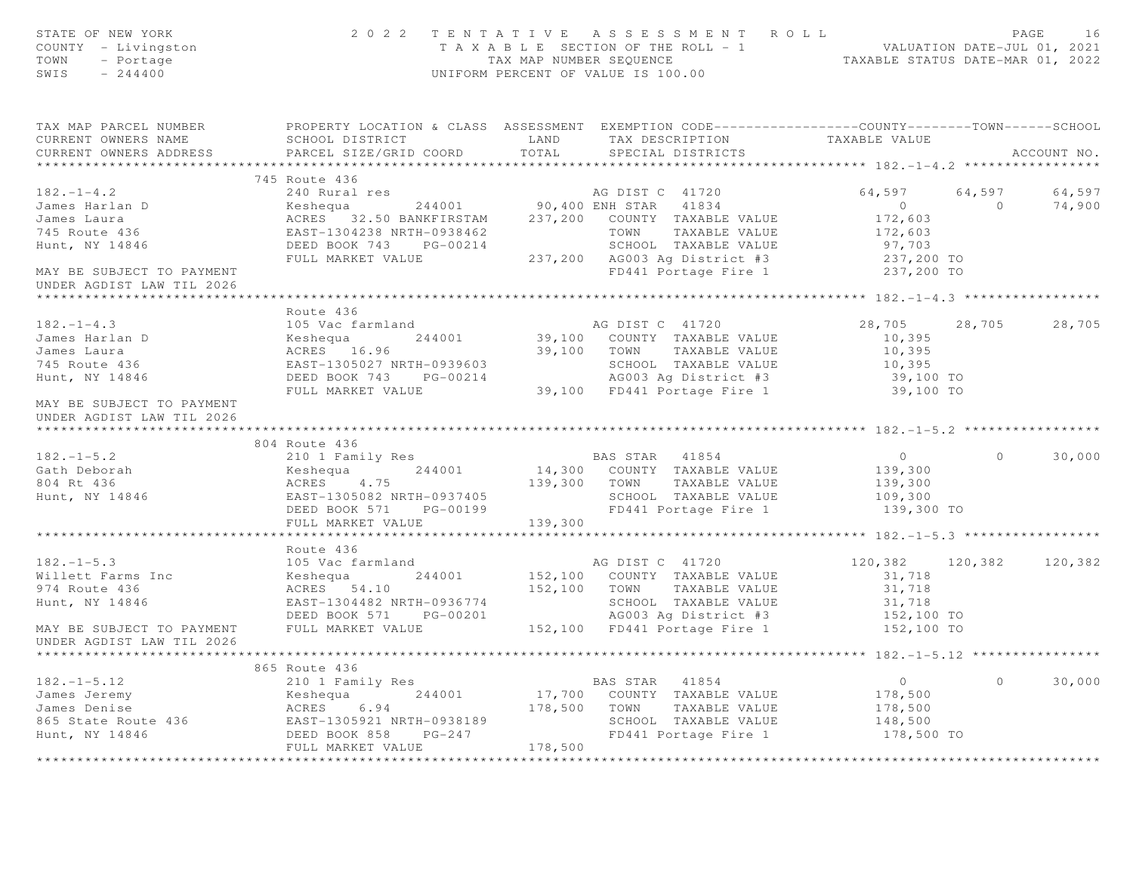| STATE OF NEW YORK<br>COUNTY - Livingston<br>TOWN<br>- Portage<br>SWIS<br>$-244400$                 |                                                                                    | 2022 TENTATIVE ASSESSMENT ROLL<br>PAGE 16<br>TAXABLE SECTION OF THE ROLL - 1<br>TAXABLE STATUS DATE-JUL 01, 2021<br>TAXABLE STATUS DATE-MAR 01, 2022<br>UNIFORM PERCENT OF VALUE IS 100.00                                                 |                                            | PAGE<br>16      |
|----------------------------------------------------------------------------------------------------|------------------------------------------------------------------------------------|--------------------------------------------------------------------------------------------------------------------------------------------------------------------------------------------------------------------------------------------|--------------------------------------------|-----------------|
| CURRENT OWNERS NAME                                                                                | SCHOOL DISTRICT                                                                    | TAX MAP PARCEL NUMBER THE PROPERTY LOCATION & CLASS ASSESSMENT EXEMPTION CODE---------------COUNTY--------TOWN------SCHOOL<br>TAX DESCRIPTION TAXABLE VALUE<br>LAND                                                                        |                                            |                 |
| CURRENT OWNERS ADDRESS                                                                             | PARCEL SIZE/GRID COORD                                                             | TOTAL<br>SPECIAL DISTRICTS                                                                                                                                                                                                                 |                                            | ACCOUNT NO.     |
|                                                                                                    |                                                                                    | 745 Route 436<br>240 Rural res<br>244001 80,400 ENH STAR 41834 0<br>237,200 COUNTY TAXABLE VALUE 172,603<br>EAST-1304238 NRTH-0938462 TOWN TAXABLE VALUE 172,603<br>DEED BOOK 743 PG-00214 237,200 AG003 Ag District #3 237,200 TO<br>FULL | ******************** 182. -1 -4.2 ******** |                 |
|                                                                                                    |                                                                                    |                                                                                                                                                                                                                                            |                                            |                 |
| $182. - 1 - 4.2$<br>182.-1-4.2<br>James Harlan D<br>James Laura<br>745 Route 436<br>Hunt, NY 14846 |                                                                                    |                                                                                                                                                                                                                                            | 64,597                                     | 64,597          |
|                                                                                                    |                                                                                    |                                                                                                                                                                                                                                            | $\sim$ 0                                   | 74,900          |
|                                                                                                    |                                                                                    |                                                                                                                                                                                                                                            |                                            |                 |
|                                                                                                    |                                                                                    |                                                                                                                                                                                                                                            |                                            |                 |
|                                                                                                    |                                                                                    |                                                                                                                                                                                                                                            |                                            |                 |
| MAY BE SUBJECT TO PAYMENT                                                                          |                                                                                    |                                                                                                                                                                                                                                            |                                            |                 |
| UNDER AGDIST LAW TIL 2026                                                                          |                                                                                    |                                                                                                                                                                                                                                            |                                            |                 |
|                                                                                                    |                                                                                    |                                                                                                                                                                                                                                            |                                            |                 |
|                                                                                                    | Route 436                                                                          |                                                                                                                                                                                                                                            |                                            |                 |
| $182 - 1 - 4.3$                                                                                    | 105 Vac farmland                                                                   | AG DIST C 41720                                                                                                                                                                                                                            | 28,705 28,705                              | 28,705          |
| James Harlan D                                                                                     | Keshequa 244001<br>ACRES 16.96<br>EAST-1305027 NRTH-0939603                        | 39,100 COUNTY TAXABLE VALUE                                                                                                                                                                                                                | 10,395                                     |                 |
| James Laura                                                                                        |                                                                                    | 39,100 TOWN<br>TAXABLE VALUE                                                                                                                                                                                                               | 10,395                                     |                 |
| 745 Route 436                                                                                      |                                                                                    |                                                                                                                                                                                                                                            | 10,395                                     |                 |
| Hunt, NY 14846                                                                                     | DEED BOOK 743 PG-00214                                                             | EAST-1305027 NRTH-0939603 SCHOOL TAXABLE VALUE<br>DEED BOOK 743 PG-00214 AG003 Ag District #3<br>FULL MARKET VALUE 39,100 FD441 Portage Fire 1                                                                                             | 39,100 TO                                  |                 |
|                                                                                                    |                                                                                    |                                                                                                                                                                                                                                            | 39,100 TO                                  |                 |
| MAY BE SUBJECT TO PAYMENT                                                                          |                                                                                    |                                                                                                                                                                                                                                            |                                            |                 |
| UNDER AGDIST LAW TIL 2026                                                                          |                                                                                    |                                                                                                                                                                                                                                            |                                            |                 |
|                                                                                                    | 804 Route 436                                                                      |                                                                                                                                                                                                                                            |                                            |                 |
| $182. - 1 - 5.2$                                                                                   | 210 1 Family Res                                                                   |                                                                                                                                                                                                                                            | $\overline{0}$<br>$\circ$                  | 30,000          |
| Gath Deborah                                                                                       | Keshequa 244001                                                                    | BAS STAR 41854<br>14,300 COUNTY TAXABLE VALUE                                                                                                                                                                                              | 139,300                                    |                 |
| 804 Rt 436                                                                                         | Keshequa 244001<br>ACRES 4.75                                                      | 139,300 TOWN TAXABLE VALUE                                                                                                                                                                                                                 | 139,300                                    |                 |
| $B$ <sup>4</sup> $NY$ 14846                                                                        |                                                                                    |                                                                                                                                                                                                                                            | 109,300                                    |                 |
|                                                                                                    | DEED BOOK 571                                                                      | FD441 Portage Fire 1                                                                                                                                                                                                                       | 139,300 TO                                 |                 |
|                                                                                                    | FULL MARKET VALUE                                                                  | 139,300                                                                                                                                                                                                                                    |                                            |                 |
|                                                                                                    |                                                                                    |                                                                                                                                                                                                                                            |                                            |                 |
|                                                                                                    | Route 436                                                                          |                                                                                                                                                                                                                                            |                                            |                 |
| $182 - 1 - 5.3$                                                                                    | 105 Vac farmland                                                                   | AG DIST C 41720                                                                                                                                                                                                                            | 120,382                                    | 120,382 120,382 |
| Willett Farms Inc                                                                                  | Keshequa<br>ACRES 54.10<br>244001                                                  | 152,100 COUNTY TAXABLE VALUE                                                                                                                                                                                                               | 31,718                                     |                 |
| 974 Route 436                                                                                      | ACRES 54.10                                                                        | 152,100 TOWN TAXABLE VALUE                                                                                                                                                                                                                 | 31,718                                     |                 |
| Hunt, NY 14846                                                                                     |                                                                                    | SCHOOL TAXABLE VALUE                                                                                                                                                                                                                       |                                            |                 |
|                                                                                                    |                                                                                    | EAST-1304482 NRTH-0936774 SCHOOL TAXABLE VALUE 31,718<br>DEED BOOK 571 PG-00201 AG003 Ag District #3 152,100 TO<br>FULL MARKET VALUE 152,100 FD441 Portage Fire 1 152,100 TO                                                               |                                            |                 |
| MAY BE SUBJECT TO PAYMENT                                                                          |                                                                                    |                                                                                                                                                                                                                                            |                                            |                 |
| UNDER AGDIST LAW TIL 2026                                                                          |                                                                                    |                                                                                                                                                                                                                                            |                                            |                 |
|                                                                                                    | 865 Route 436                                                                      |                                                                                                                                                                                                                                            |                                            |                 |
| $182. - 1 - 5.12$                                                                                  | 210 1 Family Res                                                                   | BAS STAR 41854                                                                                                                                                                                                                             | $\Omega$<br>$\overline{0}$                 | 30,000          |
| James Jeremy                                                                                       |                                                                                    | 17,700 COUNTY TAXABLE VALUE                                                                                                                                                                                                                | 178,500                                    |                 |
| James Denise                                                                                       |                                                                                    | 178,500 TOWN TAXABLE VALUE                                                                                                                                                                                                                 | 178,500                                    |                 |
|                                                                                                    |                                                                                    | SCHOOL TAXABLE VALUE                                                                                                                                                                                                                       | 148,500                                    |                 |
| 865 State Route 436<br>Hunt, NY 14846                                                              | Keshequa 244001<br>ACRES 6.94<br>EAST-1305921 NRTH-0938189<br>DEED BOOK 858 PG-247 | FD441 Portage Fire 1                                                                                                                                                                                                                       | 178,500 TO                                 |                 |
|                                                                                                    | FULL MARKET VALUE                                                                  | 178,500                                                                                                                                                                                                                                    |                                            |                 |
|                                                                                                    |                                                                                    |                                                                                                                                                                                                                                            |                                            |                 |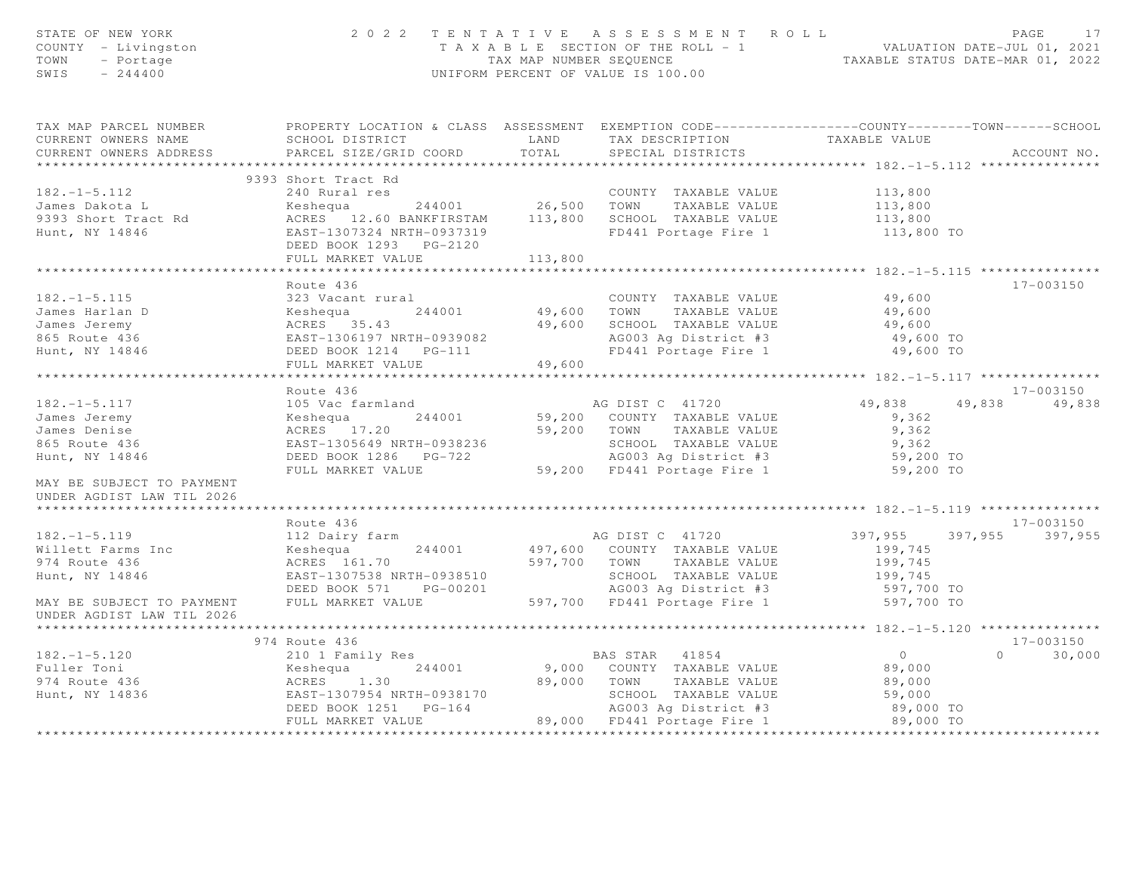| STATE OF NEW YORK<br>COUNTY - Livingston<br>TOWN<br>- Portage<br>$-244400$<br>SWIS |                                                                                                                             |             | 2022 TENTATIVE ASSESSMENT ROLL<br>UNIFORM PERCENT OF VALUE IS 100.00 |                | PAGE<br>17<br>T A X A B L E SECTION OF THE ROLL - 1<br>TAX MAP NUMBER SEQUENCE TAXABLE STATUS DATE-MAR 01, 2022 |  |  |
|------------------------------------------------------------------------------------|-----------------------------------------------------------------------------------------------------------------------------|-------------|----------------------------------------------------------------------|----------------|-----------------------------------------------------------------------------------------------------------------|--|--|
| TAX MAP PARCEL NUMBER<br>CURRENT OWNERS NAME                                       | PROPERTY LOCATION & CLASS ASSESSMENT EXEMPTION CODE----------------COUNTY-------TOWN------SCHOOL<br>LAND<br>SCHOOL DISTRICT |             | TAX DESCRIPTION TAXABLE VALUE                                        |                |                                                                                                                 |  |  |
| CURRENT OWNERS ADDRESS                                                             | PARCEL SIZE/GRID COORD                                                                                                      | TOTAL       | SPECIAL DISTRICTS                                                    |                | ACCOUNT NO.                                                                                                     |  |  |
|                                                                                    | 9393 Short Tract Rd                                                                                                         |             |                                                                      |                |                                                                                                                 |  |  |
| $182. - 1 - 5.112$                                                                 | 240 Rural res                                                                                                               |             | COUNTY TAXABLE VALUE                                                 | 113,800        |                                                                                                                 |  |  |
| James Dakota L                                                                     | $244001$ 26,500 TOWN<br>Keshequa                                                                                            |             | TAXABLE VALUE                                                        | 113,800        |                                                                                                                 |  |  |
| 9393 Short Tract Rd                                                                | ACRES 12.60 BANKFIRSTAM 113,800                                                                                             |             | SCHOOL TAXABLE VALUE                                                 | 113,800        |                                                                                                                 |  |  |
| Hunt, NY 14846                                                                     | EAST-1307324 NRTH-0937319                                                                                                   |             | FD441 Portage Fire 1                                                 | 113,800 TO     |                                                                                                                 |  |  |
|                                                                                    |                                                                                                                             |             |                                                                      |                |                                                                                                                 |  |  |
|                                                                                    | FULL MARKET VALUE                                                                                                           | 113,800     |                                                                      |                |                                                                                                                 |  |  |
|                                                                                    |                                                                                                                             |             |                                                                      |                |                                                                                                                 |  |  |
|                                                                                    | Route 436                                                                                                                   |             |                                                                      |                | 17-003150                                                                                                       |  |  |
| $182. - 1 - 5.115$                                                                 | 323 Vacant rural                                                                                                            |             | COUNTY TAXABLE VALUE                                                 | 49,600         |                                                                                                                 |  |  |
| James Harlan D                                                                     | Keshequa 244001                                                                                                             | 49,600 TOWN | TAXABLE VALUE                                                        | 49,600         |                                                                                                                 |  |  |
| James Jeremy                                                                       | ACRES 35.43                                                                                                                 | 49,600      | SCHOOL TAXABLE VALUE                                                 | 49,600         |                                                                                                                 |  |  |
| 865 Route 436                                                                      | EAST-1306197 NRTH-0939082                                                                                                   |             | AG003 Ag District #3                                                 | 49,600 TO      |                                                                                                                 |  |  |
| Hunt, NY 14846                                                                     | DEED BOOK 1214    PG-111<br>FULL MARKET VALUE                                                                               | 49,600      | FD441 Portage Fire 1                                                 | 49,600 TO      |                                                                                                                 |  |  |
|                                                                                    |                                                                                                                             |             |                                                                      |                |                                                                                                                 |  |  |
|                                                                                    | Route 436                                                                                                                   |             |                                                                      |                | $17 - 003150$                                                                                                   |  |  |
| $182. - 1 - 5.117$                                                                 | 105 Vac farmland                                                                                                            |             |                                                                      | 49,838         | 49,838<br>49,838                                                                                                |  |  |
| James Jeremy                                                                       | Keshequa 244001                                                                                                             |             | AG DIST C 41720<br>59,200 COUNTY TAXABLE VALUE                       | 9,362          |                                                                                                                 |  |  |
| James Denise                                                                       | ACRES 17.20                                                                                                                 | 59,200 TOWN | TAXABLE VALUE                                                        | 9,362          |                                                                                                                 |  |  |
| 865 Route 436                                                                      | EAST-1305649 NRTH-0938236                                                                                                   |             | SCHOOL TAXABLE VALUE                                                 | 9,362          |                                                                                                                 |  |  |
| Hunt, NY 14846                                                                     | DEED BOOK 1286 PG-722                                                                                                       |             | AG003 Ag District #3                                                 | 59,200 TO      |                                                                                                                 |  |  |
|                                                                                    | FULL MARKET VALUE                                                                                                           |             | 59,200 FD441 Portage Fire 1                                          | 59,200 TO      |                                                                                                                 |  |  |
| MAY BE SUBJECT TO PAYMENT                                                          |                                                                                                                             |             |                                                                      |                |                                                                                                                 |  |  |
| UNDER AGDIST LAW TIL 2026                                                          |                                                                                                                             |             |                                                                      |                |                                                                                                                 |  |  |
|                                                                                    |                                                                                                                             |             |                                                                      |                |                                                                                                                 |  |  |
|                                                                                    | Route 436                                                                                                                   |             |                                                                      |                | 17-003150                                                                                                       |  |  |
| $182. - 1 - 5.119$                                                                 | 112 Dairy farm                                                                                                              |             | AG DIST C 41720                                                      | 397,955        | 397,955 397,955                                                                                                 |  |  |
| Willett Farms Inc                                                                  | 244001<br>Keshequa                                                                                                          |             | 497,600 COUNTY TAXABLE VALUE                                         | 199,745        |                                                                                                                 |  |  |
| 974 Route 436                                                                      | ACRES 161.70                                                                                                                |             | 597,700 TOWN<br>TAXABLE VALUE                                        | 199,745        |                                                                                                                 |  |  |
| Hunt, NY 14846                                                                     | EAST-1307538 NRTH-0938510                                                                                                   |             | SCHOOL TAXABLE VALUE                                                 | 199,745        |                                                                                                                 |  |  |
|                                                                                    | DEED BOOK 571<br>PG-00201                                                                                                   |             | AG003 Ag District #3                                                 | 597,700 TO     |                                                                                                                 |  |  |
| MAY BE SUBJECT TO PAYMENT                                                          | FULL MARKET VALUE                                                                                                           |             | 597,700 FD441 Portage Fire 1                                         | 597,700 TO     |                                                                                                                 |  |  |
| UNDER AGDIST LAW TIL 2026                                                          |                                                                                                                             |             |                                                                      |                |                                                                                                                 |  |  |
|                                                                                    | 974 Route 436                                                                                                               |             |                                                                      |                | $17 - 003150$                                                                                                   |  |  |
| $182. - 1 - 5.120$                                                                 | 210 1 Family Res                                                                                                            |             | BAS STAR 41854                                                       | $\overline{0}$ | 30,000<br>$\Omega$                                                                                              |  |  |
| Fuller Toni                                                                        | 244001<br>Keshequa                                                                                                          |             | 9,000 COUNTY TAXABLE VALUE                                           | 89,000         |                                                                                                                 |  |  |
|                                                                                    | ACRES 1.30                                                                                                                  | 89,000 TOWN | TAXABLE VALUE                                                        | 89,000         |                                                                                                                 |  |  |
| 974 Route 436<br>Hunt, NY 14836                                                    | EAST-1307954 NRTH-0938170                                                                                                   |             | SCHOOL TAXABLE VALUE                                                 | 59,000         |                                                                                                                 |  |  |
|                                                                                    | DEED BOOK 1251    PG-164                                                                                                    |             | AG003 Ag District #3                                                 | 89,000 TO      |                                                                                                                 |  |  |
|                                                                                    | FULL MARKET VALUE                                                                                                           |             | 89,000 FD441 Portage Fire 1                                          | 89,000 TO      |                                                                                                                 |  |  |
|                                                                                    |                                                                                                                             |             |                                                                      |                |                                                                                                                 |  |  |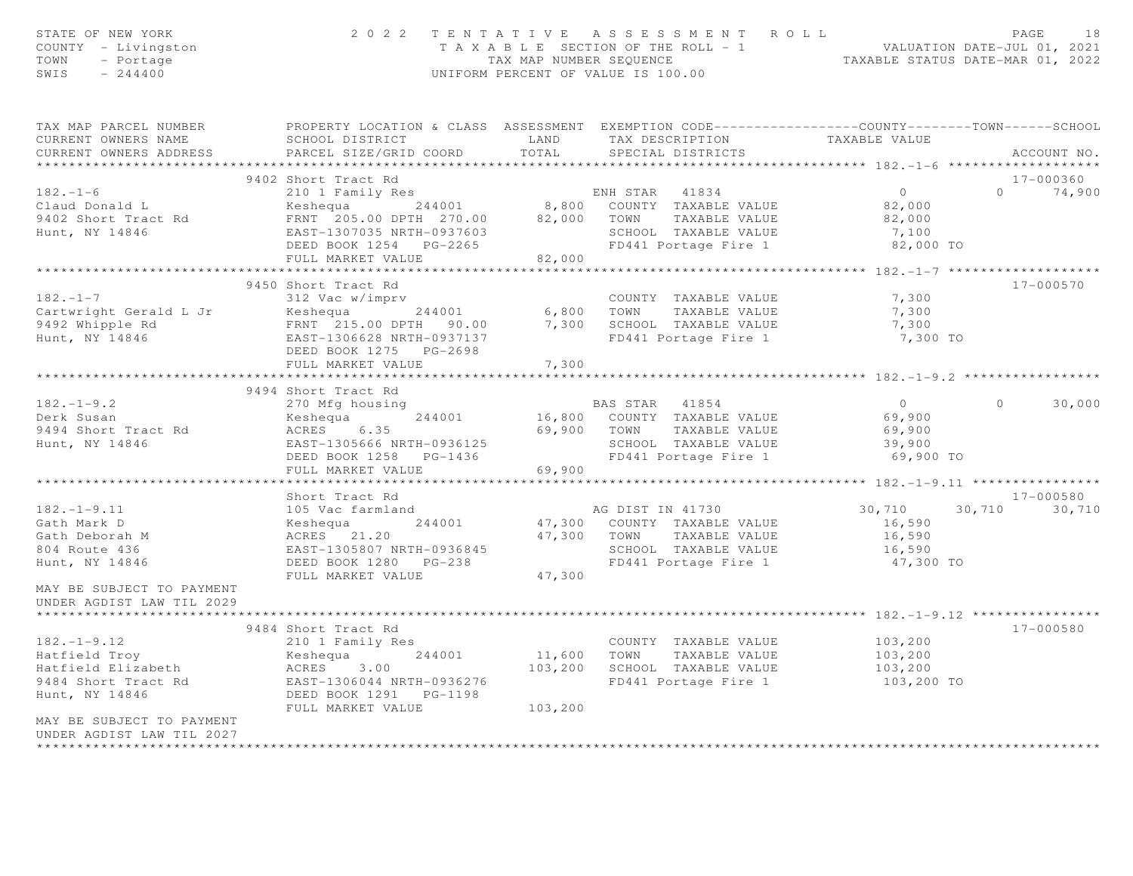| STATE OF NEW YORK<br>COUNTY - Livingston<br>TOWN - Portage<br>SWIS $-244400$                                             |                                                                                                | 2022 TENTATIVE ASSESSMENT ROLL<br>T A X A B L E SECTION OF THE ROLL - 1 VALUATION DATE-JUL 01, 2021<br>TAX MAP NUMBER SEQUENCE TAXABLE STATUS DATE-MAR 01, 2022<br>UNIFORM PERCENT OF VALUE IS 100.00 |                                                               |                |                      |  |  |
|--------------------------------------------------------------------------------------------------------------------------|------------------------------------------------------------------------------------------------|-------------------------------------------------------------------------------------------------------------------------------------------------------------------------------------------------------|---------------------------------------------------------------|----------------|----------------------|--|--|
| TAX MAP PARCEL NUMBER THE PROPERTY LOCATION & CLASS ASSESSMENT EXEMPTION CODE--------------COUNTY-------TOWN------SCHOOL |                                                                                                |                                                                                                                                                                                                       |                                                               |                |                      |  |  |
| CURRENT OWNERS NAME<br>CURRENT OWNERS ADDRESS                                                                            | SCHOOL DISTRICT TAND TAX DESCRIPTION<br>PARCEL SIZE/GRID COORD                                 | TOTAL                                                                                                                                                                                                 | SPECIAL DISTRICTS                                             | TAXABLE VALUE  | ACCOUNT NO.          |  |  |
|                                                                                                                          |                                                                                                |                                                                                                                                                                                                       |                                                               |                |                      |  |  |
|                                                                                                                          | 9402 Short Tract Rd                                                                            |                                                                                                                                                                                                       |                                                               |                | 17-000360            |  |  |
| $182. - 1 - 6$                                                                                                           | 210 1 Family Res                                                                               |                                                                                                                                                                                                       | ENH STAR 41834                                                | $\overline{0}$ | $0 \t 74,900$        |  |  |
| Claud Donald L                                                                                                           |                                                                                                |                                                                                                                                                                                                       |                                                               | 82,000         |                      |  |  |
| 9402 Short Tract Rd                                                                                                      |                                                                                                |                                                                                                                                                                                                       |                                                               | 82,000         |                      |  |  |
| Hunt, NY 14846                                                                                                           | EAST-1307035 NRTH-0937603                                                                      |                                                                                                                                                                                                       |                                                               | 7,100          |                      |  |  |
|                                                                                                                          | DEED BOOK 1254 PG-2265<br>FULL MARKET VALUE                                                    | 82,000                                                                                                                                                                                                | SCHOOL TAXABLE VALUE<br>FD441 Portage Fire 1                  | 82,000 TO      |                      |  |  |
|                                                                                                                          |                                                                                                |                                                                                                                                                                                                       | ******************************** 182._1_7 ****************    |                |                      |  |  |
|                                                                                                                          | 9450 Short Tract Rd                                                                            |                                                                                                                                                                                                       |                                                               |                | $17 - 000570$        |  |  |
| $182 - 1 - 7$                                                                                                            | 312 Vac w/imprv                                                                                |                                                                                                                                                                                                       | COUNTY TAXABLE VALUE                                          | 7,300          |                      |  |  |
| Cartwright Gerald L Jr                                                                                                   |                                                                                                |                                                                                                                                                                                                       |                                                               | 7,300          |                      |  |  |
| 9492 Whipple Rd<br>Hunt, NY 14846                                                                                        |                                                                                                |                                                                                                                                                                                                       | 7,300 SCHOOL TAXABLE VALUE                                    | 7,300          |                      |  |  |
|                                                                                                                          | EAST-1306628 NRTH-0937137                                                                      |                                                                                                                                                                                                       | FD441 Portage Fire 1                                          | 7,300 TO       |                      |  |  |
|                                                                                                                          | DEED BOOK 1275 PG-2698                                                                         |                                                                                                                                                                                                       |                                                               |                |                      |  |  |
|                                                                                                                          | FULL MARKET VALUE                                                                              | 7,300                                                                                                                                                                                                 |                                                               |                |                      |  |  |
|                                                                                                                          | 9494 Short Tract Rd                                                                            |                                                                                                                                                                                                       |                                                               |                |                      |  |  |
|                                                                                                                          | 270 Mfg housing                                                                                |                                                                                                                                                                                                       | BAS STAR 41854                                                | $\overline{0}$ | 30,000<br>$\Omega$   |  |  |
| 182.-1-9.2<br>Derk Susan                                                                                                 | Keshequa 244001                                                                                |                                                                                                                                                                                                       | 16,800 COUNTY TAXABLE VALUE                                   | 69,900         |                      |  |  |
| 9494 Short Tract Rd                                                                                                      | ACRES 6.35                                                                                     |                                                                                                                                                                                                       | 69,900 TOWN TAXABLE VALUE                                     | 69,900         |                      |  |  |
| Hunt, NY 14846                                                                                                           | EAST-1305666 NRTH-0936125                                                                      |                                                                                                                                                                                                       |                                                               | 39,900         |                      |  |  |
|                                                                                                                          | DEED BOOK 1258 PG-1436                                                                         |                                                                                                                                                                                                       | SCHOOL TAXABLE VALUE<br>FD441 Portage Fire 1                  | 69,900 TO      |                      |  |  |
|                                                                                                                          | FULL MARKET VALUE                                                                              | 69,900                                                                                                                                                                                                |                                                               |                |                      |  |  |
|                                                                                                                          |                                                                                                | * * * * * * * * * * *                                                                                                                                                                                 | ******************************** 182.-1-9.11 **************** |                |                      |  |  |
|                                                                                                                          | Short Tract Rd                                                                                 |                                                                                                                                                                                                       |                                                               |                | 17-000580            |  |  |
|                                                                                                                          | 105 Vac farmland                                                                               |                                                                                                                                                                                                       | AG DIST IN 41730                                              |                | 30,710 30,710 30,710 |  |  |
|                                                                                                                          |                                                                                                |                                                                                                                                                                                                       | 47,300 COUNTY TAXABLE VALUE                                   | 16,590         |                      |  |  |
|                                                                                                                          | Keshequa 244001<br>ACRES 21.20<br>EAST-1305807 NRTH-0936845                                    |                                                                                                                                                                                                       | 47,300 TOWN TAXABLE VALUE                                     | 16,590         |                      |  |  |
|                                                                                                                          | EAST-1305807 NRTH-0936845                                                                      |                                                                                                                                                                                                       | SCHOOL TAXABLE VALUE                                          | 16,590         |                      |  |  |
| $.82. -1-.$<br>Gath Mark D<br>Gath Deborah M<br>$.34$ Route 436                                                          | DEED BOOK 1280 PG-238                                                                          |                                                                                                                                                                                                       | FD441 Portage Fire 1                                          | 47,300 TO      |                      |  |  |
|                                                                                                                          | FULL MARKET VALUE                                                                              | 47,300                                                                                                                                                                                                |                                                               |                |                      |  |  |
| MAY BE SUBJECT TO PAYMENT<br>UNDER AGDIST LAW TIL 2029                                                                   |                                                                                                |                                                                                                                                                                                                       |                                                               |                |                      |  |  |
|                                                                                                                          |                                                                                                |                                                                                                                                                                                                       |                                                               |                |                      |  |  |
|                                                                                                                          | 9484 Short Tract Rd                                                                            |                                                                                                                                                                                                       |                                                               |                | 17-000580            |  |  |
| $182. - 1 - 9.12$                                                                                                        | 210 1 Family Res                                                                               |                                                                                                                                                                                                       | COUNTY TAXABLE VALUE                                          | 103,200        |                      |  |  |
| Hatfield Troy                                                                                                            | Keshequa 244001                                                                                |                                                                                                                                                                                                       | 11,600 TOWN TAXABLE VALUE                                     | 103,200        |                      |  |  |
| Hatfield Elizabeth                                                                                                       | ACRES 3.00 1999/07/200 2011001 TAXABLE VALUE<br>EAST-1306044 NRTH-0936276 FD441 Portage Fire 1 |                                                                                                                                                                                                       |                                                               | 103,200        |                      |  |  |
| 9484 Short Tract Rd                                                                                                      |                                                                                                |                                                                                                                                                                                                       |                                                               | 103,200 TO     |                      |  |  |
| Hunt, NY 14846                                                                                                           | DEED BOOK 1291    PG-1198                                                                      |                                                                                                                                                                                                       |                                                               |                |                      |  |  |
|                                                                                                                          | FULL MARKET VALUE                                                                              | 103,200                                                                                                                                                                                               |                                                               |                |                      |  |  |
| MAY BE SUBJECT TO PAYMENT<br>UNDER AGDIST LAW TIL 2027                                                                   |                                                                                                |                                                                                                                                                                                                       |                                                               |                |                      |  |  |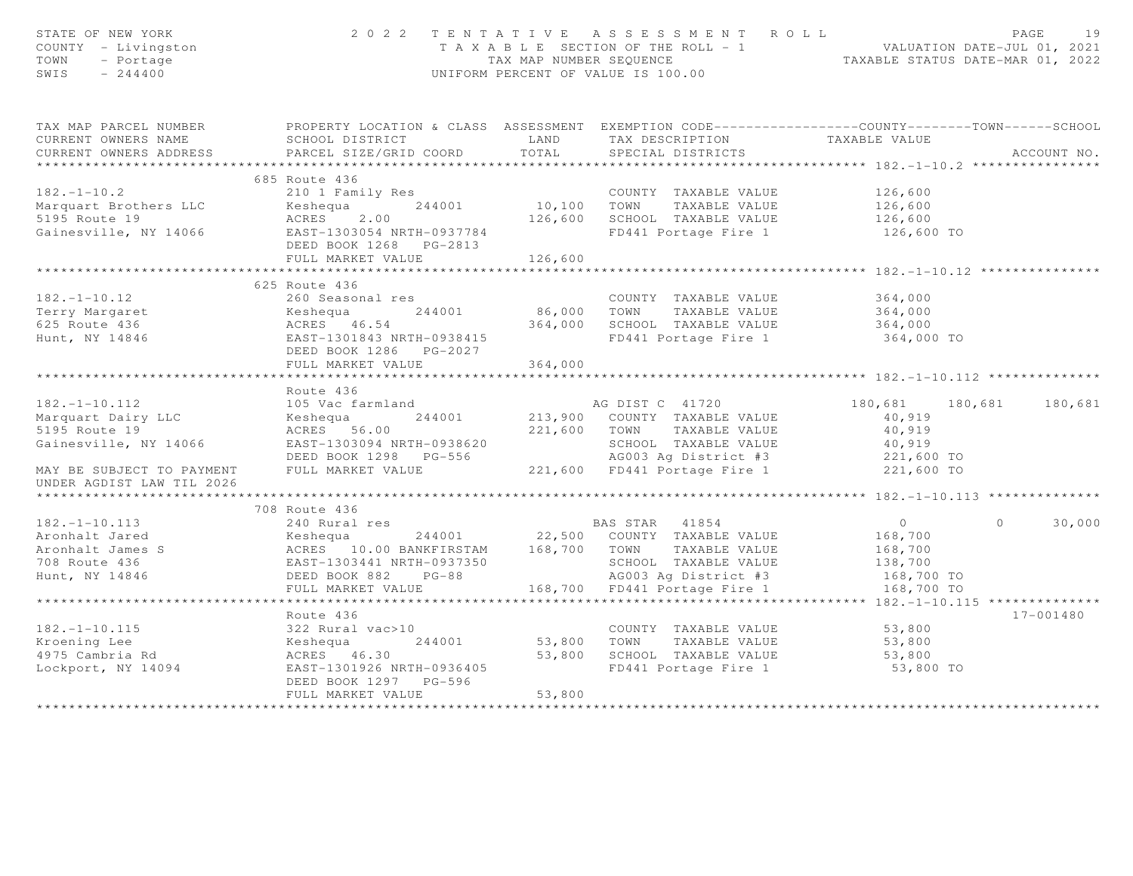| TAX MAP PARCEL NUMBER FROPERTY LOCATION & CLASS ASSESSMENT EXEMPTION CODE---------------COUNTY-------TOWN-----SCHOOL<br>CURRENT OWNERS NAME<br>CURRENT OWNERS ADDRESS<br>ACCOUNT NO.<br>210 1 Family Res<br>244001 244001 10,100 TOWN TAXABLE VALUE<br>244001 10,100 TOWN TAXABLE VALUE<br>26,600 244001 126,600 5CHOOL TAXABLE VALUE<br>26,600 SCHOOL TAXABLE VALUE<br>26,600 5CHOOL TAXABLE VALUE<br>26,600 FD441 Portage Fire 1<br>FD441 Portage Fire 1 126,600 TO<br>********************* 182.-1-10.12 *******<br>625 Route 436<br>182.-1-10.12<br>Terry Margaret 24001 260 Seasonal res<br>Ferry Margaret 244001 86,000 TOWN TAXABLE VALUE<br>EAST-1301843 NRTH-0938415 504,000 SCHOOL TAXABLE VALUE<br>Hunt, NY 14846 EAST-1301843 NRTH-0938415 FD441 Portage Fire 1<br>364,000<br>364,000<br>364,000<br>FD441 Portage Fire 1 364,000 TO<br>FULL MARKET VALUE<br>364,000<br>Route 436<br>$182. - 1 - 10.112$<br>180,681 180<br>180,681 180<br>Keshequa 244001 213,900 COUNTY TAXABLE VALUE<br>ACRES 56.00 221,600 TOWN TAXABLE VALUE 40,919<br>EAST-1303094 NRTH-0938620 SCHOOL TAXABLE VALUE 40,919<br>DEED BOOK 1298 PG-556 AG003 Ag District #3 221,6<br>180,681 180,681<br>Marquart Dairy LLC<br>5195 Route 19<br>Gainesville, NY 14066<br>MAY BE SUBJECT TO PAYMENT<br>UNDER AGDIST LAW TIL 2026<br>708 Route 436<br>182.-1-10.113<br>Aronhalt Jared 24001<br>Aronhalt James S<br>Montalt James S<br>20 Runtal res 244001<br>22,500 COUNTY TAXABLE VALUE 168,700<br>22,500 COUNTY TAXABLE VALUE 168,700<br>22,500 COUNTY TAXABLE VALUE 168,700<br>22,500 COUNTY TAX<br>30,000<br>$\Omega$<br>Route 436<br>17-001480<br>182.-1-10.115 (22 Rural vac>10 (244001 COUNTY TAXABLE VALUE<br>Kroening Lee (244001 53,800 TOWN TAXABLE VALUE<br>4975 Cambria Rd (253,800 SCHOOL TAXABLE VALUE<br>Lockport, NY 14094 EAST-1301926 NRTH-0936405 FD441 Portage Fire 1<br>FD441 Portage Fire 1 53,800 TO<br>DEED BOOK 1297 PG-596<br>53,800<br>FULL MARKET VALUE<br>*************************** | STATE OF NEW YORK<br>COUNTY - Livingston<br>TOWN<br>- Portage<br>$-244400$<br>SWIS | 2022 TENTATIVE ASSESSMENT ROLL<br>T A X A B L E SECTION OF THE ROLL - 1<br>TAX MAP NUMBER SEQUENCE<br>TAXABLE STATUS DATE-MAR 01, 2022<br>UNIFORM PERCENT OF VALUE IS 100.00 |  |  |  |  |
|-------------------------------------------------------------------------------------------------------------------------------------------------------------------------------------------------------------------------------------------------------------------------------------------------------------------------------------------------------------------------------------------------------------------------------------------------------------------------------------------------------------------------------------------------------------------------------------------------------------------------------------------------------------------------------------------------------------------------------------------------------------------------------------------------------------------------------------------------------------------------------------------------------------------------------------------------------------------------------------------------------------------------------------------------------------------------------------------------------------------------------------------------------------------------------------------------------------------------------------------------------------------------------------------------------------------------------------------------------------------------------------------------------------------------------------------------------------------------------------------------------------------------------------------------------------------------------------------------------------------------------------------------------------------------------------------------------------------------------------------------------------------------------------------------------------------------------------------------------------------------------------------------------------------------------------------------------------------------------------------------|------------------------------------------------------------------------------------|------------------------------------------------------------------------------------------------------------------------------------------------------------------------------|--|--|--|--|
|                                                                                                                                                                                                                                                                                                                                                                                                                                                                                                                                                                                                                                                                                                                                                                                                                                                                                                                                                                                                                                                                                                                                                                                                                                                                                                                                                                                                                                                                                                                                                                                                                                                                                                                                                                                                                                                                                                                                                                                                 |                                                                                    |                                                                                                                                                                              |  |  |  |  |
|                                                                                                                                                                                                                                                                                                                                                                                                                                                                                                                                                                                                                                                                                                                                                                                                                                                                                                                                                                                                                                                                                                                                                                                                                                                                                                                                                                                                                                                                                                                                                                                                                                                                                                                                                                                                                                                                                                                                                                                                 |                                                                                    |                                                                                                                                                                              |  |  |  |  |
|                                                                                                                                                                                                                                                                                                                                                                                                                                                                                                                                                                                                                                                                                                                                                                                                                                                                                                                                                                                                                                                                                                                                                                                                                                                                                                                                                                                                                                                                                                                                                                                                                                                                                                                                                                                                                                                                                                                                                                                                 |                                                                                    |                                                                                                                                                                              |  |  |  |  |
|                                                                                                                                                                                                                                                                                                                                                                                                                                                                                                                                                                                                                                                                                                                                                                                                                                                                                                                                                                                                                                                                                                                                                                                                                                                                                                                                                                                                                                                                                                                                                                                                                                                                                                                                                                                                                                                                                                                                                                                                 |                                                                                    |                                                                                                                                                                              |  |  |  |  |
|                                                                                                                                                                                                                                                                                                                                                                                                                                                                                                                                                                                                                                                                                                                                                                                                                                                                                                                                                                                                                                                                                                                                                                                                                                                                                                                                                                                                                                                                                                                                                                                                                                                                                                                                                                                                                                                                                                                                                                                                 |                                                                                    |                                                                                                                                                                              |  |  |  |  |
|                                                                                                                                                                                                                                                                                                                                                                                                                                                                                                                                                                                                                                                                                                                                                                                                                                                                                                                                                                                                                                                                                                                                                                                                                                                                                                                                                                                                                                                                                                                                                                                                                                                                                                                                                                                                                                                                                                                                                                                                 |                                                                                    |                                                                                                                                                                              |  |  |  |  |
|                                                                                                                                                                                                                                                                                                                                                                                                                                                                                                                                                                                                                                                                                                                                                                                                                                                                                                                                                                                                                                                                                                                                                                                                                                                                                                                                                                                                                                                                                                                                                                                                                                                                                                                                                                                                                                                                                                                                                                                                 |                                                                                    |                                                                                                                                                                              |  |  |  |  |
|                                                                                                                                                                                                                                                                                                                                                                                                                                                                                                                                                                                                                                                                                                                                                                                                                                                                                                                                                                                                                                                                                                                                                                                                                                                                                                                                                                                                                                                                                                                                                                                                                                                                                                                                                                                                                                                                                                                                                                                                 |                                                                                    |                                                                                                                                                                              |  |  |  |  |
|                                                                                                                                                                                                                                                                                                                                                                                                                                                                                                                                                                                                                                                                                                                                                                                                                                                                                                                                                                                                                                                                                                                                                                                                                                                                                                                                                                                                                                                                                                                                                                                                                                                                                                                                                                                                                                                                                                                                                                                                 |                                                                                    |                                                                                                                                                                              |  |  |  |  |
|                                                                                                                                                                                                                                                                                                                                                                                                                                                                                                                                                                                                                                                                                                                                                                                                                                                                                                                                                                                                                                                                                                                                                                                                                                                                                                                                                                                                                                                                                                                                                                                                                                                                                                                                                                                                                                                                                                                                                                                                 |                                                                                    |                                                                                                                                                                              |  |  |  |  |
|                                                                                                                                                                                                                                                                                                                                                                                                                                                                                                                                                                                                                                                                                                                                                                                                                                                                                                                                                                                                                                                                                                                                                                                                                                                                                                                                                                                                                                                                                                                                                                                                                                                                                                                                                                                                                                                                                                                                                                                                 |                                                                                    |                                                                                                                                                                              |  |  |  |  |
|                                                                                                                                                                                                                                                                                                                                                                                                                                                                                                                                                                                                                                                                                                                                                                                                                                                                                                                                                                                                                                                                                                                                                                                                                                                                                                                                                                                                                                                                                                                                                                                                                                                                                                                                                                                                                                                                                                                                                                                                 |                                                                                    |                                                                                                                                                                              |  |  |  |  |
|                                                                                                                                                                                                                                                                                                                                                                                                                                                                                                                                                                                                                                                                                                                                                                                                                                                                                                                                                                                                                                                                                                                                                                                                                                                                                                                                                                                                                                                                                                                                                                                                                                                                                                                                                                                                                                                                                                                                                                                                 |                                                                                    |                                                                                                                                                                              |  |  |  |  |
|                                                                                                                                                                                                                                                                                                                                                                                                                                                                                                                                                                                                                                                                                                                                                                                                                                                                                                                                                                                                                                                                                                                                                                                                                                                                                                                                                                                                                                                                                                                                                                                                                                                                                                                                                                                                                                                                                                                                                                                                 |                                                                                    |                                                                                                                                                                              |  |  |  |  |
|                                                                                                                                                                                                                                                                                                                                                                                                                                                                                                                                                                                                                                                                                                                                                                                                                                                                                                                                                                                                                                                                                                                                                                                                                                                                                                                                                                                                                                                                                                                                                                                                                                                                                                                                                                                                                                                                                                                                                                                                 |                                                                                    |                                                                                                                                                                              |  |  |  |  |
|                                                                                                                                                                                                                                                                                                                                                                                                                                                                                                                                                                                                                                                                                                                                                                                                                                                                                                                                                                                                                                                                                                                                                                                                                                                                                                                                                                                                                                                                                                                                                                                                                                                                                                                                                                                                                                                                                                                                                                                                 |                                                                                    |                                                                                                                                                                              |  |  |  |  |
|                                                                                                                                                                                                                                                                                                                                                                                                                                                                                                                                                                                                                                                                                                                                                                                                                                                                                                                                                                                                                                                                                                                                                                                                                                                                                                                                                                                                                                                                                                                                                                                                                                                                                                                                                                                                                                                                                                                                                                                                 |                                                                                    |                                                                                                                                                                              |  |  |  |  |
|                                                                                                                                                                                                                                                                                                                                                                                                                                                                                                                                                                                                                                                                                                                                                                                                                                                                                                                                                                                                                                                                                                                                                                                                                                                                                                                                                                                                                                                                                                                                                                                                                                                                                                                                                                                                                                                                                                                                                                                                 |                                                                                    |                                                                                                                                                                              |  |  |  |  |
|                                                                                                                                                                                                                                                                                                                                                                                                                                                                                                                                                                                                                                                                                                                                                                                                                                                                                                                                                                                                                                                                                                                                                                                                                                                                                                                                                                                                                                                                                                                                                                                                                                                                                                                                                                                                                                                                                                                                                                                                 |                                                                                    |                                                                                                                                                                              |  |  |  |  |
|                                                                                                                                                                                                                                                                                                                                                                                                                                                                                                                                                                                                                                                                                                                                                                                                                                                                                                                                                                                                                                                                                                                                                                                                                                                                                                                                                                                                                                                                                                                                                                                                                                                                                                                                                                                                                                                                                                                                                                                                 |                                                                                    |                                                                                                                                                                              |  |  |  |  |
|                                                                                                                                                                                                                                                                                                                                                                                                                                                                                                                                                                                                                                                                                                                                                                                                                                                                                                                                                                                                                                                                                                                                                                                                                                                                                                                                                                                                                                                                                                                                                                                                                                                                                                                                                                                                                                                                                                                                                                                                 |                                                                                    |                                                                                                                                                                              |  |  |  |  |
|                                                                                                                                                                                                                                                                                                                                                                                                                                                                                                                                                                                                                                                                                                                                                                                                                                                                                                                                                                                                                                                                                                                                                                                                                                                                                                                                                                                                                                                                                                                                                                                                                                                                                                                                                                                                                                                                                                                                                                                                 |                                                                                    |                                                                                                                                                                              |  |  |  |  |
|                                                                                                                                                                                                                                                                                                                                                                                                                                                                                                                                                                                                                                                                                                                                                                                                                                                                                                                                                                                                                                                                                                                                                                                                                                                                                                                                                                                                                                                                                                                                                                                                                                                                                                                                                                                                                                                                                                                                                                                                 |                                                                                    |                                                                                                                                                                              |  |  |  |  |
|                                                                                                                                                                                                                                                                                                                                                                                                                                                                                                                                                                                                                                                                                                                                                                                                                                                                                                                                                                                                                                                                                                                                                                                                                                                                                                                                                                                                                                                                                                                                                                                                                                                                                                                                                                                                                                                                                                                                                                                                 |                                                                                    |                                                                                                                                                                              |  |  |  |  |
|                                                                                                                                                                                                                                                                                                                                                                                                                                                                                                                                                                                                                                                                                                                                                                                                                                                                                                                                                                                                                                                                                                                                                                                                                                                                                                                                                                                                                                                                                                                                                                                                                                                                                                                                                                                                                                                                                                                                                                                                 |                                                                                    |                                                                                                                                                                              |  |  |  |  |
|                                                                                                                                                                                                                                                                                                                                                                                                                                                                                                                                                                                                                                                                                                                                                                                                                                                                                                                                                                                                                                                                                                                                                                                                                                                                                                                                                                                                                                                                                                                                                                                                                                                                                                                                                                                                                                                                                                                                                                                                 |                                                                                    |                                                                                                                                                                              |  |  |  |  |
|                                                                                                                                                                                                                                                                                                                                                                                                                                                                                                                                                                                                                                                                                                                                                                                                                                                                                                                                                                                                                                                                                                                                                                                                                                                                                                                                                                                                                                                                                                                                                                                                                                                                                                                                                                                                                                                                                                                                                                                                 |                                                                                    |                                                                                                                                                                              |  |  |  |  |
|                                                                                                                                                                                                                                                                                                                                                                                                                                                                                                                                                                                                                                                                                                                                                                                                                                                                                                                                                                                                                                                                                                                                                                                                                                                                                                                                                                                                                                                                                                                                                                                                                                                                                                                                                                                                                                                                                                                                                                                                 |                                                                                    |                                                                                                                                                                              |  |  |  |  |
|                                                                                                                                                                                                                                                                                                                                                                                                                                                                                                                                                                                                                                                                                                                                                                                                                                                                                                                                                                                                                                                                                                                                                                                                                                                                                                                                                                                                                                                                                                                                                                                                                                                                                                                                                                                                                                                                                                                                                                                                 |                                                                                    |                                                                                                                                                                              |  |  |  |  |
|                                                                                                                                                                                                                                                                                                                                                                                                                                                                                                                                                                                                                                                                                                                                                                                                                                                                                                                                                                                                                                                                                                                                                                                                                                                                                                                                                                                                                                                                                                                                                                                                                                                                                                                                                                                                                                                                                                                                                                                                 |                                                                                    |                                                                                                                                                                              |  |  |  |  |
|                                                                                                                                                                                                                                                                                                                                                                                                                                                                                                                                                                                                                                                                                                                                                                                                                                                                                                                                                                                                                                                                                                                                                                                                                                                                                                                                                                                                                                                                                                                                                                                                                                                                                                                                                                                                                                                                                                                                                                                                 |                                                                                    |                                                                                                                                                                              |  |  |  |  |
|                                                                                                                                                                                                                                                                                                                                                                                                                                                                                                                                                                                                                                                                                                                                                                                                                                                                                                                                                                                                                                                                                                                                                                                                                                                                                                                                                                                                                                                                                                                                                                                                                                                                                                                                                                                                                                                                                                                                                                                                 |                                                                                    |                                                                                                                                                                              |  |  |  |  |
|                                                                                                                                                                                                                                                                                                                                                                                                                                                                                                                                                                                                                                                                                                                                                                                                                                                                                                                                                                                                                                                                                                                                                                                                                                                                                                                                                                                                                                                                                                                                                                                                                                                                                                                                                                                                                                                                                                                                                                                                 |                                                                                    |                                                                                                                                                                              |  |  |  |  |
|                                                                                                                                                                                                                                                                                                                                                                                                                                                                                                                                                                                                                                                                                                                                                                                                                                                                                                                                                                                                                                                                                                                                                                                                                                                                                                                                                                                                                                                                                                                                                                                                                                                                                                                                                                                                                                                                                                                                                                                                 |                                                                                    |                                                                                                                                                                              |  |  |  |  |
|                                                                                                                                                                                                                                                                                                                                                                                                                                                                                                                                                                                                                                                                                                                                                                                                                                                                                                                                                                                                                                                                                                                                                                                                                                                                                                                                                                                                                                                                                                                                                                                                                                                                                                                                                                                                                                                                                                                                                                                                 |                                                                                    |                                                                                                                                                                              |  |  |  |  |
|                                                                                                                                                                                                                                                                                                                                                                                                                                                                                                                                                                                                                                                                                                                                                                                                                                                                                                                                                                                                                                                                                                                                                                                                                                                                                                                                                                                                                                                                                                                                                                                                                                                                                                                                                                                                                                                                                                                                                                                                 |                                                                                    |                                                                                                                                                                              |  |  |  |  |
|                                                                                                                                                                                                                                                                                                                                                                                                                                                                                                                                                                                                                                                                                                                                                                                                                                                                                                                                                                                                                                                                                                                                                                                                                                                                                                                                                                                                                                                                                                                                                                                                                                                                                                                                                                                                                                                                                                                                                                                                 |                                                                                    |                                                                                                                                                                              |  |  |  |  |
|                                                                                                                                                                                                                                                                                                                                                                                                                                                                                                                                                                                                                                                                                                                                                                                                                                                                                                                                                                                                                                                                                                                                                                                                                                                                                                                                                                                                                                                                                                                                                                                                                                                                                                                                                                                                                                                                                                                                                                                                 |                                                                                    |                                                                                                                                                                              |  |  |  |  |
|                                                                                                                                                                                                                                                                                                                                                                                                                                                                                                                                                                                                                                                                                                                                                                                                                                                                                                                                                                                                                                                                                                                                                                                                                                                                                                                                                                                                                                                                                                                                                                                                                                                                                                                                                                                                                                                                                                                                                                                                 |                                                                                    |                                                                                                                                                                              |  |  |  |  |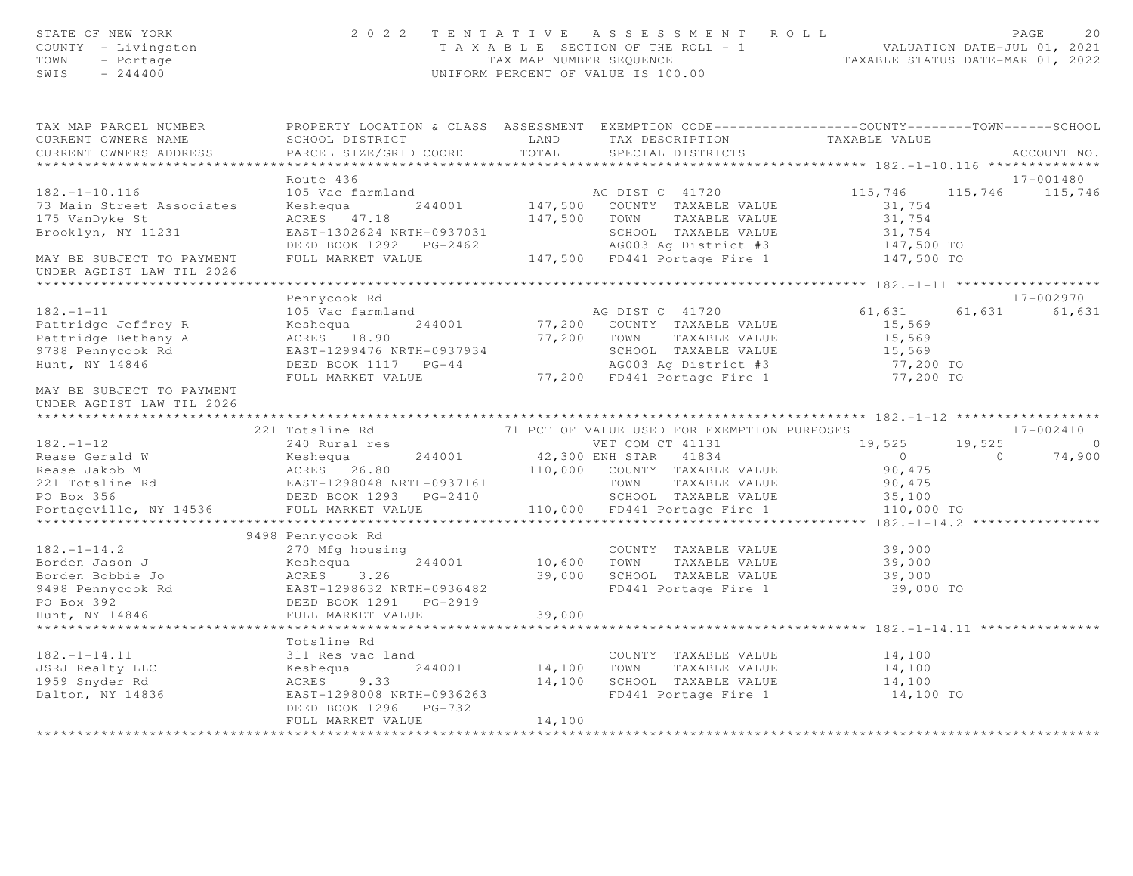| STATE OF NEW YORK<br>STAIL OF No. 1.<br>COUNTY - Livingston<br>TOWN - Portage<br>CHITE - 244400 |                                                                                                                                                                              |        | 2022 TENTATIVE ASSESSMENT ROLL<br>UNIFORM PERCENT OF VALUE IS 100.00        |                                       | PAGE<br>20<br>T A X A B L E SECTION OF THE ROLL - 1 VALUATION DATE-JUL 01, 2021<br>TAX MAP NUMBER SEQUENCE TAXABLE STATUS DATE-MAR 01, 2022 |  |  |
|-------------------------------------------------------------------------------------------------|------------------------------------------------------------------------------------------------------------------------------------------------------------------------------|--------|-----------------------------------------------------------------------------|---------------------------------------|---------------------------------------------------------------------------------------------------------------------------------------------|--|--|
| TAX MAP PARCEL NUMBER                                                                           | PROPERTY LOCATION & CLASS ASSESSMENT EXEMPTION CODE----------------COUNTY-------TOWN------SCHOOL                                                                             |        |                                                                             |                                       |                                                                                                                                             |  |  |
| CURRENT OWNERS NAME<br>CURRENT OWNERS ADDRESS                                                   | SCHOOL DISTRICT LAND<br>PARCEL SIZE/GRID COORD                                                                                                                               | TOTAL  | TAX DESCRIPTION<br>SPECIAL DISTRICTS                                        | TAXABLE VALUE                         | ACCOUNT NO.                                                                                                                                 |  |  |
| *************************                                                                       |                                                                                                                                                                              |        |                                                                             |                                       |                                                                                                                                             |  |  |
|                                                                                                 | Route 436                                                                                                                                                                    |        |                                                                             |                                       | 17-001480                                                                                                                                   |  |  |
| $182. - 1 - 10.116$                                                                             | 105 Vac farmland                                                                                                                                                             |        |                                                                             | 115,746                               | 115,746 115,746                                                                                                                             |  |  |
| 73 Main Street Associates                                                                       | Keshequa 244001                                                                                                                                                              |        | AG DIST C 41720<br>147,500 COUNTY TAXABLE VALUE                             | 31,754                                |                                                                                                                                             |  |  |
| 175 VanDyke St                                                                                  | ACRES 47.18                                                                                                                                                                  |        | 147,500 TOWN TAXABLE VALUE                                                  | 31,754                                |                                                                                                                                             |  |  |
| Brooklyn, NY 11231                                                                              |                                                                                                                                                                              |        |                                                                             |                                       |                                                                                                                                             |  |  |
|                                                                                                 | EAST-1302624 NRTH-0937031 SCHOOL TAXABLE VALUE 31,754<br>DEED BOOK 1292 PG-2462 AG003 Ag District #3 147,500 TO<br>FULL MARKET VALUE 147,500 FD441 Portage Fire 1 147,500 TO |        |                                                                             |                                       |                                                                                                                                             |  |  |
| MAY BE SUBJECT TO PAYMENT                                                                       |                                                                                                                                                                              |        |                                                                             |                                       |                                                                                                                                             |  |  |
| UNDER AGDIST LAW TIL 2026                                                                       |                                                                                                                                                                              |        |                                                                             |                                       |                                                                                                                                             |  |  |
|                                                                                                 | Pennycook Rd                                                                                                                                                                 |        |                                                                             |                                       | 17-002970                                                                                                                                   |  |  |
| $182. - 1 - 11$                                                                                 | 105 Vac farmland                                                                                                                                                             |        | AG DIST C 41720                                                             | 61,631                                | 61,631<br>61,631                                                                                                                            |  |  |
| Pattridge Jeffrey R                                                                             | 244001<br>Keshequa                                                                                                                                                           |        | 77,200 COUNTY TAXABLE VALUE                                                 | 15,569                                |                                                                                                                                             |  |  |
| Pattridge Bethany A                                                                             | ACRES 18.90                                                                                                                                                                  |        | 77,200 TOWN TAXABLE VALUE                                                   | 15,569                                |                                                                                                                                             |  |  |
| 9788 Pennycook Rd                                                                               | EAST-1299476 NRTH-0937934                                                                                                                                                    |        |                                                                             | 15,569                                |                                                                                                                                             |  |  |
| Hunt, NY 14846                                                                                  | DEED BOOK 1117 PG-44                                                                                                                                                         |        | SCHOOL TAXABLE VALUE<br>AGOO3 Ag District #3<br>77,200 FD441 Portage Fire 1 | 77,200 TO                             |                                                                                                                                             |  |  |
|                                                                                                 | FULL MARKET VALUE                                                                                                                                                            |        |                                                                             | 77,200 TO                             |                                                                                                                                             |  |  |
| MAY BE SUBJECT TO PAYMENT<br>UNDER AGDIST LAW TIL 2026                                          |                                                                                                                                                                              |        |                                                                             |                                       |                                                                                                                                             |  |  |
|                                                                                                 | 221 Totsline Rd                                                                                                                                                              |        | 71 PCT OF VALUE USED FOR EXEMPTION PURPOSES                                 |                                       | 17-002410                                                                                                                                   |  |  |
| $182. - 1 - 12$                                                                                 | 240 Rural res                                                                                                                                                                |        | VET COM CT 41131                                                            | 19,525                                | 19,525<br>$\circ$                                                                                                                           |  |  |
|                                                                                                 |                                                                                                                                                                              |        | VET COM CT 41131<br>42,300 ENH STAR 41834                                   | $\overline{0}$                        | $\overline{0}$<br>74,900                                                                                                                    |  |  |
|                                                                                                 |                                                                                                                                                                              |        |                                                                             | 90,475                                |                                                                                                                                             |  |  |
|                                                                                                 |                                                                                                                                                                              |        |                                                                             | 90,475                                |                                                                                                                                             |  |  |
|                                                                                                 |                                                                                                                                                                              |        |                                                                             | 35,100                                |                                                                                                                                             |  |  |
| Portageville, NY 14536                                                                          | FULL MARKET VALUE                                                                                                                                                            |        | 110,000 FD441 Portage Fire 1                                                | 110,000 TO                            |                                                                                                                                             |  |  |
|                                                                                                 |                                                                                                                                                                              |        |                                                                             |                                       |                                                                                                                                             |  |  |
| $182. - 1 - 14.2$                                                                               | 9498 Pennycook Rd                                                                                                                                                            |        |                                                                             | 39,000                                |                                                                                                                                             |  |  |
| Borden Jason J                                                                                  | Keshequa 244001                                                                                                                                                              |        | COUNTY TAXABLE VALUE<br>10,600 TOWN TAXABLE VALUE                           | 39,000                                |                                                                                                                                             |  |  |
| Borden Bobbie Jo                                                                                |                                                                                                                                                                              |        | 39,000 SCHOOL TAXABLE VALUE                                                 | 39,000                                |                                                                                                                                             |  |  |
| 9498 Pennycook Rd<br>PO Box 392<br>Hunt William                                                 | Example nousing<br>Keshequa 244001<br>ACRES 3.26<br>EAST-1298633 MOTH<br>EAST-1298632 NRTH-0936482                                                                           |        | FD441 Portage Fire 1                                                        | 39,000 TO                             |                                                                                                                                             |  |  |
|                                                                                                 | DEED BOOK 1291 PG-2919                                                                                                                                                       |        |                                                                             |                                       |                                                                                                                                             |  |  |
| Hunt, NY 14846                                                                                  | FULL MARKET VALUE                                                                                                                                                            | 39,000 |                                                                             |                                       |                                                                                                                                             |  |  |
|                                                                                                 | ***************************                                                                                                                                                  |        |                                                                             | ************************ 182.-1-14.11 |                                                                                                                                             |  |  |
|                                                                                                 | Totsline Rd                                                                                                                                                                  |        |                                                                             |                                       |                                                                                                                                             |  |  |
| $182. - 1 - 14.11$                                                                              | 311 Res vac land                                                                                                                                                             |        | COUNTY TAXABLE VALUE                                                        | 14,100                                |                                                                                                                                             |  |  |
|                                                                                                 | 244001<br>Keshequa<br>ACRES 9.33                                                                                                                                             |        | 14,100 TOWN TAXABLE VALUE<br>14,100 SCHOOL TAXABLE VALUE                    | 14,100<br>14,100                      |                                                                                                                                             |  |  |
| JSRJ Realty LLC<br>1959 Snyder Rd<br>Dalton, NY 14836                                           | EAST-1298008 NRTH-0936263                                                                                                                                                    |        | FD441 Portage Fire 1                                                        | 14,100 TO                             |                                                                                                                                             |  |  |
|                                                                                                 | DEED BOOK 1296    PG-732                                                                                                                                                     |        |                                                                             |                                       |                                                                                                                                             |  |  |
|                                                                                                 | FULL MARKET VALUE                                                                                                                                                            | 14,100 |                                                                             |                                       |                                                                                                                                             |  |  |
|                                                                                                 |                                                                                                                                                                              |        |                                                                             |                                       |                                                                                                                                             |  |  |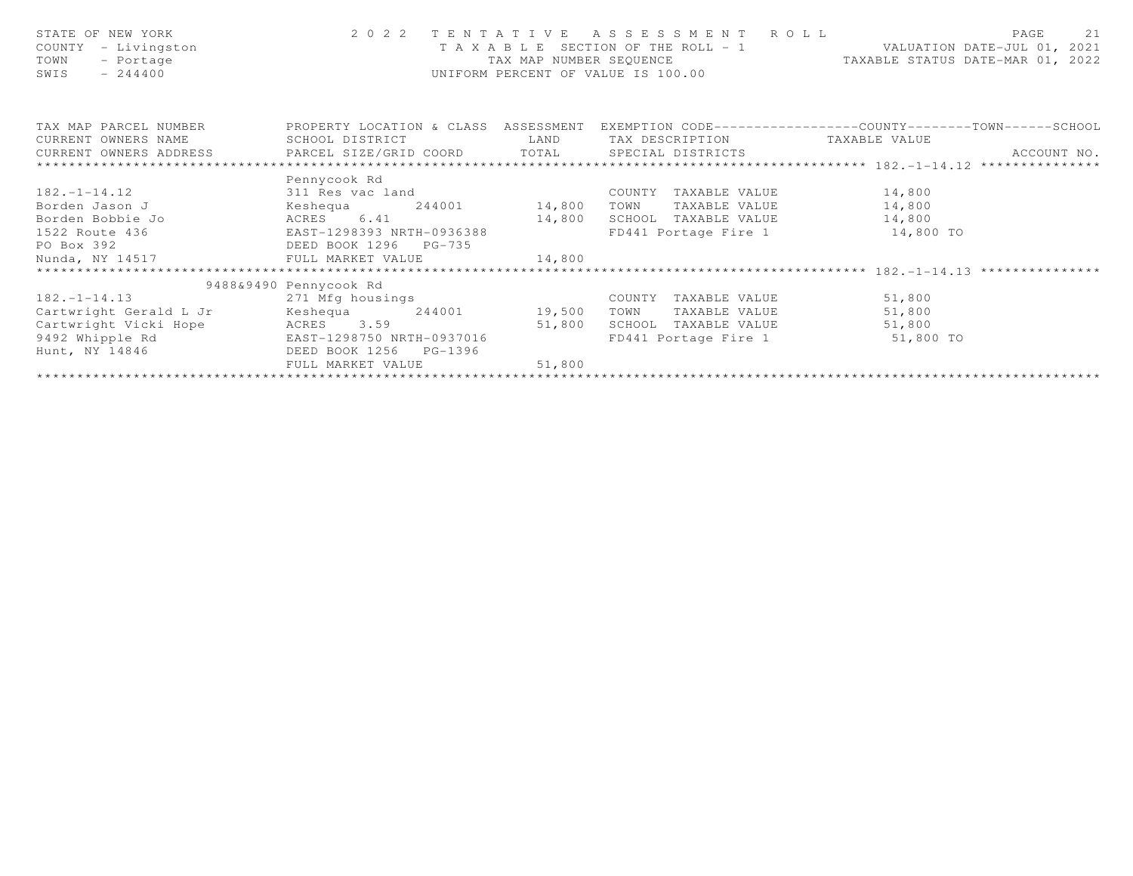| STATE OF NEW YORK<br>COUNTY - Livingston<br>TOWN<br>- Portage<br>SWIS<br>$-244400$ | 2022 TENTATIVE<br>TAAALL –<br>TAX MAP NUMBER SEQUENCE<br>UNIFORM PERCENT OF VALUE IS 100.00 |        |                      | A S S E S S M E N T R O L L<br>PAGE<br>21<br>T A X A B L E SECTION OF THE ROLL - 1 VALUATION DATE-JUL 01, 2021<br>TAXABLE STATUS DATE-MAR 01, 2022 |  |  |  |  |  |  |
|------------------------------------------------------------------------------------|---------------------------------------------------------------------------------------------|--------|----------------------|----------------------------------------------------------------------------------------------------------------------------------------------------|--|--|--|--|--|--|
| TAX MAP PARCEL NUMBER                                                              |                                                                                             |        |                      | PROPERTY LOCATION & CLASS ASSESSMENT EXEMPTION CODE---------------COUNTY-------TOWN------SCHOOL                                                    |  |  |  |  |  |  |
|                                                                                    |                                                                                             |        |                      |                                                                                                                                                    |  |  |  |  |  |  |
|                                                                                    |                                                                                             |        |                      | ACCOUNT NO.                                                                                                                                        |  |  |  |  |  |  |
|                                                                                    |                                                                                             |        |                      |                                                                                                                                                    |  |  |  |  |  |  |
| $182. - 1 - 14.12$                                                                 | Pennycook Rd<br>311 Res vac land                                                            |        | COUNTY TAXABLE VALUE | 14,800                                                                                                                                             |  |  |  |  |  |  |
| Borden Jason J                                                                     |                                                                                             |        |                      | TOWN TAXABLE VALUE 14,800                                                                                                                          |  |  |  |  |  |  |
| Borden Bobbie Jo                                                                   |                                                                                             |        |                      | SCHOOL TAXABLE VALUE 14,800                                                                                                                        |  |  |  |  |  |  |
| 1522 Route 436                                                                     |                                                                                             |        |                      | FD441 Portage Fire 1 14,800 TO                                                                                                                     |  |  |  |  |  |  |
| PO Box 392                                                                         |                                                                                             |        |                      |                                                                                                                                                    |  |  |  |  |  |  |
|                                                                                    |                                                                                             |        |                      |                                                                                                                                                    |  |  |  |  |  |  |
|                                                                                    |                                                                                             |        |                      |                                                                                                                                                    |  |  |  |  |  |  |
|                                                                                    | 9488&9490 Pennycook Rd                                                                      |        |                      |                                                                                                                                                    |  |  |  |  |  |  |
| $182. -1 - 14.13$                                                                  | 271 Mfg housings                                                                            |        | COUNTY TAXABLE VALUE | 51,800                                                                                                                                             |  |  |  |  |  |  |
| Cartwright Gerald L Jr                                                             | Keshequa 244001 19,500                                                                      |        | TOWN                 | TAXABLE VALUE 51,800                                                                                                                               |  |  |  |  |  |  |
| Cartwright Vicki Hope ACRES 3.59 51,800                                            |                                                                                             |        | SCHOOL TAXABLE VALUE | 51,800                                                                                                                                             |  |  |  |  |  |  |
| 9492 Whipple Rd                                                                    | EAST-1298750 NRTH-0937016                                                                   |        |                      | FD441 Portage Fire 1 51,800 TO                                                                                                                     |  |  |  |  |  |  |
| Hunt, NY 14846 DEED BOOK 1256 PG-1396                                              |                                                                                             |        |                      |                                                                                                                                                    |  |  |  |  |  |  |
|                                                                                    | FULL MARKET VALUE                                                                           | 51,800 |                      |                                                                                                                                                    |  |  |  |  |  |  |
|                                                                                    |                                                                                             |        |                      |                                                                                                                                                    |  |  |  |  |  |  |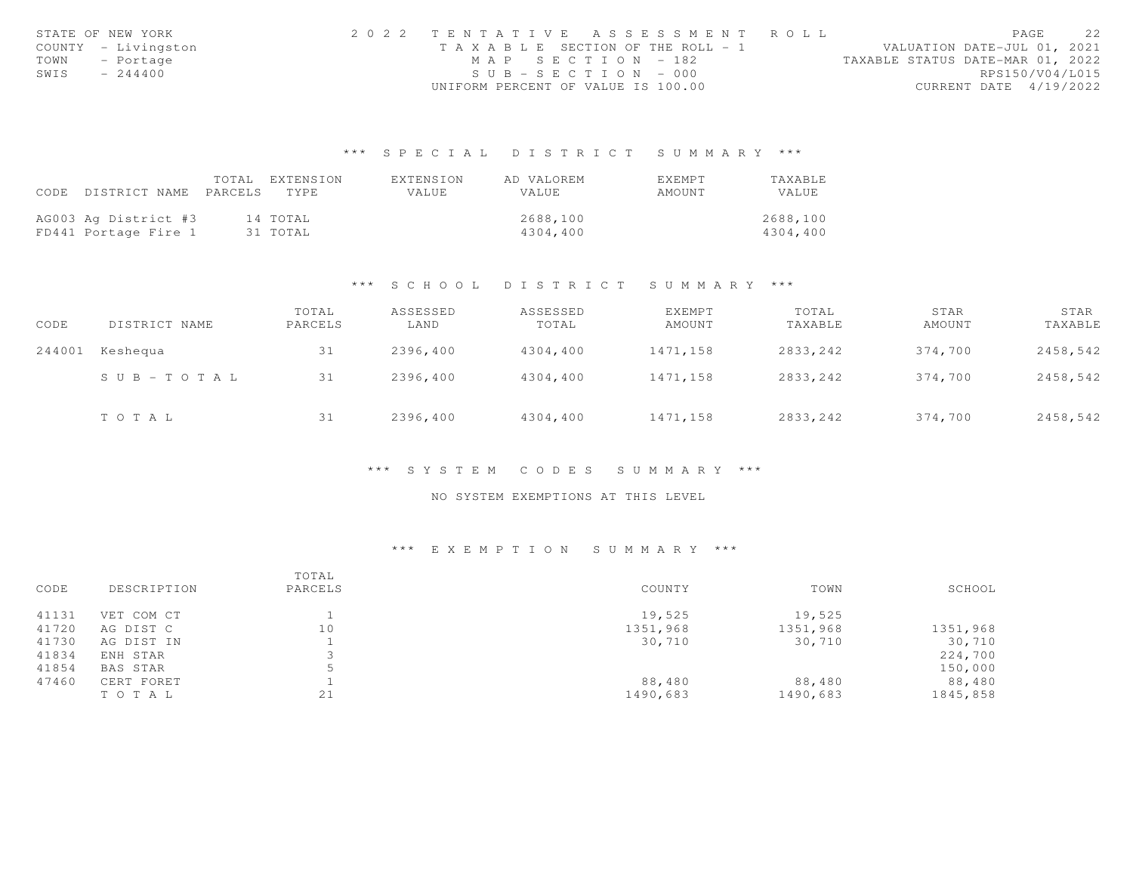|      | STATE OF NEW YORK   | 2022 TENTATIVE ASSESSMENT ROLL        |  |  |                                  |                        | PAGE | 22 |
|------|---------------------|---------------------------------------|--|--|----------------------------------|------------------------|------|----|
|      | COUNTY - Livingston | T A X A B L E SECTION OF THE ROLL - 1 |  |  | VALUATION DATE-JUL 01, 2021      |                        |      |    |
|      | TOWN - Portage      | MAP SECTION - 182                     |  |  | TAXABLE STATUS DATE-MAR 01, 2022 |                        |      |    |
| SWIS | $-244400$           | $SUB - SECTION - 000$                 |  |  |                                  | RPS150/V04/L015        |      |    |
|      |                     | UNIFORM PERCENT OF VALUE IS 100.00    |  |  |                                  | CURRENT DATE 4/19/2022 |      |    |

# \*\*\* S P E C I A L D I S T R I C T S U M M A R Y \*\*\*

|                                 | TOTAL EXTENSION | FXTENSION | AD VALOREM | <b>FXFMPT</b> | TAXABLE  |
|---------------------------------|-----------------|-----------|------------|---------------|----------|
| CODE DISTRICT NAME PARCELS TYPE |                 | VALUE     | VALUE      | AMOUNT        | VALUE.   |
|                                 |                 |           |            |               |          |
| AG003 Ag District #3            | 14 TOTAL        |           | 2688,100   |               | 2688,100 |
| FD441 Portage Fire 1            | 31 TOTAL        |           | 4304,400   |               | 4304,400 |

### \*\*\* S C H O O L D I S T R I C T S U M M A R Y \*\*\*

| CODE   | DISTRICT NAME         | TOTAL<br>PARCELS | ASSESSED<br>LAND | ASSESSED<br>TOTAL | EXEMPT<br>AMOUNT | TOTAL<br>TAXABLE | STAR<br>AMOUNT | STAR<br>TAXABLE |
|--------|-----------------------|------------------|------------------|-------------------|------------------|------------------|----------------|-----------------|
| 244001 | Keshequa              | 31               | 2396,400         | 4304,400          | 1471,158         | 2833,242         | 374,700        | 2458,542        |
|        | $S \cup B - TO T A L$ | 31               | 2396,400         | 4304,400          | 1471,158         | 2833,242         | 374,700        | 2458,542        |
|        | TOTAL                 | 31               | 2396,400         | 4304,400          | 1471,158         | 2833,242         | 374,700        | 2458,542        |

### \*\*\* S Y S T E M C O D E S S U M M A R Y \*\*\*

## NO SYSTEM EXEMPTIONS AT THIS LEVEL

# \*\*\* E X E M P T I O N S U M M A R Y \*\*\*

| CODE  | DESCRIPTION | TOTAL<br>PARCELS | COUNTY   | TOWN     | SCHOOL   |
|-------|-------------|------------------|----------|----------|----------|
| 41131 | VET COM CT  |                  | 19,525   | 19,525   |          |
| 41720 | AG DIST C   | 10               | 1351,968 | 1351,968 | 1351,968 |
| 41730 | AG DIST IN  |                  | 30,710   | 30,710   | 30,710   |
| 41834 | ENH STAR    |                  |          |          | 224,700  |
| 41854 | BAS STAR    |                  |          |          | 150,000  |
| 47460 | CERT FORET  |                  | 88,480   | 88,480   | 88,480   |
|       | TO TAL      | 21               | 1490,683 | 1490,683 | 1845,858 |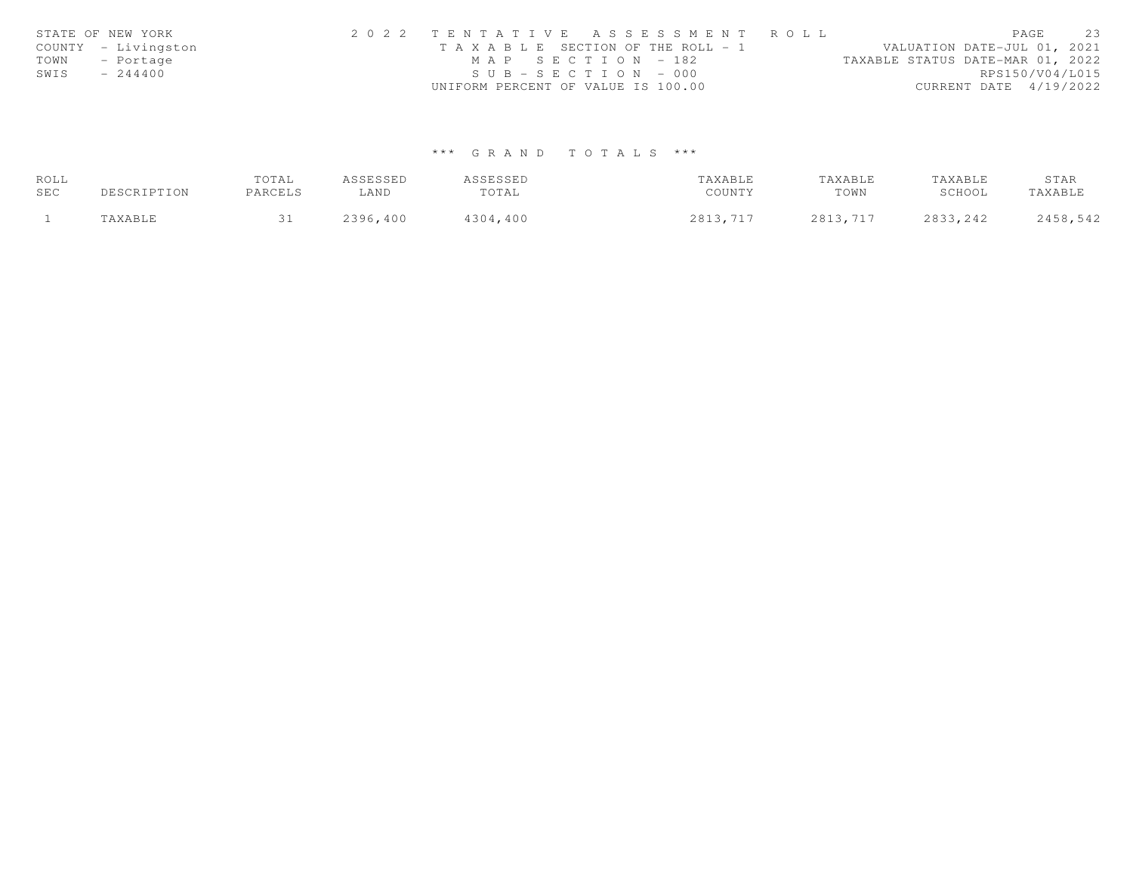|      | STATE OF NEW YORK   | 2022 TENTATIVE ASSESSMENT ROLL        |                                  | PAGE | 23 |
|------|---------------------|---------------------------------------|----------------------------------|------|----|
|      | COUNTY - Livingston | T A X A B L E SECTION OF THE ROLL - 1 | VALUATION DATE-JUL 01, 2021      |      |    |
|      | TOWN - Portage      | MAP SECTION - 182                     | TAXABLE STATUS DATE-MAR 01, 2022 |      |    |
| SWIS | $-244400$           | $SUB - SECTION - 000$                 | RPS150/V04/L015                  |      |    |
|      |                     | UNIFORM PERCENT OF VALUE IS 100.00    | CURRENT DATE 4/19/2022           |      |    |

# \*\*\* G R A N D T O T A L S \*\*\*

| ROLL |             | TOTAL   | ASSESSED | ASSESSED | TAXABLE  | TAXABLE  | TAXABLE   | STAR     |
|------|-------------|---------|----------|----------|----------|----------|-----------|----------|
| SEC  | DESCRIPTION | PARCELS | LAND     | TOTAL    | COUNTY   | TOWN     | SCHOOL    | TAXABLE  |
|      | TAXABLE     |         | 2396,400 | 4304,400 | 2813,717 | 2813,717 | 2833, 242 | 2458,542 |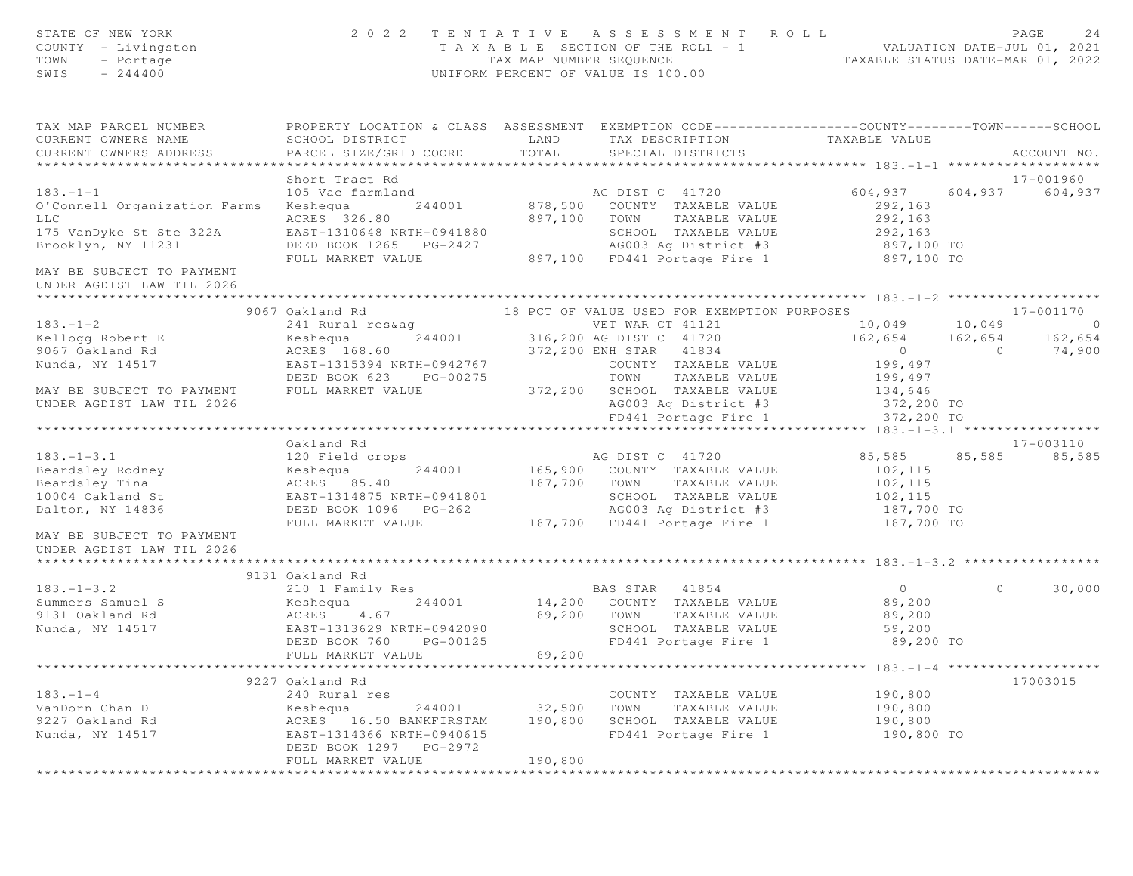| STATE OF NEW YORK<br>COUNTY - Livingston<br>TOWN<br>- Portage<br>SWIS<br>$-244400$ |                                                                                                                                    |              | 2022 TENTATIVE ASSESSMENT ROLL<br>PAGE 24<br>TAXABLE SECTION OF THE ROLL - 1<br>TAX MAP NUMBER SEQUENCE TAXABLE STATUS DATE-MAR 01, 2022<br>UNIFORM PERCENT OF VALUE IS 100.00 |                        |         | PAGE<br>24  |
|------------------------------------------------------------------------------------|------------------------------------------------------------------------------------------------------------------------------------|--------------|--------------------------------------------------------------------------------------------------------------------------------------------------------------------------------|------------------------|---------|-------------|
| TAX MAP PARCEL NUMBER<br>CURRENT OWNERS NAME                                       | PROPERTY LOCATION & CLASS ASSESSMENT EXEMPTION CODE----------------COUNTY-------TOWN------SCHOOL<br>SCHOOL DISTRICT                | LAND         | TAX DESCRIPTION TAXABLE VALUE                                                                                                                                                  |                        |         |             |
| CURRENT OWNERS ADDRESS                                                             | PARCEL SIZE/GRID COORD TOTAL                                                                                                       |              | SPECIAL DISTRICTS                                                                                                                                                              |                        |         | ACCOUNT NO. |
| ******************************                                                     |                                                                                                                                    |              |                                                                                                                                                                                |                        |         |             |
| $183. - 1 - 1$                                                                     | Short Tract Rd                                                                                                                     |              |                                                                                                                                                                                |                        |         | 17-001960   |
|                                                                                    |                                                                                                                                    |              |                                                                                                                                                                                |                        |         |             |
| O'Connell Organization Farms<br><b>LLC</b>                                         | ACRES 326.80                                                                                                                       | 897,100 TOWN |                                                                                                                                                                                | TAXABLE VALUE 292, 163 |         |             |
| 175 VanDyke St Ste 322A                                                            | EAST-1310648 NRTH-0941880                                                                                                          |              |                                                                                                                                                                                |                        |         |             |
| Brooklyn, NY 11231                                                                 | EASI-1310648 NRTH-0941880<br>DEED BOOK 1265 PG-2427                                                                                |              | SCHOOL TAXABLE VALUE 292,163<br>AG003 Ag District #3 397,100 TO                                                                                                                |                        |         |             |
|                                                                                    | FULL MARKET VALUE                                                                                                                  |              | 897,100 FD441 Portage Fire 1 897,100 TO                                                                                                                                        |                        |         |             |
| MAY BE SUBJECT TO PAYMENT                                                          |                                                                                                                                    |              |                                                                                                                                                                                |                        |         |             |
| UNDER AGDIST LAW TIL 2026                                                          |                                                                                                                                    |              |                                                                                                                                                                                |                        |         |             |
|                                                                                    |                                                                                                                                    |              |                                                                                                                                                                                |                        |         |             |
|                                                                                    | 9067 Oakland Rd                                                                                                                    |              | 18 PCT OF VALUE USED FOR EXEMPTION PURPOSES                                                                                                                                    |                        |         |             |
| $183. - 1 - 2$                                                                     |                                                                                                                                    |              |                                                                                                                                                                                |                        |         |             |
| Kellogg Robert E                                                                   | Expedia<br>Robert 168.60<br>ACRES 168.60 NRTH-0942767                                                                              |              |                                                                                                                                                                                |                        |         |             |
| 9067 Oakland Rd                                                                    |                                                                                                                                    |              |                                                                                                                                                                                |                        |         |             |
| Nunda, NY 14517                                                                    |                                                                                                                                    |              | COUNTY TAXABLE VALUE 199,497                                                                                                                                                   |                        |         |             |
|                                                                                    | AURES 168.60<br>EAST-1315394 NRTH-0942767 372,200 ENH STAR 41834<br>DEED BOOK 623 PG-00275 TOWN TAXABLE VALUE<br>PULL MARKET VALUE |              | TOWN TAXABLE VALUE                                                                                                                                                             | 199,497                |         |             |
| MAY BE SUBJECT TO PAYMENT                                                          | FULL MARKET VALUE 372, 200 SCHOOL TAXABLE VALUE 134, 646                                                                           |              |                                                                                                                                                                                |                        |         |             |
| UNDER AGDIST LAW TIL 2026                                                          |                                                                                                                                    |              | AG003 Ag District #3 372,200 TO<br>FD441 Portage Fire 1 372,200 TO                                                                                                             |                        |         |             |
|                                                                                    |                                                                                                                                    |              |                                                                                                                                                                                |                        |         |             |
|                                                                                    |                                                                                                                                    |              |                                                                                                                                                                                |                        |         |             |
|                                                                                    | Oakland Rd                                                                                                                         |              |                                                                                                                                                                                |                        |         | 17-003110   |
| $183. - 1 - 3.1$                                                                   |                                                                                                                                    |              |                                                                                                                                                                                | 85,585 85,585 85,585   |         |             |
|                                                                                    |                                                                                                                                    |              |                                                                                                                                                                                | 102,115                |         |             |
|                                                                                    | ACRES 85.40 187,700 TOWN TAXABLE VALUE 102,115                                                                                     |              |                                                                                                                                                                                |                        |         |             |
|                                                                                    |                                                                                                                                    |              | SCHOOL TAXABLE VALUE                                                                                                                                                           | 102,115                |         |             |
|                                                                                    | DEED BOOK 1096 PG-262 187,700 FD441 Portage Fire 1<br>FULL MARKET VALUE 187,700 FD441 Portage Fire 1                               |              | AG003 Ag District #3 187,700 TO                                                                                                                                                |                        |         |             |
|                                                                                    |                                                                                                                                    |              |                                                                                                                                                                                | 187,700 TO             |         |             |
| MAY BE SUBJECT TO PAYMENT<br>UNDER AGDIST LAW TIL 2026                             |                                                                                                                                    |              |                                                                                                                                                                                |                        |         |             |
|                                                                                    | 9131 Oakland Rd                                                                                                                    |              |                                                                                                                                                                                |                        |         |             |
| $183. - 1 - 3.2$                                                                   | 210 1 Family Res                                                                                                                   |              | <b>BAS STAR</b> 41854                                                                                                                                                          | $\overline{0}$         | $\circ$ | 30,000      |
| Summers Samuel S                                                                   | Keshequa                                                                                                                           |              | $244001$ $14,200$ COUNTY TAXABLE VALUE                                                                                                                                         |                        |         |             |
| 9131 Oakland Rd                                                                    |                                                                                                                                    |              | 89,200 TOWN TAXABLE VALUE                                                                                                                                                      | 89,200<br>89,200       |         |             |
| Nunda, NY 14517                                                                    | ACRES 4.67<br>EAST-1313629 NRTH-0942090                                                                                            |              | SCHOOL TAXABLE VALUE 59,200                                                                                                                                                    |                        |         |             |
|                                                                                    | DEED BOOK 760 PG-00125                                                                                                             |              | FD441 Portage Fire 1                                                                                                                                                           | 89,200 TO              |         |             |
|                                                                                    | FULL MARKET VALUE                                                                                                                  | 89,200       |                                                                                                                                                                                |                        |         |             |
|                                                                                    |                                                                                                                                    |              |                                                                                                                                                                                |                        |         |             |
|                                                                                    | 9227 Oakland Rd                                                                                                                    |              |                                                                                                                                                                                |                        |         | 17003015    |
| $183. - 1 - 4$                                                                     | 240 Rural res                                                                                                                      |              | COUNTY TAXABLE VALUE                                                                                                                                                           | 190,800                |         |             |
| VanDorn Chan D                                                                     | 244001<br>Keshequa                                                                                                                 | 32,500       | TOWN<br>TAXABLE VALUE                                                                                                                                                          | 190,800                |         |             |
| 9227 Oakland Rd                                                                    | ACRES 16.50 BANKFIRSTAM                                                                                                            | 190,800      | SCHOOL TAXABLE VALUE                                                                                                                                                           | 190,800                |         |             |
| Nunda, NY 14517                                                                    | EAST-1314366 NRTH-0940615                                                                                                          |              | FD441 Portage Fire 1                                                                                                                                                           | 190,800 TO             |         |             |
|                                                                                    | DEED BOOK 1297 PG-2972                                                                                                             |              |                                                                                                                                                                                |                        |         |             |
|                                                                                    | FULL MARKET VALUE                                                                                                                  | 190,800      |                                                                                                                                                                                |                        |         |             |
|                                                                                    |                                                                                                                                    |              |                                                                                                                                                                                |                        |         |             |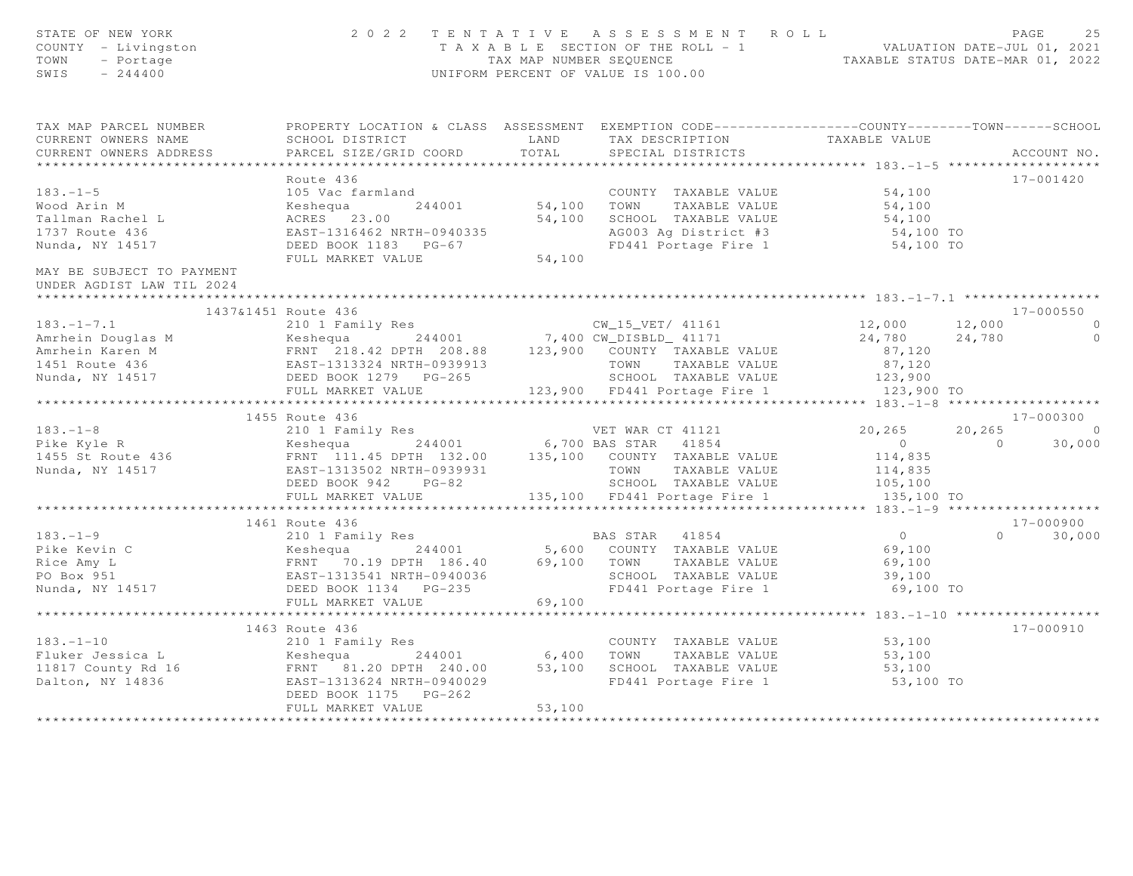| STATE OF NEW YORK<br>COUNTY - Livingston<br>TOWN<br>- Portage<br>SWIS $-244400$                                                                                                                                                                         |                                                                                                                                                                                                                                                                |        | 2022 TENTATIVE ASSESSMENT ROLL<br>T A X A B L E SECTION OF THE ROLL - 1<br>TAX MAP NUMBER SEQUENCE<br>UNIFORM PERCENT OF VALUE IS 100.00 |        |                | PAGE<br>25  |
|---------------------------------------------------------------------------------------------------------------------------------------------------------------------------------------------------------------------------------------------------------|----------------------------------------------------------------------------------------------------------------------------------------------------------------------------------------------------------------------------------------------------------------|--------|------------------------------------------------------------------------------------------------------------------------------------------|--------|----------------|-------------|
| TAX MAP PARCEL NUMBER FROPERTY LOCATION & CLASS ASSESSMENT EXEMPTION CODE---------------COUNTY-------TOWN------SCHOOL                                                                                                                                   |                                                                                                                                                                                                                                                                |        |                                                                                                                                          |        |                |             |
| CURRENT OWNERS NAME                                                                                                                                                                                                                                     |                                                                                                                                                                                                                                                                |        |                                                                                                                                          |        |                |             |
| CURRENT OWNERS ADDRESS                                                                                                                                                                                                                                  |                                                                                                                                                                                                                                                                |        |                                                                                                                                          |        |                | ACCOUNT NO. |
|                                                                                                                                                                                                                                                         |                                                                                                                                                                                                                                                                |        |                                                                                                                                          |        |                |             |
|                                                                                                                                                                                                                                                         | Route 436                                                                                                                                                                                                                                                      |        |                                                                                                                                          |        |                | 17-001420   |
|                                                                                                                                                                                                                                                         |                                                                                                                                                                                                                                                                |        | COUNTY TAXABLE VALUE 54,100                                                                                                              |        |                |             |
|                                                                                                                                                                                                                                                         |                                                                                                                                                                                                                                                                |        |                                                                                                                                          |        |                |             |
|                                                                                                                                                                                                                                                         |                                                                                                                                                                                                                                                                |        |                                                                                                                                          |        |                |             |
|                                                                                                                                                                                                                                                         |                                                                                                                                                                                                                                                                |        |                                                                                                                                          |        |                |             |
| Nunda, NY 14517                                                                                                                                                                                                                                         |                                                                                                                                                                                                                                                                |        |                                                                                                                                          |        |                |             |
|                                                                                                                                                                                                                                                         | ACRES 23.00<br>EAST-1316462 NRTH-0940335<br>DEED BOOK 1183 PG-67<br>FULL MARKET VALUE<br>FULL MARKET VALUE<br>FULL MARKET VALUE<br>FULL MARKET VALUE<br>FULL MARKET VALUE<br>54,100<br>54,100<br>54,100<br>54,100<br>54,100<br>54,100<br>54,100<br>54,100<br>5 |        |                                                                                                                                          |        |                |             |
| MAY BE SUBJECT TO PAYMENT<br>UNDER AGDIST LAW TIL 2024                                                                                                                                                                                                  |                                                                                                                                                                                                                                                                |        |                                                                                                                                          |        |                |             |
|                                                                                                                                                                                                                                                         |                                                                                                                                                                                                                                                                |        |                                                                                                                                          |        |                |             |
| 183.-1-7.1<br>183.-1-7.1<br>2137&1451 Route 436<br>210 1 Family Res<br>214001 7,400 CM_DISBLD_41171 24,780 24,780 24,780 0<br>24,780 24,780 0<br>24,780 24,780 0<br>24,780 24,780 0<br>24,780 0<br>24,780 0<br>24,780 0<br>24,780 0<br>24,780 0<br>24,7 | 1437&1451 Route 436                                                                                                                                                                                                                                            |        |                                                                                                                                          |        |                | 17-000550   |
|                                                                                                                                                                                                                                                         |                                                                                                                                                                                                                                                                |        |                                                                                                                                          |        |                |             |
|                                                                                                                                                                                                                                                         |                                                                                                                                                                                                                                                                |        |                                                                                                                                          |        |                |             |
|                                                                                                                                                                                                                                                         |                                                                                                                                                                                                                                                                |        |                                                                                                                                          |        |                |             |
|                                                                                                                                                                                                                                                         |                                                                                                                                                                                                                                                                |        |                                                                                                                                          |        |                |             |
|                                                                                                                                                                                                                                                         |                                                                                                                                                                                                                                                                |        |                                                                                                                                          |        |                |             |
|                                                                                                                                                                                                                                                         |                                                                                                                                                                                                                                                                |        |                                                                                                                                          |        |                |             |
|                                                                                                                                                                                                                                                         |                                                                                                                                                                                                                                                                |        |                                                                                                                                          |        |                |             |
|                                                                                                                                                                                                                                                         | 1455 Route 436                                                                                                                                                                                                                                                 |        |                                                                                                                                          |        |                | 17-000300   |
|                                                                                                                                                                                                                                                         |                                                                                                                                                                                                                                                                |        |                                                                                                                                          |        |                | $20, 265$ 0 |
|                                                                                                                                                                                                                                                         |                                                                                                                                                                                                                                                                |        |                                                                                                                                          |        | $\overline{0}$ | 30,000      |
|                                                                                                                                                                                                                                                         |                                                                                                                                                                                                                                                                |        |                                                                                                                                          |        |                |             |
|                                                                                                                                                                                                                                                         |                                                                                                                                                                                                                                                                |        |                                                                                                                                          |        |                |             |
|                                                                                                                                                                                                                                                         |                                                                                                                                                                                                                                                                |        |                                                                                                                                          |        |                |             |
|                                                                                                                                                                                                                                                         |                                                                                                                                                                                                                                                                |        |                                                                                                                                          |        |                |             |
|                                                                                                                                                                                                                                                         |                                                                                                                                                                                                                                                                |        |                                                                                                                                          |        |                |             |
|                                                                                                                                                                                                                                                         |                                                                                                                                                                                                                                                                |        |                                                                                                                                          |        |                | 17-000900   |
|                                                                                                                                                                                                                                                         |                                                                                                                                                                                                                                                                |        |                                                                                                                                          |        | $\Omega$       | 30,000      |
|                                                                                                                                                                                                                                                         |                                                                                                                                                                                                                                                                |        |                                                                                                                                          |        |                |             |
|                                                                                                                                                                                                                                                         |                                                                                                                                                                                                                                                                |        |                                                                                                                                          |        |                |             |
|                                                                                                                                                                                                                                                         |                                                                                                                                                                                                                                                                |        | SCHOOL TAXABLE VALUE 39,100<br>FD441 Portage Fire 1 69,100 TO<br>69,100                                                                  |        |                |             |
|                                                                                                                                                                                                                                                         |                                                                                                                                                                                                                                                                |        |                                                                                                                                          |        |                |             |
|                                                                                                                                                                                                                                                         | FULL MARKET VALUE                                                                                                                                                                                                                                              |        |                                                                                                                                          |        |                |             |
|                                                                                                                                                                                                                                                         |                                                                                                                                                                                                                                                                |        |                                                                                                                                          |        |                |             |
|                                                                                                                                                                                                                                                         | 1463 Route 436                                                                                                                                                                                                                                                 |        |                                                                                                                                          |        |                | 17-000910   |
|                                                                                                                                                                                                                                                         |                                                                                                                                                                                                                                                                |        |                                                                                                                                          | 53,100 |                |             |
|                                                                                                                                                                                                                                                         |                                                                                                                                                                                                                                                                |        |                                                                                                                                          |        |                |             |
|                                                                                                                                                                                                                                                         |                                                                                                                                                                                                                                                                |        |                                                                                                                                          |        |                |             |
| 183.-1-10<br>Fluker Jessica L<br>Elect Jessica L (193.100 Keshequa 244001 6,400 TOWN TAXABLE VALUE 53,100 53,100<br>11817 County Rd 16 FRNT 81.20 DPTH 240.00 53,100 SCHOOL TAXABLE VALUE 53,100<br>Dalton, NY 14836 EAST-1313624 NR                    | DEED BOOK 1175 PG-262                                                                                                                                                                                                                                          |        | FD441 Portage Fire 1 53,100 TO                                                                                                           |        |                |             |
|                                                                                                                                                                                                                                                         | FULL MARKET VALUE                                                                                                                                                                                                                                              | 53,100 |                                                                                                                                          |        |                |             |
|                                                                                                                                                                                                                                                         |                                                                                                                                                                                                                                                                |        |                                                                                                                                          |        |                |             |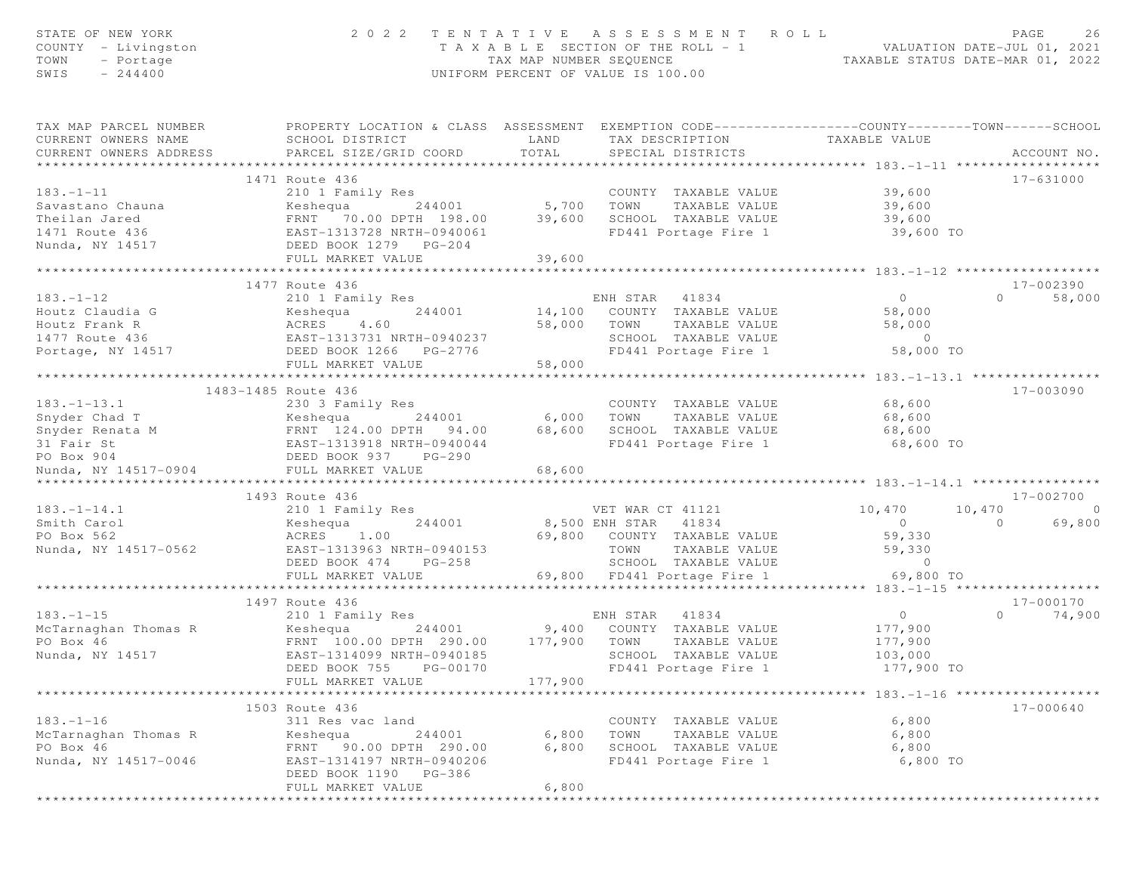| STATE OF NEW YORK<br>COUNTY - Livingston<br>TOWN<br>- Portage<br>SWIS<br>$-244400$ | 2 0 2 2                                                                                                                                       | TENTATIVE<br>TAX MAP NUMBER SEQUENCE | ASSESSMENT ROLL<br>T A X A B L E SECTION OF THE ROLL - 1<br>UNIFORM PERCENT OF VALUE IS 100.00 | VALUATION DATE-JUL 01, 2021<br>TAXABLE STATUS DATE-MAR 01, 2022 | PAGE<br>26                      |
|------------------------------------------------------------------------------------|-----------------------------------------------------------------------------------------------------------------------------------------------|--------------------------------------|------------------------------------------------------------------------------------------------|-----------------------------------------------------------------|---------------------------------|
| TAX MAP PARCEL NUMBER<br>CURRENT OWNERS NAME<br>CURRENT OWNERS ADDRESS             | PROPERTY LOCATION & CLASS ASSESSMENT EXEMPTION CODE----------------COUNTY-------TOWN------SCHOOL<br>SCHOOL DISTRICT<br>PARCEL SIZE/GRID COORD | LAND<br>TOTAL                        | TAX DESCRIPTION<br>SPECIAL DISTRICTS                                                           | TAXABLE VALUE                                                   | ACCOUNT NO.                     |
|                                                                                    | 1471 Route 436                                                                                                                                |                                      |                                                                                                |                                                                 | 17-631000                       |
| $183. - 1 - 11$                                                                    | 210 1 Family Res                                                                                                                              |                                      | COUNTY TAXABLE VALUE                                                                           | 39,600                                                          |                                 |
| Savastano Chauna                                                                   | Keshequa<br>244001                                                                                                                            | $5,700$ TOWN                         | TAXABLE VALUE                                                                                  | 39,600                                                          |                                 |
| Theilan Jared                                                                      | FRNT 70.00 DPTH 198.00                                                                                                                        | 39,600                               | SCHOOL TAXABLE VALUE                                                                           | 39,600                                                          |                                 |
| 1471 Route 436                                                                     | EAST-1313728 NRTH-0940061                                                                                                                     |                                      | FD441 Portage Fire 1                                                                           | 39,600 TO                                                       |                                 |
| Nunda, NY 14517                                                                    | DEED BOOK 1279 PG-204                                                                                                                         |                                      |                                                                                                |                                                                 |                                 |
|                                                                                    | FULL MARKET VALUE                                                                                                                             | 39,600                               |                                                                                                |                                                                 |                                 |
|                                                                                    | ******************************                                                                                                                | *************                        |                                                                                                |                                                                 |                                 |
| $183. - 1 - 12$                                                                    | 1477 Route 436<br>210 1 Family Res                                                                                                            |                                      | ENH STAR<br>41834                                                                              | $\overline{0}$                                                  | 17-002390<br>$\Omega$<br>58,000 |
| Houtz Claudia G                                                                    | 244001<br>Keshequa                                                                                                                            |                                      | 14,100 COUNTY TAXABLE VALUE                                                                    | 58,000                                                          |                                 |
| Houtz Frank R                                                                      | ACRES<br>4.60                                                                                                                                 | 58,000                               | TOWN<br>TAXABLE VALUE                                                                          | 58,000                                                          |                                 |
| 1477 Route 436                                                                     | EAST-1313731 NRTH-0940237                                                                                                                     |                                      | SCHOOL TAXABLE VALUE                                                                           | $\sim$ 0                                                        |                                 |
| Portage, NY 14517                                                                  | DEED BOOK 1266 PG-2776                                                                                                                        |                                      | FD441 Portage Fire 1                                                                           | 58,000 TO                                                       |                                 |
|                                                                                    | FULL MARKET VALUE                                                                                                                             | 58,000                               |                                                                                                |                                                                 |                                 |
|                                                                                    |                                                                                                                                               |                                      |                                                                                                | *************** 183.-1-13.1 *****                               |                                 |
|                                                                                    | 1483-1485 Route 436                                                                                                                           |                                      |                                                                                                |                                                                 | 17-003090                       |
| $183. - 1 - 13.1$                                                                  | 230 3 Family Res                                                                                                                              |                                      | COUNTY TAXABLE VALUE                                                                           | 68,600                                                          |                                 |
| Snyder Chad T<br>Snyder Renata M                                                   | Keshequa<br>244001<br>FRNT 124.00 DPTH 94.00                                                                                                  | 6,000<br>68,600                      | TOWN<br>TAXABLE VALUE<br>SCHOOL TAXABLE VALUE                                                  | 68,600<br>68,600                                                |                                 |
| 31 Fair St                                                                         | EAST-1313918 NRTH-0940044                                                                                                                     |                                      | FD441 Portage Fire 1                                                                           | 68,600 TO                                                       |                                 |
| PO Box 904                                                                         | DEED BOOK 937 PG-290                                                                                                                          |                                      |                                                                                                |                                                                 |                                 |
| Nunda, NY 14517-0904                                                               | FULL MARKET VALUE                                                                                                                             | 68,600                               |                                                                                                |                                                                 |                                 |
|                                                                                    | *************************                                                                                                                     |                                      |                                                                                                |                                                                 |                                 |
|                                                                                    | 1493 Route 436                                                                                                                                |                                      |                                                                                                |                                                                 | 17-002700                       |
| $183. - 1 - 14.1$                                                                  | 210 1 Family Res                                                                                                                              |                                      | VET WAR CT 41121                                                                               | 10,470<br>10,470                                                | $\bigcirc$                      |
| Smith Carol                                                                        | Keshequa<br>244001                                                                                                                            |                                      | 8,500 ENH STAR 41834                                                                           | $\circ$                                                         | $\Omega$<br>69,800              |
| PO Box 562<br>Nunda, NY 14517-0562                                                 | ACRES<br>1.00<br>EAST-1313963 NRTH-0940153                                                                                                    |                                      | 69,800 COUNTY TAXABLE VALUE<br>TOWN<br>TAXABLE VALUE                                           | 59,330<br>59,330                                                |                                 |
|                                                                                    | $PG-258$<br>DEED BOOK 474                                                                                                                     |                                      | SCHOOL TAXABLE VALUE                                                                           | $\circ$                                                         |                                 |
|                                                                                    | FULL MARKET VALUE                                                                                                                             |                                      | 69,800 FD441 Portage Fire 1                                                                    | 69,800 TO                                                       |                                 |
|                                                                                    |                                                                                                                                               |                                      |                                                                                                |                                                                 |                                 |
|                                                                                    | 1497 Route 436                                                                                                                                |                                      |                                                                                                |                                                                 | 17-000170                       |
| $183. - 1 - 15$                                                                    | 210 1 Family Res                                                                                                                              |                                      | ENH STAR<br>41834                                                                              | $\circ$                                                         | $\Omega$<br>74,900              |
| McTarnaghan Thomas R                                                               | Keshequa<br>244001                                                                                                                            | 9,400                                | COUNTY TAXABLE VALUE                                                                           | 177,900                                                         |                                 |
| PO Box 46                                                                          | FRNT 100.00 DPTH 290.00                                                                                                                       | 177,900                              | TOWN<br>TAXABLE VALUE                                                                          | 177,900                                                         |                                 |
| Nunda, NY 14517                                                                    | EAST-1314099 NRTH-0940185<br>PG-00170                                                                                                         |                                      | SCHOOL TAXABLE VALUE<br>FD441 Portage Fire 1                                                   | 103,000<br>177,900 TO                                           |                                 |
|                                                                                    | DEED BOOK 755<br>FULL MARKET VALUE                                                                                                            | 177,900                              |                                                                                                |                                                                 |                                 |
|                                                                                    |                                                                                                                                               |                                      |                                                                                                | *************************** 183.-1-16 *******************       |                                 |
|                                                                                    | 1503 Route 436                                                                                                                                |                                      |                                                                                                |                                                                 | 17-000640                       |
| $183. - 1 - 16$                                                                    | 311 Res vac land                                                                                                                              |                                      | COUNTY TAXABLE VALUE                                                                           | 6,800                                                           |                                 |
| McTarnaghan Thomas R                                                               | 244001<br>Keshequa                                                                                                                            | 6,800                                | TOWN<br>TAXABLE VALUE                                                                          | 6,800                                                           |                                 |
| PO Box 46                                                                          | 90.00 DPTH 290.00<br>FRNT                                                                                                                     | 6,800                                | SCHOOL TAXABLE VALUE                                                                           | 6,800                                                           |                                 |
| Nunda, NY 14517-0046                                                               | EAST-1314197 NRTH-0940206                                                                                                                     |                                      | FD441 Portage Fire 1                                                                           | 6,800 TO                                                        |                                 |
|                                                                                    | DEED BOOK 1190<br>PG-386                                                                                                                      |                                      |                                                                                                |                                                                 |                                 |
|                                                                                    | FULL MARKET VALUE                                                                                                                             | 6,800                                |                                                                                                |                                                                 |                                 |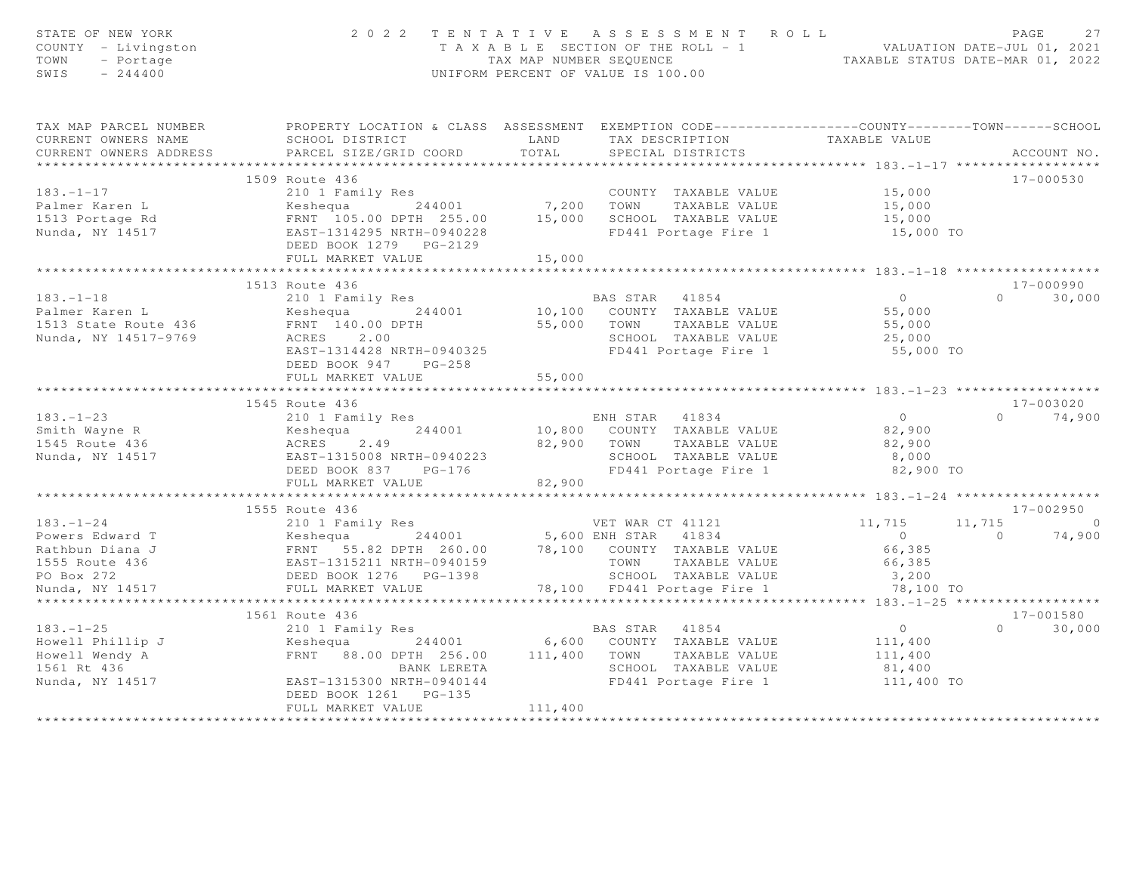| STATE OF NEW YORK<br>COUNTY - Livingston<br>TOWN<br>- Portage<br>$-244400$<br>SWIS                                                                                                                                                                                           | 2022 TENTATIVE ASSESSMENT ROLL            | UNIFORM PERCENT OF VALUE IS 100.00 |                                                             | T A X A B L E SECTION OF THE ROLL - 1<br>TAX MAP NUMBER SEQUENCE<br>TAXABLE STATUS DATE-MAR 01, 2022 |                   | PAGE<br>27    |
|------------------------------------------------------------------------------------------------------------------------------------------------------------------------------------------------------------------------------------------------------------------------------|-------------------------------------------|------------------------------------|-------------------------------------------------------------|------------------------------------------------------------------------------------------------------|-------------------|---------------|
| TAX MAP PARCEL NUMBER <b>The PROPERTY LOCATION &amp; CLASS</b> ASSESSMENT EXEMPTION CODE---------------COUNTY-------TOWN------SCHOOL<br>CURRENT OWNERS NAME                                                                                                                  |                                           |                                    |                                                             |                                                                                                      |                   |               |
| CURRENT OWNERS ADDRESS                                                                                                                                                                                                                                                       |                                           |                                    |                                                             |                                                                                                      |                   | ACCOUNT NO.   |
|                                                                                                                                                                                                                                                                              |                                           |                                    |                                                             |                                                                                                      |                   |               |
|                                                                                                                                                                                                                                                                              |                                           |                                    |                                                             |                                                                                                      |                   | 17-000530     |
|                                                                                                                                                                                                                                                                              |                                           |                                    | COUNTY TAXABLE VALUE 15,000                                 |                                                                                                      |                   |               |
|                                                                                                                                                                                                                                                                              |                                           |                                    |                                                             | 15,000                                                                                               |                   |               |
|                                                                                                                                                                                                                                                                              |                                           |                                    |                                                             | 15,000                                                                                               |                   |               |
| 103.-1-17<br>Palmer Karen L<br>2001 Family Res<br>244001 7,200 TOWN TAXABLE VALUE<br>25.00 TOWN TAXABLE VALUE<br>Nunda, NY 14517<br>265T-1314295 NRTH-0940228<br>265T-1314295 NRTH-0940228<br>265T-1314295 NRTH-0940228<br>265T-1314295 NRTH-094                             |                                           |                                    |                                                             | $15,000$ TO                                                                                          |                   |               |
|                                                                                                                                                                                                                                                                              |                                           |                                    |                                                             |                                                                                                      |                   |               |
|                                                                                                                                                                                                                                                                              |                                           |                                    |                                                             |                                                                                                      |                   |               |
| 183.-1-18<br>Palmer Karen L<br>1513 State Route 436<br>Nunda, NY 14517-9769<br>ERRIT 140.00 DPTH<br>ERS 2.00<br>ERS 2.00<br>ERS 2.00<br>ERS 2.00<br>ERS 2.00<br>ERS 2.00<br>ERS 2.00<br>ERS 2.00<br>ERS 2.00<br>ERS 2.00<br>ERS 2.00<br>ERS 2.00<br>ERS 2.00<br>20           | 1513 Route 436                            |                                    |                                                             |                                                                                                      | $0 \qquad \qquad$ | 17-000990     |
|                                                                                                                                                                                                                                                                              |                                           |                                    | BAS STAR 41854                                              | $\begin{array}{c} 0 \\ 55,000 \end{array}$                                                           |                   | 30,000        |
|                                                                                                                                                                                                                                                                              |                                           |                                    | 10,100 COUNTY TAXABLE VALUE<br>55,000 TOWN TAXABLE VALUE    |                                                                                                      |                   |               |
|                                                                                                                                                                                                                                                                              |                                           |                                    | SCHOOL TAXABLE VALUE                                        | $55,000$<br>25,000                                                                                   |                   |               |
|                                                                                                                                                                                                                                                                              |                                           |                                    |                                                             | FD441 Portage Fire 1 55,000 TO                                                                       |                   |               |
|                                                                                                                                                                                                                                                                              | DEED BOOK 947 PG-258<br>FULL MARKET VALUE | 55,000                             |                                                             |                                                                                                      |                   |               |
|                                                                                                                                                                                                                                                                              |                                           |                                    |                                                             |                                                                                                      |                   |               |
|                                                                                                                                                                                                                                                                              | 1545 Route 436                            |                                    |                                                             |                                                                                                      |                   | 17-003020     |
|                                                                                                                                                                                                                                                                              |                                           |                                    |                                                             |                                                                                                      |                   | $0 \t 74,900$ |
| 183.-1-23<br>Smith Wayne R<br>Smith Wayne R<br>1545 Route 436<br>Nunda, NY 14517<br>282,900<br>Nunda, NY 14517<br>282,900<br>282,900<br>282,900<br>282,900<br>29100<br>29100<br>29100<br>29100<br>29100<br>29100<br>29100<br>29100<br>29100<br>29100<br>29100<br>29100<br>29 |                                           |                                    |                                                             |                                                                                                      |                   |               |
|                                                                                                                                                                                                                                                                              |                                           |                                    |                                                             |                                                                                                      |                   |               |
|                                                                                                                                                                                                                                                                              |                                           |                                    |                                                             |                                                                                                      |                   |               |
|                                                                                                                                                                                                                                                                              |                                           |                                    |                                                             | 82,900 TO                                                                                            |                   |               |
|                                                                                                                                                                                                                                                                              | FULL MARKET VALUE                         | 82,900                             |                                                             |                                                                                                      |                   |               |
|                                                                                                                                                                                                                                                                              |                                           |                                    |                                                             |                                                                                                      |                   |               |
|                                                                                                                                                                                                                                                                              | 1555 Route 436                            |                                    |                                                             |                                                                                                      |                   | 17-002950     |
| 133.-1-24<br>Powers Edward T<br>Rathbun Diana J<br>11,715<br>Rathbun Diana J<br>11,715<br>ERNT 55.82 DPTH 260.00<br>ERST-1315211 NRTH-0940159<br>PO Box 272<br>DEED BOOK 1276 PG-1398<br>PO Box 272<br>DEED BOOK 1276 PG-1398<br>PO Box 272<br>DEED BOOK                     |                                           |                                    |                                                             |                                                                                                      |                   | $11, 715$ 0   |
|                                                                                                                                                                                                                                                                              |                                           |                                    |                                                             |                                                                                                      |                   | $0 \t 74,900$ |
|                                                                                                                                                                                                                                                                              |                                           |                                    |                                                             |                                                                                                      |                   |               |
|                                                                                                                                                                                                                                                                              |                                           |                                    |                                                             |                                                                                                      |                   |               |
|                                                                                                                                                                                                                                                                              |                                           |                                    |                                                             |                                                                                                      |                   |               |
|                                                                                                                                                                                                                                                                              |                                           |                                    |                                                             |                                                                                                      |                   |               |
|                                                                                                                                                                                                                                                                              | **************************                |                                    |                                                             |                                                                                                      |                   |               |
|                                                                                                                                                                                                                                                                              |                                           |                                    |                                                             |                                                                                                      |                   | 17-001580     |
|                                                                                                                                                                                                                                                                              |                                           |                                    |                                                             |                                                                                                      | $\Omega$          | 30,000        |
|                                                                                                                                                                                                                                                                              |                                           |                                    |                                                             |                                                                                                      |                   |               |
| 183.-1-25<br>Howell Phillip J<br>Howell Wendy A<br>Howell Wendy A<br>Text 188.00 DPTH 256.00<br>Howell Wendy A<br>Text 41854<br>244001<br>6,600 COUNTY TAXABLE VALUE<br>111,400<br>256.00<br>111,400<br>27.125<br>27.125<br>27.125<br>27.125<br>27.125<br>27.125             |                                           |                                    | -- IAXABLE VALUE<br>SCHOOL TAXABLE VALUE<br>FD441 Portage L |                                                                                                      |                   |               |
| Nunda, NY 14517 EAST-1315300 NRTH-0940144                                                                                                                                                                                                                                    |                                           |                                    |                                                             | FD441 Portage Fire 1 111,400 TO                                                                      |                   |               |
|                                                                                                                                                                                                                                                                              | DEED BOOK 1261    PG-135                  |                                    |                                                             |                                                                                                      |                   |               |
|                                                                                                                                                                                                                                                                              | FULL MARKET VALUE                         | 111,400                            |                                                             |                                                                                                      |                   |               |
|                                                                                                                                                                                                                                                                              |                                           |                                    |                                                             |                                                                                                      |                   |               |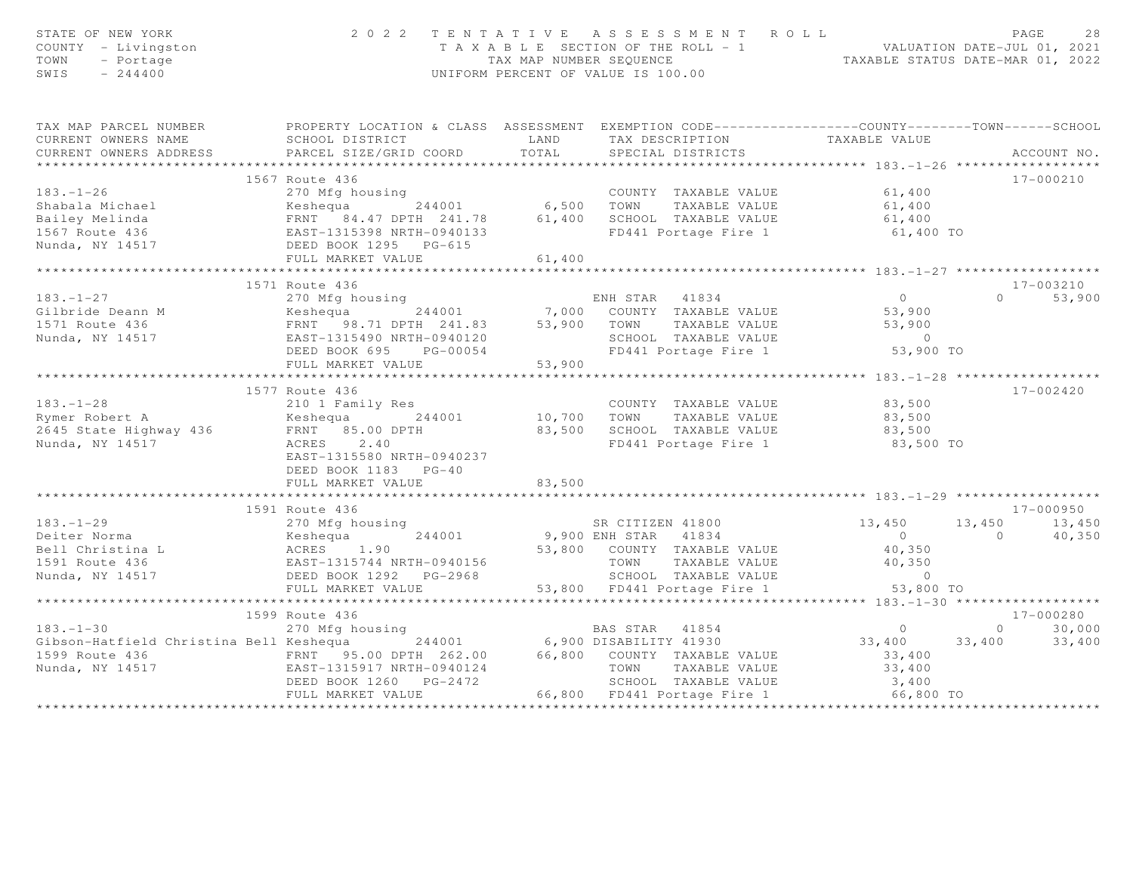| STATE OF NEW YORK<br>COUNTY - Livingston<br>TOWN<br>- Portage<br>SWIS<br>$-244400$                                                                                                                                                                       |                                                                                                    |                             | 2022 TENTATIVE ASSESSMENT ROLL<br>T A X A B L E SECTION OF THE ROLL - 1 VALUATION DATE-JUL 01, 2021<br>TAX MAP NUMBER SEQUENCE<br>UNIFORM PERCENT OF VALUE IS 100.00 |                      | PAGE            | 28          |
|----------------------------------------------------------------------------------------------------------------------------------------------------------------------------------------------------------------------------------------------------------|----------------------------------------------------------------------------------------------------|-----------------------------|----------------------------------------------------------------------------------------------------------------------------------------------------------------------|----------------------|-----------------|-------------|
| TAX MAP PARCEL NUMBER                                                                                                                                                                                                                                    | PROPERTY LOCATION & CLASS ASSESSMENT EXEMPTION CODE-----------------COUNTY--------TOWN------SCHOOL |                             |                                                                                                                                                                      |                      |                 |             |
| CURRENT OWNERS NAME                                                                                                                                                                                                                                      | <b>EXAMPLE AND</b><br>SCHOOL DISTRICT                                                              |                             | TAX DESCRIPTION TAXABLE VALUE                                                                                                                                        |                      |                 |             |
| CURRENT OWNERS ADDRESS                                                                                                                                                                                                                                   | PARCEL SIZE/GRID COORD TOTAL                                                                       |                             | SPECIAL DISTRICTS                                                                                                                                                    |                      |                 | ACCOUNT NO. |
|                                                                                                                                                                                                                                                          | 1567 Route 436                                                                                     |                             |                                                                                                                                                                      |                      |                 | 17-000210   |
| $183. - 1 - 26$                                                                                                                                                                                                                                          | 270 Mfg housing                                                                                    |                             | COUNTY TAXABLE VALUE                                                                                                                                                 | 61,400               |                 |             |
|                                                                                                                                                                                                                                                          |                                                                                                    |                             |                                                                                                                                                                      |                      |                 |             |
|                                                                                                                                                                                                                                                          |                                                                                                    |                             |                                                                                                                                                                      |                      |                 |             |
|                                                                                                                                                                                                                                                          |                                                                                                    |                             | FD441 Portage Fire 1 61,400 TO                                                                                                                                       |                      |                 |             |
| Shabala Michael (1,400 – 1,400 – 1,400 – 1,400 – 1,400 – 1,400 – 1,400 – 1,400 – 1,400 – 1,400 – 1,400 – 1,400<br>Bailey Melinda – FRNT 84.47 DPTH 241.78 – 61,400 SCHOOL TAXABLE VALUE – 61,400 – 61,400 – 1,400 – 1,400 – 1,40                         |                                                                                                    |                             |                                                                                                                                                                      |                      |                 |             |
|                                                                                                                                                                                                                                                          | FULL MARKET VALUE                                                                                  | 61,400                      |                                                                                                                                                                      |                      |                 |             |
|                                                                                                                                                                                                                                                          | *******************************                                                                    | * * * * * * * * * * * * * * |                                                                                                                                                                      |                      |                 |             |
|                                                                                                                                                                                                                                                          | 1571 Route 436                                                                                     |                             |                                                                                                                                                                      |                      |                 | 17-003210   |
|                                                                                                                                                                                                                                                          |                                                                                                    |                             | ENH STAR 41834                                                                                                                                                       | $\overline{0}$       | $\Omega$        | 53,900      |
|                                                                                                                                                                                                                                                          |                                                                                                    |                             |                                                                                                                                                                      | 53,900               |                 |             |
|                                                                                                                                                                                                                                                          |                                                                                                    |                             | TOWN      TAXABLE VALUE<br>SCHOOL   TAXABLE VALUE                                                                                                                    | 53,900               |                 |             |
|                                                                                                                                                                                                                                                          |                                                                                                    |                             |                                                                                                                                                                      |                      |                 |             |
| 183.-1-27<br>Cilbride Deann M<br>1571 Route 436<br>Nunda, NY 14517<br>1571 Route 436<br>28.71 DPTH 241.83<br>ERST-1315490 NRTH-0940120<br>DEED BOOK 695<br>FULL MARKET VALUE<br>FULL MARKET VALUE<br>253,900<br>244001<br>7,000 COUNTY TAXABLE VALUE<br> |                                                                                                    |                             | FD441 Portage Fire 1                                                                                                                                                 | 53,900 TO            |                 |             |
|                                                                                                                                                                                                                                                          | ********************************                                                                   |                             |                                                                                                                                                                      |                      |                 |             |
|                                                                                                                                                                                                                                                          | 1577 Route 436                                                                                     |                             |                                                                                                                                                                      |                      |                 | 17-002420   |
|                                                                                                                                                                                                                                                          |                                                                                                    |                             | COUNTY TAXABLE VALUE 83,500                                                                                                                                          |                      |                 |             |
|                                                                                                                                                                                                                                                          |                                                                                                    |                             |                                                                                                                                                                      |                      |                 |             |
| 183.-1-28<br>Rymer Robert A (2010) I Family Res<br>2645 State Highway 436 (ERNT 85.00 DPTH<br>Nunda NY 14517 (2010) 2010)                                                                                                                                |                                                                                                    |                             | 10,700 TOWN TAXABLE VALUE<br>83,500 SCHOOL TAXABLE VALUE                                                                                                             | 83,500<br>83,500     |                 |             |
| Nunda, NY 14517                                                                                                                                                                                                                                          | ACRES 2.40                                                                                         |                             | FD441 Portage Fire 1                                                                                                                                                 | 83,500 TO            |                 |             |
|                                                                                                                                                                                                                                                          | EAST-1315580 NRTH-0940237                                                                          |                             |                                                                                                                                                                      |                      |                 |             |
|                                                                                                                                                                                                                                                          | DEED BOOK 1183 PG-40                                                                               |                             |                                                                                                                                                                      |                      |                 |             |
|                                                                                                                                                                                                                                                          | FULL MARKET VALUE<br>*******************************                                               | 83,500                      |                                                                                                                                                                      |                      |                 |             |
|                                                                                                                                                                                                                                                          | 1591 Route 436                                                                                     |                             |                                                                                                                                                                      |                      |                 | 17-000950   |
| $183. - 1 - 29$                                                                                                                                                                                                                                          |                                                                                                    |                             | SR CITIZEN 41800 13,450                                                                                                                                              |                      | 13, 450 13, 450 |             |
|                                                                                                                                                                                                                                                          | 270 Mfg housing<br>Keshequa 244001<br>ACRES 1.90                                                   |                             |                                                                                                                                                                      | $\overline{0}$       | 0 $40,350$      |             |
|                                                                                                                                                                                                                                                          |                                                                                                    |                             |                                                                                                                                                                      | 40,350               |                 |             |
| Deiter Norma<br>Bell Christina Lace Messengua (1.90<br>1591 Route 436 (1.915744 NRTH-0940156)                                                                                                                                                            |                                                                                                    |                             |                                                                                                                                                                      | 40,350               |                 |             |
| Nunda, NY 14517                                                                                                                                                                                                                                          | DEED BOOK 1292 PG-2968                                                                             |                             |                                                                                                                                                                      |                      |                 |             |
|                                                                                                                                                                                                                                                          | FULL MARKET VALUE                                                                                  |                             | 9,900 ENH STAR 41834<br>53,800 COUNTY TAXABLE VALUE<br>TOWN TAXABLE VALUE<br>SCHOOL TAXABLE VALUE<br>53,800 FD441 Portage Fire 1                                     |                      |                 |             |
|                                                                                                                                                                                                                                                          |                                                                                                    |                             |                                                                                                                                                                      |                      |                 |             |
|                                                                                                                                                                                                                                                          | 1599 Route 436                                                                                     |                             |                                                                                                                                                                      |                      |                 | 17-000280   |
| $183 - 1 - 30$                                                                                                                                                                                                                                           | 270 Mfg housing                                                                                    |                             | BAS STAR 41854                                                                                                                                                       | $\overline{0}$       | $\overline{0}$  | 30,000      |
|                                                                                                                                                                                                                                                          |                                                                                                    |                             |                                                                                                                                                                      | 33,400 33,400 33,400 |                 |             |
|                                                                                                                                                                                                                                                          |                                                                                                    |                             |                                                                                                                                                                      | 33,400               |                 |             |
| Gibson-Hatfield Christina Bell Keshequa and 244001 6,900 DISABILITY 41930<br>1599 Route 436 FRNT 95.00 DPTH 262.00 66,800 COUNTY TAXABLE VALUE<br>Nunda, NY 14517 EAST-1315917 NRTH-0940124 TOWN TAXABLE VALUE<br>DEED BOOK 1260 PG-247                  |                                                                                                    |                             | TAXABLE VALUE                                                                                                                                                        | $33,400$<br>$3,400$  |                 |             |
|                                                                                                                                                                                                                                                          |                                                                                                    |                             |                                                                                                                                                                      | $66,800$ TO          |                 |             |
|                                                                                                                                                                                                                                                          | FULL MARKET VALUE                                                                                  |                             |                                                                                                                                                                      |                      |                 |             |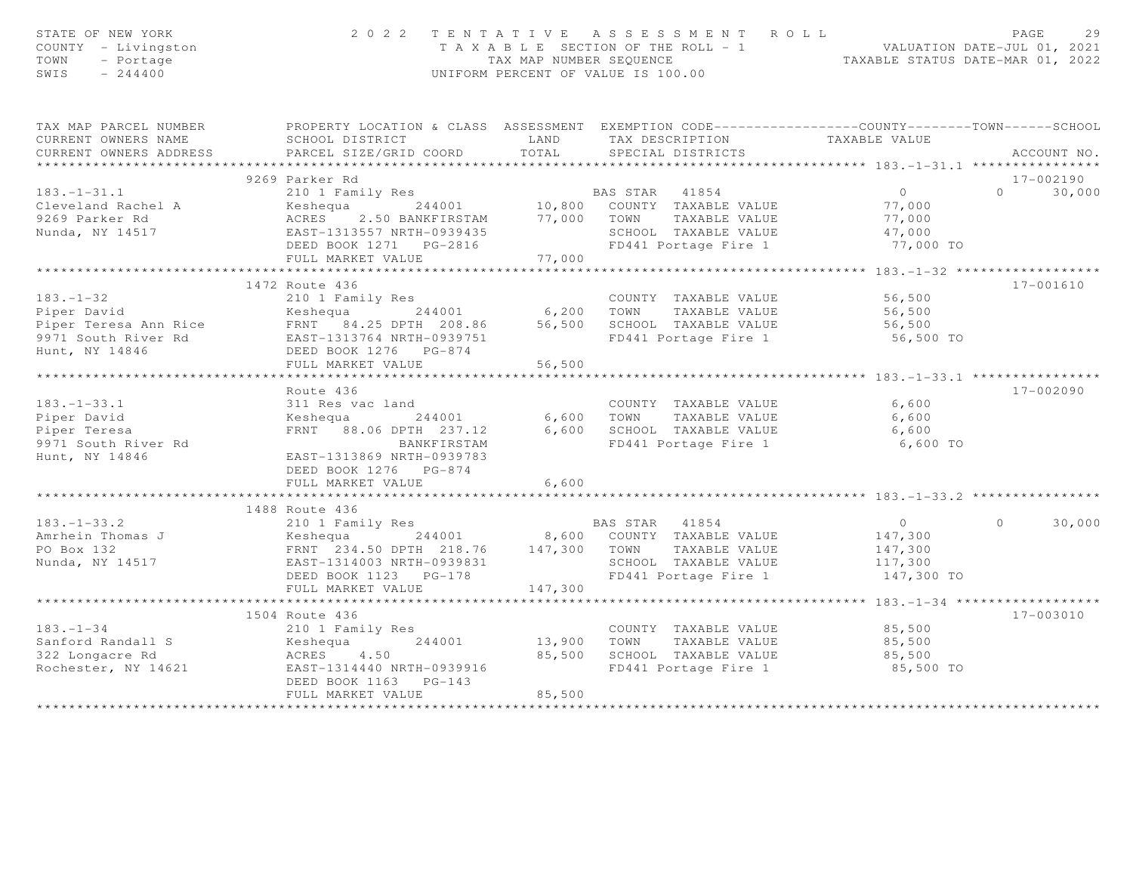| STATE OF NEW YORK<br>COUNTY - Livingston<br>TOWN<br>- Portage<br>$-244400$<br>SWIS                                                                                                          | 2 0 2 2                                                                                                                                   |                           | TENTATIVE ASSESSMENT ROLL<br>T A X A B L E SECTION OF THE ROLL - 1 VALUATION DATE-JUL 01, 2021<br>TAX MAP NUMBER SEQUENCE<br>UNIFORM PERCENT OF VALUE IS 100.00 |                                              | PAGE<br>29        |
|---------------------------------------------------------------------------------------------------------------------------------------------------------------------------------------------|-------------------------------------------------------------------------------------------------------------------------------------------|---------------------------|-----------------------------------------------------------------------------------------------------------------------------------------------------------------|----------------------------------------------|-------------------|
| TAX MAP PARCEL NUMBER                                                                                                                                                                       | PROPERTY LOCATION & CLASS ASSESSMENT EXEMPTION CODE----------------COUNTY-------TOWN------SCHOOL                                          |                           |                                                                                                                                                                 |                                              |                   |
| CURRENT OWNERS NAME                                                                                                                                                                         | SCHOOL DISTRICT                                                                                                                           | LAND                      | TAX DESCRIPTION TAXABLE VALUE<br>SPECIAL DISTRICTS                                                                                                              |                                              |                   |
| CURRENT OWNERS ADDRESS                                                                                                                                                                      | PARCEL SIZE/GRID COORD                                                                                                                    | TOTAL                     |                                                                                                                                                                 |                                              | ACCOUNT NO.       |
|                                                                                                                                                                                             | 9269 Parker Rd                                                                                                                            |                           |                                                                                                                                                                 |                                              | 17-002190         |
| $183. - 1 - 31.1$                                                                                                                                                                           | EALLER NUMBER 10,800 ENS TAR 41854<br>Keshequa 244001 10,800 COUNTY TAXABLE VALUE<br>ACRES 2.50 BANKFIRSTAM 77,000 TOWN TAXABLE VALUE     |                           |                                                                                                                                                                 | $\overline{0}$                               | 30,000<br>$\cap$  |
| Cleveland Rachel A                                                                                                                                                                          |                                                                                                                                           |                           |                                                                                                                                                                 |                                              |                   |
| 9269 Parker Rd                                                                                                                                                                              |                                                                                                                                           |                           |                                                                                                                                                                 | 77,000<br>77,000                             |                   |
| Nunda, NY 14517                                                                                                                                                                             | ACRES 2.50 BANKFIRSTAM<br>EAST-1313557 NRTH-0939435                                                                                       |                           | SCHOOL TAXABLE VALUE                                                                                                                                            | 47,000                                       |                   |
|                                                                                                                                                                                             |                                                                                                                                           |                           | FD441 Portage Fire 1                                                                                                                                            | 77,000 TO                                    |                   |
|                                                                                                                                                                                             | FULL MARKET VALUE                                                                                                                         | 77,000                    |                                                                                                                                                                 |                                              |                   |
|                                                                                                                                                                                             | **************************                                                                                                                | * * * * * * * * * * * * * |                                                                                                                                                                 | *************** 183.-1-32 ****************** |                   |
|                                                                                                                                                                                             | 1472 Route 436                                                                                                                            |                           |                                                                                                                                                                 |                                              | 17-001610         |
| $183. - 1 - 32$                                                                                                                                                                             | 210 1 Family Res                                                                                                                          |                           | COUNTY TAXABLE VALUE                                                                                                                                            | 56,500<br>56,500                             |                   |
|                                                                                                                                                                                             |                                                                                                                                           |                           | TAXABLE VALUE                                                                                                                                                   |                                              |                   |
|                                                                                                                                                                                             |                                                                                                                                           |                           | SCHOOL TAXABLE VALUE                                                                                                                                            | 56,500                                       |                   |
| Piper David<br>Piper Teresa Ann Rice<br>Piper Teresa Ann Rice<br>Piper Teresa Ann Rice<br>Piper Teresa Ann Rice<br>EAST-1313764 NRTH-0939751<br>ED441<br>EAST-1313764 NRTH-0939751<br>FD441 |                                                                                                                                           |                           | FD441 Portage Fire 1 56,500 TO                                                                                                                                  |                                              |                   |
| Hunt, NY 14846                                                                                                                                                                              | DEED BOOK 1276 PG-874                                                                                                                     |                           |                                                                                                                                                                 |                                              |                   |
|                                                                                                                                                                                             | FULL MARKET VALUE<br>***********************                                                                                              | 56,500                    |                                                                                                                                                                 |                                              |                   |
|                                                                                                                                                                                             | Route 436                                                                                                                                 |                           |                                                                                                                                                                 |                                              | 17-002090         |
| $183. - 1 - 33.1$                                                                                                                                                                           | 311 Res vac land                                                                                                                          |                           | COUNTY TAXABLE VALUE                                                                                                                                            | 6,600                                        |                   |
| Piper David                                                                                                                                                                                 | Keshequa<br>244001                                                                                                                        |                           |                                                                                                                                                                 | 6,600                                        |                   |
| Piper Teresa                                                                                                                                                                                | FRNT 88.06 DPTH 237.12                                                                                                                    |                           | 6,600    TOWN      TAXABLE VALUE<br>6,600    SCHOOL   TAXABLE VALUE                                                                                             | 6,600                                        |                   |
| 9971 South River Rd                                                                                                                                                                         | BANKFIRSTAM                                                                                                                               |                           | FD441 Portage Fire 1                                                                                                                                            | 6,600 TO                                     |                   |
| Hunt, NY 14846                                                                                                                                                                              | EAST-1313869 NRTH-0939783                                                                                                                 |                           |                                                                                                                                                                 |                                              |                   |
|                                                                                                                                                                                             | DEED BOOK 1276 PG-874                                                                                                                     |                           |                                                                                                                                                                 |                                              |                   |
|                                                                                                                                                                                             | FULL MARKET VALUE                                                                                                                         | 6,600                     |                                                                                                                                                                 |                                              |                   |
|                                                                                                                                                                                             |                                                                                                                                           |                           |                                                                                                                                                                 |                                              |                   |
|                                                                                                                                                                                             | 1488 Route 436                                                                                                                            |                           |                                                                                                                                                                 |                                              |                   |
| $183. - 1 - 33.2$                                                                                                                                                                           | 210 1 Family Res<br>EAS TAR 41854<br>ERNT 234.50 DPTH 218.76 147,300 TOWN TAXABLE VALUE<br>EAST-1314003 NRTH-0939831 SCHOOL TAXABLE VALUE |                           |                                                                                                                                                                 | $\overline{0}$                               | 30,000<br>$\circ$ |
| Amrhein Thomas J<br>PO Box 132                                                                                                                                                              |                                                                                                                                           |                           |                                                                                                                                                                 | 147,300                                      |                   |
|                                                                                                                                                                                             |                                                                                                                                           |                           |                                                                                                                                                                 | 147,300                                      |                   |
| Nunda, NY 14517                                                                                                                                                                             |                                                                                                                                           |                           | SCHOOL TAXABLE VALUE<br>FD441 Portage Fire 1                                                                                                                    | 117,300                                      |                   |
|                                                                                                                                                                                             | DEED BOOK 1123 PG-178                                                                                                                     |                           | FD441 Portage Fire 1                                                                                                                                            | 147,300 TO                                   |                   |
|                                                                                                                                                                                             | FULL MARKET VALUE                                                                                                                         | 147,300                   |                                                                                                                                                                 |                                              |                   |
|                                                                                                                                                                                             |                                                                                                                                           |                           |                                                                                                                                                                 |                                              |                   |
| $183 - 1 - 34$                                                                                                                                                                              | 1504 Route 436<br>210 1 Family Res                                                                                                        |                           | COUNTY TAXABLE VALUE                                                                                                                                            | 85,500                                       | 17-003010         |
| Sanford Randall S                                                                                                                                                                           |                                                                                                                                           | 3<br>244001 13,900 TOWN   |                                                                                                                                                                 | TAXABLE VALUE 85,500                         |                   |
| 322 Longacre Rd                                                                                                                                                                             | Keshequa<br>ACRES 4.50                                                                                                                    |                           | 85,500 SCHOOL TAXABLE VALUE                                                                                                                                     | 85,500                                       |                   |
| Rochester, NY 14621                                                                                                                                                                         | EAST-1314440 NRTH-0939916                                                                                                                 |                           | FD441 Portage Fire 1                                                                                                                                            | 85,500 TO                                    |                   |
|                                                                                                                                                                                             | DEED BOOK 1163 PG-143                                                                                                                     |                           |                                                                                                                                                                 |                                              |                   |
|                                                                                                                                                                                             | FULL MARKET VALUE                                                                                                                         | 85,500                    |                                                                                                                                                                 |                                              |                   |
|                                                                                                                                                                                             |                                                                                                                                           |                           |                                                                                                                                                                 |                                              |                   |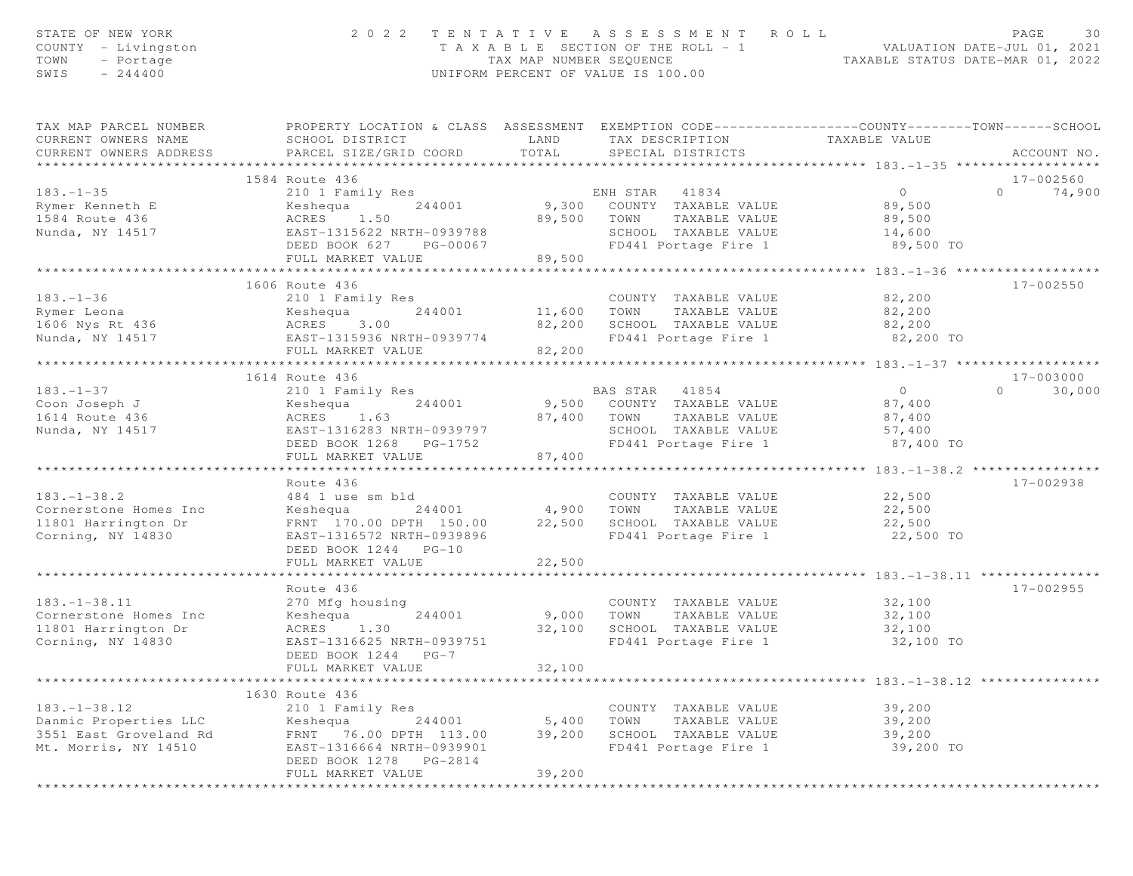| STATE OF NEW YORK<br>COUNTY - Livingston<br>- Portage<br>TOWN<br>SWIS<br>$-244400$                  |                                                                                                                                                                   |                             | 2022 TENTATIVE ASSESSMENT ROLL<br>UNIFORM PERCENT OF VALUE IS 100.00                                                                                                    | PAGE<br>30<br>T A X A B L E SECTION OF THE ROLL - 1 VALUATION DATE-JUL 01, 2021<br>TAX MAP NUMBER SEQUENCE TAXABLE STATUS DATE-MAR 01, 2022 |
|-----------------------------------------------------------------------------------------------------|-------------------------------------------------------------------------------------------------------------------------------------------------------------------|-----------------------------|-------------------------------------------------------------------------------------------------------------------------------------------------------------------------|---------------------------------------------------------------------------------------------------------------------------------------------|
| TAX MAP PARCEL NUMBER<br>CURRENT OWNERS NAME<br>CURRENT OWNERS ADDRESS                              | SCHOOL DISTRICT<br>PARCEL SIZE/GRID COORD                                                                                                                         | TOTAL                       | LAND TAX DESCRIPTION<br>SPECIAL DISTRICTS                                                                                                                               | PROPERTY LOCATION & CLASS ASSESSMENT EXEMPTION CODE----------------COUNTY-------TOWN------SCHOOL<br>TAXABLE VALUE<br>ACCOUNT NO.            |
|                                                                                                     | 1584 Route 436                                                                                                                                                    |                             |                                                                                                                                                                         | 17-002560                                                                                                                                   |
| $183. - 1 - 35$                                                                                     | 210 1 Family Res                                                                                                                                                  |                             | ENH STAR 41834                                                                                                                                                          | $\overline{0}$<br>$\Omega$<br>74,900                                                                                                        |
| Rymer Kenneth E<br>1584 Route 436<br>Nunda, NY 14517                                                | ACRES 1.50<br>EAST-1315622 NRTH-0939788<br>DEED BOOK 627 PG-00067<br>FULL MARKET VALUE                                                                            | 89,500                      | Keshequa 244001 9,300 COUNTY TAXABLE VALUE 89,500<br>89,500 TOWN TAXABLE VALUE<br>SCHOOL TAXABLE VALUE 14,600<br>FD441 Portage Fire 1                                   | 89,500<br>89,500 TO                                                                                                                         |
|                                                                                                     |                                                                                                                                                                   |                             |                                                                                                                                                                         |                                                                                                                                             |
| $183. - 1 - 36$<br>Example 1606 Nys Rt 436<br>Nunda, NY 14517<br>Nunda, NY 14517<br>Nunda, NY 14517 | 1606 Route 436<br>210 1 Family Res<br>Keshequa 244001<br>EAST-1315936 NRTH-0939774<br>FULL MARKET VALUE                                                           | 82,200                      | COUNTY TAXABLE VALUE<br>11,600 TOWN TAXABLE VALUE<br>COUNTY TAXABLE VALUE<br>82,200 SCHOOL TAXABLE VALUE 62,200<br>FD441 Portage Fire 1                                 | 17-002550<br>82,200<br>82,200<br>82,200 TO                                                                                                  |
|                                                                                                     |                                                                                                                                                                   |                             |                                                                                                                                                                         |                                                                                                                                             |
| $183. - 1 - 37$<br>Coon Joseph J<br>1614 Route 436<br>Nunda, NY 14517                               | 1614 Route 436<br>210 1 Family Res<br>Keshequa 244001<br>ACRES 1.63<br>EAST-1316283 NRTH-0939797<br>DEED BOOK 1268 PG-1752<br>FULL MARKET VALUE                   | 87,400                      | BAS STAR 41854<br>9,500 COUNTY TAXABLE VALUE 67,400<br>87,400 TOWN TAXABLE VALUE<br>SCHOOL TAXABLE VALUE<br>FD441 Portage Fire 1 87,400 TO                              | 17-003000<br>$\overline{0}$<br>30,000<br>$\Omega$<br>87,400<br>57,400                                                                       |
|                                                                                                     |                                                                                                                                                                   |                             |                                                                                                                                                                         |                                                                                                                                             |
| $183. - 1 - 38.2$<br>Cornerstone Homes Inc<br>11801 Harrington Dr<br>Corning, NY 14830              | Route 436<br>484 1 use sm bld<br>EAST-1316572 NRTH-0939896<br>DEED BOOK 1244 PG-10                                                                                |                             | COUNTY TAXABLE VALUE<br>EXAMPLE VALUE<br>Keshequa 244001 4,900 TOWN TAXABLE VALUE<br>FRNT 170.00 DPTH 150.00 22,500 SCHOOL TAXABLE VALUE 22,500<br>FD441 Portage Fire 1 | 17-002938<br>22,500<br>22,500<br>22,500 TO                                                                                                  |
|                                                                                                     | FULL MARKET VALUE                                                                                                                                                 | 22,500                      |                                                                                                                                                                         |                                                                                                                                             |
| $183. - 1 - 38.11$<br>Cornerstone Homes Inc<br>11801 Harrington Dr<br>Corning, NY 14830             | Route 436<br>270 Mfg housing<br>244001<br>Keshequa<br>ACRES 1.30<br>EAST-1316625 NRTH-0939751<br>DEED BOOK 1244 PG-7<br>FULL MARKET VALUE                         | 9,000<br>32,100<br>32,100   | COUNTY TAXABLE VALUE<br>TOWN<br>TAXABLE VALUE<br>SCHOOL TAXABLE VALUE<br>FD441 Portage Fire 1                                                                           | 17-002955<br>32,100<br>32,100<br>32,100<br>32,100 TO                                                                                        |
|                                                                                                     |                                                                                                                                                                   | * * * * * * * * * * * * * * |                                                                                                                                                                         | *************** 183.-1-38.12 ****************                                                                                               |
| $183. - 1 - 38.12$<br>Danmic Properties LLC<br>3551 East Groveland Rd<br>Mt. Morris, NY 14510       | 1630 Route 436<br>210 1 Family Res<br>244001<br>Keshequa<br>FRNT<br>76.00 DPTH 113.00<br>EAST-1316664 NRTH-0939901<br>DEED BOOK 1278 PG-2814<br>FULL MARKET VALUE | 5,400<br>39,200<br>39,200   | COUNTY TAXABLE VALUE<br>TOWN<br>TAXABLE VALUE<br>SCHOOL TAXABLE VALUE<br>FD441 Portage Fire 1                                                                           | 39,200<br>39,200<br>39,200<br>39,200 TO                                                                                                     |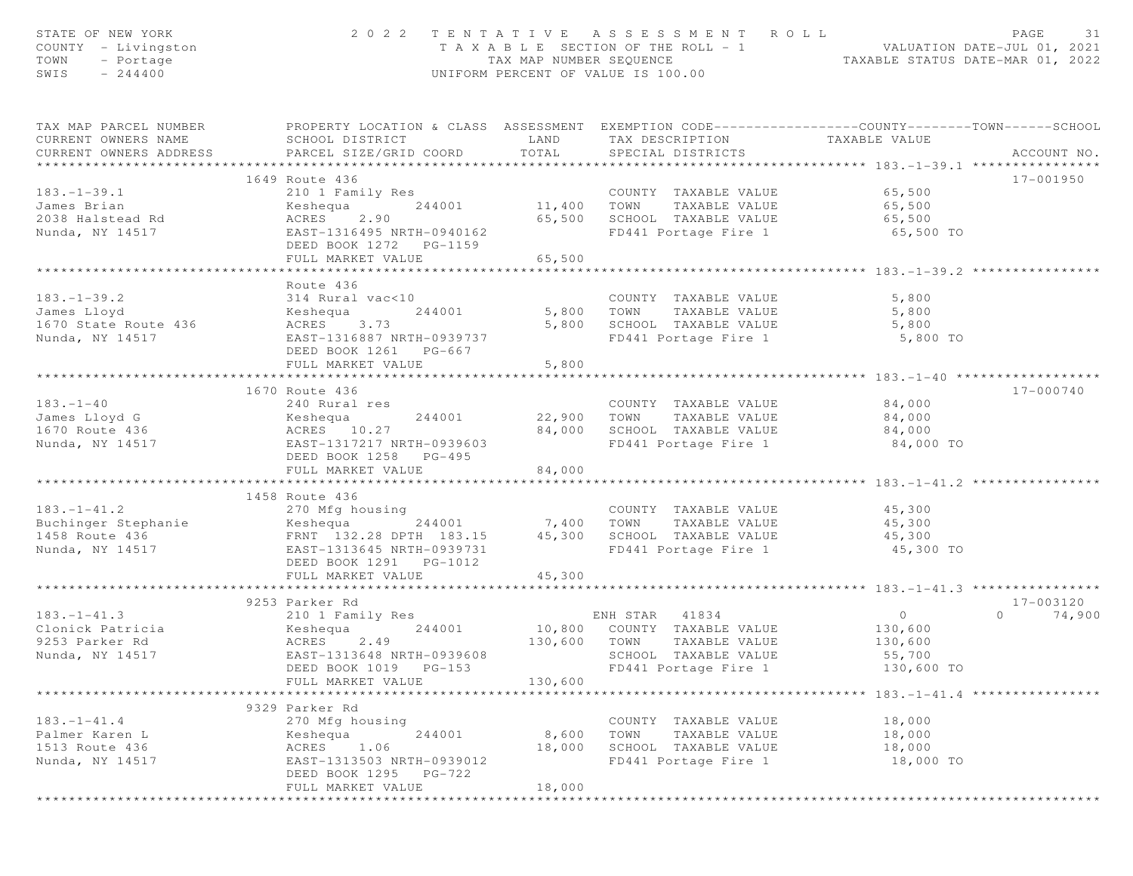| STATE OF NEW YORK<br>COUNTY - Livingston<br>TOWN<br>- Portage<br>$-244400$<br>SWIS |                                                      | TAX MAP NUMBER SEQUENCE | 2022 TENTATIVE ASSESSMENT ROLL<br>T A X A B L E SECTION OF THE ROLL - 1<br>UNIFORM PERCENT OF VALUE IS 100.00                            | ROLL - 1<br>TAXABLE STATUS DATE-MAR 01, 2022<br>TAXABLE STATUS DATE-MAR 01, 2022 | PAGE<br>31        |
|------------------------------------------------------------------------------------|------------------------------------------------------|-------------------------|------------------------------------------------------------------------------------------------------------------------------------------|----------------------------------------------------------------------------------|-------------------|
| TAX MAP PARCEL NUMBER<br>CURRENT OWNERS NAME<br>CURRENT OWNERS ADDRESS             | SCHOOL DISTRICT<br>PARCEL SIZE/GRID COORD            | LAND<br>TOTAL           | PROPERTY LOCATION & CLASS ASSESSMENT EXEMPTION CODE----------------COUNTY-------TOWN------SCHOOL<br>TAX DESCRIPTION<br>SPECIAL DISTRICTS | TAXABLE VALUE                                                                    | ACCOUNT NO.       |
|                                                                                    |                                                      |                         |                                                                                                                                          |                                                                                  |                   |
|                                                                                    | 1649 Route 436                                       |                         |                                                                                                                                          |                                                                                  | 17-001950         |
| $183. - 1 - 39.1$<br>James Brian                                                   | 210 1 Family Res<br>244001                           | 11,400 TOWN             | COUNTY TAXABLE VALUE<br>TAXABLE VALUE                                                                                                    | 65,500<br>65,500                                                                 |                   |
| 2038 Halstead Rd                                                                   | Keshequa<br>ACRES 2.90                               | 65,500                  | SCHOOL TAXABLE VALUE                                                                                                                     | 65,500                                                                           |                   |
| Nunda, NY 14517                                                                    | EAST-1316495 NRTH-0940162                            |                         | FD441 Portage Fire 1                                                                                                                     | 65,500 TO                                                                        |                   |
|                                                                                    | DEED BOOK 1272 PG-1159                               |                         |                                                                                                                                          |                                                                                  |                   |
|                                                                                    | FULL MARKET VALUE                                    | 65,500                  |                                                                                                                                          |                                                                                  |                   |
|                                                                                    | *******************                                  | **********              |                                                                                                                                          | ******************** 183.-1-39.2 ****                                            |                   |
|                                                                                    | Route 436                                            |                         |                                                                                                                                          |                                                                                  |                   |
| $183. - 1 - 39.2$                                                                  | 314 Rural vac<10                                     |                         | COUNTY TAXABLE VALUE                                                                                                                     | 5,800                                                                            |                   |
| James Lloyd                                                                        | 244001<br>Keshequa                                   |                         | 5,800 TOWN<br>TAXABLE VALUE                                                                                                              | 5,800                                                                            |                   |
| 1670 State Route 436                                                               | ACRES 3.73                                           | 5,800                   | SCHOOL TAXABLE VALUE                                                                                                                     | 5,800                                                                            |                   |
| Nunda, NY 14517                                                                    | EAST-1316887 NRTH-0939737                            |                         | FD441 Portage Fire 1                                                                                                                     | 5,800 TO                                                                         |                   |
|                                                                                    | DEED BOOK 1261 PG-667<br>FULL MARKET VALUE           | 5,800                   |                                                                                                                                          |                                                                                  |                   |
|                                                                                    |                                                      |                         |                                                                                                                                          |                                                                                  |                   |
|                                                                                    | 1670 Route 436                                       |                         |                                                                                                                                          |                                                                                  | 17-000740         |
| $183. - 1 - 40$                                                                    | 240 Rural res                                        |                         | COUNTY TAXABLE VALUE                                                                                                                     | 84,000                                                                           |                   |
| James Lloyd G                                                                      | Keshequa<br>244001                                   | 22,900                  | TOWN<br>TAXABLE VALUE                                                                                                                    | 84,000                                                                           |                   |
| 1670 Route 436                                                                     | ACRES 10.27                                          | 84,000                  | SCHOOL TAXABLE VALUE                                                                                                                     | 84,000                                                                           |                   |
| Nunda, NY 14517                                                                    | EAST-1317217 NRTH-0939603                            |                         | FD441 Portage Fire 1                                                                                                                     | 84,000 TO                                                                        |                   |
|                                                                                    | DEED BOOK 1258 PG-495                                |                         |                                                                                                                                          |                                                                                  |                   |
|                                                                                    | FULL MARKET VALUE                                    | 84,000                  |                                                                                                                                          |                                                                                  |                   |
|                                                                                    |                                                      |                         |                                                                                                                                          |                                                                                  |                   |
|                                                                                    | 1458 Route 436                                       |                         |                                                                                                                                          |                                                                                  |                   |
| $183. - 1 - 41.2$                                                                  | 270 Mfg housing                                      |                         | COUNTY TAXABLE VALUE                                                                                                                     | 45,300                                                                           |                   |
| Buchinger Stephanie                                                                | Keshequa<br>244001                                   | 7,400                   | TAXABLE VALUE<br>TOWN<br>SCHOOL TAXABLE VALUE                                                                                            | 45,300                                                                           |                   |
| 1458 Route 436<br>Nunda, NY 14517                                                  | FRNT 132.28 DPTH 183.15<br>EAST-1313645 NRTH-0939731 | 45,300                  | FD441 Portage Fire 1                                                                                                                     | 45,300<br>45,300 TO                                                              |                   |
|                                                                                    | DEED BOOK 1291 PG-1012                               |                         |                                                                                                                                          |                                                                                  |                   |
|                                                                                    | FULL MARKET VALUE                                    | 45,300                  |                                                                                                                                          |                                                                                  |                   |
|                                                                                    | ************************                             |                         |                                                                                                                                          | ********************* 183.-1-41.3 *********                                      |                   |
|                                                                                    | 9253 Parker Rd                                       |                         |                                                                                                                                          |                                                                                  | 17-003120         |
| $183. - 1 - 41.3$                                                                  | 210 1 Family Res                                     |                         | ENH STAR<br>41834                                                                                                                        | $\circ$                                                                          | $\circ$<br>74,900 |
| Clonick Patricia                                                                   | 244001<br>Keshequa                                   | 10,800                  | COUNTY TAXABLE VALUE                                                                                                                     | 130,600                                                                          |                   |
| 9253 Parker Rd                                                                     | ACRES<br>2.49                                        | 130,600                 | TOWN<br>TAXABLE VALUE                                                                                                                    | 130,600                                                                          |                   |
| Nunda, NY 14517                                                                    | EAST-1313648 NRTH-0939608                            |                         | SCHOOL TAXABLE VALUE                                                                                                                     | 55,700                                                                           |                   |
|                                                                                    | DEED BOOK 1019<br>$PG-153$                           |                         | FD441 Portage Fire 1                                                                                                                     | 130,600 TO                                                                       |                   |
|                                                                                    | FULL MARKET VALUE                                    | 130,600                 | ·********************************** 183.-1-41.4 *****************                                                                        |                                                                                  |                   |
|                                                                                    | 9329 Parker Rd                                       |                         |                                                                                                                                          |                                                                                  |                   |
| $183. - 1 - 41.4$                                                                  | 270 Mfg housing                                      |                         | COUNTY TAXABLE VALUE                                                                                                                     | 18,000                                                                           |                   |
| Palmer Karen L                                                                     | 244001<br>Keshequa                                   | 8,600                   | TOWN<br>TAXABLE VALUE                                                                                                                    | 18,000                                                                           |                   |
| 1513 Route 436                                                                     | 1.06<br>ACRES                                        | 18,000                  | SCHOOL TAXABLE VALUE                                                                                                                     | 18,000                                                                           |                   |
| Nunda, NY 14517                                                                    | EAST-1313503 NRTH-0939012                            |                         | FD441 Portage Fire 1                                                                                                                     | 18,000 TO                                                                        |                   |
|                                                                                    | DEED BOOK 1295 PG-722                                |                         |                                                                                                                                          |                                                                                  |                   |
|                                                                                    | FULL MARKET VALUE                                    | 18,000                  |                                                                                                                                          |                                                                                  |                   |
|                                                                                    |                                                      |                         |                                                                                                                                          |                                                                                  |                   |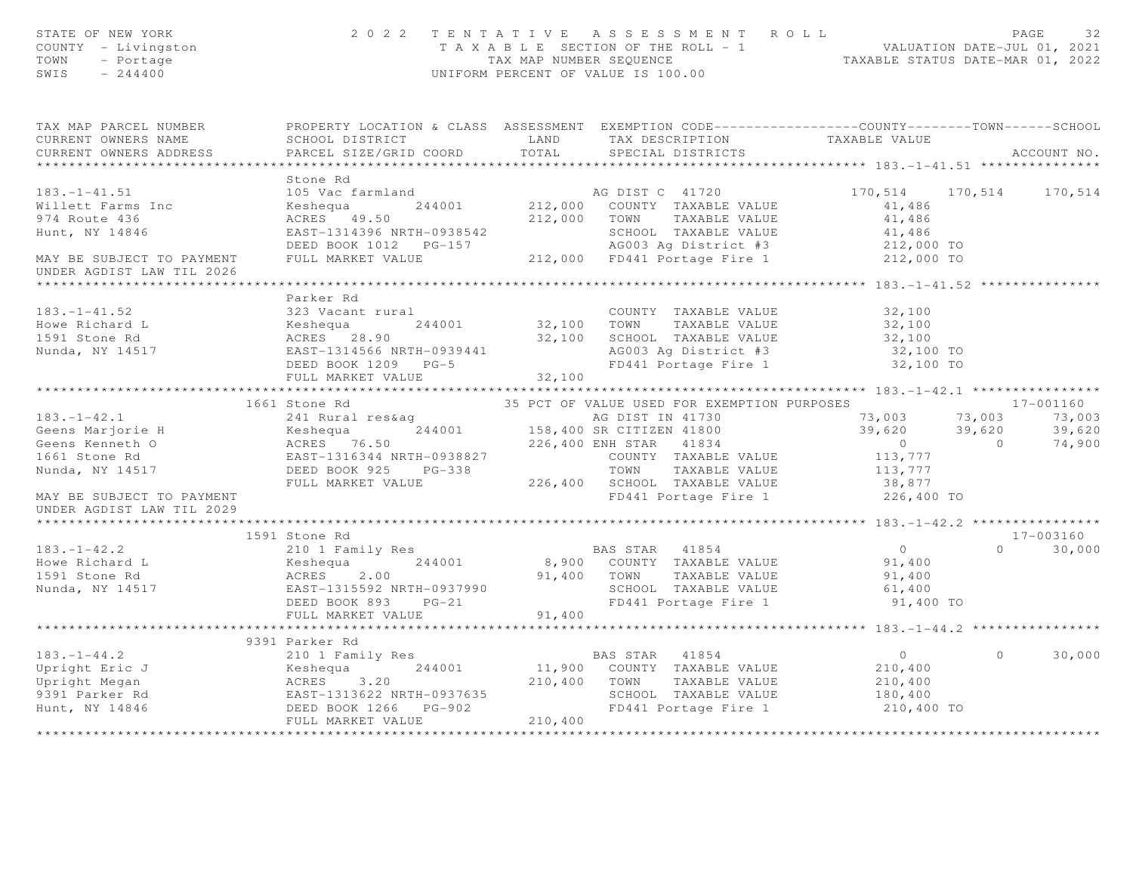| STATE OF NEW YORK<br>COUNTY - Livingston<br>TOWN<br>- Portage<br>$SWIS = 244400$                                                                                                                                                                   |                                                                                                                             | 2022 TENTATIVE ASSESSMENT ROLL<br>TAXABLE SECTION OF THE ROLL - 1<br>TAXABLE SECTION OF THE ROLL - 1<br>TAXABLE STATUS DATE-JUL 01, 2021<br>UNIFORM PERCENT OF VALUE IS 100.00 |                  |         |                            |
|----------------------------------------------------------------------------------------------------------------------------------------------------------------------------------------------------------------------------------------------------|-----------------------------------------------------------------------------------------------------------------------------|--------------------------------------------------------------------------------------------------------------------------------------------------------------------------------|------------------|---------|----------------------------|
| TAX MAP PARCEL NUMBER PROPERTY LOCATION & CLASS ASSESSMENT EXEMPTION CODE----------------COUNTY-------TOWN------SCHOOL<br>CURRENT OWNERS NAME                                                                                                      |                                                                                                                             |                                                                                                                                                                                |                  |         |                            |
|                                                                                                                                                                                                                                                    | SCHOOL DISTRICT THE TRANSPORT TAX DESCRIPTION TAXABLE VALUE<br>PARCEL SIZE/GRID COORD TOTAL SPECIAL DISTRICTS TAXABLE VALUE |                                                                                                                                                                                |                  |         | ACCOUNT NO.                |
|                                                                                                                                                                                                                                                    |                                                                                                                             |                                                                                                                                                                                |                  |         |                            |
|                                                                                                                                                                                                                                                    | Stone Rd                                                                                                                    |                                                                                                                                                                                |                  |         |                            |
| $183. - 1 - 41.51$                                                                                                                                                                                                                                 |                                                                                                                             |                                                                                                                                                                                |                  |         |                            |
| Willett Farms Inc                                                                                                                                                                                                                                  |                                                                                                                             |                                                                                                                                                                                |                  |         |                            |
|                                                                                                                                                                                                                                                    |                                                                                                                             |                                                                                                                                                                                |                  |         |                            |
|                                                                                                                                                                                                                                                    |                                                                                                                             |                                                                                                                                                                                |                  |         |                            |
|                                                                                                                                                                                                                                                    |                                                                                                                             |                                                                                                                                                                                |                  |         |                            |
|                                                                                                                                                                                                                                                    |                                                                                                                             |                                                                                                                                                                                |                  |         |                            |
| 974 Route 436<br>Hunt, NY 14846<br>Hunt, NY 14846<br>MAY BE SUBJECT TO PAYMENT FULL MARKET VALUE PG-157 MAY BE SUBJECT TO PAYMENT FULL MARKET VALUE<br>TO PAYMENT FULL MARKET VALUE 212,000 FD441 Portage Fire 1 212,000 TO<br>TO PAY              |                                                                                                                             |                                                                                                                                                                                |                  |         |                            |
|                                                                                                                                                                                                                                                    |                                                                                                                             |                                                                                                                                                                                |                  |         |                            |
|                                                                                                                                                                                                                                                    | Parker Rd                                                                                                                   |                                                                                                                                                                                |                  |         |                            |
|                                                                                                                                                                                                                                                    |                                                                                                                             |                                                                                                                                                                                |                  |         |                            |
|                                                                                                                                                                                                                                                    |                                                                                                                             |                                                                                                                                                                                |                  |         |                            |
|                                                                                                                                                                                                                                                    |                                                                                                                             |                                                                                                                                                                                |                  |         |                            |
|                                                                                                                                                                                                                                                    |                                                                                                                             |                                                                                                                                                                                |                  |         |                            |
| 183.-1-41.52<br>Howe Richard L<br>Howe Richard L<br>1591 Stone Rd<br>Nunda, NY 14517 200 EAST-1314566 NRTH-0939441<br>EAST-1314566 NRTH-0939441<br>DEED BOOK 1209 PG-5<br>FULL MARKET VALUE<br>FULL MARKET VALUE<br>FULL MARKET VALUE<br>FULL MARK |                                                                                                                             |                                                                                                                                                                                |                  |         |                            |
|                                                                                                                                                                                                                                                    |                                                                                                                             |                                                                                                                                                                                |                  |         |                            |
| 1661 Stone Rd 1661 Stone Rd 1661 Stone Rd 244001<br>241 Rural res&ag 244001<br>226,400 ENR TAXABLE VALUE<br>226,400 ENR TAXABLE VALUE<br>226,400 ENR TAXABLE VALUE<br>226,400 ENR TAXABLE VALUE<br>226,400 ENR TAXABLE VALUE<br>226,400 SPAC       |                                                                                                                             |                                                                                                                                                                                |                  |         |                            |
|                                                                                                                                                                                                                                                    |                                                                                                                             |                                                                                                                                                                                |                  |         |                            |
|                                                                                                                                                                                                                                                    |                                                                                                                             |                                                                                                                                                                                |                  |         |                            |
|                                                                                                                                                                                                                                                    |                                                                                                                             |                                                                                                                                                                                |                  |         |                            |
|                                                                                                                                                                                                                                                    |                                                                                                                             |                                                                                                                                                                                |                  |         |                            |
|                                                                                                                                                                                                                                                    |                                                                                                                             |                                                                                                                                                                                |                  |         |                            |
|                                                                                                                                                                                                                                                    |                                                                                                                             |                                                                                                                                                                                |                  |         |                            |
| MAY BE SUBJECT TO PAYMENT                                                                                                                                                                                                                          |                                                                                                                             | FD441 Portage Fire 1                                                                                                                                                           | 226,400 TO       |         |                            |
| UNDER AGDIST LAW TIL 2029                                                                                                                                                                                                                          |                                                                                                                             |                                                                                                                                                                                |                  |         |                            |
|                                                                                                                                                                                                                                                    |                                                                                                                             |                                                                                                                                                                                |                  |         |                            |
|                                                                                                                                                                                                                                                    | 1591 Stone Rd                                                                                                               |                                                                                                                                                                                |                  |         | 17-003160<br>$0 \t 30,000$ |
|                                                                                                                                                                                                                                                    |                                                                                                                             |                                                                                                                                                                                | $0$<br>91,400    |         |                            |
|                                                                                                                                                                                                                                                    |                                                                                                                             |                                                                                                                                                                                |                  |         |                            |
|                                                                                                                                                                                                                                                    |                                                                                                                             |                                                                                                                                                                                | 91,400<br>61,400 |         |                            |
|                                                                                                                                                                                                                                                    |                                                                                                                             |                                                                                                                                                                                | 91,400 TO        |         |                            |
| 183.-1-42.2<br>2001 Family Res<br>Howe Richard L<br>2001 Family Res<br>2000 893 PG-21<br>2000 91,400 TOWN TAXABLE VALUE<br>2000 91,400 TOWN TAXABLE VALUE<br>2000 5000 EAST-1315592 NRTH-0937990<br>2000 FD441 Portage Fire 1<br>201,400 FD441 P   |                                                                                                                             |                                                                                                                                                                                |                  |         |                            |
|                                                                                                                                                                                                                                                    |                                                                                                                             |                                                                                                                                                                                |                  |         |                            |
|                                                                                                                                                                                                                                                    | 9391 Parker Rd                                                                                                              |                                                                                                                                                                                |                  |         |                            |
|                                                                                                                                                                                                                                                    |                                                                                                                             |                                                                                                                                                                                |                  | $\circ$ | 30,000                     |
|                                                                                                                                                                                                                                                    |                                                                                                                             |                                                                                                                                                                                |                  |         |                            |
|                                                                                                                                                                                                                                                    |                                                                                                                             |                                                                                                                                                                                |                  |         |                            |
|                                                                                                                                                                                                                                                    |                                                                                                                             |                                                                                                                                                                                |                  |         |                            |
|                                                                                                                                                                                                                                                    |                                                                                                                             |                                                                                                                                                                                |                  |         |                            |
|                                                                                                                                                                                                                                                    |                                                                                                                             |                                                                                                                                                                                |                  |         |                            |
|                                                                                                                                                                                                                                                    |                                                                                                                             |                                                                                                                                                                                |                  |         |                            |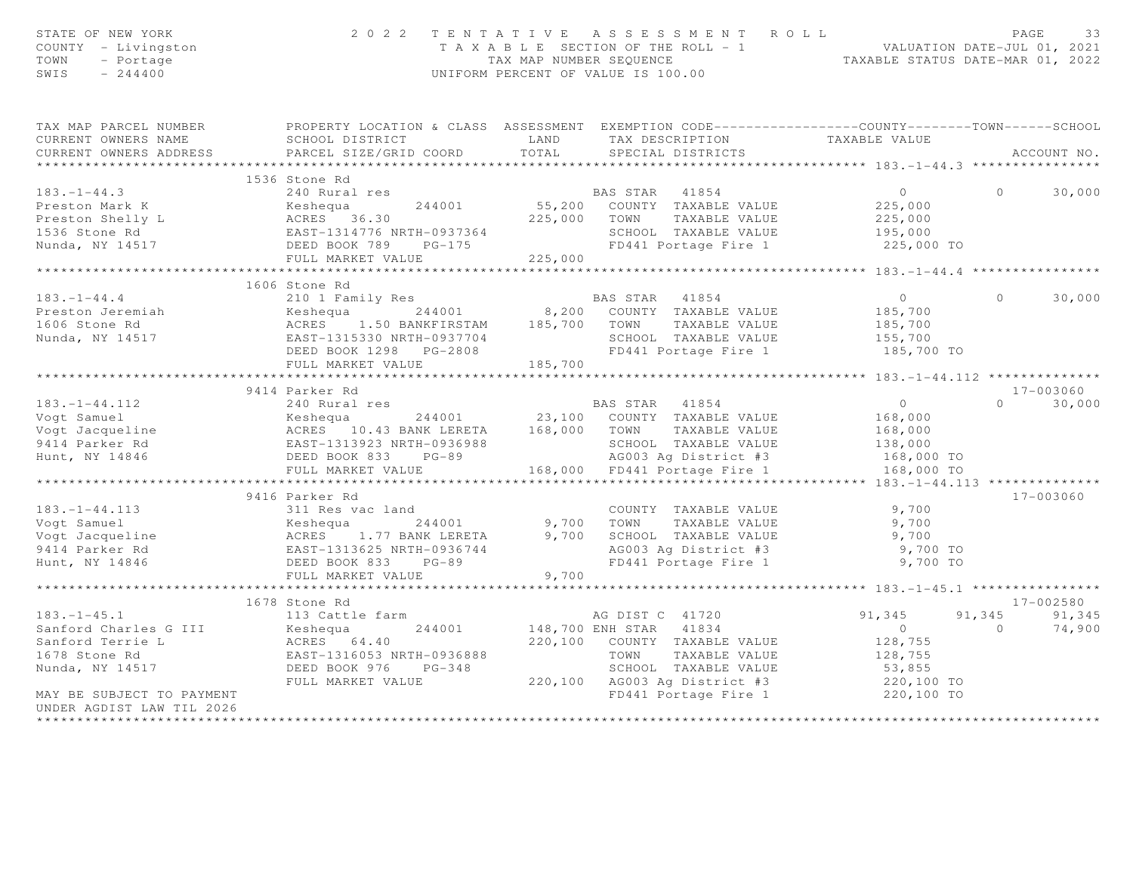| STATE OF NEW YORK<br>COUNTY - Livingston<br>TOWN<br>- Portage<br>SWIS<br>$-244400$                                                                                                                                                                                             | 2 0 2 2                                                                                                                                                        |                         | TENTATIVE ASSESSMENT ROLL<br>T A X A B L E SECTION OF THE ROLL - 1 VALUATION DATE-JUL 01, 2021<br>TAX MAP NUMBER SEQUENCE TAXABLE STATUS DATE-MAR 01, 2022<br>UNIFORM PERCENT OF VALUE IS 100.00 |                                              | PAGE<br>33         |
|--------------------------------------------------------------------------------------------------------------------------------------------------------------------------------------------------------------------------------------------------------------------------------|----------------------------------------------------------------------------------------------------------------------------------------------------------------|-------------------------|--------------------------------------------------------------------------------------------------------------------------------------------------------------------------------------------------|----------------------------------------------|--------------------|
| TAX MAP PARCEL NUMBER<br>CURRENT OWNERS NAME                                                                                                                                                                                                                                   | PROPERTY LOCATION & CLASS ASSESSMENT EXEMPTION CODE----------------COUNTY-------TOWN------SCHOOL<br>LAND<br>SCHOOL DISTRICT                                    |                         | TAX DESCRIPTION                                                                                                                                                                                  | TAXABLE VALUE                                |                    |
| CURRENT OWNERS ADDRESS                                                                                                                                                                                                                                                         | PARCEL SIZE/GRID COORD                                                                                                                                         | TOTAL                   | SPECIAL DISTRICTS                                                                                                                                                                                |                                              | ACCOUNT NO.        |
| ***********************                                                                                                                                                                                                                                                        |                                                                                                                                                                |                         |                                                                                                                                                                                                  |                                              |                    |
|                                                                                                                                                                                                                                                                                | 1536 Stone Rd                                                                                                                                                  |                         |                                                                                                                                                                                                  |                                              |                    |
| $183. - 1 - 44.3$                                                                                                                                                                                                                                                              | 240 Rural res                                                                                                                                                  |                         | BAS STAR 41854<br>BAS STAR 41854<br>55,200 COUNTY TAXABLE VALUE                                                                                                                                  | $\overline{0}$<br>225,000                    | $\circ$<br>30,000  |
|                                                                                                                                                                                                                                                                                |                                                                                                                                                                |                         |                                                                                                                                                                                                  | 225,000                                      |                    |
|                                                                                                                                                                                                                                                                                |                                                                                                                                                                |                         | 225,000 TOWN TAXABLE VALUE                                                                                                                                                                       | 195,000                                      |                    |
|                                                                                                                                                                                                                                                                                |                                                                                                                                                                |                         | SCHOOL TAXABLE VALUE                                                                                                                                                                             |                                              |                    |
| 183.-1-44.3<br>Preston Mark K<br>Preston Shelly L<br>1536 Stone Rd<br>Nunda, NY 14517<br>Present Control CAST-1314776 NRTH-0937364<br>Nunda, NY 14517<br>PRES 36.30<br>PRES 36.30<br>PRES 36.30<br>PRES 36.30<br>PRES 36.30<br>PRES 36.30<br>PRES 36.30<br><br>Nunda, NY 14517 | FULL MARKET VALUE                                                                                                                                              | 225,000                 | FD441 Portage Fire 1                                                                                                                                                                             | 225,000 TO                                   |                    |
|                                                                                                                                                                                                                                                                                | ******************                                                                                                                                             | *********************** |                                                                                                                                                                                                  | *************** 183.-1-44.4 **************** |                    |
|                                                                                                                                                                                                                                                                                | 1606 Stone Rd                                                                                                                                                  |                         |                                                                                                                                                                                                  |                                              |                    |
| $183. - 1 - 44.4$                                                                                                                                                                                                                                                              | 210 1 Family Res                                                                                                                                               |                         | BAS STAR 41854                                                                                                                                                                                   | $\overline{0}$                               | $\Omega$<br>30,000 |
| Preston Jeremiah                                                                                                                                                                                                                                                               |                                                                                                                                                                |                         |                                                                                                                                                                                                  | 185,700                                      |                    |
| 1606 Stone Rd                                                                                                                                                                                                                                                                  |                                                                                                                                                                |                         |                                                                                                                                                                                                  | 185,700                                      |                    |
| Nunda, NY 14517                                                                                                                                                                                                                                                                | Example 1 1.50 BANKFIRSTAM 185,700 COUNTY TAXABLE VALUE<br>ACRES 1.50 BANKFIRSTAM 185,700 TOWN TAXABLE VALUE<br>EAST-1315330 NRTH-0937704 SCHOOL TAXABLE VALUE |                         |                                                                                                                                                                                                  | 155,700                                      |                    |
|                                                                                                                                                                                                                                                                                | DEED BOOK 1298 PG-2808                                                                                                                                         |                         | FD441 Portage Fire 1 185,700 TO                                                                                                                                                                  |                                              |                    |
|                                                                                                                                                                                                                                                                                | FULL MARKET VALUE                                                                                                                                              | 185,700                 |                                                                                                                                                                                                  |                                              |                    |
|                                                                                                                                                                                                                                                                                | *************************                                                                                                                                      |                         |                                                                                                                                                                                                  |                                              |                    |
|                                                                                                                                                                                                                                                                                | 9414 Parker Rd                                                                                                                                                 |                         |                                                                                                                                                                                                  |                                              | $17 - 003060$      |
| $183 - 1 - 44.112$                                                                                                                                                                                                                                                             | 240 Rural res                                                                                                                                                  |                         | BAS STAR 41854                                                                                                                                                                                   | $\overline{0}$                               | $\Omega$<br>30,000 |
|                                                                                                                                                                                                                                                                                |                                                                                                                                                                |                         |                                                                                                                                                                                                  |                                              |                    |
|                                                                                                                                                                                                                                                                                |                                                                                                                                                                |                         |                                                                                                                                                                                                  | 168,000<br>168,000                           |                    |
|                                                                                                                                                                                                                                                                                |                                                                                                                                                                |                         |                                                                                                                                                                                                  | 138,000                                      |                    |
|                                                                                                                                                                                                                                                                                | IRTH-0936988<br>PG-89                                                                                                                                          |                         |                                                                                                                                                                                                  | 168,000 TO                                   |                    |
|                                                                                                                                                                                                                                                                                | FULL MARKET VALUE                                                                                                                                              |                         | 168,000 FD441 Portage Fire 1                                                                                                                                                                     | 168,000 TO                                   |                    |
|                                                                                                                                                                                                                                                                                | ************************                                                                                                                                       |                         |                                                                                                                                                                                                  | ******** $183 - 1 - 44.113$ ***************  |                    |
|                                                                                                                                                                                                                                                                                | 9416 Parker Rd                                                                                                                                                 |                         |                                                                                                                                                                                                  |                                              | 17-003060          |
|                                                                                                                                                                                                                                                                                |                                                                                                                                                                |                         | COUNTY TAXABLE VALUE                                                                                                                                                                             | 9,700                                        |                    |
|                                                                                                                                                                                                                                                                                |                                                                                                                                                                | 9,700                   | TOWN<br>TAXABLE VALUE                                                                                                                                                                            | 9,700                                        |                    |
|                                                                                                                                                                                                                                                                                |                                                                                                                                                                |                         |                                                                                                                                                                                                  |                                              |                    |
|                                                                                                                                                                                                                                                                                |                                                                                                                                                                |                         |                                                                                                                                                                                                  |                                              |                    |
| 183.-1-44.113<br>Vogt Samuel Meshequa 244001<br>Vogt Jacqueline (Response 1.77 BANK LERETA<br>9414 Parker Rd (RAST-1313625 NRTH-0936744<br>Hunt, NY 14846 (DEED BOOK 833 PG-89                                                                                                 |                                                                                                                                                                |                         | FD441 Portage Fire 1                                                                                                                                                                             | 9,700 TO                                     |                    |
|                                                                                                                                                                                                                                                                                | FULL MARKET VALUE                                                                                                                                              | 9,700                   |                                                                                                                                                                                                  |                                              |                    |
|                                                                                                                                                                                                                                                                                | * * * * * * * * * * * * * * * * * * *                                                                                                                          |                         |                                                                                                                                                                                                  |                                              |                    |
|                                                                                                                                                                                                                                                                                | 1678 Stone Rd                                                                                                                                                  |                         |                                                                                                                                                                                                  |                                              | 17-002580          |
| $183. - 1 - 45.1$                                                                                                                                                                                                                                                              | 113 Cattle farm                                                                                                                                                |                         | AG DIST C 41720                                                                                                                                                                                  | 91,345                                       | 91,345<br>91,345   |
| Sanford Charles G III                                                                                                                                                                                                                                                          |                                                                                                                                                                |                         | 148,700 ENH STAR 41834                                                                                                                                                                           | $\overline{0}$                               | $\Omega$<br>74,900 |
| Sanford Terrie L                                                                                                                                                                                                                                                               |                                                                                                                                                                |                         | 220,100 COUNTY TAXABLE VALUE                                                                                                                                                                     | 128,755                                      |                    |
| 1678 Stone Rd                                                                                                                                                                                                                                                                  | 113 Cattle 1afm<br>Keshequa 244001<br>ACRES 64.40<br>EAST-1316053 NRTH-0936888<br>DEED BOOK 976 PG-348                                                         |                         | TOWN TAXABLE VALUE                                                                                                                                                                               | 128,755                                      |                    |
| Nunda, NY 14517                                                                                                                                                                                                                                                                |                                                                                                                                                                |                         | SCHOOL TAXABLE VALUE                                                                                                                                                                             | 53,855                                       |                    |
|                                                                                                                                                                                                                                                                                | FULL MARKET VALUE                                                                                                                                              |                         | 220,100 AG003 Ag District #3 220,100 TO<br>FD441 Portage Fire 1 220,100 TO                                                                                                                       |                                              |                    |
| MAY BE SUBJECT TO PAYMENT                                                                                                                                                                                                                                                      |                                                                                                                                                                |                         |                                                                                                                                                                                                  |                                              |                    |
| UNDER AGDIST LAW TIL 2026                                                                                                                                                                                                                                                      |                                                                                                                                                                |                         |                                                                                                                                                                                                  |                                              |                    |
|                                                                                                                                                                                                                                                                                |                                                                                                                                                                |                         |                                                                                                                                                                                                  |                                              |                    |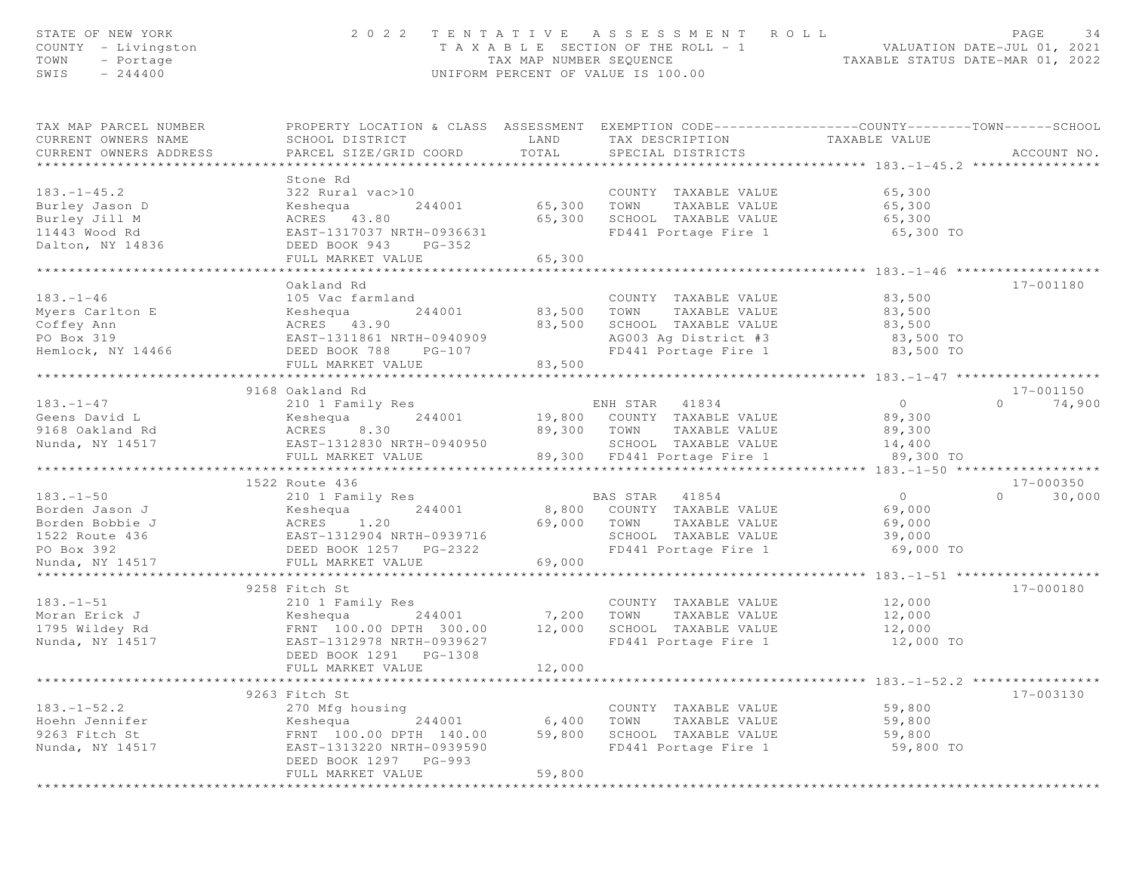| STATE OF NEW YORK<br>COUNTY - Livingston<br>TOWN<br>- Portage<br>SWIS<br>$-244400$ |                                                                                                                                               |                       | 2022 TENTATIVE ASSESSMENT ROLL<br>T A X A B L E SECTION OF THE ROLL - 1 VALUATION DATE-JUL 01, 2021<br>TAX MAP NUMBER SEQUENCE TAXABLE STATUS DATE-MAR 01, 2022<br>UNIFORM PERCENT OF VALUE IS 100.00 |                                             | PAGE<br>34         |
|------------------------------------------------------------------------------------|-----------------------------------------------------------------------------------------------------------------------------------------------|-----------------------|-------------------------------------------------------------------------------------------------------------------------------------------------------------------------------------------------------|---------------------------------------------|--------------------|
| TAX MAP PARCEL NUMBER<br>CURRENT OWNERS NAME<br>CURRENT OWNERS ADDRESS             | PROPERTY LOCATION & CLASS ASSESSMENT EXEMPTION CODE----------------COUNTY-------TOWN------SCHOOL<br>SCHOOL DISTRICT<br>PARCEL SIZE/GRID COORD | LAND<br>TOTAL         | TAX DESCRIPTION<br>SPECIAL DISTRICTS                                                                                                                                                                  | TAXABLE VALUE                               | ACCOUNT NO.        |
|                                                                                    | Stone Rd                                                                                                                                      |                       |                                                                                                                                                                                                       |                                             |                    |
| $183. - 1 - 45.2$<br>Burley Jason D                                                | 322 Rural vac>10<br>244001<br>Keshequa                                                                                                        | 65,300 TOWN           | COUNTY TAXABLE VALUE<br>TAXABLE VALUE                                                                                                                                                                 | 65,300<br>65,300                            |                    |
| Burley Jill M<br>11443 Wood Rd                                                     | ACRES 43.80<br>EAST-1317037 NRTH-0936631                                                                                                      | 65,300                | SCHOOL TAXABLE VALUE<br>SCHOOL TAXABLE VALUE<br>FD441 Portage Fire 1                                                                                                                                  | 65,300<br>65,300 TO                         |                    |
| Dalton, NY 14836                                                                   | DEED BOOK 943<br>$PG-352$<br>FULL MARKET VALUE                                                                                                | 65,300                |                                                                                                                                                                                                       |                                             |                    |
|                                                                                    | ***********************                                                                                                                       | * * * * * * * * * * * |                                                                                                                                                                                                       | ********************** 183.-1-46 ********** |                    |
|                                                                                    | Oakland Rd                                                                                                                                    |                       |                                                                                                                                                                                                       |                                             | 17-001180          |
| $183. - 1 - 46$                                                                    | 105 Vac farmland                                                                                                                              |                       |                                                                                                                                                                                                       | 83,500                                      |                    |
| Myers Carlton E                                                                    | 244001<br>Keshequa                                                                                                                            |                       | COUNTY TAXABLE VALUE<br>83,500 TOWN TAXABLE VALUE                                                                                                                                                     | 83,500                                      |                    |
| Coffey Ann                                                                         | ACRES 43.90                                                                                                                                   | 83,500                | SCHOOL TAXABLE VALUE 83,500                                                                                                                                                                           |                                             |                    |
| PO Box 319                                                                         | EAST-1311861 NRTH-0940909                                                                                                                     |                       | AG003 Ag District #3                                                                                                                                                                                  | 83,500 TO                                   |                    |
| Hemlock, NY 14466 DEED BOOK 788                                                    | $PG-107$                                                                                                                                      |                       | FD441 Portage Fire 1                                                                                                                                                                                  | 83,500 TO                                   |                    |
|                                                                                    | FULL MARKET VALUE                                                                                                                             | 83,500                |                                                                                                                                                                                                       |                                             |                    |
|                                                                                    | 9168 Oakland Rd                                                                                                                               |                       |                                                                                                                                                                                                       |                                             | 17-001150          |
| $183. - 1 - 47$                                                                    | 210 1 Family Res                                                                                                                              |                       | ENH STAR 41834                                                                                                                                                                                        | $\overline{0}$                              | 74,900<br>$\Omega$ |
| Geens David L                                                                      | 244001<br>Keshequa                                                                                                                            |                       | 19,800 COUNTY TAXABLE VALUE                                                                                                                                                                           | 89,300                                      |                    |
| 9168 Oakland Rd                                                                    | ACRES 8.30                                                                                                                                    |                       | 89,300 TOWN TAXABLE VALUE                                                                                                                                                                             | 89,300                                      |                    |
| Nunda, NY 14517                                                                    | EAST-1312830 NRTH-0940950                                                                                                                     |                       | SCHOOL TAXABLE VALUE                                                                                                                                                                                  | 14,400                                      |                    |
|                                                                                    | FULL MARKET VALUE                                                                                                                             |                       | 89,300 FD441 Portage Fire 1                                                                                                                                                                           | 89,300 TO                                   |                    |
|                                                                                    |                                                                                                                                               |                       |                                                                                                                                                                                                       |                                             |                    |
|                                                                                    | 1522 Route 436                                                                                                                                |                       |                                                                                                                                                                                                       |                                             | 17-000350          |
| $183. - 1 - 50$                                                                    | 210 1 Family Res                                                                                                                              |                       | BAS STAR 41854                                                                                                                                                                                        | $\overline{0}$                              | $\Omega$<br>30,000 |
| Borden Jason J<br>Borden Bobbie J                                                  |                                                                                                                                               | 69,000 TOWN           | 8,800 COUNTY TAXABLE VALUE<br>TAXABLE VALUE                                                                                                                                                           | 69,000<br>69,000                            |                    |
| 1522 Route 436                                                                     |                                                                                                                                               |                       | SCHOOL TAXABLE VALUE                                                                                                                                                                                  | 39,000                                      |                    |
| PO Box 392                                                                         | J<br>244001<br>25 J<br>26 EAST-1312904 NRTH-0939716<br>26 DEED BOOK 1257 PG-2322                                                              |                       | FD441 Portage Fire 1                                                                                                                                                                                  | 69,000 TO                                   |                    |
| Nunda, NY 14517                                                                    | FULL MARKET VALUE                                                                                                                             | 69,000                |                                                                                                                                                                                                       |                                             |                    |
|                                                                                    |                                                                                                                                               |                       |                                                                                                                                                                                                       |                                             |                    |
|                                                                                    | 9258 Fitch St                                                                                                                                 |                       |                                                                                                                                                                                                       |                                             | 17-000180          |
| $183. - 1 - 51$                                                                    | 210 1 Family Res                                                                                                                              |                       | COUNTY TAXABLE VALUE                                                                                                                                                                                  | 12,000                                      |                    |
| Moran Erick J                                                                      | 244001 7,200                                                                                                                                  |                       | TOWN<br>TAXABLE VALUE                                                                                                                                                                                 | 12,000                                      |                    |
| 1795 Wildey Rd                                                                     | Example 100.00 DPTH<br>FRNT 100.00 DPTH 300.00                                                                                                | 12,000                | SCHOOL TAXABLE VALUE                                                                                                                                                                                  | 12,000                                      |                    |
| Nunda, NY 14517                                                                    | EAST-1312978 NRTH-0939627<br>DEED BOOK 1291    PG-1308                                                                                        |                       | FD441 Portage Fire 1                                                                                                                                                                                  | 12,000 TO                                   |                    |
|                                                                                    | FULL MARKET VALUE                                                                                                                             | 12,000                |                                                                                                                                                                                                       |                                             |                    |
|                                                                                    | * * * * * * * * * * * * * * * *                                                                                                               |                       |                                                                                                                                                                                                       | ********** 183.-1-52.2 *****************    |                    |
|                                                                                    | 9263 Fitch St                                                                                                                                 |                       |                                                                                                                                                                                                       |                                             | 17-003130          |
| $183. - 1 - 52.2$                                                                  | 270 Mfg housing                                                                                                                               |                       | COUNTY TAXABLE VALUE                                                                                                                                                                                  | 59,800                                      |                    |
| Hoehn Jennifer                                                                     | 244001<br>Keshequa                                                                                                                            | 6,400                 | TOWN<br>TAXABLE VALUE                                                                                                                                                                                 | 59,800                                      |                    |
| 9263 Fitch St                                                                      | FRNT 100.00 DPTH 140.00                                                                                                                       | 59,800                | SCHOOL TAXABLE VALUE                                                                                                                                                                                  | 59,800                                      |                    |
| Nunda, NY 14517                                                                    | EAST-1313220 NRTH-0939590                                                                                                                     |                       | FD441 Portage Fire 1                                                                                                                                                                                  | 59,800 TO                                   |                    |
|                                                                                    | DEED BOOK 1297 PG-993                                                                                                                         |                       |                                                                                                                                                                                                       |                                             |                    |
|                                                                                    | FULL MARKET VALUE                                                                                                                             | 59,800                |                                                                                                                                                                                                       |                                             |                    |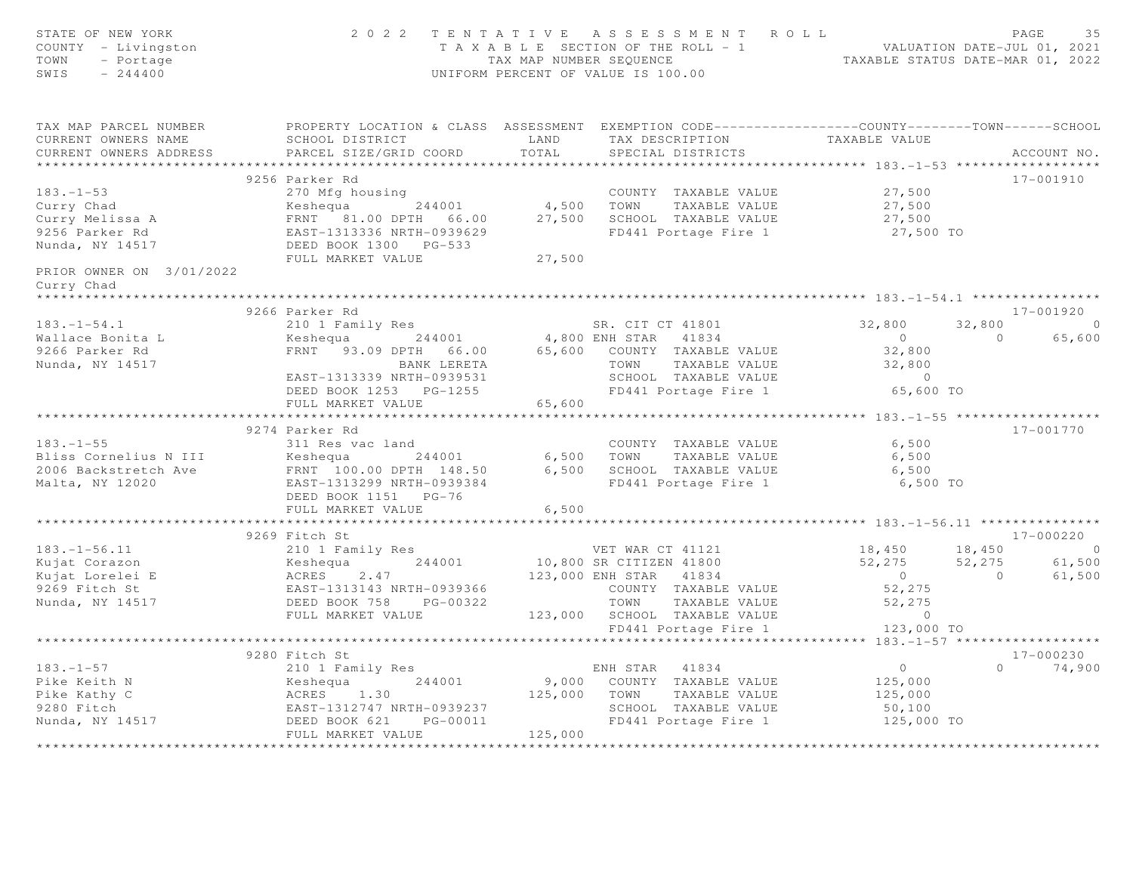| STATE OF NEW YORK<br>COUNTY - Livingston<br>TOWN<br>- Portage<br>SWIS<br>$-244400$                                                                                                                                                                               |                                                                                                                                                                                                                                                               |        | 2022 TENTATIVE ASSESSMENT ROLL<br>TAXABLE SECTION OF THE ROLL - 1<br>TAXABLE STATUS DATE-JUL 01, 2021<br>TAXABLE STATUS DATE-MAR 01, 2022<br>UNIFORM PERCENT OF VALUE IS 100.00                                                        |                                                |          | PAGE<br>35  |
|------------------------------------------------------------------------------------------------------------------------------------------------------------------------------------------------------------------------------------------------------------------|---------------------------------------------------------------------------------------------------------------------------------------------------------------------------------------------------------------------------------------------------------------|--------|----------------------------------------------------------------------------------------------------------------------------------------------------------------------------------------------------------------------------------------|------------------------------------------------|----------|-------------|
| TAX MAP PARCEL NUMBER FROPERTY LOCATION & CLASS ASSESSMENT EXEMPTION CODE---------------COUNTY-------TOWN------SCHOOL<br>CURRENT OWNERS NAME                                                                                                                     | SCHOOL DISTRICT LAND                                                                                                                                                                                                                                          |        | TAX DESCRIPTION TAXABLE VALUE                                                                                                                                                                                                          |                                                |          |             |
| CURRENT OWNERS ADDRESS                                                                                                                                                                                                                                           | PARCEL SIZE/GRID COORD                                                                                                                                                                                                                                        | TOTAL  | SPECIAL DISTRICTS                                                                                                                                                                                                                      |                                                |          | ACCOUNT NO. |
|                                                                                                                                                                                                                                                                  | 9256 Parker Rd                                                                                                                                                                                                                                                |        |                                                                                                                                                                                                                                        |                                                |          | 17-001910   |
| 183.-1-53<br>Curry Chad<br>Curry Melissa A<br>27,500<br>Curry Melissa A<br>ERNT 81.00 DPTH 66.00<br>ERST-1313336 NRTH-0939629<br>PEED BOOK 1300 PG-533<br>FULL MARKET VALUE<br>27,500<br>27,500<br>27,500<br>27,500<br>27,500<br>27,500<br>27,500<br>27,500<br>2 |                                                                                                                                                                                                                                                               |        |                                                                                                                                                                                                                                        |                                                |          |             |
|                                                                                                                                                                                                                                                                  |                                                                                                                                                                                                                                                               |        |                                                                                                                                                                                                                                        |                                                |          |             |
|                                                                                                                                                                                                                                                                  |                                                                                                                                                                                                                                                               |        |                                                                                                                                                                                                                                        |                                                |          |             |
|                                                                                                                                                                                                                                                                  |                                                                                                                                                                                                                                                               |        |                                                                                                                                                                                                                                        |                                                |          |             |
|                                                                                                                                                                                                                                                                  |                                                                                                                                                                                                                                                               |        |                                                                                                                                                                                                                                        |                                                |          |             |
|                                                                                                                                                                                                                                                                  | FULL MARKET VALUE                                                                                                                                                                                                                                             | 27,500 |                                                                                                                                                                                                                                        |                                                |          |             |
| PRIOR OWNER ON 3/01/2022<br>Curry Chad                                                                                                                                                                                                                           |                                                                                                                                                                                                                                                               |        |                                                                                                                                                                                                                                        |                                                |          |             |
|                                                                                                                                                                                                                                                                  |                                                                                                                                                                                                                                                               |        |                                                                                                                                                                                                                                        |                                                |          |             |
|                                                                                                                                                                                                                                                                  | 9266 Parker Rd<br>%100 Parker Rd<br>2101 Family Res<br>244001 244001 4,800 ENH STAR 41834 0<br>FRNT 93.09 DPTH 66.00 65,600 COUNTY TAXABLE VALUE<br>22,800 BANK LERETA TOWN TAXABLE VALUE 32,800<br>EAST-1313339 NRTH-0939531 SCHOOL TAXABLE VALUE 32,800<br> |        |                                                                                                                                                                                                                                        |                                                |          | 17-001920   |
| $183. - 1 - 54.1$                                                                                                                                                                                                                                                |                                                                                                                                                                                                                                                               |        |                                                                                                                                                                                                                                        |                                                |          |             |
|                                                                                                                                                                                                                                                                  |                                                                                                                                                                                                                                                               |        |                                                                                                                                                                                                                                        |                                                |          |             |
| Wallace Bonita L<br>9266 Parker Rd<br>Nunda, NY 14517                                                                                                                                                                                                            |                                                                                                                                                                                                                                                               |        |                                                                                                                                                                                                                                        |                                                |          |             |
|                                                                                                                                                                                                                                                                  |                                                                                                                                                                                                                                                               |        |                                                                                                                                                                                                                                        |                                                |          |             |
|                                                                                                                                                                                                                                                                  |                                                                                                                                                                                                                                                               |        |                                                                                                                                                                                                                                        |                                                |          |             |
|                                                                                                                                                                                                                                                                  | FULL MARKET VALUE                                                                                                                                                                                                                                             | 65,600 |                                                                                                                                                                                                                                        |                                                |          |             |
|                                                                                                                                                                                                                                                                  |                                                                                                                                                                                                                                                               |        | *******************************                                                                                                                                                                                                        | **************** 183.-1-55 ******************* |          |             |
|                                                                                                                                                                                                                                                                  | 9274 Parker Rd                                                                                                                                                                                                                                                |        |                                                                                                                                                                                                                                        |                                                |          | 17-001770   |
|                                                                                                                                                                                                                                                                  |                                                                                                                                                                                                                                                               |        |                                                                                                                                                                                                                                        |                                                |          |             |
|                                                                                                                                                                                                                                                                  |                                                                                                                                                                                                                                                               |        |                                                                                                                                                                                                                                        |                                                |          |             |
|                                                                                                                                                                                                                                                                  |                                                                                                                                                                                                                                                               |        |                                                                                                                                                                                                                                        |                                                |          |             |
|                                                                                                                                                                                                                                                                  | DEED BOOK 1151 PG-76                                                                                                                                                                                                                                          |        |                                                                                                                                                                                                                                        |                                                |          |             |
|                                                                                                                                                                                                                                                                  | FULL MARKET VALUE                                                                                                                                                                                                                                             | 6,500  |                                                                                                                                                                                                                                        |                                                |          |             |
|                                                                                                                                                                                                                                                                  | ****************************                                                                                                                                                                                                                                  |        |                                                                                                                                                                                                                                        |                                                |          |             |
|                                                                                                                                                                                                                                                                  | 9269 Fitch St                                                                                                                                                                                                                                                 |        |                                                                                                                                                                                                                                        |                                                |          | 17-000220   |
|                                                                                                                                                                                                                                                                  |                                                                                                                                                                                                                                                               |        |                                                                                                                                                                                                                                        |                                                |          |             |
|                                                                                                                                                                                                                                                                  |                                                                                                                                                                                                                                                               |        |                                                                                                                                                                                                                                        |                                                |          |             |
|                                                                                                                                                                                                                                                                  |                                                                                                                                                                                                                                                               |        |                                                                                                                                                                                                                                        |                                                |          |             |
|                                                                                                                                                                                                                                                                  |                                                                                                                                                                                                                                                               |        |                                                                                                                                                                                                                                        |                                                |          |             |
| 183.-1-56.11 210 1 Family Res<br>Kujat Corazon – 244001 244001 10,800 SR CITIZEN 41800<br>Kujat Lorelei E – ACRES 2.47 123,000 ENH STAR 41834<br>9269 Fitch St – EAST-1313143 NRTH-0939366 200NTY TAXABLE VALUE<br>Nunda, NY 14517 – D                           |                                                                                                                                                                                                                                                               |        | VET WAR CT 41121 18,450 18,450 19<br>SR CITIZEN 41800 52,275 52,275 61,500<br>ENH STAR 41834 0 61,500<br>COUNTY TAXABLE VALUE 52,275 0 61,500<br>TOWN TAXABLE VALUE 52,275<br>SCHOOL TAXABLE VALUE 0<br>FD441 POTATE TITE 1 123,000 TO |                                                |          |             |
|                                                                                                                                                                                                                                                                  | FULL MARKET VALUE                                                                                                                                                                                                                                             |        | 123,000 SCHOOL TAXABLE VALUE                                                                                                                                                                                                           |                                                |          |             |
|                                                                                                                                                                                                                                                                  |                                                                                                                                                                                                                                                               |        |                                                                                                                                                                                                                                        |                                                |          |             |
|                                                                                                                                                                                                                                                                  | 9280 Fitch St                                                                                                                                                                                                                                                 |        |                                                                                                                                                                                                                                        |                                                |          | 17-000230   |
|                                                                                                                                                                                                                                                                  |                                                                                                                                                                                                                                                               |        |                                                                                                                                                                                                                                        |                                                | $\Omega$ | 74,900      |
|                                                                                                                                                                                                                                                                  |                                                                                                                                                                                                                                                               |        |                                                                                                                                                                                                                                        | $0$<br>125,000                                 |          |             |
|                                                                                                                                                                                                                                                                  |                                                                                                                                                                                                                                                               |        |                                                                                                                                                                                                                                        | 125,000                                        |          |             |
|                                                                                                                                                                                                                                                                  |                                                                                                                                                                                                                                                               |        |                                                                                                                                                                                                                                        |                                                |          |             |
| 183.-1-57<br>Pike Keith N<br>Pike Kathy C<br>Pike Kathy C<br>Pike Kathy C<br>Pike Kathy C<br>Pike Kathy C<br>Pike Kathy C<br>Pike Kathy C<br>BED BOOK 621<br>PILL MARKET VALUE<br>PILL MARKET VALUE<br>PILL MARKET VALUE<br>PILL MARKET VALUE<br>PILL MARK       |                                                                                                                                                                                                                                                               |        |                                                                                                                                                                                                                                        | 50,100<br>125,000 TO                           |          |             |
|                                                                                                                                                                                                                                                                  |                                                                                                                                                                                                                                                               |        |                                                                                                                                                                                                                                        |                                                |          |             |
|                                                                                                                                                                                                                                                                  |                                                                                                                                                                                                                                                               |        |                                                                                                                                                                                                                                        |                                                |          |             |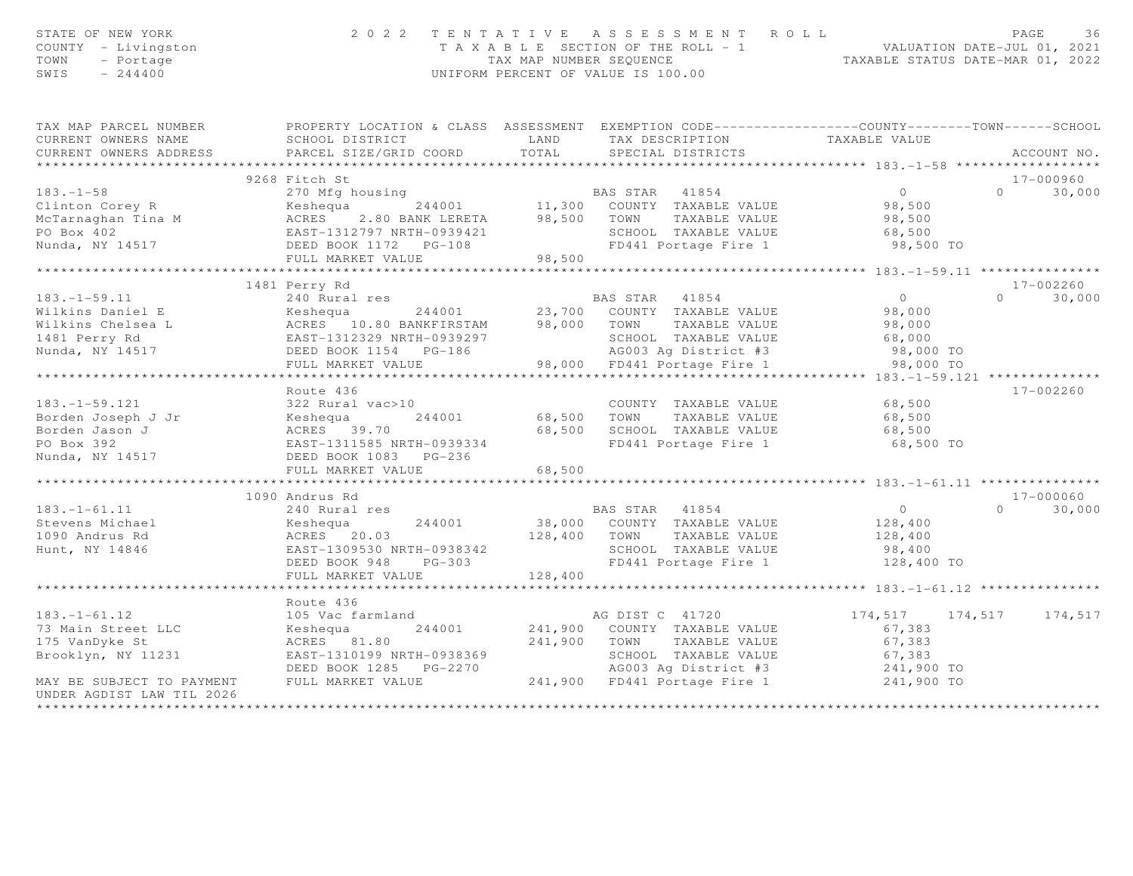| STATE OF NEW YORK<br>COUNTY - Livingston<br>TOWN<br>- Portage<br>SWIS<br>$-244400$                                                                                                                                                                                   | 2 0 2 2                                                                                                          |              | TENTATIVE ASSESSMENT ROLL<br>T A X A B L E SECTION OF THE ROLL - 1 VALUATION DATE-JUL 01, 2021<br>TAX MAP NUMBER SEQUENCE<br>UNIFORM PERCENT OF VALUE IS 100.00 |                  | PAGE<br>36                      |
|----------------------------------------------------------------------------------------------------------------------------------------------------------------------------------------------------------------------------------------------------------------------|------------------------------------------------------------------------------------------------------------------|--------------|-----------------------------------------------------------------------------------------------------------------------------------------------------------------|------------------|---------------------------------|
| TAX MAP PARCEL NUMBER THE PROPERTY LOCATION & CLASS ASSESSMENT EXEMPTION CODE---------------COUNTY-------TOWN------SCHOOL                                                                                                                                            |                                                                                                                  |              |                                                                                                                                                                 |                  |                                 |
| CURRENT OWNERS NAME                                                                                                                                                                                                                                                  | LAND<br>SCHOOL DISTRICT                                                                                          |              | TAX DESCRIPTION TAXABLE VALUE<br>SPECIAL DISTRICTS                                                                                                              |                  |                                 |
| CURRENT OWNERS ADDRESS                                                                                                                                                                                                                                               | PARCEL SIZE/GRID COORD TOTAL                                                                                     |              |                                                                                                                                                                 |                  | ACCOUNT NO.                     |
|                                                                                                                                                                                                                                                                      | 9268 Fitch St                                                                                                    |              |                                                                                                                                                                 |                  | $17 - 000960$                   |
| 183.-1-58<br>Clinton Corey R<br>McTarnaghan Tina M<br>McTarnaghan Tina M<br>McTarnaghan Tina M<br>McTarnaghan Tina M<br>McRES<br>2.80 BANK LERETA<br>244001<br>244001<br>244001<br>244001<br>244001<br>244001<br>244001<br>244001<br>244001<br>244001<br>244001<br>2 |                                                                                                                  |              |                                                                                                                                                                 | $\overline{0}$   | 30,000<br>$\Omega$              |
|                                                                                                                                                                                                                                                                      |                                                                                                                  |              |                                                                                                                                                                 | 98,500           |                                 |
|                                                                                                                                                                                                                                                                      |                                                                                                                  |              |                                                                                                                                                                 | 98,500           |                                 |
|                                                                                                                                                                                                                                                                      |                                                                                                                  |              |                                                                                                                                                                 |                  |                                 |
|                                                                                                                                                                                                                                                                      |                                                                                                                  |              | SCHOOL TAXABLE VALUE 68,500<br>FD441 Portage Fire 1 98,500 TO                                                                                                   |                  |                                 |
|                                                                                                                                                                                                                                                                      | FULL MARKET VALUE                                                                                                | 98,500       |                                                                                                                                                                 |                  |                                 |
|                                                                                                                                                                                                                                                                      |                                                                                                                  |              |                                                                                                                                                                 |                  |                                 |
| $183. - 1 - 59.11$                                                                                                                                                                                                                                                   | 1481 Perry Rd<br>240 Rural res                                                                                   |              | BAS STAR 41854                                                                                                                                                  | $\overline{0}$   | 17-002260<br>30,000<br>$\Omega$ |
|                                                                                                                                                                                                                                                                      |                                                                                                                  |              | res BAS STAR 41854 U<br>244001 23,700 COUNTY TAXABLE VALUE 98,000                                                                                               |                  |                                 |
|                                                                                                                                                                                                                                                                      |                                                                                                                  |              |                                                                                                                                                                 | 98,000           |                                 |
|                                                                                                                                                                                                                                                                      |                                                                                                                  |              |                                                                                                                                                                 |                  |                                 |
|                                                                                                                                                                                                                                                                      |                                                                                                                  |              |                                                                                                                                                                 |                  |                                 |
|                                                                                                                                                                                                                                                                      |                                                                                                                  |              |                                                                                                                                                                 | 98,000 TO        |                                 |
|                                                                                                                                                                                                                                                                      |                                                                                                                  |              |                                                                                                                                                                 |                  |                                 |
|                                                                                                                                                                                                                                                                      | Route 436                                                                                                        |              |                                                                                                                                                                 |                  | 17-002260                       |
| $183. - 1 - 59.121$                                                                                                                                                                                                                                                  | 322 Rural vac>10                                                                                                 |              | COUNTY TAXABLE VALUE                                                                                                                                            | 68,500           |                                 |
|                                                                                                                                                                                                                                                                      |                                                                                                                  |              | 68,500 TOWN TAXABLE VALUE                                                                                                                                       | 68,500           |                                 |
|                                                                                                                                                                                                                                                                      |                                                                                                                  |              | 68,500 SCHOOL TAXABLE VALUE<br>FD441 Portage Fire 1                                                                                                             | 68,500           |                                 |
|                                                                                                                                                                                                                                                                      |                                                                                                                  |              |                                                                                                                                                                 | 68,500 TO        |                                 |
|                                                                                                                                                                                                                                                                      | FULL MARKET VALUE                                                                                                | 68,500       |                                                                                                                                                                 |                  |                                 |
|                                                                                                                                                                                                                                                                      |                                                                                                                  |              |                                                                                                                                                                 |                  |                                 |
|                                                                                                                                                                                                                                                                      | 1090 Andrus Rd                                                                                                   |              |                                                                                                                                                                 |                  | 17-000060                       |
| $183. - 1 - 61.11$                                                                                                                                                                                                                                                   | 240 Rural res                                                                                                    |              | BAS STAR 41854                                                                                                                                                  | $\overline{0}$   | 30,000<br>$\Omega$              |
|                                                                                                                                                                                                                                                                      |                                                                                                                  |              | 244001 38,000 COUNTY TAXABLE VALUE                                                                                                                              | 128,400          |                                 |
|                                                                                                                                                                                                                                                                      |                                                                                                                  |              |                                                                                                                                                                 | 128,400          |                                 |
|                                                                                                                                                                                                                                                                      | ACRES 20.03<br>EAST-1309530 NRTH-0938342 128,400 TOWN TAXABLE VALUE<br>DEED BOOK 948 PG-303 FD441 Portage Fire 1 |              | SCHOOL TAXABLE VALUE                                                                                                                                            | 98,400           |                                 |
|                                                                                                                                                                                                                                                                      |                                                                                                                  |              | FD441 Portage Fire 1                                                                                                                                            | 128,400 TO       |                                 |
|                                                                                                                                                                                                                                                                      | FULL MARKET VALUE                                                                                                | 128,400      |                                                                                                                                                                 |                  |                                 |
|                                                                                                                                                                                                                                                                      |                                                                                                                  |              |                                                                                                                                                                 |                  |                                 |
| $183. - 1 - 61.12$                                                                                                                                                                                                                                                   | Route 436<br>105 Vac farmland                                                                                    |              | AG DIST C 41720                                                                                                                                                 | 174,517 174,517  | 174,517                         |
| 73 Main Street LLC                                                                                                                                                                                                                                                   | Keshequa                                                                                                         |              | 244001 241,900 COUNTY TAXABLE VALUE                                                                                                                             | 67,383           |                                 |
| 175 VanDyke St                                                                                                                                                                                                                                                       | ACRES 81.80                                                                                                      | 241,900 TOWN | TAXABLE VALUE                                                                                                                                                   |                  |                                 |
| Brooklyn, NY 11231                                                                                                                                                                                                                                                   |                                                                                                                  |              |                                                                                                                                                                 | 67,383<br>67,383 |                                 |
|                                                                                                                                                                                                                                                                      |                                                                                                                  |              |                                                                                                                                                                 |                  |                                 |
| MAY BE SUBJECT TO PAYMENT<br>UNDER AGDIST LAW TIL 2026                                                                                                                                                                                                               |                                                                                                                  |              |                                                                                                                                                                 |                  |                                 |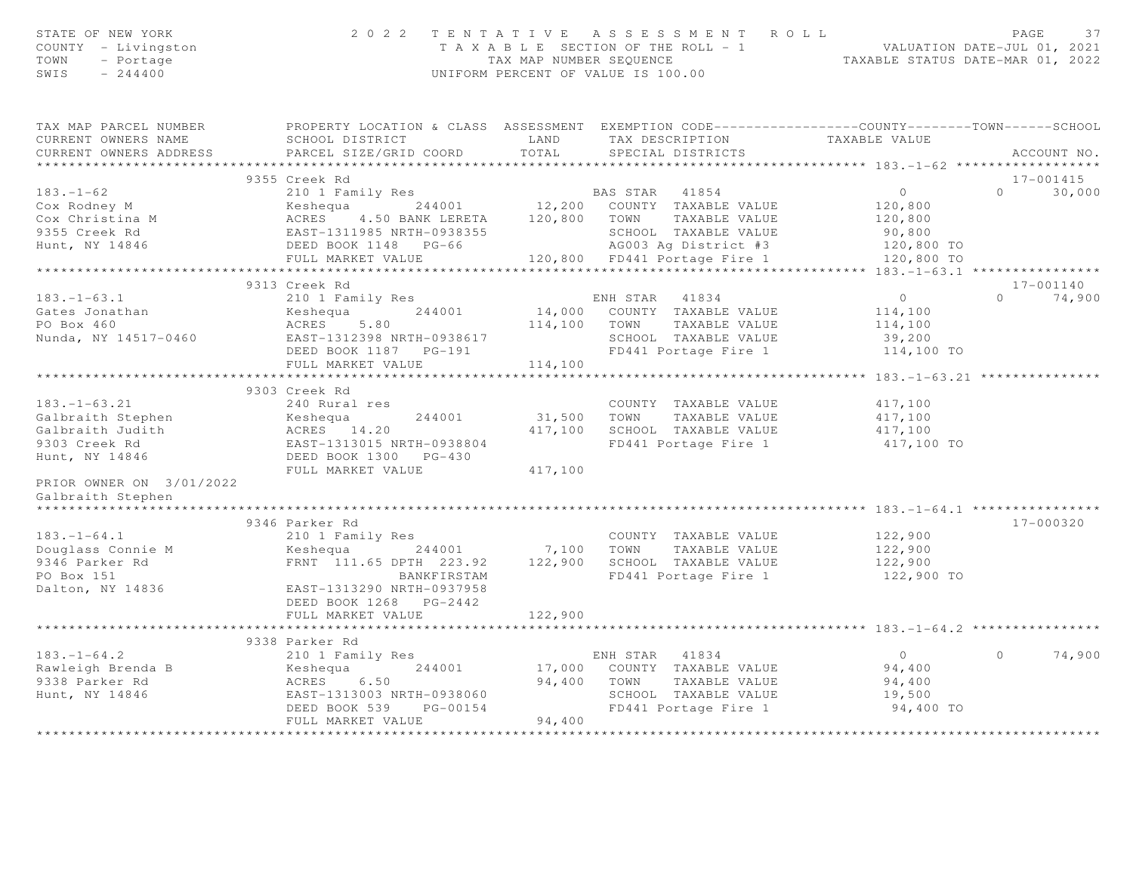| STATE OF NEW YORK<br>COUNTY - Livingston<br>TOWN<br>- Portage<br>SWIS<br>$-244400$                                                                                                                                                                     |                                                      |         | 2022 TENTATIVE ASSESSMENT ROLL<br>TAXABLE SECTION OF THE ROLL - 1<br>TAXABLE SECTION OF THE ROLL - 1<br>TAXABLE STATUS DATE-JUL 01, 2021<br>TAXABLE STATUS DATE-MAR 01, 2022<br>UNIFORM PERCENT OF VALUE IS 100.00 |                                                | PAGE<br>37         |
|--------------------------------------------------------------------------------------------------------------------------------------------------------------------------------------------------------------------------------------------------------|------------------------------------------------------|---------|--------------------------------------------------------------------------------------------------------------------------------------------------------------------------------------------------------------------|------------------------------------------------|--------------------|
| TAX MAP PARCEL NUMBER THE PROPERTY LOCATION & CLASS ASSESSMENT EXEMPTION CODE--------------COUNTY--------TOWN------SCHOOL<br>CURRENT OWNERS NAME                                                                                                       | SCHOOL DISTRICT                                      |         | LAND TAX DESCRIPTION                                                                                                                                                                                               | TAXABLE VALUE                                  |                    |
| CURRENT OWNERS ADDRESS                                                                                                                                                                                                                                 | PARCEL SIZE/GRID COORD                               |         | TOTAL SPECIAL DISTRICTS                                                                                                                                                                                            |                                                | ACCOUNT NO.        |
|                                                                                                                                                                                                                                                        | 9355 Creek Rd                                        |         |                                                                                                                                                                                                                    |                                                | 17-001415          |
|                                                                                                                                                                                                                                                        |                                                      |         |                                                                                                                                                                                                                    | 0                                              | $\Omega$<br>30,000 |
|                                                                                                                                                                                                                                                        |                                                      |         |                                                                                                                                                                                                                    | 120,800                                        |                    |
|                                                                                                                                                                                                                                                        |                                                      |         |                                                                                                                                                                                                                    | 120,800                                        |                    |
|                                                                                                                                                                                                                                                        |                                                      |         |                                                                                                                                                                                                                    |                                                |                    |
|                                                                                                                                                                                                                                                        |                                                      |         | AG003 Ag District #3                                                                                                                                                                                               | 90,800<br>120,800 TO                           |                    |
| 183.-1-62<br>Cox Rodney M<br>Cox Christina M<br>Cox Christina M<br>PULL MARKET VALUE<br>PULL MARKET VALUE<br>PULL MARKET VALUE<br>PULL MARKET VALUE<br>PULL MARKET VALUE<br>PULL MARKET VALUE<br>PULL MARKET VALUE<br>PULL MARKET VALUE<br>PULL MARKET |                                                      |         |                                                                                                                                                                                                                    | 120,800 TO                                     |                    |
|                                                                                                                                                                                                                                                        |                                                      |         |                                                                                                                                                                                                                    |                                                |                    |
|                                                                                                                                                                                                                                                        | 9313 Creek Rd                                        |         |                                                                                                                                                                                                                    | $\overline{0}$                                 | 17-001140          |
|                                                                                                                                                                                                                                                        | 210 1 Family Res                                     |         |                                                                                                                                                                                                                    |                                                | $0 \t 74,900$      |
|                                                                                                                                                                                                                                                        |                                                      |         |                                                                                                                                                                                                                    | 114,100<br>114,100                             |                    |
|                                                                                                                                                                                                                                                        |                                                      |         |                                                                                                                                                                                                                    | 39,200                                         |                    |
| Nunda, NY 14517-0460 EAST-1312398 NRTH-0938617 SCHOOL TAXABLE VALUE<br>DEED BOOK 1187 PG-191 FD441 Portage Fire 1                                                                                                                                      |                                                      |         |                                                                                                                                                                                                                    | 114,100 TO                                     |                    |
|                                                                                                                                                                                                                                                        | FULL MARKET VALUE                                    | 114,100 |                                                                                                                                                                                                                    |                                                |                    |
|                                                                                                                                                                                                                                                        | **************************                           |         | *********************                                                                                                                                                                                              | ****************** 183.-1-63.21 ************** |                    |
|                                                                                                                                                                                                                                                        | 9303 Creek Rd                                        |         |                                                                                                                                                                                                                    |                                                |                    |
| $183. - 1 - 63.21$                                                                                                                                                                                                                                     | 240 Rural res                                        |         | COUNTY TAXABLE VALUE                                                                                                                                                                                               | 417,100                                        |                    |
|                                                                                                                                                                                                                                                        |                                                      |         | 31,500 TOWN TAXABLE VALUE                                                                                                                                                                                          | 417,100                                        |                    |
|                                                                                                                                                                                                                                                        |                                                      |         | 417,100 SCHOOL TAXABLE VALUE                                                                                                                                                                                       | 417,100                                        |                    |
|                                                                                                                                                                                                                                                        |                                                      |         | FD441 Portage Fire 1                                                                                                                                                                                               | 417,100 TO                                     |                    |
| Calbraith Stephen<br>Calbraith Judith Meshequa 244001<br>Salbraith Judith ACRES 14.20<br>P303 Creek Rd EAST-1313015 NRTH-0938804<br>Hunt, NY 14846 DEED BOOK 1300 PG-430<br>FULL MARKET VALUE                                                          |                                                      |         |                                                                                                                                                                                                                    |                                                |                    |
| PRIOR OWNER ON 3/01/2022                                                                                                                                                                                                                               | FULL MARKET VALUE                                    | 417,100 |                                                                                                                                                                                                                    |                                                |                    |
| Galbraith Stephen                                                                                                                                                                                                                                      |                                                      |         |                                                                                                                                                                                                                    |                                                |                    |
|                                                                                                                                                                                                                                                        | 9346 Parker Rd                                       |         |                                                                                                                                                                                                                    |                                                | 17-000320          |
| $183. - 1 - 64.1$                                                                                                                                                                                                                                      | 210 1 Family Res                                     |         | COUNTY TAXABLE VALUE                                                                                                                                                                                               | 122,900                                        |                    |
|                                                                                                                                                                                                                                                        | Keshequa 244001 7,100 TOWN TAXABLE VALUE             |         |                                                                                                                                                                                                                    | 122,900                                        |                    |
|                                                                                                                                                                                                                                                        | FRNT 111.65 DPTH 223.92 122,900 SCHOOL TAXABLE VALUE |         |                                                                                                                                                                                                                    | 122,900                                        |                    |
|                                                                                                                                                                                                                                                        | BANKFIRSTAM                                          |         | FD441 Portage Fire 1                                                                                                                                                                                               | 122,900 TO                                     |                    |
| Douglass Connie M<br>9346 Parker Rd<br>PO Box 151<br>Dalton, NY 14836                                                                                                                                                                                  | EAST-1313290 NRTH-0937958                            |         |                                                                                                                                                                                                                    |                                                |                    |
|                                                                                                                                                                                                                                                        | DEED BOOK 1268    PG-2442                            |         |                                                                                                                                                                                                                    |                                                |                    |
|                                                                                                                                                                                                                                                        | FULL MARKET VALUE                                    | 122,900 |                                                                                                                                                                                                                    |                                                |                    |
|                                                                                                                                                                                                                                                        |                                                      |         |                                                                                                                                                                                                                    |                                                |                    |
|                                                                                                                                                                                                                                                        |                                                      |         |                                                                                                                                                                                                                    |                                                |                    |
|                                                                                                                                                                                                                                                        |                                                      |         | ENH STAR 41834                                                                                                                                                                                                     | $\overline{0}$                                 | $\circ$<br>74,900  |
|                                                                                                                                                                                                                                                        |                                                      |         |                                                                                                                                                                                                                    | 94,400                                         |                    |
|                                                                                                                                                                                                                                                        |                                                      |         |                                                                                                                                                                                                                    | 94,400                                         |                    |
|                                                                                                                                                                                                                                                        |                                                      |         | SCHOOL TAXABLE VALUE<br>FD441 Portage Fire 1                                                                                                                                                                       | 19,500<br>94,400 TO                            |                    |
|                                                                                                                                                                                                                                                        |                                                      |         |                                                                                                                                                                                                                    |                                                |                    |
|                                                                                                                                                                                                                                                        |                                                      |         |                                                                                                                                                                                                                    |                                                |                    |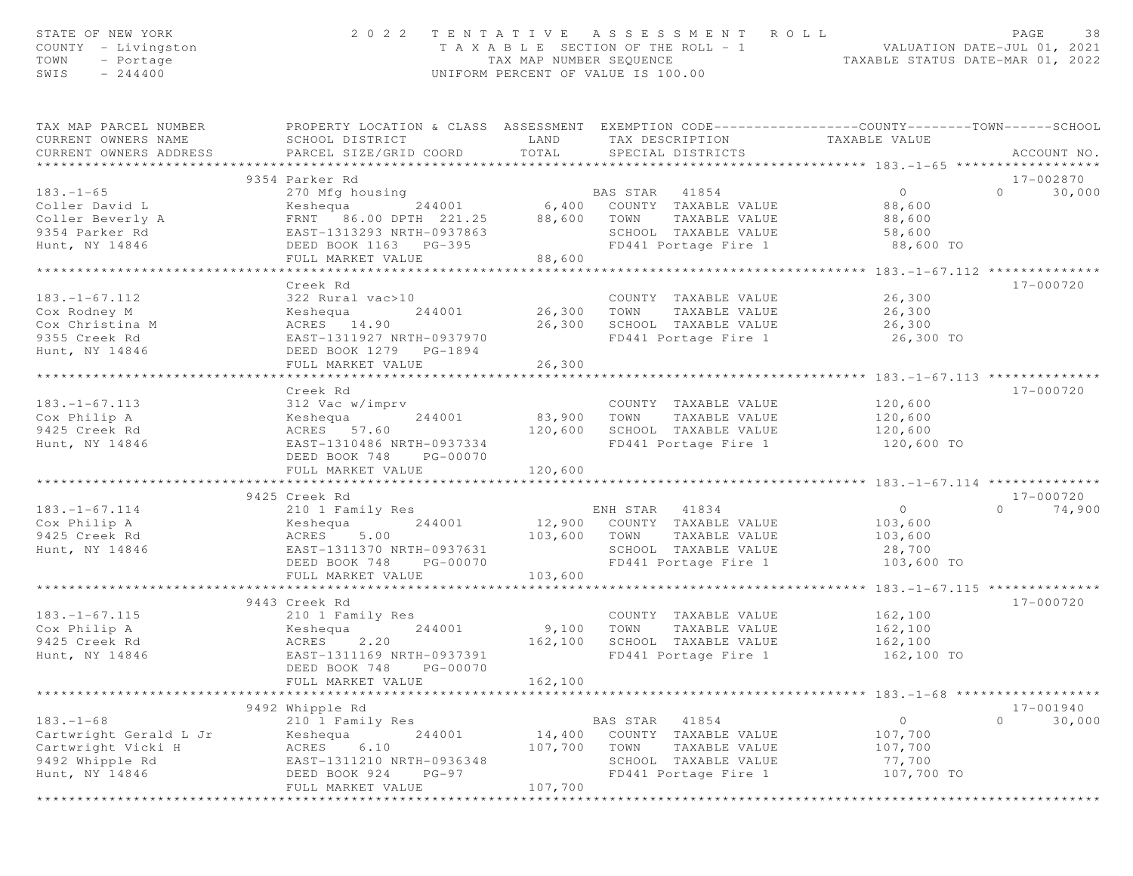| STATE OF NEW YORK<br>COUNTY - Livingston<br>TOWN<br>- Portage<br>SWIS<br>$-244400$ | 2 0 2 2                                                                                                                                      | TAX MAP NUMBER SEOUENCE | TENTATIVE ASSESSMENT<br>ROLL<br>T A X A B L E SECTION OF THE ROLL - 1<br>UNIFORM PERCENT OF VALUE IS 100.00 | VALUATION DATE-JUL U1, 2021<br>TAXABLE STATUS DATE-MAR 01, 2022 | 38<br>PAGE          |
|------------------------------------------------------------------------------------|----------------------------------------------------------------------------------------------------------------------------------------------|-------------------------|-------------------------------------------------------------------------------------------------------------|-----------------------------------------------------------------|---------------------|
| TAX MAP PARCEL NUMBER<br>CURRENT OWNERS NAME<br>CURRENT OWNERS ADDRESS             | PROPERTY LOCATION & CLASS ASSESSMENT EXEMPTION CODE---------------COUNTY-------TOWN------SCHOOL<br>SCHOOL DISTRICT<br>PARCEL SIZE/GRID COORD | LAND<br>TOTAL           | TAX DESCRIPTION<br>SPECIAL DISTRICTS                                                                        | TAXABLE VALUE                                                   | ACCOUNT NO.         |
| *************                                                                      | *******************************<br>9354 Parker Rd                                                                                            |                         | ***************************                                                                                 | ***************** 183.-1-65 ************                        | 17-002870           |
| $183. - 1 - 65$                                                                    | 270 Mfg housing                                                                                                                              |                         | BAS STAR 41854                                                                                              | $\overline{0}$                                                  | $\Omega$<br>30,000  |
| Coller David L                                                                     | 244001<br>Keshequa                                                                                                                           |                         | 6,400 COUNTY TAXABLE VALUE                                                                                  | 88,600                                                          |                     |
|                                                                                    | FRNT 86.00 DPTH 221.25                                                                                                                       |                         | 88,600 TOWN TAXABLE VALUE                                                                                   | 88,600                                                          |                     |
| Coller Beverly A<br>9354 Parker Rd                                                 | EAST-1313293 NRTH-0937863                                                                                                                    |                         | SCHOOL TAXABLE VALUE                                                                                        | 58,600                                                          |                     |
| Hunt, NY 14846                                                                     | DEED BOOK 1163 PG-395                                                                                                                        |                         | FD441 Portage Fire 1                                                                                        | 88,600 TO                                                       |                     |
|                                                                                    | FULL MARKET VALUE                                                                                                                            | 88,600                  |                                                                                                             |                                                                 |                     |
|                                                                                    | *****************************                                                                                                                | **********************  |                                                                                                             | ************* 183.-1-67.112 ***************                     |                     |
|                                                                                    | Creek Rd                                                                                                                                     |                         |                                                                                                             |                                                                 | 17-000720           |
| $183. - 1 - 67.112$                                                                | 322 Rural vac>10                                                                                                                             |                         | COUNTY TAXABLE VALUE                                                                                        | 26,300                                                          |                     |
| Cox Rodney M                                                                       | Keshequa<br>244001                                                                                                                           | 26,300 TOWN             | TAXABLE VALUE                                                                                               | 26,300                                                          |                     |
| Cox Christina M<br>9355 Creek Rd                                                   | ACRES 14.90<br>EAST-1311927 NRTH-0937970                                                                                                     | 26,300                  | SCHOOL TAXABLE VALUE<br>FD441 Portage Fire 1                                                                | 26,300<br>26,300 TO                                             |                     |
| Hunt, NY 14846                                                                     | DEED BOOK 1279 PG-1894                                                                                                                       |                         |                                                                                                             |                                                                 |                     |
|                                                                                    | FULL MARKET VALUE                                                                                                                            | 26,300                  |                                                                                                             |                                                                 |                     |
|                                                                                    | **********************                                                                                                                       | ***********             |                                                                                                             |                                                                 |                     |
|                                                                                    | Creek Rd                                                                                                                                     |                         |                                                                                                             |                                                                 | 17-000720           |
| $183. - 1 - 67.113$                                                                | 312 Vac w/imprv                                                                                                                              |                         | COUNTY TAXABLE VALUE                                                                                        | 120,600                                                         |                     |
| Cox Philip A                                                                       | Keshequa<br>244001                                                                                                                           | 83,900                  | TOWN<br>TAXABLE VALUE                                                                                       | 120,600                                                         |                     |
| 9425 Creek Rd                                                                      | ACRES 57.60                                                                                                                                  | 120,600                 | SCHOOL TAXABLE VALUE                                                                                        | 120,600                                                         |                     |
| Hunt, NY 14846                                                                     | EAST-1310486 NRTH-0937334                                                                                                                    |                         | FD441 Portage Fire 1                                                                                        | 120,600 TO                                                      |                     |
|                                                                                    | DEED BOOK 748<br>PG-00070                                                                                                                    |                         |                                                                                                             |                                                                 |                     |
|                                                                                    | FULL MARKET VALUE                                                                                                                            | 120,600                 |                                                                                                             |                                                                 |                     |
|                                                                                    |                                                                                                                                              |                         |                                                                                                             |                                                                 |                     |
|                                                                                    | 9425 Creek Rd                                                                                                                                |                         |                                                                                                             |                                                                 | 17-000720<br>$\cap$ |
| $183. - 1 - 67.114$<br>Cox Philip A                                                | 210 1 Family Res<br>244001                                                                                                                   |                         | ENH STAR 41834<br>12,900 COUNTY TAXABLE VALUE                                                               | $\overline{0}$                                                  | 74,900              |
| 9425 Creek Rd                                                                      | Keshequa<br>ACRES<br>5.00                                                                                                                    |                         | 103,600 TOWN<br>TAXABLE VALUE                                                                               | 103,600<br>103,600                                              |                     |
| Hunt, NY 14846                                                                     | EAST-1311370 NRTH-0937631                                                                                                                    |                         | SCHOOL TAXABLE VALUE                                                                                        | 28,700                                                          |                     |
|                                                                                    | DEED BOOK 748<br>PG-00070                                                                                                                    |                         | FD441 Portage Fire 1                                                                                        | 103,600 TO                                                      |                     |
|                                                                                    | FULL MARKET VALUE                                                                                                                            | 103,600                 |                                                                                                             |                                                                 |                     |
|                                                                                    | *********************                                                                                                                        |                         |                                                                                                             | ********** 183. -1-67.115 ***************                       |                     |
|                                                                                    | 9443 Creek Rd                                                                                                                                |                         |                                                                                                             |                                                                 | 17-000720           |
| $183. - 1 - 67.115$                                                                | 210 1 Family Res                                                                                                                             |                         | COUNTY TAXABLE VALUE                                                                                        | 162,100                                                         |                     |
| Cox Philip A                                                                       | 244001<br>Keshequa                                                                                                                           | 9,100                   | TOWN<br>TAXABLE VALUE                                                                                       | 162,100                                                         |                     |
| 9425 Creek Rd                                                                      | 2.20<br>ACRES                                                                                                                                | 162,100                 | SCHOOL TAXABLE VALUE                                                                                        | 162,100                                                         |                     |
| Hunt, NY 14846                                                                     | EAST-1311169 NRTH-0937391                                                                                                                    |                         | FD441 Portage Fire 1                                                                                        | 162,100 TO                                                      |                     |
|                                                                                    | DEED BOOK 748<br>PG-00070                                                                                                                    |                         |                                                                                                             |                                                                 |                     |
|                                                                                    | FULL MARKET VALUE                                                                                                                            | 162,100                 |                                                                                                             | $183. - 1 - 68$ **                                              |                     |
|                                                                                    | 9492 Whipple Rd                                                                                                                              |                         |                                                                                                             |                                                                 | $17 - 001940$       |
| $183. - 1 - 68$                                                                    | 210 1 Family Res                                                                                                                             |                         | 41854<br>BAS STAR                                                                                           | 0                                                               | $\circ$<br>30,000   |
| Cartwright Gerald L Jr                                                             | Keshequa<br>244001                                                                                                                           | 14,400                  | COUNTY TAXABLE VALUE                                                                                        | 107,700                                                         |                     |
| Cartwright Vicki H                                                                 | 6.10<br>ACRES                                                                                                                                | 107,700                 | TOWN<br>TAXABLE VALUE                                                                                       | 107,700                                                         |                     |
| 9492 Whipple Rd                                                                    | EAST-1311210 NRTH-0936348                                                                                                                    |                         | SCHOOL TAXABLE VALUE                                                                                        | 77,700                                                          |                     |
| Hunt, NY 14846                                                                     | DEED BOOK 924<br>$PG-97$                                                                                                                     |                         | FD441 Portage Fire 1                                                                                        | 107,700 TO                                                      |                     |
|                                                                                    | FULL MARKET VALUE                                                                                                                            | 107,700                 |                                                                                                             |                                                                 |                     |
|                                                                                    |                                                                                                                                              |                         |                                                                                                             |                                                                 |                     |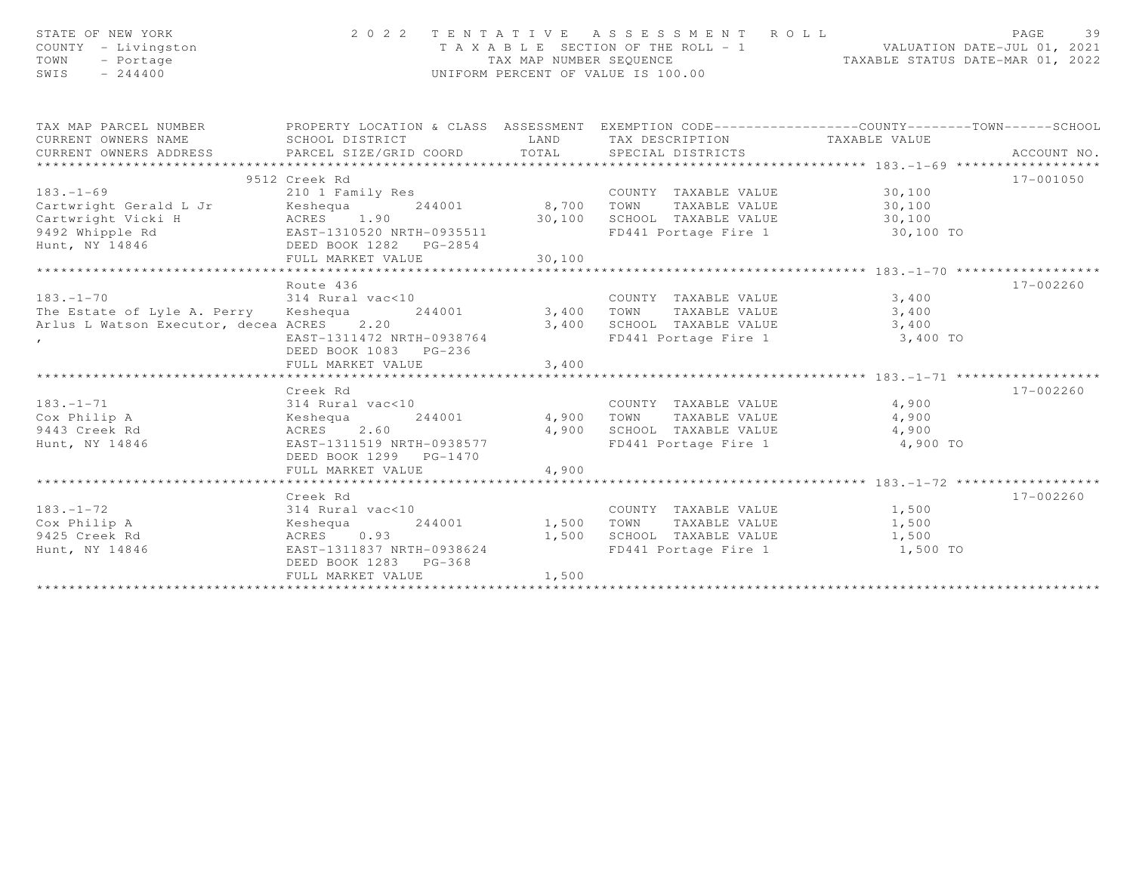| STATE OF NEW YORK<br>COUNTY - Livingston<br>TOWN<br>- Portage<br>SWIS<br>$-244400$                                                           | 2022 TENTATIVE ASSESSMENT ROLL<br>TAX MAP NUMBER SEQUENCE<br>UNIFORM PERCENT OF VALUE IS 100.00 | 39<br>PAGE<br>T A X A B L E SECTION OF THE ROLL - 1 VALUATION DATE-JUL 01, 2021<br>TAXABLE STATUS DATE-MAR 01, 2022 |                                                                                                     |       |             |  |
|----------------------------------------------------------------------------------------------------------------------------------------------|-------------------------------------------------------------------------------------------------|---------------------------------------------------------------------------------------------------------------------|-----------------------------------------------------------------------------------------------------|-------|-------------|--|
| TAX MAP PARCEL NUMBER FROPERTY LOCATION & CLASS ASSESSMENT EXEMPTION CODE---------------COUNTY-------TOWN------SCHOOL<br>CURRENT OWNERS NAME | SCHOOL DISTRICT                                                                                 |                                                                                                                     | LAND TAX DESCRIPTION TAXABLE VALUE                                                                  |       |             |  |
| CURRENT OWNERS ADDRESS PARCEL SIZE/GRID COORD TOTAL                                                                                          |                                                                                                 |                                                                                                                     | SPECIAL DISTRICTS                                                                                   |       | ACCOUNT NO. |  |
|                                                                                                                                              |                                                                                                 |                                                                                                                     |                                                                                                     |       |             |  |
|                                                                                                                                              | 9512 Creek Rd                                                                                   |                                                                                                                     |                                                                                                     |       | 17-001050   |  |
| $183. - 1 - 69$                                                                                                                              | 210 1 Family Res                                                                                |                                                                                                                     | COUNTY TAXABLE VALUE 30,100                                                                         |       |             |  |
|                                                                                                                                              |                                                                                                 |                                                                                                                     |                                                                                                     |       |             |  |
|                                                                                                                                              |                                                                                                 |                                                                                                                     |                                                                                                     |       |             |  |
|                                                                                                                                              |                                                                                                 |                                                                                                                     |                                                                                                     |       |             |  |
|                                                                                                                                              |                                                                                                 |                                                                                                                     |                                                                                                     |       |             |  |
|                                                                                                                                              |                                                                                                 |                                                                                                                     |                                                                                                     |       |             |  |
|                                                                                                                                              |                                                                                                 |                                                                                                                     |                                                                                                     |       |             |  |
| 314 Rural vac<10<br>$183. - 1 - 70$                                                                                                          | Route 436                                                                                       |                                                                                                                     | COUNTY TAXABLE VALUE 3,400                                                                          |       | 17-002260   |  |
| The Estate of Lyle A. Perry Keshequa 244001                                                                                                  |                                                                                                 | 3,400 TOWN                                                                                                          |                                                                                                     | 3,400 |             |  |
| Arlus L Watson Executor, decea ACRES 2.20                                                                                                    |                                                                                                 |                                                                                                                     | TAXABLE VALUE                                                                                       |       |             |  |
| $\mathbf{r}$                                                                                                                                 | EAST-1311472 NRTH-0938764                                                                       |                                                                                                                     | 3,400 SCHOOL TAXABLE VALUE 3,400<br>FD441 Portage Fire 1 3,400 TO                                   |       |             |  |
|                                                                                                                                              | DEED BOOK 1083 PG-236                                                                           |                                                                                                                     |                                                                                                     |       |             |  |
|                                                                                                                                              |                                                                                                 |                                                                                                                     |                                                                                                     |       |             |  |
|                                                                                                                                              |                                                                                                 |                                                                                                                     |                                                                                                     |       |             |  |
|                                                                                                                                              | Creek Rd                                                                                        |                                                                                                                     |                                                                                                     |       | 17-002260   |  |
| $183. - 1 - 71$                                                                                                                              | 314 Rural vac<10                                                                                |                                                                                                                     | COUNTY TAXABLE VALUE 4,900                                                                          |       |             |  |
| Cox Philip A                                                                                                                                 | 244001                                                                                          |                                                                                                                     |                                                                                                     |       |             |  |
| 9443 Creek Rd                                                                                                                                |                                                                                                 |                                                                                                                     | 4,900 TOWN TAXABLE VALUE 4,900<br>4,900 SCHOOL TAXABLE VALUE 4,900<br>FD441 Portage Fire 1 4,900 TO |       |             |  |
| Hunt, NY 14846                                                                                                                               | EAST-1311519 NRTH-0938577                                                                       |                                                                                                                     |                                                                                                     |       |             |  |
|                                                                                                                                              | DEED BOOK 1299 PG-1470<br>FULL MARKET VALUE                                                     | 4,900                                                                                                               |                                                                                                     |       |             |  |
|                                                                                                                                              |                                                                                                 |                                                                                                                     |                                                                                                     |       |             |  |
|                                                                                                                                              | Creek Rd                                                                                        |                                                                                                                     |                                                                                                     |       | 17-002260   |  |
| $183. - 1 - 72$                                                                                                                              | 314 Rural vac<10                                                                                |                                                                                                                     | COUNTY TAXABLE VALUE 1,500                                                                          |       |             |  |
| Cox Philip A                                                                                                                                 | 244001<br>Aural vack1<br>Keshequa<br>Acpre                                                      |                                                                                                                     |                                                                                                     | 1,500 |             |  |
| 9425 Creek Rd                                                                                                                                | ACRES 0.93                                                                                      |                                                                                                                     | 1,500 TOWN TAXABLE VALUE<br>1,500 SCHOOL TAXABLE VALUE                                              | 1,500 |             |  |
| Hunt, NY 14846                                                                                                                               | EAST-1311837 NRTH-0938624                                                                       |                                                                                                                     | FD441 Portage Fire 1 1,500 TO                                                                       |       |             |  |
|                                                                                                                                              | DEED BOOK 1283 PG-368                                                                           |                                                                                                                     |                                                                                                     |       |             |  |
|                                                                                                                                              | FULL MARKET VALUE                                                                               | 1,500                                                                                                               |                                                                                                     |       |             |  |
|                                                                                                                                              |                                                                                                 |                                                                                                                     |                                                                                                     |       |             |  |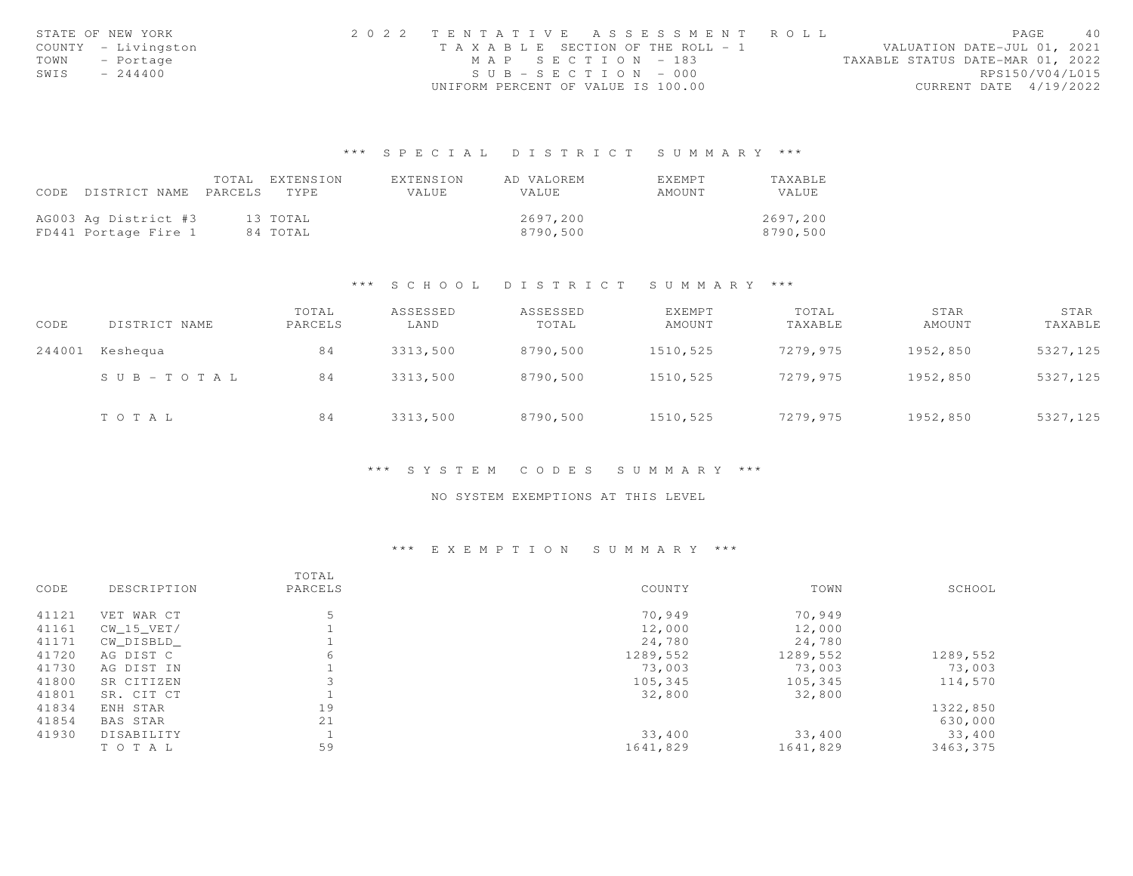|      | STATE OF NEW YORK   | 2022 TENTATIVE ASSESSMENT ROLL        |                       |  |  |                                  |                        | PAGE | - 40 |
|------|---------------------|---------------------------------------|-----------------------|--|--|----------------------------------|------------------------|------|------|
|      | COUNTY - Livingston | T A X A B L E SECTION OF THE ROLL - 1 |                       |  |  | VALUATION DATE-JUL 01, 2021      |                        |      |      |
|      | TOWN - Portage      |                                       | MAP SECTION - 183     |  |  | TAXABLE STATUS DATE-MAR 01, 2022 |                        |      |      |
| SWIS | $-244400$           |                                       | $SUB - SECTION - 000$ |  |  |                                  | RPS150/V04/L015        |      |      |
|      |                     | UNIFORM PERCENT OF VALUE IS 100.00    |                       |  |  |                                  | CURRENT DATE 4/19/2022 |      |      |

|                                 | TOTAL EXTENSION | FXTENSION | AD VALOREM | <b>FXFMPT</b> | TAXABLE  |
|---------------------------------|-----------------|-----------|------------|---------------|----------|
| CODE DISTRICT NAME PARCELS TYPE |                 | VALUE     | VALUE      | AMOUNT        | VALUE.   |
|                                 |                 |           |            |               |          |
| AG003 Ag District #3            | 13 TOTAL        |           | 2697.200   |               | 2697,200 |
| FD441 Portage Fire 1            | 84 TOTAL        |           | 8790,500   |               | 8790,500 |

#### \*\*\* S C H O O L D I S T R I C T S U M M A R Y \*\*\*

| CODE   | DISTRICT NAME         | TOTAL<br>PARCELS | ASSESSED<br>LAND | ASSESSED<br>TOTAL | EXEMPT<br>AMOUNT | TOTAL<br>TAXABLE | STAR<br>AMOUNT | STAR<br>TAXABLE |
|--------|-----------------------|------------------|------------------|-------------------|------------------|------------------|----------------|-----------------|
| 244001 | Keshequa              | 84               | 3313,500         | 8790,500          | 1510,525         | 7279,975         | 1952,850       | 5327,125        |
|        | $S \cup B - TO T A L$ | 84               | 3313,500         | 8790,500          | 1510,525         | 7279,975         | 1952,850       | 5327,125        |
|        | TOTAL                 | 84               | 3313,500         | 8790,500          | 1510,525         | 7279,975         | 1952,850       | 5327,125        |

#### \*\*\* S Y S T E M C O D E S S U M M A R Y \*\*\*

### NO SYSTEM EXEMPTIONS AT THIS LEVEL

|       |                 | TOTAL   |          |          |          |
|-------|-----------------|---------|----------|----------|----------|
| CODE  | DESCRIPTION     | PARCELS | COUNTY   | TOWN     | SCHOOL   |
| 41121 | VET WAR CT      | 5       | 70,949   | 70,949   |          |
| 41161 | $CW_15_VET/$    |         | 12,000   | 12,000   |          |
| 41171 | CW DISBLD       |         | 24,780   | 24,780   |          |
| 41720 | AG DIST C       | 6       | 1289,552 | 1289,552 | 1289,552 |
| 41730 | AG DIST IN      |         | 73,003   | 73,003   | 73,003   |
| 41800 | SR CITIZEN      |         | 105,345  | 105,345  | 114,570  |
| 41801 | SR. CIT CT      |         | 32,800   | 32,800   |          |
| 41834 | ENH STAR        | 19      |          |          | 1322,850 |
| 41854 | <b>BAS STAR</b> | 21      |          |          | 630,000  |
| 41930 | DISABILITY      |         | 33,400   | 33,400   | 33,400   |
|       | TOTAL           | 59      | 1641,829 | 1641,829 | 3463,375 |
|       |                 |         |          |          |          |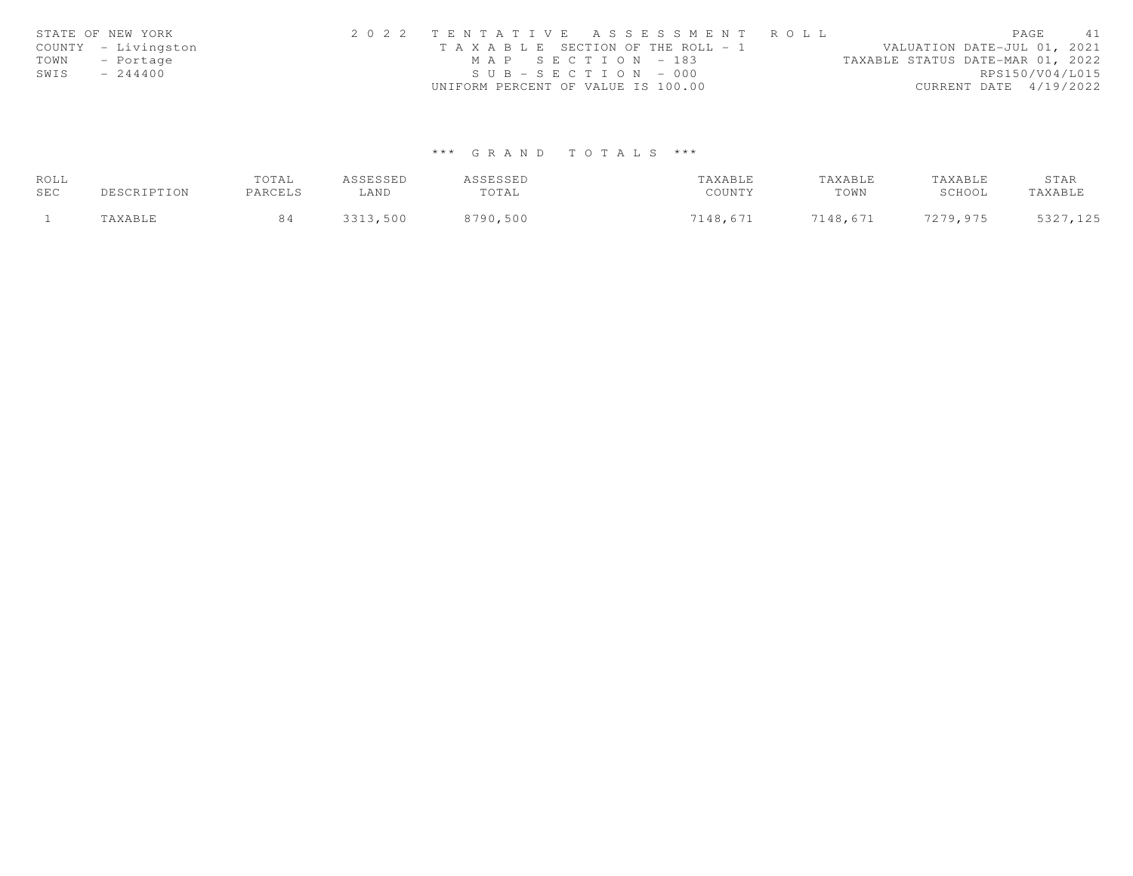|      | STATE OF NEW YORK   | 2022 TENTATIVE ASSESSMENT ROLL                        | PAGE                        | 41 |
|------|---------------------|-------------------------------------------------------|-----------------------------|----|
|      | COUNTY - Livingston | T A X A B L E SECTION OF THE ROLL - 1                 | VALUATION DATE-JUL 01, 2021 |    |
| TOWN | - Portage           | MAP SECTION - 183<br>TAXABLE STATUS DATE-MAR 01, 2022 |                             |    |
| SWIS | $-244400$           | $SUB - SECTION - 000$                                 | RPS150/V04/L015             |    |
|      |                     | UNIFORM PERCENT OF VALUE IS 100.00                    | CURRENT DATE $4/19/2022$    |    |

| ROLL |                      | TOTAL   | ASSESSED | ASSESSED | TAXABLE  | TAXABLE  | TAXABLE  | STAR     |
|------|----------------------|---------|----------|----------|----------|----------|----------|----------|
| SEC  | DESCRIPTION          | PARCELS | ∟AND     | TOTAL    | COUNTY   | TOWN     | SCHOOL   | TAXABLE  |
|      | <i><b>AXABLE</b></i> |         | 3313,500 | 8790,500 | 7148,671 | 7148,671 | 7279.975 | 5327,125 |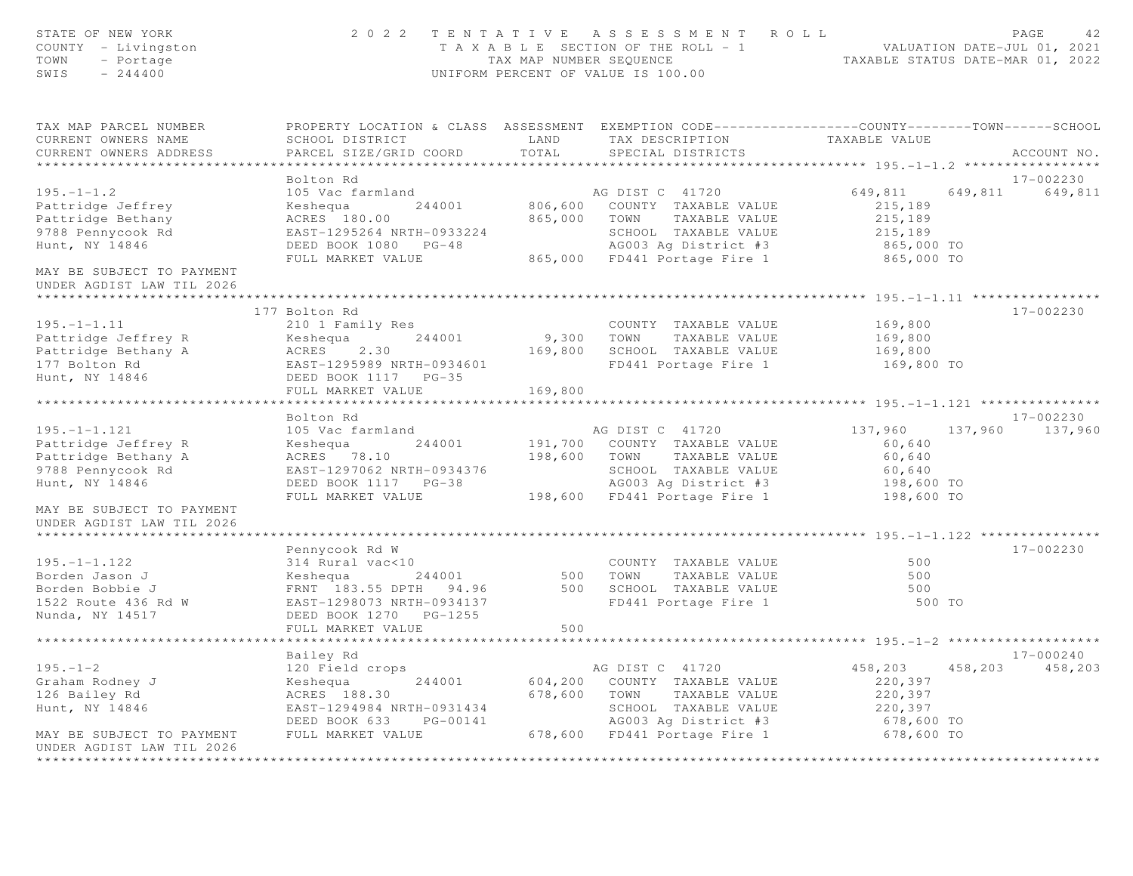| STATE OF NEW YORK<br>COUNTY - Livingston<br>TOWN<br>- Portage<br>$SWIS = 244400$ |                                                                                                                                                                             |         | 2022 TENTATIVE ASSESSMENT ROLL<br>T A X A B L E SECTION OF THE ROLL - 1 VALUATION DATE-JUL 01, 2021<br>TAX MAP NUMBER SEQUENCE TAXABLE STATUS DATE-MAR 01, 2022<br>UNIFORM PERCENT OF VALUE IS 100.00 |                      | PAGE<br>42.<br>TAXABLE STATUS DATE-MAR 01, 2022 |
|----------------------------------------------------------------------------------|-----------------------------------------------------------------------------------------------------------------------------------------------------------------------------|---------|-------------------------------------------------------------------------------------------------------------------------------------------------------------------------------------------------------|----------------------|-------------------------------------------------|
| TAX MAP PARCEL NUMBER<br>CURRENT OWNERS NAME<br>CURRENT OWNERS ADDRESS           | PROPERTY LOCATION & CLASS ASSESSMENT EXEMPTION CODE-----------------COUNTY-------TOWN------SCHOOL<br><b>LAND</b><br>SCHOOL DISTRICT<br>PARCEL SIZE/GRID COORD               | TOTAL   | TAX DESCRIPTION TAXABLE VALUE<br>SPECIAL DISTRICTS                                                                                                                                                    |                      | ACCOUNT NO.                                     |
|                                                                                  |                                                                                                                                                                             |         |                                                                                                                                                                                                       |                      |                                                 |
|                                                                                  | Bolton Rd                                                                                                                                                                   |         |                                                                                                                                                                                                       |                      | 17-002230                                       |
| $195. - 1 - 1.2$                                                                 | 105 Vac farmland                                                                                                                                                            |         | AG DIST C 41720                                                                                                                                                                                       | 649,811              | 649,811 649,811                                 |
| Pattridge Jeffrey                                                                | Keshequa 244001                                                                                                                                                             |         | 806,600 COUNTY TAXABLE VALUE                                                                                                                                                                          | 215,189              |                                                 |
| Pattridge Bethany                                                                | ACRES 180.00                                                                                                                                                                |         | 865,000 TOWN TAXABLE VALUE                                                                                                                                                                            | 215,189              |                                                 |
| 9788 Pennycook Rd                                                                |                                                                                                                                                                             |         |                                                                                                                                                                                                       |                      |                                                 |
| Hunt, NY 14846                                                                   |                                                                                                                                                                             |         |                                                                                                                                                                                                       |                      |                                                 |
| MAY BE SUBJECT TO PAYMENT<br>UNDER AGDIST LAW TIL 2026                           | EAST-1295264 NRTH-0933224 SCHOOL TAXABLE VALUE 215,189<br>DEED BOOK 1080 PG-48 AG003 Ag District #3 865,000 TO<br>FULL MARKET VALUE 865,000 FD441 Portage Fire 1 865,000 TO |         |                                                                                                                                                                                                       |                      |                                                 |
|                                                                                  |                                                                                                                                                                             |         |                                                                                                                                                                                                       |                      |                                                 |
|                                                                                  | 177 Bolton Rd                                                                                                                                                               |         |                                                                                                                                                                                                       |                      | 17-002230                                       |
| $195. - 1 - 1.11$                                                                | 210 1 Family Res                                                                                                                                                            |         | COUNTY TAXABLE VALUE                                                                                                                                                                                  | 169,800              |                                                 |
|                                                                                  | 244001                                                                                                                                                                      |         | 9,300 TOWN TAXABLE VALUE                                                                                                                                                                              | 169,800              |                                                 |
| Pattridge Jeffrey R Keshequa<br>Pattridge Bethany A ACRES 2.30                   |                                                                                                                                                                             |         | 169,800 SCHOOL TAXABLE VALUE                                                                                                                                                                          | 169,800              |                                                 |
| 177 Bolton Rd                                                                    | EAST-1295989 NRTH-0934601                                                                                                                                                   |         | FD441 Portage Fire 1                                                                                                                                                                                  | 169,800 TO           |                                                 |
| 177 Bolton Rd<br>Hunt, NY 14846                                                  | DEED BOOK 1117 PG-35                                                                                                                                                        |         |                                                                                                                                                                                                       |                      |                                                 |
|                                                                                  | FULL MARKET VALUE                                                                                                                                                           | 169,800 |                                                                                                                                                                                                       |                      |                                                 |
|                                                                                  |                                                                                                                                                                             |         |                                                                                                                                                                                                       |                      |                                                 |
|                                                                                  | Bolton Rd                                                                                                                                                                   |         |                                                                                                                                                                                                       |                      | 17-002230                                       |
| $195. -1 - 1.121$                                                                | 105 Vac farmland                                                                                                                                                            |         | AG DIST C 41720                                                                                                                                                                                       | 137,960              | 137,960 137,960                                 |
| Pattridge Jeffrey R                                                              | Keshequa 244001                                                                                                                                                             |         | 191,700 COUNTY TAXABLE VALUE                                                                                                                                                                          | 60, 640              |                                                 |
| Pattridge Bethany A                                                              | ACRES 78.10<br>EAST-1297062 NRTH-0934376                                                                                                                                    |         | 198,600 TOWN TAXABLE VALUE                                                                                                                                                                            | 60,640               |                                                 |
| 9788 Pennycook Rd<br>Hunt, NY 14846                                              | DEED BOOK 1117 PG-38                                                                                                                                                        |         | SCHOOL TAXABLE VALUE<br>AG003 Ag District #3                                                                                                                                                          | 60,640<br>198,600 TO |                                                 |
|                                                                                  | FULL MARKET VALUE                                                                                                                                                           |         | 198,600 FD441 Portage Fire 1                                                                                                                                                                          | 198,600 TO           |                                                 |
| MAY BE SUBJECT TO PAYMENT<br>UNDER AGDIST LAW TIL 2026                           |                                                                                                                                                                             |         |                                                                                                                                                                                                       |                      |                                                 |
|                                                                                  |                                                                                                                                                                             |         |                                                                                                                                                                                                       |                      |                                                 |
|                                                                                  | Pennycook Rd W                                                                                                                                                              |         |                                                                                                                                                                                                       |                      | $17 - 002230$                                   |
| $195. - 1 - 1.122$                                                               | 314 Rural vac<10                                                                                                                                                            |         | COUNTY TAXABLE VALUE                                                                                                                                                                                  | 500                  |                                                 |
| Borden Jason J                                                                   | Example 183.55 DPTH 94.96<br>FRNT 183.55 DPTH 94.96<br>EAST-1298073 NRTH-0934137<br>FRNT 183.55 DPTH 94.96<br>FD441 Portage Fire 1                                          |         |                                                                                                                                                                                                       | 500                  |                                                 |
| Borden Bobbie J                                                                  |                                                                                                                                                                             |         |                                                                                                                                                                                                       | 500                  |                                                 |
| 1522 Route 436 Rd W                                                              |                                                                                                                                                                             |         |                                                                                                                                                                                                       | 500 TO               |                                                 |
| Nunda, NY 14517                                                                  | DEED BOOK 1270 PG-1255                                                                                                                                                      |         |                                                                                                                                                                                                       |                      |                                                 |
|                                                                                  | FULL MARKET VALUE                                                                                                                                                           | 500     |                                                                                                                                                                                                       |                      |                                                 |
|                                                                                  |                                                                                                                                                                             |         |                                                                                                                                                                                                       |                      | 17-000240                                       |
| $195. - 1 - 2$                                                                   | Bailey Rd<br>120 Field crops                                                                                                                                                |         | AG DIST C 41720                                                                                                                                                                                       | 458,203              | 458,203 458,203                                 |
|                                                                                  | Keshequa 244001                                                                                                                                                             |         | 604,200 COUNTY TAXABLE VALUE                                                                                                                                                                          | 220,397              |                                                 |
| ---.<br>Graham Rodney J<br>126 Bailey Rd<br>Hunt, NY 14846                       | ACRES 188.30                                                                                                                                                                |         | 678,600 TOWN TAXABLE VALUE                                                                                                                                                                            | 220,397              |                                                 |
|                                                                                  | EAST-1294984 NRTH-0931434                                                                                                                                                   |         |                                                                                                                                                                                                       | 220,397              |                                                 |
|                                                                                  | DEED BOOK 633 PG-00141                                                                                                                                                      |         |                                                                                                                                                                                                       | 678,600 TO           |                                                 |
| MAY BE SUBJECT TO PAYMENT                                                        | FULL MARKET VALUE                                                                                                                                                           |         | SCHOOL TAXABLE VALUE<br>AGOO3 Ag District #3<br>678,600 FD441 Portage Fire 1                                                                                                                          | 678,600 TO           |                                                 |
| UNDER AGDIST LAW TIL 2026                                                        |                                                                                                                                                                             |         |                                                                                                                                                                                                       |                      |                                                 |
| *************************                                                        |                                                                                                                                                                             |         |                                                                                                                                                                                                       |                      |                                                 |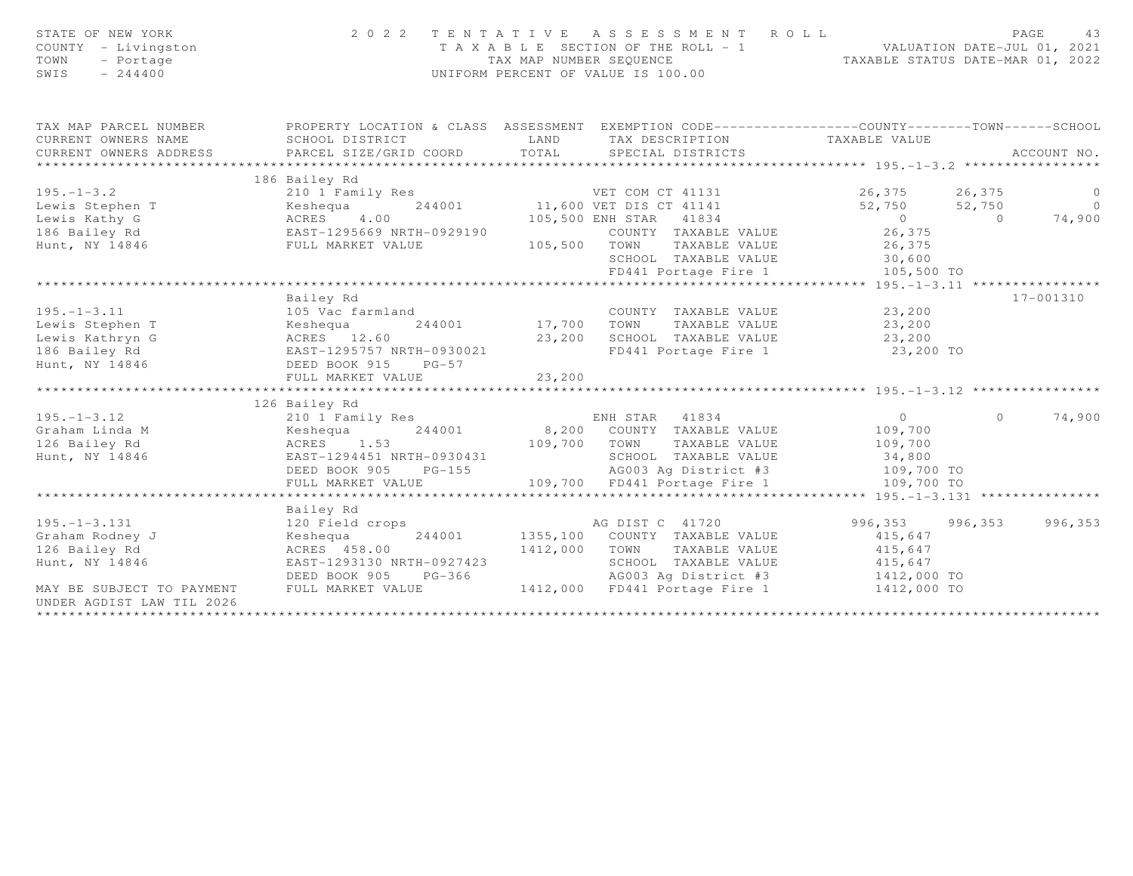| STATE OF NEW YORK<br>COUNTY - Livingston<br>TOWN<br>- Portage<br>SWIS<br>$-244400$ |                                                                                                                                  | 2022 TENTATIVE ASSESSMENT ROLL<br>UNIFORM PERCENT OF VALUE IS 100.00 | PAGE<br>T A X A B L E SECTION OF THE ROLL - 1 VALUATION DATE-JUL 01, 2021<br>TAX MAP NUMBER SEQUENCE TAXABLE STATUS DATE-MAR 01, 2022 | 43      |
|------------------------------------------------------------------------------------|----------------------------------------------------------------------------------------------------------------------------------|----------------------------------------------------------------------|---------------------------------------------------------------------------------------------------------------------------------------|---------|
| TAX MAP PARCEL NUMBER                                                              |                                                                                                                                  |                                                                      | PROPERTY LOCATION & CLASS ASSESSMENT EXEMPTION CODE-----------------COUNTY--------TOWN------SCHOOL                                    |         |
| CURRENT OWNERS NAME                                                                | SCHOOL DISTRICT                                                                                                                  | LAND<br>TAX DESCRIPTION                                              | TAXABLE VALUE                                                                                                                         |         |
| CURRENT OWNERS ADDRESS                                                             | PARCEL SIZE/GRID COORD                                                                                                           | TOTAL<br>SPECIAL DISTRICTS                                           | ACCOUNT NO.                                                                                                                           |         |
|                                                                                    | 186 Bailey Rd                                                                                                                    |                                                                      |                                                                                                                                       |         |
| $195. - 1 - 3.2$                                                                   | 210 1 Family Res                                                                                                                 | VET COM CT 41131                                                     | 26,375 26,375                                                                                                                         | $\circ$ |
|                                                                                    |                                                                                                                                  |                                                                      |                                                                                                                                       | $\circ$ |
|                                                                                    |                                                                                                                                  | 244001 11,600 VET DIS CT 41141<br>4.00 105,500 ENH STAR 41834        | 52,750 52,750<br>$\overline{0}$<br>74,900<br>$\sim$ 0                                                                                 |         |
|                                                                                    |                                                                                                                                  | COUNTY TAXABLE VALUE 26,375                                          |                                                                                                                                       |         |
| Hunt, NY 14846                                                                     | FULL MARKET VALUE                                                                                                                |                                                                      |                                                                                                                                       |         |
|                                                                                    |                                                                                                                                  | 105,500 TOWN TAXABLE VALUE 26,375<br>SCHOOL TAXABLE VALUE 30,600     |                                                                                                                                       |         |
|                                                                                    |                                                                                                                                  | FD441 Portage Fire 1                                                 | 105,500 TO                                                                                                                            |         |
|                                                                                    |                                                                                                                                  |                                                                      |                                                                                                                                       |         |
|                                                                                    | Bailey Rd                                                                                                                        |                                                                      | 17-001310                                                                                                                             |         |
| $195. - 1 - 3.11$                                                                  | 105 Vac farmland                                                                                                                 | COUNTY TAXABLE VALUE                                                 | 23, 200                                                                                                                               |         |
|                                                                                    |                                                                                                                                  |                                                                      |                                                                                                                                       |         |
|                                                                                    | Lewis Stephen T<br>Lewis Kathryn G<br>186 Bailey Rd<br>186 Bailey Rd<br>187 BAST-1295757 NRTH-0930021<br>187 BEED BOOK 915 PG-57 |                                                                      |                                                                                                                                       |         |
|                                                                                    |                                                                                                                                  | FD441 Portage Fire 1 23,200 TO                                       |                                                                                                                                       |         |
|                                                                                    |                                                                                                                                  |                                                                      |                                                                                                                                       |         |
|                                                                                    | FULL MARKET VALUE                                                                                                                | 23,200                                                               |                                                                                                                                       |         |
|                                                                                    |                                                                                                                                  |                                                                      |                                                                                                                                       |         |
|                                                                                    | 126 Bailey Rd                                                                                                                    |                                                                      |                                                                                                                                       |         |
| $195. - 1 - 3.12$                                                                  | 210 1 Family Res                                                                                                                 | ENH STAR 41834                                                       | 74,900<br>$\overline{0}$<br>$\Omega$                                                                                                  |         |
| Graham Linda M                                                                     | Keshequa                                                                                                                         | 244001 8,200 COUNTY TAXABLE VALUE                                    | 109,700                                                                                                                               |         |
| 126 Bailey Rd                                                                      | ACRES 1.53                                                                                                                       | 109,700 TOWN<br>TAXABLE VALUE                                        | 109,700                                                                                                                               |         |
| Hunt, NY 14846                                                                     | EAST-1294451 NRTH-0930431                                                                                                        | SCHOOL TAXABLE VALUE                                                 | 34,800                                                                                                                                |         |
|                                                                                    | DEED BOOK 905<br>$PG-155$                                                                                                        | AG003 Ag District #3                                                 | 109,700 TO                                                                                                                            |         |
|                                                                                    | FULL MARKET VALUE                                                                                                                | 109,700 FD441 Portage Fire 1                                         | 109,700 TO                                                                                                                            |         |
|                                                                                    | *************************                                                                                                        | *************************************                                | ********* 195.-1-3.131 *                                                                                                              |         |
|                                                                                    | Bailey Rd                                                                                                                        |                                                                      |                                                                                                                                       |         |
| $195. - 1 - 3.131$                                                                 | 120 Field crops                                                                                                                  | AG DIST C 41720                                                      | 996,353<br>996,353 996,353                                                                                                            |         |
| Graham Rodney J                                                                    | 244001<br>Keshequa                                                                                                               | 1355,100 COUNTY TAXABLE VALUE                                        | 415,647                                                                                                                               |         |
| 126 Bailey Rd                                                                      | ACRES 458.00                                                                                                                     | 1412,000 TOWN<br>TAXABLE VALUE                                       | 415,647                                                                                                                               |         |
| Hunt, NY 14846                                                                     | EAST-1293130 NRTH-0927423                                                                                                        | SCHOOL TAXABLE VALUE<br>AG003 Ag District #3                         | 415,647<br>1412,000 TO                                                                                                                |         |
|                                                                                    | DEED BOOK 905 PG-366                                                                                                             |                                                                      |                                                                                                                                       |         |
| MAY BE SUBJECT TO PAYMENT                                                          | FULL MARKET VALUE                                                                                                                | 1412,000 FD441 Portage Fire 1 1412,000 TO                            |                                                                                                                                       |         |
| UNDER AGDIST LAW TIL 2026<br>*********************                                 |                                                                                                                                  |                                                                      |                                                                                                                                       |         |
|                                                                                    |                                                                                                                                  |                                                                      |                                                                                                                                       |         |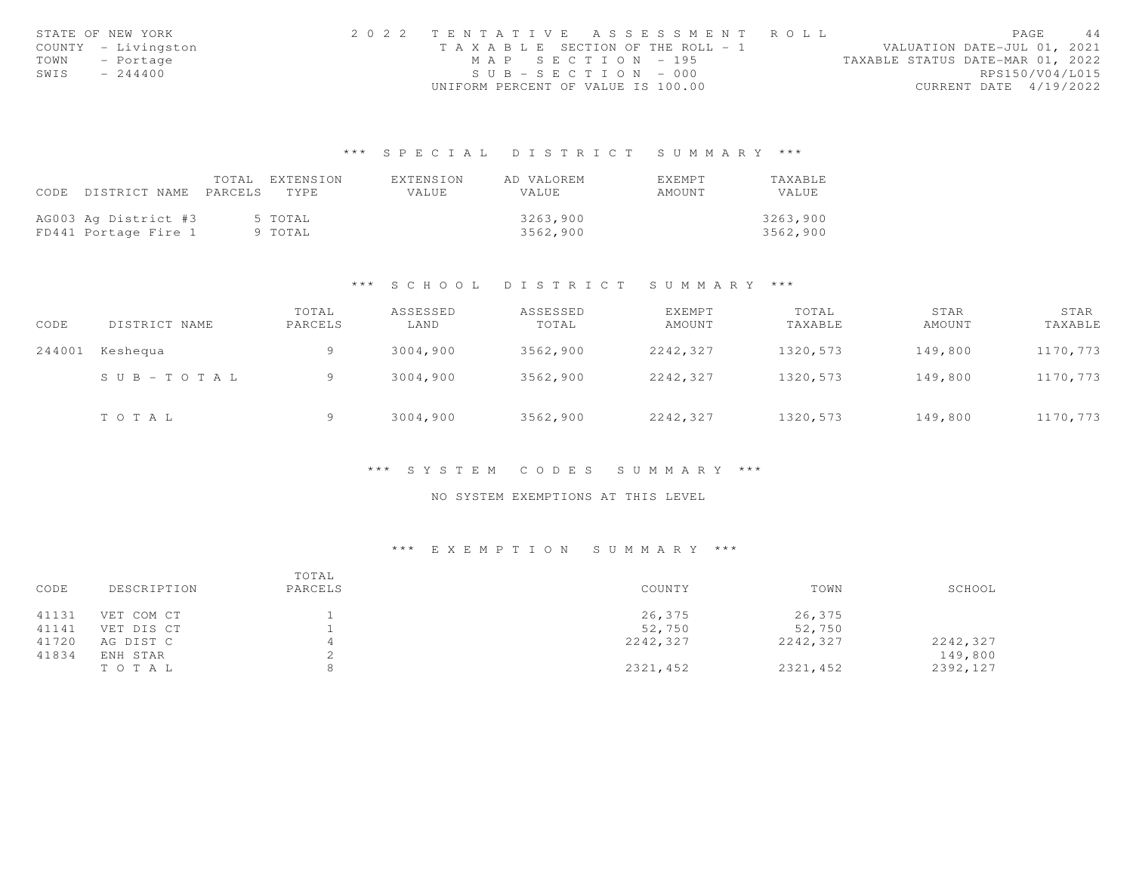|      | STATE OF NEW YORK   | 2022 TENTATIVE ASSESSMENT ROLL |                                       |                       |  |  |                                  |                 | PAGE | 44 |
|------|---------------------|--------------------------------|---------------------------------------|-----------------------|--|--|----------------------------------|-----------------|------|----|
|      | COUNTY - Livingston |                                | T A X A B L E SECTION OF THE ROLL - 1 |                       |  |  | VALUATION DATE-JUL 01, 2021      |                 |      |    |
|      | TOWN - Portage      |                                |                                       | MAP SECTION - 195     |  |  | TAXABLE STATUS DATE-MAR 01, 2022 |                 |      |    |
| SWIS | $-244400$           |                                |                                       | $SUB - SECTION - 000$ |  |  |                                  | RPS150/V04/L015 |      |    |
|      |                     |                                | UNIFORM PERCENT OF VALUE IS 100.00    |                       |  |  | CURRENT DATE 4/19/2022           |                 |      |    |

|                                 | TOTAL EXTENSION | FXTENSION | AD VALOREM | <b>FXFMPT</b> | TAXABLE  |
|---------------------------------|-----------------|-----------|------------|---------------|----------|
| CODE DISTRICT NAME PARCELS TYPE |                 | VALUE     | VALUE      | AMOUNT        | VALUE.   |
|                                 |                 |           |            |               |          |
| AG003 Ag District #3            | 5 TOTAL         |           | 3263,900   |               | 3263,900 |
| FD441 Portage Fire 1            | 9 TOTAL         |           | 3562,900   |               | 3562,900 |

#### \*\*\* S C H O O L D I S T R I C T S U M M A R Y \*\*\*

| CODE   | DISTRICT NAME             | TOTAL<br>PARCELS | ASSESSED<br>LAND | ASSESSED<br>TOTAL | EXEMPT<br>AMOUNT | TOTAL<br>TAXABLE | STAR<br>AMOUNT | STAR<br>TAXABLE |
|--------|---------------------------|------------------|------------------|-------------------|------------------|------------------|----------------|-----------------|
| 244001 | Keshequa                  | Q                | 3004,900         | 3562,900          | 2242,327         | 1320,573         | 149,800        | 1170,773        |
|        | $S \cup B = T \cup T A L$ |                  | 3004,900         | 3562,900          | 2242,327         | 1320,573         | 149,800        | 1170,773        |
|        | TOTAL                     | Q                | 3004,900         | 3562,900          | 2242,327         | 1320,573         | 149,800        | 1170,773        |

#### \*\*\* S Y S T E M C O D E S S U M M A R Y \*\*\*

### NO SYSTEM EXEMPTIONS AT THIS LEVEL

| CODE<br>DESCRIPTION | TOTAL<br>PARCELS | COUNTY   | TOWN     | SCHOOL   |
|---------------------|------------------|----------|----------|----------|
| 41131<br>VET COM CT |                  | 26,375   | 26,375   |          |
| 41141<br>VET DIS CT |                  | 52,750   | 52,750   |          |
| 41720<br>AG DIST C  |                  | 2242,327 | 2242,327 | 2242,327 |
| 41834<br>ENH STAR   |                  |          |          | 149,800  |
| TOTAL               |                  | 2321,452 | 2321,452 | 2392,127 |
|                     |                  |          |          |          |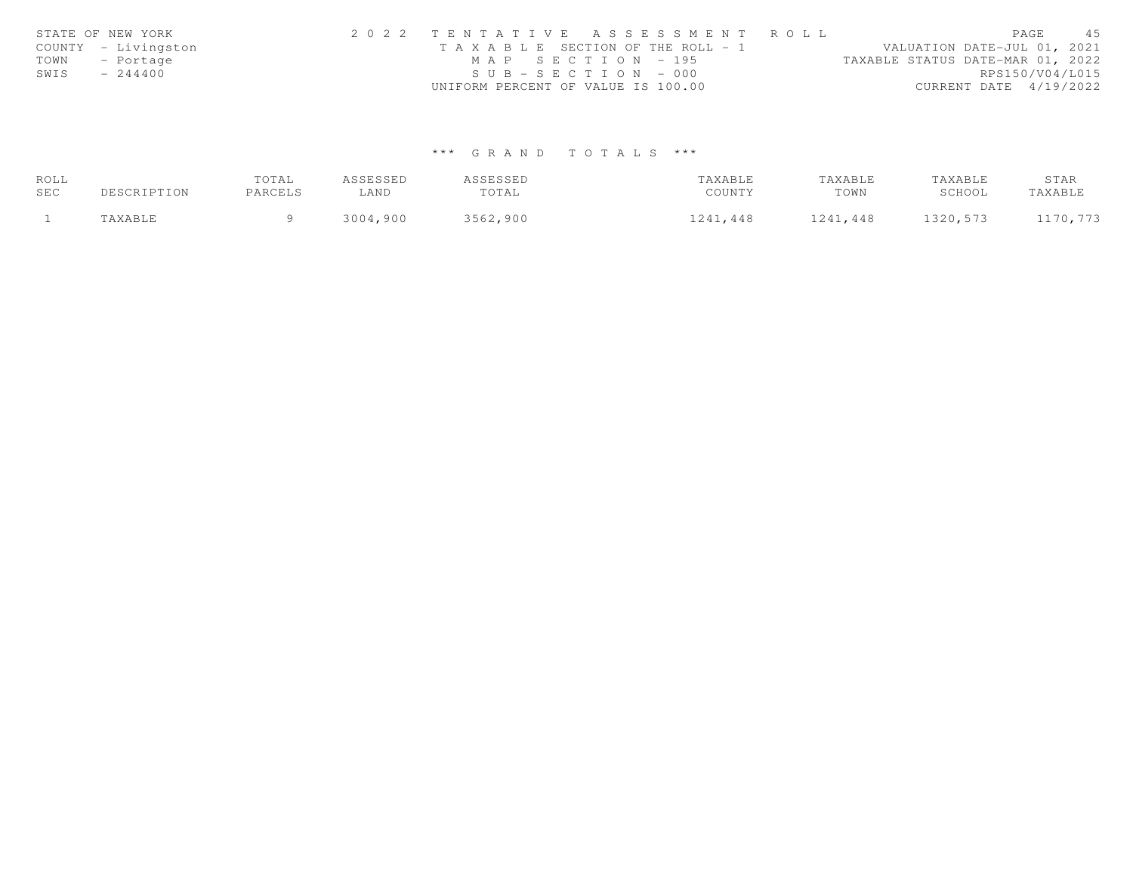| STATE OF NEW YORK   | 2022 TENTATIVE ASSESSMENT ROLL |                                    |                                       |                                  |                        | PAGE | 45 |
|---------------------|--------------------------------|------------------------------------|---------------------------------------|----------------------------------|------------------------|------|----|
| COUNTY - Livingston |                                |                                    | T A X A B L E SECTION OF THE ROLL - 1 | VALUATION DATE-JUL 01, 2021      |                        |      |    |
| TOWN - Portage      |                                | MAP SECTION - 195                  |                                       | TAXABLE STATUS DATE-MAR 01, 2022 |                        |      |    |
| $-244400$<br>SWIS   |                                | $SUB - SECTION - 000$              |                                       |                                  | RPS150/V04/L015        |      |    |
|                     |                                | UNIFORM PERCENT OF VALUE IS 100.00 |                                       |                                  | CURRENT DATE 4/19/2022 |      |    |

| ROLL |     | TOTAL   | <i>SSESSED</i> | A GALCCLU<br>⊥تان ن تا | 'AXABLE      | TAXABLE      | AXABLE | STAR        |
|------|-----|---------|----------------|------------------------|--------------|--------------|--------|-------------|
| SEC  | ION | PARCELS | LAND           | TOTAL                  | COUNTY       | TOWN         | SCHOOL | TAXABLI     |
|      |     |         | 3 N N 4<br>900 | 3562<br>.900           | 7241<br>.448 | 241<br>.7448 | .573   | 772<br>170. |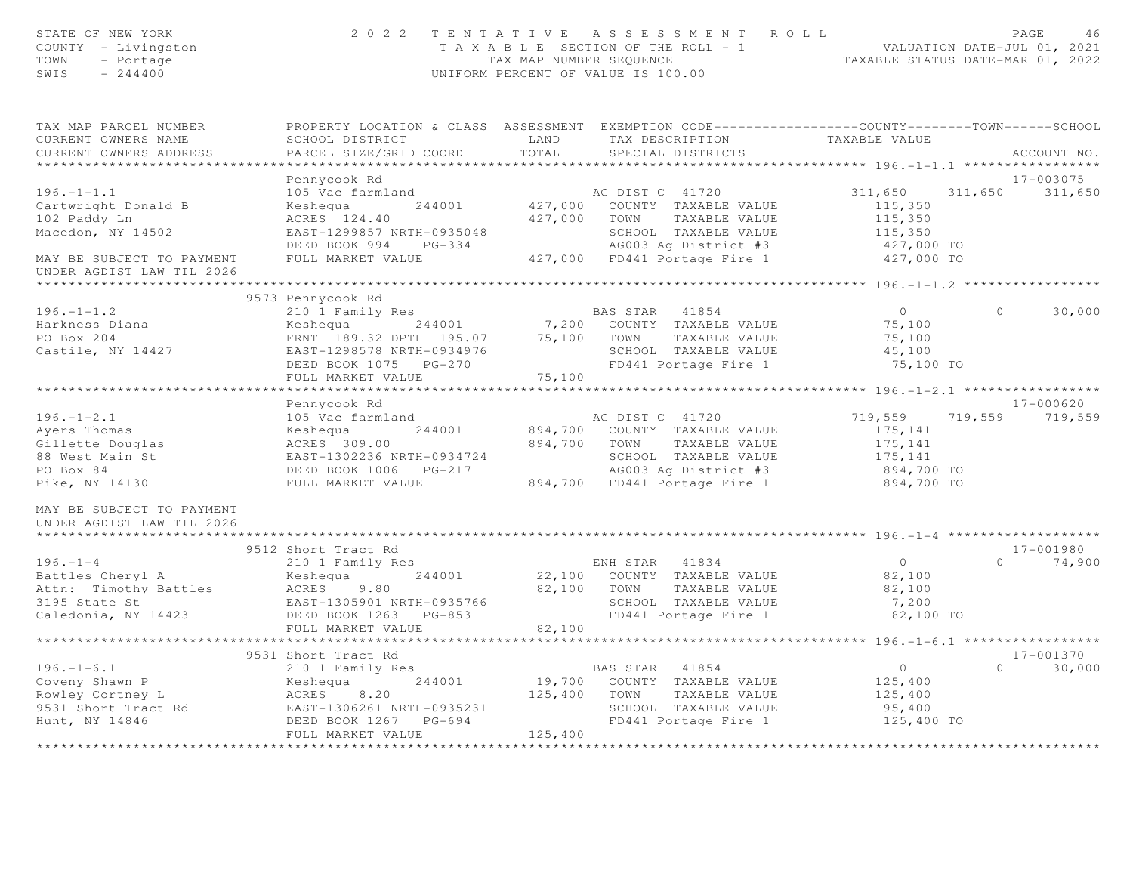| STATE OF NEW YORK<br>COUNTY - Livingston<br>TOWN<br>- Portage<br>$-244400$<br>SWIS |                                                | 2022 TENTATIVE ASSESSMENT ROLL<br>T A X A B L E SECTION OF THE ROLL - 1 VALUATION DATE-JUL 01, 2021<br>TAX MAP NUMBER SEQUENCE TAXABLE STATUS DATE-MAR 01, 2022<br>UNIFORM PERCENT OF VALUE IS 100.00 | PAGE<br>46                            |
|------------------------------------------------------------------------------------|------------------------------------------------|-------------------------------------------------------------------------------------------------------------------------------------------------------------------------------------------------------|---------------------------------------|
| TAX MAP PARCEL NUMBER                                                              |                                                | PROPERTY LOCATION & CLASS ASSESSMENT EXEMPTION CODE---------------COUNTY-------TOWN------SCHOOL                                                                                                       |                                       |
| CURRENT OWNERS NAME<br>CURRENT OWNERS ADDRESS                                      | SCHOOL DISTRICT<br>PARCEL SIZE/GRID COORD      | LAND<br>TAX DESCRIPTION<br>TOTAL<br>SPECIAL DISTRICTS                                                                                                                                                 | TAXABLE VALUE<br>ACCOUNT NO.          |
| ************************                                                           |                                                |                                                                                                                                                                                                       |                                       |
|                                                                                    | Pennycook Rd                                   |                                                                                                                                                                                                       | 17-003075                             |
| $196. - 1 - 1.1$<br>Cartwright Donald B                                            | 105 Vac farmland<br>Keshequa<br>244001         | AG DIST C 41720<br>427,000 COUNTY TAXABLE VALUE                                                                                                                                                       | 311,650<br>311,650 311,650<br>115,350 |
| 102 Paddy Ln                                                                       | ACRES 124.40                                   | 427,000 TOWN<br>TAXABLE VALUE                                                                                                                                                                         | 115,350                               |
| Macedon, NY 14502                                                                  | EAST-1299857 NRTH-0935048                      | SCHOOL TAXABLE VALUE                                                                                                                                                                                  | 115,350                               |
|                                                                                    | DEED BOOK 994 PG-334                           | AG003 Ag District #3                                                                                                                                                                                  | 427,000 TO                            |
| MAY BE SUBJECT TO PAYMENT<br>UNDER AGDIST LAW TIL 2026                             | FULL MARKET VALUE                              | 427,000 FD441 Portage Fire 1                                                                                                                                                                          | 427,000 TO                            |
|                                                                                    |                                                |                                                                                                                                                                                                       |                                       |
|                                                                                    | 9573 Pennycook Rd                              |                                                                                                                                                                                                       |                                       |
| $196. - 1 - 1.2$                                                                   | 210 1 Family Res                               | BAS STAR 41854                                                                                                                                                                                        | $\overline{0}$<br>$\bigcap$<br>30,000 |
| Harkness Diana                                                                     | 244001<br>Keshequa                             | 7,200 COUNTY TAXABLE VALUE                                                                                                                                                                            | 75,100                                |
| PO Box 204                                                                         | FRNT 189.32 DPTH 195.07                        | 75,100 TOWN<br>TAXABLE VALUE                                                                                                                                                                          | 75,100                                |
| Castile, NY 14427                                                                  | EAST-1298578 NRTH-0934976                      | SCHOOL TAXABLE VALUE                                                                                                                                                                                  | 45,100                                |
|                                                                                    | DEED BOOK 1075 PG-270                          | FD441 Portage Fire 1                                                                                                                                                                                  | 75,100 TO                             |
|                                                                                    | FULL MARKET VALUE<br>************************* | 75,100                                                                                                                                                                                                |                                       |
|                                                                                    | Pennycook Rd                                   |                                                                                                                                                                                                       | $17 - 000620$                         |
| $196. - 1 - 2.1$                                                                   | 105 Vac farmland                               | AG DIST C 41720                                                                                                                                                                                       | 719,559<br>719,559 719,559            |
| Ayers Thomas                                                                       | Keshequa<br>244001                             | 894,700 COUNTY TAXABLE VALUE                                                                                                                                                                          | 175,141                               |
| Gillette Douglas                                                                   | ACRES 309.00                                   | 894,700 TOWN<br>TAXABLE VALUE                                                                                                                                                                         | 175,141                               |
| 88 West Main St                                                                    | EAST-1302236 NRTH-0934724                      | SCHOOL TAXABLE VALUE                                                                                                                                                                                  | 175,141                               |
| PO Box 84                                                                          |                                                | AG003 Ag District #3                                                                                                                                                                                  | 894,700 TO                            |
| Pike, NY 14130                                                                     | FULL MARKET VALUE                              | 894,700 FD441 Portage Fire 1                                                                                                                                                                          | 894,700 TO                            |
| MAY BE SUBJECT TO PAYMENT<br>UNDER AGDIST LAW TIL 2026                             |                                                |                                                                                                                                                                                                       |                                       |
|                                                                                    |                                                |                                                                                                                                                                                                       |                                       |
|                                                                                    | 9512 Short Tract Rd                            |                                                                                                                                                                                                       | 17-001980                             |
| $196. - 1 - 4$                                                                     | 210 1 Family Res                               | ENH STAR 41834                                                                                                                                                                                        | $\overline{0}$<br>$\Omega$<br>74,900  |
| Battles Cheryl A<br>Attn: Timothy Battles                                          | 244001<br>Keshequa<br>ACRES<br>9.80            | 22,100 COUNTY TAXABLE VALUE<br>82,100 TOWN<br>TAXABLE VALUE                                                                                                                                           | 82,100<br>82,100                      |
| 3195 State St                                                                      | EAST-1305901 NRTH-0935766                      | SCHOOL TAXABLE VALUE                                                                                                                                                                                  | 7,200                                 |
| Caledonia, NY 14423                                                                | DEED BOOK 1263 PG-853                          | FD441 Portage Fire 1                                                                                                                                                                                  | 82,100 TO                             |
|                                                                                    | FULL MARKET VALUE                              | 82,100                                                                                                                                                                                                |                                       |
|                                                                                    |                                                |                                                                                                                                                                                                       |                                       |
|                                                                                    | 9531 Short Tract Rd                            |                                                                                                                                                                                                       | $17 - 001370$                         |
| $196. - 1 - 6.1$                                                                   | 210 1 Family Res                               | BAS STAR 41854                                                                                                                                                                                        | 30,000<br>$\overline{0}$<br>$\Omega$  |
|                                                                                    | 244001<br>Keshequa                             | 19,700 COUNTY TAXABLE VALUE                                                                                                                                                                           | 125,400                               |
| Coveny Shawn P<br>Rowley Cortney L                                                 | ACRES<br>8.20                                  | 125,400<br>TAXABLE VALUE<br>TOWN                                                                                                                                                                      | 125,400                               |
| 9531 Short Tract Rd                                                                | EAST-1306261 NRTH-0935231                      | SCHOOL TAXABLE VALUE                                                                                                                                                                                  | 95,400                                |
| Hunt, NY 14846                                                                     | DEED BOOK 1267 PG-694                          | FD441 Portage Fire 1                                                                                                                                                                                  | 125,400 TO                            |
|                                                                                    | FULL MARKET VALUE<br>************************  | 125,400<br>* * * * * * * *                                                                                                                                                                            |                                       |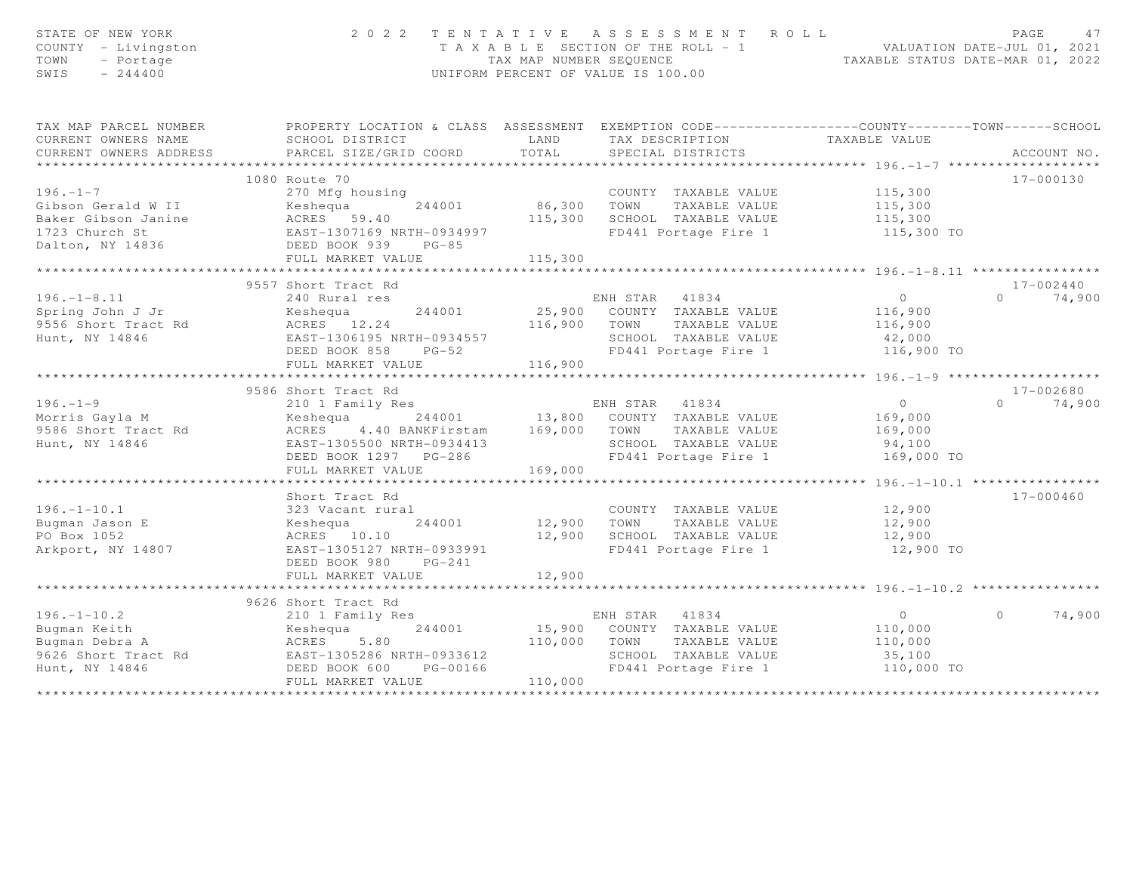| STATE OF NEW YORK<br>COUNTY - Livingston<br>TOWN<br>- Portage<br>SWIS<br>$-244400$ | 2 0 2 2                                                                                                                                    |                       | TENTATIVE ASSESSMENT ROLL<br>T A X A B L E SECTION OF THE ROLL - 1 VALUATION DATE-JUL 01, 2021<br>TAX MAP NUMBER SEQUENCE TAXABLE STATUS DATE-MAR 01, 2022<br>UNIFORM PERCENT OF VALUE IS 100.00 |                      | PAGE<br>47         |
|------------------------------------------------------------------------------------|--------------------------------------------------------------------------------------------------------------------------------------------|-----------------------|--------------------------------------------------------------------------------------------------------------------------------------------------------------------------------------------------|----------------------|--------------------|
| TAX MAP PARCEL NUMBER                                                              | PROPERTY LOCATION & CLASS ASSESSMENT EXEMPTION CODE----------------COUNTY-------TOWN------SCHOOL                                           |                       |                                                                                                                                                                                                  |                      |                    |
| CURRENT OWNERS NAME                                                                | SCHOOL DISTRICT                                                                                                                            | LAND                  | TAX DESCRIPTION TAXABLE VALUE                                                                                                                                                                    |                      |                    |
| CURRENT OWNERS ADDRESS                                                             | PARCEL SIZE/GRID COORD                                                                                                                     | TOTAL                 | SPECIAL DISTRICTS                                                                                                                                                                                |                      | ACCOUNT NO.        |
| ***********************                                                            |                                                                                                                                            |                       |                                                                                                                                                                                                  |                      |                    |
|                                                                                    | 1080 Route 70                                                                                                                              |                       |                                                                                                                                                                                                  |                      | 17-000130          |
| $196. - 1 - 7$                                                                     | 270 Mfg housing                                                                                                                            |                       | COUNTY TAXABLE VALUE                                                                                                                                                                             | 115,300              |                    |
|                                                                                    | Gibson Gerald W II<br>Baker Gibson Janine Markes 59.40<br>1723 Church St EAST-1307169 NRTH-0934997<br>Dalton, NY 14836 DEED BOOK 939 PG-85 | 86,300 TOWN           | TAXABLE VALUE                                                                                                                                                                                    | 115,300              |                    |
|                                                                                    |                                                                                                                                            |                       | 115,300 SCHOOL TAXABLE VALUE                                                                                                                                                                     | 115,300              |                    |
|                                                                                    |                                                                                                                                            |                       | FD441 Portage Fire 1                                                                                                                                                                             | 115,300 TO           |                    |
|                                                                                    |                                                                                                                                            | 115,300               |                                                                                                                                                                                                  |                      |                    |
|                                                                                    | FULL MARKET VALUE                                                                                                                          |                       |                                                                                                                                                                                                  |                      |                    |
|                                                                                    | 9557 Short Tract Rd                                                                                                                        |                       |                                                                                                                                                                                                  |                      | $17 - 002440$      |
| $196. - 1 - 8.11$                                                                  | 240 Rural res                                                                                                                              |                       | ENH STAR 41834                                                                                                                                                                                   | $\overline{0}$       | $0 \t 74,900$      |
| Spring John JJr                                                                    | Keshequa                                                                                                                                   |                       | 244001 25,900 COUNTY TAXABLE VALUE                                                                                                                                                               | 116,900              |                    |
| 9556 Short Tract Rd                                                                | ACRES 12.24                                                                                                                                |                       | 116,900 TOWN TAXABLE VALUE                                                                                                                                                                       | 116,900              |                    |
| Hunt, NY 14846                                                                     | EAST-1306195 NRTH-0934557                                                                                                                  |                       | SCHOOL TAXABLE VALUE                                                                                                                                                                             |                      |                    |
|                                                                                    | DEED BOOK 858 PG-52                                                                                                                        |                       | SCHOOL TAXABLE VALUE<br>FD441 Portage Fire 1                                                                                                                                                     | 42,000<br>116,900 TO |                    |
|                                                                                    | FULL MARKET VALUE                                                                                                                          | 116,900               |                                                                                                                                                                                                  |                      |                    |
|                                                                                    |                                                                                                                                            |                       |                                                                                                                                                                                                  |                      |                    |
|                                                                                    | 9586 Short Tract Rd                                                                                                                        |                       |                                                                                                                                                                                                  |                      | $17 - 002680$      |
| $196. - 1 - 9$                                                                     | 210 1 Family Res                                                                                                                           |                       | ENH STAR 41834                                                                                                                                                                                   | $\overline{0}$       | 74,900<br>$\Omega$ |
| Morris Gayla M                                                                     | Keshequa 244001 13,800 COUNTY TAXABLE VALUE<br>ACRES 4.40 BANKFirstam 169,000 TOWN TAXABLE VALUE                                           |                       |                                                                                                                                                                                                  | 169,000              |                    |
| 9586 Short Tract Rd                                                                |                                                                                                                                            |                       |                                                                                                                                                                                                  | 169,000              |                    |
| Hunt, NY 14846                                                                     | EAST-1305500 NRTH-0934413<br>EAST-1305500 NRTH-0934413<br>DEED BOOK 1297 PG-286                                                            |                       | SCHOOL TAXABLE VALUE                                                                                                                                                                             | 94,100               |                    |
|                                                                                    |                                                                                                                                            |                       | FD441 Portage Fire 1                                                                                                                                                                             | 169,000 TO           |                    |
|                                                                                    | FULL MARKET VALUE                                                                                                                          | 169,000               |                                                                                                                                                                                                  |                      |                    |
|                                                                                    |                                                                                                                                            |                       |                                                                                                                                                                                                  |                      |                    |
| $196. - 1 - 10.1$                                                                  | Short Tract Rd                                                                                                                             |                       | COUNTY TAXABLE VALUE                                                                                                                                                                             |                      | 17-000460          |
| Bugman Jason E                                                                     | 323 Vacant rural<br>szs vacant fura<br>Keshequa<br>244001                                                                                  | COUNTY<br>12,900 TOWN | TAXABLE VALUE                                                                                                                                                                                    | 12,900<br>12,900     |                    |
| PO Box 1052                                                                        | ACRES 10.10                                                                                                                                |                       | 12,900 SCHOOL TAXABLE VALUE                                                                                                                                                                      |                      |                    |
| Arkport, NY 14807                                                                  | EAST-1305127 NRTH-0933991                                                                                                                  |                       | FD441 Portage Fire 1                                                                                                                                                                             | 12,900<br>12,900 TO  |                    |
|                                                                                    | DEED BOOK 980<br>$PG-241$                                                                                                                  |                       |                                                                                                                                                                                                  |                      |                    |
|                                                                                    | FULL MARKET VALUE                                                                                                                          | 12,900                |                                                                                                                                                                                                  |                      |                    |
|                                                                                    |                                                                                                                                            |                       |                                                                                                                                                                                                  |                      |                    |
|                                                                                    | 9626 Short Tract Rd                                                                                                                        |                       |                                                                                                                                                                                                  |                      |                    |
| $196. - 1 - 10.2$                                                                  | 210 1 Family Res                                                                                                                           |                       |                                                                                                                                                                                                  | $\overline{0}$       | 74,900<br>$\Omega$ |
| ----- ----<br>Bugman Keith<br>Bugman Debra A                                       | Keshequa                                                                                                                                   |                       | ENH STAR 41834<br>244001 15,900 COUNTY TAXABLE VALUE                                                                                                                                             | 110,000              |                    |
| Bugman Debra A                                                                     | 5.80<br>ACRES                                                                                                                              | 110,000               | TOWN<br>TAXABLE VALUE                                                                                                                                                                            | 110,000              |                    |
| 9626 Short Tract Rd                                                                | EAST-1305286 NRTH-0933612                                                                                                                  |                       | SCHOOL TAXABLE VALUE                                                                                                                                                                             | 35,100               |                    |
| Hunt, NY 14846                                                                     | DEED BOOK 600<br>PG-00166                                                                                                                  |                       | FD441 Portage Fire 1                                                                                                                                                                             | 110,000 TO           |                    |
|                                                                                    | FULL MARKET VALUE                                                                                                                          | 110,000               |                                                                                                                                                                                                  |                      |                    |
|                                                                                    |                                                                                                                                            |                       |                                                                                                                                                                                                  |                      |                    |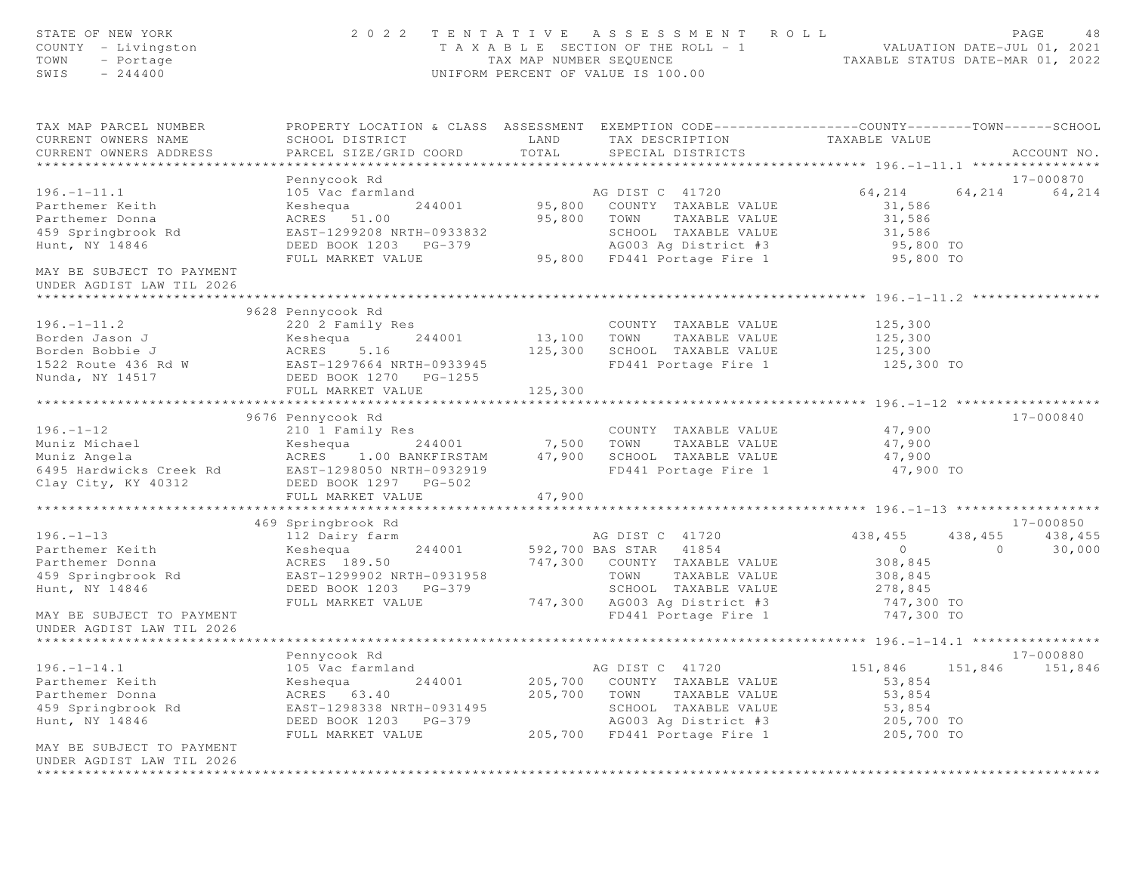| STATE OF NEW YORK<br>COUNTY - Livingston<br>TOWN<br>- Portage<br>SWIS<br>$-244400$                                                                                                     |                                                                                                                                                       | TAX MAP NUMBER SEQUENCE       | 2022 TENTATIVE ASSESSMENT ROLL<br>T A X A B L E SECTION OF THE ROLL - 1<br>UNIFORM PERCENT OF VALUE IS 100.00                                                                                                    | VALUATION DATE-JUL 01, 2021<br>TAXABLE STATUS DATE-MAR 01, 2022         |                           | PAGE<br>48                     |
|----------------------------------------------------------------------------------------------------------------------------------------------------------------------------------------|-------------------------------------------------------------------------------------------------------------------------------------------------------|-------------------------------|------------------------------------------------------------------------------------------------------------------------------------------------------------------------------------------------------------------|-------------------------------------------------------------------------|---------------------------|--------------------------------|
| TAX MAP PARCEL NUMBER<br>CURRENT OWNERS NAME<br>CURRENT OWNERS ADDRESS                                                                                                                 | SCHOOL DISTRICT<br>PARCEL SIZE/GRID COORD                                                                                                             | LAND<br>TOTAL                 | PROPERTY LOCATION & CLASS ASSESSMENT EXEMPTION CODE----------------COUNTY-------TOWN------SCHOOL<br>TAX DESCRIPTION<br>SPECIAL DISTRICTS                                                                         | TAXABLE VALUE                                                           |                           | ACCOUNT NO.                    |
| $196. - 1 - 11.1$<br>Parthemer Keith<br>Parthemer Donna<br>459 Springbrook Rd<br>Hunt, NY 14846<br>MAY BE SUBJECT TO PAYMENT                                                           | Pennycook Rd<br>105 Vac farmland<br>244001<br>Keshequa<br>ACRES 51.00<br>EAST-1299208 NRTH-0933832<br>DEED BOOK 1203 PG-379<br>FULL MARKET VALUE      |                               | AG DIST C 41720<br>95,800 COUNTY TAXABLE VALUE<br>95,800 TOWN TAXABLE VALUE<br>SCHOOL TAXABLE VALUE<br>AG003 Ag District #3<br>95,800 FD441 Portage Fire 1<br>AG003 Ag District #3                               | 64, 214 64, 214<br>31,586<br>31,586<br>31,586<br>95,800 TO<br>95,800 TO |                           | 17-000870<br>64,214            |
| UNDER AGDIST LAW TIL 2026<br>$196. - 1 - 11.2$<br>Borden Jason J<br>Borden Bobbie J<br>1522 Route 436 Rd W<br>Reserve the BAST-1297664 NRTH-0933945<br>Nunda, NY 14517                 | 9628 Pennycook Rd<br>220 2 Family Res<br>244001<br>Keshequa<br>ACRES 5.16<br>DEED BOOK 1270 PG-1255<br>FULL MARKET VALUE                              | 13,100<br>125,300             | COUNTY TAXABLE VALUE<br>TAXABLE VALUE<br>TOWN<br>125,300 SCHOOL TAXABLE VALUE<br>FD441 Portage Fire 1                                                                                                            | 125,300<br>125,300<br>125,300<br>125,300 TO                             |                           |                                |
| $196. - 1 - 12$<br>Muniz Michael<br>Muniz Angela<br>6495 Hardwicks Creek Rd EAST-1298050 NRTH-0932919<br>Clay City, KY 40312                                                           | 9676 Pennycook Rd<br>210 1 Family Res<br>Keshequa 244001 7,500<br>ACRES 1.00 BANKFIRSTAM 47,900<br>DEED BOOK 1297 PG-502<br>FULL MARKET VALUE         | 47,900                        | COUNTY TAXABLE VALUE<br>TAXABLE VALUE<br>TOWN<br>SCHOOL TAXABLE VALUE<br>FD441 Portage Fire 1                                                                                                                    | 47,900<br>47,900<br>47,900<br>47,900 TO                                 |                           | 17-000840                      |
| $196. - 1 - 13$<br>Parthemer Keith<br>Parthemer Donna<br>459 Springbrook Rd<br>Hunt, NY 14846<br>MAY BE SUBJECT TO PAYMENT<br>UNDER AGDIST LAW TIL 2026                                | 469 Springbrook Rd<br>112 Dairy farm<br>Keshequa<br>244001<br>ACRES 189.50<br>EAST-1299902 NRTH-0931958<br>DEED BOOK 1203 PG-379<br>FULL MARKET VALUE |                               | AG DIST C 41720<br>592,700 BAS STAR 41854<br>747,300 COUNTY TAXABLE VALUE<br>TOWN<br>TAXABLE VALUE<br>SCHOOL TAXABLE VALUE 278,845<br>747,300 AG003 Ag District #3 747,300 TO<br>FD441 Portage Fire 1 747,300 TO | 438,455<br>$\overline{0}$<br>308,845<br>308,845                         | 438,455<br>$\overline{0}$ | 17-000850<br>438,455<br>30,000 |
| $196. - 1 - 14.1$<br>Parthemer Keith<br>Parthemer Donna<br>459 Springbrook Rd<br>Hunt, NY 14846<br>MAY BE SUBJECT TO PAYMENT<br>UNDER AGDIST LAW TIL 2026<br>************************* | Pennycook Rd<br>105 Vac farmland<br>Keshequa<br>244001<br>ACRES 63.40<br>EAST-1298338 NRTH-0931495<br>DEED BOOK 1203<br>PG-379<br>FULL MARKET VALUE   | 205,700<br>205,700<br>205,700 | AG DIST C 41720<br>COUNTY TAXABLE VALUE<br>TOWN<br>TAXABLE VALUE<br>SCHOOL TAXABLE VALUE<br>AG003 Ag District #3<br>FD441 Portage Fire 1                                                                         | 151,846<br>53,854<br>53,854<br>53,854<br>205,700 TO<br>205,700 TO       | 151,846                   | 17-000880<br>151,846           |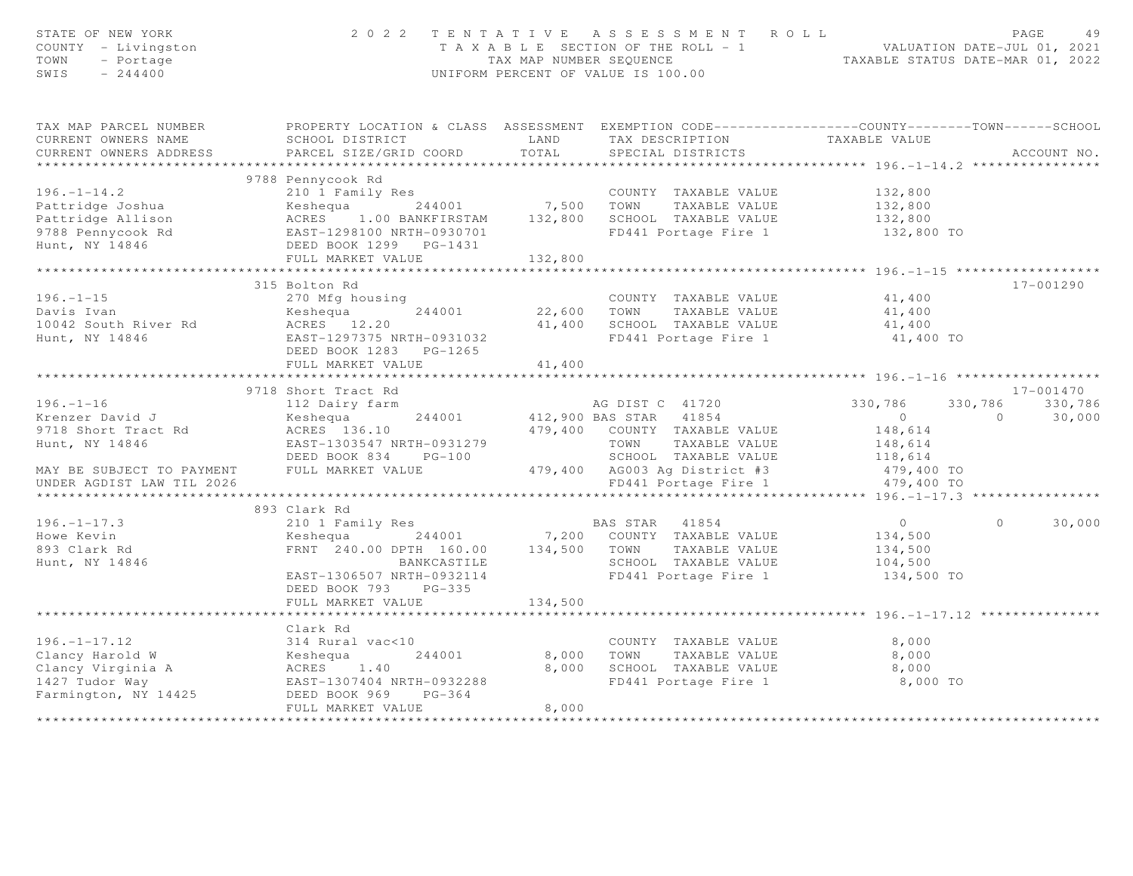| STATE OF NEW YORK<br>COUNTY - Livingston<br>TOWN<br>- Portage<br>$-244400$<br>SWIS                                                                                                   |                                                                                                                                              |                                                                                                                                 | 2022 TENTATIVE ASSESSMENT ROLL<br>T A X A B L E SECTION OF THE ROLL - 1 VALUATION DATE-JUL 01, 2021<br>TAX MAP NUMBER SEQUENCE TAXABLE STATUS DATE-MAR 01, 2022<br>UNIFORM PERCENT OF VALUE IS 100.00 |                | PAGE<br>49               |
|--------------------------------------------------------------------------------------------------------------------------------------------------------------------------------------|----------------------------------------------------------------------------------------------------------------------------------------------|---------------------------------------------------------------------------------------------------------------------------------|-------------------------------------------------------------------------------------------------------------------------------------------------------------------------------------------------------|----------------|--------------------------|
| TAX MAP PARCEL NUMBER<br>CURRENT OWNERS NAME<br>CURRENT OWNERS ADDRESS                                                                                                               | PROPERTY LOCATION & CLASS ASSESSMENT EXEMPTION CODE---------------COUNTY-------TOWN------SCHOOL<br>SCHOOL DISTRICT<br>PARCEL SIZE/GRID COORD | <b>EXAMPLE SERVICE SERVICE SERVICE SERVICE SERVICE SERVICE SERVICE SERVICE SERVICE SERVICE SERVICE SERVICE SERVICE</b><br>TOTAL | TAX DESCRIPTION<br>SPECIAL DISTRICTS                                                                                                                                                                  | TAXABLE VALUE  | ACCOUNT NO.              |
| ***********************                                                                                                                                                              |                                                                                                                                              |                                                                                                                                 |                                                                                                                                                                                                       |                |                          |
|                                                                                                                                                                                      | 9788 Pennycook Rd                                                                                                                            |                                                                                                                                 |                                                                                                                                                                                                       |                |                          |
|                                                                                                                                                                                      |                                                                                                                                              |                                                                                                                                 | COUNTY TAXABLE VALUE 132,800                                                                                                                                                                          |                |                          |
|                                                                                                                                                                                      |                                                                                                                                              |                                                                                                                                 |                                                                                                                                                                                                       | 132,800        |                          |
|                                                                                                                                                                                      |                                                                                                                                              |                                                                                                                                 |                                                                                                                                                                                                       | 132,800        |                          |
|                                                                                                                                                                                      |                                                                                                                                              |                                                                                                                                 | SCROOL TAXABLE VALUE 132,000<br>FD441 Portage Fire 1 132,800 TO                                                                                                                                       |                |                          |
|                                                                                                                                                                                      |                                                                                                                                              |                                                                                                                                 |                                                                                                                                                                                                       |                |                          |
|                                                                                                                                                                                      |                                                                                                                                              | ********************                                                                                                            |                                                                                                                                                                                                       |                |                          |
|                                                                                                                                                                                      | 315 Bolton Rd                                                                                                                                |                                                                                                                                 |                                                                                                                                                                                                       |                | 17-001290                |
| $196. - 1 - 15$<br>190.-1-19<br>Davis Ivan                                                                                                                                           | 270 Mfg housing                                                                                                                              | 22,600 TOWN                                                                                                                     | COUNTY TAXABLE VALUE 41,400                                                                                                                                                                           | 41,400         |                          |
| Davis Ivan Meshequa 244001<br>10042 South River Rd ACRES 12.20<br>West Wildels Research Research 202225 WPTV 0021022                                                                 |                                                                                                                                              |                                                                                                                                 | TAXABLE VALUE<br>41,400 SCHOOL TAXABLE VALUE                                                                                                                                                          | 41,400         |                          |
| Hunt, NY 14846                                                                                                                                                                       | EAST-1297375 NRTH-0931032                                                                                                                    |                                                                                                                                 | FD441 Portage Fire 1                                                                                                                                                                                  | 41,400 TO      |                          |
|                                                                                                                                                                                      | DEED BOOK 1283 PG-1265                                                                                                                       |                                                                                                                                 |                                                                                                                                                                                                       |                |                          |
|                                                                                                                                                                                      | FULL MARKET VALUE                                                                                                                            | 41,400                                                                                                                          |                                                                                                                                                                                                       |                |                          |
|                                                                                                                                                                                      |                                                                                                                                              |                                                                                                                                 |                                                                                                                                                                                                       |                |                          |
|                                                                                                                                                                                      | 9718 Short Tract Rd                                                                                                                          |                                                                                                                                 |                                                                                                                                                                                                       |                | 17-001470                |
| $196. - 1 - 16$                                                                                                                                                                      | 112 Dairy farm<br>112 Dairy farm 6.1 March 2015 MG DIST C 41720                                                                              |                                                                                                                                 |                                                                                                                                                                                                       | 330,786        | 330,786 330,786          |
| Krenzer David J                                                                                                                                                                      | Keshequa                                                                                                                                     |                                                                                                                                 | 244001 412,900 BAS STAR 41854<br>479,400 COUNTY TAXABLE VALUE                                                                                                                                         | $\sim$ 0       | $\overline{0}$<br>30,000 |
| 9718 Short Tract Rd (ACRES 136.10)                                                                                                                                                   |                                                                                                                                              |                                                                                                                                 |                                                                                                                                                                                                       | 148,614        |                          |
| Hunt, NY 14846                                                                                                                                                                       |                                                                                                                                              |                                                                                                                                 |                                                                                                                                                                                                       | 148,614        |                          |
|                                                                                                                                                                                      |                                                                                                                                              |                                                                                                                                 | SCHOOL TAXABLE VALUE 118,614<br>AG003 Ag District #3 479,400 TO                                                                                                                                       |                |                          |
| MAY BE SUBJECT TO PAYMENT                                                                                                                                                            |                                                                                                                                              |                                                                                                                                 |                                                                                                                                                                                                       |                |                          |
| UNDER AGDIST LAW TIL 2026                                                                                                                                                            |                                                                                                                                              |                                                                                                                                 | FD441 Portage Fire 1                                                                                                                                                                                  | 479,400 TO     |                          |
|                                                                                                                                                                                      | 893 Clark Rd                                                                                                                                 |                                                                                                                                 |                                                                                                                                                                                                       |                |                          |
| $196. - 1 - 17.3$                                                                                                                                                                    |                                                                                                                                              |                                                                                                                                 |                                                                                                                                                                                                       | $\overline{0}$ | $\Omega$<br>30,000       |
| Howe Kevin                                                                                                                                                                           |                                                                                                                                              |                                                                                                                                 |                                                                                                                                                                                                       | 134,500        |                          |
| 893 Clark Rd                                                                                                                                                                         |                                                                                                                                              |                                                                                                                                 |                                                                                                                                                                                                       | 134,500        |                          |
| Hunt, NY 14846                                                                                                                                                                       | BANKCASTILE                                                                                                                                  |                                                                                                                                 | SCHOOL TAXABLE VALUE 104,500                                                                                                                                                                          |                |                          |
|                                                                                                                                                                                      | EAST-1306507 NRTH-0932114                                                                                                                    |                                                                                                                                 | FD441 Portage Fire 1                                                                                                                                                                                  | 134,500 TO     |                          |
|                                                                                                                                                                                      | DEED BOOK 793 PG-335                                                                                                                         |                                                                                                                                 |                                                                                                                                                                                                       |                |                          |
|                                                                                                                                                                                      | FULL MARKET VALUE                                                                                                                            | 134,500                                                                                                                         |                                                                                                                                                                                                       |                |                          |
|                                                                                                                                                                                      |                                                                                                                                              |                                                                                                                                 |                                                                                                                                                                                                       |                |                          |
|                                                                                                                                                                                      | Clark Rd                                                                                                                                     |                                                                                                                                 |                                                                                                                                                                                                       |                |                          |
|                                                                                                                                                                                      |                                                                                                                                              |                                                                                                                                 | COUNTY TAXABLE VALUE                                                                                                                                                                                  | 8,000          |                          |
|                                                                                                                                                                                      | 244001                                                                                                                                       | 8,000                                                                                                                           | TAXABLE VALUE<br>TOWN                                                                                                                                                                                 | 8,000          |                          |
|                                                                                                                                                                                      |                                                                                                                                              |                                                                                                                                 | 8,000 SCHOOL TAXABLE VALUE                                                                                                                                                                            | 8,000          |                          |
|                                                                                                                                                                                      | EAST-1307404 NRTH-0932288<br>$PG-364$                                                                                                        |                                                                                                                                 | FD441 Portage Fire 1                                                                                                                                                                                  | 8,000 TO       |                          |
| 196.-1-17.12<br>Clancy Harold W 314 Rural vac<10<br>Clancy Virginia A ACRES 1.40<br>1427 Tudor Way EAST-1307404 NRTH-<br>Farmington, NY 14425 DEED BOOK 969 1<br>THE CRES BOOK 969 1 | FULL MARKET VALUE                                                                                                                            | 8,000                                                                                                                           |                                                                                                                                                                                                       |                |                          |
|                                                                                                                                                                                      |                                                                                                                                              |                                                                                                                                 |                                                                                                                                                                                                       |                |                          |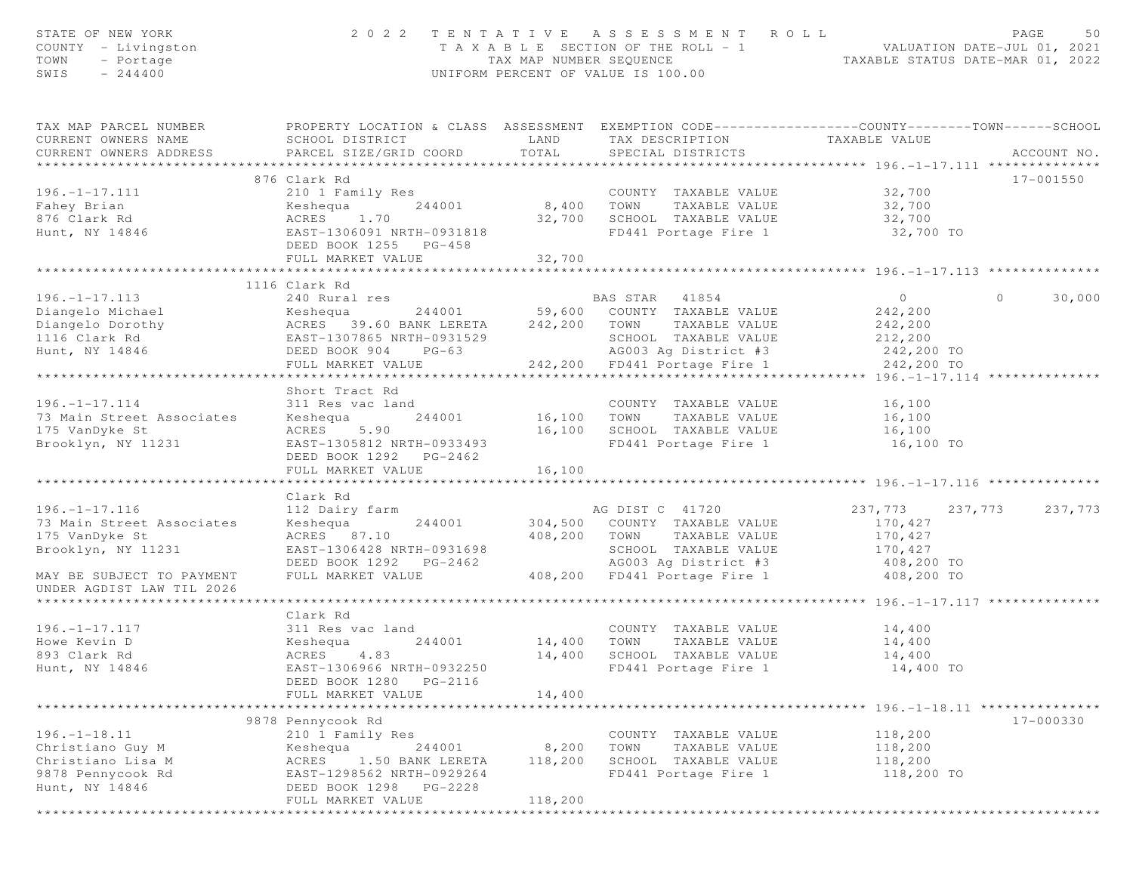| STATE OF NEW YORK<br>COUNTY - Livingston<br>TOWN<br>- Portage<br>SWIS<br>$-244400$ |                                                                                                                                               | TAX MAP NUMBER SEQUENCE  | 2022 TENTATIVE ASSESSMENT ROLL<br>T A X A B L E SECTION OF THE ROLL - 1<br>UNIFORM PERCENT OF VALUE IS 100.00 | VALUATION DATE-JUL 01, 2021<br>TAXABLE STATUS DATE-MAR 01, 2022 | PAGE<br>50        |
|------------------------------------------------------------------------------------|-----------------------------------------------------------------------------------------------------------------------------------------------|--------------------------|---------------------------------------------------------------------------------------------------------------|-----------------------------------------------------------------|-------------------|
| TAX MAP PARCEL NUMBER<br>CURRENT OWNERS NAME<br>CURRENT OWNERS ADDRESS             | PROPERTY LOCATION & CLASS ASSESSMENT EXEMPTION CODE----------------COUNTY-------TOWN------SCHOOL<br>SCHOOL DISTRICT<br>PARCEL SIZE/GRID COORD | LAND<br>TOTAL            | TAX DESCRIPTION<br>SPECIAL DISTRICTS                                                                          | TAXABLE VALUE                                                   | ACCOUNT NO.       |
|                                                                                    | 876 Clark Rd                                                                                                                                  |                          |                                                                                                               |                                                                 | 17-001550         |
| $196. - 1 - 17.111$                                                                | 210 1 Family Res                                                                                                                              |                          | COUNTY TAXABLE VALUE                                                                                          | 32,700                                                          |                   |
| Fahey Brian                                                                        | Keshequa<br>244001                                                                                                                            | COUNT<br>8,400 TOWN      | TAXABLE VALUE                                                                                                 | 32,700                                                          |                   |
| 876 Clark Rd                                                                       | ACRES<br>1.70                                                                                                                                 | 32,700                   | SCHOOL TAXABLE VALUE                                                                                          | 32,700                                                          |                   |
| Hunt, NY 14846                                                                     | EAST-1306091 NRTH-0931818<br>DEED BOOK 1255 PG-458                                                                                            |                          | FD441 Portage Fire 1                                                                                          | 32,700 TO                                                       |                   |
|                                                                                    | FULL MARKET VALUE                                                                                                                             | 32,700<br>************** |                                                                                                               |                                                                 |                   |
|                                                                                    | 1116 Clark Rd                                                                                                                                 |                          |                                                                                                               |                                                                 |                   |
| $196. - 1 - 17.113$                                                                | 240 Rural res                                                                                                                                 |                          | BAS STAR 41854                                                                                                | $\circ$                                                         | 30,000<br>$\circ$ |
| Diangelo Michael                                                                   | Keshequa                                                                                                                                      |                          | 244001 59,600 COUNTY TAXABLE VALUE                                                                            | 242,200                                                         |                   |
| Diangelo Dorothy                                                                   | ACRES 39.60 BANK LERETA                                                                                                                       | 242,200                  | TOWN<br>TAXABLE VALUE                                                                                         | 242,200                                                         |                   |
| 1116 Clark Rd                                                                      | EAST-1307865 NRTH-0931529                                                                                                                     |                          | SCHOOL TAXABLE VALUE                                                                                          | 212,200                                                         |                   |
| Hunt, NY 14846                                                                     | DEED BOOK 904 PG-63                                                                                                                           |                          | AG003 Aq District #3                                                                                          | 242,200 TO                                                      |                   |
|                                                                                    | FULL MARKET VALUE                                                                                                                             |                          | 242,200 FD441 Portage Fire 1                                                                                  | 242,200 TO                                                      |                   |
|                                                                                    | ***********************                                                                                                                       |                          |                                                                                                               | **** 196.-1-17.114 *                                            |                   |
|                                                                                    | Short Tract Rd                                                                                                                                |                          |                                                                                                               |                                                                 |                   |
| $196. - 1 - 17.114$                                                                | 311 Res vac land                                                                                                                              |                          | COUNTY TAXABLE VALUE                                                                                          | 16,100                                                          |                   |
| 73 Main Street Associates                                                          | 244001<br>Keshequa                                                                                                                            | 16,100                   | TOWN<br>TAXABLE VALUE                                                                                         | 16,100                                                          |                   |
| 175 VanDyke St                                                                     | 5.90<br>ACRES                                                                                                                                 | 16,100                   | SCHOOL TAXABLE VALUE                                                                                          | 16,100                                                          |                   |
| Brooklyn, NY 11231                                                                 | EAST-1305812 NRTH-0933493<br>DEED BOOK 1292 PG-2462                                                                                           |                          | FD441 Portage Fire 1                                                                                          | 16,100 TO                                                       |                   |
|                                                                                    | FULL MARKET VALUE                                                                                                                             | 16,100                   |                                                                                                               |                                                                 |                   |
|                                                                                    |                                                                                                                                               |                          |                                                                                                               |                                                                 |                   |
| $196. - 1 - 17.116$                                                                | Clark Rd                                                                                                                                      |                          | AG DIST C 41720                                                                                               |                                                                 |                   |
| 73 Main Street Associates                                                          | 112 Dairy farm<br>Keshequa<br>244001                                                                                                          |                          | 304,500 COUNTY TAXABLE VALUE                                                                                  | 237,773<br>237,773<br>170,427                                   | 237,773           |
| 175 VanDyke St                                                                     | ACRES 87.10                                                                                                                                   | 408,200                  | TOWN<br>TAXABLE VALUE                                                                                         | 170,427                                                         |                   |
| Brooklyn, NY 11231                                                                 | EAST-1306428 NRTH-0931698                                                                                                                     |                          | SCHOOL TAXABLE VALUE                                                                                          | 170,427                                                         |                   |
|                                                                                    | DEED BOOK 1292 PG-2462                                                                                                                        |                          | AG003 Aq District #3                                                                                          | 408,200 TO                                                      |                   |
| MAY BE SUBJECT TO PAYMENT                                                          | FULL MARKET VALUE                                                                                                                             |                          | 408,200 FD441 Portage Fire 1                                                                                  | 408,200 TO                                                      |                   |
| UNDER AGDIST LAW TIL 2026<br>******************************                        |                                                                                                                                               |                          |                                                                                                               |                                                                 |                   |
|                                                                                    | Clark Rd                                                                                                                                      |                          |                                                                                                               |                                                                 |                   |
| $196. - 1 - 17.117$                                                                | 311 Res vac land                                                                                                                              |                          | COUNTY TAXABLE VALUE                                                                                          | 14,400                                                          |                   |
| Howe Kevin D                                                                       | 244001<br>Keshequa                                                                                                                            | 14,400                   | TOWN<br>TAXABLE VALUE                                                                                         | 14,400                                                          |                   |
| 893 Clark Rd                                                                       | ACRES<br>4.83                                                                                                                                 | 14,400                   | SCHOOL TAXABLE VALUE                                                                                          | 14,400                                                          |                   |
| Hunt, NY 14846                                                                     | EAST-1306966 NRTH-0932250                                                                                                                     |                          | FD441 Portage Fire 1                                                                                          | 14,400 TO                                                       |                   |
|                                                                                    | DEED BOOK 1280<br>PG-2116                                                                                                                     |                          |                                                                                                               |                                                                 |                   |
|                                                                                    | FULL MARKET VALUE                                                                                                                             | 14,400                   |                                                                                                               |                                                                 |                   |
|                                                                                    |                                                                                                                                               |                          |                                                                                                               | ******** 196.-1-18.11 ***                                       |                   |
|                                                                                    | 9878 Pennycook Rd                                                                                                                             |                          |                                                                                                               |                                                                 | 17-000330         |
| $196. - 1 - 18.11$                                                                 | 210 1 Family Res                                                                                                                              |                          | COUNTY TAXABLE VALUE                                                                                          | 118,200                                                         |                   |
| Christiano Guy M                                                                   | Keshequa<br>244001                                                                                                                            | 8,200                    | TOWN<br>TAXABLE VALUE                                                                                         | 118,200                                                         |                   |
| Christiano Lisa M                                                                  | ACRES<br>1.50 BANK LERETA                                                                                                                     | 118,200                  | SCHOOL TAXABLE VALUE                                                                                          | 118,200                                                         |                   |
| 9878 Pennycook Rd                                                                  | EAST-1298562 NRTH-0929264                                                                                                                     |                          | FD441 Portage Fire 1                                                                                          | 118,200 TO                                                      |                   |
| Hunt, NY 14846                                                                     | DEED BOOK 1298 PG-2228<br>FULL MARKET VALUE                                                                                                   | 118,200                  |                                                                                                               |                                                                 |                   |
| *****************                                                                  | *********************************                                                                                                             |                          | ************************                                                                                      |                                                                 |                   |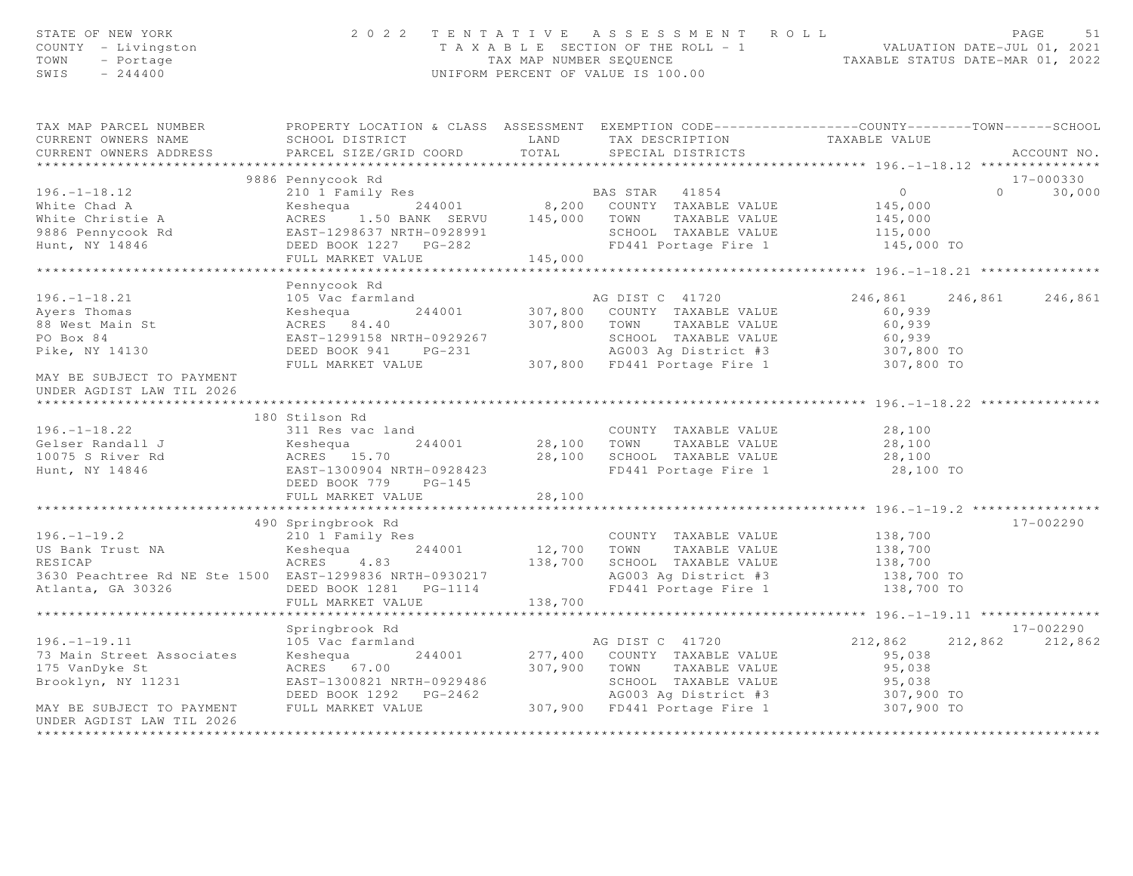| T A X A B L E SECTION OF THE ROLL - 1<br>TAX MAP NUMBER SEQUENCE<br>TAXABLE STATUS DATE-MAR 01, 2022<br>COUNTY - Livingston<br>TOWN<br>- Portage<br>$-244400$<br>SWIS<br>UNIFORM PERCENT OF VALUE IS 100.00             |                    |
|-------------------------------------------------------------------------------------------------------------------------------------------------------------------------------------------------------------------------|--------------------|
| PROPERTY LOCATION & CLASS ASSESSMENT EXEMPTION CODE-----------------COUNTY-------TOWN------SCHOOL<br>TAX MAP PARCEL NUMBER<br>TAXABLE VALUE<br>CURRENT OWNERS NAME<br>SCHOOL DISTRICT<br><b>LAND</b><br>TAX DESCRIPTION |                    |
| TOTAL<br>CURRENT OWNERS ADDRESS<br>PARCEL SIZE/GRID COORD<br>SPECIAL DISTRICTS                                                                                                                                          | ACCOUNT NO.        |
| ***********************                                                                                                                                                                                                 | 17-000330          |
| 9886 Pennycook Rd<br>$\overline{0}$<br>$196. - 1 - 18.12$                                                                                                                                                               | $\Omega$<br>30,000 |
| White Chad A<br>145,000                                                                                                                                                                                                 |                    |
| ACRES 1.50 BANK SERVU 145,000 TOWN<br>White Christie A<br>TAXABLE VALUE<br>145,000                                                                                                                                      |                    |
| SCHOOL TAXABLE VALUE                                                                                                                                                                                                    |                    |
| 115,000<br>145,000 TO<br>FD441 Portage Fire 1                                                                                                                                                                           |                    |
| FULL MARKET VALUE 145,000                                                                                                                                                                                               |                    |
|                                                                                                                                                                                                                         |                    |
| Pennycook Rd                                                                                                                                                                                                            |                    |
| $196. - 1 - 18.21$<br>105 Vac farmland<br>AG DIST C 41720<br>246,861<br>246,861                                                                                                                                         | 246,861            |
| Eventa<br>Keshequa<br>ACRES 8<br>Tom 1290<br>244001<br>307,800 COUNTY TAXABLE VALUE<br>Ayers Thomas<br>60,939                                                                                                           |                    |
| 88 West Main St<br>307,800 TOWN TAXABLE VALUE<br>ACRES 84.40<br>60,939                                                                                                                                                  |                    |
| PO Box 84<br>SCHOOL TAXABLE VALUE                                                                                                                                                                                       |                    |
| EAST-1299158 NRTH-0929267 SCHOOL TAXABLE VALUE<br>DEED BOOK 941 PG-231 AG003 Ag District #3<br>FULL MARKET VALUE 307,800 FD441 Portage Fire 1<br>60,939<br>307,800 TO<br>307,800 TO<br>Pike, NY 14130                   |                    |
|                                                                                                                                                                                                                         |                    |
| MAY BE SUBJECT TO PAYMENT<br>UNDER AGDIST LAW TIL 2026                                                                                                                                                                  |                    |
| 180 Stilson Rd                                                                                                                                                                                                          |                    |
| $196. - 1 - 18.22$<br>311 Res vac land<br>28,100<br>COUNTY TAXABLE VALUE                                                                                                                                                |                    |
| Gelser Randall J<br>10075 S River Rd 10075 S River Rd 10075 S River Rd 10075 S River Rd 10075 S ROSA<br>244001<br>28,100 TOWN<br>TAXABLE VALUE<br>28,100                                                                |                    |
| 28,100 SCHOOL TAXABLE VALUE<br>28,100                                                                                                                                                                                   |                    |
| 10075 S River Rd<br>Hunt, NY 14846<br>EAST-1300904 NRTH-0928423<br>FD441 Portage Fire 1 28,100 TO<br>Hunt, NY 14846                                                                                                     |                    |
| DEED BOOK 779 PG-145                                                                                                                                                                                                    |                    |
| FULL MARKET VALUE<br>28,100                                                                                                                                                                                             |                    |
| ********************* 196. -1-19.2 *************<br>**************************<br>**********                                                                                                                            |                    |
| 490 Springbrook Rd                                                                                                                                                                                                      | 17-002290          |
| $196. - 1 - 19.2$<br>210 1 Family Res<br>138,700<br>COUNTY TAXABLE VALUE                                                                                                                                                |                    |
| $12,700$ TOWN<br>138,700<br>Keshequa 244001<br>US Bank Trust NA<br>TAXABLE VALUE                                                                                                                                        |                    |
| RESICAP<br>ACRES 4.83<br>138,700<br>SCHOOL TAXABLE VALUE<br>138,700                                                                                                                                                     |                    |
| AG003 Ag District #3 138,700 TO<br>FD441 Portage Fire 1 138,700 TO<br>3630 Peachtree Rd NE Ste 1500 EAST-1299836 NRTH-0930217                                                                                           |                    |
| Atlanta, GA 30326<br>DEED BOOK 1281    PG-1114                                                                                                                                                                          |                    |
| FULL MARKET VALUE<br>138,700                                                                                                                                                                                            |                    |
| Springbrook Rd                                                                                                                                                                                                          | 17-002290          |
| 105 Vac farmland<br>$196. - 1 - 19.11$<br>AG DIST C 41720<br>212,862                                                                                                                                                    | 212,862 212,862    |
| 73 Main Street Associates<br>Keshequa 244001<br>277,400 COUNTY TAXABLE VALUE<br>95,038                                                                                                                                  |                    |
| ACRES 67.00<br>307,900 TOWN TAXABLE VALUE<br>175 VanDyke St<br>95,038                                                                                                                                                   |                    |
| SCHOOL TAXABLE VALUE<br>Brooklyn, NY 11231<br>EAST-1300821 NRTH-0929486                                                                                                                                                 |                    |
| 95,038<br>307,900 TO<br>DEED BOOK 1292 PG-2462                                                                                                                                                                          |                    |
| AG003 Ag District #3<br>307,900 FD441 Portage Fire 1<br>FULL MARKET VALUE<br>307,900 TO<br>MAY BE SUBJECT TO PAYMENT                                                                                                    |                    |
| UNDER AGDIST LAW TIL 2026                                                                                                                                                                                               |                    |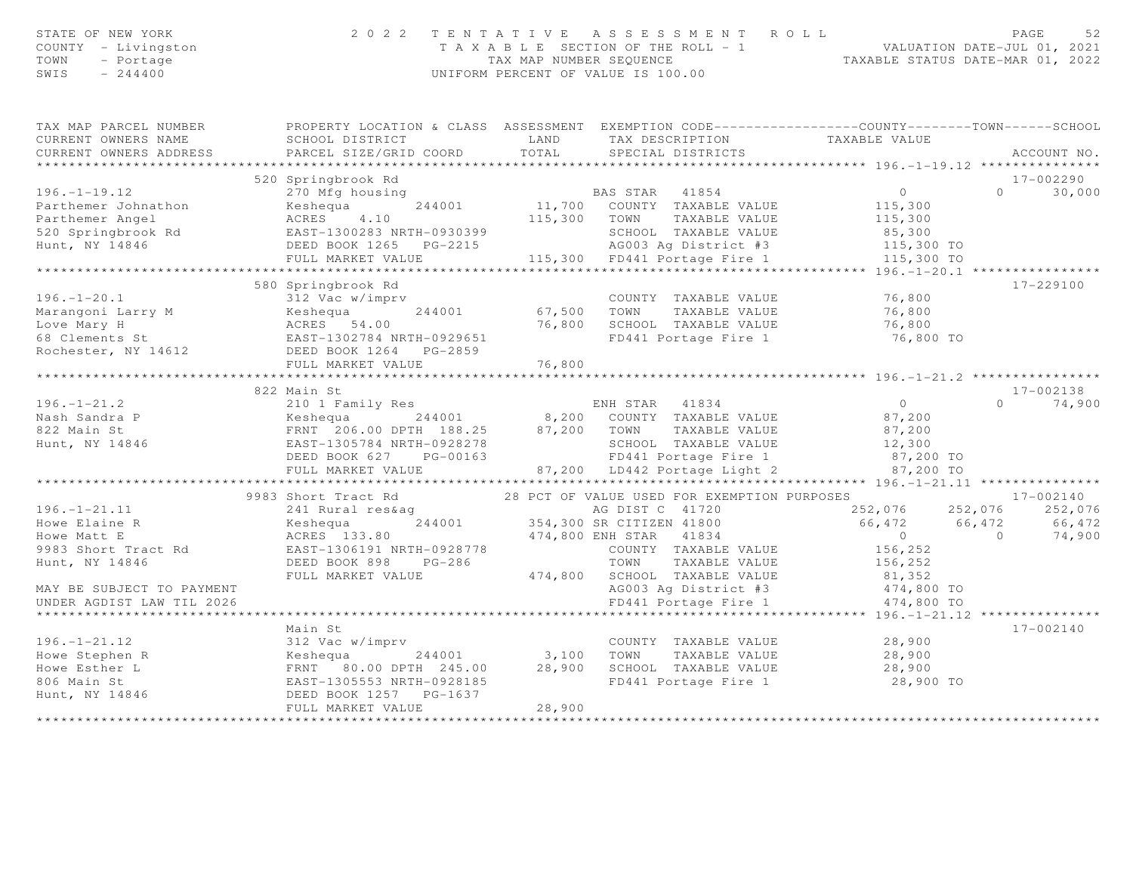| STATE OF NEW YORK<br>COUNTY - Livingston<br>TOWN<br>- Portage<br>SWIS<br>$-244400$ | 2 0 2 2                                                                        | TENTATIVE ASSESSMENT ROLL<br>UNIFORM PERCENT OF VALUE IS 100.00                                                                                       | PAGE<br>52<br>T A X A B L E SECTION OF THE ROLL - 1 VALUATION DATE-JUL 01, 2021<br>TAX MAP NUMBER SEQUENCE TAXABLE STATUS DATE-MAR 01, 2022 |
|------------------------------------------------------------------------------------|--------------------------------------------------------------------------------|-------------------------------------------------------------------------------------------------------------------------------------------------------|---------------------------------------------------------------------------------------------------------------------------------------------|
| TAX MAP PARCEL NUMBER                                                              |                                                                                |                                                                                                                                                       | PROPERTY LOCATION & CLASS ASSESSMENT EXEMPTION CODE-----------------COUNTY--------TOWN------SCHOOL                                          |
| CURRENT OWNERS NAME                                                                | SCHOOL DISTRICT                                                                | LAND<br>TAX DESCRIPTION                                                                                                                               | TAXABLE VALUE                                                                                                                               |
| CURRENT OWNERS ADDRESS                                                             | PARCEL SIZE/GRID COORD                                                         | TOTAL<br>SPECIAL DISTRICTS                                                                                                                            | ACCOUNT NO.<br>****************** 196. -1-19. 12 ***************                                                                            |
|                                                                                    | 520 Springbrook Rd                                                             |                                                                                                                                                       | 17-002290                                                                                                                                   |
| $196. - 1 - 19.12$                                                                 | 270 Mfg housing                                                                | BAS STAR 41854                                                                                                                                        | $\overline{0}$<br>$\Omega$<br>30,000                                                                                                        |
| Parthemer Johnathon                                                                | 244001                                                                         | 11,700 COUNTY TAXABLE VALUE                                                                                                                           | 115,300                                                                                                                                     |
| Parthemer Angel                                                                    | Keshequa 244001<br>ACRES 4.10<br>EAST-1300283 NRTH-0930399                     | 115,300 TOWN<br>TAXABLE VALUE                                                                                                                         | 115,300                                                                                                                                     |
|                                                                                    |                                                                                |                                                                                                                                                       | 85,300                                                                                                                                      |
| 520 Springbrook Rd<br>Hunt, NY 14846<br>Hunt, NY 14846                             | DEED BOOK 1265 PG-2215                                                         | SCHOOL TAXABLE VALUE<br>AG003 Aq District #3<br>AG003 Ag District #3<br>115,300 FD441 Portage Fire 1                                                  | 115,300 TO                                                                                                                                  |
|                                                                                    | FULL MARKET VALUE                                                              |                                                                                                                                                       | 115,300 TO                                                                                                                                  |
|                                                                                    |                                                                                |                                                                                                                                                       |                                                                                                                                             |
|                                                                                    | 580 Springbrook Rd                                                             |                                                                                                                                                       | 17-229100                                                                                                                                   |
| $196. - 1 - 20.1$                                                                  | 312 Vac w/imprv                                                                | COUNTY TAXABLE VALUE                                                                                                                                  | 76,800                                                                                                                                      |
| Marangoni Larry M                                                                  | 244001<br>Keshequa                                                             | 67,500 TOWN<br>TAXABLE VALUE                                                                                                                          | 76,800                                                                                                                                      |
|                                                                                    |                                                                                | 76,800 SCHOOL TAXABLE VALUE<br>FD441 Portage Fire 1                                                                                                   | 76,800                                                                                                                                      |
|                                                                                    | Love Mary H<br>68 Clements St<br>Rochester, NY 14612<br>DEED BOOK 1264 PG-2859 |                                                                                                                                                       | 76,800 TO                                                                                                                                   |
|                                                                                    | FULL MARKET VALUE                                                              | 76,800                                                                                                                                                |                                                                                                                                             |
|                                                                                    | *****************************                                                  |                                                                                                                                                       |                                                                                                                                             |
|                                                                                    | 822 Main St                                                                    |                                                                                                                                                       | 17-002138                                                                                                                                   |
| $196. - 1 - 21.2$                                                                  | 210 1 Family Res                                                               |                                                                                                                                                       | $\overline{0}$<br>$\Omega$<br>74,900                                                                                                        |
| Nash Sandra P<br>822 Main St<br>Hunt, NY 14846                                     | Keshequa 244001<br>FRNT 206.00 DPTH 188.25<br>EAST-1305784 NRTH-0928278        | ENH STAR 41834<br>8,200 COUNTY TAXABLE VALUE                                                                                                          | 87,200                                                                                                                                      |
|                                                                                    |                                                                                | 87,200 TOWN<br>TAXABLE VALUE                                                                                                                          | 87,200                                                                                                                                      |
|                                                                                    |                                                                                |                                                                                                                                                       | 12,300                                                                                                                                      |
|                                                                                    | DEED BOOK 627 PG-00163                                                         | SCHOOL TAXABLE VALUE<br>SCHOOL TAXABLE VALUE<br>FD441 Portage Fire 1<br>87,200 LD442 Portage Light 2                                                  | 87,200 TO                                                                                                                                   |
|                                                                                    | FULL MARKET VALUE                                                              |                                                                                                                                                       | 87,200 TO                                                                                                                                   |
|                                                                                    |                                                                                |                                                                                                                                                       |                                                                                                                                             |
|                                                                                    | 9983 Short Tract Rd                                                            | 28 PCT OF VALUE USED FOR EXEMPTION PURPOSES                                                                                                           | 17-002140                                                                                                                                   |
| $196. - 1 - 21.11$                                                                 | 241 Rural res&ag                                                               | AG DIST C 41720<br>354,300 SR CITIZEN 41800                                                                                                           | 252,076 252,076<br>252,076                                                                                                                  |
| Howe Elaine R<br>Howe Matt E                                                       | Keshequa<br>ACRES 133.80                                                       |                                                                                                                                                       | 66,472 66,472<br>66,472<br>$\overline{0}$<br>$\overline{0}$<br>74,900                                                                       |
| 9983 Short Tract Rd                                                                |                                                                                | COUNTY TAXABLE VALUE                                                                                                                                  | 156,252                                                                                                                                     |
| Hunt, NY 14846                                                                     |                                                                                | TAXABLE VALUE                                                                                                                                         | 156,252                                                                                                                                     |
|                                                                                    | FULL MARKET VALUE                                                              | 133.80<br>EAST-1306191 NRTH-0928778 474,800 ENH STAR 41834<br>DEED BOOK 898 PG-286 TOWN TAXABLE<br>FULL MARKET WALLER<br>474,800 SCHOOL TAXABLE VALUE | 81,352                                                                                                                                      |
| MAY BE SUBJECT TO PAYMENT                                                          |                                                                                | AG003 Ag District #3                                                                                                                                  | 474,800 TO                                                                                                                                  |
| UNDER AGDIST LAW TIL 2026                                                          |                                                                                | FD441 Portage Fire 1                                                                                                                                  | 474,800 TO                                                                                                                                  |
|                                                                                    |                                                                                |                                                                                                                                                       |                                                                                                                                             |
|                                                                                    | Main St                                                                        |                                                                                                                                                       | 17-002140                                                                                                                                   |
| $196. - 1 - 21.12$                                                                 | 312 Vac w/imprv                                                                | COUNTY TAXABLE VALUE                                                                                                                                  | 28,900                                                                                                                                      |
| Howe Stephen R                                                                     | 244001 3,100<br>Keshequa                                                       | TOWN<br>TAXABLE VALUE                                                                                                                                 | 28,900                                                                                                                                      |
| Howe Esther L                                                                      | FRNT 80.00 DPTH 245.00                                                         | 28,900 SCHOOL TAXABLE VALUE                                                                                                                           | 28,900                                                                                                                                      |
| 806 Main St                                                                        | EAST-1305553 NRTH-0928185                                                      | FD441 Portage Fire 1                                                                                                                                  | 28,900 TO                                                                                                                                   |
| Hunt, NY 14846                                                                     | DEED BOOK 1257 PG-1637                                                         |                                                                                                                                                       |                                                                                                                                             |
|                                                                                    | FULL MARKET VALUE                                                              | 28,900<br>*************                                                                                                                               |                                                                                                                                             |
|                                                                                    |                                                                                |                                                                                                                                                       |                                                                                                                                             |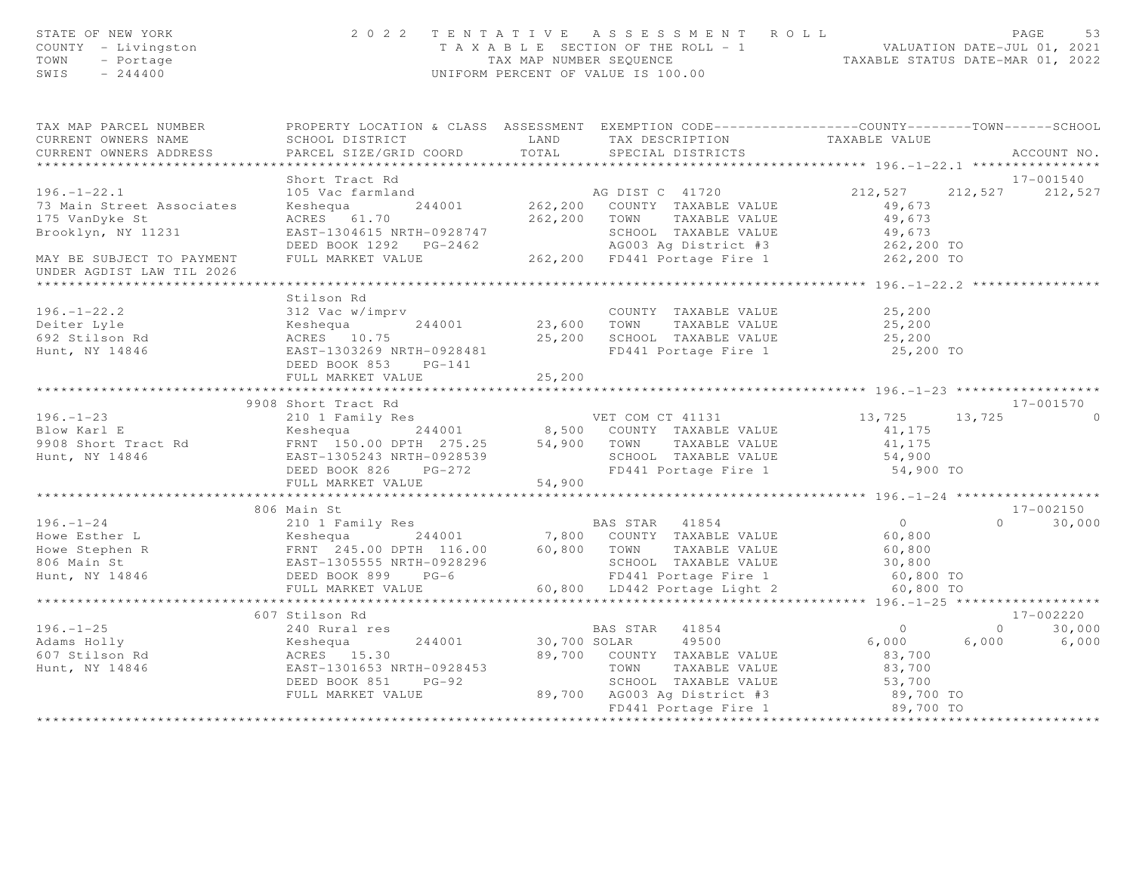| STATE OF NEW YORK<br>COUNTY - Livingston<br>TOWN<br>- Portage<br>SWIS<br>$-244400$ |                                                             | 2022 TENTATIVE ASSESSMENT ROLL<br>T A X A B L E SECTION OF THE ROLL - 1<br>TAX MAP NUMBER SEQUENCE TAXABLE STATUS DATE-MAR 01, 2022<br>UNIFORM PERCENT OF VALUE IS 100.00                                                                                                                                                                                                                                        |                                            | PAGE<br>53                  |
|------------------------------------------------------------------------------------|-------------------------------------------------------------|------------------------------------------------------------------------------------------------------------------------------------------------------------------------------------------------------------------------------------------------------------------------------------------------------------------------------------------------------------------------------------------------------------------|--------------------------------------------|-----------------------------|
| TAX MAP PARCEL NUMBER<br>CURRENT OWNERS NAME                                       | SCHOOL DISTRICT                                             | PROPERTY LOCATION & CLASS ASSESSMENT EXEMPTION CODE----------------COUNTY-------TOWN-----SCHOOL<br>LAND TAX DESCRIPTION                                                                                                                                                                                                                                                                                          | TAXABLE VALUE                              |                             |
| CURRENT OWNERS ADDRESS                                                             | PARCEL SIZE/GRID COORD                                      | TOTAL<br>SPECIAL DISTRICTS                                                                                                                                                                                                                                                                                                                                                                                       |                                            | ACCOUNT NO.                 |
| ******************************                                                     |                                                             |                                                                                                                                                                                                                                                                                                                                                                                                                  |                                            |                             |
|                                                                                    | Short Tract Rd                                              |                                                                                                                                                                                                                                                                                                                                                                                                                  |                                            | 17-001540                   |
| $196. - 1 - 22.1$                                                                  |                                                             |                                                                                                                                                                                                                                                                                                                                                                                                                  | 212,527                                    | 212,527 212,527             |
| 73 Main Street Associates                                                          |                                                             |                                                                                                                                                                                                                                                                                                                                                                                                                  | 49,673                                     |                             |
| 175 VanDyke St                                                                     | ACRES 61.70                                                 | 262,200 TOWN TAXABLE VALUE                                                                                                                                                                                                                                                                                                                                                                                       | 49,673                                     |                             |
|                                                                                    |                                                             |                                                                                                                                                                                                                                                                                                                                                                                                                  |                                            |                             |
|                                                                                    |                                                             | Brooklyn, NY 11231 EAST-1304615 NRTH-0928747<br>DEED BOOK 1292 PG-2462 AG003 Ag District #3 262,200 TO<br>MAY BE SUBJECT TO PAYMENT FULL MARKET VALUE 262,200 FD441 Portage Fire 1 262,200 TO                                                                                                                                                                                                                    |                                            |                             |
| UNDER AGDIST LAW TIL 2026                                                          |                                                             |                                                                                                                                                                                                                                                                                                                                                                                                                  |                                            |                             |
|                                                                                    |                                                             |                                                                                                                                                                                                                                                                                                                                                                                                                  |                                            |                             |
|                                                                                    | Stilson Rd                                                  |                                                                                                                                                                                                                                                                                                                                                                                                                  |                                            |                             |
| $196. - 1 - 22.2$                                                                  | 312 Vac w/imprv                                             | COUNTY TAXABLE VALUE<br>244001 23,600 TOWN TAXABLE VALUE                                                                                                                                                                                                                                                                                                                                                         | 25,200                                     |                             |
| Deiter Lyle                                                                        |                                                             |                                                                                                                                                                                                                                                                                                                                                                                                                  |                                            |                             |
| 692 Stilson Rd                                                                     | Keshequa 244001<br>ACRES 10.75                              | 25,200 SCHOOL TAXABLE VALUE                                                                                                                                                                                                                                                                                                                                                                                      | 25,200<br>25,200                           |                             |
| Hunt, NY 14846                                                                     | EAST-1303269 NRTH-0928481                                   | FD441 Portage Fire 1 25,200 TO                                                                                                                                                                                                                                                                                                                                                                                   |                                            |                             |
|                                                                                    | DEED BOOK 853 PG-141                                        |                                                                                                                                                                                                                                                                                                                                                                                                                  |                                            |                             |
|                                                                                    | FULL MARKET VALUE                                           | 25,200                                                                                                                                                                                                                                                                                                                                                                                                           |                                            |                             |
|                                                                                    | 9908 Short Tract Rd                                         |                                                                                                                                                                                                                                                                                                                                                                                                                  |                                            | 17-001570                   |
| $196. - 1 - 23$                                                                    |                                                             |                                                                                                                                                                                                                                                                                                                                                                                                                  | 13,725                                     | $\Omega$                    |
| Blow Karl E                                                                        |                                                             | 210 1 Family Res<br>210 1 Family Res<br>244001 8,500 COUNTY TAXABLE VALUE                                                                                                                                                                                                                                                                                                                                        | 13,725<br>41,175                           |                             |
| 9908 Short Tract Rd                                                                |                                                             |                                                                                                                                                                                                                                                                                                                                                                                                                  | 41,175                                     |                             |
| Hunt, NY 14846                                                                     |                                                             | SCHOOL TAXABLE VALUE                                                                                                                                                                                                                                                                                                                                                                                             | 54,900                                     |                             |
|                                                                                    |                                                             | Example 150.00 DPTH 275.25<br>FRNT 150.00 DPTH 275.25 54,900 TOWN TAXABLE VALUE<br>EAST-1305243 NRTH-0928539 SCHOOL TAXABLE VALUE<br>FRNT 1305243 NRTH-0928539 FG-272 FD441 Portage Fire 1<br>FD441 Portage Fire 1                                                                                                                                                                                               | 54,900 TO                                  |                             |
|                                                                                    | FULL MARKET VALUE                                           | 54,900                                                                                                                                                                                                                                                                                                                                                                                                           |                                            |                             |
|                                                                                    |                                                             |                                                                                                                                                                                                                                                                                                                                                                                                                  |                                            |                             |
|                                                                                    | 806 Main St                                                 |                                                                                                                                                                                                                                                                                                                                                                                                                  |                                            | 17-002150                   |
|                                                                                    |                                                             |                                                                                                                                                                                                                                                                                                                                                                                                                  | $\begin{array}{c} 0 \\ 60,800 \end{array}$ | $0 \t 30,000$               |
|                                                                                    |                                                             |                                                                                                                                                                                                                                                                                                                                                                                                                  |                                            |                             |
|                                                                                    |                                                             |                                                                                                                                                                                                                                                                                                                                                                                                                  | $60, 800$<br>30,800                        |                             |
|                                                                                    |                                                             |                                                                                                                                                                                                                                                                                                                                                                                                                  |                                            |                             |
|                                                                                    |                                                             |                                                                                                                                                                                                                                                                                                                                                                                                                  | 60,800 TO                                  |                             |
|                                                                                    |                                                             | $\begin{tabular}{lllllllllllllllllllll} \hline 196.-1-24 & 210&1 Family Res & BAS SIAK & 410J4 \\ \hline \text{Howe Esther L} & Keshequa & 244001 & 7,800 & COUNTY TAXABLE VALUE \\ \text{Howe Stephen R} & FRNT & 245.00 DPTH & 116.00 & 60,800 & TOWN & TAXABLE VALUE \\ \text{B06 Main St} &EAST-1305555 NRTH-0928296 & SCHOOL TAXABLE VALUE \\ \text{Hunt, NY 14846 & DEED BOOK 899 & PG-6 & 60,800 & LD442$ | 60,800 TO                                  |                             |
|                                                                                    | 607 Stilson Rd                                              |                                                                                                                                                                                                                                                                                                                                                                                                                  |                                            | 17-002220                   |
| $196. - 1 - 25$                                                                    | 240 Rural res                                               | BAS STAR 41854                                                                                                                                                                                                                                                                                                                                                                                                   | $\overline{0}$                             | 30,000<br>$0 \qquad \qquad$ |
| Adams Holly<br>607 Stilson Rd                                                      |                                                             | 49500<br>30,700 SOLAR                                                                                                                                                                                                                                                                                                                                                                                            | 6,000                                      | $6,000$ $6,000$             |
|                                                                                    |                                                             | 89,700 COUNTY TAXABLE VALUE                                                                                                                                                                                                                                                                                                                                                                                      | 83,700                                     |                             |
| Hunt, NY 14846                                                                     | Keshequa 244001<br>ACRES 15.30<br>EAST-1301653 NRTH-0928453 | TOWN TAXABLE VALUE                                                                                                                                                                                                                                                                                                                                                                                               | 83,700                                     |                             |
|                                                                                    | DEED BOOK 851 PG-92                                         |                                                                                                                                                                                                                                                                                                                                                                                                                  |                                            |                             |
|                                                                                    | FULL MARKET VALUE                                           | TOWN TAXABLE VALUE<br>SCHOOL TAXABLE VALUE 53,700<br>AG003 Ag District #3 89,700 TO<br>FD441 Portage Fire 1 89,700 TO<br>89,700 AG003 Ag District #3                                                                                                                                                                                                                                                             |                                            |                             |
|                                                                                    |                                                             |                                                                                                                                                                                                                                                                                                                                                                                                                  |                                            |                             |
|                                                                                    |                                                             |                                                                                                                                                                                                                                                                                                                                                                                                                  |                                            |                             |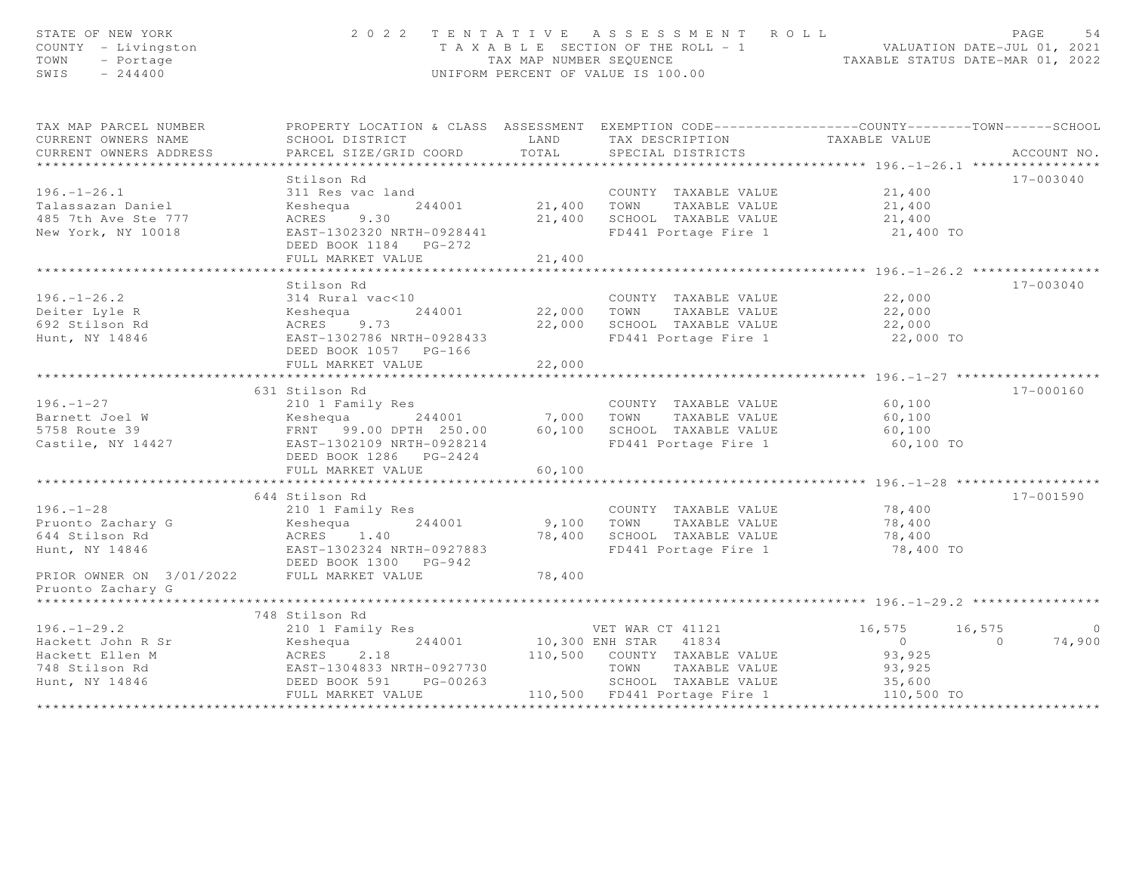| STATE OF NEW YORK<br>COUNTY - Livingston<br>TOWN<br>- Portage<br>SWIS<br>$-244400$ |                                                                                                  |                           | 2022 TENTATIVE ASSESSMENT ROLL<br>T A X A B L E SECTION OF THE ROLL - 1 VALUATION DATE-JUL 01, 2021<br>TAX MAP NUMBER SEQUENCE TAXABLE STATUS DATE-MAR 01, 2022<br>UNIFORM PERCENT OF VALUE IS 100.00 |                      | PAGE                     | 54      |
|------------------------------------------------------------------------------------|--------------------------------------------------------------------------------------------------|---------------------------|-------------------------------------------------------------------------------------------------------------------------------------------------------------------------------------------------------|----------------------|--------------------------|---------|
| TAX MAP PARCEL NUMBER                                                              | PROPERTY LOCATION & CLASS ASSESSMENT EXEMPTION CODE----------------COUNTY-------TOWN------SCHOOL |                           |                                                                                                                                                                                                       |                      |                          |         |
| CURRENT OWNERS NAME                                                                | SCHOOL DISTRICT                                                                                  | LAND                      | TAX DESCRIPTION TAXABLE VALUE                                                                                                                                                                         |                      |                          |         |
| CURRENT OWNERS ADDRESS                                                             | PARCEL SIZE/GRID COORD                                                                           | TOTAL                     | SPECIAL DISTRICTS                                                                                                                                                                                     |                      | ACCOUNT NO.              |         |
|                                                                                    | Stilson Rd                                                                                       |                           |                                                                                                                                                                                                       |                      | 17-003040                |         |
| $196. - 1 - 26.1$                                                                  | 311 Res vac land                                                                                 |                           | COUNTY TAXABLE VALUE                                                                                                                                                                                  | 21,400               |                          |         |
| Talassazan Daniel                                                                  | Keshequa<br>244001                                                                               | 21,400 TOWN               | TAXABLE VALUE                                                                                                                                                                                         |                      |                          |         |
| 485 7th Ave Ste 777                                                                | ACRES 9.30                                                                                       |                           | 21,400 SCHOOL TAXABLE VALUE                                                                                                                                                                           | 21,400<br>21,400     |                          |         |
| New York, NY 10018                                                                 | EAST-1302320 NRTH-0928441                                                                        |                           | FD441 Portage Fire 1 21,400 TO                                                                                                                                                                        |                      |                          |         |
|                                                                                    | DEED BOOK 1184    PG-272                                                                         |                           |                                                                                                                                                                                                       |                      |                          |         |
|                                                                                    | FULL MARKET VALUE                                                                                | 21,400                    |                                                                                                                                                                                                       |                      |                          |         |
|                                                                                    |                                                                                                  | * * * * * * * * * * * * * |                                                                                                                                                                                                       |                      |                          |         |
|                                                                                    | Stilson Rd                                                                                       |                           |                                                                                                                                                                                                       |                      | $17 - 003040$            |         |
| $196. - 1 - 26.2$                                                                  | 314 Rural vac<10                                                                                 |                           | COUNTY TAXABLE VALUE<br>22,000 TOWN TAXABLE VALUE<br>COUNTY TAXABLE VALUE                                                                                                                             | 22,000               |                          |         |
| Deiter Lyle R                                                                      | Keshequa<br>244001                                                                               |                           |                                                                                                                                                                                                       | 22,000               |                          |         |
| 692 Stilson Rd                                                                     | ACRES 9.73                                                                                       |                           | 22,000 SCHOOL TAXABLE VALUE                                                                                                                                                                           | 22,000               |                          |         |
| Hunt, NY 14846                                                                     | EAST-1302786 NRTH-0928433<br>DEED BOOK 1057 PG-166                                               |                           | FD441 Portage Fire 1                                                                                                                                                                                  | 22,000 TO            |                          |         |
|                                                                                    | FULL MARKET VALUE                                                                                | 22,000                    |                                                                                                                                                                                                       |                      |                          |         |
|                                                                                    |                                                                                                  |                           |                                                                                                                                                                                                       |                      |                          |         |
|                                                                                    | 631 Stilson Rd                                                                                   |                           |                                                                                                                                                                                                       |                      | 17-000160                |         |
| $196. - 1 - 27$                                                                    | 210 1 Family Res                                                                                 |                           | COUNTY TAXABLE VALUE                                                                                                                                                                                  | 60,100               |                          |         |
| $196. - 1$ $L$ .<br>Barnett Joel W                                                 |                                                                                                  |                           | TAXABLE VALUE                                                                                                                                                                                         | 60,100               |                          |         |
| 5758 Route 39                                                                      |                                                                                                  |                           | 60,100 SCHOOL TAXABLE VALUE                                                                                                                                                                           | 60,100               |                          |         |
| Castile, NY 14427                                                                  | EAST-1302109 NRTH-0928214                                                                        |                           | FD441 Portage Fire 1                                                                                                                                                                                  | 60,100 TO            |                          |         |
|                                                                                    | DEED BOOK 1286 PG-2424                                                                           |                           |                                                                                                                                                                                                       |                      |                          |         |
|                                                                                    | FULL MARKET VALUE                                                                                | 60,100                    |                                                                                                                                                                                                       |                      |                          |         |
|                                                                                    | 644 Stilson Rd                                                                                   |                           |                                                                                                                                                                                                       |                      | 17-001590                |         |
| $196. - 1 - 28$                                                                    | 210 1 Family Res                                                                                 |                           | COUNTY TAXABLE VALUE                                                                                                                                                                                  | 78,400               |                          |         |
|                                                                                    | Keshequa 244001                                                                                  |                           | 9,100 TOWN<br>TAXABLE VALUE                                                                                                                                                                           | 78,400               |                          |         |
| Pruonto Zachary G<br>644 Stilson Rd                                                | ACRES 1.40                                                                                       |                           | 78,400 SCHOOL TAXABLE VALUE                                                                                                                                                                           | 78,400               |                          |         |
| Hunt, NY 14846                                                                     | EAST-1302324 NRTH-0927883                                                                        |                           | FD441 Portage Fire 1                                                                                                                                                                                  | 78,400 TO            |                          |         |
|                                                                                    | DEED BOOK 1300 PG-942                                                                            |                           |                                                                                                                                                                                                       |                      |                          |         |
| PRIOR OWNER ON 3/01/2022                                                           | FULL MARKET VALUE                                                                                | 78,400                    |                                                                                                                                                                                                       |                      |                          |         |
| Pruonto Zachary G                                                                  |                                                                                                  |                           |                                                                                                                                                                                                       |                      |                          |         |
|                                                                                    |                                                                                                  |                           |                                                                                                                                                                                                       |                      |                          |         |
|                                                                                    | 748 Stilson Rd                                                                                   |                           |                                                                                                                                                                                                       |                      |                          |         |
| $196. - 1 - 29.2$                                                                  | 210 1 Family Res                                                                                 |                           | VET WAR CT 41121<br>10,300 ENH STAR 41834<br>VET WAR CT 41121                                                                                                                                         | 16,575               | 16,575                   | $\circ$ |
| Hackett John R Sr                                                                  | 244001                                                                                           |                           |                                                                                                                                                                                                       | $\overline{0}$       | $\overline{0}$<br>74,900 |         |
| Hackett Ellen M                                                                    |                                                                                                  |                           | 110,500 COUNTY TAXABLE VALUE<br>TOWN                                                                                                                                                                  | 93,925               |                          |         |
| 748 Stilson Rd<br>Hunt, NY 14846                                                   | Keshequa 2.18<br>ACRES 2.18<br>EAST-1304833 NRTH-0927730<br>PG-00263<br>DEED BOOK 591            |                           | TAXABLE VALUE<br>SCHOOL TAXABLE VALUE                                                                                                                                                                 | 93,925               |                          |         |
|                                                                                    | FULL MARKET VALUE                                                                                |                           | 110,500 FD441 Portage Fire 1                                                                                                                                                                          | 35,600<br>110,500 TO |                          |         |
|                                                                                    |                                                                                                  |                           |                                                                                                                                                                                                       |                      |                          |         |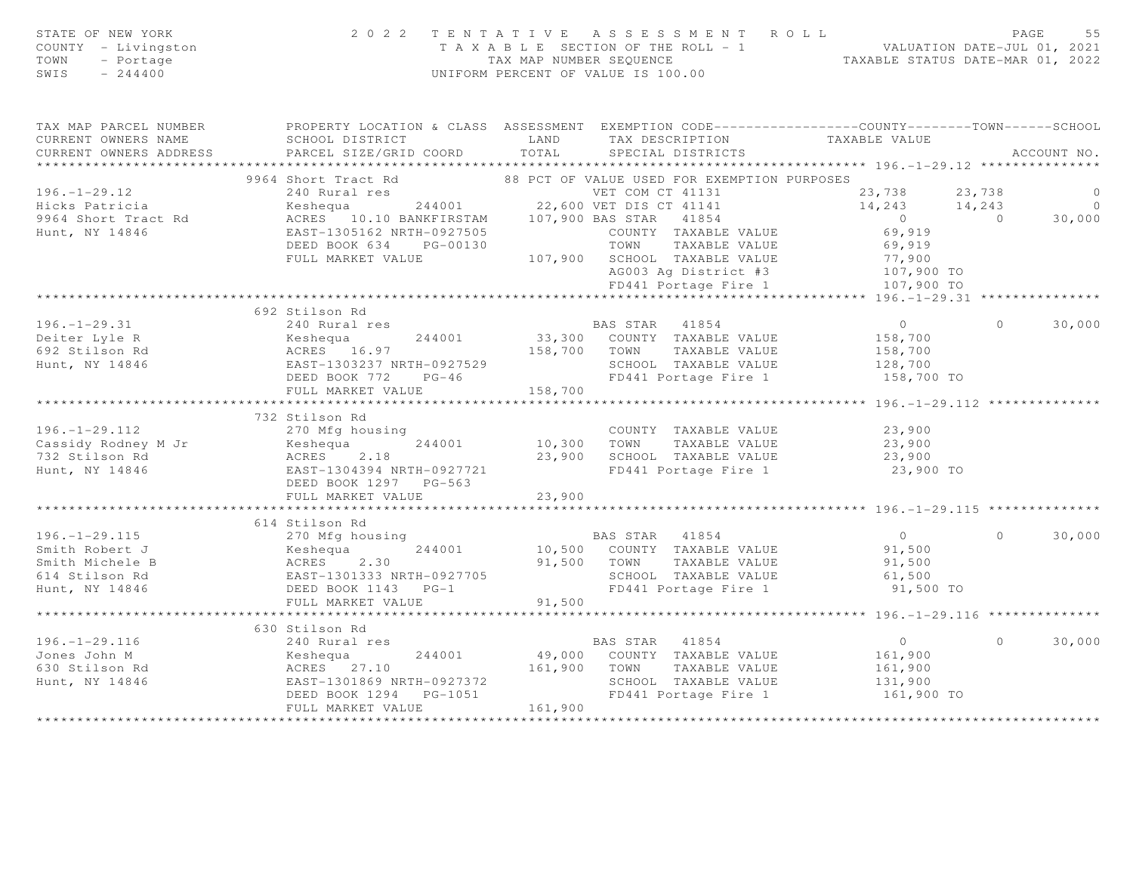| STATE OF NEW YORK<br>COUNTY - Livingston<br>TOWN<br>- Portage<br>SWIS<br>$-244400$ |                                                                                                    | 2022 TENTATIVE ASSESSMENT ROLL<br>TAXABLE SECTION OF THE ROLL - 1<br>TAXABLE STATUS DATE-JUL 01, 2021<br>TAXABLE STATUS DATE-MAR 01, 2022<br>UNIFORM PERCENT OF VALUE IS 100.00         | PAGE                                                     | 55             |
|------------------------------------------------------------------------------------|----------------------------------------------------------------------------------------------------|-----------------------------------------------------------------------------------------------------------------------------------------------------------------------------------------|----------------------------------------------------------|----------------|
| CURRENT OWNERS NAME<br>CURRENT OWNERS ADDRESS                                      | SCHOOL DISTRICT<br><b>LAND</b><br>PARCEL SIZE/GRID COORD                                           | TAX MAP PARCEL NUMBER THE PROPERTY LOCATION & CLASS ASSESSMENT EXEMPTION CODE--------------COUNTY-------TOWN------SCHOOL<br>TAX DESCRIPTION TAXABLE VALUE<br>TOTAL<br>SPECIAL DISTRICTS |                                                          | ACCOUNT NO.    |
|                                                                                    | 9964 Short Tract Rd                                                                                | 88 PCT OF VALUE USED FOR EXEMPTION PURPOSES                                                                                                                                             |                                                          |                |
| $196. - 1 - 29.12$                                                                 |                                                                                                    |                                                                                                                                                                                         | 23,738<br>23,738                                         | $\circ$        |
| Hicks Patricia                                                                     |                                                                                                    |                                                                                                                                                                                         | 14, 243 14, 243                                          | $\overline{0}$ |
| 9964 Short Tract Rd                                                                |                                                                                                    |                                                                                                                                                                                         | $\begin{pmatrix} 0 \\ 0 \end{pmatrix}$<br>$\overline{0}$ | 30,000         |
| Hunt, NY 14846                                                                     |                                                                                                    |                                                                                                                                                                                         | 69,919                                                   |                |
|                                                                                    |                                                                                                    |                                                                                                                                                                                         |                                                          |                |
|                                                                                    |                                                                                                    |                                                                                                                                                                                         |                                                          |                |
|                                                                                    |                                                                                                    | TOWN TAXABLE VALUE<br>SCHOOL TAXABLE VALUE 77,900<br>AG003 Ag District #3 107,900 TO<br>--111 Dortage Fire 1 107,900 TO                                                                 |                                                          |                |
|                                                                                    |                                                                                                    |                                                                                                                                                                                         |                                                          |                |
|                                                                                    | 692 Stilson Rd                                                                                     |                                                                                                                                                                                         |                                                          |                |
| $196. - 1 - 29.31$                                                                 | 240 Rural res                                                                                      | BAS STAR 41854                                                                                                                                                                          | $\overline{0}$<br>$\Omega$                               | 30,000         |
|                                                                                    |                                                                                                    | 244001 33,300 COUNTY TAXABLE VALUE                                                                                                                                                      | 158,700                                                  |                |
|                                                                                    |                                                                                                    | 158,700 TOWN TAXABLE VALUE                                                                                                                                                              | 158,700                                                  |                |
|                                                                                    |                                                                                                    | SCHOOL TAXABLE VALUE 128,700                                                                                                                                                            |                                                          |                |
|                                                                                    | DEED BOOK 772 PG-46                                                                                | FD441 Portage Fire 1                                                                                                                                                                    | 158,700 TO                                               |                |
|                                                                                    | FULL MARKET VALUE                                                                                  | 158,700                                                                                                                                                                                 |                                                          |                |
|                                                                                    |                                                                                                    |                                                                                                                                                                                         |                                                          |                |
|                                                                                    | 732 Stilson Rd                                                                                     |                                                                                                                                                                                         |                                                          |                |
| $196. - 1 - 29.112$                                                                | 270 Mfg housing                                                                                    | COUNTY TAXABLE VALUE<br>10,300 TOWN TAXABLE VALUE                                                                                                                                       | $23,900$<br>$23,900$                                     |                |
| Cassidy Rodney M Jr<br>732 Stilson Rd                                              |                                                                                                    | 23,900 SCHOOL TAXABLE VALUE                                                                                                                                                             | 23,900                                                   |                |
| Hunt, NY 14846                                                                     | EAST-1304394 NRTH-0927721                                                                          | FD441 Portage Fire 1                                                                                                                                                                    | 23,900 TO                                                |                |
|                                                                                    | DEED BOOK 1297 PG-563                                                                              |                                                                                                                                                                                         |                                                          |                |
|                                                                                    | FULL MARKET VALUE                                                                                  | 23,900                                                                                                                                                                                  |                                                          |                |
|                                                                                    |                                                                                                    |                                                                                                                                                                                         |                                                          |                |
|                                                                                    | 614 Stilson Rd                                                                                     |                                                                                                                                                                                         |                                                          |                |
| $196. - 1 - 29.115$                                                                | 270 Mfg housing                                                                                    | BAS STAR 41854                                                                                                                                                                          | $\overline{0}$<br>$\cap$                                 | 30,000         |
| Smith Robert J                                                                     |                                                                                                    | 10,500 COUNTY TAXABLE VALUE                                                                                                                                                             | 91,500<br>91,500                                         |                |
| Smith Michele B                                                                    |                                                                                                    | 91,500 TOWN TAXABLE VALUE                                                                                                                                                               |                                                          |                |
| 614 Stilson Rd                                                                     | Example 19 10081ng<br>Keshequa 244001<br>ACRES 2.30<br>EAST-1301333 NRTH-0927705<br>DEED BOOK 1142 | SCHOOL TAXABLE VALUE<br>FD441 Portage Fire 1                                                                                                                                            | 61,500                                                   |                |
| Hunt, NY 14846                                                                     | DEED BOOK 1143 PG-1                                                                                | FD441 Portage Fire 1                                                                                                                                                                    | 91,500 TO                                                |                |
|                                                                                    | FULL MARKET VALUE                                                                                  | 91,500                                                                                                                                                                                  | ******************* 196.-1-29.116 ***************        |                |
|                                                                                    | 630 Stilson Rd                                                                                     |                                                                                                                                                                                         |                                                          |                |
| $196. - 1 - 29.116$                                                                | 240 Rural res                                                                                      | BAS STAR 41854                                                                                                                                                                          | $\overline{0}$<br>$\Omega$                               | 30,000         |
|                                                                                    |                                                                                                    | Expansion of the contract to the contract of the contract of the contract of the contract of the contract of t<br>Meshequa and 244001 the 49,000 COUNTY TAXABLE VALUE                   | 161,900                                                  |                |
|                                                                                    |                                                                                                    |                                                                                                                                                                                         | 161,900                                                  |                |
|                                                                                    |                                                                                                    | 161,900 TOWN TAXABLE VALUE<br>SCHOOL TAXABLE VALUE<br>FD441 Portage Fire 1<br>SCHOOL TAXABLE VALUE                                                                                      | 131,900                                                  |                |
|                                                                                    | DEED BOOK 1294    PG-1051                                                                          | FD441 Portage Fire 1                                                                                                                                                                    | 161,900 TO                                               |                |
|                                                                                    | FULL MARKET VALUE                                                                                  | 161,900                                                                                                                                                                                 |                                                          |                |
|                                                                                    |                                                                                                    |                                                                                                                                                                                         |                                                          |                |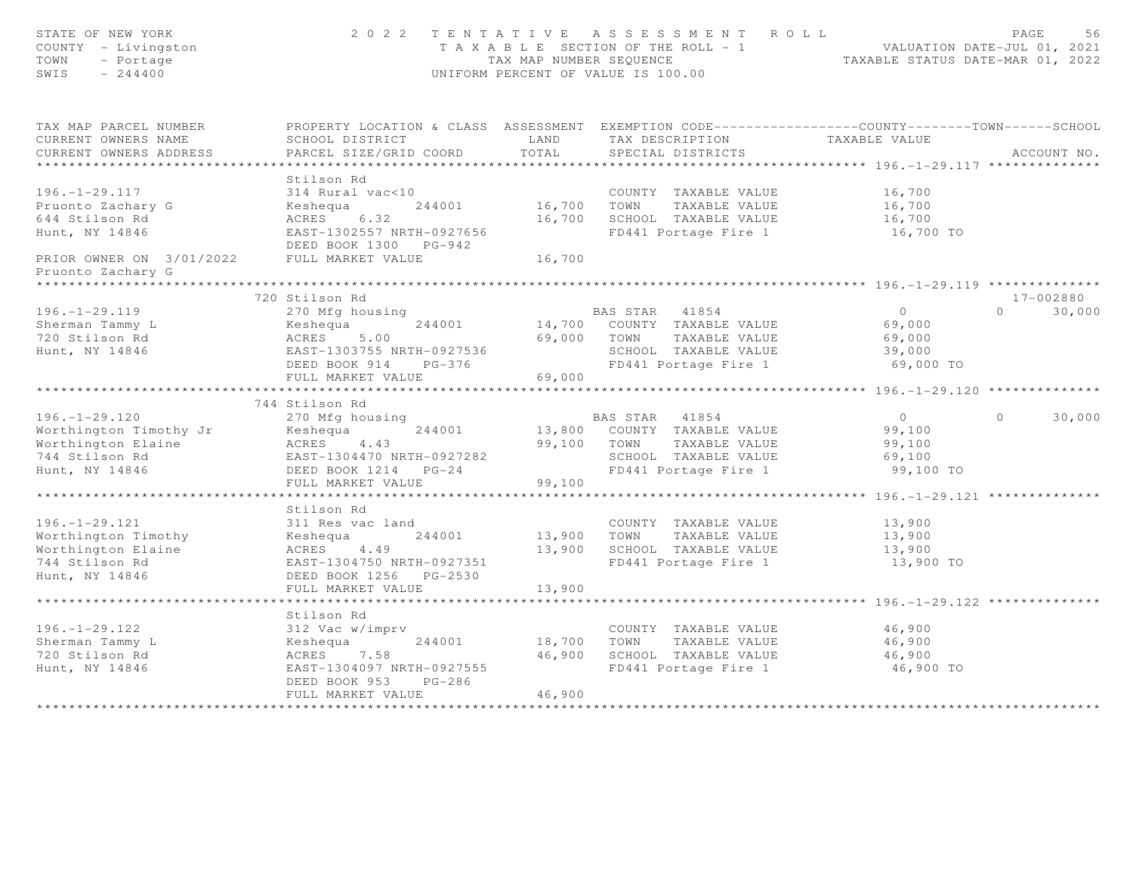| STATE OF NEW YORK<br>COUNTY - Livingston<br>TOWN<br>- Portage<br>$-244400$<br>SWIS | 2 0 2 2                                                                                        | TAX MAP NUMBER SEQUENCE     | TENTATIVE ASSESSMENT ROLL<br>T A X A B L E SECTION OF THE ROLL - 1<br>UNIFORM PERCENT OF VALUE IS 100.00 | VALUATION DATE-JUL 01, 2021<br>TAXABLE STATUS DATE-MAR 01, 2022 | PAGE<br>56         |
|------------------------------------------------------------------------------------|------------------------------------------------------------------------------------------------|-----------------------------|----------------------------------------------------------------------------------------------------------|-----------------------------------------------------------------|--------------------|
| TAX MAP PARCEL NUMBER                                                              | PROPERTY LOCATION & CLASS ASSESSMENT EXEMPTION CODE---------------COUNTY-------TOWN-----SCHOOL |                             |                                                                                                          |                                                                 |                    |
| CURRENT OWNERS NAME<br>CURRENT OWNERS ADDRESS                                      | SCHOOL DISTRICT<br>PARCEL SIZE/GRID COORD                                                      | LAND<br>TOTAL               | TAX DESCRIPTION TAXABLE VALUE<br>SPECIAL DISTRICTS                                                       |                                                                 | ACCOUNT NO.        |
|                                                                                    |                                                                                                |                             |                                                                                                          |                                                                 |                    |
|                                                                                    | Stilson Rd                                                                                     |                             |                                                                                                          |                                                                 |                    |
| $196. - 1 - 29.117$                                                                | 314 Rural vac<10                                                                               |                             | COUNTY TAXABLE VALUE                                                                                     | 16,700                                                          |                    |
| Pruonto Zachary G                                                                  | 244001<br>Keshequa                                                                             | 16,700                      | TOWN<br>TAXABLE VALUE                                                                                    | 16,700                                                          |                    |
| 644 Stilson Rd                                                                     | ACRES<br>6.32                                                                                  | 16,700                      | SCHOOL TAXABLE VALUE                                                                                     | 16,700                                                          |                    |
| Hunt, NY 14846                                                                     | EAST-1302557 NRTH-0927656<br>DEED BOOK 1300 PG-942                                             |                             | FD441 Portage Fire 1                                                                                     | 16,700 TO                                                       |                    |
| PRIOR OWNER ON 3/01/2022 FULL MARKET VALUE<br>Pruonto Zachary G                    |                                                                                                | 16,700                      |                                                                                                          |                                                                 |                    |
|                                                                                    |                                                                                                |                             |                                                                                                          |                                                                 |                    |
|                                                                                    | 720 Stilson Rd                                                                                 |                             |                                                                                                          |                                                                 | 17-002880          |
| $196. - 1 - 29.119$                                                                | 270 Mfg housing                                                                                |                             | BAS STAR 41854                                                                                           | $\circ$                                                         | $\Omega$<br>30,000 |
| Sherman Tammy L                                                                    | 244001<br>Keshequa<br>ACRES                                                                    | 69,000                      | 14,700 COUNTY TAXABLE VALUE                                                                              | 69,000                                                          |                    |
| 720 Stilson Rd<br>Hunt, NY 14846                                                   | 5.00<br>EAST-1303755 NRTH-0927536                                                              |                             | TOWN<br>TAXABLE VALUE<br>SCHOOL TAXABLE VALUE                                                            | 69,000<br>39,000                                                |                    |
|                                                                                    | DEED BOOK 914<br>PG-376                                                                        |                             | FD441 Portage Fire 1                                                                                     | 69,000 TO                                                       |                    |
|                                                                                    | FULL MARKET VALUE                                                                              | 69,000                      |                                                                                                          |                                                                 |                    |
|                                                                                    | *************************                                                                      |                             |                                                                                                          |                                                                 |                    |
|                                                                                    | 744 Stilson Rd                                                                                 |                             |                                                                                                          |                                                                 |                    |
| $196. - 1 - 29.120$                                                                | 270 Mfg housing                                                                                |                             | BAS STAR 41854                                                                                           | $\overline{0}$                                                  | $\Omega$<br>30,000 |
| Worthington Timothy Jr                                                             | Keshequa<br>244001                                                                             |                             | 13,800 COUNTY TAXABLE VALUE                                                                              | 99,100                                                          |                    |
| Worthington Elaine                                                                 | ACRES 4.43                                                                                     |                             | 99,100 TOWN<br>TAXABLE VALUE                                                                             | 99,100                                                          |                    |
| 744 Stilson Rd                                                                     | EAST-1304470 NRTH-0927282                                                                      |                             | SCHOOL TAXABLE VALUE                                                                                     | 69,100                                                          |                    |
| Hunt, NY 14846                                                                     | DEED BOOK 1214 PG-24<br>FULL MARKET VALUE                                                      | 99,100                      | FD441 Portage Fire 1                                                                                     | 99,100 TO                                                       |                    |
|                                                                                    |                                                                                                | * * * * * * * * * * * * * * | ******************************** 196. -1-29.121 **************                                           |                                                                 |                    |
|                                                                                    | Stilson Rd                                                                                     |                             |                                                                                                          |                                                                 |                    |
| $196. - 1 - 29.121$                                                                | 311 Res vac land                                                                               |                             | COUNTY TAXABLE VALUE                                                                                     | 13,900                                                          |                    |
| Worthington Timothy                                                                | Keshequa<br>244001                                                                             | 13,900                      | TOWN<br>TAXABLE VALUE                                                                                    | 13,900                                                          |                    |
| Worthington Elaine                                                                 | ACRES<br>4.49                                                                                  | 13,900                      | SCHOOL TAXABLE VALUE                                                                                     | 13,900                                                          |                    |
| 744 Stilson Rd                                                                     | EAST-1304750 NRTH-0927351                                                                      |                             | FD441 Portage Fire 1                                                                                     | 13,900 TO                                                       |                    |
| Hunt, NY 14846                                                                     | DEED BOOK 1256 PG-2530                                                                         |                             |                                                                                                          |                                                                 |                    |
|                                                                                    | FULL MARKET VALUE<br>************************                                                  | 13,900<br>***********       |                                                                                                          |                                                                 |                    |
|                                                                                    | Stilson Rd                                                                                     |                             |                                                                                                          |                                                                 |                    |
| $196. - 1 - 29.122$                                                                | 312 Vac w/imprv                                                                                |                             | COUNTY TAXABLE VALUE                                                                                     | 46,900                                                          |                    |
| Sherman Tammy L                                                                    | Keshequa<br>244001                                                                             | 18,700                      | TOWN<br>TAXABLE VALUE                                                                                    | 46,900                                                          |                    |
| 720 Stilson Rd                                                                     | ACRES 7.58                                                                                     | 46,900                      | SCHOOL TAXABLE VALUE                                                                                     | 46,900                                                          |                    |
| Hunt, NY 14846                                                                     | EAST-1304097 NRTH-0927555                                                                      |                             | FD441 Portage Fire 1                                                                                     | 46,900 TO                                                       |                    |
|                                                                                    | $PG-286$<br>DEED BOOK 953                                                                      |                             |                                                                                                          |                                                                 |                    |
|                                                                                    | FULL MARKET VALUE                                                                              | 46,900                      |                                                                                                          |                                                                 |                    |
|                                                                                    |                                                                                                |                             |                                                                                                          |                                                                 |                    |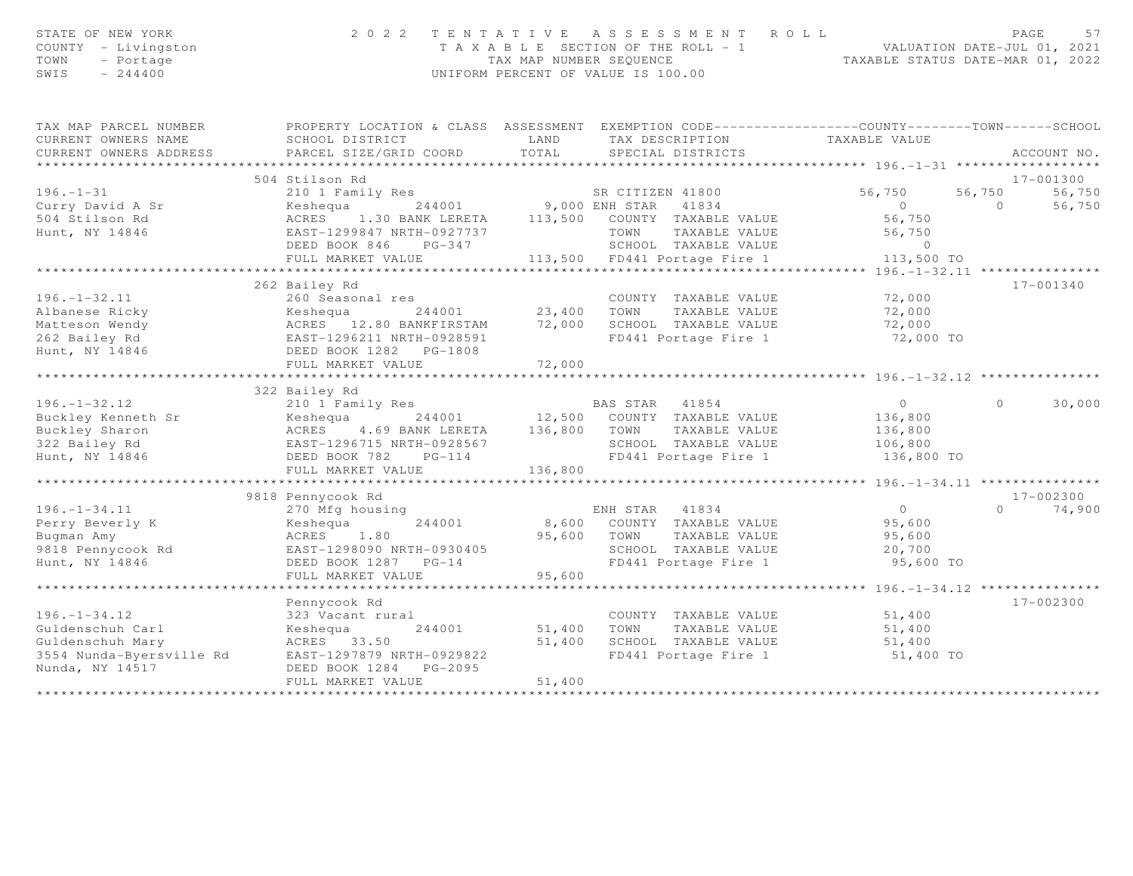| STATE OF NEW YORK<br>COUNTY<br>- Livingston<br>TOWN<br>- Portage<br>SWIS<br>$-244400$ |                                                                                                 | 2022 TENTATIVE ASSESSMENT ROLL<br>T A X A B L E SECTION OF THE ROLL - 1<br>TAX MAP NUMBER SEQUENCE<br>UNIFORM PERCENT OF VALUE IS 100.00 |                      | VALUATION DATE-JUL 01, 2021<br>TAXABLE STATUS DATE-MAR 01, 2022 |         | 57<br>PAGE  |
|---------------------------------------------------------------------------------------|-------------------------------------------------------------------------------------------------|------------------------------------------------------------------------------------------------------------------------------------------|----------------------|-----------------------------------------------------------------|---------|-------------|
| TAX MAP PARCEL NUMBER                                                                 | PROPERTY LOCATION & CLASS ASSESSMENT EXEMPTION CODE---------------COUNTY-------TOWN------SCHOOL |                                                                                                                                          |                      |                                                                 |         |             |
| CURRENT OWNERS NAME                                                                   | SCHOOL DISTRICT                                                                                 | <b>LAND</b>                                                                                                                              | TAX DESCRIPTION      | TAXABLE VALUE                                                   |         |             |
| CURRENT OWNERS ADDRESS                                                                | PARCEL SIZE/GRID COORD TOTAL SPECIAL DISTRICTS                                                  |                                                                                                                                          |                      |                                                                 |         | ACCOUNT NO. |
|                                                                                       |                                                                                                 |                                                                                                                                          |                      |                                                                 |         |             |
|                                                                                       | 504 Stilson Rd                                                                                  |                                                                                                                                          |                      |                                                                 |         | 17-001300   |
| $196. - 1 - 31$                                                                       | 210 1 Family Res                                                                                |                                                                                                                                          | SR CITIZEN 41800     | 56,750 56,750                                                   |         | 56,750      |
| Curry David A Sr                                                                      | Keshequa                                                                                        | 244001 9,000 ENH STAR                                                                                                                    | 41834                | $\overline{0}$                                                  | $\cap$  | 56,750      |
| 504 Stilson Rd                                                                        | 1.30 BANK LERETA<br>ACRES                                                                       | 113,500                                                                                                                                  | COUNTY TAXABLE VALUE | 56,750                                                          |         |             |
| Hunt, NY 14846                                                                        | EAST-1299847 NRTH-0927737                                                                       | TOWN                                                                                                                                     | TAXABLE VALUE        | 56,750                                                          |         |             |
|                                                                                       | DEED BOOK 846<br>$PG-347$                                                                       | SCHOOL                                                                                                                                   | TAXABLE VALUE        | $\Omega$                                                        |         |             |
|                                                                                       | FULL MARKET VALUE                                                                               | 113,500 FD441 Portage Fire 1                                                                                                             |                      | 113,500 TO                                                      |         |             |
|                                                                                       |                                                                                                 |                                                                                                                                          |                      | $*********196. -1-32.11********************$                    |         |             |
|                                                                                       | 262 Bailey Rd                                                                                   |                                                                                                                                          |                      |                                                                 |         | 17-001340   |
| $196. - 1 - 32.11$                                                                    | 260 Seasonal res                                                                                |                                                                                                                                          | COUNTY TAXABLE VALUE | 72,000                                                          |         |             |
| Albanese Ricky                                                                        | Keshequa                                                                                        | 244001 23,400<br>TOWN                                                                                                                    | TAXABLE VALUE        | 72,000                                                          |         |             |
| Matteson Wendy                                                                        | ACRES 12.80 BANKFIRSTAM                                                                         | 72,000                                                                                                                                   | SCHOOL TAXABLE VALUE | 72,000                                                          |         |             |
| 262 Bailey Rd                                                                         | EAST-1296211 NRTH-0928591                                                                       |                                                                                                                                          | FD441 Portage Fire 1 | 72,000 TO                                                       |         |             |
| Hunt, NY 14846                                                                        | DEED BOOK 1282<br>$PG-1808$                                                                     |                                                                                                                                          |                      |                                                                 |         |             |
|                                                                                       | FULL MARKET VALUE                                                                               | 72,000                                                                                                                                   |                      |                                                                 |         |             |
|                                                                                       |                                                                                                 |                                                                                                                                          |                      |                                                                 |         |             |
|                                                                                       | 322 Bailey Rd                                                                                   |                                                                                                                                          |                      |                                                                 |         |             |
| $196. - 1 - 32.12$                                                                    | 210 1 Family Res<br>Duckley Kenneth Cr. (Legislation of the College of the Marian March 1980)   | BAS STAR                                                                                                                                 | 41854                | $\Omega$                                                        | $\circ$ | 30,000      |
|                                                                                       |                                                                                                 |                                                                                                                                          |                      |                                                                 |         |             |

| 190. 194.IA              | ALV I FAMILY NCS          | יותו טבש         | ユエロシェ                |            | $\cup$ $\cup$ $\cup$ $\cup$ |
|--------------------------|---------------------------|------------------|----------------------|------------|-----------------------------|
| Buckley Kenneth Sr       | Keshequa<br>244001        | 12,500<br>COUNTY | TAXABLE VALUE        | 136,800    |                             |
| Buckley Sharon           | ACRES 4.69 BANK LERETA    | 136,800<br>TOWN  | TAXABLE VALUE        | 136,800    |                             |
| 322 Bailey Rd            | EAST-1296715 NRTH-0928567 | SCHOOL           | TAXABLE VALUE        | 106,800    |                             |
| Hunt, NY 14846           | DEED BOOK 782<br>$PG-114$ |                  | FD441 Portage Fire 1 | 136,800 TO |                             |
|                          | FULL MARKET VALUE         | 136,800          |                      |            |                             |
|                          |                           |                  |                      |            |                             |
|                          | 9818 Pennycook Rd         |                  |                      |            | 17-002300                   |
| $196. - 1 - 34.11$       | 270 Mfg housing           | ENH STAR         | 41834                | $\Omega$   | 74,900<br>$\Omega$          |
| Perry Beverly K          | Keshequa<br>244001        | 8,600<br>COUNTY  | TAXABLE VALUE        | 95,600     |                             |
| Bugman Amy               | ACRES 1.80                | 95,600<br>TOWN   | TAXABLE VALUE        | 95,600     |                             |
| 9818 Pennycook Rd        | EAST-1298090 NRTH-0930405 | SCHOOL           | TAXABLE VALUE        | 20,700     |                             |
| Hunt, NY 14846           | DEED BOOK 1287 PG-14      |                  | FD441 Portage Fire 1 | 95,600 TO  |                             |
|                          | FULL MARKET VALUE         | 95,600           |                      |            |                             |
|                          |                           |                  |                      |            |                             |
|                          | Pennycook Rd              |                  |                      |            | 17-002300                   |
| $196. - 1 - 34.12$       | 323 Vacant rural          | COUNTY           | TAXABLE VALUE        | 51,400     |                             |
| Guldenschuh Carl         | 244001<br>Keshequa        | 51,400<br>TOWN   | TAXABLE VALUE        | 51,400     |                             |
| Guldenschuh Mary         | ACRES 33.50               | 51,400<br>SCHOOL | TAXABLE VALUE        | 51,400     |                             |
| 3554 Nunda-Byersville Rd | EAST-1297879 NRTH-0929822 |                  | FD441 Portage Fire 1 | 51,400 TO  |                             |
| Nunda, NY 14517          | DEED BOOK 1284 PG-2095    |                  |                      |            |                             |
|                          | FULL MARKET VALUE         | 51,400           |                      |            |                             |
|                          |                           |                  |                      |            |                             |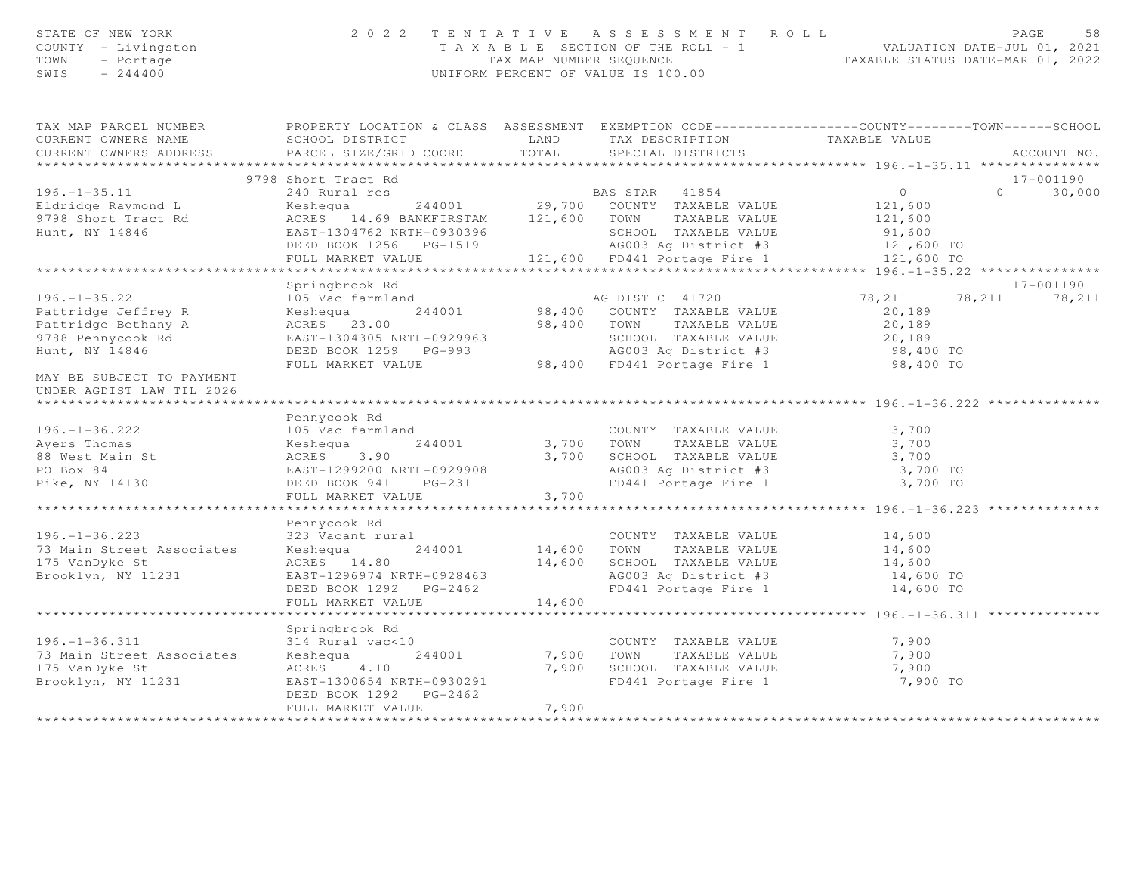| STATE OF NEW YORK<br>COUNTY - Livingston<br>TOWN - Portage<br>$SWIS = 244400$                                                                                             |                                                                                                                                                                                                                                                                       |        | 2022 TENTATIVE ASSESSMENT ROLL<br>TAXABLE SECTION OF THE ROLL - 1<br>TAXABLE SECTION OF THE ROLL - 1<br>TAXABLE STATUS DATE-MAR 01, 2022<br>UNIFORM PERCENT OF VALUE IS 100.00    |                                                          | PAGE<br>58                   |
|---------------------------------------------------------------------------------------------------------------------------------------------------------------------------|-----------------------------------------------------------------------------------------------------------------------------------------------------------------------------------------------------------------------------------------------------------------------|--------|-----------------------------------------------------------------------------------------------------------------------------------------------------------------------------------|----------------------------------------------------------|------------------------------|
| TAX MAP PARCEL NUMBER THE PROPERTY LOCATION & CLASS ASSESSMENT EXEMPTION CODE--------------COUNTY-------TOWN------SCHOOL<br>CURRENT OWNERS NAME<br>CURRENT OWNERS ADDRESS | SCHOOL DISTRICT<br>PARCEL SIZE/GRID COORD                                                                                                                                                                                                                             | TOTAL  | LAND TAX DESCRIPTION<br>SPECIAL DISTRICTS                                                                                                                                         | TAXABLE VALUE                                            | ACCOUNT NO.                  |
|                                                                                                                                                                           |                                                                                                                                                                                                                                                                       |        |                                                                                                                                                                                   |                                                          |                              |
|                                                                                                                                                                           | 9798 Short Tract Rd                                                                                                                                                                                                                                                   |        |                                                                                                                                                                                   | $\overline{0}$                                           | 17-001190                    |
| $196. - 1 - 35.11$<br>Eldridge Raymond L<br>9798 Short Tract Rd<br>Hunt, NY 14846                                                                                         | 240 Rural res<br>Keshequa 244001 29,700 COUNTY TAXABLE VALUE<br>ACRES 14.69 BANKFIRSTAM 121,600 TOWN TAXABLE VALUE<br>EAST-1304762 NRTH-0930396 SCHOOL TAXABLE VALUE<br>DEED BOOK 1256 PG-1519 AG003 Ag District #3<br>FULL MARKET VALUE 121,600 FD441 Portage Fire 1 |        | <b>BAS STAR</b> 41854                                                                                                                                                             | 121,600<br>121,600<br>91,600<br>121,600 TO<br>121,600 TO | $\Omega$<br>30,000           |
|                                                                                                                                                                           |                                                                                                                                                                                                                                                                       |        |                                                                                                                                                                                   |                                                          |                              |
| $196. - 1 - 35.22$<br>Pattridge Jeffrey R<br>Pattridge Bethany A<br>9788 Pennycook Rd<br>Hunt, NY 14846<br>MAY BE SUBJECT TO PAYMENT<br>UNDER AGDIST LAW TIL 2026         | Springbrook Rd<br>105 Vac farmland<br>Keshequa 244001<br>ACRES 23.00<br>EAST-1304305 NRTH-0929963<br>DEED BOOK 1259 PG-993<br>FULL MARKET VALUE                                                                                                                       |        | AG DIST C 41720<br>98,400 COUNTY TAXABLE VALUE<br>98,400 TOWN TAXABLE VALUE<br>SCHOOL TAXABLE VALUE<br>AG003 Ag District #3<br>98,400 FD441 Portage Fire 1 98,400 TO              | 78,211<br>20,189<br>20,189<br>20,189<br>98,400 TO        | 17-001190<br>78, 211 78, 211 |
|                                                                                                                                                                           |                                                                                                                                                                                                                                                                       |        |                                                                                                                                                                                   |                                                          |                              |
| $196. - 1 - 36.222$<br>Ayers Thomas<br>88 West Main St<br>PO Box 84<br>Pike, NY 14130                                                                                     | Pennycook Rd<br>105 Vac farmland<br>Keshequa 244001<br>ACRES 3.90<br>EAST-1299200 NRTH-0929908<br>DEED BOOK 941 PG-231<br>FULL MARKET VALUE                                                                                                                           | 3,700  | COUNTY TAXABLE VALUE<br>3,700 TOWN TAXABLE VALUE<br>3,700 SCHOOL TAXABLE VALUE<br>AG003 Ag District #3<br>FD441 Portage Fire 1<br>********************************* 196.-1-36.223 | 3,700<br>3,700<br>3,700<br>3,700 TO<br>3,700 TO          |                              |
|                                                                                                                                                                           | Pennycook Rd                                                                                                                                                                                                                                                          |        |                                                                                                                                                                                   |                                                          |                              |
| $196. - 1 - 36.223$<br>73 Main Street Associates<br>175 VanDyke St<br>Brooklyn, NY 11231                                                                                  | 323 Vacant rural<br>244001<br>Keshequa<br>ACRES 14.80<br>EAST-1296974 NRTH-0928463<br>DEED BOOK 1292 PG-2462                                                                                                                                                          |        | COUNTY TAXABLE VALUE<br>14,600 TOWN TAXABLE VALUE<br>14,600 SCHOOL TAXABLE VALUE<br>AG003 Ag District #3<br>FD441 Portage Fire 1<br>FD441 Portage Fire 1                          | 14,600<br>14,600<br>14,600<br>14,600 TO<br>14,600 TO     |                              |
|                                                                                                                                                                           | FULL MARKET VALUE                                                                                                                                                                                                                                                     | 14,600 |                                                                                                                                                                                   |                                                          |                              |
| $196. - 1 - 36.311$<br>73 Main Street Associates<br>175 VanDyke St<br>Brooklyn, NY 11231                                                                                  | Springbrook Rd<br>314 Rural vac<10<br>244001<br>Keshequa<br>ACRES 4.10<br>EAST-1300654 NRTH-0930291<br>DEED BOOK 1292 PG-2462<br>FULL MARKET VALUE                                                                                                                    | 7,900  | COUNTY TAXABLE VALUE<br>7,900 TOWN TAXABLE VALUE<br>7,900 SCHOOL TAXABLE VALUE<br>FD441 Portage Fire 1                                                                            | 7,900<br>7,900<br>7,900<br>7,900 TO                      |                              |
|                                                                                                                                                                           |                                                                                                                                                                                                                                                                       |        |                                                                                                                                                                                   |                                                          |                              |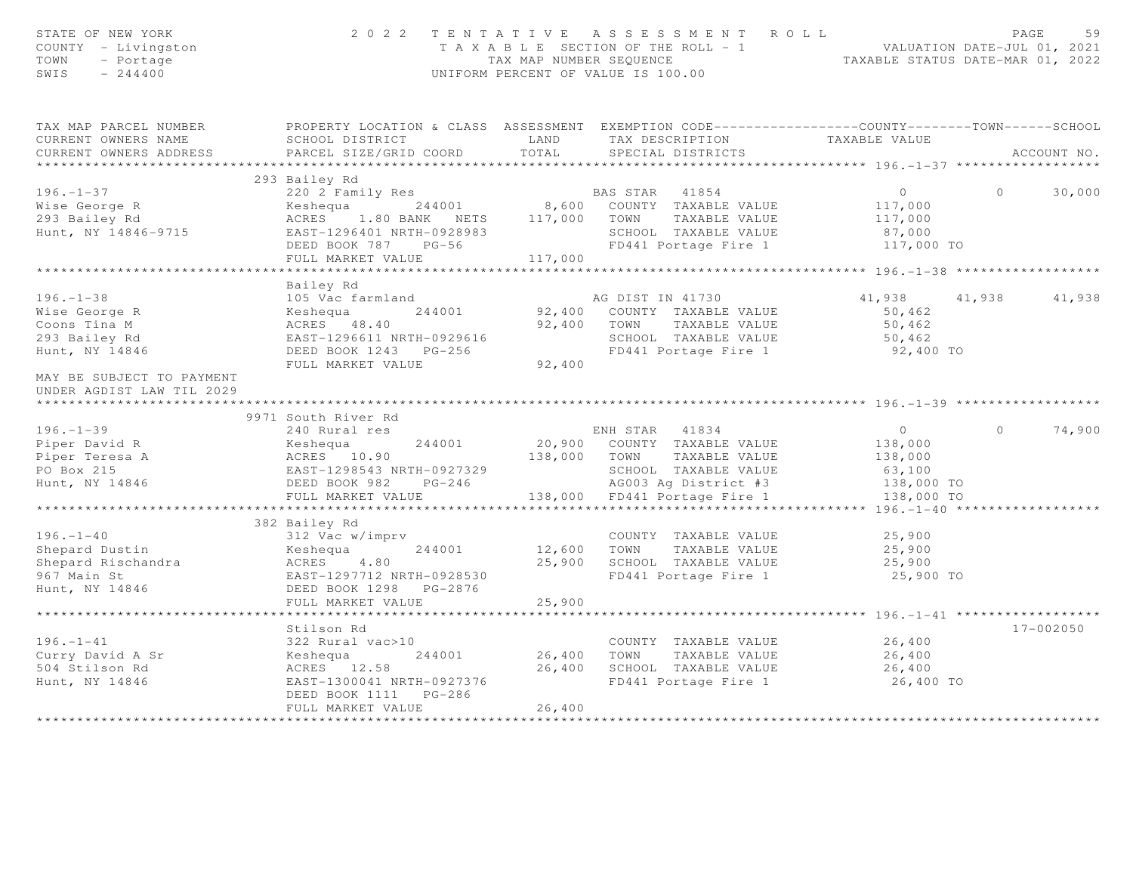| STATE OF NEW YORK<br>COUNTY - Livingston<br>TOWN<br>- Portage<br>$-244400$<br>SWIS                                                                                                                                                                                                                                                                                                                                        |                                                                                                                                                       |         | 2022 TENTATIVE ASSESSMENT ROLL<br>T A X A B L E SECTION OF THE ROLL - 1<br>TAX MAP NUMBER SEQUENCE<br>TAXABLE STATUS DATE-MAR 01, 2022<br>UNIFORM PERCENT OF VALUE IS 100.00 |                                                                         | PAGE               | 59 |
|---------------------------------------------------------------------------------------------------------------------------------------------------------------------------------------------------------------------------------------------------------------------------------------------------------------------------------------------------------------------------------------------------------------------------|-------------------------------------------------------------------------------------------------------------------------------------------------------|---------|------------------------------------------------------------------------------------------------------------------------------------------------------------------------------|-------------------------------------------------------------------------|--------------------|----|
| TAX MAP PARCEL NUMBER                                                                                                                                                                                                                                                                                                                                                                                                     | PROPERTY LOCATION & CLASS ASSESSMENT EXEMPTION CODE----------------COUNTY-------TOWN------SCHOOL                                                      |         |                                                                                                                                                                              |                                                                         |                    |    |
| CURRENT OWNERS NAME                                                                                                                                                                                                                                                                                                                                                                                                       | SCHOOL DISTRICT LAND                                                                                                                                  |         | TAX DESCRIPTION TAXABLE VALUE<br>SPECIAL DISTRICTS                                                                                                                           |                                                                         |                    |    |
| CURRENT OWNERS ADDRESS                                                                                                                                                                                                                                                                                                                                                                                                    | PARCEL SIZE/GRID COORD                                                                                                                                | TOTAL   |                                                                                                                                                                              |                                                                         | ACCOUNT NO.        |    |
|                                                                                                                                                                                                                                                                                                                                                                                                                           | 293 Bailey Rd                                                                                                                                         |         |                                                                                                                                                                              |                                                                         |                    |    |
| $196. - 1 - 37$                                                                                                                                                                                                                                                                                                                                                                                                           |                                                                                                                                                       |         | BAS STAR 41854                                                                                                                                                               | $\overline{0}$ and $\overline{0}$ and $\overline{0}$ and $\overline{0}$ | $\circ$<br>30,000  |    |
|                                                                                                                                                                                                                                                                                                                                                                                                                           | 220 2 Family Res BAS STAR 41854<br>Keshequa 244001 8,600 COUNTY TAXABLE VALUE                                                                         |         |                                                                                                                                                                              | 117,000                                                                 |                    |    |
| Wise George R<br>293 Bailey Rd                                                                                                                                                                                                                                                                                                                                                                                            | Keshequa 244001<br>ACRES 1.80 BANK NETS 117,000<br>EAST-1296401 NRTH-0928983<br>--- nook 787 PG-56<br>ACRES 1.80 BANK NETS 117,000 TOWN TAXABLE VALUE |         |                                                                                                                                                                              | 117,000                                                                 |                    |    |
| Hunt, NY 14846-9715                                                                                                                                                                                                                                                                                                                                                                                                       |                                                                                                                                                       |         | SCHOOL TAXABLE VALUE                                                                                                                                                         |                                                                         |                    |    |
|                                                                                                                                                                                                                                                                                                                                                                                                                           |                                                                                                                                                       |         |                                                                                                                                                                              | 87,000                                                                  |                    |    |
|                                                                                                                                                                                                                                                                                                                                                                                                                           | FULL MARKET VALUE                                                                                                                                     | 117,000 | FD441 Portage Fire 1                                                                                                                                                         | 117,000 TO                                                              |                    |    |
|                                                                                                                                                                                                                                                                                                                                                                                                                           |                                                                                                                                                       |         | ******************************                                                                                                                                               | ************** 196.-1-38 ******                                         |                    |    |
|                                                                                                                                                                                                                                                                                                                                                                                                                           |                                                                                                                                                       |         |                                                                                                                                                                              |                                                                         |                    |    |
|                                                                                                                                                                                                                                                                                                                                                                                                                           | Bailey Rd                                                                                                                                             |         |                                                                                                                                                                              |                                                                         |                    |    |
|                                                                                                                                                                                                                                                                                                                                                                                                                           |                                                                                                                                                       |         |                                                                                                                                                                              | 41,938                                                                  | 41,938<br>41,938   |    |
|                                                                                                                                                                                                                                                                                                                                                                                                                           |                                                                                                                                                       |         |                                                                                                                                                                              | 50,462                                                                  |                    |    |
|                                                                                                                                                                                                                                                                                                                                                                                                                           |                                                                                                                                                       |         |                                                                                                                                                                              | 50,462                                                                  |                    |    |
|                                                                                                                                                                                                                                                                                                                                                                                                                           |                                                                                                                                                       |         |                                                                                                                                                                              | 50,462                                                                  |                    |    |
| $\begin{array}{lllllllllllllllllllll} \hline & & & & & & \mbox{\sc{halley~nu}} & & & & \mbox{\sc{Alg}} & \mbox{\sc{Alg}} & \mbox{\sc{Alg}} & \mbox{\sc{Alg}} & \mbox{\sc{Alg}} & \mbox{\sc{Alg}} & \mbox{\sc{Alg}} & \mbox{\sc{Alg}} & \mbox{\sc{Alg}} & \mbox{\sc{Alg}} & \mbox{\sc{Alg}} & \mbox{\sc{Alg}} & \mbox{\sc{Alg}} & \mbox{\sc{Alg}} & \mbox{\sc{Alg}} & \mbox{\sc{Alg}} & \mbox{\sc{Alg}} & \mbox{\sc{Alg}}$ |                                                                                                                                                       |         | FD441 Portage Fire 1                                                                                                                                                         | 92,400 TO                                                               |                    |    |
| MAY BE SUBJECT TO PAYMENT<br>UNDER AGDIST LAW TIL 2029                                                                                                                                                                                                                                                                                                                                                                    |                                                                                                                                                       |         |                                                                                                                                                                              |                                                                         |                    |    |
|                                                                                                                                                                                                                                                                                                                                                                                                                           |                                                                                                                                                       |         |                                                                                                                                                                              |                                                                         |                    |    |
|                                                                                                                                                                                                                                                                                                                                                                                                                           | 9971 South River Rd                                                                                                                                   |         |                                                                                                                                                                              |                                                                         |                    |    |
| $196. - 1 - 39$                                                                                                                                                                                                                                                                                                                                                                                                           | 240 Rural res                                                                                                                                         |         | ENH STAR 41834                                                                                                                                                               | $\overline{0}$                                                          | $\Omega$<br>74,900 |    |
| Piper David R<br>Piper Teresa A<br>PO Box 215<br>Hunt, NY 14846<br>PO Box 215<br>PO Box 215<br>PO Box 215<br>PO Box 215<br>PO Box 215<br>PO Box 215<br>PU BOS AGRES<br>PU BOS AGRES 22<br>PU BOS AGRES 22<br>PU BOS AGRES 22<br>PU BOS AGRES 22<br>PU BOS AG                                                                                                                                                              |                                                                                                                                                       |         | 20,900 COUNTY TAXABLE VALUE                                                                                                                                                  | 138,000                                                                 |                    |    |
|                                                                                                                                                                                                                                                                                                                                                                                                                           |                                                                                                                                                       |         |                                                                                                                                                                              | 138,000                                                                 |                    |    |
|                                                                                                                                                                                                                                                                                                                                                                                                                           |                                                                                                                                                       |         |                                                                                                                                                                              | 63,100                                                                  |                    |    |
|                                                                                                                                                                                                                                                                                                                                                                                                                           |                                                                                                                                                       |         | AG003 Ag District #3<br>138,000 FD441 Portage Fire 1                                                                                                                         | 138,000 TO                                                              |                    |    |
|                                                                                                                                                                                                                                                                                                                                                                                                                           | FULL MARKET VALUE                                                                                                                                     |         |                                                                                                                                                                              | 138,000 TO                                                              |                    |    |
|                                                                                                                                                                                                                                                                                                                                                                                                                           | ***************************                                                                                                                           |         |                                                                                                                                                                              |                                                                         |                    |    |
|                                                                                                                                                                                                                                                                                                                                                                                                                           | 382 Bailey Rd                                                                                                                                         |         |                                                                                                                                                                              |                                                                         |                    |    |
| $196. - 1 - 40$                                                                                                                                                                                                                                                                                                                                                                                                           | 312 Vac w/imprv                                                                                                                                       |         | COUNTY TAXABLE VALUE                                                                                                                                                         | 25,900                                                                  |                    |    |
|                                                                                                                                                                                                                                                                                                                                                                                                                           | 244001                                                                                                                                                |         | 12,600 TOWN TAXABLE VALUE<br>25,900 SCHOOL TAXABLE VALUE                                                                                                                     | 25,900                                                                  |                    |    |
|                                                                                                                                                                                                                                                                                                                                                                                                                           |                                                                                                                                                       |         |                                                                                                                                                                              | 25,900                                                                  |                    |    |
| 96/ Main St<br>Hunt, NY 14846                                                                                                                                                                                                                                                                                                                                                                                             | EAST-1297712 NRTH-0928530                                                                                                                             |         | FD441 Portage Fire 1                                                                                                                                                         | 25,900 TO                                                               |                    |    |
|                                                                                                                                                                                                                                                                                                                                                                                                                           | DEED BOOK 1298 PG-2876                                                                                                                                |         |                                                                                                                                                                              |                                                                         |                    |    |
|                                                                                                                                                                                                                                                                                                                                                                                                                           | FULL MARKET VALUE                                                                                                                                     | 25,900  |                                                                                                                                                                              |                                                                         |                    |    |
|                                                                                                                                                                                                                                                                                                                                                                                                                           |                                                                                                                                                       |         |                                                                                                                                                                              |                                                                         |                    |    |
|                                                                                                                                                                                                                                                                                                                                                                                                                           | Stilson Rd                                                                                                                                            |         |                                                                                                                                                                              |                                                                         | 17-002050          |    |
| $196. - 1 - 41$                                                                                                                                                                                                                                                                                                                                                                                                           | 322 Rural vac>10                                                                                                                                      |         | 0 COUNTY TAXABLE VALUE<br>244001 26,400 TOWN TAXABLE VALUE                                                                                                                   | 26,400                                                                  |                    |    |
|                                                                                                                                                                                                                                                                                                                                                                                                                           |                                                                                                                                                       |         |                                                                                                                                                                              | 26,400                                                                  |                    |    |
|                                                                                                                                                                                                                                                                                                                                                                                                                           |                                                                                                                                                       |         | 26,400 SCHOOL TAXABLE VALUE<br>FD441 Portage Fire 1                                                                                                                          | 26,400                                                                  |                    |    |
|                                                                                                                                                                                                                                                                                                                                                                                                                           |                                                                                                                                                       |         | FD441 Portage Fire 1                                                                                                                                                         | 26,400 TO                                                               |                    |    |
|                                                                                                                                                                                                                                                                                                                                                                                                                           | FULL MARKET VALUE                                                                                                                                     | 26,400  |                                                                                                                                                                              |                                                                         |                    |    |
|                                                                                                                                                                                                                                                                                                                                                                                                                           |                                                                                                                                                       |         |                                                                                                                                                                              |                                                                         |                    |    |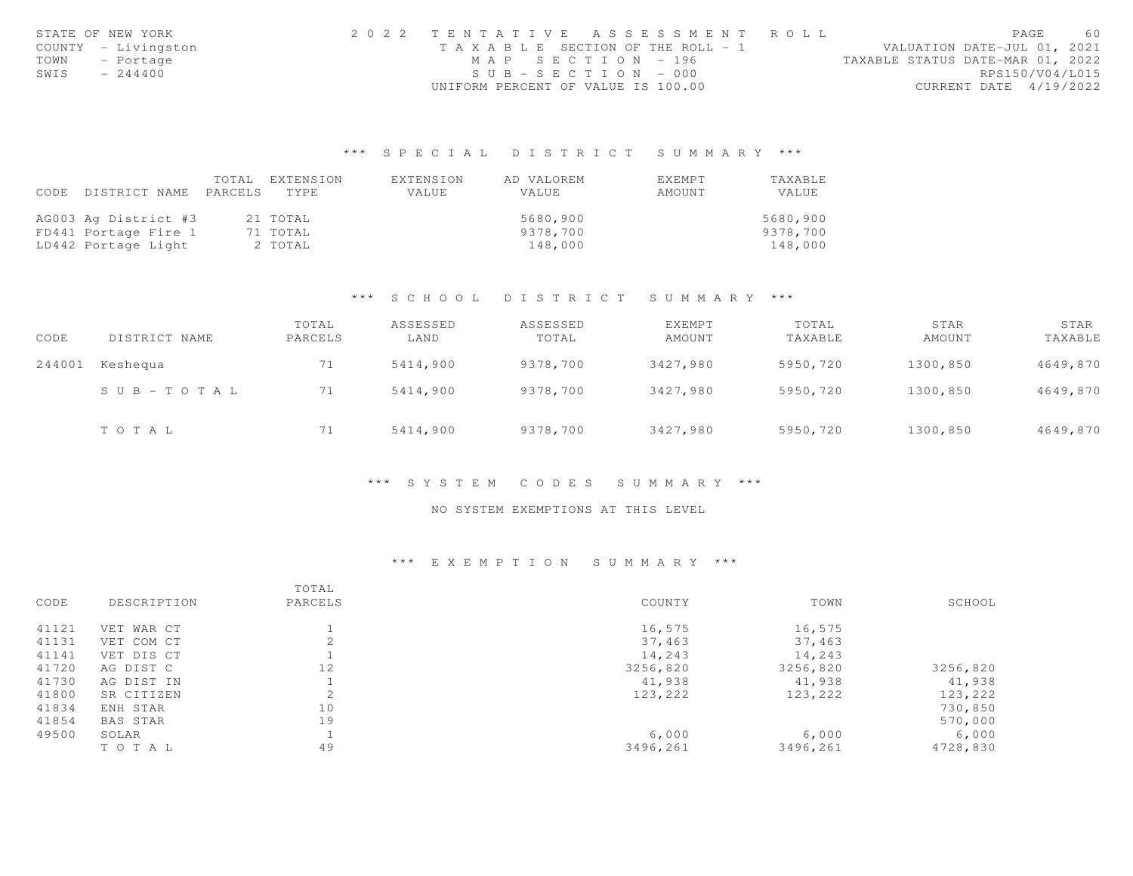|      | STATE OF NEW YORK   | 2022 TENTATIVE ASSESSMENT ROLL     |  |                                  |                        | PAGE | 60 |
|------|---------------------|------------------------------------|--|----------------------------------|------------------------|------|----|
|      | COUNTY - Livingston | TAXABLE SECTION OF THE ROLL - 1    |  | VALUATION DATE-JUL 01, 2021      |                        |      |    |
| TOWN | - Portage           | MAP SECTION - 196                  |  | TAXABLE STATUS DATE-MAR 01, 2022 |                        |      |    |
| SWIS | $-244400$           | $SUB - SECTION - 000$              |  |                                  | RPS150/V04/L015        |      |    |
|      |                     | UNIFORM PERCENT OF VALUE IS 100.00 |  |                                  | CURRENT DATE 4/19/2022 |      |    |

|                            | TOTAL | EXTENSION | EXTENSION | AD VALOREM | EXEMPT | TAXABLE  |
|----------------------------|-------|-----------|-----------|------------|--------|----------|
| CODE DISTRICT NAME PARCELS |       | TYPE.     | VALUE     | VALUE      | AMOUNT | VALUE    |
|                            |       |           |           |            |        |          |
| AG003 Ag District #3       |       | 21 TOTAL  |           | 5680,900   |        | 5680,900 |
| FD441 Portage Fire 1       |       | 71 TOTAL  |           | 9378,700   |        | 9378,700 |
| LD442 Portage Light        |       | 2 TOTAL   |           | 148,000    |        | 148,000  |

## \*\*\* S C H O O L D I S T R I C T S U M M A R Y \*\*\*

| CODE   | DISTRICT NAME | TOTAL<br>PARCELS | ASSESSED<br>LAND | ASSESSED<br>TOTAL | EXEMPT<br>AMOUNT | TOTAL<br>TAXABLE | STAR<br>AMOUNT | STAR<br>TAXABLE |
|--------|---------------|------------------|------------------|-------------------|------------------|------------------|----------------|-----------------|
| 244001 | Keshequa      | 71               | 5414,900         | 9378,700          | 3427,980         | 5950,720         | 1300,850       | 4649,870        |
|        | SUB-TOTAL     | 71               | 5414,900         | 9378,700          | 3427,980         | 5950,720         | 1300,850       | 4649,870        |
|        | TOTAL         | 71               | 5414,900         | 9378,700          | 3427,980         | 5950,720         | 1300,850       | 4649,870        |

#### \*\*\* S Y S T E M C O D E S S U M M A R Y \*\*\*

### NO SYSTEM EXEMPTIONS AT THIS LEVEL

|       |                 | TOTAL      |          |          |          |
|-------|-----------------|------------|----------|----------|----------|
| CODE  | DESCRIPTION     | PARCELS    | COUNTY   | TOWN     | SCHOOL   |
| 41121 | VET WAR CT      |            | 16,575   | 16,575   |          |
| 41131 | VET COM CT      |            | 37,463   | 37,463   |          |
| 41141 | VET DIS CT      |            | 14,243   | 14,243   |          |
| 41720 | AG DIST C       | 12         | 3256,820 | 3256,820 | 3256,820 |
| 41730 | AG DIST IN      |            | 41,938   | 41,938   | 41,938   |
| 41800 | SR CITIZEN      | $\bigcirc$ | 123,222  | 123,222  | 123,222  |
| 41834 | ENH STAR        | 10         |          |          | 730,850  |
| 41854 | <b>BAS STAR</b> | 19         |          |          | 570,000  |
| 49500 | SOLAR           |            | 6,000    | 6,000    | 6,000    |
|       | TOTAL           | 49         | 3496,261 | 3496,261 | 4728,830 |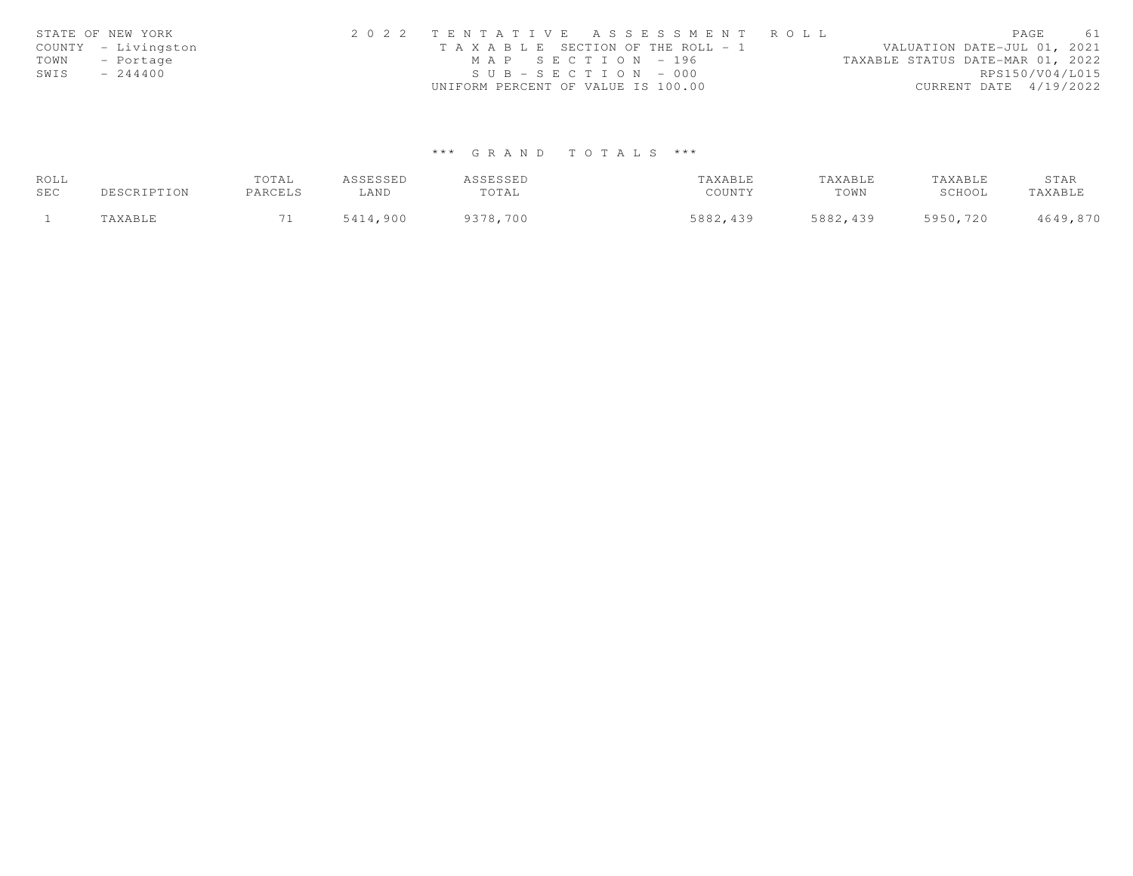|      | STATE OF NEW YORK   | 2022 TENTATIVE ASSESSMENT ROLL                                       | PAGE                     | 61 |
|------|---------------------|----------------------------------------------------------------------|--------------------------|----|
|      | COUNTY - Livingston | VALUATION DATE-JUL 01, 2021<br>T A X A B L E SECTION OF THE ROLL - 1 |                          |    |
| TOWN | - Portage           | MAP SECTION - 196<br>TAXABLE STATUS DATE-MAR 01, 2022                |                          |    |
| SWIS | $-244400$           | $SUB - SECTION - 000$                                                | RPS150/V04/L015          |    |
|      |                     | UNIFORM PERCENT OF VALUE IS 100.00                                   | CURRENT DATE $4/19/2022$ |    |

| ROLL |             | TOTAL   | ASSESSED | ASSESSED | TAXABLE  | TAXABLE  | TAXABLE  | STAR     |
|------|-------------|---------|----------|----------|----------|----------|----------|----------|
| SEC  | DESCRIPTION | PARCELS | LAND     | TOTAL    | COUNTY   | TOWN     | SCHOOL   | TAXABLE  |
|      | TAXABLE     |         | 5414,900 | 9378,700 | 5882,439 | 5882,439 | 5950,720 | 4649,870 |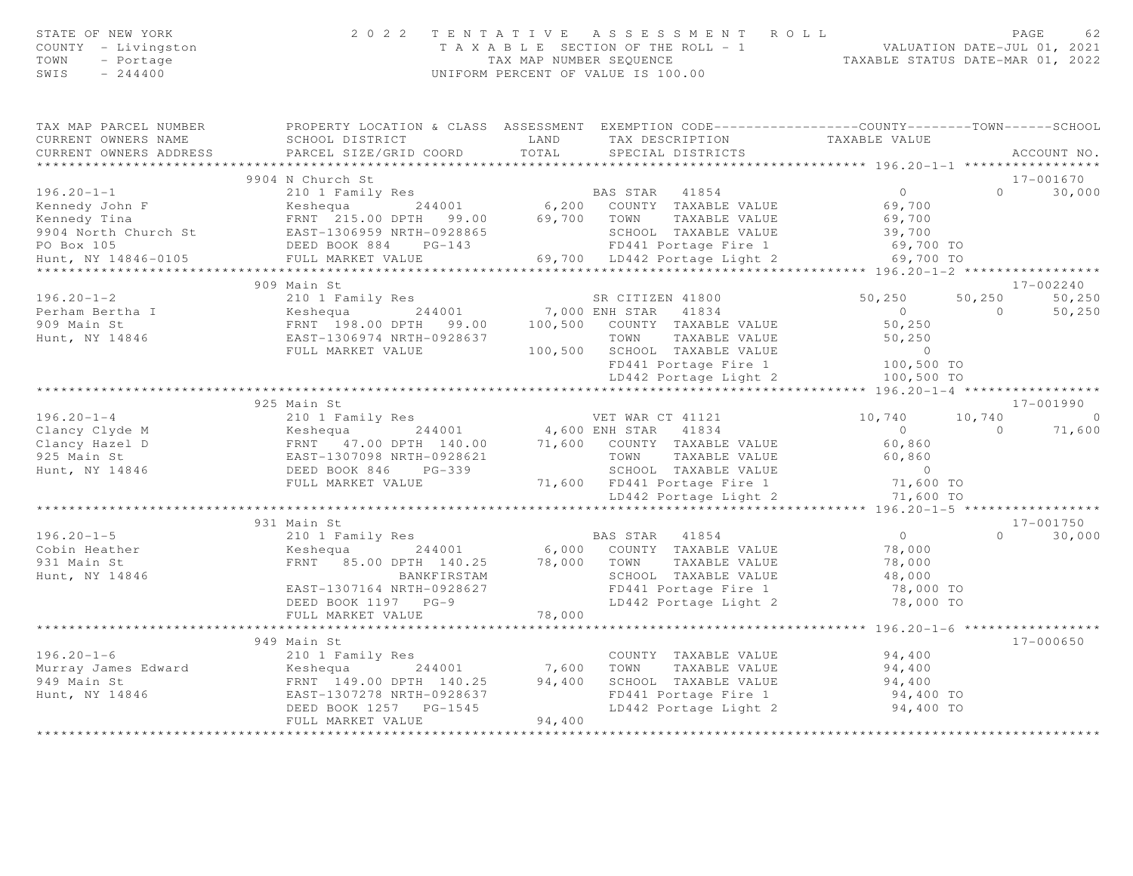| STATE OF NEW YORK<br>COUNTY - Livingston<br>TOWN<br>- Portage<br>SWIS<br>$-244400$                |                                                                                                                                                                     | 2022 TENTATIVE ASSESSMENT ROLL<br>T A X A B L E SECTION OF THE ROLL - 1 VALUATION DATE-JUL 01, 2021<br>TAX MAP NUMBER SEQUENCE TAXABLE STATUS DATE-MAR 01, 2022<br>UNIFORM PERCENT OF VALUE IS 100.00                                                                                                                            |                                                                           | PAGE                     | 62                            |
|---------------------------------------------------------------------------------------------------|---------------------------------------------------------------------------------------------------------------------------------------------------------------------|----------------------------------------------------------------------------------------------------------------------------------------------------------------------------------------------------------------------------------------------------------------------------------------------------------------------------------|---------------------------------------------------------------------------|--------------------------|-------------------------------|
| CURRENT OWNERS NAME<br>CURRENT OWNERS ADDRESS                                                     | SCHOOL DISTRICT<br><b>EXAMPLE AND</b><br>PARCEL SIZE/GRID COORD                                                                                                     | TAX MAP PARCEL NUMBER THE PROPERTY LOCATION & CLASS ASSESSMENT EXEMPTION CODE--------------COUNTY-------TOWN-----SCHOOL<br>TAX DESCRIPTION TAXABLE VALUE<br>TOTAL<br>SPECIAL DISTRICTS                                                                                                                                           |                                                                           |                          | ACCOUNT NO.                   |
|                                                                                                   |                                                                                                                                                                     |                                                                                                                                                                                                                                                                                                                                  |                                                                           |                          |                               |
|                                                                                                   | 9904 N Church St                                                                                                                                                    |                                                                                                                                                                                                                                                                                                                                  |                                                                           |                          | 17-001670                     |
| $196.20 - 1 - 1$<br>PO Box 105<br>Hunt, NY 14846-0105                                             | 210 1 Family Res<br>DEED BOOK 884 PG-143<br>FULL MARKET VALUE                                                                                                       | BAS STAR 41854<br>Exampled the Messler Community of the Magnetic Community of the Magnetic Community of the Magnetic Community of the Magnetic Community of the Magnetic Community of the Magnetic Community of the Magnetic Community of the Ma<br>SCHOOL TAXABLE VALUE<br>FD441 Portage Fire 1<br>69,700 LD442 Portage Light 2 | $\overline{0}$<br>69,700<br>69,700<br>39,700<br>69,700 TO<br>69,700 TO    | $\Omega$                 | 30,000                        |
|                                                                                                   |                                                                                                                                                                     |                                                                                                                                                                                                                                                                                                                                  |                                                                           |                          |                               |
| $196.20 - 1 - 2$<br>Perham Bertha I<br>909 Main St<br>Hunt, NY 14846                              | 909 Main St<br>210 1 Family Res<br>244001<br>FRNT 198.00 DPTH 99.00<br>EAST-1306974 MPT<br>FULL MARKET VALUE                                                        | SR CITIZEN 41800<br>244001<br>244001 7,000 ENH STAR 41834<br>00 DPTH 99.00 100,500 COUNTY TAXABLE VALUE<br>TAXABLE VALUE<br>TOWN<br>100,500 SCHOOL TAXABLE VALUE<br>FD441 Portage Fire 1                                                                                                                                         | 50,250<br>$\overline{0}$<br>50,250<br>50,250<br>$0$<br>100,500 TO         | 50,250<br>$\bigcirc$     | 17-002240<br>50,250<br>50,250 |
|                                                                                                   |                                                                                                                                                                     | LD442 Portage Light 2                                                                                                                                                                                                                                                                                                            | 100,500 TO                                                                |                          |                               |
|                                                                                                   | 925 Main St                                                                                                                                                         |                                                                                                                                                                                                                                                                                                                                  |                                                                           |                          | 17-001990                     |
| $196.20 - 1 - 4$<br>196.20-1<br>Clancy Clyde M<br>Clancy Hazel D<br>925 Main St<br>Hunt, NY 14846 | FULL MARKET VALUE                                                                                                                                                   | <10 1 ram11y Res<br>Keshequa 244001 4,600 ENH STAR 41834<br>FRNT 47.00 DPTH 140.00 71,600 COUNTY TAXABLE VALUE<br>EAST-1307098 NRTH-0928621 TOWN TAXABLE VALUE<br>DEED BOOK 846 PG-339<br>SCHOOL TAXABLE VALUE<br>71,600 FD441 Portage Fire 1                                                                                    | 10,740<br>$\bigcirc$<br>60,860<br>60,860<br>$\overline{0}$<br>$71,600$ TO | 10,740<br>$\overline{a}$ | $\sim$ 0<br>71,600            |
|                                                                                                   |                                                                                                                                                                     | LD442 Portage Light 2                                                                                                                                                                                                                                                                                                            | 71,600 TO                                                                 |                          |                               |
| $196.20 - 1 - 5$<br>Cobin Heather<br>931 Main St<br>Hunt, NY 14846                                | 931 Main St<br>210 1 Family Res<br>244001<br>Keshequa<br>FRNT 85.00 DPTH 140.25<br>BANKFIRSTAM<br>EAST-1307164 NRTH-0928627<br>DEED BOOK 1197 PG-9                  | BAS STAR 41854<br>6,000 COUNTY TAXABLE VALUE<br>78,000 TOWN TAXABLE VALUE<br>SCHOOL TAXABLE VALUE<br>FD441 Portage Fire 1<br>LD442 Portage Light 2                                                                                                                                                                               | $\Omega$<br>78,000<br>78,000<br>48,000<br>78,000 TO<br>78,000 TO          | $\Omega$                 | 17-001750<br>30,000           |
|                                                                                                   | FULL MARKET VALUE                                                                                                                                                   | 78,000                                                                                                                                                                                                                                                                                                                           |                                                                           |                          |                               |
| $196.20 - 1 - 6$<br>Murray James Edward<br>949 Main St<br>Hunt, NY 14846                          | 949 Main St<br>210 1 Family Res<br>Keshequa 244001<br>Keshequa<br>FRNT 149.00 DPTH 140.25<br>ARRY 11930 NPTH-0928637<br>DEED BOOK 1257 PG-1545<br>FULL MARKET VALUE | COUNTY TAXABLE VALUE<br>7,600 TOWN TAXABLE VALUE<br>94,400<br>SCHOOL TAXABLE VALUE<br>FD441 Portage Fire 1<br>LD442 Portage Light 2<br>94,400                                                                                                                                                                                    | 94,400<br>94,400<br>94,400<br>94,400 TO<br>94,400 TO                      |                          | $17 - 000650$                 |
|                                                                                                   | ************************                                                                                                                                            | ***************                                                                                                                                                                                                                                                                                                                  |                                                                           |                          |                               |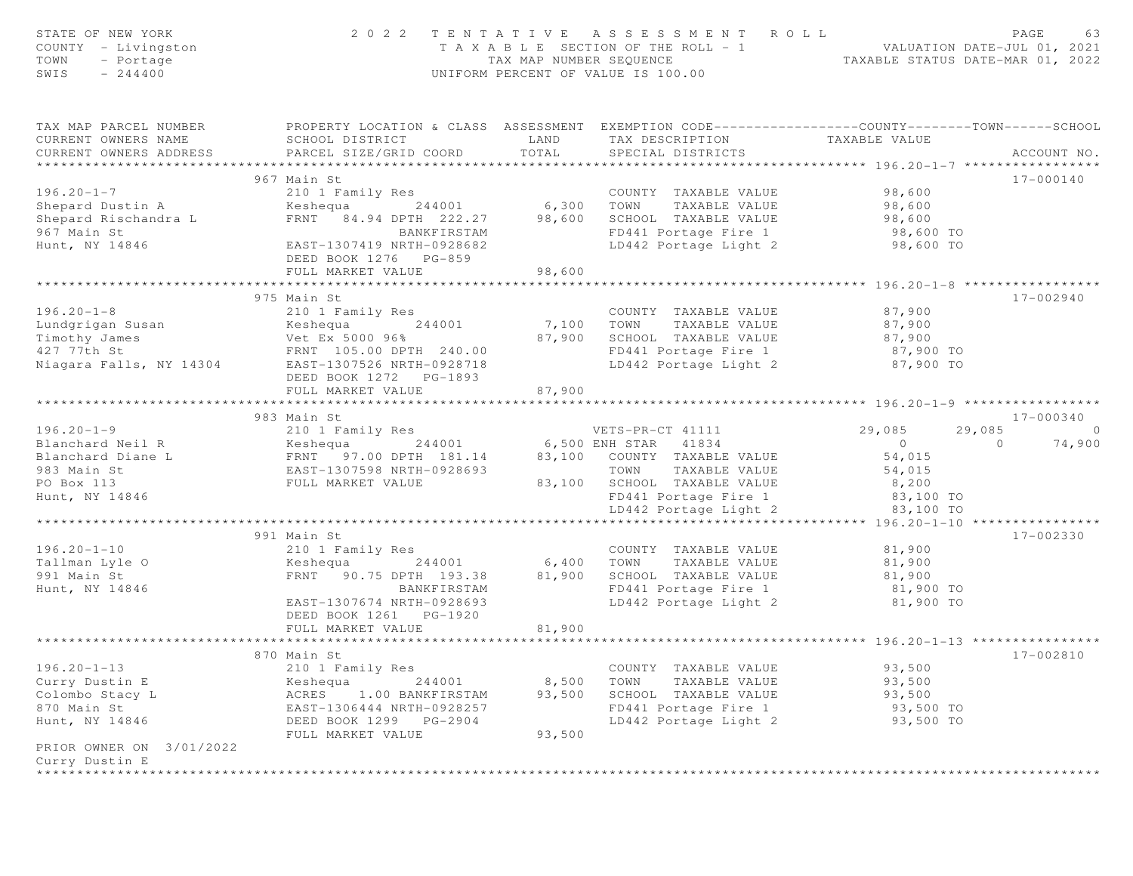| STATE OF NEW YORK<br>COUNTY - Livingston<br>- Portage<br>TOWN<br>SWIS<br>$-244400$                                                                                                                                                                            |                                                                                                                     |                      | 2022 TENTATIVE ASSESSMENT ROLL<br>T A X A B L E SECTION OF THE ROLL - 1 VALUATION DATE-JUL 01, 2021<br>TAX MAP NUMBER SEQUENCE TAXABLE STATUS DATE-MAR 01, 2022<br>UNIFORM PERCENT OF VALUE IS 100.00 |                      | PAGE<br>63               |
|---------------------------------------------------------------------------------------------------------------------------------------------------------------------------------------------------------------------------------------------------------------|---------------------------------------------------------------------------------------------------------------------|----------------------|-------------------------------------------------------------------------------------------------------------------------------------------------------------------------------------------------------|----------------------|--------------------------|
| TAX MAP PARCEL NUMBER<br>CURRENT OWNERS NAME<br>CURRENT OWNERS ADDRESS PARCEL SIZE/GRID COORD                                                                                                                                                                 | PROPERTY LOCATION & CLASS ASSESSMENT EXEMPTION CODE----------------COUNTY-------TOWN------SCHOOL<br>SCHOOL DISTRICT | <b>LAND</b><br>TOTAL | TAX DESCRIPTION<br>SPECIAL DISTRICTS                                                                                                                                                                  | TAXABLE VALUE        | ACCOUNT NO.              |
|                                                                                                                                                                                                                                                               |                                                                                                                     |                      |                                                                                                                                                                                                       |                      |                          |
|                                                                                                                                                                                                                                                               | 967 Main St                                                                                                         |                      |                                                                                                                                                                                                       |                      | 17-000140                |
| $196.20 - 1 - 7$                                                                                                                                                                                                                                              |                                                                                                                     |                      | COUNTY TAXABLE VALUE                                                                                                                                                                                  | 98,600<br>98,600     |                          |
| Shepard Dustin A                                                                                                                                                                                                                                              |                                                                                                                     |                      | TAXABLE VALUE                                                                                                                                                                                         |                      |                          |
| Shepard Rischandra L                                                                                                                                                                                                                                          | FRNT 84.94 DPTH 222.27 98,600 SCHOOL TAXABLE VALUE 98,600 98,600 BANKFIRSTAM FD441 Portage Fire 1 98,600 TO         |                      |                                                                                                                                                                                                       |                      |                          |
| 967 Main St<br>Hunt, NY 14846                                                                                                                                                                                                                                 |                                                                                                                     |                      | LD442 Portage Light 2 98,600 TO                                                                                                                                                                       |                      |                          |
|                                                                                                                                                                                                                                                               | EAST-1307419 NRTH-0928682                                                                                           |                      |                                                                                                                                                                                                       |                      |                          |
|                                                                                                                                                                                                                                                               | DEED BOOK 1276 PG-859                                                                                               |                      |                                                                                                                                                                                                       |                      |                          |
|                                                                                                                                                                                                                                                               | FULL MARKET VALUE                                                                                                   | 98,600               |                                                                                                                                                                                                       |                      |                          |
|                                                                                                                                                                                                                                                               | 975 Main St                                                                                                         |                      |                                                                                                                                                                                                       |                      | 17-002940                |
| $196.20 - 1 - 8$                                                                                                                                                                                                                                              | 210 1 Family Res                                                                                                    |                      | COUNTY TAXABLE VALUE                                                                                                                                                                                  | 87,900               |                          |
|                                                                                                                                                                                                                                                               |                                                                                                                     |                      | TOWN                                                                                                                                                                                                  | TAXABLE VALUE 87,900 |                          |
|                                                                                                                                                                                                                                                               |                                                                                                                     |                      |                                                                                                                                                                                                       |                      |                          |
|                                                                                                                                                                                                                                                               |                                                                                                                     |                      | 87,900 SCHOOL TAXABLE VALUE 87,900<br>FD441 Portage Fire 1 87,900 TO                                                                                                                                  |                      |                          |
| Niagara Falls, NY 14304                                                                                                                                                                                                                                       | EAST-1307526 NRTH-0928718                                                                                           |                      | LD442 Portage Light 2                                                                                                                                                                                 | 87,900 TO            |                          |
|                                                                                                                                                                                                                                                               | DEED BOOK 1272 PG-1893                                                                                              |                      |                                                                                                                                                                                                       |                      |                          |
|                                                                                                                                                                                                                                                               | FULL MARKET VALUE                                                                                                   | 87,900               |                                                                                                                                                                                                       |                      |                          |
|                                                                                                                                                                                                                                                               |                                                                                                                     |                      |                                                                                                                                                                                                       |                      |                          |
|                                                                                                                                                                                                                                                               | 983 Main St                                                                                                         |                      |                                                                                                                                                                                                       |                      | 17-000340                |
|                                                                                                                                                                                                                                                               |                                                                                                                     |                      |                                                                                                                                                                                                       |                      | 29,085<br>$\sim$ 0       |
|                                                                                                                                                                                                                                                               |                                                                                                                     |                      |                                                                                                                                                                                                       |                      | $\overline{0}$<br>74,900 |
|                                                                                                                                                                                                                                                               |                                                                                                                     |                      |                                                                                                                                                                                                       |                      |                          |
|                                                                                                                                                                                                                                                               |                                                                                                                     |                      |                                                                                                                                                                                                       |                      |                          |
|                                                                                                                                                                                                                                                               |                                                                                                                     |                      |                                                                                                                                                                                                       |                      |                          |
| 983 Main St<br>29,085 Main St<br>29,085 29<br>Blanchard Neil R<br>ERST-1307598 NRTH-0928693 83,100 COUNTY TAXABLE VALUE<br>29,085 29<br>29,085 29<br>29,085 29<br>29,085 29<br>29,085 29<br>29,085 29<br>29,085 29<br>29,085 29<br>29,085 29<br>29,085 29<br> |                                                                                                                     |                      |                                                                                                                                                                                                       |                      |                          |
|                                                                                                                                                                                                                                                               |                                                                                                                     |                      | LD442 Portage Light 2                                                                                                                                                                                 | 83,100 TO            |                          |
|                                                                                                                                                                                                                                                               |                                                                                                                     |                      |                                                                                                                                                                                                       |                      |                          |
|                                                                                                                                                                                                                                                               | 991 Main St                                                                                                         |                      |                                                                                                                                                                                                       |                      | 17-002330                |
| $196.20 - 1 - 10$                                                                                                                                                                                                                                             | 210 1 Family Res                                                                                                    |                      | COUNTY TAXABLE VALUE                                                                                                                                                                                  | 81,900               |                          |
| Tallman Lyle O                                                                                                                                                                                                                                                |                                                                                                                     |                      | TAXABLE VALUE<br>TOWN                                                                                                                                                                                 | 81,900<br>81,900     |                          |
| 991 Main St                                                                                                                                                                                                                                                   | Expedia 18.4001 6,400<br>FRNT 90.75 DPTH 193.38 81,900                                                              |                      | SCHOOL TAXABLE VALUE                                                                                                                                                                                  |                      |                          |
| Hunt, NY 14846                                                                                                                                                                                                                                                | BANKFIRSTAM                                                                                                         |                      | FD441 Portage Fire 1                                                                                                                                                                                  | 81,900 TO            |                          |
|                                                                                                                                                                                                                                                               | EAST-1307674 NRTH-0928693                                                                                           |                      | LD442 Portage Light 2                                                                                                                                                                                 | 81,900 TO            |                          |
|                                                                                                                                                                                                                                                               | DEED BOOK 1261    PG-1920                                                                                           |                      |                                                                                                                                                                                                       |                      |                          |
|                                                                                                                                                                                                                                                               | FULL MARKET VALUE                                                                                                   | 81,900               |                                                                                                                                                                                                       |                      |                          |
|                                                                                                                                                                                                                                                               |                                                                                                                     |                      |                                                                                                                                                                                                       |                      |                          |
|                                                                                                                                                                                                                                                               | 870 Main St                                                                                                         |                      |                                                                                                                                                                                                       |                      | 17-002810                |
| $196.20 - 1 - 13$                                                                                                                                                                                                                                             | 210 1 Family Res                                                                                                    |                      | COUNTY TAXABLE VALUE                                                                                                                                                                                  | 93,500               |                          |
| Curry Dustin E                                                                                                                                                                                                                                                | Keshequa<br>244001                                                                                                  | 8,500                | TAXABLE VALUE<br>TOWN                                                                                                                                                                                 | 93,500               |                          |
| Colombo Stacy L                                                                                                                                                                                                                                               | ACRES<br>1.00 BANKFIRSTAM                                                                                           | 93,500               | SCHOOL TAXABLE VALUE                                                                                                                                                                                  | 93,500               |                          |
| 870 Main St                                                                                                                                                                                                                                                   | EAST-1306444 NRTH-0928257                                                                                           |                      | FD441 Portage Fire 1                                                                                                                                                                                  | 93,500 TO            |                          |
| Hunt, NY 14846                                                                                                                                                                                                                                                | DEED BOOK 1299 PG-2904                                                                                              |                      | LD442 Portage Light 2                                                                                                                                                                                 | 93,500 TO            |                          |
|                                                                                                                                                                                                                                                               | FULL MARKET VALUE                                                                                                   | 93,500               |                                                                                                                                                                                                       |                      |                          |
| PRIOR OWNER ON 3/01/2022                                                                                                                                                                                                                                      |                                                                                                                     |                      |                                                                                                                                                                                                       |                      |                          |
| Curry Dustin E                                                                                                                                                                                                                                                |                                                                                                                     |                      |                                                                                                                                                                                                       |                      |                          |
|                                                                                                                                                                                                                                                               |                                                                                                                     |                      |                                                                                                                                                                                                       |                      |                          |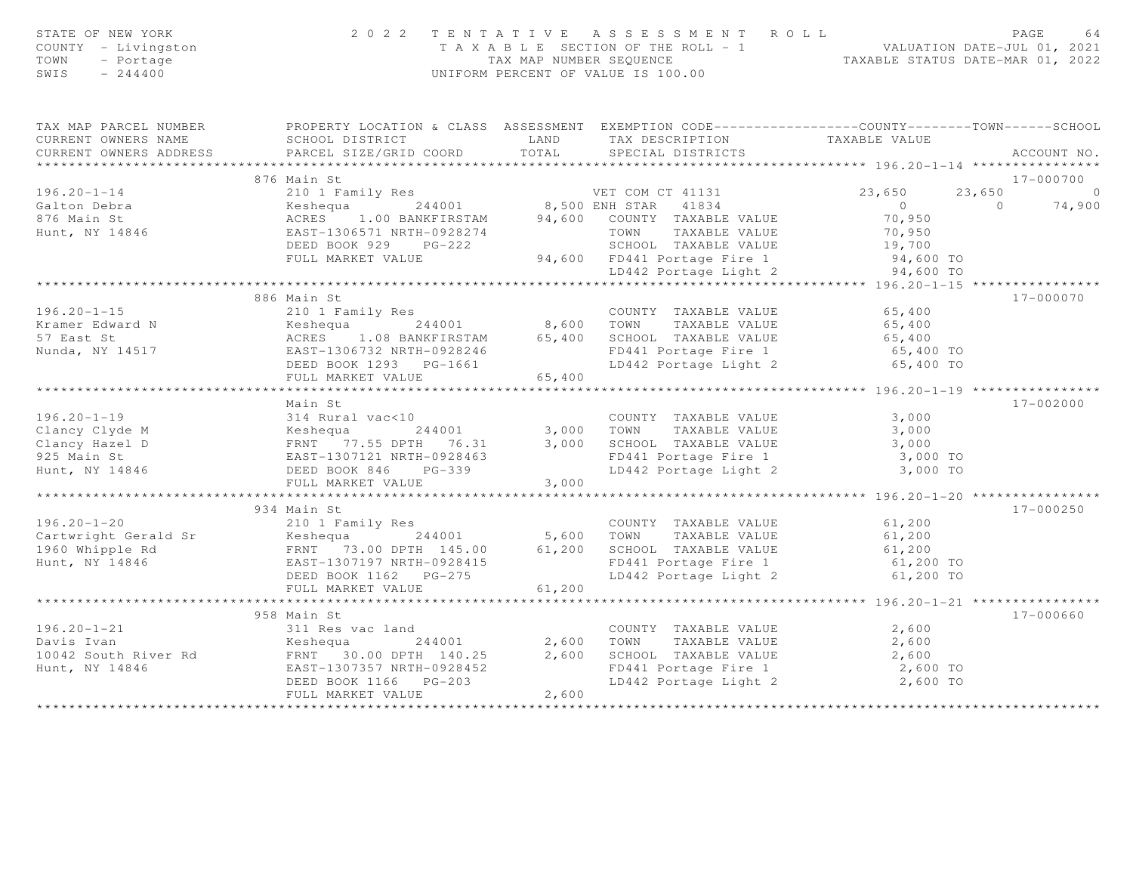| STATE OF NEW YORK<br>COUNTY - Livingston<br>TOWN<br>- Portage<br>SWIS<br>$-244400$ |                                                                                                          |                     | 2022 TENTATIVE ASSESSMENT ROLL<br>UNIFORM PERCENT OF VALUE IS 100.00                               | PAGE<br>64<br>TAXABLE SECTION OF THE ROLL - 1<br>TAXABLE STATUS DATE-JUL 01, 2021<br>TAXABLE STATUS DATE-MAR 01, 2022 |                          |  |
|------------------------------------------------------------------------------------|----------------------------------------------------------------------------------------------------------|---------------------|----------------------------------------------------------------------------------------------------|-----------------------------------------------------------------------------------------------------------------------|--------------------------|--|
| TAX MAP PARCEL NUMBER                                                              | PROPERTY LOCATION & CLASS ASSESSMENT EXEMPTION CODE-----------------COUNTY-------TOWN------SCHOOL        |                     |                                                                                                    |                                                                                                                       |                          |  |
| CURRENT OWNERS NAME<br>CURRENT OWNERS ADDRESS                                      | <b>LAND</b><br>SCHOOL DISTRICT<br>PARCEL SIZE/GRID COORD                                                 | TOTAL               | TAX DESCRIPTION<br>SPECIAL DISTRICTS                                                               | TAXABLE VALUE                                                                                                         | ACCOUNT NO.              |  |
|                                                                                    |                                                                                                          |                     |                                                                                                    |                                                                                                                       |                          |  |
|                                                                                    | 876 Main St                                                                                              |                     |                                                                                                    |                                                                                                                       | 17-000700                |  |
| $196.20 - 1 - 14$                                                                  | 210 1 Family Res<br>Keshequa 244001 8,500 ENH STAR 41834                                                 |                     | VET COM CT 41131                                                                                   | 23,650<br>23,650                                                                                                      | $\Omega$                 |  |
| Galton Debra                                                                       |                                                                                                          |                     |                                                                                                    | $\overline{0}$                                                                                                        | $\overline{0}$<br>74,900 |  |
| 876 Main St                                                                        | ACRES 1.00 BANKFIRSTAM 94,600 COUNTY TAXABLE VALUE                                                       |                     |                                                                                                    | 70,950                                                                                                                |                          |  |
| Hunt, NY 14846                                                                     | EAST-1306571 NRTH-0928274                                                                                |                     |                                                                                                    | 70,950                                                                                                                |                          |  |
|                                                                                    | DEED BOOK 929<br>$PG-222$                                                                                |                     | TOWN TAXABLE VALUE<br>SCHOOL TAXABLE VALUE<br>94,600 FD441 Portage Fire 1<br>LD442 Portage Light 2 | 19,700<br>94,600 TO                                                                                                   |                          |  |
|                                                                                    | FULL MARKET VALUE                                                                                        |                     |                                                                                                    |                                                                                                                       |                          |  |
|                                                                                    |                                                                                                          |                     | LD442 Portage Light 2                                                                              | 94,600 TO                                                                                                             |                          |  |
|                                                                                    |                                                                                                          |                     |                                                                                                    |                                                                                                                       |                          |  |
|                                                                                    | 886 Main St                                                                                              |                     |                                                                                                    |                                                                                                                       | 17-000070                |  |
| $196.20 - 1 - 15$                                                                  | 210 1 Family Res                                                                                         |                     | COUNTY TAXABLE VALUE                                                                               | 65,400                                                                                                                |                          |  |
| Kramer Edward N<br>57 East St                                                      | Keshequa 244001<br>ACRES 1.08 BANKFIRSTAM<br>EAST-1306732 NRTH-0928246                                   | $8,600$ TOWN        | TAXABLE VALUE                                                                                      | 65,400                                                                                                                |                          |  |
|                                                                                    |                                                                                                          |                     | 1.08 BANKFIRSTAM 65,400 SCHOOL TAXABLE VALUE                                                       | 65,400<br>65,400 TO                                                                                                   |                          |  |
| Nunda, NY 14517                                                                    | DEED BOOK 1293 PG-1661                                                                                   |                     | FD441 Portage Fire 1<br>LD442 Portage Light 2 65,400 TO                                            |                                                                                                                       |                          |  |
|                                                                                    |                                                                                                          |                     |                                                                                                    |                                                                                                                       |                          |  |
|                                                                                    | FULL MARKET VALUE                                                                                        | 65,400              |                                                                                                    |                                                                                                                       |                          |  |
|                                                                                    | Main St                                                                                                  |                     |                                                                                                    |                                                                                                                       | 17-002000                |  |
| $196.20 - 1 - 19$                                                                  | 314 Rural vac<10                                                                                         |                     | COUNTY TAXABLE VALUE                                                                               | 3,000                                                                                                                 |                          |  |
| Clancy Clyde M                                                                     |                                                                                                          |                     | TAXABLE VALUE                                                                                      | 3,000                                                                                                                 |                          |  |
| Clancy Hazel D                                                                     | M<br>ERNT 77.55 DPTH 76.31<br>ERNT 77.55 DPTH 76.31<br>ERST-1307121 NRTH-0928463<br>DEED BOOK 846 PG-339 | $244001$ 3,000 TOWN | 3,000 SCHOOL TAXABLE VALUE                                                                         | 3,000                                                                                                                 |                          |  |
| 925 Main St                                                                        |                                                                                                          |                     | FD441 Portage Fire 1                                                                               | 3,000 TO                                                                                                              |                          |  |
| Hunt, NY 14846                                                                     | DEED BOOK 846 PG-339                                                                                     |                     | LD442 Portage Light 2                                                                              | 3,000 TO                                                                                                              |                          |  |
|                                                                                    | FULL MARKET VALUE                                                                                        | 3,000               |                                                                                                    |                                                                                                                       |                          |  |
|                                                                                    |                                                                                                          |                     |                                                                                                    |                                                                                                                       |                          |  |
|                                                                                    | 934 Main St                                                                                              |                     |                                                                                                    |                                                                                                                       | $17 - 000250$            |  |
| $196.20 - 1 - 20$                                                                  | 210 1 Family Res                                                                                         |                     | COUNTY TAXABLE VALUE 61,200                                                                        |                                                                                                                       |                          |  |
|                                                                                    |                                                                                                          |                     |                                                                                                    | 61,200                                                                                                                |                          |  |
| Cartwright Gerald Sr<br>1960 Whipple Rd                                            |                                                                                                          |                     |                                                                                                    | 61,200                                                                                                                |                          |  |
| Hunt, NY 14846                                                                     |                                                                                                          |                     |                                                                                                    | 61,200 TO                                                                                                             |                          |  |
|                                                                                    |                                                                                                          |                     | LD442 Portage Light 2                                                                              | 61,200 TO                                                                                                             |                          |  |
|                                                                                    | FULL MARKET VALUE                                                                                        | 61,200              |                                                                                                    |                                                                                                                       |                          |  |
|                                                                                    |                                                                                                          |                     |                                                                                                    | ************** 196.20-1-21 *****************                                                                          |                          |  |
|                                                                                    | 958 Main St                                                                                              |                     |                                                                                                    |                                                                                                                       | $17 - 000660$            |  |
| $196.20 - 1 - 21$                                                                  | 311 Res vac land                                                                                         |                     | COUNTY TAXABLE VALUE                                                                               | 2,600                                                                                                                 |                          |  |
| Davis Ivan                                                                         | Exercise 1244001<br>FRNT 30.00 DPTH 140.25<br>FAST-1307357 NPTH-0928452<br>244001                        | 2,600               | TAXABLE VALUE<br>TOWN                                                                              | 2,600                                                                                                                 |                          |  |
| 10042 South River Rd                                                               |                                                                                                          | 2,600               | SCHOOL TAXABLE VALUE                                                                               | 2,600                                                                                                                 |                          |  |
| Hunt, NY 14846                                                                     | EAST-1307357 NRTH-0928452                                                                                |                     | FD441 Portage Fire 1                                                                               | 2,600 TO                                                                                                              |                          |  |
|                                                                                    | DEED BOOK 1166    PG-203                                                                                 |                     | LD442 Portage Light 2                                                                              | 2,600 TO                                                                                                              |                          |  |
|                                                                                    | FULL MARKET VALUE                                                                                        | 2,600               |                                                                                                    |                                                                                                                       |                          |  |
|                                                                                    |                                                                                                          | ****************    |                                                                                                    |                                                                                                                       |                          |  |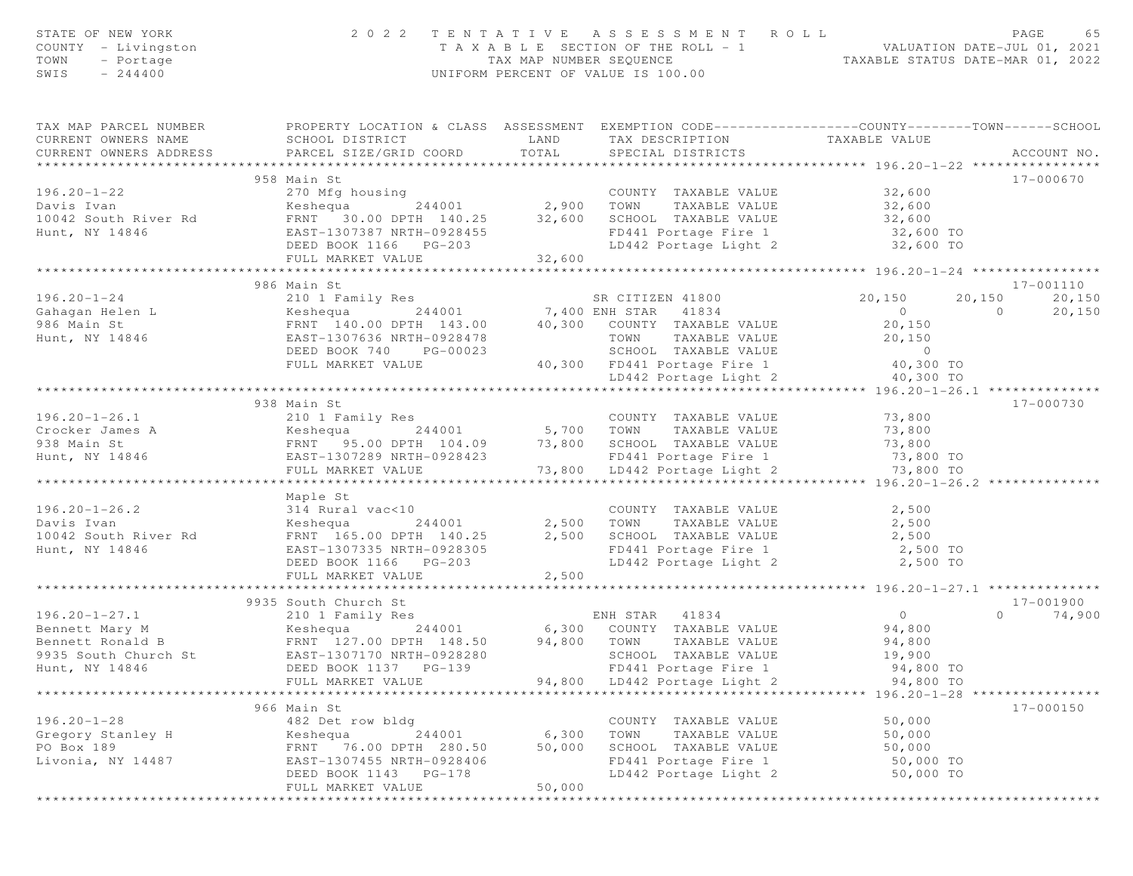| STATE OF NEW YORK<br>COUNTY - Livingston<br>- Portage<br>TOWN<br>$-244400$<br>SWIS                                                                                                               |                                                                                                                     |             | 2022 TENTATIVE ASSESSMENT ROLL<br>T A X A B L E SECTION OF THE ROLL - 1 VALUATION DATE-JUL 01, 2021<br>TAX MAP NUMBER SEQUENCE TAXABLE STATUS DATE-MAR 01, 2022<br>UNIFORM PERCENT OF VALUE IS 100.00 |                                                          | PAGE<br>65         |
|--------------------------------------------------------------------------------------------------------------------------------------------------------------------------------------------------|---------------------------------------------------------------------------------------------------------------------|-------------|-------------------------------------------------------------------------------------------------------------------------------------------------------------------------------------------------------|----------------------------------------------------------|--------------------|
| TAX MAP PARCEL NUMBER<br>CURRENT OWNERS NAME                                                                                                                                                     | PROPERTY LOCATION & CLASS ASSESSMENT EXEMPTION CODE----------------COUNTY-------TOWN------SCHOOL<br>SCHOOL DISTRICT | LAND        | TAX DESCRIPTION                                                                                                                                                                                       | TAXABLE VALUE                                            |                    |
| CURRENT OWNERS ADDRESS                                                                                                                                                                           | PARCEL SIZE/GRID COORD                                                                                              | TOTAL       | SPECIAL DISTRICTS                                                                                                                                                                                     |                                                          | ACCOUNT NO.        |
|                                                                                                                                                                                                  |                                                                                                                     |             |                                                                                                                                                                                                       |                                                          |                    |
|                                                                                                                                                                                                  | 958 Main St                                                                                                         |             |                                                                                                                                                                                                       |                                                          | 17-000670          |
| $196.20 - 1 - 22$                                                                                                                                                                                | 270 Mfg housing<br>counting<br>244001 2,900 TOWN                                                                    |             | COUNTY TAXABLE VALUE                                                                                                                                                                                  | 32,600                                                   |                    |
| Davis Ivan                                                                                                                                                                                       | Keshequa                                                                                                            |             | TAXABLE VALUE                                                                                                                                                                                         | 32,600                                                   |                    |
| 10042 South River Rd                                                                                                                                                                             | FRNT 30.00 DPTH 140.25 32,600<br>EAST-1307387 NRTH-0928455                                                          |             | SCHOOL TAXABLE VALUE<br>SCHOOL TAXABLE VALUE 32,600<br>FD441 Portage Fire 1 32,600 TO                                                                                                                 |                                                          |                    |
| Hunt, NY 14846                                                                                                                                                                                   | DEED BOOK 1166 PG-203                                                                                               |             | LD442 Portage Light 2 32,600 TO                                                                                                                                                                       |                                                          |                    |
|                                                                                                                                                                                                  | FULL MARKET VALUE                                                                                                   | 32,600      |                                                                                                                                                                                                       |                                                          |                    |
|                                                                                                                                                                                                  | ***********************                                                                                             | *********** |                                                                                                                                                                                                       | ************** 196.20-1-24 *****************             |                    |
|                                                                                                                                                                                                  | 986 Main St                                                                                                         |             |                                                                                                                                                                                                       |                                                          | 17-001110          |
| $196.20 - 1 - 24$                                                                                                                                                                                | 210 1 Family Res<br>244001 7,400 ENH STAR 41834<br>FRNT 140.00 DPTH 143.00 40,300 COUNTY TAXABLE VALUE              |             |                                                                                                                                                                                                       | 20,150                                                   | 20,150<br>20,150   |
| Cahagan Helen L<br>006 Main St                                                                                                                                                                   |                                                                                                                     |             |                                                                                                                                                                                                       | $\overline{0}$                                           | $\Omega$<br>20,150 |
|                                                                                                                                                                                                  |                                                                                                                     |             |                                                                                                                                                                                                       | 20,150                                                   |                    |
| Hunt, NY 14846                                                                                                                                                                                   | EAST-1307636 NRTH-0928478                                                                                           |             | TAXABLE VALUE<br>TOWN                                                                                                                                                                                 | 20,150                                                   |                    |
|                                                                                                                                                                                                  | DEED BOOK 740 PG-00023                                                                                              |             | SCHOOL TAXABLE VALUE                                                                                                                                                                                  | $\sim$ 0                                                 |                    |
|                                                                                                                                                                                                  | FULL MARKET VALUE                                                                                                   |             | 40,300 FD441 Portage Fire 1                                                                                                                                                                           | 40,300 TO                                                |                    |
|                                                                                                                                                                                                  |                                                                                                                     |             | LD442 Portage Light 2                                                                                                                                                                                 | 40,300 TO                                                |                    |
|                                                                                                                                                                                                  | 938 Main St                                                                                                         |             |                                                                                                                                                                                                       |                                                          | 17-000730          |
| 196.20-1-26.1<br>Crocker James A (210 1 Family Res 244001 5,700 TOWN TAXABLE VALUE<br>938 Main St FRNT 95.00 DPTH 104.09 73,800 SCHOOL TAXABLE VALUE<br>Hunt, NY 14846 EAST-1307289 NRTH-0928423 |                                                                                                                     |             |                                                                                                                                                                                                       | 73,800                                                   |                    |
|                                                                                                                                                                                                  |                                                                                                                     |             |                                                                                                                                                                                                       | 73,800                                                   |                    |
|                                                                                                                                                                                                  |                                                                                                                     |             |                                                                                                                                                                                                       |                                                          |                    |
|                                                                                                                                                                                                  |                                                                                                                     |             | FD441 Portage Fire 1                                                                                                                                                                                  | 73,800<br>73,800 TO                                      |                    |
|                                                                                                                                                                                                  | FULL MARKET VALUE                                                                                                   |             | 73,800 LD442 Portage Light 2                                                                                                                                                                          | 73,800 TO                                                |                    |
|                                                                                                                                                                                                  |                                                                                                                     |             |                                                                                                                                                                                                       |                                                          |                    |
|                                                                                                                                                                                                  | Maple St                                                                                                            |             |                                                                                                                                                                                                       |                                                          |                    |
| $196.20 - 1 - 26.2$                                                                                                                                                                              | 314 Rural vac<10                                                                                                    |             | COUNTY TAXABLE VALUE                                                                                                                                                                                  | 2,500                                                    |                    |
| Davis Ivan                                                                                                                                                                                       | 244001<br>Keshequa                                                                                                  | 2,500       | TAXABLE VALUE<br>TOWN                                                                                                                                                                                 | 2,500                                                    |                    |
| 10042 South River Rd<br>Hunt, NY 14846                                                                                                                                                           | FRNT 165.00 DPTH 140.25<br>EAST-1307335 NRTH-0928305                                                                | 2,500       | SCHOOL TAXABLE VALUE<br>CONCOR THAABLE VALUE<br>FD441 Portage Fire 1                                                                                                                                  | 2,500<br>2,500 TO                                        |                    |
|                                                                                                                                                                                                  | DEED BOOK 1166 PG-203                                                                                               |             | LD442 Portage Light 2                                                                                                                                                                                 | 2,500 TO                                                 |                    |
|                                                                                                                                                                                                  | FULL MARKET VALUE                                                                                                   | 2,500       |                                                                                                                                                                                                       |                                                          |                    |
|                                                                                                                                                                                                  |                                                                                                                     |             |                                                                                                                                                                                                       | ******************* 196.20-1-27.1 ********               |                    |
|                                                                                                                                                                                                  | 9935 South Church St                                                                                                |             |                                                                                                                                                                                                       |                                                          | 17-001900          |
| $196.20 - 1 - 27.1$                                                                                                                                                                              | 210 1 Family Res                                                                                                    |             | 41834<br>ENH STAR                                                                                                                                                                                     | $\overline{0}$                                           | $\circ$<br>74,900  |
| Bennett Mary M                                                                                                                                                                                   | Keshequa                                                                                                            |             | 244001 6,300 COUNTY TAXABLE VALUE                                                                                                                                                                     | 94,800                                                   |                    |
| Bennett Ronald B                                                                                                                                                                                 | FRNT 127.00 DPTH 148.50                                                                                             | 94,800      | TOWN<br>TAXABLE VALUE                                                                                                                                                                                 | 94,800                                                   |                    |
| 9935 South Church St                                                                                                                                                                             | EAST-1307170 NRTH-0928280                                                                                           |             | SCHOOL TAXABLE VALUE                                                                                                                                                                                  | 19,900                                                   |                    |
| Hunt, NY 14846                                                                                                                                                                                   | DEED BOOK 1137 PG-139                                                                                               |             | FD441 Portage Fire 1                                                                                                                                                                                  | 94,800 TO                                                |                    |
| **************************                                                                                                                                                                       | FULL MARKET VALUE                                                                                                   | 94,800      | LD442 Portage Light 2                                                                                                                                                                                 | 94,800 TO<br>************* 196.20-1-28 ***************** |                    |
|                                                                                                                                                                                                  | 966 Main St                                                                                                         |             |                                                                                                                                                                                                       |                                                          | 17-000150          |
| $196.20 - 1 - 28$                                                                                                                                                                                | 482 Det row bldg                                                                                                    |             | COUNTY TAXABLE VALUE                                                                                                                                                                                  | 50,000                                                   |                    |
| Gregory Stanley H                                                                                                                                                                                | 244001<br>Keshequa                                                                                                  | 6,300       | TOWN<br>TAXABLE VALUE                                                                                                                                                                                 | 50,000                                                   |                    |
| PO Box 189                                                                                                                                                                                       | FRNT 76.00 DPTH 280.50                                                                                              | 50,000      | SCHOOL TAXABLE VALUE                                                                                                                                                                                  | 50,000                                                   |                    |
| Livonia, NY 14487                                                                                                                                                                                | EAST-1307455 NRTH-0928406                                                                                           |             | FD441 Portage Fire 1                                                                                                                                                                                  | 50,000 TO                                                |                    |
|                                                                                                                                                                                                  | DEED BOOK 1143 PG-178                                                                                               |             | LD442 Portage Light 2                                                                                                                                                                                 | 50,000 TO                                                |                    |
|                                                                                                                                                                                                  | FULL MARKET VALUE                                                                                                   | 50,000      |                                                                                                                                                                                                       |                                                          |                    |
|                                                                                                                                                                                                  | * * * * * * * * * * * * * * * * * * *                                                                               |             |                                                                                                                                                                                                       |                                                          |                    |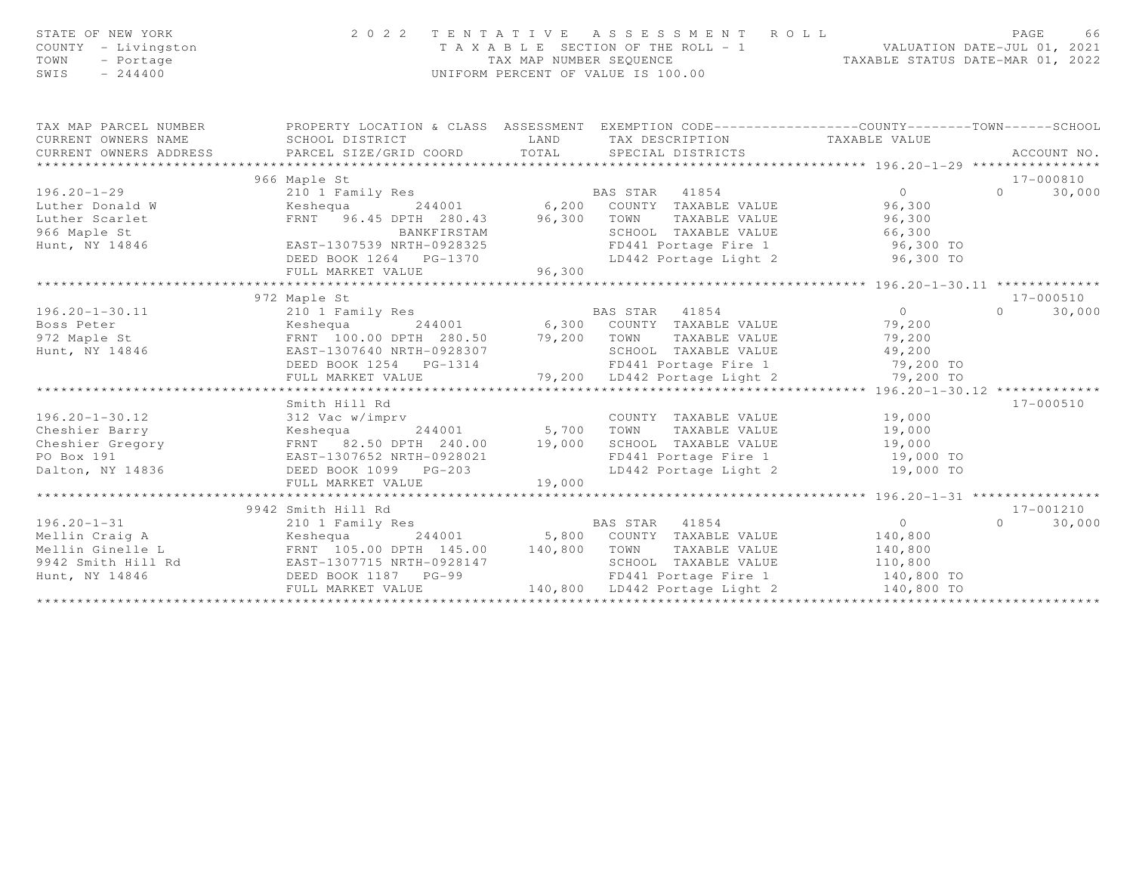| STATE OF NEW YORK<br>COUNTY - Livingston<br>TOWN<br>- Portage<br>$-244400$<br>SWIS | 2 0 2 2                                                                                                                                       | TAX MAP NUMBER SEQUENCE | TENTATIVE ASSESSMENT ROLL<br>T A X A B L E SECTION OF THE ROLL - 1 VALUATION DATE-JUL 01, 2021<br>UNIFORM PERCENT OF VALUE IS 100.00 | TAXABLE STATUS DATE-MAR 01, 2022 | PAGE<br>66         |
|------------------------------------------------------------------------------------|-----------------------------------------------------------------------------------------------------------------------------------------------|-------------------------|--------------------------------------------------------------------------------------------------------------------------------------|----------------------------------|--------------------|
| TAX MAP PARCEL NUMBER<br>CURRENT OWNERS NAME<br>CURRENT OWNERS ADDRESS             | PROPERTY LOCATION & CLASS ASSESSMENT EXEMPTION CODE----------------COUNTY-------TOWN------SCHOOL<br>SCHOOL DISTRICT<br>PARCEL SIZE/GRID COORD | LAND<br>TOTAL           | TAX DESCRIPTION TAXABLE VALUE<br>SPECIAL DISTRICTS                                                                                   |                                  | ACCOUNT NO.        |
|                                                                                    | 966 Maple St                                                                                                                                  |                         |                                                                                                                                      |                                  | 17-000810          |
| $196.20 - 1 - 29$                                                                  | 210 1 Family Res                                                                                                                              |                         |                                                                                                                                      | $\overline{0}$                   | 30,000<br>$\Omega$ |
| Luther Donald W                                                                    | Keshequa                                                                                                                                      |                         | iily Res<br>244001 6,200 COUNTY TAXABLE VALUE                                                                                        | 96,300                           |                    |
| Luther Scarlet                                                                     | FRNT 96.45 DPTH 280.43 96,300                                                                                                                 |                         | TOWN                                                                                                                                 | TAXABLE VALUE 96,300             |                    |
| 966 Maple St                                                                       | BANKFIRSTAM                                                                                                                                   |                         | SCHOOL TAXABLE VALUE                                                                                                                 |                                  |                    |
| Hunt, NY 14846                                                                     | EAST-1307539 NRTH-0928325                                                                                                                     |                         | FD441 Portage Fire 1                                                                                                                 | 66,300<br>96,300 TO              |                    |
|                                                                                    | DEED BOOK 1264    PG-1370                                                                                                                     |                         | LD442 Portage Light 2                                                                                                                | 96,300 TO                        |                    |
|                                                                                    | FULL MARKET VALUE                                                                                                                             | 96,300                  |                                                                                                                                      |                                  |                    |
|                                                                                    |                                                                                                                                               |                         |                                                                                                                                      |                                  |                    |
|                                                                                    | 972 Maple St                                                                                                                                  |                         |                                                                                                                                      |                                  | 17-000510          |
| $196.20 - 1 - 30.11$                                                               | 210 1 Family Res                                                                                                                              |                         | BAS STAR 41854                                                                                                                       | $\overline{0}$                   | 30,000<br>$\Omega$ |
| Boss Peter                                                                         |                                                                                                                                               |                         |                                                                                                                                      | 79,200                           |                    |
| 972 Maple St                                                                       |                                                                                                                                               |                         |                                                                                                                                      | 79,200                           |                    |
| Hunt, NY 14846                                                                     | EAST-1307640 NRTH-0928307                                                                                                                     |                         | SCHOOL TAXABLE VALUE                                                                                                                 | 49,200                           |                    |
|                                                                                    | DEED BOOK 1254 PG-1314                                                                                                                        |                         | FD441 Portage Fire 1 79,200 TO                                                                                                       |                                  |                    |
|                                                                                    | FULL MARKET VALUE                                                                                                                             |                         | 79,200 LD442 Portage Light 2                                                                                                         | 79,200 TO                        |                    |
|                                                                                    |                                                                                                                                               |                         |                                                                                                                                      |                                  |                    |
|                                                                                    | Smith Hill Rd                                                                                                                                 |                         |                                                                                                                                      |                                  | 17-000510          |
| $196.20 - 1 - 30.12$                                                               | 312 Vac w/imprv                                                                                                                               |                         | COUNTY TAXABLE VALUE                                                                                                                 | 19,000                           |                    |
| Cheshier Barry                                                                     | Keshequa 244001                                                                                                                               | 5,700                   | TOWN<br>TAXABLE VALUE                                                                                                                | 19,000                           |                    |
| Cheshier Gregory                                                                   | FRNT 82.50 DPTH 240.00                                                                                                                        | 19,000                  | SCHOOL TAXABLE VALUE 19,000                                                                                                          |                                  |                    |
| PO Box 191                                                                         | EAST-1307652 NRTH-0928021                                                                                                                     |                         | FD441 Portage Fire 1                                                                                                                 | 19,000 TO                        |                    |
| Dalton, NY 14836                                                                   | DEED BOOK 1099 PG-203                                                                                                                         |                         | LD442 Portage Light 2                                                                                                                | 19,000 TO                        |                    |
|                                                                                    | FULL MARKET VALUE                                                                                                                             | 19,000                  |                                                                                                                                      |                                  |                    |
|                                                                                    |                                                                                                                                               |                         |                                                                                                                                      |                                  |                    |
|                                                                                    | 9942 Smith Hill Rd                                                                                                                            |                         |                                                                                                                                      |                                  | 17-001210          |
| $196.20 - 1 - 31$                                                                  | 210 1 Family Res                                                                                                                              |                         | BAS STAR 41854                                                                                                                       | $\overline{O}$                   | $\Omega$<br>30,000 |
| Mellin Craig A                                                                     | Keshequa                                                                                                                                      | 244001 5,800            | COUNTY TAXABLE VALUE                                                                                                                 | 140,800                          |                    |
| Mellin Ginelle L<br>9942 Smith Hill Rd                                             | FRNT 105.00 DPTH 145.00                                                                                                                       | 140,800                 | TOWN<br>TAXABLE VALUE                                                                                                                | 140,800                          |                    |
|                                                                                    | EAST-1307715 NRTH-0928147                                                                                                                     |                         | SCHOOL TAXABLE VALUE                                                                                                                 | 110,800                          |                    |
| Hunt, NY 14846                                                                     | DEED BOOK 1187 PG-99                                                                                                                          |                         | FD441 Portage Fire 1                                                                                                                 | 140,800 TO                       |                    |
|                                                                                    | FULL MARKET VALUE                                                                                                                             |                         | 140,800 LD442 Portage Light 2                                                                                                        | 140,800 TO                       |                    |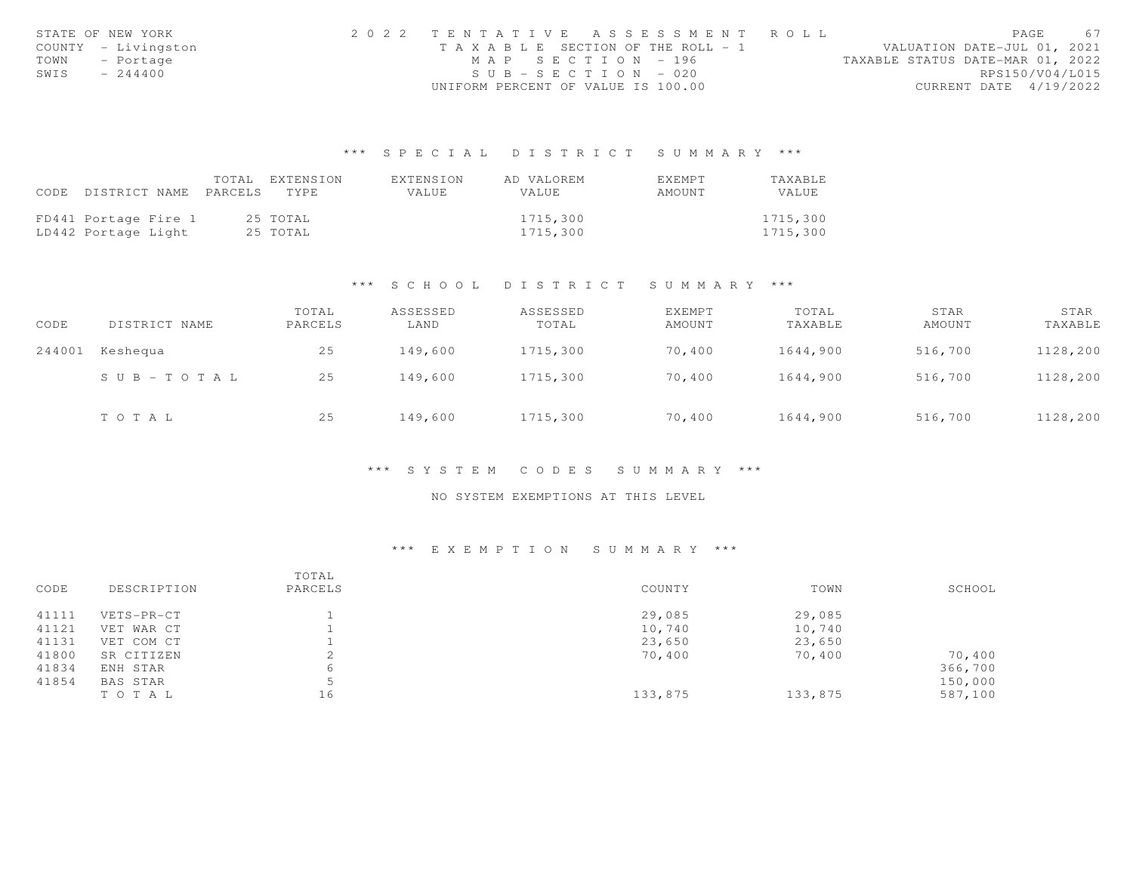|      | STATE OF NEW YORK   | 2022 TENTATIVE ASSESSMENT ROLL     |                       |  |                                  | PAGE                   | 67 |
|------|---------------------|------------------------------------|-----------------------|--|----------------------------------|------------------------|----|
|      | COUNTY - Livingston | TAXABLE SECTION OF THE ROLL - 1    |                       |  | VALUATION DATE-JUL 01, 2021      |                        |    |
| TOWN | - Portage           |                                    | MAP SECTION - 196     |  | TAXABLE STATUS DATE-MAR 01, 2022 |                        |    |
| SWIS | $-244400$           |                                    | $SUB - SECTION - 020$ |  |                                  | RPS150/V04/L015        |    |
|      |                     | UNIFORM PERCENT OF VALUE IS 100.00 |                       |  |                                  | CURRENT DATE 4/19/2022 |    |

|                                 | TOTAL EXTENSION | EXTENSION | AD VALOREM   | <b>FXFMPT</b> | TAXABLE  |
|---------------------------------|-----------------|-----------|--------------|---------------|----------|
| CODE DISTRICT NAME PARCELS TYPE |                 | VALUE     | <b>VALUE</b> | AMOUNT        | VALUE    |
|                                 |                 |           |              |               |          |
| FD441 Portage Fire 1            | 25 TOTAL        |           | 1715,300     |               | 1715,300 |
| LD442 Portage Light             | 25 TOTAL        |           | 1715,300     |               | 1715,300 |

#### \*\*\* S C H O O L D I S T R I C T S U M M A R Y \*\*\*

| CODE   | DISTRICT NAME         | TOTAL<br>PARCELS | ASSESSED<br>LAND | ASSESSED<br>TOTAL | EXEMPT<br>AMOUNT | TOTAL<br>TAXABLE | STAR<br>AMOUNT | STAR<br>TAXABLE |
|--------|-----------------------|------------------|------------------|-------------------|------------------|------------------|----------------|-----------------|
| 244001 | Keshequa              | 25               | 149,600          | 1715,300          | 70,400           | 1644,900         | 516,700        | 1128,200        |
|        | $S \cup B - TO T A L$ | 25               | 149,600          | 1715,300          | 70,400           | 1644,900         | 516,700        | 1128,200        |
|        | TOTAL                 | 25               | 149,600          | 1715,300          | 70,400           | 1644,900         | 516,700        | 1128,200        |

#### \*\*\* S Y S T E M C O D E S S U M M A R Y \*\*\*

### NO SYSTEM EXEMPTIONS AT THIS LEVEL

| CODE  | DESCRIPTION | TOTAL<br>PARCELS | COUNTY  | TOWN    | SCHOOL  |
|-------|-------------|------------------|---------|---------|---------|
| 41111 | VETS-PR-CT  |                  | 29,085  | 29,085  |         |
| 41121 | VET WAR CT  |                  | 10,740  | 10,740  |         |
| 41131 | VET COM CT  |                  | 23,650  | 23,650  |         |
| 41800 | SR CITIZEN  |                  | 70,400  | 70,400  | 70,400  |
| 41834 | ENH STAR    | 6                |         |         | 366,700 |
| 41854 | BAS STAR    |                  |         |         | 150,000 |
|       | TO TAL      | 16               | 133,875 | 133,875 | 587,100 |
|       |             |                  |         |         |         |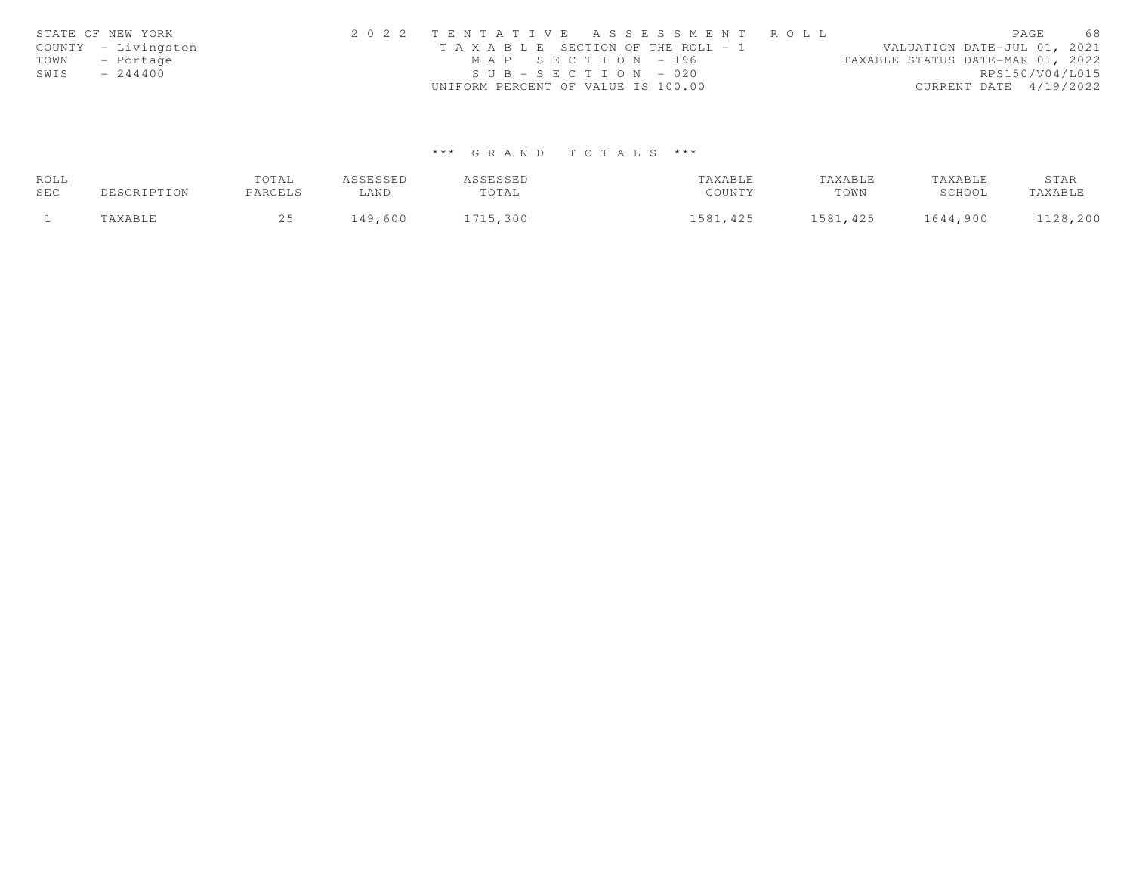|      | STATE OF NEW YORK   | 2022 TENTATIVE ASSESSMENT ROLL                                       | PAGE                   | 68 |
|------|---------------------|----------------------------------------------------------------------|------------------------|----|
|      | COUNTY - Livingston | VALUATION DATE-JUL 01, 2021<br>T A X A B L E SECTION OF THE ROLL - 1 |                        |    |
| TOWN | - Portage           | MAP SECTION - 196<br>TAXABLE STATUS DATE-MAR 01, 2022                |                        |    |
| SWIS | $-244400$           | $SUB - SECTION - 020$                                                | RPS150/V04/L015        |    |
|      |                     | UNIFORM PERCENT OF VALUE IS 100.00                                   | CURRENT DATE 4/19/2022 |    |

| ROLL |             | TOTAL   | ASSESSED | ASSESSED | TAXABLE  | TAXABLE   | TAXABLE  | STAR     |
|------|-------------|---------|----------|----------|----------|-----------|----------|----------|
| SEC  | DESCRIPTION | PARCELS | ∟AND     | TOTAL    | COUNTY   | TOWN      | SCHOOL   | TAXABLE  |
|      | TAXABLE     |         | 149,600  | 1715,300 | 1581,425 | 1581, 425 | 1644,900 | 1128,200 |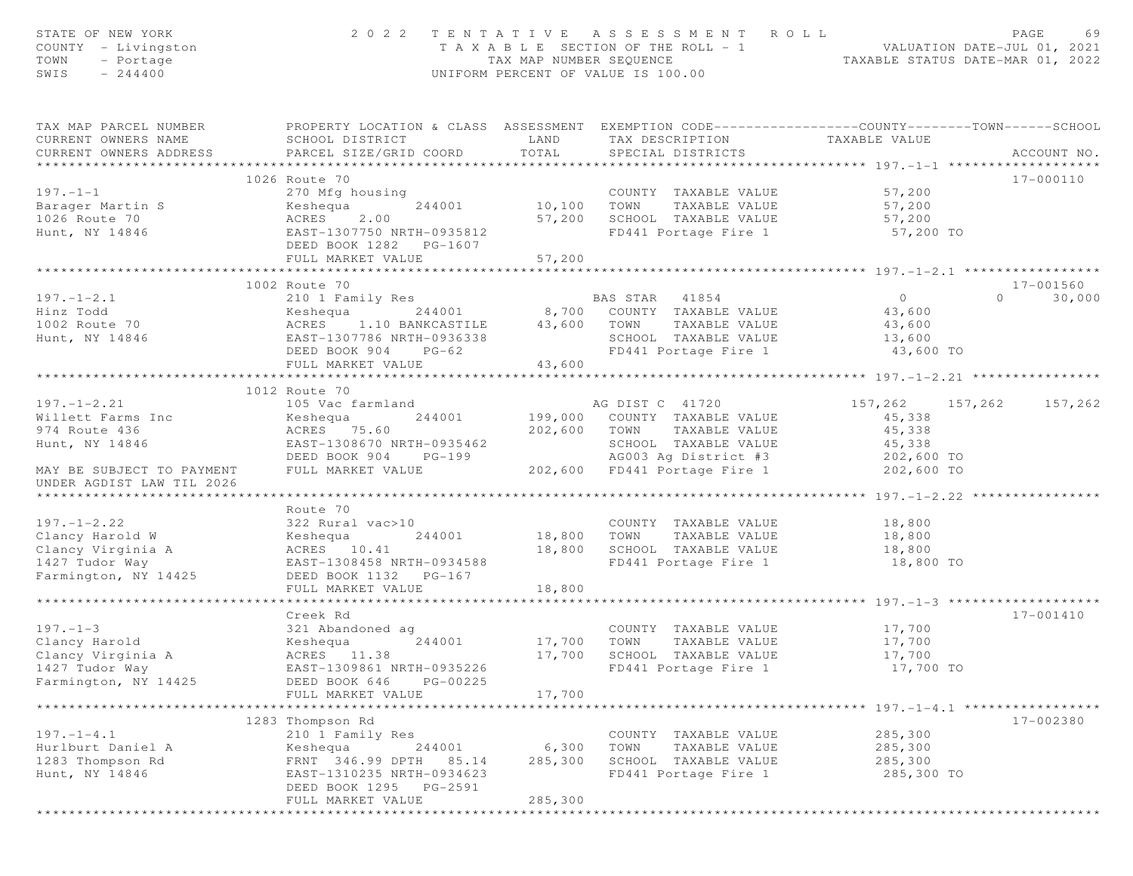| STATE OF NEW YORK<br>COUNTY - Livingston<br>- Portage<br>TOWN<br>SWIS<br>$-244400$ |                                                                                                                                                | TAX MAP NUMBER SEOUENCE  | 2022 TENTATIVE ASSESSMENT ROLL<br>T A X A B L E SECTION OF THE ROLL - 1<br>UNIFORM PERCENT OF VALUE IS 100.00 | ROLL - 1<br>TAXABLE STATUS DATE-MAR 01, 2022<br>TAXABLE STATUS DATE-MAR 01, 2022 | PAGE<br>69         |
|------------------------------------------------------------------------------------|------------------------------------------------------------------------------------------------------------------------------------------------|--------------------------|---------------------------------------------------------------------------------------------------------------|----------------------------------------------------------------------------------|--------------------|
| TAX MAP PARCEL NUMBER<br>CURRENT OWNERS NAME<br>CURRENT OWNERS ADDRESS             | PROPERTY LOCATION & CLASS ASSESSMENT EXEMPTION CODE-----------------COUNTY-------TOWN------SCHOOL<br>SCHOOL DISTRICT<br>PARCEL SIZE/GRID COORD | LAND<br>TOTAL            | TAX DESCRIPTION<br>SPECIAL DISTRICTS                                                                          | TAXABLE VALUE                                                                    | ACCOUNT NO.        |
|                                                                                    |                                                                                                                                                |                          |                                                                                                               |                                                                                  |                    |
| $197. - 1 - 1$                                                                     | 1026 Route 70<br>270 Mfg housing                                                                                                               |                          |                                                                                                               | 57,200                                                                           | 17-000110          |
| Barager Martin S                                                                   | 244001<br>Keshequa                                                                                                                             | 10,100 TOWN              | COUNTY TAXABLE VALUE<br>TAXABLE VALUE                                                                         | 57,200                                                                           |                    |
| 1026 Route 70                                                                      | ACRES<br>2.00                                                                                                                                  | 57,200                   | SCHOOL TAXABLE VALUE                                                                                          | 57,200                                                                           |                    |
| Hunt, NY 14846                                                                     | EAST-1307750 NRTH-0935812<br>DEED BOOK 1282 PG-1607                                                                                            |                          | FD441 Portage Fire 1                                                                                          | 57,200 TO                                                                        |                    |
|                                                                                    | FULL MARKET VALUE<br>**************************************                                                                                    | 57,200<br>************** |                                                                                                               |                                                                                  |                    |
|                                                                                    | 1002 Route 70                                                                                                                                  |                          |                                                                                                               |                                                                                  | 17-001560          |
| $197. - 1 - 2.1$                                                                   | 210 1 Family Res                                                                                                                               |                          | BAS STAR<br>41854                                                                                             | $\overline{O}$                                                                   | $\Omega$<br>30,000 |
| Hinz Todd                                                                          | 244001<br>Keshequa                                                                                                                             |                          | 8,700 COUNTY TAXABLE VALUE                                                                                    | 43,600                                                                           |                    |
| 1002 Route 70                                                                      | ACRES 1.10 BANKCASTILE 43,600 TOWN                                                                                                             |                          | TAXABLE VALUE                                                                                                 | 43,600                                                                           |                    |
| Hunt, NY 14846                                                                     | EAST-1307786 NRTH-0936338                                                                                                                      |                          | SCHOOL TAXABLE VALUE                                                                                          | 13,600                                                                           |                    |
|                                                                                    | DEED BOOK 904 PG-62                                                                                                                            |                          | FD441 Portage Fire 1                                                                                          | 43,600 TO                                                                        |                    |
|                                                                                    | FULL MARKET VALUE                                                                                                                              | 43,600                   |                                                                                                               |                                                                                  |                    |
|                                                                                    |                                                                                                                                                |                          |                                                                                                               |                                                                                  |                    |
|                                                                                    | 1012 Route 70                                                                                                                                  |                          |                                                                                                               |                                                                                  |                    |
| $197. - 1 - 2.21$                                                                  | 105 Vac farmland                                                                                                                               |                          | AG DIST C 41720                                                                                               | 157,262<br>157,262                                                               | 157,262            |
| Willett Farms Inc<br>974 Route 436                                                 | 244001<br>Keshequa                                                                                                                             |                          | 199,000 COUNTY TAXABLE VALUE                                                                                  | 45,338                                                                           |                    |
| Hunt, NY 14846                                                                     | ACRES 75.60<br>EAST-1308670 NRTH-0935462                                                                                                       |                          | 202,600 TOWN TAXABLE VALUE<br>SCHOOL TAXABLE VALUE                                                            | 45,338<br>45,338                                                                 |                    |
|                                                                                    | DEED BOOK 904 PG-199                                                                                                                           |                          | AG003 Ag District #3                                                                                          | 202,600 TO                                                                       |                    |
| MAY BE SUBJECT TO PAYMENT<br>UNDER AGDIST LAW TIL 2026                             | FULL MARKET VALUE                                                                                                                              |                          | 202,600 FD441 Portage Fire 1                                                                                  | 202,600 TO                                                                       |                    |
|                                                                                    |                                                                                                                                                |                          |                                                                                                               |                                                                                  |                    |
|                                                                                    | Route 70                                                                                                                                       |                          |                                                                                                               |                                                                                  |                    |
| $197. - 1 - 2.22$                                                                  | 322 Rural vac>10                                                                                                                               |                          | COUNTY TAXABLE VALUE                                                                                          | 18,800                                                                           |                    |
| Clancy Harold W                                                                    | 244001<br>Keshequa                                                                                                                             | 18,800                   | TOWN<br>TAXABLE VALUE                                                                                         | 18,800                                                                           |                    |
| Clancy Virginia A                                                                  | ACRES 10.41                                                                                                                                    | 18,800                   | SCHOOL TAXABLE VALUE                                                                                          | 18,800                                                                           |                    |
| 1427 Tudor Way                                                                     | EAST-1308458 NRTH-0934588                                                                                                                      |                          | FD441 Portage Fire 1                                                                                          | 18,800 TO                                                                        |                    |
| Farmington, NY 14425                                                               | DEED BOOK 1132    PG-167<br>FULL MARKET VALUE                                                                                                  | 18,800                   |                                                                                                               |                                                                                  |                    |
|                                                                                    |                                                                                                                                                |                          |                                                                                                               |                                                                                  |                    |
|                                                                                    | Creek Rd                                                                                                                                       |                          |                                                                                                               |                                                                                  | 17-001410          |
| $197. - 1 - 3$                                                                     | 321 Abandoned ag                                                                                                                               |                          | COUNTY TAXABLE VALUE                                                                                          | 17,700                                                                           |                    |
| Clancy Harold                                                                      | 244001<br>Keshequa                                                                                                                             | 17,700                   | TOWN<br>TAXABLE VALUE                                                                                         | 17,700                                                                           |                    |
| Clancy Virginia A                                                                  | ACRES 11.38                                                                                                                                    | 17,700                   | SCHOOL TAXABLE VALUE                                                                                          | 17,700                                                                           |                    |
| 1427 Tudor Way                                                                     | EAST-1309861 NRTH-0935226                                                                                                                      |                          | FD441 Portage Fire 1                                                                                          | 17,700 TO                                                                        |                    |
| Farmington, NY 14425                                                               | DEED BOOK 646<br>PG-00225                                                                                                                      |                          |                                                                                                               |                                                                                  |                    |
|                                                                                    | FULL MARKET VALUE                                                                                                                              | 17,700                   |                                                                                                               |                                                                                  |                    |
|                                                                                    |                                                                                                                                                |                          |                                                                                                               |                                                                                  |                    |
|                                                                                    | 1283 Thompson Rd                                                                                                                               |                          |                                                                                                               |                                                                                  | 17-002380          |
| $197. - 1 - 4.1$                                                                   | 210 1 Family Res                                                                                                                               |                          | COUNTY TAXABLE VALUE                                                                                          | 285,300                                                                          |                    |
| Hurlburt Daniel A                                                                  | 244001<br>Keshequa                                                                                                                             | 6,300                    | TOWN<br>TAXABLE VALUE                                                                                         | 285,300                                                                          |                    |
| 1283 Thompson Rd<br>Hunt, NY 14846                                                 | FRNT 346.99 DPTH 85.14<br>EAST-1310235 NRTH-0934623                                                                                            | 285,300                  | SCHOOL TAXABLE VALUE<br>FD441 Portage Fire 1                                                                  | 285,300<br>285,300 TO                                                            |                    |
|                                                                                    | DEED BOOK 1295 PG-2591                                                                                                                         |                          |                                                                                                               |                                                                                  |                    |
|                                                                                    | FULL MARKET VALUE                                                                                                                              | 285,300                  |                                                                                                               |                                                                                  |                    |
|                                                                                    | ***********************************                                                                                                            |                          |                                                                                                               |                                                                                  |                    |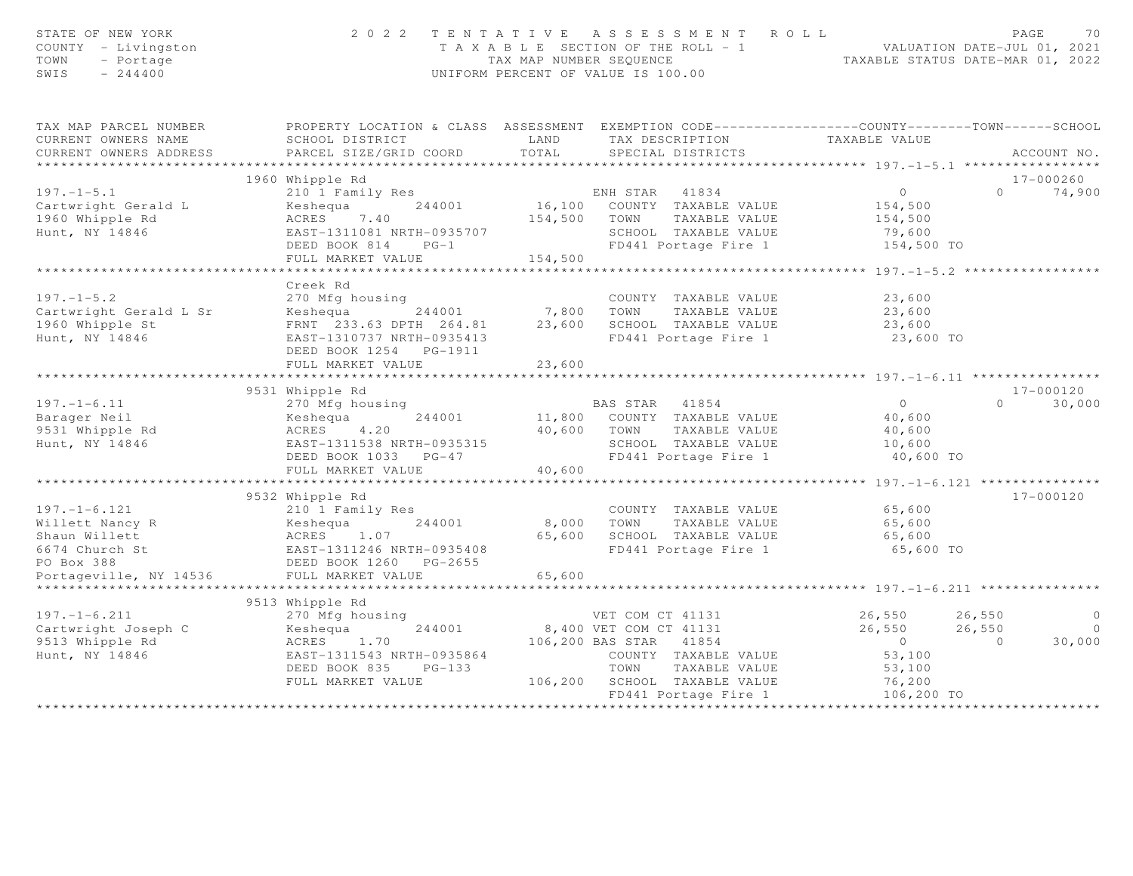| STATE OF NEW YORK<br>COUNTY - Livingston<br>TOWN<br>- Portage<br>SWIS<br>$-244400$ |                                                                                                  |             | 2022 TENTATIVE ASSESSMENT ROLL<br>T A X A B L E SECTION OF THE ROLL - 1 VALUATION DATE-JUL 01, 2021<br>TAX MAP NUMBER SEQUENCE TAXABLE STATUS DATE-MAR 01, 2022<br>UNIFORM PERCENT OF VALUE IS 100.00 |                     | PAGE<br>70           |
|------------------------------------------------------------------------------------|--------------------------------------------------------------------------------------------------|-------------|-------------------------------------------------------------------------------------------------------------------------------------------------------------------------------------------------------|---------------------|----------------------|
| TAX MAP PARCEL NUMBER                                                              | PROPERTY LOCATION & CLASS ASSESSMENT EXEMPTION CODE----------------COUNTY-------TOWN------SCHOOL |             |                                                                                                                                                                                                       |                     |                      |
| CURRENT OWNERS NAME                                                                | SCHOOL DISTRICT                                                                                  | LAND        | TAX DESCRIPTION                                                                                                                                                                                       | TAXABLE VALUE       |                      |
| CURRENT OWNERS ADDRESS                                                             | PARCEL SIZE/GRID COORD                                                                           | TOTAL       | SPECIAL DISTRICTS                                                                                                                                                                                     |                     | ACCOUNT NO.          |
|                                                                                    | 1960 Whipple Rd                                                                                  |             |                                                                                                                                                                                                       |                     | 17-000260            |
| $197. - 1 - 5.1$                                                                   | 210 1 Family Res                                                                                 |             | ENH STAR 41834                                                                                                                                                                                        | $\overline{0}$      | 74,900<br>$\cap$     |
| Cartwright Gerald L                                                                | Keshequa<br>244001                                                                               |             | 16,100 COUNTY TAXABLE VALUE                                                                                                                                                                           | 154,500             |                      |
| 1960 Whipple Rd                                                                    | ACRES 7.40                                                                                       |             | 154,500 TOWN<br>TAXABLE VALUE                                                                                                                                                                         | 154,500             |                      |
| Hunt, NY 14846                                                                     | EAST-1311081 NRTH-0935707                                                                        |             | SCHOOL TAXABLE VALUE                                                                                                                                                                                  | 79,600              |                      |
|                                                                                    | DEED BOOK 814<br>$PG-1$                                                                          |             | FD441 Portage Fire 1                                                                                                                                                                                  | 154,500 TO          |                      |
|                                                                                    | FULL MARKET VALUE                                                                                | 154,500     |                                                                                                                                                                                                       |                     |                      |
|                                                                                    |                                                                                                  |             |                                                                                                                                                                                                       |                     |                      |
|                                                                                    | Creek Rd                                                                                         |             |                                                                                                                                                                                                       |                     |                      |
| $197. - 1 - 5.2$<br>Cartwright Gerald L Sr                                         | 270 Mfg housing<br>244001 7,800<br>Keshequa                                                      |             | COUNTY TAXABLE VALUE<br>TOWN<br>TAXABLE VALUE                                                                                                                                                         | 23,600<br>23,600    |                      |
| 1960 Whipple St                                                                    | FRNT 233.63 DPTH 264.81                                                                          | 23,600      | SCHOOL TAXABLE VALUE                                                                                                                                                                                  | 23,600              |                      |
| Hunt, NY 14846                                                                     | EAST-1310737 NRTH-0935413                                                                        |             | FD441 Portage Fire 1                                                                                                                                                                                  | 23,600 TO           |                      |
|                                                                                    | DEED BOOK 1254    PG-1911                                                                        |             |                                                                                                                                                                                                       |                     |                      |
|                                                                                    | FULL MARKET VALUE                                                                                | 23,600      |                                                                                                                                                                                                       |                     |                      |
|                                                                                    |                                                                                                  |             |                                                                                                                                                                                                       |                     |                      |
|                                                                                    | 9531 Whipple Rd                                                                                  |             |                                                                                                                                                                                                       |                     | 17-000120            |
| $197. - 1 - 6.11$                                                                  | 270 Mfg housing                                                                                  |             | BAS STAR 41854                                                                                                                                                                                        | $\bigcirc$          | 30,000<br>$\Omega$   |
| Barager Neil                                                                       | 244001<br>Keshequa                                                                               |             | 11,800 COUNTY TAXABLE VALUE                                                                                                                                                                           | 40,600              |                      |
| 9531 Whipple Rd                                                                    | 4.20<br>ACRES                                                                                    | 40,600 TOWN | TAXABLE VALUE                                                                                                                                                                                         | 40,600              |                      |
| Hunt, NY 14846                                                                     | EAST-1311538 NRTH-0935315<br>DEED BOOK 1033 PG-47                                                |             | SCHOOL TAXABLE VALUE<br>FD441 Portage Fire 1                                                                                                                                                          | 10,600<br>40,600 TO |                      |
|                                                                                    | FULL MARKET VALUE                                                                                | 40,600      |                                                                                                                                                                                                       |                     |                      |
|                                                                                    |                                                                                                  |             |                                                                                                                                                                                                       |                     |                      |
|                                                                                    | 9532 Whipple Rd                                                                                  |             |                                                                                                                                                                                                       |                     | 17-000120            |
| $197. - 1 - 6.121$                                                                 | 210 1 Family Res                                                                                 |             | COUNTY TAXABLE VALUE                                                                                                                                                                                  | 65,600              |                      |
| Willett Nancy R                                                                    | 244001<br>Keshequa                                                                               | 8,000 TOWN  | TAXABLE VALUE                                                                                                                                                                                         | 65,600              |                      |
| Shaun Willett                                                                      | ACRES 1.07                                                                                       |             | 65,600 SCHOOL TAXABLE VALUE                                                                                                                                                                           | 65,600              |                      |
| 6674 Church St                                                                     | EAST-1311246 NRTH-0935408                                                                        |             | FD441 Portage Fire 1                                                                                                                                                                                  | 65,600 TO           |                      |
| PO Box 388                                                                         | DEED BOOK 1260 PG-2655                                                                           |             |                                                                                                                                                                                                       |                     |                      |
| Portageville, NY 14536                                                             | FULL MARKET VALUE                                                                                | 65,600      |                                                                                                                                                                                                       |                     |                      |
|                                                                                    | 9513 Whipple Rd                                                                                  |             |                                                                                                                                                                                                       |                     |                      |
| $197. - 1 - 6.211$                                                                 | 270 Mfg housing                                                                                  |             | VET COM CT 41131                                                                                                                                                                                      | 26,550 26,550       | $\circ$              |
| Cartwright Joseph C                                                                | 244001<br>Keshequa                                                                               |             | 8,400 VET COM CT 41131                                                                                                                                                                                | 26,550              | $\bigcirc$<br>26,550 |
| 9513 Whipple Rd                                                                    | ACRES<br>1.70                                                                                    |             | 106,200 BAS STAR 41854                                                                                                                                                                                | $\overline{0}$      | 30,000<br>$\Omega$   |
| Hunt, NY 14846                                                                     | EAST-1311543 NRTH-0935864                                                                        |             | COUNTY TAXABLE VALUE                                                                                                                                                                                  | 53,100              |                      |
|                                                                                    | DEED BOOK 835<br>$PG-133$                                                                        |             | TOWN TAXABLE VALUE                                                                                                                                                                                    | 53,100              |                      |
|                                                                                    | FULL MARKET VALUE                                                                                |             | 106,200 SCHOOL TAXABLE VALUE                                                                                                                                                                          | 76,200              |                      |
|                                                                                    |                                                                                                  |             | FD441 Portage Fire 1                                                                                                                                                                                  | 106,200 TO          |                      |
|                                                                                    |                                                                                                  |             | *******************                                                                                                                                                                                   | ****************    |                      |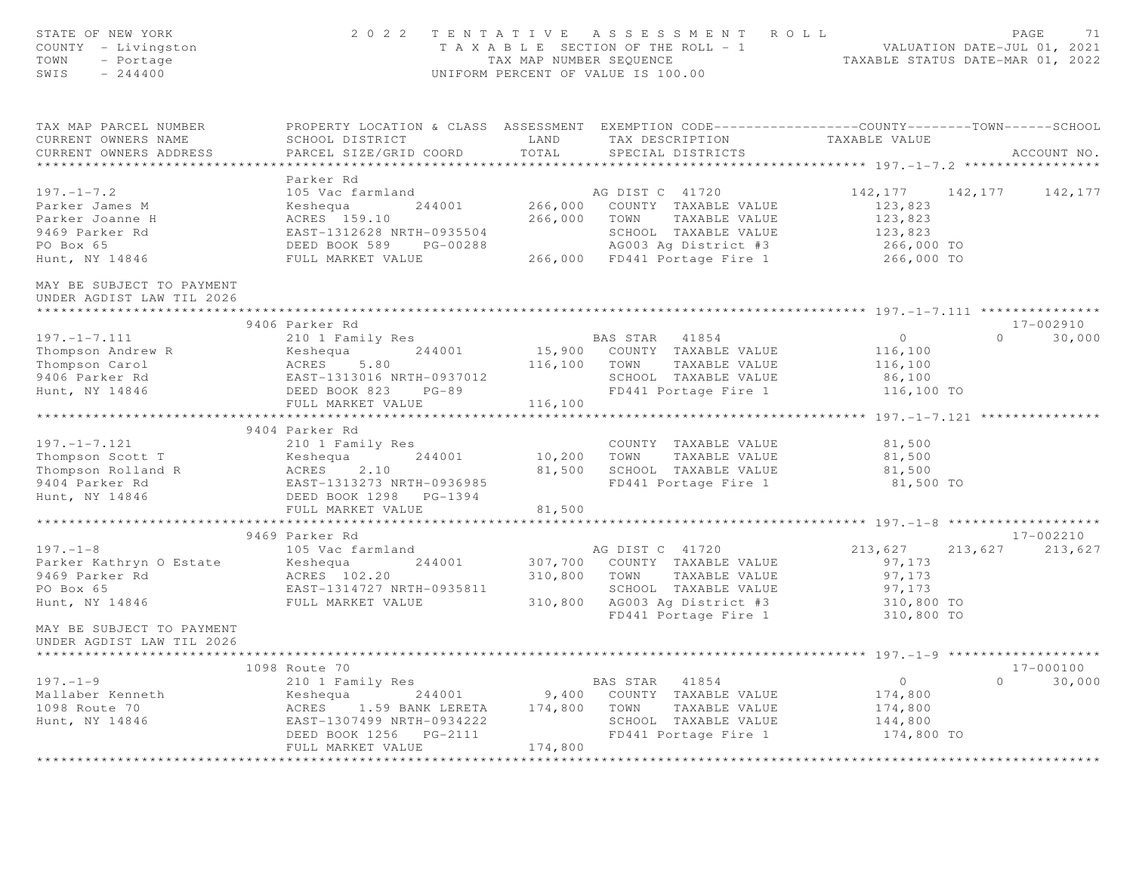| STATE OF NEW YORK<br>COUNTY - Livingston<br>TOWN<br>- Portage<br>SWIS<br>$-244400$                                                          |                                                              | 2022 TENTATIVE ASSESSMENT ROLL<br>TAXABLE SECTION OF THE ROLL - 1<br>TAXABLE SECTION OF THE ROLL - 1<br>TAXABLE STATUS DATE-JUL 01, 2021<br>TAXABLE STATUS DATE-MAR 01, 2022<br>UNIFORM PERCENT OF VALUE IS 100.00                                                                                                                                                                                                                                | PAGE                                         | 71     |
|---------------------------------------------------------------------------------------------------------------------------------------------|--------------------------------------------------------------|---------------------------------------------------------------------------------------------------------------------------------------------------------------------------------------------------------------------------------------------------------------------------------------------------------------------------------------------------------------------------------------------------------------------------------------------------|----------------------------------------------|--------|
| CURRENT OWNERS NAME<br>CURRENT OWNERS ADDRESS                                                                                               | SCHOOL DISTRICT<br>PARCEL SIZE/GRID COORD                    | TAX MAP PARCEL NUMBER <b>The PROPERTY LOCATION &amp; CLASS</b> ASSESSMENT EXEMPTION CODE---------------COUNTY-------TOWN------SCHOOL<br>TAX DESCRIPTION TAXABLE VALUE<br>LAND<br>TOTAL<br>SPECIAL DISTRICTS                                                                                                                                                                                                                                       | ACCOUNT NO.                                  |        |
|                                                                                                                                             |                                                              |                                                                                                                                                                                                                                                                                                                                                                                                                                                   |                                              |        |
|                                                                                                                                             | Parker Rd                                                    |                                                                                                                                                                                                                                                                                                                                                                                                                                                   |                                              |        |
| $197. - 1 - 7.2$                                                                                                                            | 105 Vac farmland                                             | AG DIST C 41720                                                                                                                                                                                                                                                                                                                                                                                                                                   | 142,177 142,177<br>142,177                   |        |
| Parker James M                                                                                                                              |                                                              |                                                                                                                                                                                                                                                                                                                                                                                                                                                   |                                              |        |
| Parker Joanne H                                                                                                                             |                                                              | 105 Vac farmland<br>Keshequa 244001 266,000 COUNTY TAXABLE VALUE<br>ACRES 159.10 266,000 TOWN TAXABLE VALUE<br>EAST-1312628 NRTH-0935504 SCHOOL TAXABLE VALUE<br>DEED BOOK 589 PG-00288 AG003 Ag District #3<br>FULL MARKET VALUE 266,00                                                                                                                                                                                                          | 123,823<br>123,823<br>123,823<br>266,000 TO  |        |
| 9469 Parker Rd<br>PO Box 65                                                                                                                 |                                                              |                                                                                                                                                                                                                                                                                                                                                                                                                                                   |                                              |        |
| Hunt, NY 14846                                                                                                                              |                                                              |                                                                                                                                                                                                                                                                                                                                                                                                                                                   | 266,000 TO                                   |        |
|                                                                                                                                             |                                                              |                                                                                                                                                                                                                                                                                                                                                                                                                                                   |                                              |        |
| MAY BE SUBJECT TO PAYMENT<br>UNDER AGDIST LAW TIL 2026                                                                                      |                                                              |                                                                                                                                                                                                                                                                                                                                                                                                                                                   |                                              |        |
|                                                                                                                                             |                                                              |                                                                                                                                                                                                                                                                                                                                                                                                                                                   |                                              |        |
| $197. - 1 - 7.111$                                                                                                                          | 9406 Parker Rd<br>210 1 Family Res                           | BAS STAR 41854                                                                                                                                                                                                                                                                                                                                                                                                                                    | 17-002910<br>$\overline{0}$<br>$0 \t 30,000$ |        |
|                                                                                                                                             |                                                              | 15,900 COUNTY TAXABLE VALUE                                                                                                                                                                                                                                                                                                                                                                                                                       | 116,100                                      |        |
|                                                                                                                                             |                                                              | 116,100 TOWN TAXABLE VALUE                                                                                                                                                                                                                                                                                                                                                                                                                        | 116,100                                      |        |
| Thompson Andrew R<br>Thompson Carol (ACRES 5.80)<br>9406 Parker Rd<br>Hunt, NY 14846 (BEED BOOK 823 PG-89)<br>FIII MARKET VALUE             |                                                              |                                                                                                                                                                                                                                                                                                                                                                                                                                                   | 86,100                                       |        |
|                                                                                                                                             |                                                              | SCHOOL TAXABLE VALUE<br>FD441 Portage Fire 1<br>FD441 Portage Fire 1 116,100 TO                                                                                                                                                                                                                                                                                                                                                                   |                                              |        |
|                                                                                                                                             | FULL MARKET VALUE                                            | 116,100                                                                                                                                                                                                                                                                                                                                                                                                                                           |                                              |        |
|                                                                                                                                             |                                                              |                                                                                                                                                                                                                                                                                                                                                                                                                                                   |                                              |        |
|                                                                                                                                             | 9404 Parker Rd                                               |                                                                                                                                                                                                                                                                                                                                                                                                                                                   |                                              |        |
| $197. - 1 - 7.121$                                                                                                                          | 210 1 Family Res                                             | COUNTY TAXABLE VALUE                                                                                                                                                                                                                                                                                                                                                                                                                              | 81,500                                       |        |
|                                                                                                                                             |                                                              | 10,200 TOWN TAXABLE VALUE                                                                                                                                                                                                                                                                                                                                                                                                                         | 81,500                                       |        |
| Thompson Scott T<br>Thompson Rolland R<br>9404 Parker Rd<br>Hunt, NY 14846<br>Hunt, NY 14846<br>Hunt, NY 14846<br>PEED BOOK 1298<br>PG-1394 |                                                              | 81,500 SCHOOL TAXABLE VALUE<br>FD441 Portage Fire 1                                                                                                                                                                                                                                                                                                                                                                                               | 81,500<br>81,500 TO                          |        |
| Hunt, NY 14846                                                                                                                              |                                                              |                                                                                                                                                                                                                                                                                                                                                                                                                                                   |                                              |        |
|                                                                                                                                             | FULL MARKET VALUE                                            | 81,500                                                                                                                                                                                                                                                                                                                                                                                                                                            |                                              |        |
|                                                                                                                                             |                                                              |                                                                                                                                                                                                                                                                                                                                                                                                                                                   |                                              |        |
|                                                                                                                                             | 9469 Parker Rd                                               |                                                                                                                                                                                                                                                                                                                                                                                                                                                   | 17-002210                                    |        |
| $197. - 1 - 8$                                                                                                                              | 105 Vac farmland                                             | AG DIST C 41720                                                                                                                                                                                                                                                                                                                                                                                                                                   | 213,627 213,627<br>213,627                   |        |
| Parker Kathryn O Estate                                                                                                                     |                                                              | 307,700 COUNTY TAXABLE VALUE                                                                                                                                                                                                                                                                                                                                                                                                                      | 97,173                                       |        |
| 9469 Parker Rd                                                                                                                              |                                                              | 310,800<br>TOWN TAXABLE VALUE                                                                                                                                                                                                                                                                                                                                                                                                                     | 97,173                                       |        |
| PO Box 65                                                                                                                                   | Keshequa 244001<br>ACRES 102.20<br>EAST-1314727 NRTH-0935811 | SCHOOL TAXABLE VALUE<br>310,800 AG003 Ag District #3                                                                                                                                                                                                                                                                                                                                                                                              | 97,173<br>310,800 TO                         |        |
| Hunt, NY 14846                                                                                                                              | FULL MARKET VALUE                                            |                                                                                                                                                                                                                                                                                                                                                                                                                                                   |                                              |        |
| MAY BE SUBJECT TO PAYMENT                                                                                                                   |                                                              | FD441 Portage Fire 1                                                                                                                                                                                                                                                                                                                                                                                                                              | 310,800 TO                                   |        |
| UNDER AGDIST LAW TIL 2026                                                                                                                   |                                                              |                                                                                                                                                                                                                                                                                                                                                                                                                                                   |                                              |        |
|                                                                                                                                             |                                                              |                                                                                                                                                                                                                                                                                                                                                                                                                                                   |                                              |        |
|                                                                                                                                             |                                                              |                                                                                                                                                                                                                                                                                                                                                                                                                                                   | 17-000100                                    |        |
|                                                                                                                                             |                                                              |                                                                                                                                                                                                                                                                                                                                                                                                                                                   | $\overline{0}$<br>$\Omega$                   | 30,000 |
|                                                                                                                                             |                                                              |                                                                                                                                                                                                                                                                                                                                                                                                                                                   | 174,800                                      |        |
|                                                                                                                                             |                                                              |                                                                                                                                                                                                                                                                                                                                                                                                                                                   | 174,800                                      |        |
|                                                                                                                                             |                                                              |                                                                                                                                                                                                                                                                                                                                                                                                                                                   | 144,800                                      |        |
|                                                                                                                                             |                                                              | $\begin{array}{cccccccc} \texttt{197. -1-9} & & & & & \texttt{1098 Route 70} & & & & \texttt{BAS STAR} & 41854 \\ \texttt{Mallaber Kenneth} & & & & & \texttt{Keshequa} & & 244001 & & 9,400 & \texttt{COUNTY TAXABLE VALUE} \\ \texttt{1098 Route 70} & & & & & \texttt{ACRES} & 1.59 BANK LERETA & 174,800 & \texttt{TOWN} & TAXABLE VALUE \\ \texttt{Hunt, NY 14846} & & & & & \texttt{EAST-1307499 NRTH-0934222} & &$<br>FD441 Portage Fire 1 | 174,800 TO                                   |        |
|                                                                                                                                             | FULL MARKET VALUE                                            | 174,800                                                                                                                                                                                                                                                                                                                                                                                                                                           |                                              |        |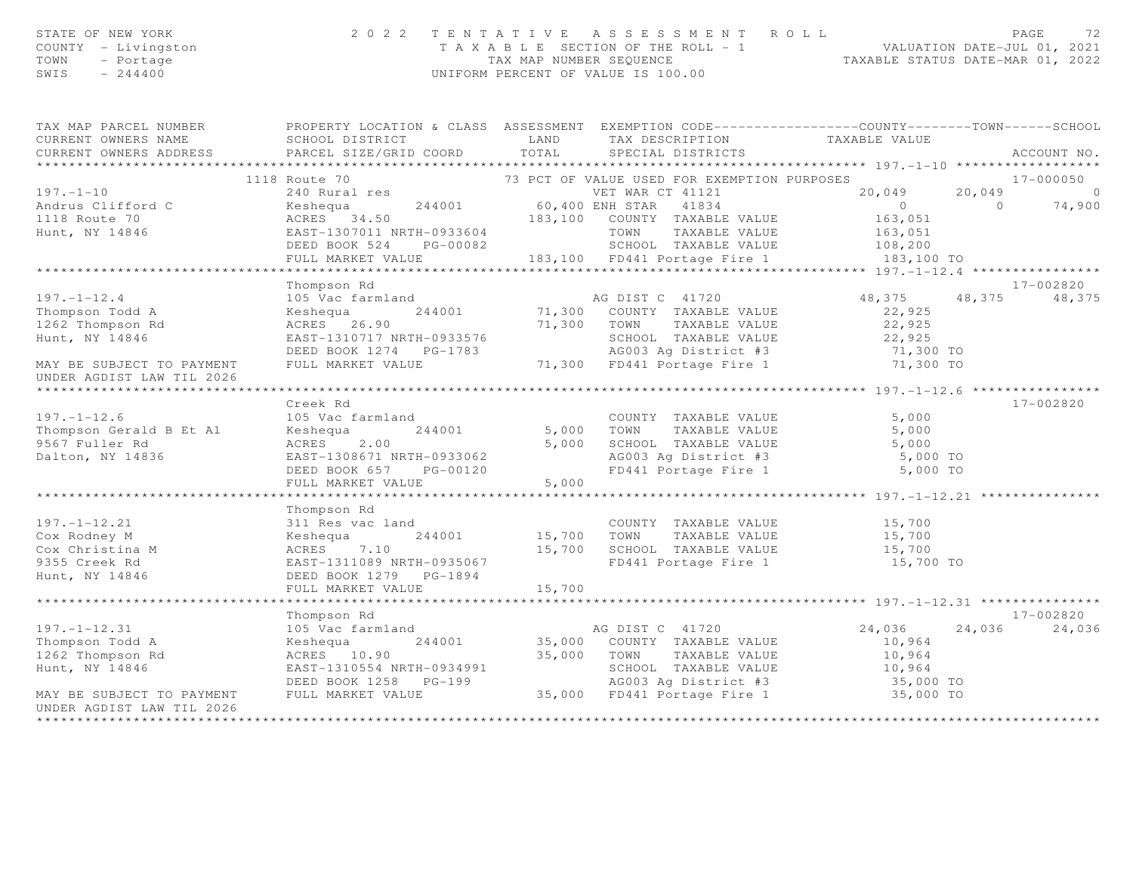|      | STATE OF NEW YORK   | 2022 TENTATIVE ASSESSMENT ROLL        |                         |  |                                  | PAGE |  |
|------|---------------------|---------------------------------------|-------------------------|--|----------------------------------|------|--|
|      | COUNTY - Livingston | T A X A B L E SECTION OF THE ROLL - 1 |                         |  | VALUATION DATE-JUL 01, 2021      |      |  |
|      | TOWN - Portage      |                                       | TAX MAP NUMBER SEOUENCE |  | TAXABLE STATUS DATE-MAR 01, 2022 |      |  |
| SWTS | $-244400$           | UNIFORM PERCENT OF VALUE IS 100.00    |                         |  |                                  |      |  |
|      |                     |                                       |                         |  |                                  |      |  |

| TAX MAP PARCEL NUMBER                                                                                                                                        | PROPERTY LOCATION & CLASS ASSESSMENT EXEMPTION CODE----------------COUNTY-------TOWN------SCHOOL                                                                                                                                             |                            |                            |             |
|--------------------------------------------------------------------------------------------------------------------------------------------------------------|----------------------------------------------------------------------------------------------------------------------------------------------------------------------------------------------------------------------------------------------|----------------------------|----------------------------|-------------|
|                                                                                                                                                              | CURRENT OWNERS NAME SCHOOL DISTRICT TAND LAND TAX DESCRIPTION TAXABLE VALUE                                                                                                                                                                  |                            |                            |             |
| CURRENT OWNERS ADDRESS                                                                                                                                       | PARCEL SIZE/GRID COORD TOTAL SPECIAL DISTRICTS                                                                                                                                                                                               |                            |                            | ACCOUNT NO. |
|                                                                                                                                                              |                                                                                                                                                                                                                                              |                            |                            |             |
| 197.-1-10<br>Andrus Clifford C<br>$\begin{array}{c} \n\cdot \cdot \circ \quad \text{Route 70} \\ \cdot \cdot \cdot \circ \quad \text{Route 70}\n\end{array}$ | 1118 Route 70<br>1118 Route 70<br>244001 Technology 183,100 COUNTY TAXABLE VALUE<br>TRAR ET AT AN ARTEL MAR CELL MARKET VALUE (183,051<br>26,049 20,049 20,049 0<br>274,900<br>183,100 COUNTY TAXABLE VALUE 163,051<br>26 EXERCE 34.50 183,1 |                            |                            |             |
|                                                                                                                                                              |                                                                                                                                                                                                                                              |                            |                            |             |
|                                                                                                                                                              |                                                                                                                                                                                                                                              |                            |                            |             |
|                                                                                                                                                              |                                                                                                                                                                                                                                              |                            |                            |             |
|                                                                                                                                                              |                                                                                                                                                                                                                                              |                            |                            |             |
|                                                                                                                                                              |                                                                                                                                                                                                                                              |                            |                            |             |
|                                                                                                                                                              |                                                                                                                                                                                                                                              |                            |                            |             |
|                                                                                                                                                              |                                                                                                                                                                                                                                              |                            |                            |             |
|                                                                                                                                                              |                                                                                                                                                                                                                                              |                            |                            | 17-002820   |
|                                                                                                                                                              |                                                                                                                                                                                                                                              |                            | 48, 375 48, 375 48, 375    |             |
|                                                                                                                                                              |                                                                                                                                                                                                                                              |                            | 22,925                     |             |
|                                                                                                                                                              | ACRES 26.90 71,300 COONTI TAXABLE VALUE 22,925<br>EAST-1310717 NRTH-0933576 71,300 TOWN TAXABLE VALUE 22,925<br>DEED BOOK 1274 PG-1783 AG003 Ag District #3 71,300 TO<br>FULL MARKET VALUE 71,300 FD441 Portage Fire 1 71,300 TO             |                            |                            |             |
| Hunt, NY 14846                                                                                                                                               |                                                                                                                                                                                                                                              |                            |                            |             |
|                                                                                                                                                              |                                                                                                                                                                                                                                              |                            |                            |             |
| MAY BE SUBJECT TO PAYMENT                                                                                                                                    |                                                                                                                                                                                                                                              |                            |                            |             |
| UNDER AGDIST LAW TIL 2026                                                                                                                                    |                                                                                                                                                                                                                                              |                            |                            |             |
|                                                                                                                                                              |                                                                                                                                                                                                                                              |                            |                            |             |
|                                                                                                                                                              | Creek Rd                                                                                                                                                                                                                                     |                            |                            | 17-002820   |
| $197. - 1 - 12.6$                                                                                                                                            | 105 Vac farmland                                                                                                                                                                                                                             | COUNTY TAXABLE VALUE 5,000 |                            |             |
|                                                                                                                                                              | Thompson Gerald B Et Al Keshequa 244001 5,000 TOWN TAXABLE VALUE                                                                                                                                                                             |                            | 5,000                      |             |
| 9567 Fuller Rd<br>Dalton, NY 14836                                                                                                                           | ACRES 2.00 5,000 SCHOOL TAXABLE VALUE 5,000 5<br>EAST-1308671 NRTH-0933062 AG003 Ag District #3 5,000 TO<br>DEED BOOK 657 PG-00120 FD441 Portage Fire 1 5,000 TO                                                                             |                            |                            |             |
| Dalton, NY 14836                                                                                                                                             |                                                                                                                                                                                                                                              |                            |                            |             |
|                                                                                                                                                              |                                                                                                                                                                                                                                              |                            |                            |             |
|                                                                                                                                                              |                                                                                                                                                                                                                                              |                            |                            |             |
|                                                                                                                                                              |                                                                                                                                                                                                                                              |                            |                            |             |
|                                                                                                                                                              | Thompson Rd                                                                                                                                                                                                                                  |                            |                            |             |
| 197.-1-12.21<br>Com Bodney M                                                                                                                                 | 311 Res vac land COUNTY TAXABLE VALUE 15,700<br>Keshequa 244001 15,700 TOWN TAXABLE VALUE 15,700                                                                                                                                             |                            |                            |             |
|                                                                                                                                                              |                                                                                                                                                                                                                                              |                            |                            |             |
|                                                                                                                                                              |                                                                                                                                                                                                                                              |                            |                            |             |
| Cox Christina M<br>9355 Creek Rd<br>Hunt, NY 14846                                                                                                           | ACRES 7.10 15,700 SCHOOL TAXABLE VALUE 15,700<br>EAST-1311089 NRTH-0935067 FD441 Portage Fire 1 15,700 TO                                                                                                                                    |                            |                            |             |
|                                                                                                                                                              |                                                                                                                                                                                                                                              |                            |                            |             |
|                                                                                                                                                              |                                                                                                                                                                                                                                              |                            |                            |             |
|                                                                                                                                                              |                                                                                                                                                                                                                                              |                            |                            |             |
|                                                                                                                                                              |                                                                                                                                                                                                                                              |                            |                            | 17-002820   |
| $197. - 1 - 12.31$                                                                                                                                           |                                                                                                                                                                                                                                              |                            | $24,036$ $24,036$ $24,036$ |             |
| Thompson Todd A                                                                                                                                              |                                                                                                                                                                                                                                              |                            | 10,964                     |             |
| 1262 Thompson Rd                                                                                                                                             |                                                                                                                                                                                                                                              |                            |                            |             |
| Hunt, NY 14846                                                                                                                                               | ACRES 10.90<br>EAST-1310554 NRTH-0934991<br>DEED BOOK 1258 PG-199<br>FULL MARKET VALUE 35,000 FD441 Portage Fire 1 35,000 TO<br>FULL MARKET VALUE 35,000 FD441 Portage Fire 1 35,000 TO                                                      |                            |                            |             |
|                                                                                                                                                              |                                                                                                                                                                                                                                              |                            |                            |             |
| MAY BE SUBJECT TO PAYMENT                                                                                                                                    |                                                                                                                                                                                                                                              |                            |                            |             |
| UNDER AGDIST LAW TIL 2026                                                                                                                                    |                                                                                                                                                                                                                                              |                            |                            |             |
|                                                                                                                                                              |                                                                                                                                                                                                                                              |                            |                            |             |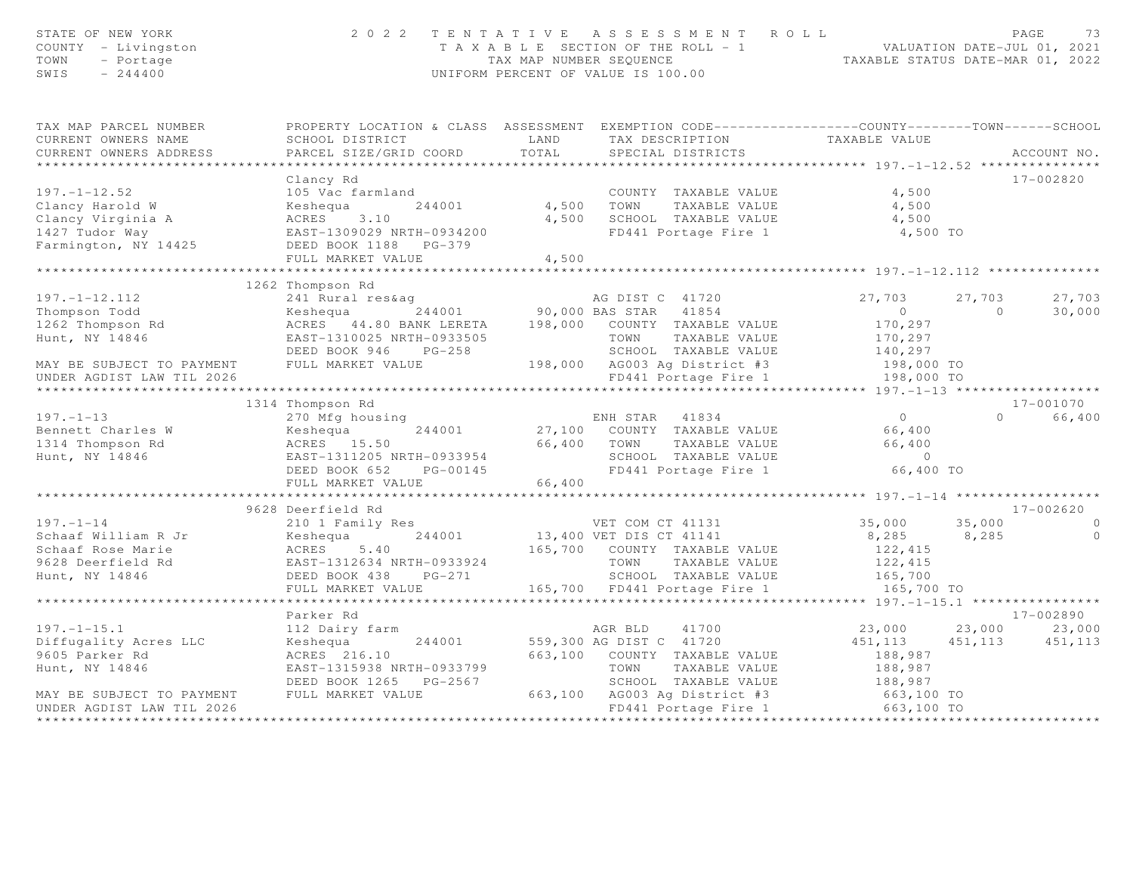| STATE OF NEW YORK<br>COUNTY - Livingston<br>TOWN<br>- Portage<br>$SWIS = 244400$                                                                                                                                                                                                                                                                                                         | 2022 TENTATIVE ASSESSMENT ROLL                                                                                                                |       |               | TAXABLE SECTION OF THE ROLL - 1<br>TAXABLE SECTION OF THE ROLL - 1<br>TAXABLE STATUS DATE-JUL 01, 2021<br>UNIFORM PERCENT OF VALUE IS 100.00 |                |
|------------------------------------------------------------------------------------------------------------------------------------------------------------------------------------------------------------------------------------------------------------------------------------------------------------------------------------------------------------------------------------------|-----------------------------------------------------------------------------------------------------------------------------------------------|-------|---------------|----------------------------------------------------------------------------------------------------------------------------------------------|----------------|
| TAX MAP PARCEL NUMBER <b>The PROPERTY LOCATION &amp; CLASS</b> ASSESSMENT EXEMPTION CODE---------------COUNTY-------TOWN------SCHOOL                                                                                                                                                                                                                                                     |                                                                                                                                               |       |               |                                                                                                                                              |                |
| CURRENT OWNERS NAME                                                                                                                                                                                                                                                                                                                                                                      |                                                                                                                                               |       |               |                                                                                                                                              |                |
| CURRENT OWNERS ADDRESS                                                                                                                                                                                                                                                                                                                                                                   |                                                                                                                                               |       |               |                                                                                                                                              | ACCOUNT NO.    |
|                                                                                                                                                                                                                                                                                                                                                                                          |                                                                                                                                               |       |               |                                                                                                                                              |                |
|                                                                                                                                                                                                                                                                                                                                                                                          |                                                                                                                                               |       |               |                                                                                                                                              | 17-002820      |
|                                                                                                                                                                                                                                                                                                                                                                                          |                                                                                                                                               |       |               |                                                                                                                                              |                |
|                                                                                                                                                                                                                                                                                                                                                                                          |                                                                                                                                               |       |               |                                                                                                                                              |                |
|                                                                                                                                                                                                                                                                                                                                                                                          |                                                                                                                                               |       |               | 4,500 SCHOOL TAXABLE VALUE 4,500<br>FD441 Portage Fire 1 4,500 TO                                                                            |                |
|                                                                                                                                                                                                                                                                                                                                                                                          |                                                                                                                                               |       |               |                                                                                                                                              |                |
|                                                                                                                                                                                                                                                                                                                                                                                          |                                                                                                                                               |       |               |                                                                                                                                              |                |
|                                                                                                                                                                                                                                                                                                                                                                                          | FULL MARKET VALUE                                                                                                                             | 4,500 |               |                                                                                                                                              |                |
|                                                                                                                                                                                                                                                                                                                                                                                          |                                                                                                                                               |       |               |                                                                                                                                              |                |
|                                                                                                                                                                                                                                                                                                                                                                                          | 1262 Thompson Rd                                                                                                                              |       |               |                                                                                                                                              |                |
|                                                                                                                                                                                                                                                                                                                                                                                          |                                                                                                                                               |       |               |                                                                                                                                              |                |
|                                                                                                                                                                                                                                                                                                                                                                                          |                                                                                                                                               |       |               |                                                                                                                                              |                |
|                                                                                                                                                                                                                                                                                                                                                                                          |                                                                                                                                               |       |               |                                                                                                                                              |                |
|                                                                                                                                                                                                                                                                                                                                                                                          |                                                                                                                                               |       |               |                                                                                                                                              |                |
|                                                                                                                                                                                                                                                                                                                                                                                          |                                                                                                                                               |       |               |                                                                                                                                              |                |
|                                                                                                                                                                                                                                                                                                                                                                                          |                                                                                                                                               |       |               |                                                                                                                                              |                |
|                                                                                                                                                                                                                                                                                                                                                                                          |                                                                                                                                               |       |               |                                                                                                                                              |                |
|                                                                                                                                                                                                                                                                                                                                                                                          |                                                                                                                                               |       |               |                                                                                                                                              | 17-001070      |
|                                                                                                                                                                                                                                                                                                                                                                                          | 1314 Thompson Rd                                                                                                                              |       |               |                                                                                                                                              |                |
|                                                                                                                                                                                                                                                                                                                                                                                          |                                                                                                                                               |       |               |                                                                                                                                              |                |
|                                                                                                                                                                                                                                                                                                                                                                                          |                                                                                                                                               |       |               |                                                                                                                                              |                |
|                                                                                                                                                                                                                                                                                                                                                                                          |                                                                                                                                               |       |               |                                                                                                                                              |                |
|                                                                                                                                                                                                                                                                                                                                                                                          |                                                                                                                                               |       |               |                                                                                                                                              |                |
|                                                                                                                                                                                                                                                                                                                                                                                          |                                                                                                                                               |       |               |                                                                                                                                              |                |
| $\begin{array}{cccccccc} 197.-1-13 & 1314 & \text{Thompson Rd} & \text{ENH STAR} & 41834 & 0 & 1/-0010/0 \\ 270 & \text{Mg housing} & 244001 & 27,100 & \text{COUNT TAXABLE VALUE} & 66,400 & 0 & 66,400 \\ 1314 & \text{Thompson Rd} & \text{ACRES} & 15.50 & 66,400 & \text{TONTY TAXABLE VALUE} & 66,400 & 0 & 66,400 \\ 1314 & \text{Thompson Rd} & \text{ACRES} & 15.50 & 66,400 &$ |                                                                                                                                               |       |               |                                                                                                                                              |                |
|                                                                                                                                                                                                                                                                                                                                                                                          | 9628 Deerfield Rd                                                                                                                             |       |               |                                                                                                                                              | 17-002620      |
| 9626 Deerified Rd<br>Schaaf William R Jr<br>Schaaf Nilliam R Jr<br>Schaaf Rose Marie (1971 --1972620<br>Schaaf Rose Marie (1971 --1982620<br>Schaaf Rose Marie (1971 --1982620<br>Schaaf Rose Marie (1972, 1979 --1982620<br>Schaaf Rose Mar                                                                                                                                             |                                                                                                                                               |       |               |                                                                                                                                              |                |
|                                                                                                                                                                                                                                                                                                                                                                                          |                                                                                                                                               |       |               |                                                                                                                                              | $\overline{0}$ |
|                                                                                                                                                                                                                                                                                                                                                                                          |                                                                                                                                               |       |               |                                                                                                                                              |                |
|                                                                                                                                                                                                                                                                                                                                                                                          |                                                                                                                                               |       |               |                                                                                                                                              |                |
|                                                                                                                                                                                                                                                                                                                                                                                          |                                                                                                                                               |       |               |                                                                                                                                              |                |
|                                                                                                                                                                                                                                                                                                                                                                                          |                                                                                                                                               |       |               |                                                                                                                                              |                |
|                                                                                                                                                                                                                                                                                                                                                                                          |                                                                                                                                               |       |               |                                                                                                                                              |                |
|                                                                                                                                                                                                                                                                                                                                                                                          | Parker Rd                                                                                                                                     |       |               |                                                                                                                                              | 17-002890      |
| $197. - 1 - 15.1$                                                                                                                                                                                                                                                                                                                                                                        | 112 Dairy farm                                                                                                                                |       | AGR BLD 41700 | $23,000$ $23,000$ $23,000$ $23,000$                                                                                                          |                |
| Diffugality Acres LLC                                                                                                                                                                                                                                                                                                                                                                    | AUX BLD 41700<br>Keshequa 244001 559,300 AG DIST C 41720<br>ACRES 216.10 663.100 COUNTY TAVANTE                                               |       |               | $451,113$ $451,113$ $451,113$<br>188,987                                                                                                     |                |
| 9605 Parker Rd                                                                                                                                                                                                                                                                                                                                                                           |                                                                                                                                               |       |               |                                                                                                                                              |                |
| Hunt, NY 14846                                                                                                                                                                                                                                                                                                                                                                           |                                                                                                                                               |       |               |                                                                                                                                              |                |
|                                                                                                                                                                                                                                                                                                                                                                                          | EAST-1315938 NRTH-0933799 TOWN TAXABLE VALUE<br>DEED BOOK 1265 PG-2567 SCHOOL TAXABLE VALUE<br>FULL MARKET VALUE 663,100 AG003 Ag District #3 |       |               |                                                                                                                                              |                |
| MAY BE SUBJECT TO PAYMENT                                                                                                                                                                                                                                                                                                                                                                |                                                                                                                                               |       |               | TOWN TAXABLE VALUE 188,987<br>SCHOOL TAXABLE VALUE 188,987<br>AG003 Ag District #3 663,100 TO<br>FD441 Portage Fire 1 663,100 TO             |                |
| UNDER AGDIST LAW TIL 2026                                                                                                                                                                                                                                                                                                                                                                |                                                                                                                                               |       |               |                                                                                                                                              |                |
|                                                                                                                                                                                                                                                                                                                                                                                          |                                                                                                                                               |       |               |                                                                                                                                              |                |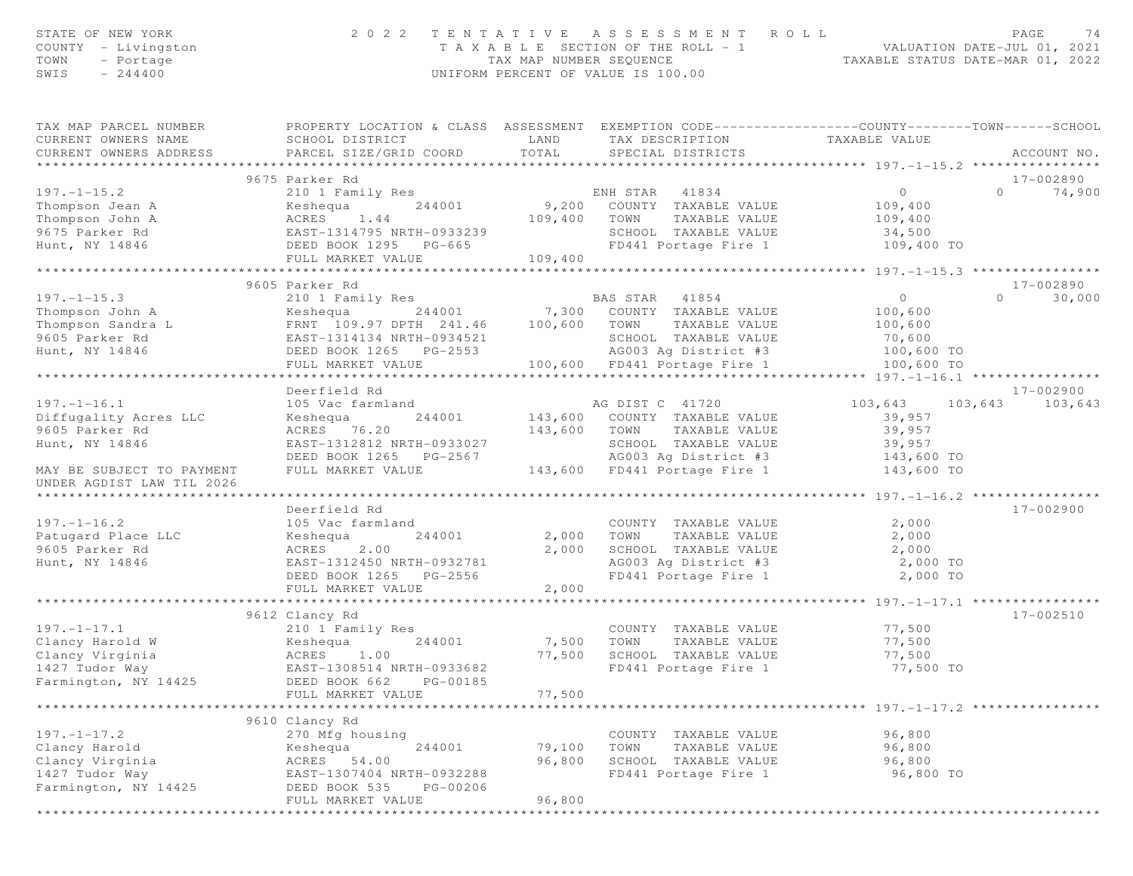| STATE OF NEW YORK<br>COUNTY - Livingston<br>TOWN<br>- Portage<br>SWIS<br>$-244400$ | 2 0 2 2                                                                                                                                       | TAX MAP NUMBER SEQUENCE | TENTATIVE ASSESSMENT<br>R O L L<br>T A X A B L E SECTION OF THE ROLL - 1<br>UNIFORM PERCENT OF VALUE IS 100.00 |                                                        | PAGE<br>74<br>VALUATION DATE-JUL 01, 2021<br>TAXABLE STATUS DATE-MAR 01, 2022 |
|------------------------------------------------------------------------------------|-----------------------------------------------------------------------------------------------------------------------------------------------|-------------------------|----------------------------------------------------------------------------------------------------------------|--------------------------------------------------------|-------------------------------------------------------------------------------|
| TAX MAP PARCEL NUMBER<br>CURRENT OWNERS NAME<br>CURRENT OWNERS ADDRESS             | PROPERTY LOCATION & CLASS ASSESSMENT EXEMPTION CODE----------------COUNTY-------TOWN------SCHOOL<br>SCHOOL DISTRICT<br>PARCEL SIZE/GRID COORD | LAND<br>TOTAL           | TAX DESCRIPTION<br>SPECIAL DISTRICTS                                                                           | TAXABLE VALUE                                          | ACCOUNT NO.                                                                   |
|                                                                                    | 9675 Parker Rd                                                                                                                                |                         |                                                                                                                |                                                        | 17-002890                                                                     |
| $197. - 1 - 15.2$                                                                  | 210 1 Family Res                                                                                                                              |                         | ENH STAR 41834                                                                                                 | $\circ$                                                | $\Omega$<br>74,900                                                            |
| Thompson Jean A                                                                    | 244001<br>Keshequa                                                                                                                            | 9,200                   | COUNTY TAXABLE VALUE                                                                                           | 109,400                                                |                                                                               |
| Thompson John A                                                                    | ACRES<br>1.44                                                                                                                                 | 109,400                 | TOWN<br>TAXABLE VALUE                                                                                          | 109,400                                                |                                                                               |
| 9675 Parker Rd                                                                     | EAST-1314795 NRTH-0933239                                                                                                                     |                         | SCHOOL TAXABLE VALUE                                                                                           | 34,500                                                 |                                                                               |
| Hunt, NY 14846                                                                     | DEED BOOK 1295 PG-665                                                                                                                         |                         | FD441 Portage Fire 1                                                                                           | 109,400 TO                                             |                                                                               |
|                                                                                    | FULL MARKET VALUE                                                                                                                             | 109,400                 |                                                                                                                |                                                        |                                                                               |
|                                                                                    | **************************                                                                                                                    | *******************     |                                                                                                                | ************* 197. -1-15.3 *****************           |                                                                               |
| $197. - 1 - 15.3$                                                                  | 9605 Parker Rd<br>210 1 Family Res                                                                                                            |                         | BAS STAR<br>41854                                                                                              | $\overline{0}$                                         | 17-002890<br>$\Omega$<br>30,000                                               |
| Thompson John A                                                                    | Keshequa<br>244001                                                                                                                            | 7,300                   | COUNTY TAXABLE VALUE                                                                                           | 100,600                                                |                                                                               |
| Thompson Sandra L                                                                  | FRNT 109.97 DPTH 241.46                                                                                                                       | 100,600                 | TOWN<br>TAXABLE VALUE                                                                                          | 100,600                                                |                                                                               |
| 9605 Parker Rd                                                                     | EAST-1314134 NRTH-0934521                                                                                                                     |                         | SCHOOL TAXABLE VALUE                                                                                           | 70,600                                                 |                                                                               |
| Hunt, NY 14846                                                                     | DEED BOOK 1265 PG-2553                                                                                                                        |                         | AG003 Ag District #3                                                                                           | 100,600 TO                                             |                                                                               |
|                                                                                    | FULL MARKET VALUE                                                                                                                             |                         | 100,600 FD441 Portage Fire 1                                                                                   | 100,600 TO                                             |                                                                               |
|                                                                                    | *******************                                                                                                                           |                         |                                                                                                                |                                                        |                                                                               |
|                                                                                    | Deerfield Rd                                                                                                                                  |                         |                                                                                                                |                                                        | 17-002900                                                                     |
| $197. - 1 - 16.1$                                                                  | 105 Vac farmland                                                                                                                              |                         | AG DIST C 41720                                                                                                | 103,643                                                | 103,643<br>103,643                                                            |
| Diffugality Acres LLC                                                              | 244001<br>Keshequa                                                                                                                            |                         | 143,600 COUNTY TAXABLE VALUE                                                                                   | 39,957                                                 |                                                                               |
| 9605 Parker Rd                                                                     | ACRES 76.20                                                                                                                                   | 143,600                 | TOWN<br>TAXABLE VALUE                                                                                          | 39,957                                                 |                                                                               |
| Hunt, NY 14846                                                                     | EAST-1312812 NRTH-0933027<br>DEED BOOK 1265 PG-2567                                                                                           |                         | SCHOOL TAXABLE VALUE<br>AG003 Aq District #3                                                                   | 39,957<br>143,600 TO                                   |                                                                               |
| MAY BE SUBJECT TO PAYMENT<br>UNDER AGDIST LAW TIL 2026                             | FULL MARKET VALUE                                                                                                                             |                         | 143,600 FD441 Portage Fire 1                                                                                   | 143,600 TO                                             |                                                                               |
| ******************************                                                     |                                                                                                                                               |                         |                                                                                                                |                                                        |                                                                               |
|                                                                                    | Deerfield Rd                                                                                                                                  |                         |                                                                                                                |                                                        | 17-002900                                                                     |
| $197. - 1 - 16.2$                                                                  | 105 Vac farmland                                                                                                                              |                         | COUNTY TAXABLE VALUE                                                                                           | 2,000                                                  |                                                                               |
| Patugard Place LLC                                                                 | Keshequa<br>244001                                                                                                                            | 2,000                   | TOWN<br>TAXABLE VALUE                                                                                          | 2,000                                                  |                                                                               |
| 9605 Parker Rd                                                                     | ACRES<br>2.00                                                                                                                                 | 2,000                   | SCHOOL TAXABLE VALUE                                                                                           | 2,000                                                  |                                                                               |
| Hunt, NY 14846                                                                     | EAST-1312450 NRTH-0932781                                                                                                                     |                         | AG003 Ag District #3                                                                                           | 2,000 TO                                               |                                                                               |
|                                                                                    | DEED BOOK 1265 PG-2556<br>FULL MARKET VALUE                                                                                                   | 2,000                   | FD441 Portage Fire 1                                                                                           | 2,000 TO                                               |                                                                               |
|                                                                                    |                                                                                                                                               |                         |                                                                                                                | *************** 197.-1-17.1 ****                       |                                                                               |
|                                                                                    | 9612 Clancy Rd                                                                                                                                |                         |                                                                                                                |                                                        | 17-002510                                                                     |
| $197. - 1 - 17.1$                                                                  | 210 1 Family Res                                                                                                                              |                         | COUNTY TAXABLE VALUE                                                                                           | 77,500                                                 |                                                                               |
| Clancy Harold W                                                                    | Keshequa<br>244001                                                                                                                            | 7,500                   | TOWN<br>TAXABLE VALUE                                                                                          | 77,500                                                 |                                                                               |
| Clancy Virginia                                                                    | ACRES 1.00                                                                                                                                    | 77,500                  | SCHOOL TAXABLE VALUE                                                                                           | 77,500                                                 |                                                                               |
| 1427 Tudor Way                                                                     | EAST-1308514 NRTH-0933682                                                                                                                     |                         | FD441 Portage Fire 1                                                                                           | 77,500 TO                                              |                                                                               |
| Farmington, NY 14425                                                               | DEED BOOK 662<br>PG-00185                                                                                                                     |                         |                                                                                                                |                                                        |                                                                               |
|                                                                                    | FULL MARKET VALUE                                                                                                                             | 77,500                  |                                                                                                                | *********************** 197. -1-17. 2 **************** |                                                                               |
|                                                                                    | 9610 Clancy Rd                                                                                                                                |                         |                                                                                                                |                                                        |                                                                               |
| $197. - 1 - 17.2$                                                                  | 270 Mfg housing                                                                                                                               |                         | COUNTY TAXABLE VALUE                                                                                           | 96,800                                                 |                                                                               |
| Clancy Harold                                                                      | 244001<br>Keshequa                                                                                                                            | 79,100                  | TOWN<br>TAXABLE VALUE                                                                                          | 96,800                                                 |                                                                               |
| Clancy Virginia                                                                    | ACRES 54.00                                                                                                                                   | 96,800                  | SCHOOL TAXABLE VALUE                                                                                           | 96,800                                                 |                                                                               |
| 1427 Tudor Way                                                                     | EAST-1307404 NRTH-0932288                                                                                                                     |                         | FD441 Portage Fire 1                                                                                           | 96,800 TO                                              |                                                                               |
| Farmington, NY 14425                                                               | DEED BOOK 535<br>PG-00206                                                                                                                     |                         |                                                                                                                |                                                        |                                                                               |
|                                                                                    | FULL MARKET VALUE                                                                                                                             | 96,800                  |                                                                                                                |                                                        |                                                                               |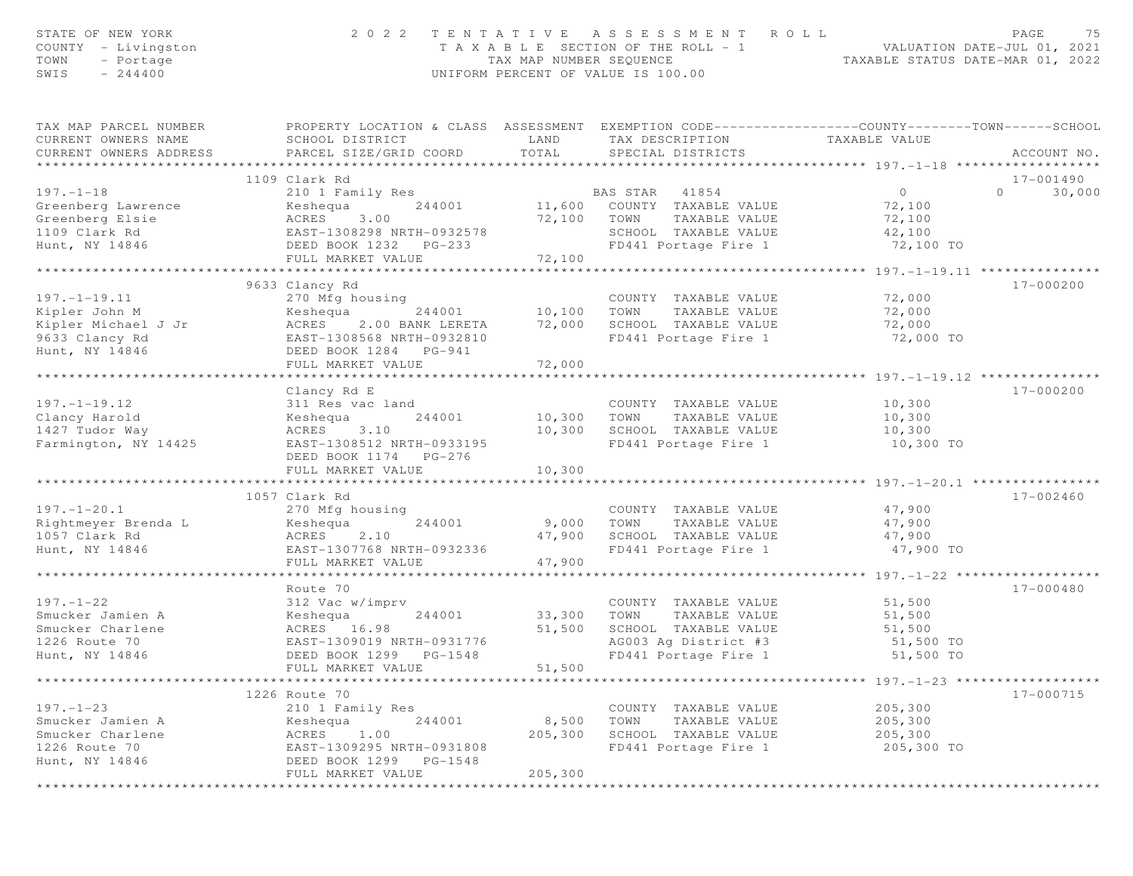| STATE OF NEW YORK<br>COUNTY - Livingston<br>TOWN<br>- Portage<br>$-244400$<br>SWIS             |                                                                                                                                                         |                                           | 2022 TENTATIVE ASSESSMENT ROLL<br>UNIFORM PERCENT OF VALUE IS 100.00                                                       | T A X A B L E SECTION OF THE ROLL - 1 VALUATION DATE-JUL 01, 2021<br>TAX MAP NUMBER SEQUENCE TAXABLE STATUS DATE-MAR 01, 2022 | PAGE<br>75         |
|------------------------------------------------------------------------------------------------|---------------------------------------------------------------------------------------------------------------------------------------------------------|-------------------------------------------|----------------------------------------------------------------------------------------------------------------------------|-------------------------------------------------------------------------------------------------------------------------------|--------------------|
| TAX MAP PARCEL NUMBER<br>CURRENT OWNERS NAME<br>CURRENT OWNERS ADDRESS                         | PROPERTY LOCATION & CLASS ASSESSMENT EXEMPTION CODE----------------COUNTY-------TOWN------SCHOOL<br>SCHOOL DISTRICT<br>PARCEL SIZE/GRID COORD           | LAND<br>TOTAL                             | TAX DESCRIPTION<br>SPECIAL DISTRICTS                                                                                       | TAXABLE VALUE                                                                                                                 | ACCOUNT NO.        |
|                                                                                                |                                                                                                                                                         |                                           |                                                                                                                            |                                                                                                                               |                    |
|                                                                                                | 1109 Clark Rd                                                                                                                                           |                                           |                                                                                                                            |                                                                                                                               | 17-001490          |
| $197. - 1 - 18$<br>Greenberg Lawrence<br>Greenberg Elsie<br>1109 Clark Rd<br>Hunt, NY 14846    | 210 1 Family Res<br>Keshequa<br>ACRES 3.00<br>DEED BOOK 1232 PG-233<br>FULL MARKET VALUE                                                                | 72,100<br>72,100                          | BAS STAR 41854<br>244001 11,600 COUNTY TAXABLE VALUE<br>TOWN TAXABLE VALUE<br>SCHOOL TAXABLE VALUE<br>FD441 Portage Fire 1 | $\circ$<br>72,100<br>72,100<br>42,100<br>72,100 TO                                                                            | $\Omega$<br>30,000 |
|                                                                                                |                                                                                                                                                         |                                           |                                                                                                                            |                                                                                                                               |                    |
| $197. - 1 - 19.11$<br>Kipler John M<br>Kipler Michael J Jr<br>9633 Clancy Rd<br>Hunt, NY 14846 | 9633 Clancy Rd<br>270 Mfg housing<br>Keshequa<br>244001<br>ACRES 2.00 BANK LERETA<br>EAST-1308568 NRTH-0932810<br>DEED BOOK 1284 PG-941                 | COUNTY<br>10,100 TOWN<br>72,000<br>72,000 | COUNTY TAXABLE VALUE<br>TAXABLE VALUE<br>SCHOOL TAXABLE VALUE<br>FD441 Portage Fire 1                                      | 72,000<br>72,000<br>72,000<br>72,000 TO                                                                                       | 17-000200          |
|                                                                                                | FULL MARKET VALUE                                                                                                                                       |                                           |                                                                                                                            |                                                                                                                               |                    |
| $197. - 1 - 19.12$<br>Clancy Harold<br>1427 Tudor Way<br>Farmington, NY 14425                  | Clancy Rd E<br>311 Res vac land<br>244001<br>Keshequa<br>ACRES 3.10<br>EAST-1308512 NRTH-0933195<br>DEED BOOK 1174 PG-276<br>FULL MARKET VALUE          | 10,300<br>10,300<br>10,300                | COUNTY TAXABLE VALUE<br>TOWN<br>TAXABLE VALUE<br>SCHOOL TAXABLE VALUE<br>FD441 Portage Fire 1                              | 10,300<br>10,300<br>10,300<br>10,300 TO<br>****************************** 197.-1-20.1 ****                                    | 17-000200          |
|                                                                                                | 1057 Clark Rd                                                                                                                                           |                                           |                                                                                                                            |                                                                                                                               | 17-002460          |
| $197. - 1 - 20.1$<br>Rightmeyer Brenda L<br>1057 Clark Rd<br>Hunt, NY 14846                    | 270 Mfg housing<br>244001<br>Keshequa<br>2.10<br>ACRES<br>EAST-1307768 NRTH-0932336<br>FULL MARKET VALUE                                                | 9,000<br>47,900<br>47,900                 | COUNTY TAXABLE VALUE<br>TOWN<br>TAXABLE VALUE<br>SCHOOL TAXABLE VALUE<br>FD441 Portage Fire 1                              | 47,900<br>47,900<br>47,900<br>47,900 TO                                                                                       |                    |
|                                                                                                |                                                                                                                                                         |                                           |                                                                                                                            |                                                                                                                               |                    |
| $197. - 1 - 22$<br>Smucker Jamien A<br>Smucker Charlene<br>1226 Route 70<br>Hunt, NY 14846     | Route 70<br>312 Vac w/imprv<br>Keshequa<br>244001<br>ACRES 16.98<br>EAST-1309019 NRTH-0931776<br>DEED BOOK 1299 PG-1548<br>FULL MARKET VALUE            | 33,300<br>51,500<br>51,500                | COUNTY TAXABLE VALUE<br>TOWN<br>TAXABLE VALUE<br>SCHOOL TAXABLE VALUE<br>AG003 Ag District #3<br>FD441 Portage Fire 1      | 51,500<br>51,500<br>51,500<br>51,500 TO<br>51,500 TO                                                                          | $17 - 000480$      |
|                                                                                                |                                                                                                                                                         | * * * * * * * *                           |                                                                                                                            | ********** 197. -1-23 ******************                                                                                      |                    |
| $197. - 1 - 23$<br>Smucker Jamien A<br>Smucker Charlene<br>1226 Route 70<br>Hunt, NY 14846     | 1226 Route 70<br>210 1 Family Res<br>244001<br>Keshequa<br>ACRES<br>1.00<br>EAST-1309295 NRTH-0931808<br>DEED BOOK 1299<br>PG-1548<br>FULL MARKET VALUE | 8,500<br>205,300<br>205,300               | COUNTY TAXABLE VALUE<br>TOWN<br>TAXABLE VALUE<br>SCHOOL TAXABLE VALUE<br>FD441 Portage Fire 1                              | 205,300<br>205,300<br>205,300<br>205,300 TO                                                                                   | 17-000715          |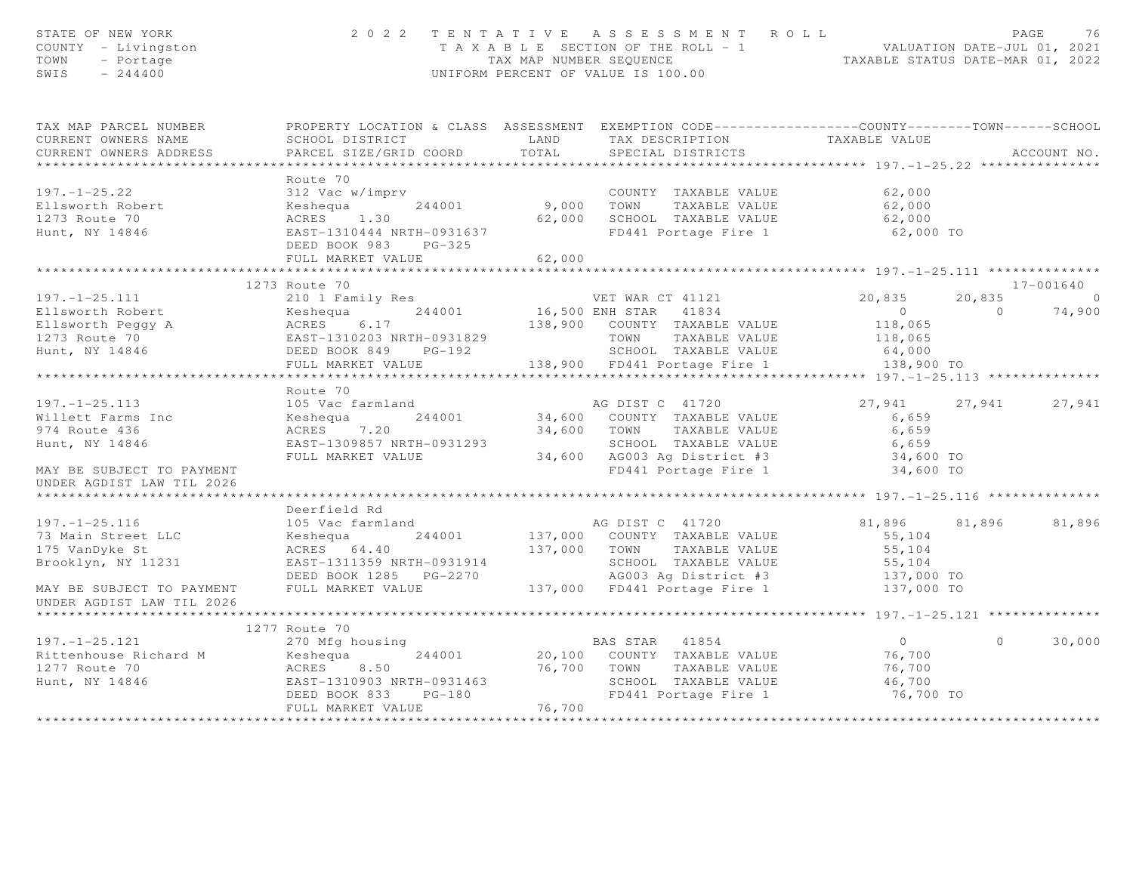| STATE OF NEW YORK<br>COUNTY - Livingston<br>TOWN<br>- Portage<br>SWIS<br>$-244400$                                         |                                                                                                                                                                                                                                      |        | 2022 TENTATIVE ASSESSMENT ROLL<br>T A X A B L E SECTION OF THE ROLL - 1<br>TAX MAP NUMBER SEQUENCE THE ROLL - 1<br>TAXABLE STATUS DATE-MAR 01, 2022<br>UNIFORM PERCENT OF VALUE IS 100.00 |                      |                | PAGE<br>-76 |
|----------------------------------------------------------------------------------------------------------------------------|--------------------------------------------------------------------------------------------------------------------------------------------------------------------------------------------------------------------------------------|--------|-------------------------------------------------------------------------------------------------------------------------------------------------------------------------------------------|----------------------|----------------|-------------|
| TAX MAP PARCEL NUMBER THE PROPERTY LOCATION & CLASS ASSESSMENT EXEMPTION CODE---------------COUNTY--------TOWN------SCHOOL |                                                                                                                                                                                                                                      |        |                                                                                                                                                                                           |                      |                |             |
| CURRENT OWNERS NAME                                                                                                        | SCHOOL DISTRICT LAND                                                                                                                                                                                                                 |        | TAX DESCRIPTION TAXABLE VALUE<br>SPECIAL DISTRICTS                                                                                                                                        |                      |                |             |
| CURRENT OWNERS ADDRESS<br>**************************                                                                       | PARCEL SIZE/GRID COORD                                                                                                                                                                                                               | TOTAL  |                                                                                                                                                                                           |                      |                | ACCOUNT NO. |
|                                                                                                                            | Route 70                                                                                                                                                                                                                             |        |                                                                                                                                                                                           |                      |                |             |
| $197. - 1 - 25.22$                                                                                                         |                                                                                                                                                                                                                                      |        | COUNTY TAXABLE VALUE 62,000                                                                                                                                                               |                      |                |             |
|                                                                                                                            |                                                                                                                                                                                                                                      |        |                                                                                                                                                                                           | 62,000               |                |             |
|                                                                                                                            |                                                                                                                                                                                                                                      |        |                                                                                                                                                                                           |                      |                |             |
| Ellsworth Robert<br>1273 Route 70<br>Hunt, NY 14846                                                                        | Keshequa 244001<br>ACRES 1.30<br>EAST-1310444 NRTH-0931637<br>EAST-1310444 NRTH-0931637<br>DEED BOOK 983 PG-325                                                                                                                      |        | 62,000 SCHOOL TAXABLE VALUE<br>FD441 Portage Fire 1                                                                                                                                       | 62,000<br>62,000 TO  |                |             |
|                                                                                                                            | FULL MARKET VALUE                                                                                                                                                                                                                    | 62,000 |                                                                                                                                                                                           |                      |                |             |
|                                                                                                                            |                                                                                                                                                                                                                                      |        |                                                                                                                                                                                           |                      |                |             |
|                                                                                                                            |                                                                                                                                                                                                                                      |        |                                                                                                                                                                                           |                      |                | 17-001640   |
|                                                                                                                            |                                                                                                                                                                                                                                      |        |                                                                                                                                                                                           |                      |                | 20,835 0    |
|                                                                                                                            |                                                                                                                                                                                                                                      |        |                                                                                                                                                                                           |                      | $\overline{0}$ | 74,900      |
|                                                                                                                            |                                                                                                                                                                                                                                      |        |                                                                                                                                                                                           |                      |                |             |
|                                                                                                                            |                                                                                                                                                                                                                                      |        |                                                                                                                                                                                           |                      |                |             |
|                                                                                                                            |                                                                                                                                                                                                                                      |        |                                                                                                                                                                                           |                      |                |             |
|                                                                                                                            |                                                                                                                                                                                                                                      |        |                                                                                                                                                                                           |                      |                |             |
|                                                                                                                            | Route 70                                                                                                                                                                                                                             |        |                                                                                                                                                                                           |                      |                |             |
|                                                                                                                            | 105 Vac farmland                                                                                                                                                                                                                     |        |                                                                                                                                                                                           | 27,941 27,941 27,941 |                |             |
|                                                                                                                            | $ACRES$ 244001<br>$BCRES$ 7.20<br>$EAST-1309957$ ---                                                                                                                                                                                 |        |                                                                                                                                                                                           | 6,659                |                |             |
|                                                                                                                            |                                                                                                                                                                                                                                      |        |                                                                                                                                                                                           | 6,659                |                |             |
| Hunt, NY 14846                                                                                                             | EAST-1309857 NRTH-0931293<br>FULL MARKET VALUE 34,600 AG003 Ag District #3 34,600 TO                                                                                                                                                 |        |                                                                                                                                                                                           |                      |                |             |
|                                                                                                                            |                                                                                                                                                                                                                                      |        |                                                                                                                                                                                           |                      |                |             |
| MAY BE SUBJECT TO PAYMENT<br>UNDER AGDIST LAW TIL 2026                                                                     |                                                                                                                                                                                                                                      |        | FD441 Portage Fire 1                                                                                                                                                                      | 34,600 TO            |                |             |
|                                                                                                                            |                                                                                                                                                                                                                                      |        |                                                                                                                                                                                           |                      |                |             |
| $197. - 1 - 25.116$                                                                                                        | Deerfield Rd<br>105 Vac farmland                                                                                                                                                                                                     |        | AG DIST C 41720                                                                                                                                                                           | 81,896 81,896        |                | 81,896      |
| 73 Main Street LLC                                                                                                         |                                                                                                                                                                                                                                      |        |                                                                                                                                                                                           | 55,104               |                |             |
| 175 VanDyke St                                                                                                             |                                                                                                                                                                                                                                      |        |                                                                                                                                                                                           |                      |                |             |
| Brooklyn, NY 11231                                                                                                         |                                                                                                                                                                                                                                      |        |                                                                                                                                                                                           |                      |                |             |
|                                                                                                                            |                                                                                                                                                                                                                                      |        |                                                                                                                                                                                           |                      |                |             |
| MAY BE SUBJECT TO PAYMENT<br>UNDER AGDIST LAW TIL 2026                                                                     | ACRES 64.40 137,000 TOWN TAXABLE VALUE 55,104<br>EAST-1311359 NRTH-0931914 SCHOOL TAXABLE VALUE 55,104<br>DEED BOOK 1285 PG-2270 137,000 FD441 Portage Fire 1 137,000 TO<br>FULL MARKET VALUE 137,000 FD441 Portage Fire 1 137,000 T |        |                                                                                                                                                                                           |                      |                |             |
|                                                                                                                            |                                                                                                                                                                                                                                      |        |                                                                                                                                                                                           |                      |                |             |
|                                                                                                                            | 1277 Route 70                                                                                                                                                                                                                        |        |                                                                                                                                                                                           |                      |                |             |
| $197. - 1 - 25.121$                                                                                                        |                                                                                                                                                                                                                                      |        |                                                                                                                                                                                           | $\overline{0}$       | $\Omega$       | 30,000      |
| Rittenhouse Richard M                                                                                                      |                                                                                                                                                                                                                                      |        |                                                                                                                                                                                           |                      |                |             |
| 1277 Route 70<br>Hunt, NY 14846<br>EAST-1310903 NRTH-0931463                                                               |                                                                                                                                                                                                                                      |        |                                                                                                                                                                                           |                      |                |             |
|                                                                                                                            |                                                                                                                                                                                                                                      |        | 76,700 TOWN TAXABLE VALUE<br>SCHOOL TAXABLE VALUE<br>FD441 Portage Fire 1<br>SCHOOL TAXABLE VALUE                                                                                         | 46,700               |                |             |
|                                                                                                                            | DEED BOOK 833 PG-180                                                                                                                                                                                                                 |        | FD441 Portage Fire 1                                                                                                                                                                      | 76,700 TO            |                |             |
|                                                                                                                            | FULL MARKET VALUE                                                                                                                                                                                                                    | 76,700 |                                                                                                                                                                                           |                      |                |             |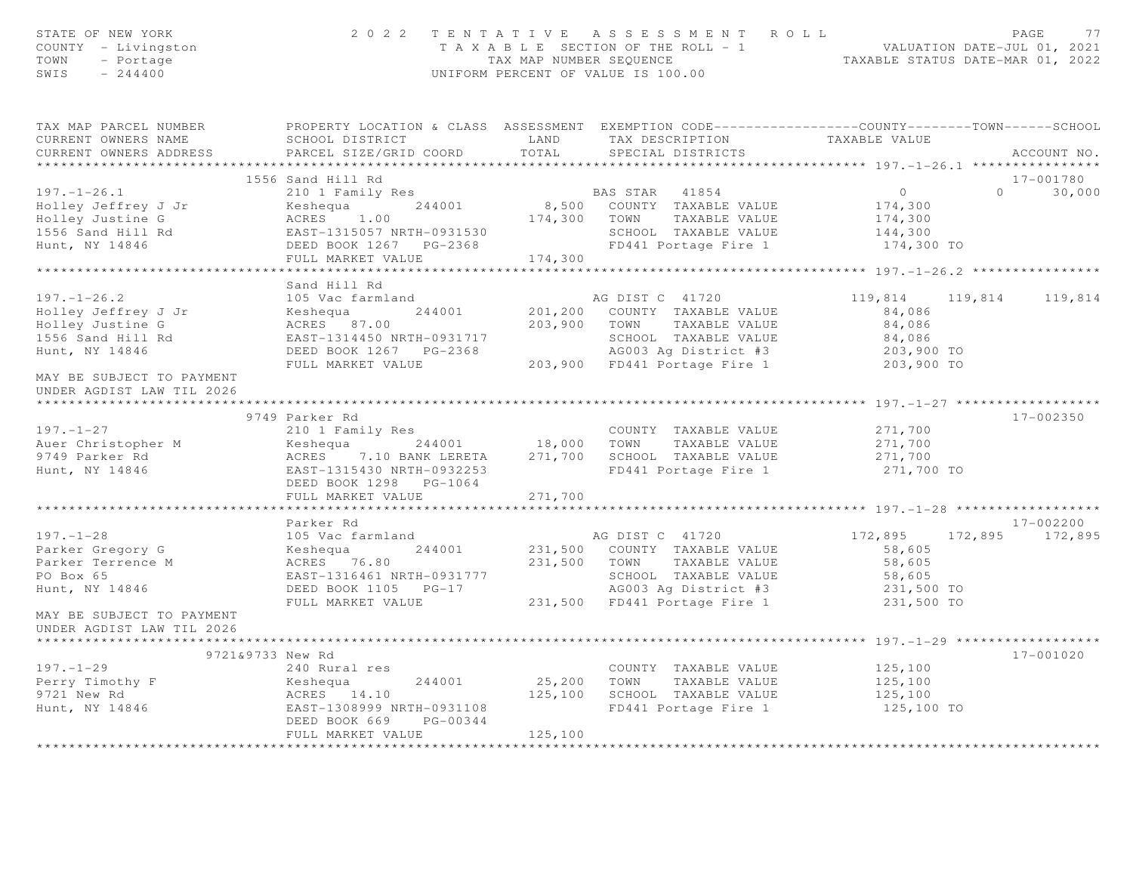| STATE OF NEW YORK<br>COUNTY - Livingston<br>TOWN<br>- Portage<br>SWIS<br>$-244400$                                                               |                                                                                                                                                                                                   |             | 2022 TENTATIVE ASSESSMENT ROLL<br>TAXABLE SECTION OF THE ROLL - 1<br>TAXABLE STATUS DATE-JUL 01, 2021<br>TAXABLE STATUS DATE-MAR 01, 2022<br>UNIFORM PERCENT OF VALUE IS 100.00 |                         | PAGE<br>77                  |
|--------------------------------------------------------------------------------------------------------------------------------------------------|---------------------------------------------------------------------------------------------------------------------------------------------------------------------------------------------------|-------------|---------------------------------------------------------------------------------------------------------------------------------------------------------------------------------|-------------------------|-----------------------------|
| TAX MAP PARCEL NUMBER THE PROPERTY LOCATION & CLASS ASSESSMENT EXEMPTION CODE--------------COUNTY--------TOWN------SCHOOL<br>CURRENT OWNERS NAME | SCHOOL DISTRICT                                                                                                                                                                                   |             | LAND TAX DESCRIPTION TAXABLE VALUE                                                                                                                                              |                         |                             |
| CURRENT OWNERS ADDRESS                                                                                                                           | PARCEL SIZE/GRID COORD                                                                                                                                                                            | TOTAL       | SPECIAL DISTRICTS                                                                                                                                                               |                         | ACCOUNT NO.                 |
|                                                                                                                                                  |                                                                                                                                                                                                   |             |                                                                                                                                                                                 |                         |                             |
|                                                                                                                                                  | 1556 Sand Hill Rd                                                                                                                                                                                 |             |                                                                                                                                                                                 |                         | 17-001780                   |
| $197. - 1 - 26.1$                                                                                                                                | 210 1 Family Res                                                                                                                                                                                  |             | BAS STAR 41854                                                                                                                                                                  | $\overline{0}$          | $0 \qquad \qquad$<br>30,000 |
| Holley Jeffrey J Jr                                                                                                                              |                                                                                                                                                                                                   |             | 8,500 COUNTY TAXABLE VALUE                                                                                                                                                      | 174,300                 |                             |
| Holley Justine G                                                                                                                                 |                                                                                                                                                                                                   |             |                                                                                                                                                                                 | 174,300                 |                             |
| $1556$ Sand Hill Rd<br>$\frac{1556}{14846}$                                                                                                      |                                                                                                                                                                                                   |             |                                                                                                                                                                                 | 144,300                 |                             |
| Hunt, NY 14846                                                                                                                                   | Example value of the Magnus 244001<br>ACRES 1.00 174,300 TOWN TAXABLE VALUE<br>EAST-1315057 NRTH-0931530 SCHOOL TAXABLE VALUE<br>DEED BOOK 1267 PG-2368 FD441 Portage Fire 1<br>FULL MARKET VALUE | 174,300     |                                                                                                                                                                                 | 174,300 TO              |                             |
|                                                                                                                                                  | *****************************                                                                                                                                                                     |             |                                                                                                                                                                                 |                         |                             |
|                                                                                                                                                  | Sand Hill Rd                                                                                                                                                                                      |             |                                                                                                                                                                                 |                         |                             |
| $197. - 1 - 26.2$                                                                                                                                | 105 Vac farmland                                                                                                                                                                                  |             | AG DIST C 41720                                                                                                                                                                 | 119,814 119,814 119,814 |                             |
| Holley Jeffrey J Jr                                                                                                                              | 244001<br>Keshequa                                                                                                                                                                                |             | 201,200 COUNTY TAXABLE VALUE                                                                                                                                                    | 84,086                  |                             |
| Holley Justine G                                                                                                                                 | Keshequa<br>ACRES 87.00                                                                                                                                                                           |             | 203,900 TOWN TAXABLE VALUE                                                                                                                                                      | 84,086                  |                             |
| 1556 Sand Hill Rd                                                                                                                                |                                                                                                                                                                                                   |             |                                                                                                                                                                                 |                         |                             |
| Hunt, NY 14846                                                                                                                                   |                                                                                                                                                                                                   |             | EAST-1314450 NRTH-0931717<br>DEED BOOK 1267 PG-2368 (AGOO3 Ag District #3 (203,900 TO<br>FULL MARKET VALUE (203,900 FD441 Portage Fire 1 (203,900 TO                            |                         |                             |
|                                                                                                                                                  |                                                                                                                                                                                                   |             |                                                                                                                                                                                 |                         |                             |
| MAY BE SUBJECT TO PAYMENT<br>UNDER AGDIST LAW TIL 2026                                                                                           |                                                                                                                                                                                                   |             |                                                                                                                                                                                 |                         |                             |
|                                                                                                                                                  | 9749 Parker Rd                                                                                                                                                                                    |             |                                                                                                                                                                                 |                         | 17-002350                   |
| $197. - 1 - 27$                                                                                                                                  |                                                                                                                                                                                                   |             | COUNTY TAXABLE VALUE                                                                                                                                                            | 271,700                 |                             |
| Auer Christopher M                                                                                                                               |                                                                                                                                                                                                   |             |                                                                                                                                                                                 | 271,700                 |                             |
|                                                                                                                                                  | Keshequa 244001<br>ACRES 7.10 BANK LERETA                                                                                                                                                         |             | 271,700 SCHOOL TAXABLE VALUE                                                                                                                                                    | 271,700                 |                             |
| 9749 Parker Rd<br>Hunt, NY 14846                                                                                                                 | EAST-1315430 NRTH-0932253<br>DEED BOOK 1298 PG-1064                                                                                                                                               |             | FD441 Portage Fire 1                                                                                                                                                            | 271,700 TO              |                             |
|                                                                                                                                                  | FULL MARKET VALUE                                                                                                                                                                                 | 271,700     |                                                                                                                                                                                 |                         |                             |
|                                                                                                                                                  |                                                                                                                                                                                                   |             |                                                                                                                                                                                 |                         |                             |
|                                                                                                                                                  | Parker Rd                                                                                                                                                                                         |             |                                                                                                                                                                                 |                         | 17-002200                   |
| $197. - 1 - 28$                                                                                                                                  | 105 Vac farmland                                                                                                                                                                                  |             | AG DIST C 41720                                                                                                                                                                 | 172,895                 | 172,895 172,895             |
| Parker Gregory G<br>Parker Terrence M                                                                                                            | 244001<br>Keshequa<br>ACRES 76.80                                                                                                                                                                 |             | 231,500 COUNTY TAXABLE VALUE<br>231,500 TOWN TAXABLE VALUE                                                                                                                      | 58,605<br>58,605        |                             |
| PO Box 65                                                                                                                                        | EAST-1316461 NRTH-0931777                                                                                                                                                                         |             | SCHOOL TAXABLE VALUE                                                                                                                                                            | 58,605                  |                             |
| Hunt, NY 14846                                                                                                                                   | DEED BOOK 1105 PG-17                                                                                                                                                                              |             | AG003 Ag District #3                                                                                                                                                            | 231,500 TO              |                             |
|                                                                                                                                                  | FULL MARKET VALUE                                                                                                                                                                                 |             | 231,500 FD441 Portage Fire 1                                                                                                                                                    | 231,500 TO              |                             |
| MAY BE SUBJECT TO PAYMENT<br>UNDER AGDIST LAW TIL 2026                                                                                           |                                                                                                                                                                                                   |             |                                                                                                                                                                                 |                         |                             |
|                                                                                                                                                  |                                                                                                                                                                                                   |             |                                                                                                                                                                                 |                         |                             |
| 9721&9733 New Rd                                                                                                                                 |                                                                                                                                                                                                   |             |                                                                                                                                                                                 |                         | 17-001020                   |
| $197. - 1 - 29$                                                                                                                                  | 240 Rural res                                                                                                                                                                                     |             | COUNTY TAXABLE VALUE                                                                                                                                                            | 125,100                 |                             |
|                                                                                                                                                  | 244001<br>Keshequa                                                                                                                                                                                | 25,200 TOWN | TAXABLE VALUE                                                                                                                                                                   | 125,100                 |                             |
| Perry Timothy F<br>9721 New Rd<br>Hunt, NY 14846                                                                                                 |                                                                                                                                                                                                   |             | 125,100 SCHOOL TAXABLE VALUE                                                                                                                                                    | 125,100                 |                             |
|                                                                                                                                                  | EAST-1308999 NRTH-0931108<br>DEED BOOK 669<br>PG-00344<br>FULL MARKET VALUE                                                                                                                       | 125,100     | FD441 Portage Fire 1                                                                                                                                                            | 125,100 TO              |                             |
|                                                                                                                                                  |                                                                                                                                                                                                   |             |                                                                                                                                                                                 |                         |                             |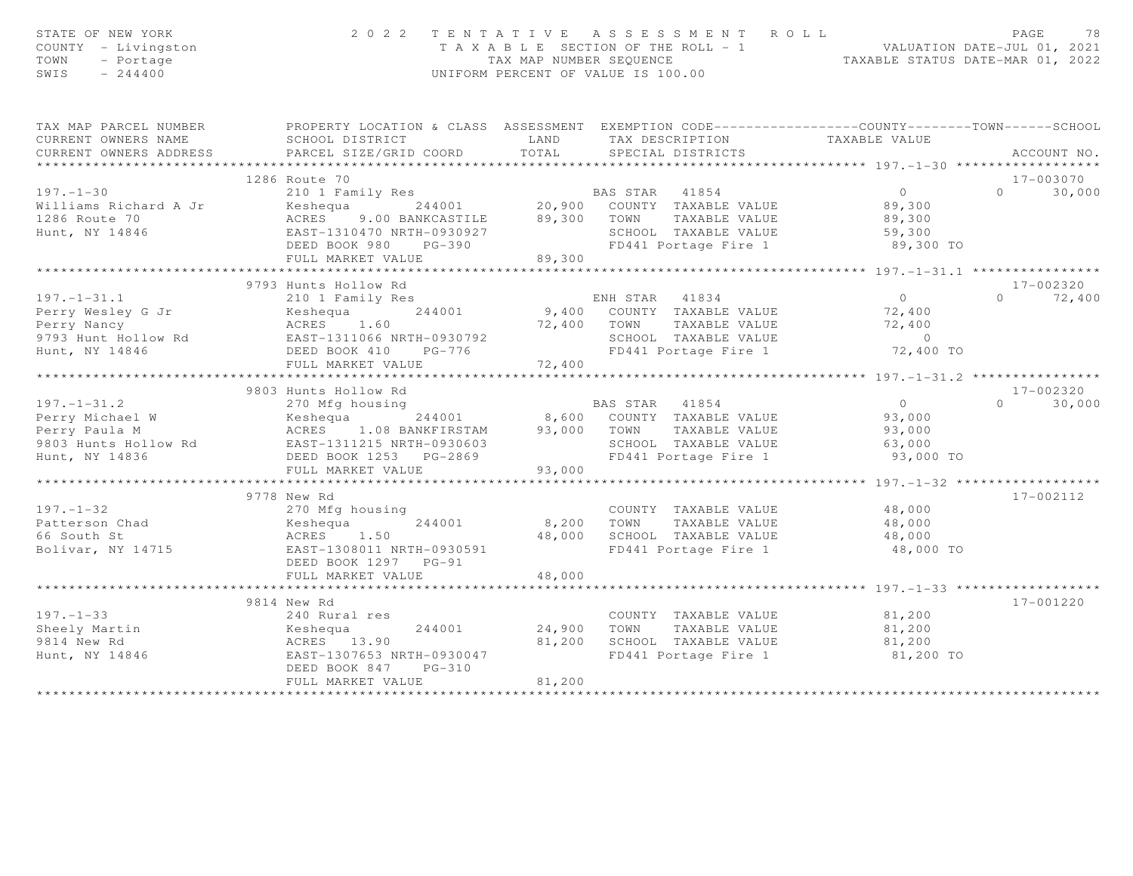| STATE OF NEW YORK<br>COUNTY - Livingston<br>TOWN<br>- Portage<br>$-244400$<br>SWIS | 2 0 2 2                                           |               | UNIFORM PERCENT OF VALUE IS 100.00 | TENTATIVE ASSESSMENT ROLL  | T A X A B L E SECTION OF THE ROLL - 1 VALUATION DATE-JUL 01, 2021<br>TAX MAP NUMBER SEQUENCE TAXABLE STATUS DATE-MAR 01, 2022 | PAGE      | 78                      |
|------------------------------------------------------------------------------------|---------------------------------------------------|---------------|------------------------------------|----------------------------|-------------------------------------------------------------------------------------------------------------------------------|-----------|-------------------------|
| TAX MAP PARCEL NUMBER                                                              |                                                   |               |                                    |                            | PROPERTY LOCATION & CLASS ASSESSMENT EXEMPTION CODE---------------COUNTY-------TOWN------SCHOOL                               |           |                         |
| CURRENT OWNERS NAME<br>CURRENT OWNERS ADDRESS                                      | SCHOOL DISTRICT<br>PARCEL SIZE/GRID COORD         | LAND<br>TOTAL | SPECIAL DISTRICTS                  |                            | TAX DESCRIPTION TAXABLE VALUE                                                                                                 |           | ACCOUNT NO.             |
|                                                                                    |                                                   |               |                                    |                            |                                                                                                                               |           |                         |
| 1286 Route 70                                                                      |                                                   |               |                                    |                            |                                                                                                                               |           | 17-003070               |
| $197. - 1 - 30$                                                                    | 210 1 Family Res                                  |               | BAS STAR 41854                     |                            | $\overline{0}$                                                                                                                | $\bigcap$ | 30,000                  |
| Keshequa<br>Williams Richard A Jr                                                  |                                                   |               | 244001 20,900 COUNTY TAXABLE VALUE |                            | 89,300                                                                                                                        |           |                         |
| ACRES<br>1286 Route 70                                                             | 9.00 BANKCASTILE                                  |               | 89,300 TOWN TAXABLE VALUE          |                            | 89,300                                                                                                                        |           |                         |
| Hunt, NY 14846                                                                     | EAST-1310470 NRTH-0930927                         |               | SCHOOL TAXABLE VALUE               |                            | 59,300                                                                                                                        |           |                         |
|                                                                                    | DEED BOOK 980<br>PG-390                           |               |                                    | FD441 Portage Fire 1       | 89,300 TO                                                                                                                     |           |                         |
|                                                                                    | FULL MARKET VALUE<br>***************************  | 89,300        | ***************************        |                            | ****************** 197.-1-31.1 ****                                                                                           |           |                         |
| 9793 Hunts Hollow Rd                                                               |                                                   |               |                                    |                            |                                                                                                                               |           | $17 - 002320$           |
| $197. - 1 - 31.1$                                                                  | 210 1 Family Res                                  |               | ENH STAR 41834                     |                            | $\overline{0}$                                                                                                                | $\Omega$  | 72,400                  |
| Perry Wesley G Jr<br>Keshequa                                                      | 244001                                            |               |                                    | 9,400 COUNTY TAXABLE VALUE | 72,400                                                                                                                        |           |                         |
| Perry Nancy                                                                        | ACRES 1.60                                        | 72,400 TOWN   |                                    | TAXABLE VALUE              | 72,400                                                                                                                        |           |                         |
| 9793 Hunt Hollow Rd                                                                | EAST-1311066 NRTH-0930792                         |               |                                    | SCHOOL TAXABLE VALUE       | $\overline{0}$                                                                                                                |           |                         |
| Hunt, NY 14846                                                                     | DEED BOOK 410<br>PG-776                           |               |                                    | FD441 Portage Fire 1       | 72,400 TO                                                                                                                     |           |                         |
|                                                                                    | FULL MARKET VALUE                                 | 72,400        |                                    |                            |                                                                                                                               |           |                         |
|                                                                                    | *************************                         | ***********   |                                    |                            | ***************** 197.-1-31.2 *****************                                                                               |           |                         |
| 9803 Hunts Hollow Rd<br>$197. - 1 - 31.2$                                          | 270 Mfg housing                                   |               | BAS STAR                           | 41854                      | $\overline{0}$                                                                                                                | $\cap$    | $17 - 002320$<br>30,000 |
| Perry Michael W                                                                    | Keshequa 244001                                   | 8,600         |                                    | COUNTY TAXABLE VALUE       | 93,000                                                                                                                        |           |                         |
| Perry Paula M                                                                      | ACRES 1.08 BANKFIRSTAM                            | 93,000 TOWN   |                                    | TAXABLE VALUE              | 93,000                                                                                                                        |           |                         |
| 9803 Hunts Hollow Rd                                                               | EAST-1311215 NRTH-0930603                         |               |                                    | SCHOOL TAXABLE VALUE       | 63,000                                                                                                                        |           |                         |
| Hunt, NY 14836                                                                     | DEED BOOK 1253 PG-2869                            |               | FD441 Portage Fire 1               |                            | 93,000 TO                                                                                                                     |           |                         |
|                                                                                    | FULL MARKET VALUE                                 | 93,000        |                                    |                            |                                                                                                                               |           |                         |
|                                                                                    | ************************                          | .             |                                    |                            | *********** 197. -1-32 *******************                                                                                    |           |                         |
| 9778 New Rd                                                                        |                                                   |               |                                    |                            |                                                                                                                               |           | 17-002112               |
| $197. - 1 - 32$                                                                    | 270 Mfg housing                                   |               |                                    | COUNTY TAXABLE VALUE       | 48,000                                                                                                                        |           |                         |
| Patterson Chad<br>Keshequa                                                         | 244001                                            | 8,200         | TOWN                               | TAXABLE VALUE              | 48,000                                                                                                                        |           |                         |
| 66 South St                                                                        | ACRES 1.50                                        | 48,000        |                                    | SCHOOL TAXABLE VALUE       | 48,000                                                                                                                        |           |                         |
| Bolivar, NY 14715                                                                  | EAST-1308011 NRTH-0930591<br>DEED BOOK 1297 PG-91 |               |                                    | FD441 Portage Fire 1       | 48,000 TO                                                                                                                     |           |                         |
|                                                                                    | FULL MARKET VALUE                                 | 48,000        |                                    |                            |                                                                                                                               |           |                         |
| ****************************                                                       |                                                   |               |                                    |                            |                                                                                                                               |           |                         |
| 9814 New Rd                                                                        |                                                   |               |                                    |                            |                                                                                                                               |           | 17-001220               |
| $197. - 1 - 33$                                                                    | 240 Rural res                                     |               |                                    | COUNTY TAXABLE VALUE       | 81,200                                                                                                                        |           |                         |
| Sheely Martin<br>Keshequa                                                          | 244001                                            | 24,900        | TOWN                               | TAXABLE VALUE              | 81,200                                                                                                                        |           |                         |
| 9814 New Rd                                                                        | ACRES 13.90                                       | 81,200        |                                    | SCHOOL TAXABLE VALUE       | 81,200                                                                                                                        |           |                         |
| Hunt, NY 14846                                                                     | EAST-1307653 NRTH-0930047                         |               |                                    | FD441 Portage Fire 1       | 81,200 TO                                                                                                                     |           |                         |
|                                                                                    | DEED BOOK 847<br>$PG-310$                         |               |                                    |                            |                                                                                                                               |           |                         |
|                                                                                    | FULL MARKET VALUE                                 | 81,200        |                                    |                            |                                                                                                                               |           |                         |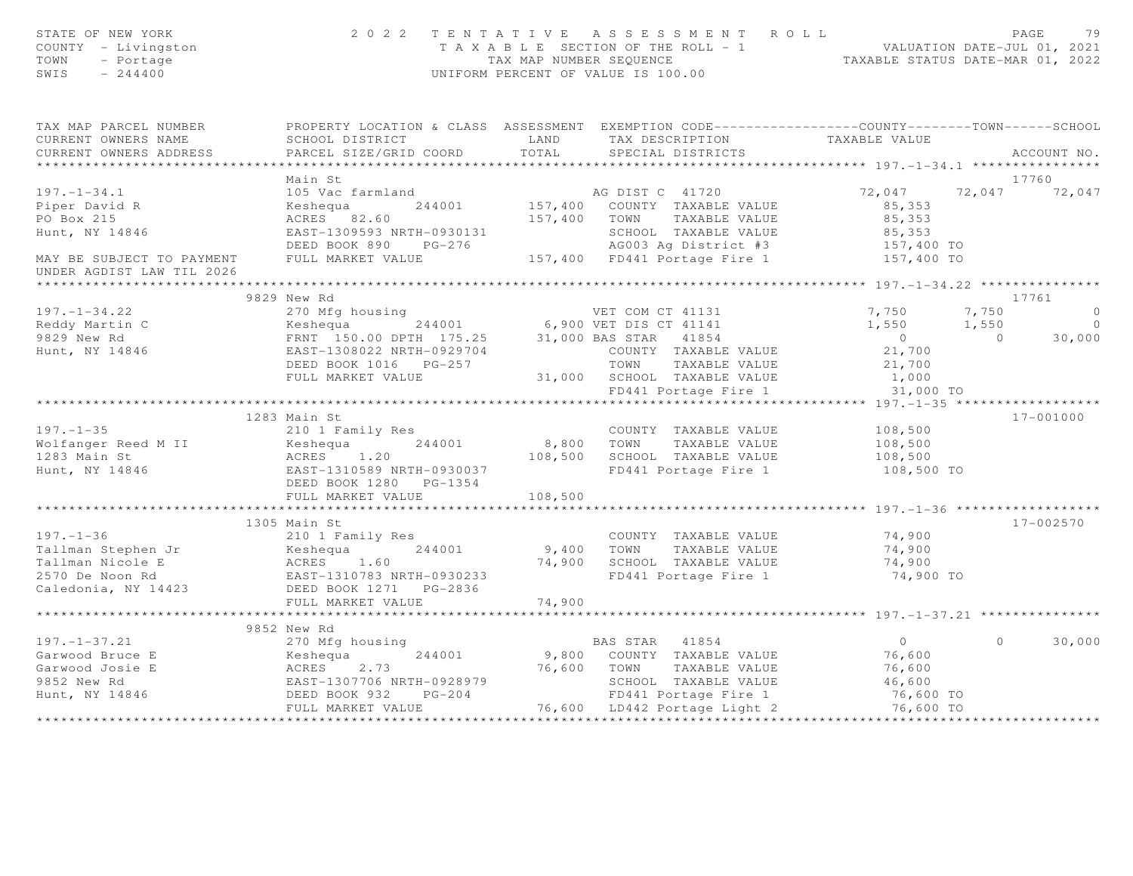| STATE OF NEW YORK<br>COUNTY - Livingston<br>TOWN<br>- Portage<br>$-244400$<br>SWIS                                                                                                                                                           |                                                                                                  |         | 2022 TENTATIVE ASSESSMENT ROLL<br>TAXABLE SECTION OF THE ROLL - 1<br>TAX MAP NUMBER SEQUENCE TAXABLE STATUS DATE-JUL 01, 2021<br>TAXABLE STATUS DATE-MAR 01, 2022<br>UNIFORM PERCENT OF VALUE IS 100.00 |                  | PAGE<br>79         |
|----------------------------------------------------------------------------------------------------------------------------------------------------------------------------------------------------------------------------------------------|--------------------------------------------------------------------------------------------------|---------|---------------------------------------------------------------------------------------------------------------------------------------------------------------------------------------------------------|------------------|--------------------|
| TAX MAP PARCEL NUMBER                                                                                                                                                                                                                        | PROPERTY LOCATION & CLASS ASSESSMENT EXEMPTION CODE----------------COUNTY-------TOWN------SCHOOL |         |                                                                                                                                                                                                         |                  |                    |
| CURRENT OWNERS NAME                                                                                                                                                                                                                          | SCHOOL DISTRICT LAND                                                                             |         | TAX DESCRIPTION TAXABLE VALUE<br>SPECIAL DISTRICTS                                                                                                                                                      |                  |                    |
| CURRENT OWNERS ADDRESS                                                                                                                                                                                                                       | PARCEL SIZE/GRID COORD                                                                           | TOTAL   |                                                                                                                                                                                                         |                  | ACCOUNT NO.        |
|                                                                                                                                                                                                                                              |                                                                                                  |         |                                                                                                                                                                                                         |                  |                    |
|                                                                                                                                                                                                                                              | Main St                                                                                          |         |                                                                                                                                                                                                         |                  | 17760              |
| 197.-1-34.1 105 Vac farmland<br>Piper David R<br>Po Box 215<br>Hunt, NY 14846 Reshequa 244001 157,400 COUNTY TAXABLE VALUE 85,353<br>Hunt, NY 14846 EAST-1309593 NRTH-0930131<br>MAY BE SUBJECT TO PAYMENT<br>MAY BE SUBJECT TO PAYMENT<br>M |                                                                                                  |         |                                                                                                                                                                                                         |                  |                    |
|                                                                                                                                                                                                                                              |                                                                                                  |         |                                                                                                                                                                                                         |                  |                    |
|                                                                                                                                                                                                                                              |                                                                                                  |         |                                                                                                                                                                                                         |                  |                    |
|                                                                                                                                                                                                                                              |                                                                                                  |         |                                                                                                                                                                                                         |                  |                    |
|                                                                                                                                                                                                                                              |                                                                                                  |         |                                                                                                                                                                                                         |                  |                    |
|                                                                                                                                                                                                                                              |                                                                                                  |         |                                                                                                                                                                                                         |                  |                    |
| UNDER AGDIST LAW TIL 2026                                                                                                                                                                                                                    |                                                                                                  |         |                                                                                                                                                                                                         |                  |                    |
|                                                                                                                                                                                                                                              |                                                                                                  |         |                                                                                                                                                                                                         |                  | 17761              |
|                                                                                                                                                                                                                                              | 9829 New Rd                                                                                      |         |                                                                                                                                                                                                         |                  |                    |
|                                                                                                                                                                                                                                              |                                                                                                  |         |                                                                                                                                                                                                         |                  | 7,750              |
|                                                                                                                                                                                                                                              |                                                                                                  |         |                                                                                                                                                                                                         |                  |                    |
|                                                                                                                                                                                                                                              |                                                                                                  |         |                                                                                                                                                                                                         |                  |                    |
|                                                                                                                                                                                                                                              |                                                                                                  |         |                                                                                                                                                                                                         |                  |                    |
|                                                                                                                                                                                                                                              |                                                                                                  |         |                                                                                                                                                                                                         |                  |                    |
| 197.-1-34.22<br>Reddy Martin C 270 Mfg housing<br>Reddy Martin C 244001<br>9829 New Rd FRNT 150.00 DPTH 175.25 31,000 BAS STAR 41854 0 0 0<br>Hunt, NY 14846 EEAST-1308022 NRTH-0929704 DEED BOOK 1016 PG-257 TOWN TAXABLE VALUE 21          |                                                                                                  |         |                                                                                                                                                                                                         |                  |                    |
|                                                                                                                                                                                                                                              |                                                                                                  |         |                                                                                                                                                                                                         |                  |                    |
|                                                                                                                                                                                                                                              | 1283 Main St                                                                                     |         |                                                                                                                                                                                                         |                  | 17-001000          |
|                                                                                                                                                                                                                                              |                                                                                                  |         |                                                                                                                                                                                                         |                  |                    |
|                                                                                                                                                                                                                                              |                                                                                                  |         |                                                                                                                                                                                                         |                  |                    |
|                                                                                                                                                                                                                                              |                                                                                                  |         |                                                                                                                                                                                                         |                  |                    |
|                                                                                                                                                                                                                                              |                                                                                                  |         |                                                                                                                                                                                                         | 108,500 TO       |                    |
|                                                                                                                                                                                                                                              |                                                                                                  |         |                                                                                                                                                                                                         |                  |                    |
|                                                                                                                                                                                                                                              | FULL MARKET VALUE                                                                                | 108,500 |                                                                                                                                                                                                         |                  |                    |
|                                                                                                                                                                                                                                              |                                                                                                  |         |                                                                                                                                                                                                         |                  |                    |
|                                                                                                                                                                                                                                              | 1305 Main St                                                                                     |         |                                                                                                                                                                                                         |                  | 17-002570          |
| $197. - 1 - 36$                                                                                                                                                                                                                              | 210 1 Family Res                                                                                 |         | COUNTY TAXABLE VALUE                                                                                                                                                                                    | 74,900           |                    |
|                                                                                                                                                                                                                                              |                                                                                                  |         |                                                                                                                                                                                                         |                  |                    |
|                                                                                                                                                                                                                                              |                                                                                                  |         |                                                                                                                                                                                                         | 74,900<br>74,900 |                    |
|                                                                                                                                                                                                                                              |                                                                                                  |         | FD441 Portage Fire 1 74,900 TO                                                                                                                                                                          |                  |                    |
| Tallman Stephen Jr (ALUE)<br>Tallman Nicole E (ACRES 1.60 74,900 SCHOOL TAXABLE VALUE)<br>2570 De Noon Rd (ACRES 1.60 74,900 SCHOOL TAXABLE VALUE)<br>2570 De Noon Rd (ACRES 1.60 74,900 SCHOOL TAXABLE VALUE)                               |                                                                                                  |         |                                                                                                                                                                                                         |                  |                    |
|                                                                                                                                                                                                                                              | FULL MARKET VALUE                                                                                | 74,900  |                                                                                                                                                                                                         |                  |                    |
|                                                                                                                                                                                                                                              |                                                                                                  |         |                                                                                                                                                                                                         |                  |                    |
|                                                                                                                                                                                                                                              | 9852 New Rd                                                                                      |         |                                                                                                                                                                                                         |                  |                    |
|                                                                                                                                                                                                                                              |                                                                                                  |         |                                                                                                                                                                                                         |                  | $\Omega$<br>30,000 |
| 197. –1 –37.21 (270 Mfg housing 244001 )<br>Garwood Bruce E (270 Mfg housing 244001 )<br>Garwood Josie E (2.73 – 76,600 TOWN TAXABLE VALUE 76,600<br>9852 New Rd EAST –1307706 NRTH-0928979 (EED BOOK 932 PG-204 )<br>FULL MARKET VALU       |                                                                                                  |         |                                                                                                                                                                                                         |                  |                    |
|                                                                                                                                                                                                                                              |                                                                                                  |         |                                                                                                                                                                                                         |                  |                    |
|                                                                                                                                                                                                                                              |                                                                                                  |         |                                                                                                                                                                                                         |                  |                    |
|                                                                                                                                                                                                                                              |                                                                                                  |         |                                                                                                                                                                                                         |                  |                    |
|                                                                                                                                                                                                                                              |                                                                                                  |         |                                                                                                                                                                                                         |                  |                    |
|                                                                                                                                                                                                                                              |                                                                                                  |         |                                                                                                                                                                                                         |                  |                    |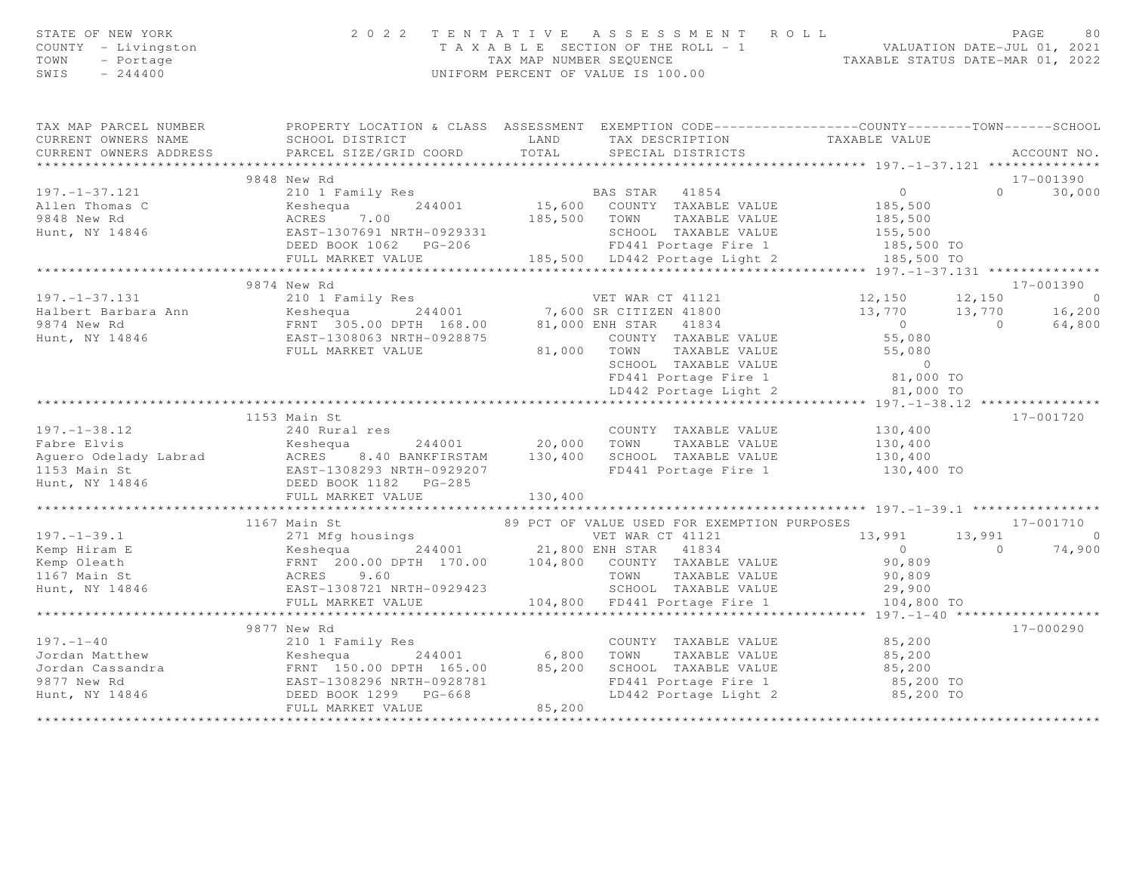| STATE OF NEW YORK<br>COUNTY - Livingston<br>TOWN<br>- Portage<br>SWIS<br>$-244400$                                                                                                                                                                                                                                                                                                                                    | 2 0 2 2                                                                                                                                                       | UNIFORM PERCENT OF VALUE IS 100.00 | TENTATIVE ASSESSMENT ROLL                                       | TAXABLE SECTION OF THE ROLL - 1<br>TAXABLE SECTION OF THE ROLL - 1<br>TAXABLE STATUS DATE-MAR 01, 2022 |                   | PAGE<br>80               |
|-----------------------------------------------------------------------------------------------------------------------------------------------------------------------------------------------------------------------------------------------------------------------------------------------------------------------------------------------------------------------------------------------------------------------|---------------------------------------------------------------------------------------------------------------------------------------------------------------|------------------------------------|-----------------------------------------------------------------|--------------------------------------------------------------------------------------------------------|-------------------|--------------------------|
| TAX MAP PARCEL NUMBER THE PROPERTY LOCATION & CLASS ASSESSMENT EXEMPTION CODE--------------COUNTY--------TOWN------SCHOOL<br>CURRENT OWNERS NAME                                                                                                                                                                                                                                                                      | SCHOOL DISTRICT                                                                                                                                               | T.AND                              | TAX DESCRIPTION                                                 | TAXABLE VALUE                                                                                          |                   |                          |
| CURRENT OWNERS ADDRESS                                                                                                                                                                                                                                                                                                                                                                                                | PARCEL SIZE/GRID COORD                                                                                                                                        | TOTAL                              | SPECIAL DISTRICTS                                               |                                                                                                        |                   | ACCOUNT NO.              |
|                                                                                                                                                                                                                                                                                                                                                                                                                       |                                                                                                                                                               |                                    |                                                                 |                                                                                                        |                   |                          |
|                                                                                                                                                                                                                                                                                                                                                                                                                       | 9848 New Rd                                                                                                                                                   |                                    |                                                                 |                                                                                                        |                   | 17-001390                |
| 197.-1-37.121<br>Allen Thomas C (Allen Keshequa 244001<br>9848 New Rd (ACRES 7.00 185,500 TOWN 1AAADLE VALUE<br>EAST-1307691 NRTH-0929331 SCHOOL TAXABLE VALUE<br>DEED BOOK 1062 PG-206 185,500 LD442 Portage Light 2<br>THE MADRET VAL                                                                                                                                                                               |                                                                                                                                                               |                                    |                                                                 | $\overline{0}$                                                                                         |                   | $\Omega$<br>30,000       |
|                                                                                                                                                                                                                                                                                                                                                                                                                       |                                                                                                                                                               |                                    |                                                                 | 185,500<br>185,500<br>155,500                                                                          |                   |                          |
|                                                                                                                                                                                                                                                                                                                                                                                                                       |                                                                                                                                                               |                                    |                                                                 |                                                                                                        |                   |                          |
|                                                                                                                                                                                                                                                                                                                                                                                                                       |                                                                                                                                                               |                                    | SCHOOL TAXABLE VALUE                                            |                                                                                                        |                   |                          |
|                                                                                                                                                                                                                                                                                                                                                                                                                       |                                                                                                                                                               |                                    |                                                                 |                                                                                                        | 185,500 TO        |                          |
|                                                                                                                                                                                                                                                                                                                                                                                                                       |                                                                                                                                                               |                                    |                                                                 | 185,500 TO<br>************** 197. -1-37. 131 ***************                                           |                   |                          |
|                                                                                                                                                                                                                                                                                                                                                                                                                       | 9874 New Rd                                                                                                                                                   |                                    |                                                                 |                                                                                                        |                   | 17-001390                |
| $197. - 1 - 37.131$                                                                                                                                                                                                                                                                                                                                                                                                   | 210 1 Family Res<br>Keshequa 244001 7,600 SR CITIZEN 41800<br>FRNT 305.00 DPTH 168.00 81,000 ENH STAR 41834<br>EAST-1308063 NRTH-0928875 COUNTY TAXABLE VALUE |                                    |                                                                 |                                                                                                        | $12,150$ $12,150$ | $\overline{0}$           |
|                                                                                                                                                                                                                                                                                                                                                                                                                       |                                                                                                                                                               |                                    |                                                                 |                                                                                                        | 13,770 13,770     | 16, 200                  |
| Halbert Barbara Ann<br>9874 New Rd                                                                                                                                                                                                                                                                                                                                                                                    |                                                                                                                                                               |                                    |                                                                 |                                                                                                        | $\overline{0}$    | 64,800                   |
| Hunt, NY 14846                                                                                                                                                                                                                                                                                                                                                                                                        |                                                                                                                                                               |                                    |                                                                 | $\begin{array}{c} 0 \\ 55,080 \end{array}$                                                             |                   |                          |
|                                                                                                                                                                                                                                                                                                                                                                                                                       | FULL MARKET VALUE                                                                                                                                             |                                    | 0928875   COUNTY TAXABLE VALUE<br>81,000   TOWN   TAXABLE VALUE |                                                                                                        |                   |                          |
|                                                                                                                                                                                                                                                                                                                                                                                                                       |                                                                                                                                                               |                                    | SCHOOL TAXABLE VALUE                                            | 55,080                                                                                                 |                   |                          |
|                                                                                                                                                                                                                                                                                                                                                                                                                       |                                                                                                                                                               |                                    | FD441 Portage Fire 1                                            |                                                                                                        | 81,000 TO         |                          |
|                                                                                                                                                                                                                                                                                                                                                                                                                       |                                                                                                                                                               |                                    | LD442 Portage Light 2                                           | 81,000 TO                                                                                              |                   |                          |
|                                                                                                                                                                                                                                                                                                                                                                                                                       | *********************************                                                                                                                             |                                    |                                                                 | ·******************************** 197.-1-38.12 ************                                            |                   |                          |
| 197.-1-38.12 (240 Rural res coUNTY TAXABLE VALUE<br>Fabre Elvis (240 Rural res 244001 20,000 TOWN TAXABLE VALUE<br>Aguero Odelady Labrad ACRES 8.40 BANKFIRSTAM 130,400 SCHOOL TAXABLE VALUE<br>1153 Main St EAST-1308293 NRTH-09292                                                                                                                                                                                  |                                                                                                                                                               |                                    |                                                                 |                                                                                                        |                   | 17-001720                |
|                                                                                                                                                                                                                                                                                                                                                                                                                       |                                                                                                                                                               |                                    |                                                                 | 130,400                                                                                                |                   |                          |
|                                                                                                                                                                                                                                                                                                                                                                                                                       |                                                                                                                                                               |                                    |                                                                 | 130,400                                                                                                |                   |                          |
|                                                                                                                                                                                                                                                                                                                                                                                                                       |                                                                                                                                                               |                                    |                                                                 | 130,400                                                                                                |                   |                          |
|                                                                                                                                                                                                                                                                                                                                                                                                                       |                                                                                                                                                               |                                    |                                                                 |                                                                                                        | 130,400 TO        |                          |
|                                                                                                                                                                                                                                                                                                                                                                                                                       | FULL MARKET VALUE                                                                                                                                             |                                    |                                                                 |                                                                                                        |                   |                          |
|                                                                                                                                                                                                                                                                                                                                                                                                                       | *************************                                                                                                                                     | 130,400                            |                                                                 |                                                                                                        |                   |                          |
|                                                                                                                                                                                                                                                                                                                                                                                                                       | 1167 Main St                                                                                                                                                  |                                    | 89 PCT OF VALUE USED FOR EXEMPTION PURPOSES                     |                                                                                                        |                   | 17-001710                |
|                                                                                                                                                                                                                                                                                                                                                                                                                       |                                                                                                                                                               |                                    |                                                                 | VET WAR CT 41121 13,991                                                                                |                   | 13,991<br>$\overline{0}$ |
| $\begin{tabular}{lllllllllllll} \texttt{197.-1-39.1} & & & & & & & \texttt{VET WAR CT} & 41121\\ \texttt{Kemp Hiram E} & & & & & & \texttt{Keshequa} & & 244001 & & 21,800 ENH STAR & 41834\\ \texttt{Kemp Oleath} & & & & & \texttt{FRNT} & 200.00 DPH & 170.00 & & 104,800 & COUNTY TAXABLE VALUE \\ \texttt{1167 Main St} & & & & & & \texttt{ACRES} & 9.60 & & & & \texttt{TOWN} & TAXABLE VALUE \\ \texttt{Hunt$ |                                                                                                                                                               |                                    |                                                                 | $\overline{0}$                                                                                         | $\overline{0}$    | 74,900                   |
|                                                                                                                                                                                                                                                                                                                                                                                                                       |                                                                                                                                                               |                                    |                                                                 | 90,809                                                                                                 |                   |                          |
|                                                                                                                                                                                                                                                                                                                                                                                                                       |                                                                                                                                                               |                                    |                                                                 | TOWN TAXABLE VALUE<br>SCHOOL TAXABLE VALUE 29,900<br>Eine 1 104,800 TO                                 |                   |                          |
|                                                                                                                                                                                                                                                                                                                                                                                                                       |                                                                                                                                                               |                                    |                                                                 |                                                                                                        |                   |                          |
|                                                                                                                                                                                                                                                                                                                                                                                                                       | FULL MARKET VALUE                                                                                                                                             |                                    | 104,800 FD441 Portage Fire 1                                    |                                                                                                        |                   |                          |
|                                                                                                                                                                                                                                                                                                                                                                                                                       |                                                                                                                                                               |                                    |                                                                 | ********* 197.-1-40 ********************                                                               |                   |                          |
|                                                                                                                                                                                                                                                                                                                                                                                                                       |                                                                                                                                                               |                                    |                                                                 |                                                                                                        |                   | 17-000290                |
|                                                                                                                                                                                                                                                                                                                                                                                                                       |                                                                                                                                                               |                                    | COUNTY TAXABLE VALUE                                            | 85,200                                                                                                 |                   |                          |
|                                                                                                                                                                                                                                                                                                                                                                                                                       |                                                                                                                                                               |                                    |                                                                 | TAXABLE VALUE 85,200                                                                                   |                   |                          |
|                                                                                                                                                                                                                                                                                                                                                                                                                       |                                                                                                                                                               |                                    | SCHOOL TAXABLE VALUE                                            | 85,200                                                                                                 |                   |                          |
|                                                                                                                                                                                                                                                                                                                                                                                                                       |                                                                                                                                                               |                                    | FD441 Portage Fire 1<br>LD442 Portage Light 2                   |                                                                                                        | 85,200 TO         |                          |
|                                                                                                                                                                                                                                                                                                                                                                                                                       |                                                                                                                                                               |                                    |                                                                 |                                                                                                        | 85,200 TO         |                          |
| 197.-1-40<br>Jordan Matthew Keshequa<br>Jordan Cassandra (1987) Response that the Matthew Keshequa<br>19877 New Rd EAST-1308296 NRTH-0928781<br>Hunt, NY 14846 DEED BOOK 1299 PG-668<br>EAST-1308296 NRTH-0928781<br>FULL MARKET VALUE<br>TU                                                                                                                                                                          |                                                                                                                                                               |                                    |                                                                 |                                                                                                        |                   |                          |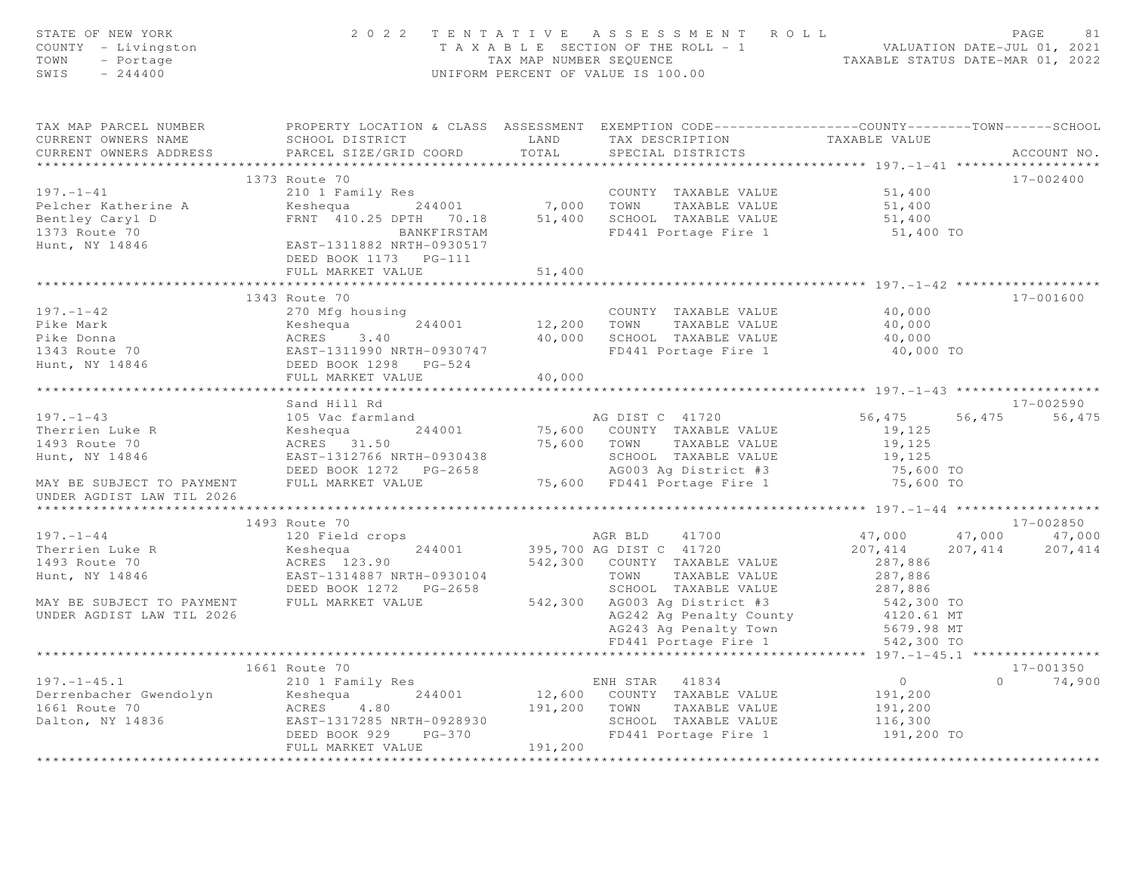| STATE OF NEW YORK<br>COUNTY - Livingston<br>TOWN<br>- Portage<br>SWIS<br>$-244400$                                                                                                                  |                                                                                                     |                       | 2022 TENTATIVE ASSESSMENT ROLL<br>TAXABLE SECTION OF THE ROLL - 1<br>TAXABLE SECTION OF THE ROLL - 1<br>TAXABLE STATUS DATE-MAR 01, 2022<br>UNIFORM PERCENT OF VALUE IS 100.00 |                  |         | PAGE<br>81                 |
|-----------------------------------------------------------------------------------------------------------------------------------------------------------------------------------------------------|-----------------------------------------------------------------------------------------------------|-----------------------|--------------------------------------------------------------------------------------------------------------------------------------------------------------------------------|------------------|---------|----------------------------|
| TAX MAP PARCEL NUMBER THE PROPERTY LOCATION & CLASS ASSESSMENT EXEMPTION CODE--------------COUNTY-------TOWN-----SCHOOL<br>CURRENT OWNERS NAME                                                      | SCHOOL DISTRICT LAND                                                                                |                       | TAX DESCRIPTION TAXABLE VALUE                                                                                                                                                  |                  |         |                            |
| CURRENT OWNERS ADDRESS                                                                                                                                                                              | PARCEL SIZE/GRID COORD                                                                              | TOTAL                 | SPECIAL DISTRICTS                                                                                                                                                              |                  |         | ACCOUNT NO.                |
|                                                                                                                                                                                                     |                                                                                                     |                       |                                                                                                                                                                                |                  |         |                            |
|                                                                                                                                                                                                     | 1373 Route 70                                                                                       |                       |                                                                                                                                                                                |                  |         | 17-002400                  |
| $197. - 1 - 41$                                                                                                                                                                                     | 210 1 Family Res                                                                                    |                       | COUNTY TAXABLE VALUE                                                                                                                                                           | 51,400           |         |                            |
|                                                                                                                                                                                                     |                                                                                                     |                       |                                                                                                                                                                                | 51,400           |         |                            |
|                                                                                                                                                                                                     |                                                                                                     |                       |                                                                                                                                                                                | 51,400           |         |                            |
|                                                                                                                                                                                                     |                                                                                                     |                       |                                                                                                                                                                                | 51,400 TO        |         |                            |
|                                                                                                                                                                                                     | DEED BOOK 1173    PG-111                                                                            |                       |                                                                                                                                                                                |                  |         |                            |
|                                                                                                                                                                                                     | FULL MARKET VALUE                                                                                   | 51,400                |                                                                                                                                                                                |                  |         |                            |
|                                                                                                                                                                                                     |                                                                                                     | ********************* |                                                                                                                                                                                |                  |         |                            |
|                                                                                                                                                                                                     | 1343 Route 70                                                                                       |                       |                                                                                                                                                                                |                  |         | 17-001600                  |
| $197. - 1 - 42$                                                                                                                                                                                     | 270 Mfg housing                                                                                     |                       | COUNTY TAXABLE VALUE                                                                                                                                                           | 40,000<br>40,000 |         |                            |
|                                                                                                                                                                                                     |                                                                                                     |                       | 12,200 TOWN TAXABLE VALUE<br>40,000 SCHOOL TAXABLE VALUE                                                                                                                       | 40,000           |         |                            |
| Pike Mark<br>Pike Donna<br>Pike Donna<br>1343 Route 70<br>Hunt, NY 14846<br>Hunt, NY 14846<br>Pike Mark 244001<br>Pike 244001<br>EAST-1311990 NRTH-0930747<br>Pike 2640<br>DEED BOOK 1298<br>PG-524 |                                                                                                     |                       | FD441 Portage Fire 1                                                                                                                                                           | 40,000 TO        |         |                            |
|                                                                                                                                                                                                     |                                                                                                     |                       |                                                                                                                                                                                |                  |         |                            |
|                                                                                                                                                                                                     | FULL MARKET VALUE                                                                                   | 40,000                |                                                                                                                                                                                |                  |         |                            |
|                                                                                                                                                                                                     |                                                                                                     |                       |                                                                                                                                                                                |                  |         |                            |
|                                                                                                                                                                                                     | Sand Hill Rd                                                                                        |                       |                                                                                                                                                                                |                  |         | 17-002590                  |
| $197. - 1 - 43$                                                                                                                                                                                     |                                                                                                     |                       | AG DIST C 41720                                                                                                                                                                | 56,475           |         | 56,475 56,475              |
| Therrien Luke R                                                                                                                                                                                     | 244001                                                                                              |                       | 75,600 COUNTY TAXABLE VALUE                                                                                                                                                    | 19,125           |         |                            |
| 1493 Route 70                                                                                                                                                                                       |                                                                                                     |                       |                                                                                                                                                                                | 19,125           |         |                            |
| Hunt, NY 14846                                                                                                                                                                                      | 105 Vac farmland<br>Keshequa 244001<br>ACRES 31.50<br>EAST-1312766 MPT<br>EAST-1312766 NRTH-0930438 |                       | 75,600 TOWN TAXABLE VALUE<br>SCHOOL TAXABLE VALUE<br>AG003 Ag District #3<br>75,600 FD441 Portage Fire 1                                                                       | 19,125           |         |                            |
|                                                                                                                                                                                                     |                                                                                                     |                       |                                                                                                                                                                                | 75,600 TO        |         |                            |
| MAY BE SUBJECT TO PAYMENT<br>UNDER AGDIST LAW TIL 2026                                                                                                                                              | FULL MARKET VALUE                                                                                   |                       |                                                                                                                                                                                | 75,600 TO        |         |                            |
|                                                                                                                                                                                                     |                                                                                                     |                       |                                                                                                                                                                                |                  |         |                            |
| $197. - 1 - 44$                                                                                                                                                                                     | 1493 Route 70<br>120 Field crops                                                                    |                       | AGR BLD 41700                                                                                                                                                                  | 47,000           |         | 17-002850<br>47,000 47,000 |
| Therrien Luke R                                                                                                                                                                                     |                                                                                                     |                       | 395,700 AG DIST C 41720                                                                                                                                                        | 207, 414         | 207,414 | 207, 414                   |
| 1493 Route 70                                                                                                                                                                                       | $Keshequa$ $244001$<br>ACRES 123.90                                                                 |                       | 542,300 COUNTY TAXABLE VALUE                                                                                                                                                   | 287,886          |         |                            |
| Hunt, NY 14846                                                                                                                                                                                      |                                                                                                     |                       | TOWN TAXABLE VALUE                                                                                                                                                             | 287,886          |         |                            |
|                                                                                                                                                                                                     | EAST-1314887 NRTH-0930104<br>DEED BOOK 1272 - PG-2658<br>DEED BOOK 1272 PG-2658                     |                       |                                                                                                                                                                                | 287,886          |         |                            |
| MAY BE SUBJECT TO PAYMENT                                                                                                                                                                           | FULL MARKET VALUE                                                                                   |                       |                                                                                                                                                                                |                  |         |                            |
| UNDER AGDIST LAW TIL 2026                                                                                                                                                                           |                                                                                                     |                       |                                                                                                                                                                                |                  |         |                            |
|                                                                                                                                                                                                     |                                                                                                     |                       |                                                                                                                                                                                |                  |         |                            |
|                                                                                                                                                                                                     |                                                                                                     |                       | SCHOOL TAXABLE value.<br>542,300 AG003 Ag District #3 542,300 TO<br>AG242 Ag Penalty County 4120.61 MT<br>AG243 Ag Penalty Town 5679.98 MT<br>10 11 120.61 MT                  |                  |         |                            |
|                                                                                                                                                                                                     |                                                                                                     |                       |                                                                                                                                                                                |                  |         |                            |
|                                                                                                                                                                                                     | 1661 Route 70                                                                                       |                       |                                                                                                                                                                                |                  |         | $17 - 001350$              |
| $197. - 1 - 45.1$                                                                                                                                                                                   | 210 1 Family Res                                                                                    |                       | ENH STAR 41834                                                                                                                                                                 | $\overline{0}$   |         | 74,900<br>$\Omega$         |
| Derrenbacher Gwendolyn Keshequa<br>1661 Berta 70                                                                                                                                                    | 244001                                                                                              |                       | 12,600 COUNTY TAXABLE VALUE                                                                                                                                                    | 191,200          |         |                            |
| 1661 Route 70<br>Dalton, NY 14836                                                                                                                                                                   | ACRES 4.80                                                                                          |                       | 191,200 TOWN TAXABLE VALUE                                                                                                                                                     | 191,200          |         |                            |
|                                                                                                                                                                                                     | EAST-1317285 NRTH-0928930<br>DEED BOOK 929 - PG-370                                                 |                       | SCHOOL TAXABLE VALUE                                                                                                                                                           | 116,300          |         |                            |
|                                                                                                                                                                                                     | DEED BOOK 929                                                                                       | 191,200               | FD441 Portage Fire 1                                                                                                                                                           | 191,200 TO       |         |                            |
|                                                                                                                                                                                                     | FULL MARKET VALUE                                                                                   | *******************   |                                                                                                                                                                                |                  |         |                            |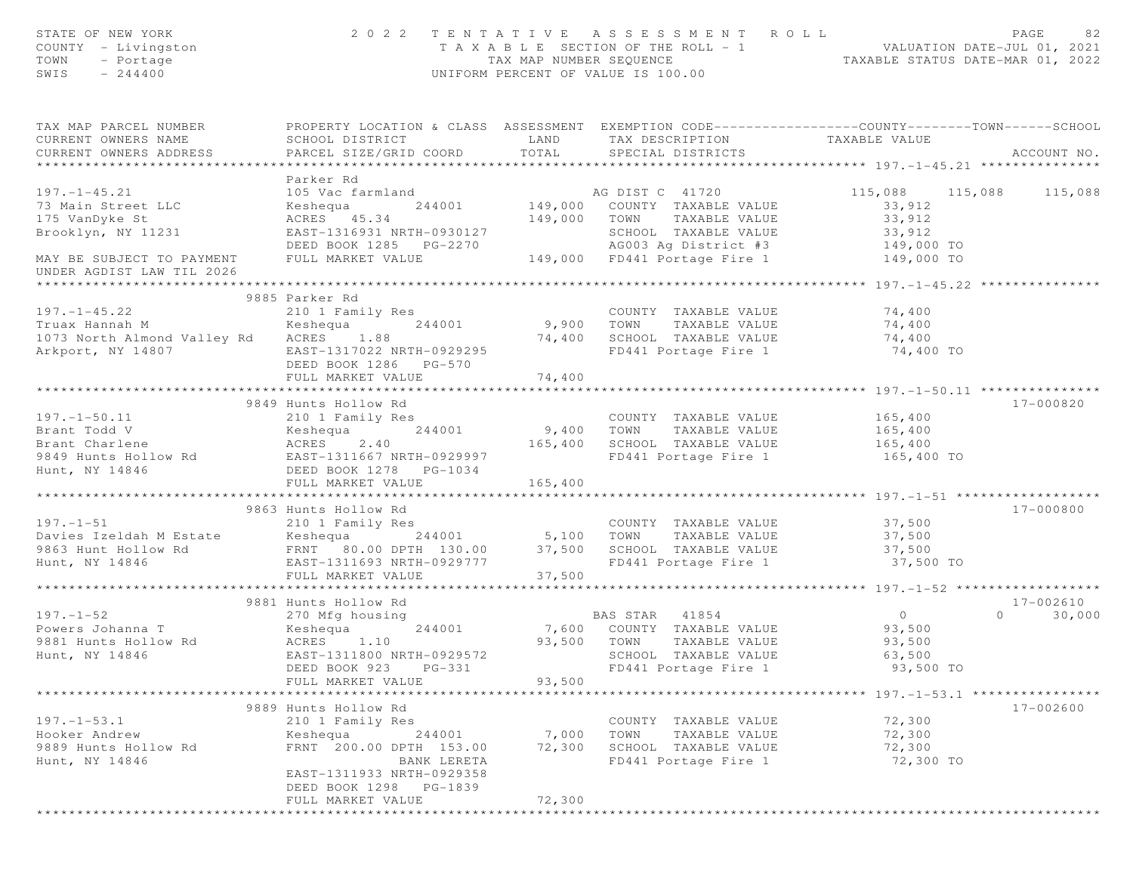| STATE OF NEW YORK<br>COUNTY - Livingston<br>- Portage<br>TOWN<br>SWIS<br>$-244400$                                                                                                                                                                                     |                                                                                                                                               |               | 2022 TENTATIVE ASSESSMENT ROLL<br>T A X A B L E SECTION OF THE ROLL - 1 VALUATION DATE-JUL 01, 2021<br>TAX MAP NUMBER SEQUENCE TAXABLE STATUS DATE-MAR 01, 2022<br>UNIFORM PERCENT OF VALUE IS 100.00 |                                                                         | PAGE<br>82         |
|------------------------------------------------------------------------------------------------------------------------------------------------------------------------------------------------------------------------------------------------------------------------|-----------------------------------------------------------------------------------------------------------------------------------------------|---------------|-------------------------------------------------------------------------------------------------------------------------------------------------------------------------------------------------------|-------------------------------------------------------------------------|--------------------|
| TAX MAP PARCEL NUMBER<br>CURRENT OWNERS NAME<br>CURRENT OWNERS ADDRESS                                                                                                                                                                                                 | PROPERTY LOCATION & CLASS ASSESSMENT EXEMPTION CODE----------------COUNTY-------TOWN------SCHOOL<br>SCHOOL DISTRICT<br>PARCEL SIZE/GRID COORD | TOTAL         | LAND TAX DESCRIPTION TAXABLE VALUE<br>SPECIAL DISTRICTS                                                                                                                                               |                                                                         | ACCOUNT NO.        |
|                                                                                                                                                                                                                                                                        | Parker Rd                                                                                                                                     |               |                                                                                                                                                                                                       |                                                                         |                    |
| $197. - 1 - 45.21$                                                                                                                                                                                                                                                     | 105 Vac farmland                                                                                                                              |               | AG DIST C 41720<br>149,000 COUNTY TAXABLE VALUE                                                                                                                                                       | 115,088 115,088                                                         | 115,088            |
| 73 Main Street LLC                                                                                                                                                                                                                                                     | Keshequa 244001                                                                                                                               |               |                                                                                                                                                                                                       | 33,912                                                                  |                    |
| 175 VanDyke St                                                                                                                                                                                                                                                         | ACRES 45.34                                                                                                                                   |               | 149,000 TOWN TAXABLE VALUE                                                                                                                                                                            | 33,912                                                                  |                    |
|                                                                                                                                                                                                                                                                        |                                                                                                                                               |               |                                                                                                                                                                                                       | 33,912                                                                  |                    |
| Brooklyn, NY 11231 EAST-1316931 NRTH-0930127 SCHOOL TAXABLE VALUE 33,912<br>DEED BOOK 1285 PG-2270 AG003 Ag District #3 149,000 TO<br>MAY BE SUBJECT TO PAYMENT FULL MARKET VALUE 149,000 FD441 Portage Fire 1 149,000 TO                                              |                                                                                                                                               |               |                                                                                                                                                                                                       |                                                                         |                    |
| UNDER AGDIST LAW TIL 2026                                                                                                                                                                                                                                              |                                                                                                                                               |               |                                                                                                                                                                                                       |                                                                         |                    |
|                                                                                                                                                                                                                                                                        |                                                                                                                                               |               |                                                                                                                                                                                                       |                                                                         |                    |
|                                                                                                                                                                                                                                                                        | 9885 Parker Rd                                                                                                                                |               |                                                                                                                                                                                                       |                                                                         |                    |
| $197. - 1 - 45.22$                                                                                                                                                                                                                                                     | 210 1 Family Res                                                                                                                              |               | COUNTY TAXABLE VALUE                                                                                                                                                                                  | 74,400                                                                  |                    |
| Truax Hannah M                                                                                                                                                                                                                                                         | $Keshequa$ $244001$ 9,900 TOWN                                                                                                                |               | TAXABLE VALUE                                                                                                                                                                                         | 74,400                                                                  |                    |
| 1073 North Almond Valley Rd ACRES 1.88<br>Arkport, NY 14807                                                                                                                                                                                                            | EAST-1317022 NRTH-0929295                                                                                                                     |               | 74,400 SCHOOL TAXABLE VALUE<br>FD441 Portage Fire 1                                                                                                                                                   | 74,400<br>74,400 TO                                                     |                    |
|                                                                                                                                                                                                                                                                        | DEED BOOK 1286 PG-570                                                                                                                         |               |                                                                                                                                                                                                       |                                                                         |                    |
|                                                                                                                                                                                                                                                                        | FULL MARKET VALUE                                                                                                                             | 74,400        |                                                                                                                                                                                                       |                                                                         |                    |
| 1971-1-50.11<br>Example 244001<br>Example 244001<br>Example 244001<br>Example 244001<br>Example 244001<br>Example 244001<br>244001<br>244001<br>244001<br>244001<br>244001<br>244001<br>244001<br>244001<br>244001<br>244001<br>265,400<br>265,400<br>265,400<br>265,4 |                                                                                                                                               | ************* |                                                                                                                                                                                                       |                                                                         |                    |
|                                                                                                                                                                                                                                                                        |                                                                                                                                               |               |                                                                                                                                                                                                       |                                                                         | $17 - 000820$      |
|                                                                                                                                                                                                                                                                        |                                                                                                                                               |               | COUNTY TAXABLE VALUE                                                                                                                                                                                  | 165, 400                                                                |                    |
|                                                                                                                                                                                                                                                                        |                                                                                                                                               |               |                                                                                                                                                                                                       | 165,400                                                                 |                    |
|                                                                                                                                                                                                                                                                        |                                                                                                                                               |               | 165,400 SCHOOL TAXABLE VALUE 165,400<br>FD441 Portage Fire 1                                                                                                                                          | 165,400 TO                                                              |                    |
|                                                                                                                                                                                                                                                                        |                                                                                                                                               |               |                                                                                                                                                                                                       |                                                                         |                    |
|                                                                                                                                                                                                                                                                        | FULL MARKET VALUE                                                                                                                             | 165,400       |                                                                                                                                                                                                       |                                                                         |                    |
|                                                                                                                                                                                                                                                                        |                                                                                                                                               |               |                                                                                                                                                                                                       |                                                                         |                    |
|                                                                                                                                                                                                                                                                        | 9863 Hunts Hollow Rd                                                                                                                          |               |                                                                                                                                                                                                       |                                                                         | 17-000800          |
| $197. - 1 - 51$                                                                                                                                                                                                                                                        | 210 1 Family Res                                                                                                                              |               | COUNTY TAXABLE VALUE 37,500                                                                                                                                                                           |                                                                         |                    |
|                                                                                                                                                                                                                                                                        |                                                                                                                                               |               | TAXABLE VALUE                                                                                                                                                                                         | 37,500<br>37,500                                                        |                    |
| Hunt, NY 14846                                                                                                                                                                                                                                                         | EAST-1311693 NRTH-0929777                                                                                                                     |               | FD441 Portage Fire 1 37,500 TO                                                                                                                                                                        |                                                                         |                    |
|                                                                                                                                                                                                                                                                        | FULL MARKET VALUE                                                                                                                             | 37,500        |                                                                                                                                                                                                       |                                                                         |                    |
| *********************                                                                                                                                                                                                                                                  | *******************************                                                                                                               |               |                                                                                                                                                                                                       |                                                                         |                    |
|                                                                                                                                                                                                                                                                        | 9881 Hunts Hollow Rd                                                                                                                          |               |                                                                                                                                                                                                       |                                                                         | 17-002610          |
| $197. - 1 - 52$                                                                                                                                                                                                                                                        |                                                                                                                                               |               | BAS STAR 41854                                                                                                                                                                                        | $\overline{0}$                                                          | $\Omega$<br>30,000 |
| Powers Johanna T<br>9881 Hunts Hollow Rd                                                                                                                                                                                                                               | 1.10<br>ACRES                                                                                                                                 | 93,500 TOWN   | 7,600 COUNTY TAXABLE VALUE<br>TAXABLE VALUE                                                                                                                                                           | 93,500<br>93,500                                                        |                    |
| Hunt, NY 14846                                                                                                                                                                                                                                                         | EAST-1311800 NRTH-0929572                                                                                                                     |               | SCHOOL TAXABLE VALUE                                                                                                                                                                                  | 63,500                                                                  |                    |
|                                                                                                                                                                                                                                                                        | DEED BOOK 923<br>$PG-331$                                                                                                                     |               | FD441 Portage Fire 1                                                                                                                                                                                  | 93,500 TO                                                               |                    |
|                                                                                                                                                                                                                                                                        | FULL MARKET VALUE                                                                                                                             | 93,500        |                                                                                                                                                                                                       |                                                                         |                    |
|                                                                                                                                                                                                                                                                        |                                                                                                                                               |               |                                                                                                                                                                                                       | ****************************    197.    -1-53.    1    **************** |                    |
|                                                                                                                                                                                                                                                                        | 9889 Hunts Hollow Rd                                                                                                                          |               |                                                                                                                                                                                                       |                                                                         | $17 - 002600$      |
| $197. - 1 - 53.1$<br>Hooker Andrew                                                                                                                                                                                                                                     | 210 1 Family Res<br>Keshequa<br>244001                                                                                                        | 7,000         | COUNTY TAXABLE VALUE<br>TOWN<br>TAXABLE VALUE                                                                                                                                                         | 72,300<br>72,300                                                        |                    |
| 9889 Hunts Hollow Rd                                                                                                                                                                                                                                                   | FRNT 200.00 DPTH 153.00                                                                                                                       | 72,300        | SCHOOL TAXABLE VALUE                                                                                                                                                                                  | 72,300                                                                  |                    |
| Hunt, NY 14846                                                                                                                                                                                                                                                         | BANK LERETA                                                                                                                                   |               | FD441 Portage Fire 1                                                                                                                                                                                  | 72,300 TO                                                               |                    |
|                                                                                                                                                                                                                                                                        | EAST-1311933 NRTH-0929358                                                                                                                     |               |                                                                                                                                                                                                       |                                                                         |                    |
|                                                                                                                                                                                                                                                                        | DEED BOOK 1298 PG-1839                                                                                                                        |               |                                                                                                                                                                                                       |                                                                         |                    |
|                                                                                                                                                                                                                                                                        | FULL MARKET VALUE                                                                                                                             | 72,300        |                                                                                                                                                                                                       |                                                                         |                    |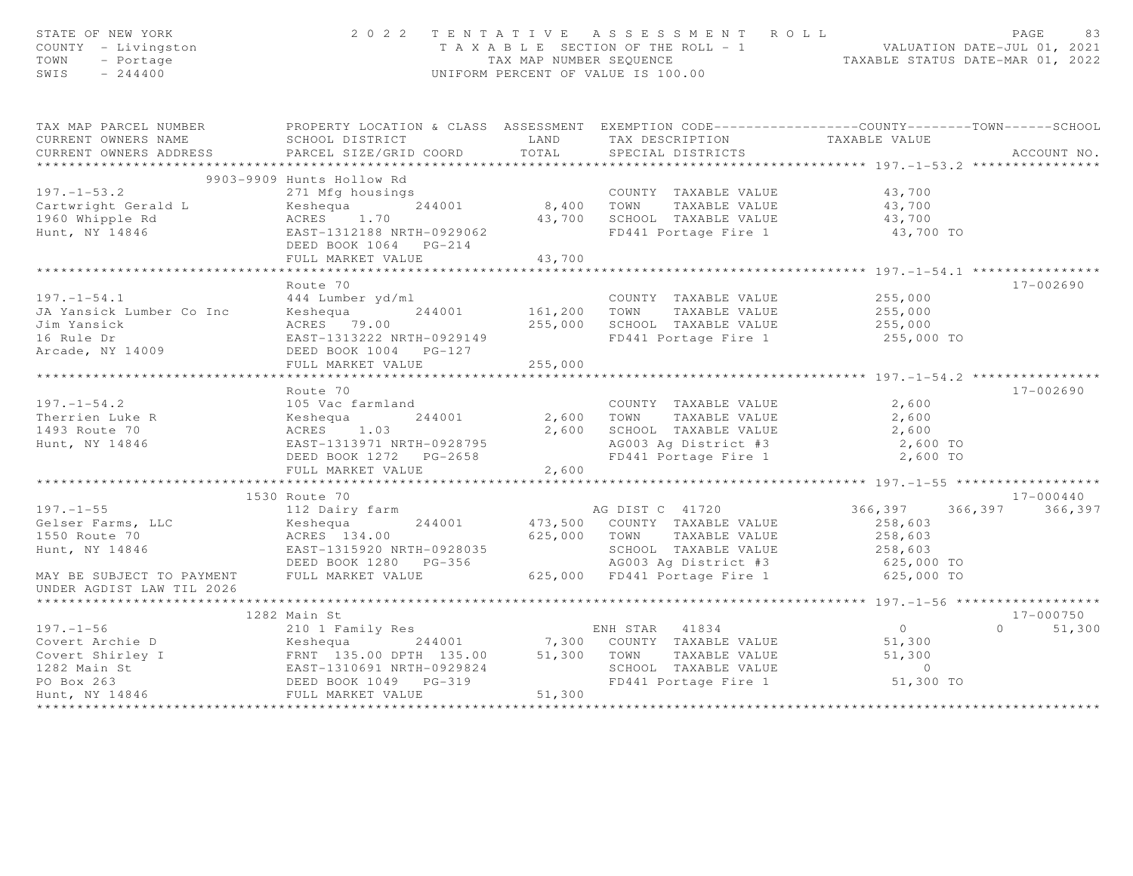| PROPERTY LOCATION & CLASS ASSESSMENT EXEMPTION CODE-----------------COUNTY-------TOWN------SCHOOL<br>TAX MAP PARCEL NUMBER<br>TAX DESCRIPTION TAXABLE VALUE<br>SPECIAL DISTRICTS<br>CURRENT OWNERS NAME<br>SCHOOL DISTRICT<br>LAND<br>TOTAL<br>PARCEL SIZE/GRID COORD<br>ACCOUNT NO.<br>CURRENT OWNERS ADDRESS<br>9903-9909 Hunts Hollow Rd<br>$197. - 1 - 53.2$<br>271 Mfg housings<br>COUNTY TAXABLE VALUE<br>43,700<br>244001<br>8,400 TOWN TAXABLE VALUE<br>43,700<br>43,700<br>43,700 SCHOOL TAXABLE VALUE<br>FD441 Portage Fire 1<br>EAST-1312188 NRTH-0929062<br>43,700 TO<br>DEED BOOK 1064 PG-214<br>43,700<br>FULL MARKET VALUE<br>* * * * * * * * * * * * *<br>Route 70<br>17-002690<br>$197. - 1 - 54.1$<br>444 Lumber yd/ml<br>Keshequa 244001<br>ACRES 79.00<br>EAST-1313222 NRTH-0929149<br>DEED BOOK 1004 POLICE<br>COUNTY TAXABLE VALUE<br>161,200 TOWN TAXABLE VALUE<br>255,000<br>COUNTY TAXABLE VALUE<br>JA Yansick Lumber Co Inc<br>255,000<br>Jim Yansick<br>255,000<br>SCHOOL TAXABLE VALUE<br>255,000<br>255,000 TO<br>FD441 Portage Fire 1<br>16 Rule Dr<br>Arcade, NY 14009<br>DEED BOOK 1004    PG-127<br>255,000<br>FULL MARKET VALUE<br>17-002690<br>Route 70<br>$197. - 1 - 54.2$<br>2,600<br>105 Vac farmland<br>COUNTY TAXABLE VALUE<br>105 Vac farmla<br>Keshequa<br>ACRES 1.03<br>EAST-12100-<br>244001<br>2,600 TOWN<br>2,600<br>Therrien Luke R<br>TAXABLE VALUE<br>1493 Route 70<br>2,600<br>SCHOOL TAXABLE VALUE<br>2,600<br>AG003 Ag District #3 2,600 TO<br>FD441 Portage Fire 1 2,600 TO<br>Hunt, NY 14846<br>EAST-1313971 NRTH-0928795<br>FULL MARKET VALUE<br>2,600 | STATE OF NEW YORK<br>COUNTY - Livingston<br>TOWN<br>- Portage<br>SWIS<br>$-244400$ | 2 0 2 2 | TENTATIVE ASSESSMENT ROLL<br>T A X A B L E SECTION OF THE ROLL - 1 VALUATION DATE-JUL 01, 2021<br>TAX MAP NUMBER SEQUENCE TAXABLE STATUS DATE-MAR 01, 2022<br>UNIFORM PERCENT OF VALUE IS 100.00 | PAGE<br>83 |
|----------------------------------------------------------------------------------------------------------------------------------------------------------------------------------------------------------------------------------------------------------------------------------------------------------------------------------------------------------------------------------------------------------------------------------------------------------------------------------------------------------------------------------------------------------------------------------------------------------------------------------------------------------------------------------------------------------------------------------------------------------------------------------------------------------------------------------------------------------------------------------------------------------------------------------------------------------------------------------------------------------------------------------------------------------------------------------------------------------------------------------------------------------------------------------------------------------------------------------------------------------------------------------------------------------------------------------------------------------------------------------------------------------------------------------------------------------------------------------------------------------------------------------------------------------------------------------------------------------------|------------------------------------------------------------------------------------|---------|--------------------------------------------------------------------------------------------------------------------------------------------------------------------------------------------------|------------|
|                                                                                                                                                                                                                                                                                                                                                                                                                                                                                                                                                                                                                                                                                                                                                                                                                                                                                                                                                                                                                                                                                                                                                                                                                                                                                                                                                                                                                                                                                                                                                                                                                |                                                                                    |         |                                                                                                                                                                                                  |            |
|                                                                                                                                                                                                                                                                                                                                                                                                                                                                                                                                                                                                                                                                                                                                                                                                                                                                                                                                                                                                                                                                                                                                                                                                                                                                                                                                                                                                                                                                                                                                                                                                                |                                                                                    |         |                                                                                                                                                                                                  |            |
|                                                                                                                                                                                                                                                                                                                                                                                                                                                                                                                                                                                                                                                                                                                                                                                                                                                                                                                                                                                                                                                                                                                                                                                                                                                                                                                                                                                                                                                                                                                                                                                                                |                                                                                    |         |                                                                                                                                                                                                  |            |
|                                                                                                                                                                                                                                                                                                                                                                                                                                                                                                                                                                                                                                                                                                                                                                                                                                                                                                                                                                                                                                                                                                                                                                                                                                                                                                                                                                                                                                                                                                                                                                                                                |                                                                                    |         |                                                                                                                                                                                                  |            |
|                                                                                                                                                                                                                                                                                                                                                                                                                                                                                                                                                                                                                                                                                                                                                                                                                                                                                                                                                                                                                                                                                                                                                                                                                                                                                                                                                                                                                                                                                                                                                                                                                |                                                                                    |         |                                                                                                                                                                                                  |            |
|                                                                                                                                                                                                                                                                                                                                                                                                                                                                                                                                                                                                                                                                                                                                                                                                                                                                                                                                                                                                                                                                                                                                                                                                                                                                                                                                                                                                                                                                                                                                                                                                                |                                                                                    |         |                                                                                                                                                                                                  |            |
|                                                                                                                                                                                                                                                                                                                                                                                                                                                                                                                                                                                                                                                                                                                                                                                                                                                                                                                                                                                                                                                                                                                                                                                                                                                                                                                                                                                                                                                                                                                                                                                                                |                                                                                    |         |                                                                                                                                                                                                  |            |
|                                                                                                                                                                                                                                                                                                                                                                                                                                                                                                                                                                                                                                                                                                                                                                                                                                                                                                                                                                                                                                                                                                                                                                                                                                                                                                                                                                                                                                                                                                                                                                                                                |                                                                                    |         |                                                                                                                                                                                                  |            |
|                                                                                                                                                                                                                                                                                                                                                                                                                                                                                                                                                                                                                                                                                                                                                                                                                                                                                                                                                                                                                                                                                                                                                                                                                                                                                                                                                                                                                                                                                                                                                                                                                |                                                                                    |         |                                                                                                                                                                                                  |            |
|                                                                                                                                                                                                                                                                                                                                                                                                                                                                                                                                                                                                                                                                                                                                                                                                                                                                                                                                                                                                                                                                                                                                                                                                                                                                                                                                                                                                                                                                                                                                                                                                                |                                                                                    |         |                                                                                                                                                                                                  |            |
|                                                                                                                                                                                                                                                                                                                                                                                                                                                                                                                                                                                                                                                                                                                                                                                                                                                                                                                                                                                                                                                                                                                                                                                                                                                                                                                                                                                                                                                                                                                                                                                                                |                                                                                    |         |                                                                                                                                                                                                  |            |
|                                                                                                                                                                                                                                                                                                                                                                                                                                                                                                                                                                                                                                                                                                                                                                                                                                                                                                                                                                                                                                                                                                                                                                                                                                                                                                                                                                                                                                                                                                                                                                                                                |                                                                                    |         |                                                                                                                                                                                                  |            |
|                                                                                                                                                                                                                                                                                                                                                                                                                                                                                                                                                                                                                                                                                                                                                                                                                                                                                                                                                                                                                                                                                                                                                                                                                                                                                                                                                                                                                                                                                                                                                                                                                |                                                                                    |         |                                                                                                                                                                                                  |            |
|                                                                                                                                                                                                                                                                                                                                                                                                                                                                                                                                                                                                                                                                                                                                                                                                                                                                                                                                                                                                                                                                                                                                                                                                                                                                                                                                                                                                                                                                                                                                                                                                                |                                                                                    |         |                                                                                                                                                                                                  |            |
|                                                                                                                                                                                                                                                                                                                                                                                                                                                                                                                                                                                                                                                                                                                                                                                                                                                                                                                                                                                                                                                                                                                                                                                                                                                                                                                                                                                                                                                                                                                                                                                                                |                                                                                    |         |                                                                                                                                                                                                  |            |
|                                                                                                                                                                                                                                                                                                                                                                                                                                                                                                                                                                                                                                                                                                                                                                                                                                                                                                                                                                                                                                                                                                                                                                                                                                                                                                                                                                                                                                                                                                                                                                                                                |                                                                                    |         |                                                                                                                                                                                                  |            |
|                                                                                                                                                                                                                                                                                                                                                                                                                                                                                                                                                                                                                                                                                                                                                                                                                                                                                                                                                                                                                                                                                                                                                                                                                                                                                                                                                                                                                                                                                                                                                                                                                |                                                                                    |         |                                                                                                                                                                                                  |            |
|                                                                                                                                                                                                                                                                                                                                                                                                                                                                                                                                                                                                                                                                                                                                                                                                                                                                                                                                                                                                                                                                                                                                                                                                                                                                                                                                                                                                                                                                                                                                                                                                                |                                                                                    |         |                                                                                                                                                                                                  |            |
|                                                                                                                                                                                                                                                                                                                                                                                                                                                                                                                                                                                                                                                                                                                                                                                                                                                                                                                                                                                                                                                                                                                                                                                                                                                                                                                                                                                                                                                                                                                                                                                                                |                                                                                    |         |                                                                                                                                                                                                  |            |
|                                                                                                                                                                                                                                                                                                                                                                                                                                                                                                                                                                                                                                                                                                                                                                                                                                                                                                                                                                                                                                                                                                                                                                                                                                                                                                                                                                                                                                                                                                                                                                                                                |                                                                                    |         |                                                                                                                                                                                                  |            |
|                                                                                                                                                                                                                                                                                                                                                                                                                                                                                                                                                                                                                                                                                                                                                                                                                                                                                                                                                                                                                                                                                                                                                                                                                                                                                                                                                                                                                                                                                                                                                                                                                |                                                                                    |         |                                                                                                                                                                                                  |            |
|                                                                                                                                                                                                                                                                                                                                                                                                                                                                                                                                                                                                                                                                                                                                                                                                                                                                                                                                                                                                                                                                                                                                                                                                                                                                                                                                                                                                                                                                                                                                                                                                                |                                                                                    |         |                                                                                                                                                                                                  |            |
|                                                                                                                                                                                                                                                                                                                                                                                                                                                                                                                                                                                                                                                                                                                                                                                                                                                                                                                                                                                                                                                                                                                                                                                                                                                                                                                                                                                                                                                                                                                                                                                                                |                                                                                    |         |                                                                                                                                                                                                  |            |
|                                                                                                                                                                                                                                                                                                                                                                                                                                                                                                                                                                                                                                                                                                                                                                                                                                                                                                                                                                                                                                                                                                                                                                                                                                                                                                                                                                                                                                                                                                                                                                                                                |                                                                                    |         |                                                                                                                                                                                                  |            |
|                                                                                                                                                                                                                                                                                                                                                                                                                                                                                                                                                                                                                                                                                                                                                                                                                                                                                                                                                                                                                                                                                                                                                                                                                                                                                                                                                                                                                                                                                                                                                                                                                |                                                                                    |         |                                                                                                                                                                                                  |            |
| 1530 Route 70                                                                                                                                                                                                                                                                                                                                                                                                                                                                                                                                                                                                                                                                                                                                                                                                                                                                                                                                                                                                                                                                                                                                                                                                                                                                                                                                                                                                                                                                                                                                                                                                  |                                                                                    |         |                                                                                                                                                                                                  | 17-000440  |
| $197. - 1 - 55$<br>112 Dairy farm<br>366,397<br>366,397 366,397<br>AG DIST C 41720                                                                                                                                                                                                                                                                                                                                                                                                                                                                                                                                                                                                                                                                                                                                                                                                                                                                                                                                                                                                                                                                                                                                                                                                                                                                                                                                                                                                                                                                                                                             |                                                                                    |         |                                                                                                                                                                                                  |            |
| Keshequa 244001<br>Gelser Farms, LLC<br>258,603<br>473,500 COUNTY TAXABLE VALUE                                                                                                                                                                                                                                                                                                                                                                                                                                                                                                                                                                                                                                                                                                                                                                                                                                                                                                                                                                                                                                                                                                                                                                                                                                                                                                                                                                                                                                                                                                                                |                                                                                    |         |                                                                                                                                                                                                  |            |
| ACRES 134.00<br>625,000 TOWN TAXABLE VALUE<br>1550 Route 70<br>258,603                                                                                                                                                                                                                                                                                                                                                                                                                                                                                                                                                                                                                                                                                                                                                                                                                                                                                                                                                                                                                                                                                                                                                                                                                                                                                                                                                                                                                                                                                                                                         |                                                                                    |         |                                                                                                                                                                                                  |            |
| ACRES 134.00<br>EAST-1315920 NRTH-0928035<br>258,603<br>Hunt, NY 14846<br>SCHOOL TAXABLE VALUE                                                                                                                                                                                                                                                                                                                                                                                                                                                                                                                                                                                                                                                                                                                                                                                                                                                                                                                                                                                                                                                                                                                                                                                                                                                                                                                                                                                                                                                                                                                 |                                                                                    |         |                                                                                                                                                                                                  |            |
| AG003 Ag District #3<br>DEED BOOK 1280 PG-356<br>625,000 TO                                                                                                                                                                                                                                                                                                                                                                                                                                                                                                                                                                                                                                                                                                                                                                                                                                                                                                                                                                                                                                                                                                                                                                                                                                                                                                                                                                                                                                                                                                                                                    |                                                                                    |         |                                                                                                                                                                                                  |            |
| 625,000 FD441 Portage Fire 1<br>625,000 TO<br>FULL MARKET VALUE<br>MAY BE SUBJECT TO PAYMENT<br>UNDER AGDIST LAW TIL 2026                                                                                                                                                                                                                                                                                                                                                                                                                                                                                                                                                                                                                                                                                                                                                                                                                                                                                                                                                                                                                                                                                                                                                                                                                                                                                                                                                                                                                                                                                      |                                                                                    |         |                                                                                                                                                                                                  |            |
|                                                                                                                                                                                                                                                                                                                                                                                                                                                                                                                                                                                                                                                                                                                                                                                                                                                                                                                                                                                                                                                                                                                                                                                                                                                                                                                                                                                                                                                                                                                                                                                                                |                                                                                    |         |                                                                                                                                                                                                  |            |
| 17-000750                                                                                                                                                                                                                                                                                                                                                                                                                                                                                                                                                                                                                                                                                                                                                                                                                                                                                                                                                                                                                                                                                                                                                                                                                                                                                                                                                                                                                                                                                                                                                                                                      |                                                                                    |         |                                                                                                                                                                                                  |            |
| $\overline{0}$<br>$\Omega$                                                                                                                                                                                                                                                                                                                                                                                                                                                                                                                                                                                                                                                                                                                                                                                                                                                                                                                                                                                                                                                                                                                                                                                                                                                                                                                                                                                                                                                                                                                                                                                     |                                                                                    |         |                                                                                                                                                                                                  | 51,300     |
| 51,300                                                                                                                                                                                                                                                                                                                                                                                                                                                                                                                                                                                                                                                                                                                                                                                                                                                                                                                                                                                                                                                                                                                                                                                                                                                                                                                                                                                                                                                                                                                                                                                                         |                                                                                    |         |                                                                                                                                                                                                  |            |
| TOWN      TAXABLE VALUE<br>SCHOOL   TAXABLE VALUE<br>51,300                                                                                                                                                                                                                                                                                                                                                                                                                                                                                                                                                                                                                                                                                                                                                                                                                                                                                                                                                                                                                                                                                                                                                                                                                                                                                                                                                                                                                                                                                                                                                    |                                                                                    |         |                                                                                                                                                                                                  |            |
| $\overline{0}$                                                                                                                                                                                                                                                                                                                                                                                                                                                                                                                                                                                                                                                                                                                                                                                                                                                                                                                                                                                                                                                                                                                                                                                                                                                                                                                                                                                                                                                                                                                                                                                                 |                                                                                    |         |                                                                                                                                                                                                  |            |
| FD441 Portage Fire 1<br>51,300 TO                                                                                                                                                                                                                                                                                                                                                                                                                                                                                                                                                                                                                                                                                                                                                                                                                                                                                                                                                                                                                                                                                                                                                                                                                                                                                                                                                                                                                                                                                                                                                                              |                                                                                    |         |                                                                                                                                                                                                  |            |
| 197.-1-56<br>Covert Archie D<br>Covert Shirley I (Sammen Market 2001)<br>Covert Shirley I (Sammen Market 2001)<br>Covert Shirley I (Sammen 135.00 DPTH 135.00 (SOUNTY TAXABLE VALUE<br>TRANS EAST-1310691 NRTH-0929824 (SCHOOL TAXABLE V                                                                                                                                                                                                                                                                                                                                                                                                                                                                                                                                                                                                                                                                                                                                                                                                                                                                                                                                                                                                                                                                                                                                                                                                                                                                                                                                                                       |                                                                                    |         |                                                                                                                                                                                                  |            |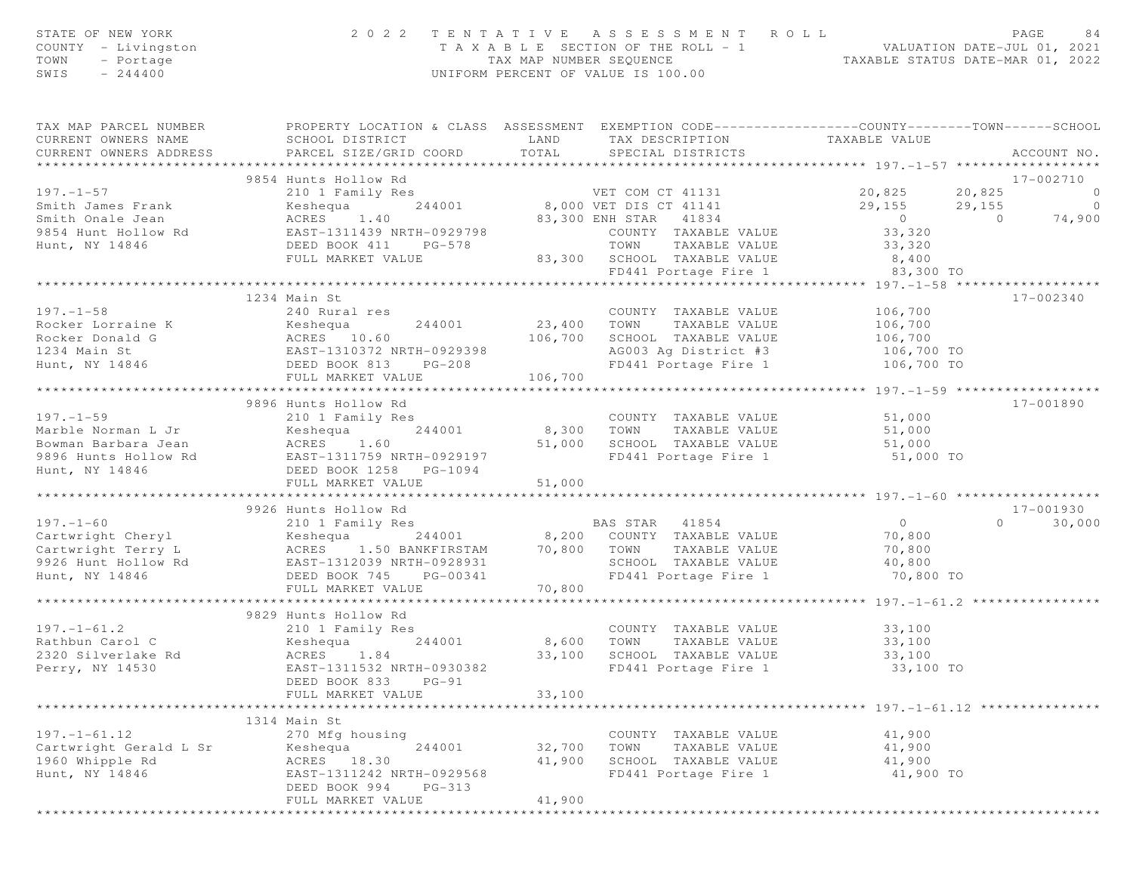| STATE OF NEW YORK<br>COUNTY - Livingston<br>TOWN - Portage<br>SWIS - 244400 | 2 0 2 2                                        | TENTATIVE ASSESSMENT ROLL PAGE 84<br>TAXABLE SECTION OF THE ROLL - 1 VALUATION DATE-JUL 01, 2021<br>TAX MAP NUMBER SEQUENCE TAXABLE STATUS DATE-MAR 01, 2022<br>UNIFORM PERCENT OF VALUE IS 100.00                                                                                                                                                                                                                                   |           |
|-----------------------------------------------------------------------------|------------------------------------------------|--------------------------------------------------------------------------------------------------------------------------------------------------------------------------------------------------------------------------------------------------------------------------------------------------------------------------------------------------------------------------------------------------------------------------------------|-----------|
|                                                                             |                                                | TAX MAP PARCEL NUMBER PROPERTY LOCATION & CLASS ASSESSMENT EXEMPTION CODE----------------COUNTY--------TOWN-----SCHOOL<br>CURRENT OWNERS NAME SCHOOL DISTRICT LAND TAX DESCRIPTION TAXABLE VALUE<br>CURRENT OWNERS ADDRESS PARCEL SI                                                                                                                                                                                                 |           |
|                                                                             |                                                | 33,320<br>Mint Mollow Rd<br>2011 Family Res<br>2011 Family Res<br>Smith Omale Jean Reseque 244001<br>Smith Omale Jean Reseque 244001<br>September 244001<br>29,155 20,825 20,825 0<br>29,155 29,155 0<br>29,155 0<br>29,155 0<br>29,155 0<br>29,155 0<br>                                                                                                                                                                            |           |
|                                                                             |                                                |                                                                                                                                                                                                                                                                                                                                                                                                                                      |           |
|                                                                             |                                                |                                                                                                                                                                                                                                                                                                                                                                                                                                      |           |
|                                                                             |                                                |                                                                                                                                                                                                                                                                                                                                                                                                                                      |           |
|                                                                             |                                                |                                                                                                                                                                                                                                                                                                                                                                                                                                      |           |
|                                                                             |                                                |                                                                                                                                                                                                                                                                                                                                                                                                                                      |           |
|                                                                             |                                                |                                                                                                                                                                                                                                                                                                                                                                                                                                      |           |
|                                                                             |                                                |                                                                                                                                                                                                                                                                                                                                                                                                                                      |           |
|                                                                             | 1234 Main St                                   |                                                                                                                                                                                                                                                                                                                                                                                                                                      | 17-002340 |
|                                                                             |                                                |                                                                                                                                                                                                                                                                                                                                                                                                                                      |           |
|                                                                             |                                                |                                                                                                                                                                                                                                                                                                                                                                                                                                      |           |
|                                                                             |                                                |                                                                                                                                                                                                                                                                                                                                                                                                                                      |           |
|                                                                             |                                                |                                                                                                                                                                                                                                                                                                                                                                                                                                      |           |
|                                                                             |                                                |                                                                                                                                                                                                                                                                                                                                                                                                                                      |           |
|                                                                             |                                                | $\begin{array}{cccccccc} & & & & & 1234\ \texttt{Main St} & & & & & 2400\ \texttt{Rocker Loraine K} & & & & & & 2400\ \texttt{Rocker Loraine K} & & & & & & & & 240\ \texttt{Rocker Loraine K} & & & & & & & & & 240\ \texttt{Rocker Loraide K} & & & & & & & & & & 240\ \texttt{Rocker Loraide K} & & & & & & & & & & 23,400\ \texttt{Rocker LoraL} & & & & & & & & & & 23,400\ \texttt{Rocker LonaL} & & & & & & & & & & & 23,400$ |           |
|                                                                             |                                                |                                                                                                                                                                                                                                                                                                                                                                                                                                      |           |
|                                                                             |                                                |                                                                                                                                                                                                                                                                                                                                                                                                                                      |           |
|                                                                             |                                                |                                                                                                                                                                                                                                                                                                                                                                                                                                      |           |
|                                                                             |                                                |                                                                                                                                                                                                                                                                                                                                                                                                                                      |           |
|                                                                             |                                                |                                                                                                                                                                                                                                                                                                                                                                                                                                      |           |
|                                                                             |                                                |                                                                                                                                                                                                                                                                                                                                                                                                                                      |           |
|                                                                             |                                                | $\begin{tabular}{lllllllllllll} \hline 197.-1-59 & 9896 Hunts & Hollow Rd & 2101 I Family Res & 2101 I Family Res & 210100Marble Norman L Jr & Keshlequ & 244001 & 8,300 TOWN & TAXABLE VALUE & 51,000Boxman Barbara Jean & ACRES & 1.60 & 51,000 SCHOOL TAXABLE VALUE & 51,0009896 Hunts Hollow Rd & EAST-1311759 NRTH-0929197 & 51,000 & KCHOOL TAXABLE VALUE & 51,000HeBD BOCK A L258 PGC-L094$                                   |           |
|                                                                             |                                                |                                                                                                                                                                                                                                                                                                                                                                                                                                      |           |
|                                                                             | 9926 Hunts Hollow Rd                           |                                                                                                                                                                                                                                                                                                                                                                                                                                      | 17-001930 |
|                                                                             |                                                |                                                                                                                                                                                                                                                                                                                                                                                                                                      |           |
|                                                                             |                                                |                                                                                                                                                                                                                                                                                                                                                                                                                                      |           |
|                                                                             |                                                |                                                                                                                                                                                                                                                                                                                                                                                                                                      |           |
|                                                                             |                                                |                                                                                                                                                                                                                                                                                                                                                                                                                                      |           |
|                                                                             |                                                |                                                                                                                                                                                                                                                                                                                                                                                                                                      |           |
|                                                                             |                                                | $\begin{tabular}{lllllllllllllllllllllll} \hline 197.-1-60 & 9926\;Hunt & 1011\;W\;Kd & 17-001930\;\\ & 2101\;Family\;Res & 8A200\; \hbox{COMNY} & 187A8BLE\; \mathrm{VALUE} & 0 & 30,000\;\\ & 2101\;Family\;Res & 844001 & 8,200\; \hbox{COMNY} & 7AXABLE\; \mathrm{VALUE} & 70,800\;\\ & 800\; \mathrm{COMNY} & 7AXABLE\; \mathrm{VALUE$                                                                                          |           |
|                                                                             | 9829 Hunts Hollow Rd                           |                                                                                                                                                                                                                                                                                                                                                                                                                                      |           |
|                                                                             |                                                |                                                                                                                                                                                                                                                                                                                                                                                                                                      |           |
|                                                                             |                                                | 197.-1-61.2<br>Rathbun Carol C 2320 Silverlake Rd ACRES 1.84<br>Perry, NY 14530 2320 Silverlake Rd ACRES 1.84<br>Perry, NY 14530 2320 2000 2244001<br>2320 Silverlake Rd ACRES 1.84<br>2320 Silverlake Rd ACRES 1.84<br>2320 Silverlake Rd                                                                                                                                                                                           |           |
|                                                                             |                                                |                                                                                                                                                                                                                                                                                                                                                                                                                                      | 33,100 TO |
|                                                                             | DEED BOOK 833<br>$PG-91$                       |                                                                                                                                                                                                                                                                                                                                                                                                                                      |           |
|                                                                             | FULL MARKET VALUE                              | 33,100                                                                                                                                                                                                                                                                                                                                                                                                                               |           |
|                                                                             |                                                |                                                                                                                                                                                                                                                                                                                                                                                                                                      |           |
|                                                                             | 1314 Main St                                   |                                                                                                                                                                                                                                                                                                                                                                                                                                      |           |
| $197. - 1 - 61.12$                                                          | 270 Mfg housing                                | COUNTY TAXABLE VALUE                                                                                                                                                                                                                                                                                                                                                                                                                 | 41,900    |
| Cartwright Gerald L Sr                                                      | 244001<br>Keshequa                             | 32,700<br>TOWN<br>TAXABLE VALUE                                                                                                                                                                                                                                                                                                                                                                                                      | 41,900    |
| 1960 Whipple Rd                                                             | ACRES 18.30                                    | 41,900<br>SCHOOL TAXABLE VALUE                                                                                                                                                                                                                                                                                                                                                                                                       | 41,900    |
| Hunt, NY 14846                                                              | EAST-1311242 NRTH-0929568                      | FD441 Portage Fire 1                                                                                                                                                                                                                                                                                                                                                                                                                 | 41,900 TO |
|                                                                             | DEED BOOK 994<br>$PG-313$<br>FULL MARKET VALUE | 41,900                                                                                                                                                                                                                                                                                                                                                                                                                               |           |
|                                                                             |                                                |                                                                                                                                                                                                                                                                                                                                                                                                                                      |           |

\*\*\*\*\*\*\*\*\*\*\*\*\*\*\*\*\*\*\*\*\*\*\*\*\*\*\*\*\*\*\*\*\*\*\*\*\*\*\*\*\*\*\*\*\*\*\*\*\*\*\*\*\*\*\*\*\*\*\*\*\*\*\*\*\*\*\*\*\*\*\*\*\*\*\*\*\*\*\*\*\*\*\*\*\*\*\*\*\*\*\*\*\*\*\*\*\*\*\*\*\*\*\*\*\*\*\*\*\*\*\*\*\*\*\*\*\*\*\*\*\*\*\*\*\*\*\*\*\*\*\*\*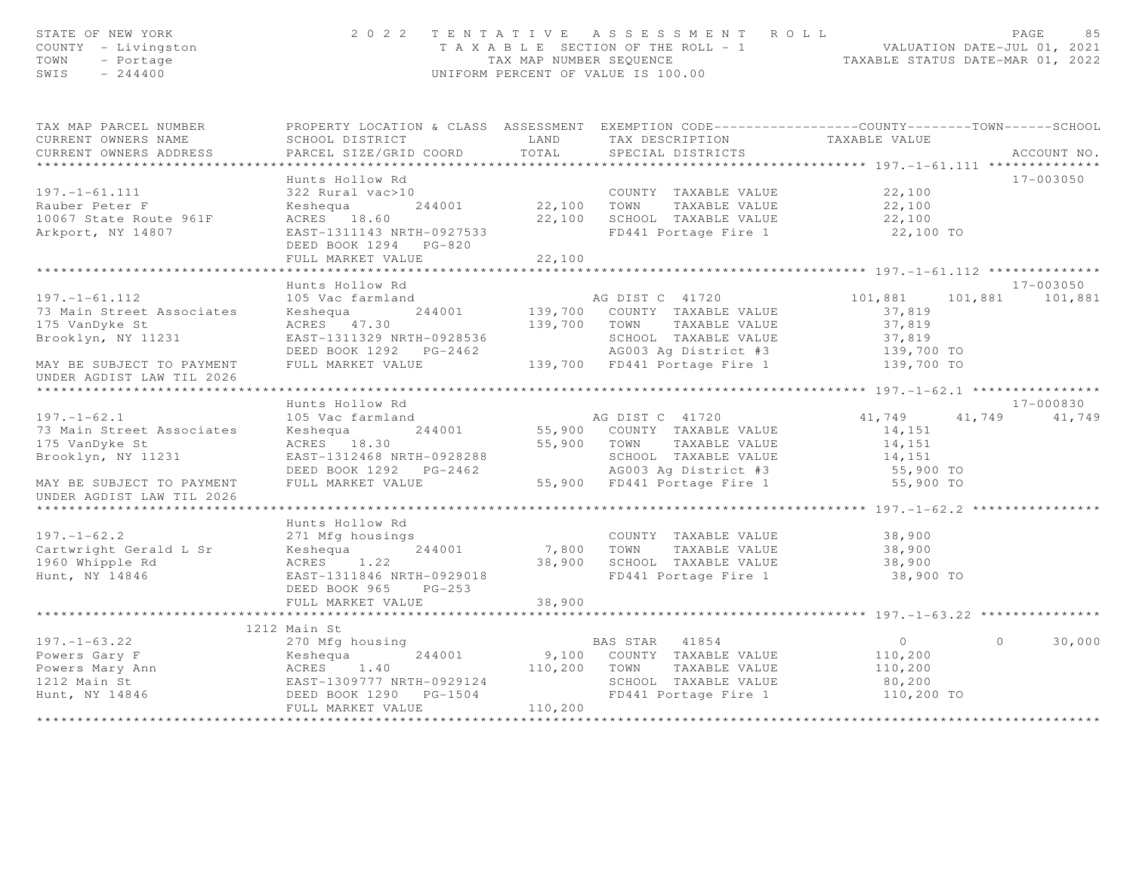| STATE OF NEW YORK<br>COUNTY - Livingston<br>TOWN<br>- Portage<br>$-244400$<br>SWIS                                                                                                                                             |                                                                                                                                                                                               |         | 2022 TENTATIVE ASSESSMENT ROLL<br>T A X A B L E SECTION OF THE ROLL - 1<br>TAX MAP NUMBER SEQUENCE<br>TAXABLE STATUS DATE-MAR 01, 2022<br>UNIFORM PERCENT OF VALUE IS 100.00 |                                                                                                                                                                                                                                                                                                                                    | PAGE<br>85           |
|--------------------------------------------------------------------------------------------------------------------------------------------------------------------------------------------------------------------------------|-----------------------------------------------------------------------------------------------------------------------------------------------------------------------------------------------|---------|------------------------------------------------------------------------------------------------------------------------------------------------------------------------------|------------------------------------------------------------------------------------------------------------------------------------------------------------------------------------------------------------------------------------------------------------------------------------------------------------------------------------|----------------------|
| TAX MAP PARCEL NUMBER FROPERTY LOCATION & CLASS ASSESSMENT EXEMPTION CODE---------------COUNTY-------TOWN------SCHOOL<br>CURRENT OWNERS NAME                                                                                   |                                                                                                                                                                                               |         |                                                                                                                                                                              |                                                                                                                                                                                                                                                                                                                                    |                      |
| CURRENT OWNERS ADDRESS                                                                                                                                                                                                         | PARCEL SIZE/GRID COORD TOTAL                                                                                                                                                                  |         | SPECIAL DISTRICTS                                                                                                                                                            |                                                                                                                                                                                                                                                                                                                                    | ACCOUNT NO.          |
|                                                                                                                                                                                                                                |                                                                                                                                                                                               |         |                                                                                                                                                                              |                                                                                                                                                                                                                                                                                                                                    |                      |
|                                                                                                                                                                                                                                | Hunts Hollow Rd                                                                                                                                                                               |         |                                                                                                                                                                              |                                                                                                                                                                                                                                                                                                                                    | $17 - 003050$        |
| $197. - 1 - 61.111$                                                                                                                                                                                                            |                                                                                                                                                                                               |         | 22,100 COUNTY TAXABLE VALUE<br>Keshequa 244001 22,100 TOWN TAXABLE VALUE 22,100                                                                                              |                                                                                                                                                                                                                                                                                                                                    |                      |
|                                                                                                                                                                                                                                |                                                                                                                                                                                               |         |                                                                                                                                                                              |                                                                                                                                                                                                                                                                                                                                    |                      |
| Rauber Peter F<br>10067 State Route 961F                                                                                                                                                                                       | ACRES 18.60                                                                                                                                                                                   |         |                                                                                                                                                                              |                                                                                                                                                                                                                                                                                                                                    |                      |
| Arkport, NY 14807                                                                                                                                                                                                              | EAST-1311143 NRTH-0927533<br>DEED BOOK 1294 PG-820                                                                                                                                            |         | 22,100 SCHOOL TAXABLE VALUE<br>FD441 Portage Fire 1                                                                                                                          | 22,100<br>22,100 TO                                                                                                                                                                                                                                                                                                                |                      |
|                                                                                                                                                                                                                                | FULL MARKET VALUE                                                                                                                                                                             | 22,100  |                                                                                                                                                                              |                                                                                                                                                                                                                                                                                                                                    |                      |
|                                                                                                                                                                                                                                |                                                                                                                                                                                               |         |                                                                                                                                                                              |                                                                                                                                                                                                                                                                                                                                    |                      |
|                                                                                                                                                                                                                                | Hunts Hollow Rd                                                                                                                                                                               |         |                                                                                                                                                                              |                                                                                                                                                                                                                                                                                                                                    | 17-003050            |
| $197. - 1 - 61.112$                                                                                                                                                                                                            | 105 Vac farmland                                                                                                                                                                              |         | AG DIST C 41720 101,881                                                                                                                                                      |                                                                                                                                                                                                                                                                                                                                    | 101,881 101,881      |
| 73 Main Street Associates                                                                                                                                                                                                      |                                                                                                                                                                                               |         |                                                                                                                                                                              | 37,819                                                                                                                                                                                                                                                                                                                             |                      |
| 175 VanDyke St                                                                                                                                                                                                                 |                                                                                                                                                                                               |         |                                                                                                                                                                              | 37,819<br>37,819                                                                                                                                                                                                                                                                                                                   |                      |
| Brooklyn, NY 11231                                                                                                                                                                                                             |                                                                                                                                                                                               |         |                                                                                                                                                                              |                                                                                                                                                                                                                                                                                                                                    |                      |
|                                                                                                                                                                                                                                | Example 139,700 COUNTY TAXABLE VALUE<br>EAST-1311329 NRTH-0928536<br>DEED BOOK 1292 PG-2462<br>FULL MARKET VALUE<br>AG003 Ag District #3<br>FULL MARKET VALUE<br>139,700 FD441 Portage Fire 1 |         |                                                                                                                                                                              | 139,700 TO<br>139,700 TO                                                                                                                                                                                                                                                                                                           |                      |
| MAY BE SUBJECT TO PAYMENT<br>UNDER AGDIST LAW TIL 2026<br>******************************                                                                                                                                       |                                                                                                                                                                                               |         |                                                                                                                                                                              |                                                                                                                                                                                                                                                                                                                                    |                      |
|                                                                                                                                                                                                                                | Hunts Hollow Rd                                                                                                                                                                               |         |                                                                                                                                                                              |                                                                                                                                                                                                                                                                                                                                    | 17-000830            |
| $197. - 1 - 62.1$                                                                                                                                                                                                              |                                                                                                                                                                                               |         |                                                                                                                                                                              |                                                                                                                                                                                                                                                                                                                                    | 41,749 41,749 41,749 |
| 73 Main Street Associates                                                                                                                                                                                                      |                                                                                                                                                                                               |         | AG DIST C 41720<br>55,900 COUNTY TAXABLE VALUE                                                                                                                               | 14,151                                                                                                                                                                                                                                                                                                                             |                      |
| 175 VanDyke St                                                                                                                                                                                                                 |                                                                                                                                                                                               |         |                                                                                                                                                                              |                                                                                                                                                                                                                                                                                                                                    |                      |
| Brooklyn, NY 11231                                                                                                                                                                                                             |                                                                                                                                                                                               |         |                                                                                                                                                                              |                                                                                                                                                                                                                                                                                                                                    |                      |
|                                                                                                                                                                                                                                |                                                                                                                                                                                               |         |                                                                                                                                                                              | 14,151<br>55,900 TO                                                                                                                                                                                                                                                                                                                |                      |
| MAY BE SUBJECT TO PAYMENT                                                                                                                                                                                                      |                                                                                                                                                                                               |         |                                                                                                                                                                              |                                                                                                                                                                                                                                                                                                                                    |                      |
| UNDER AGDIST LAW TIL 2026                                                                                                                                                                                                      |                                                                                                                                                                                               |         |                                                                                                                                                                              |                                                                                                                                                                                                                                                                                                                                    |                      |
|                                                                                                                                                                                                                                |                                                                                                                                                                                               |         |                                                                                                                                                                              |                                                                                                                                                                                                                                                                                                                                    |                      |
|                                                                                                                                                                                                                                | Hunts Hollow Rd                                                                                                                                                                               |         |                                                                                                                                                                              |                                                                                                                                                                                                                                                                                                                                    |                      |
| $197. - 1 - 62.2$                                                                                                                                                                                                              | 271 Mfg housings                                                                                                                                                                              |         | COUNTY TAXABLE VALUE                                                                                                                                                         | 38,900                                                                                                                                                                                                                                                                                                                             |                      |
|                                                                                                                                                                                                                                |                                                                                                                                                                                               |         |                                                                                                                                                                              | 38,900<br>38,900                                                                                                                                                                                                                                                                                                                   |                      |
| Cartwright Gerald L Sr Keshequa 244001<br>1960 Whipple Rd ACRES 1.22                                                                                                                                                           |                                                                                                                                                                                               |         |                                                                                                                                                                              |                                                                                                                                                                                                                                                                                                                                    |                      |
| Hunt, NY 14846                                                                                                                                                                                                                 | EAST-1311846 NRTH-0929018                                                                                                                                                                     |         | 7,800 TOWN TAXABLE VALUE<br>38,900 SCHOOL TAXABLE VALUE<br>FD441 Portage Fire 1                                                                                              | 38,900 TO                                                                                                                                                                                                                                                                                                                          |                      |
|                                                                                                                                                                                                                                | DEED BOOK 965 PG-253                                                                                                                                                                          |         |                                                                                                                                                                              |                                                                                                                                                                                                                                                                                                                                    |                      |
|                                                                                                                                                                                                                                | FULL MARKET VALUE                                                                                                                                                                             | 38,900  |                                                                                                                                                                              |                                                                                                                                                                                                                                                                                                                                    |                      |
|                                                                                                                                                                                                                                |                                                                                                                                                                                               |         |                                                                                                                                                                              | ********************* 197.-1-63.22 *********                                                                                                                                                                                                                                                                                       |                      |
|                                                                                                                                                                                                                                | 1212 Main St                                                                                                                                                                                  |         |                                                                                                                                                                              |                                                                                                                                                                                                                                                                                                                                    |                      |
| For the company of the company of the company of the company of the company of the company of the company and the company and the company and the company and the company and the company of the company of the company of the |                                                                                                                                                                                               |         |                                                                                                                                                                              | $\overline{0}$ and $\overline{0}$ and $\overline{0}$ and $\overline{0}$ and $\overline{0}$ and $\overline{0}$ and $\overline{0}$ and $\overline{0}$ and $\overline{0}$ and $\overline{0}$ and $\overline{0}$ and $\overline{0}$ and $\overline{0}$ and $\overline{0}$ and $\overline{0}$ and $\overline{0}$ and $\overline{0}$ and | 30,000<br>$\Omega$   |
|                                                                                                                                                                                                                                |                                                                                                                                                                                               |         |                                                                                                                                                                              | 110,200                                                                                                                                                                                                                                                                                                                            |                      |
|                                                                                                                                                                                                                                |                                                                                                                                                                                               |         |                                                                                                                                                                              | 110,200                                                                                                                                                                                                                                                                                                                            |                      |
|                                                                                                                                                                                                                                |                                                                                                                                                                                               |         | SCHOOL TAXABLE VALUE<br>FD441 Portage Fire 1                                                                                                                                 | 80,200<br>110,200 TO                                                                                                                                                                                                                                                                                                               |                      |
|                                                                                                                                                                                                                                | FULL MARKET VALUE                                                                                                                                                                             | 110,200 |                                                                                                                                                                              |                                                                                                                                                                                                                                                                                                                                    |                      |
|                                                                                                                                                                                                                                |                                                                                                                                                                                               |         |                                                                                                                                                                              |                                                                                                                                                                                                                                                                                                                                    |                      |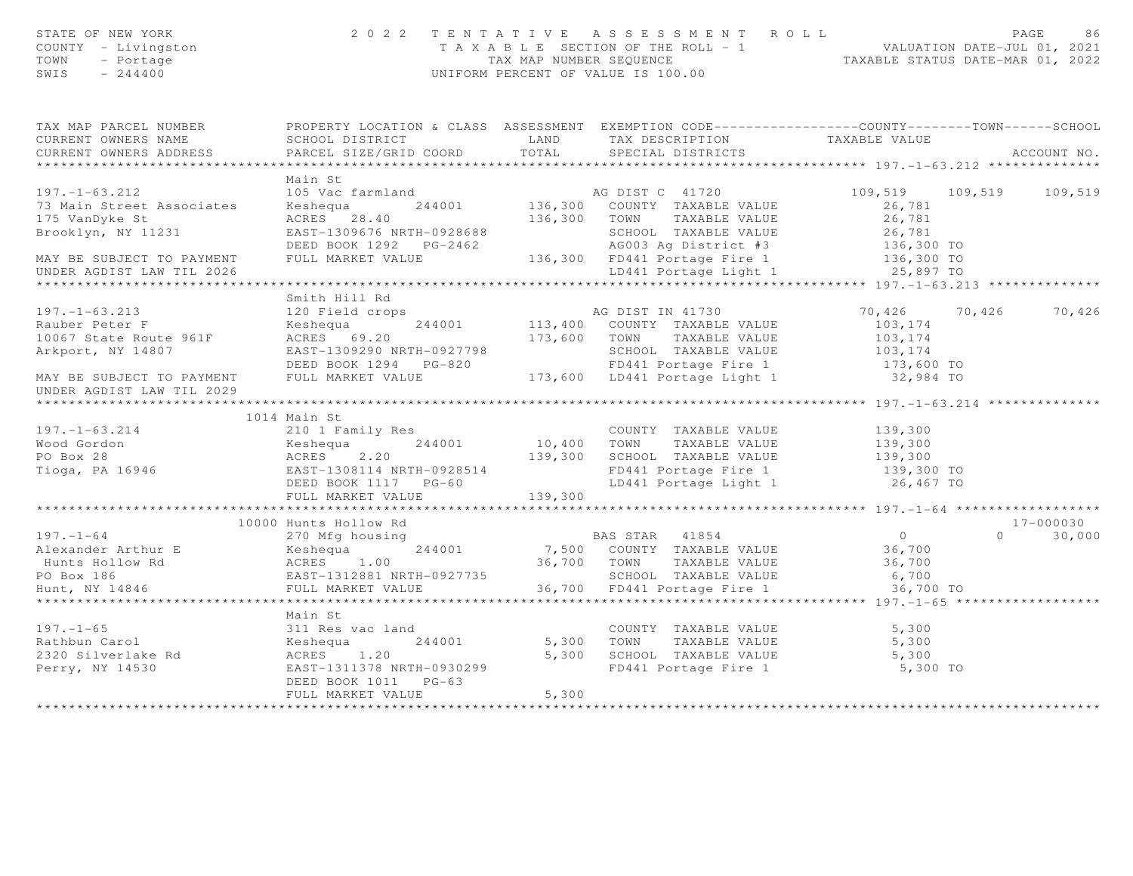| COUNTY - Livingston<br>TOWN - Portage<br>SWIS - 244400                                                                                                                                                                                                                                                                                                                                                                      |                                                                                                                                                                    |       | 2022 TENTATIVE ASSESSMENT ROLL PAGE 86<br>TAXABLE SECTION OF THE ROLL - 1<br>TAX MAP NUMBER SEQUENCE TAXABLE STATUS DATE-MAR 01, 2022<br>UNIFORM PERCENT OF VALUE IS 100.00 |                         |               |
|-----------------------------------------------------------------------------------------------------------------------------------------------------------------------------------------------------------------------------------------------------------------------------------------------------------------------------------------------------------------------------------------------------------------------------|--------------------------------------------------------------------------------------------------------------------------------------------------------------------|-------|-----------------------------------------------------------------------------------------------------------------------------------------------------------------------------|-------------------------|---------------|
| TAX MAP PARCEL NUMBER FROPERTY LOCATION & CLASS ASSESSMENT EXEMPTION CODE---------------COUNTY-------TOWN-----SCHOOL                                                                                                                                                                                                                                                                                                        |                                                                                                                                                                    |       |                                                                                                                                                                             |                         |               |
| CURRENT OWNERS NAME                                                                                                                                                                                                                                                                                                                                                                                                         | SCHOOL DISTRICT                          LAND         TAX DESCRIPTION                   TAXABLE VALUE PARCEL SIZE/GRID COORD         TOTAL       SPECIAL DISTRICTS |       |                                                                                                                                                                             |                         |               |
| CURRENT OWNERS ADDRESS                                                                                                                                                                                                                                                                                                                                                                                                      |                                                                                                                                                                    |       |                                                                                                                                                                             |                         | ACCOUNT NO.   |
|                                                                                                                                                                                                                                                                                                                                                                                                                             | Main St                                                                                                                                                            |       |                                                                                                                                                                             |                         |               |
| Main St<br>Main St 105 Vac farmland<br>244001 136,300 COUNTY TAXABLE VALUE<br>26,781<br>26,781<br>26,781<br>26,781<br>26,781<br>26,781<br>26,781<br>26,781<br>26,781<br>26,781<br>26,781<br>26,781<br>26,781<br>26,781<br>26,781<br>26,781<br>26,781<br>26,781<br>26,781                                                                                                                                                    |                                                                                                                                                                    |       |                                                                                                                                                                             | 109,519 109,519 109,519 |               |
|                                                                                                                                                                                                                                                                                                                                                                                                                             |                                                                                                                                                                    |       |                                                                                                                                                                             |                         |               |
|                                                                                                                                                                                                                                                                                                                                                                                                                             |                                                                                                                                                                    |       |                                                                                                                                                                             |                         |               |
|                                                                                                                                                                                                                                                                                                                                                                                                                             |                                                                                                                                                                    |       |                                                                                                                                                                             |                         |               |
|                                                                                                                                                                                                                                                                                                                                                                                                                             |                                                                                                                                                                    |       |                                                                                                                                                                             |                         |               |
|                                                                                                                                                                                                                                                                                                                                                                                                                             |                                                                                                                                                                    |       |                                                                                                                                                                             |                         |               |
|                                                                                                                                                                                                                                                                                                                                                                                                                             |                                                                                                                                                                    |       |                                                                                                                                                                             |                         |               |
|                                                                                                                                                                                                                                                                                                                                                                                                                             |                                                                                                                                                                    |       |                                                                                                                                                                             |                         |               |
|                                                                                                                                                                                                                                                                                                                                                                                                                             |                                                                                                                                                                    |       |                                                                                                                                                                             |                         |               |
|                                                                                                                                                                                                                                                                                                                                                                                                                             |                                                                                                                                                                    |       |                                                                                                                                                                             | 70, 426 70, 426 70, 426 |               |
|                                                                                                                                                                                                                                                                                                                                                                                                                             |                                                                                                                                                                    |       |                                                                                                                                                                             |                         |               |
|                                                                                                                                                                                                                                                                                                                                                                                                                             |                                                                                                                                                                    |       |                                                                                                                                                                             |                         |               |
|                                                                                                                                                                                                                                                                                                                                                                                                                             |                                                                                                                                                                    |       |                                                                                                                                                                             |                         |               |
|                                                                                                                                                                                                                                                                                                                                                                                                                             |                                                                                                                                                                    |       |                                                                                                                                                                             |                         |               |
| 197.-1-63.213<br>Rauber Peter F 10067 State Route 961F ACRES 69.20<br>MAY BE SUBJECT TO PAYMENT FULL MARKET VALUE DEED BOOK 1294 PG-820<br>MAY BE SUBJECT TO PAYMENT FULL MARKET VALUE TO ACRES 69.20<br>MAY BE SUBJECT TO PAYMENT FUL                                                                                                                                                                                      |                                                                                                                                                                    |       |                                                                                                                                                                             |                         |               |
|                                                                                                                                                                                                                                                                                                                                                                                                                             | 1014 Main St                                                                                                                                                       |       |                                                                                                                                                                             |                         |               |
| 197.-1-63.214 1014 Main St<br>210 1 Family Res<br>Wood Gordon Keshequa 244001 10,400 TOWN TAXABLE VALUE 139,300<br>PO Box 28 ACRES 2.20 139,300 SCHOOL TAXABLE VALUE 139,300<br>Tioga, PA 16946 EAST-1308114 NRTH-0928514 FD441 Porta                                                                                                                                                                                       |                                                                                                                                                                    |       |                                                                                                                                                                             |                         |               |
|                                                                                                                                                                                                                                                                                                                                                                                                                             |                                                                                                                                                                    |       |                                                                                                                                                                             |                         |               |
|                                                                                                                                                                                                                                                                                                                                                                                                                             |                                                                                                                                                                    |       |                                                                                                                                                                             |                         |               |
|                                                                                                                                                                                                                                                                                                                                                                                                                             |                                                                                                                                                                    |       |                                                                                                                                                                             |                         |               |
|                                                                                                                                                                                                                                                                                                                                                                                                                             |                                                                                                                                                                    |       |                                                                                                                                                                             |                         |               |
|                                                                                                                                                                                                                                                                                                                                                                                                                             |                                                                                                                                                                    |       |                                                                                                                                                                             |                         |               |
|                                                                                                                                                                                                                                                                                                                                                                                                                             | *****************************                                                                                                                                      |       |                                                                                                                                                                             |                         |               |
| $\begin{tabular}{lllllllllllllllllllll} \hline & & & & & & & 10000~{\rm{Hunts~Hollow~Rd} & & & & & & & 0\\ \hline \texttt{Alexander Arthur E} & & & & & & & & 270~{\rm{Mfg~housing} & & & & & & & 0\\ \texttt{Alexander Arthur E} & & & & & & & & 244001 & & & 7,500 & {\rm{COUNTY~TABLE~VALUE} & & 36,700\\ \texttt{Hunts~Hollow~Rd} & & & & & & & 244001 & & 36,700 & {\rm{COUNTY~TABLE~VALUE} & & 36,700\\ \texttt{BMS~$ |                                                                                                                                                                    |       |                                                                                                                                                                             |                         | 17-000030     |
|                                                                                                                                                                                                                                                                                                                                                                                                                             |                                                                                                                                                                    |       |                                                                                                                                                                             |                         | $0 \t 30,000$ |
|                                                                                                                                                                                                                                                                                                                                                                                                                             |                                                                                                                                                                    |       |                                                                                                                                                                             |                         |               |
|                                                                                                                                                                                                                                                                                                                                                                                                                             |                                                                                                                                                                    |       |                                                                                                                                                                             |                         |               |
|                                                                                                                                                                                                                                                                                                                                                                                                                             |                                                                                                                                                                    |       |                                                                                                                                                                             |                         |               |
|                                                                                                                                                                                                                                                                                                                                                                                                                             |                                                                                                                                                                    |       |                                                                                                                                                                             |                         |               |
|                                                                                                                                                                                                                                                                                                                                                                                                                             | Main St                                                                                                                                                            |       |                                                                                                                                                                             |                         |               |
|                                                                                                                                                                                                                                                                                                                                                                                                                             |                                                                                                                                                                    |       |                                                                                                                                                                             |                         |               |
|                                                                                                                                                                                                                                                                                                                                                                                                                             |                                                                                                                                                                    |       |                                                                                                                                                                             |                         |               |
|                                                                                                                                                                                                                                                                                                                                                                                                                             |                                                                                                                                                                    |       |                                                                                                                                                                             |                         |               |
|                                                                                                                                                                                                                                                                                                                                                                                                                             |                                                                                                                                                                    |       |                                                                                                                                                                             |                         |               |
|                                                                                                                                                                                                                                                                                                                                                                                                                             | DEED BOOK 1011    PG-63                                                                                                                                            |       |                                                                                                                                                                             |                         |               |
|                                                                                                                                                                                                                                                                                                                                                                                                                             | FULL MARKET VALUE                                                                                                                                                  | 5,300 |                                                                                                                                                                             |                         |               |
|                                                                                                                                                                                                                                                                                                                                                                                                                             |                                                                                                                                                                    |       |                                                                                                                                                                             |                         |               |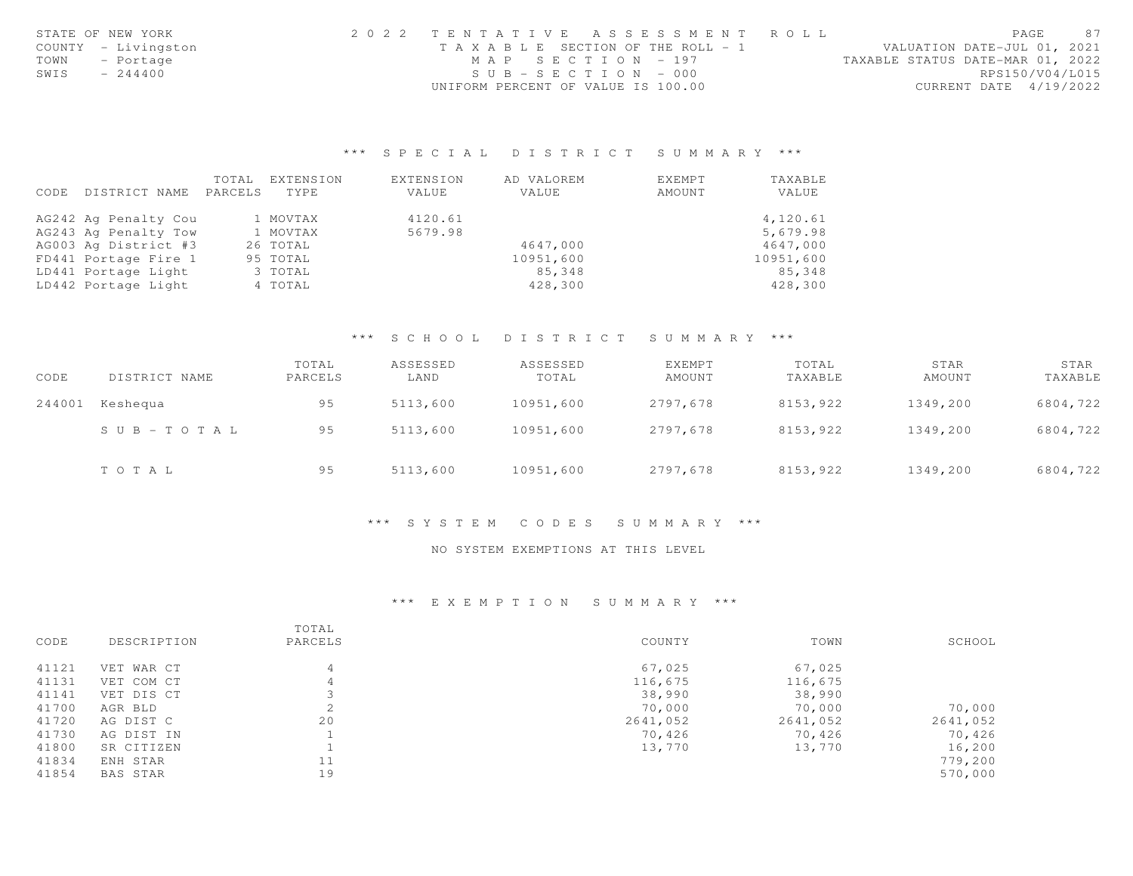|      | STATE OF NEW YORK   | 2022 TENTATIVE ASSESSMENT ROLL     | 87<br>PAGE                       |
|------|---------------------|------------------------------------|----------------------------------|
|      | COUNTY - Livingston | TAXABLE SECTION OF THE ROLL - 1    | VALUATION DATE-JUL 01, 2021      |
|      | TOWN - Portage      | MAP SECTION - 197                  | TAXABLE STATUS DATE-MAR 01, 2022 |
| SWIS | $-244400$           | $SUB - SECTION - 000$              | RPS150/V04/L015                  |
|      |                     | UNIFORM PERCENT OF VALUE IS 100.00 | CURRENT DATE 4/19/2022           |

## \*\*\* S P E C I A L D I S T R I C T S U M M A R Y \*\*\*

|      |                      | TOTAL   | EXTENSION | <b>EXTENSION</b> | AD VALOREM | EXEMPT | TAXABLE   |
|------|----------------------|---------|-----------|------------------|------------|--------|-----------|
| CODE | DISTRICT NAME        | PARCELS | TYPE      | VALUE            | VALUE      | AMOUNT | VALUE     |
|      | AG242 Ag Penalty Cou |         | 1 MOVTAX  | 4120.61          |            |        | 4,120.61  |
|      | AG243 Ag Penalty Tow |         | 1 MOVTAX  | 5679.98          |            |        | 5,679.98  |
|      | AG003 Ag District #3 |         | 26 TOTAL  |                  | 4647.000   |        | 4647,000  |
|      | FD441 Portage Fire 1 |         | 95 TOTAL  |                  | 10951,600  |        | 10951,600 |
|      | LD441 Portage Light  |         | 3 TOTAL   |                  | 85,348     |        | 85,348    |
|      | LD442 Portage Light  |         | 4 TOTAL   |                  | 428,300    |        | 428,300   |

## \*\*\* S C H O O L D I S T R I C T S U M M A R Y \*\*\*

| CODE   | DISTRICT NAME | TOTAL<br>PARCELS | ASSESSED<br>LAND | ASSESSED<br>TOTAL | EXEMPT<br>AMOUNT | TOTAL<br>TAXABLE | STAR<br>AMOUNT | STAR<br>TAXABLE |
|--------|---------------|------------------|------------------|-------------------|------------------|------------------|----------------|-----------------|
| 244001 | Keshequa      | 95               | 5113,600         | 10951,600         | 2797,678         | 8153,922         | 1349,200       | 6804,722        |
|        | SUB-TOTAL     | 95               | 5113,600         | 10951,600         | 2797.678         | 8153,922         | 1349,200       | 6804,722        |
|        | TOTAL         | 95               | 5113,600         | 10951,600         | 2797,678         | 8153,922         | 1349,200       | 6804,722        |

#### \*\*\* S Y S T E M C O D E S S U M M A R Y \*\*\*

## NO SYSTEM EXEMPTIONS AT THIS LEVEL

# \*\*\* E X E M P T I O N S U M M A R Y \*\*\*

| CODE  | DESCRIPTION | TOTAL<br>PARCELS | COUNTY   | TOWN     | SCHOOL   |
|-------|-------------|------------------|----------|----------|----------|
| 41121 | VET WAR CT  | 4                | 67,025   | 67,025   |          |
| 41131 | VET COM CT  | 4                | 116,675  | 116,675  |          |
| 41141 | VET DIS CT  |                  | 38,990   | 38,990   |          |
| 41700 | AGR BLD     | $\hat{ }$<br>∠   | 70,000   | 70,000   | 70,000   |
| 41720 | AG DIST C   | 20               | 2641,052 | 2641,052 | 2641,052 |
| 41730 | AG DIST IN  |                  | 70,426   | 70,426   | 70,426   |
| 41800 | SR CITIZEN  |                  | 13,770   | 13,770   | 16,200   |
| 41834 | ENH STAR    | 11               |          |          | 779,200  |
| 41854 | BAS STAR    | 19               |          |          | 570,000  |
|       |             |                  |          |          |          |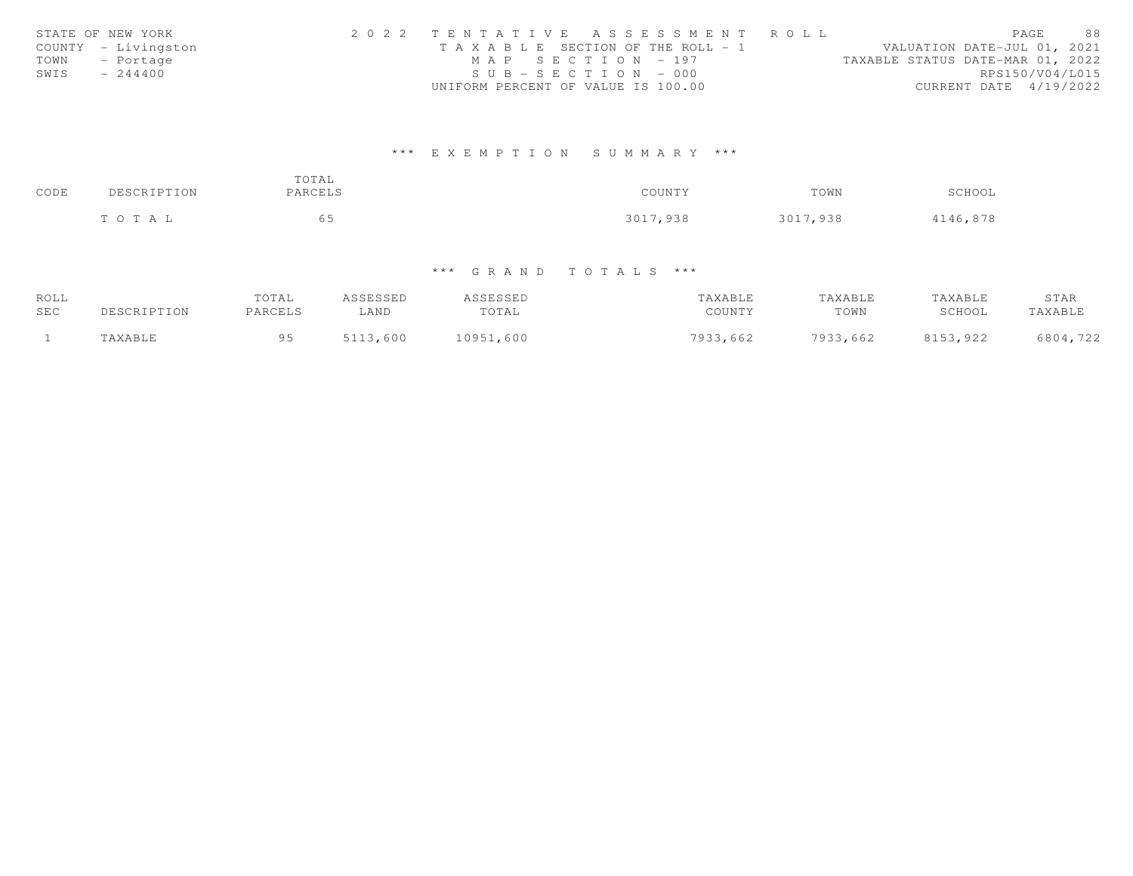|      | STATE OF NEW YORK   | 2022 TENTATIVE ASSESSMENT ROLL        |  |                                  |                        | PAGE | 88 |
|------|---------------------|---------------------------------------|--|----------------------------------|------------------------|------|----|
|      | COUNTY - Livingston | T A X A B L E SECTION OF THE ROLL - 1 |  | VALUATION DATE-JUL 01, 2021      |                        |      |    |
| TOWN | - Portage           | MAP SECTION - 197                     |  | TAXABLE STATUS DATE-MAR 01, 2022 |                        |      |    |
| SWIS | $-244400$           | $SUB - SECTION - 000$                 |  |                                  | RPS150/V04/L015        |      |    |
|      |                     | UNIFORM PERCENT OF VALUE IS 100.00    |  |                                  | CURRENT DATE 4/19/2022 |      |    |

# \*\*\* E X E M P T I O N S U M M A R Y \*\*\*

| CODE | DESCRIPTION | TOTAL<br>PARCELS | COUNTY   | TOWN     | SCHOOL   |
|------|-------------|------------------|----------|----------|----------|
|      | TOTAL       | 65               | 3017,938 | 3017,938 | 4146,878 |

# \*\*\* G R A N D T O T A L S \*\*\*

| ROLL       |         | TOTAL   | ASSESSED | ASSESSED      | TAXABLE  | TAXABLE  | TAXABLE  | STAR     |
|------------|---------|---------|----------|---------------|----------|----------|----------|----------|
| <b>SEC</b> |         | PARCELS | LAND     | TOTAL         | COUNTY   | TOWN     | SCHOOL   | TAXABLE  |
|            | TAXABLE | QF      | 5113,600 | ,600<br>10951 | 7933,662 | 7933,662 | 8153,922 | 6804,722 |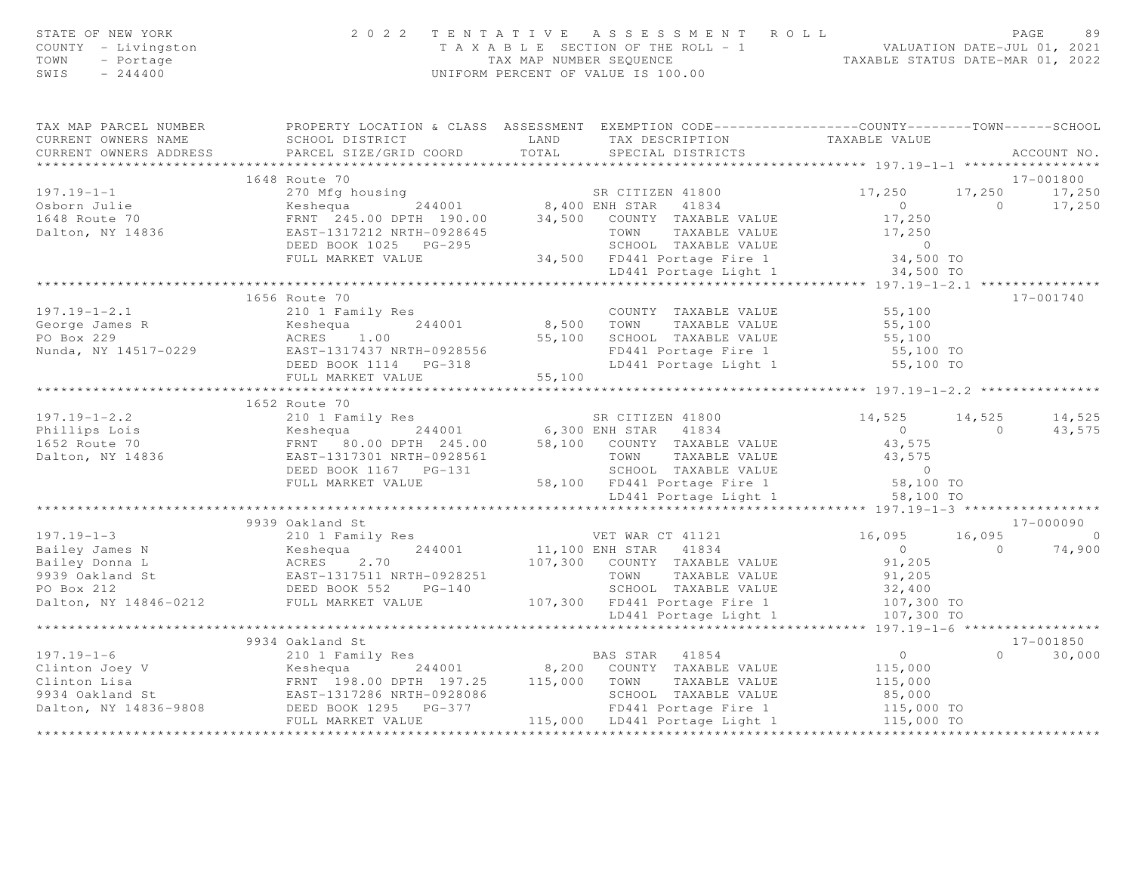| STATE OF NEW YORK<br>COUNTY - Livingston<br>TOWN<br>- Portage<br>SWIS<br>$-244400$                                                                                                                                                                                                                                                                                                                      |                                                                                                                                                                                                                                | 2022 TENTATIVE ASSESSMENT ROLL<br>TAXABLE SECTION OF THE ROLL - 1<br>TAXABLE SECTION OF THE ROLL - 1<br>TAXABLE STATUS DATE-JUL 01, 2021<br>TAXABLE STATUS DATE-MAR 01, 2022<br>TAX MAP NUMBER SEQUENCE<br>UNIFORM PERCENT OF VALUE IS 100.00 |                                                          |                        | PAGE<br>89    |
|---------------------------------------------------------------------------------------------------------------------------------------------------------------------------------------------------------------------------------------------------------------------------------------------------------------------------------------------------------------------------------------------------------|--------------------------------------------------------------------------------------------------------------------------------------------------------------------------------------------------------------------------------|-----------------------------------------------------------------------------------------------------------------------------------------------------------------------------------------------------------------------------------------------|----------------------------------------------------------|------------------------|---------------|
| TAX MAP PARCEL NUMBER FROPERTY LOCATION & CLASS ASSESSMENT EXEMPTION CODE---------------COUNTY-------TOWN------SCHOOL<br>CURRENT OWNERS NAME<br>CURRENT OWNERS ADDRESS                                                                                                                                                                                                                                  | SCHOOL DISTRICT                         LAND         TAX DESCRIPTION                   TAXABLE VALUE                                                                                                                           |                                                                                                                                                                                                                                               |                                                          |                        | ACCOUNT NO.   |
|                                                                                                                                                                                                                                                                                                                                                                                                         |                                                                                                                                                                                                                                |                                                                                                                                                                                                                                               |                                                          |                        | 17-001800     |
| $197.19 - 1 - 1$                                                                                                                                                                                                                                                                                                                                                                                        | 270 Mfg housing<br>Example 244001 244001<br>FRNT 245.00 DPTH 190.00 34,500 COUNTY TAXABLE VALUE<br>EAST-1317212 NRTH-0928645 TOWN TAXABLE VALUE                                                                                |                                                                                                                                                                                                                                               | 17,250                                                   |                        | 17,250 17,250 |
|                                                                                                                                                                                                                                                                                                                                                                                                         |                                                                                                                                                                                                                                |                                                                                                                                                                                                                                               |                                                          |                        |               |
| Osborn Julie<br>1648 Route 70                                                                                                                                                                                                                                                                                                                                                                           |                                                                                                                                                                                                                                |                                                                                                                                                                                                                                               |                                                          |                        |               |
| Dalton, NY 14836                                                                                                                                                                                                                                                                                                                                                                                        |                                                                                                                                                                                                                                |                                                                                                                                                                                                                                               |                                                          |                        |               |
|                                                                                                                                                                                                                                                                                                                                                                                                         | ERNT 245.00 DPTH 190.00 8,400 ENH STAR 41834 00 17,250 1/1/200 11/250 11/250 11/250 11/250 11/250 11/250 11/250 11/250 11/250 11/250 11/250 11/250 11/250 11/250 11/250 11/250 11/250 11/250 11/250 12.250 12.250 12.250 12.25 |                                                                                                                                                                                                                                               |                                                          |                        |               |
|                                                                                                                                                                                                                                                                                                                                                                                                         |                                                                                                                                                                                                                                |                                                                                                                                                                                                                                               |                                                          |                        |               |
|                                                                                                                                                                                                                                                                                                                                                                                                         |                                                                                                                                                                                                                                |                                                                                                                                                                                                                                               |                                                          |                        |               |
|                                                                                                                                                                                                                                                                                                                                                                                                         |                                                                                                                                                                                                                                |                                                                                                                                                                                                                                               |                                                          |                        |               |
|                                                                                                                                                                                                                                                                                                                                                                                                         | 1656 Route 70                                                                                                                                                                                                                  |                                                                                                                                                                                                                                               |                                                          |                        | 17-001740     |
|                                                                                                                                                                                                                                                                                                                                                                                                         |                                                                                                                                                                                                                                |                                                                                                                                                                                                                                               | COUNTY TAXABLE VALUE 55,100<br>TOWN TAXABLE VALUE 55,100 |                        |               |
|                                                                                                                                                                                                                                                                                                                                                                                                         |                                                                                                                                                                                                                                |                                                                                                                                                                                                                                               |                                                          |                        |               |
|                                                                                                                                                                                                                                                                                                                                                                                                         |                                                                                                                                                                                                                                |                                                                                                                                                                                                                                               |                                                          |                        |               |
|                                                                                                                                                                                                                                                                                                                                                                                                         |                                                                                                                                                                                                                                |                                                                                                                                                                                                                                               |                                                          |                        |               |
|                                                                                                                                                                                                                                                                                                                                                                                                         |                                                                                                                                                                                                                                |                                                                                                                                                                                                                                               |                                                          |                        |               |
| $\begin{array}{cccccccc} & & & & 1656 & \text{Route } 70 & & & & & 1656 & \text{Route } 70 & & & & & & 1656 & \text{Route } 70 & & & & & & & 1656 & \text{Route } 70 & & & & & & & 1656 & \text{Route } 70 & & & & & & & & 1656 & \text{Route } 70 & & & & & & & & 1656 & \text{Route } 70 & & & & & & & & 1656 & \text{Route } 70 & & & & & & & 1656 & \text{Route } 70 & & & & & & & & 1656 & \text{$ |                                                                                                                                                                                                                                |                                                                                                                                                                                                                                               |                                                          |                        |               |
|                                                                                                                                                                                                                                                                                                                                                                                                         | 1652 Route 70                                                                                                                                                                                                                  |                                                                                                                                                                                                                                               |                                                          |                        |               |
| 197.19-1-2.2<br>Phillips Lois 210 1 Family Res<br>210 1 Family Res<br>244001 6,300 ENH STAR 41834 0<br>244001 6,300 ENH STAR 41834 0<br>244001 6,300 ENH STAR 41834 0<br>244001 68,100 ENH STAR 41834 0<br>244001 68,100 ENH STAR 41834 0<br>                                                                                                                                                           |                                                                                                                                                                                                                                |                                                                                                                                                                                                                                               | $14,525$ $14,525$ $14,525$                               |                        |               |
|                                                                                                                                                                                                                                                                                                                                                                                                         |                                                                                                                                                                                                                                |                                                                                                                                                                                                                                               |                                                          | $\overline{0}$         | 43,575        |
|                                                                                                                                                                                                                                                                                                                                                                                                         |                                                                                                                                                                                                                                |                                                                                                                                                                                                                                               |                                                          |                        |               |
|                                                                                                                                                                                                                                                                                                                                                                                                         |                                                                                                                                                                                                                                |                                                                                                                                                                                                                                               |                                                          |                        |               |
|                                                                                                                                                                                                                                                                                                                                                                                                         |                                                                                                                                                                                                                                |                                                                                                                                                                                                                                               |                                                          |                        |               |
|                                                                                                                                                                                                                                                                                                                                                                                                         |                                                                                                                                                                                                                                |                                                                                                                                                                                                                                               |                                                          |                        |               |
|                                                                                                                                                                                                                                                                                                                                                                                                         |                                                                                                                                                                                                                                |                                                                                                                                                                                                                                               | 58,100 TO<br>LD441 Portage Light 1                       |                        |               |
|                                                                                                                                                                                                                                                                                                                                                                                                         | ****************                                                                                                                                                                                                               |                                                                                                                                                                                                                                               |                                                          |                        |               |
|                                                                                                                                                                                                                                                                                                                                                                                                         | 9939 Oakland St                                                                                                                                                                                                                |                                                                                                                                                                                                                                               |                                                          |                        | 17-000090     |
|                                                                                                                                                                                                                                                                                                                                                                                                         |                                                                                                                                                                                                                                |                                                                                                                                                                                                                                               | 16,095 16,095 0                                          |                        |               |
|                                                                                                                                                                                                                                                                                                                                                                                                         |                                                                                                                                                                                                                                |                                                                                                                                                                                                                                               |                                                          | $0$ 0 74,900<br>91,205 |               |
|                                                                                                                                                                                                                                                                                                                                                                                                         |                                                                                                                                                                                                                                |                                                                                                                                                                                                                                               |                                                          |                        |               |
|                                                                                                                                                                                                                                                                                                                                                                                                         |                                                                                                                                                                                                                                |                                                                                                                                                                                                                                               |                                                          |                        |               |
|                                                                                                                                                                                                                                                                                                                                                                                                         |                                                                                                                                                                                                                                |                                                                                                                                                                                                                                               |                                                          |                        |               |
|                                                                                                                                                                                                                                                                                                                                                                                                         |                                                                                                                                                                                                                                |                                                                                                                                                                                                                                               |                                                          |                        |               |
| 197.19-1-3<br>Bailey James N<br>Bailey Donna L<br>Bailey Donna L<br>States 2.70<br>PO Box 212<br>Dalton, NY 14846-0212<br>Dalton, NY 14846-0212<br>PULL MARKET VALUE<br>PULL MARKET VALUE<br>PULL MARKET VALUE<br>PULL MARKET VALUE<br>PULL MARKET VA                                                                                                                                                   |                                                                                                                                                                                                                                |                                                                                                                                                                                                                                               |                                                          |                        |               |
|                                                                                                                                                                                                                                                                                                                                                                                                         |                                                                                                                                                                                                                                |                                                                                                                                                                                                                                               |                                                          |                        |               |
|                                                                                                                                                                                                                                                                                                                                                                                                         | 9934 Oakland St                                                                                                                                                                                                                |                                                                                                                                                                                                                                               |                                                          |                        | 17-001850     |
|                                                                                                                                                                                                                                                                                                                                                                                                         |                                                                                                                                                                                                                                |                                                                                                                                                                                                                                               |                                                          |                        | $0 \t 30,000$ |
|                                                                                                                                                                                                                                                                                                                                                                                                         |                                                                                                                                                                                                                                |                                                                                                                                                                                                                                               |                                                          |                        |               |
|                                                                                                                                                                                                                                                                                                                                                                                                         |                                                                                                                                                                                                                                |                                                                                                                                                                                                                                               |                                                          |                        |               |
|                                                                                                                                                                                                                                                                                                                                                                                                         |                                                                                                                                                                                                                                |                                                                                                                                                                                                                                               |                                                          |                        |               |
|                                                                                                                                                                                                                                                                                                                                                                                                         |                                                                                                                                                                                                                                |                                                                                                                                                                                                                                               |                                                          |                        |               |
|                                                                                                                                                                                                                                                                                                                                                                                                         |                                                                                                                                                                                                                                |                                                                                                                                                                                                                                               |                                                          |                        |               |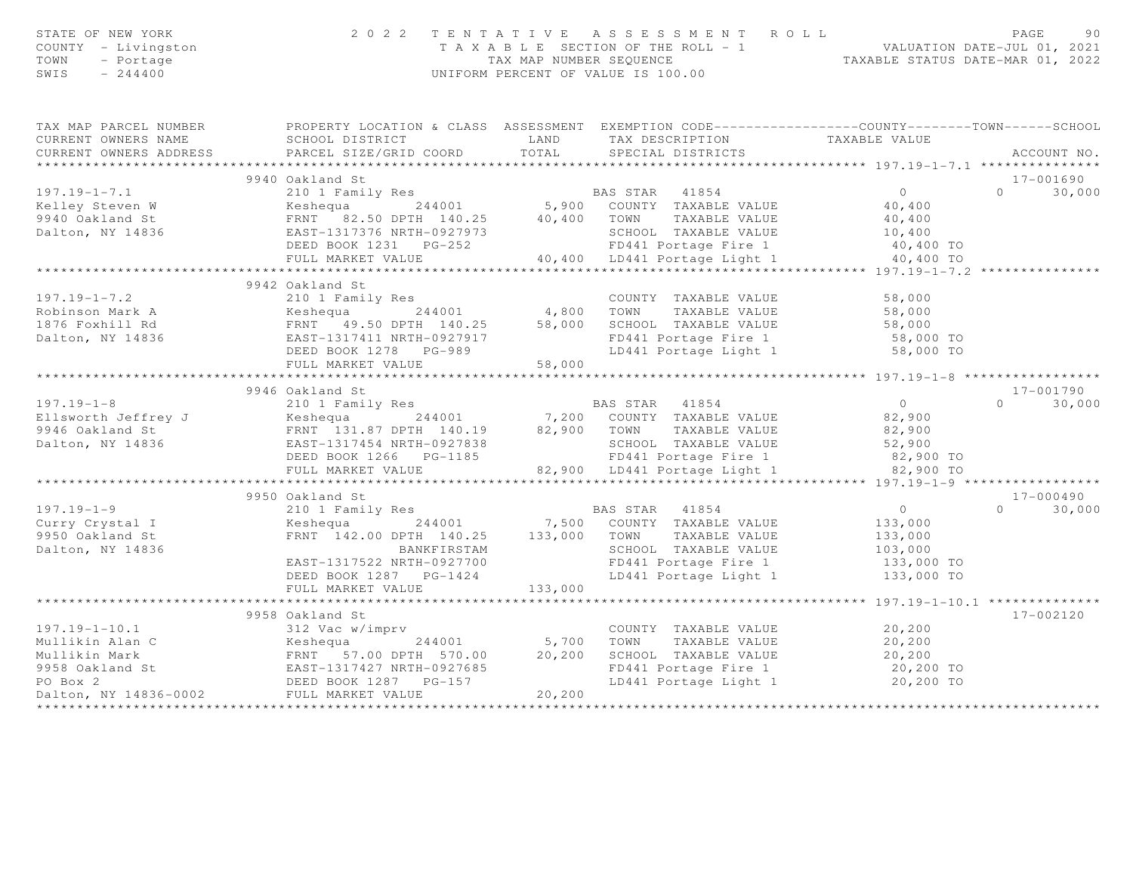| STATE OF NEW YORK<br>COUNTY - Livingston<br>TOWN<br>- Portage<br>$SWIS = 244400$                                                                                                                                                                                                                                                                                                                                  |                 |  |                                              |                            |
|-------------------------------------------------------------------------------------------------------------------------------------------------------------------------------------------------------------------------------------------------------------------------------------------------------------------------------------------------------------------------------------------------------------------|-----------------|--|----------------------------------------------|----------------------------|
| TAX MAP PARCEL NUMBER FROPERTY LOCATION & CLASS ASSESSMENT EXEMPTION CODE----------------COUNTY-------TOWN------SCHOOL                                                                                                                                                                                                                                                                                            |                 |  |                                              |                            |
| CURRENT OWNERS NAME<br>CURRENT OWNERS ADDRESS BARCEL SIZE/GRID COORD TOTAL SEECIAL DISTRICTS ACCOURT ACCOUNT ARABLE VALUE<br>TAX DESCRIPTION TAXABLE VALUE SEECURENT OWNERS ADDRESS PARCEL SIZE/GRID COORD TOTAL SPECIAL DISTRICTS                                                                                                                                                                                |                 |  |                                              | ACCOUNT NO.                |
|                                                                                                                                                                                                                                                                                                                                                                                                                   |                 |  |                                              |                            |
|                                                                                                                                                                                                                                                                                                                                                                                                                   |                 |  |                                              | 17-001690                  |
|                                                                                                                                                                                                                                                                                                                                                                                                                   |                 |  |                                              | $0 \t 30,000$              |
|                                                                                                                                                                                                                                                                                                                                                                                                                   |                 |  |                                              |                            |
|                                                                                                                                                                                                                                                                                                                                                                                                                   |                 |  |                                              |                            |
|                                                                                                                                                                                                                                                                                                                                                                                                                   |                 |  |                                              |                            |
|                                                                                                                                                                                                                                                                                                                                                                                                                   |                 |  |                                              |                            |
|                                                                                                                                                                                                                                                                                                                                                                                                                   |                 |  |                                              |                            |
|                                                                                                                                                                                                                                                                                                                                                                                                                   |                 |  |                                              |                            |
|                                                                                                                                                                                                                                                                                                                                                                                                                   | 9942 Oakland St |  |                                              |                            |
|                                                                                                                                                                                                                                                                                                                                                                                                                   |                 |  |                                              |                            |
|                                                                                                                                                                                                                                                                                                                                                                                                                   |                 |  |                                              |                            |
|                                                                                                                                                                                                                                                                                                                                                                                                                   |                 |  |                                              |                            |
|                                                                                                                                                                                                                                                                                                                                                                                                                   |                 |  |                                              |                            |
|                                                                                                                                                                                                                                                                                                                                                                                                                   |                 |  |                                              |                            |
| 197.19-1-7.2 $\begin{array}{l} 2001 \text{ Family Res} \\ \text{Robinson Mark A} \\ 1876 \text{ Foxhill Rd} \\ \text{Dalton, NY 14836} \\ \text{N1876 } \text{Foxhill Rd} \\ \text{L1876 } \text{Foxhill Rd} \\ \text{L1876 } \text{Fox} \\ \text{L1877 } \text{Cox} \\ \text{L1878 } \text{Cox} \\ \text{L1879 } \text{Cox} \\ \text{L1870 } \text{Cox} \\ \text{L1870 } \text{Cox} \\ \text{L1871 } \text{Cox}$ |                 |  |                                              |                            |
|                                                                                                                                                                                                                                                                                                                                                                                                                   | 9946 Oakland St |  |                                              | 17-001790                  |
|                                                                                                                                                                                                                                                                                                                                                                                                                   |                 |  |                                              | $0 \t 30,000$              |
|                                                                                                                                                                                                                                                                                                                                                                                                                   |                 |  |                                              |                            |
|                                                                                                                                                                                                                                                                                                                                                                                                                   |                 |  |                                              |                            |
|                                                                                                                                                                                                                                                                                                                                                                                                                   |                 |  |                                              |                            |
|                                                                                                                                                                                                                                                                                                                                                                                                                   |                 |  |                                              |                            |
|                                                                                                                                                                                                                                                                                                                                                                                                                   |                 |  |                                              |                            |
|                                                                                                                                                                                                                                                                                                                                                                                                                   |                 |  |                                              |                            |
|                                                                                                                                                                                                                                                                                                                                                                                                                   |                 |  |                                              | 17-000490<br>$0 \t 30,000$ |
|                                                                                                                                                                                                                                                                                                                                                                                                                   |                 |  |                                              |                            |
|                                                                                                                                                                                                                                                                                                                                                                                                                   |                 |  |                                              |                            |
|                                                                                                                                                                                                                                                                                                                                                                                                                   |                 |  |                                              |                            |
|                                                                                                                                                                                                                                                                                                                                                                                                                   |                 |  |                                              |                            |
|                                                                                                                                                                                                                                                                                                                                                                                                                   |                 |  |                                              |                            |
|                                                                                                                                                                                                                                                                                                                                                                                                                   |                 |  |                                              |                            |
|                                                                                                                                                                                                                                                                                                                                                                                                                   |                 |  | ************** 197.19-1-10.1 *************** |                            |
|                                                                                                                                                                                                                                                                                                                                                                                                                   | 9958 Oakland St |  |                                              | 17-002120                  |
|                                                                                                                                                                                                                                                                                                                                                                                                                   |                 |  |                                              |                            |
|                                                                                                                                                                                                                                                                                                                                                                                                                   |                 |  |                                              |                            |
|                                                                                                                                                                                                                                                                                                                                                                                                                   |                 |  |                                              |                            |
|                                                                                                                                                                                                                                                                                                                                                                                                                   |                 |  |                                              |                            |
|                                                                                                                                                                                                                                                                                                                                                                                                                   |                 |  |                                              |                            |
|                                                                                                                                                                                                                                                                                                                                                                                                                   |                 |  |                                              |                            |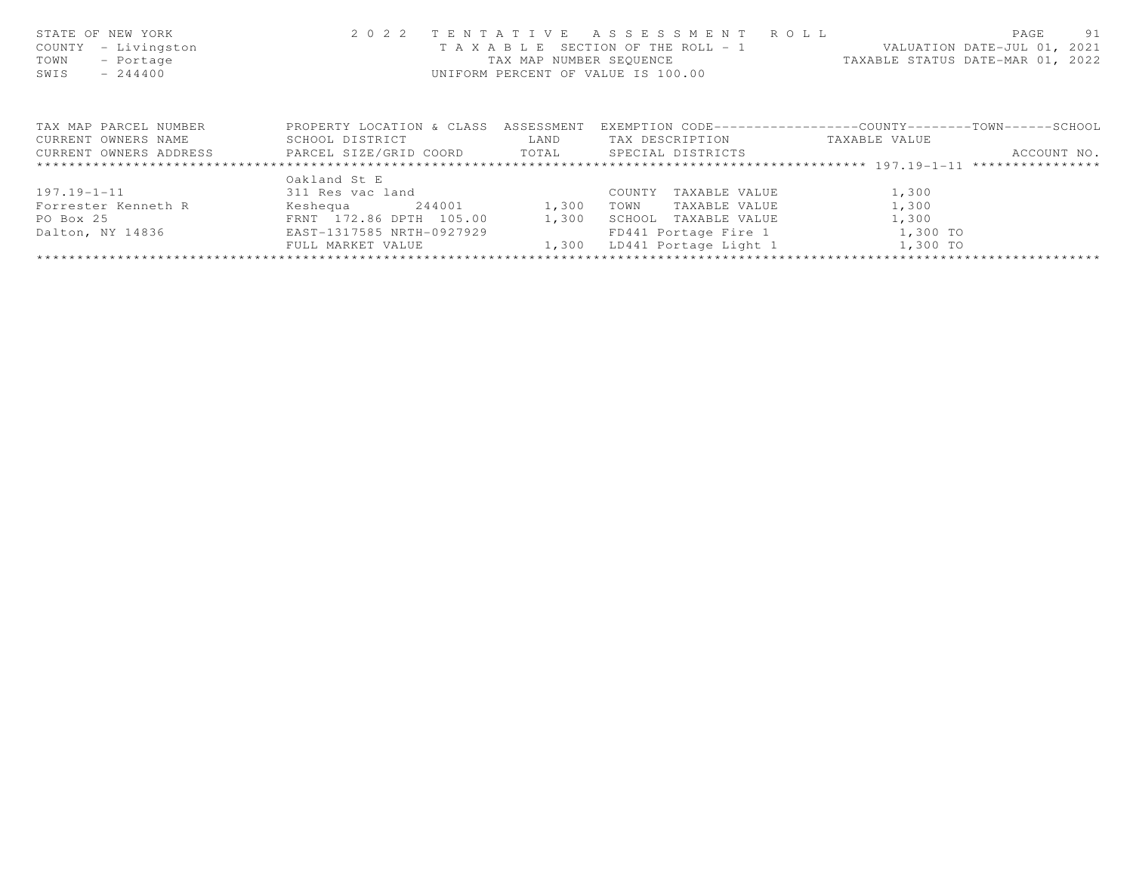| STATE OF NEW YORK<br>- Livingston<br>COUNTY<br>TOWN<br>- Portage<br>$-244400$<br>SWIS               | 2 0 2 2                                      | TENTATIVE<br>T A X A B L E<br>UNIFORM PERCENT OF VALUE IS 100.00 | A S S E S S M E N T A O L L<br>SECTION OF THE ROLL - 1<br>TAX MAP NUMBER SEQUENCE |                                                                              | -91<br>PAGE<br>VALUATION DATE-JUL 01, 2021<br>TAXABLE STATUS DATE-MAR 01, 2022 |
|-----------------------------------------------------------------------------------------------------|----------------------------------------------|------------------------------------------------------------------|-----------------------------------------------------------------------------------|------------------------------------------------------------------------------|--------------------------------------------------------------------------------|
| TAX MAP PARCEL NUMBER<br>CURRENT OWNERS NAME<br>CURRENT OWNERS ADDRESS FARCEL SIZE/GRID COORD TOTAL | PROPERTY LOCATION & CLASS<br>SCHOOL DISTRICT | ASSESSMENT<br>LAND                                               | TAX DESCRIPTION<br>SPECIAL DISTRICTS                                              | EXEMPTION CODE-----------------COUNTY-------TOWN-----SCHOOL<br>TAXABLE VALUE | ACCOUNT NO.                                                                    |
|                                                                                                     | Oakland St E                                 |                                                                  |                                                                                   |                                                                              |                                                                                |
| 197.19-1-11                                                                                         | 311 Res vac land                             |                                                                  | TAXABLE VALUE<br>COUNTY                                                           | 1,300                                                                        |                                                                                |
| Forrester Kenneth R                                                                                 | 244001<br>Keshequa                           | 1,300                                                            | TOWN<br>TAXABLE VALUE                                                             | 1,300                                                                        |                                                                                |
| PO Box 25                                                                                           | FRNT 172.86 DPTH 105.00                      | 1,300                                                            | SCHOOL<br>TAXABLE VALUE                                                           | 1,300                                                                        |                                                                                |
| Dalton, NY 14836                                                                                    | EAST-1317585 NRTH-0927929                    |                                                                  | FD441 Portage Fire 1                                                              | 1,300 TO                                                                     |                                                                                |
|                                                                                                     | FULL MARKET VALUE                            | 1,300                                                            | LD441 Portage Light 1                                                             | 1,300 TO                                                                     |                                                                                |
|                                                                                                     |                                              |                                                                  |                                                                                   |                                                                              |                                                                                |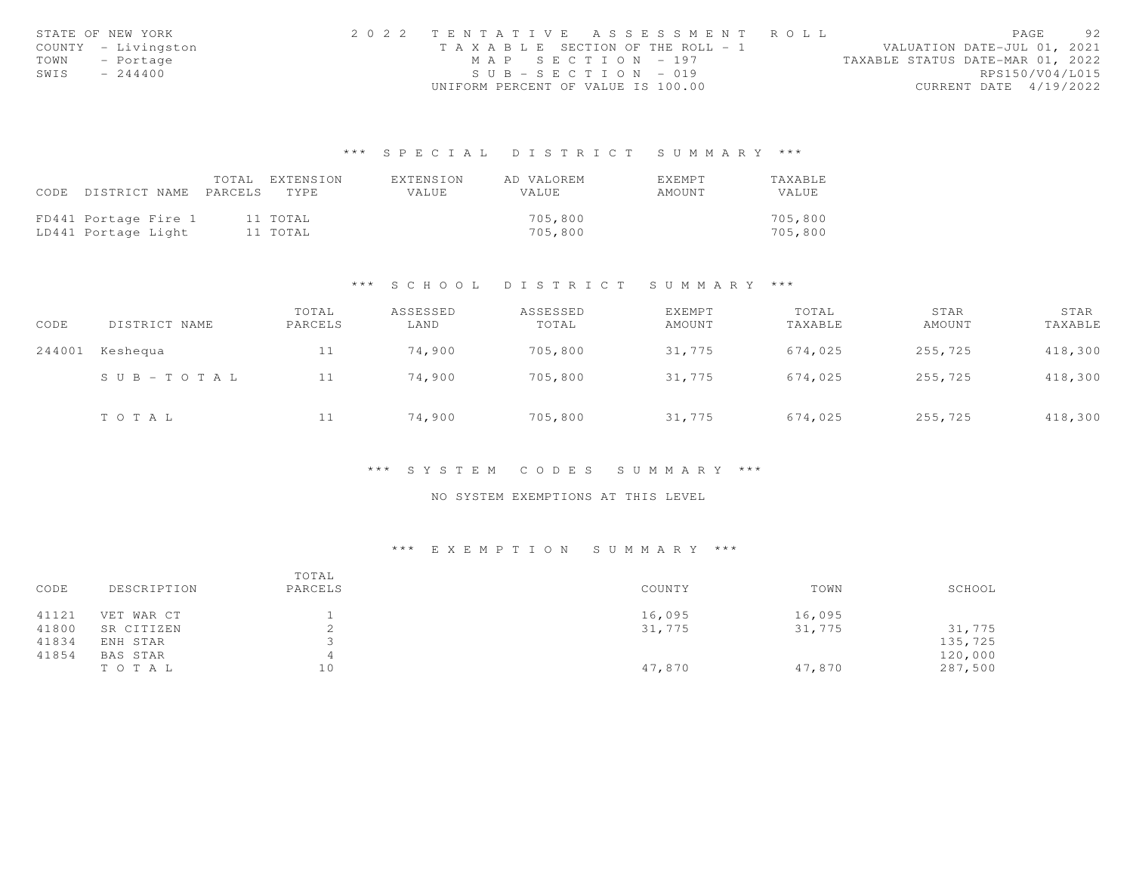|      | STATE OF NEW YORK   | 2022 TENTATIVE ASSESSMENT ROLL        |  |  |                                  |                        | PAGE | 92 |
|------|---------------------|---------------------------------------|--|--|----------------------------------|------------------------|------|----|
|      | COUNTY - Livingston | T A X A B L E SECTION OF THE ROLL - 1 |  |  | VALUATION DATE-JUL 01, 2021      |                        |      |    |
| TOWN | - Portage           | MAP SECTION - 197                     |  |  | TAXABLE STATUS DATE-MAR 01, 2022 |                        |      |    |
| SWIS | $-244400$           | $SUB - SECTION - 019$                 |  |  |                                  | RPS150/V04/L015        |      |    |
|      |                     | UNIFORM PERCENT OF VALUE IS 100.00    |  |  |                                  | CURRENT DATE 4/19/2022 |      |    |

# \*\*\* S P E C I A L D I S T R I C T S U M M A R Y \*\*\*

|      |                            | TOTAL EXTENSION | EXTENSION    | AD VALOREM   | EXEMPT | <b>TAXABLE</b> |
|------|----------------------------|-----------------|--------------|--------------|--------|----------------|
| CODE | DISTRICT NAME PARCELS TYPE |                 | <b>VALUE</b> | <b>VALUE</b> | AMOUNT | VALUE          |
|      |                            |                 |              |              |        |                |
|      | FD441 Portage Fire 1       | 11 TOTAL        |              | 705,800      |        | 705,800        |
|      | LD441 Portage Light        | 11 TOTAL        |              | 705,800      |        | 705,800        |

## \*\*\* S C H O O L D I S T R I C T S U M M A R Y \*\*\*

| CODE   | DISTRICT NAME | TOTAL<br>PARCELS | ASSESSED<br>LAND | ASSESSED<br>TOTAL | EXEMPT<br>AMOUNT | TOTAL<br>TAXABLE | STAR<br>AMOUNT | STAR<br>TAXABLE |
|--------|---------------|------------------|------------------|-------------------|------------------|------------------|----------------|-----------------|
| 244001 | Keshequa      | 11               | 74,900           | 705,800           | 31,775           | 674,025          | 255,725        | 418,300         |
|        | SUB-TOTAL     | 11               | 74,900           | 705,800           | 31,775           | 674,025          | 255,725        | 418,300         |
|        | TOTAL         | 11               | 74,900           | 705,800           | 31,775           | 674,025          | 255,725        | 418,300         |

## \*\*\* S Y S T E M C O D E S S U M M A R Y \*\*\*

## NO SYSTEM EXEMPTIONS AT THIS LEVEL

# \*\*\* E X E M P T I O N S U M M A R Y \*\*\*

| CODE  | DESCRIPTION | TOTAL<br>PARCELS | COUNTY | TOWN   | SCHOOL  |
|-------|-------------|------------------|--------|--------|---------|
| 41121 | VET WAR CT  |                  | 16,095 | 16,095 |         |
| 41800 | SR CITIZEN  |                  | 31,775 | 31,775 | 31,775  |
| 41834 | ENH STAR    |                  |        |        | 135,725 |
| 41854 | BAS STAR    |                  |        |        | 120,000 |
|       | TOTAL       | 10               | 47,870 | 47,870 | 287,500 |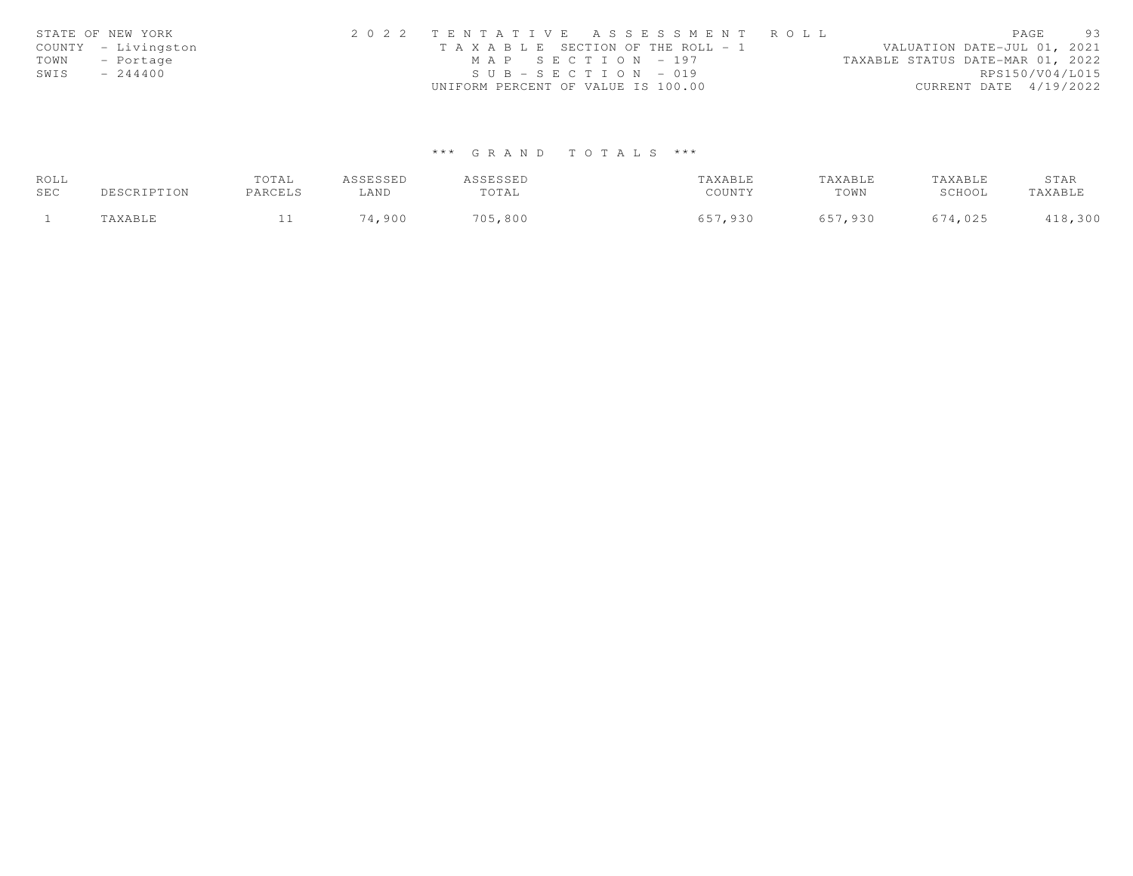| STATE OF NEW YORK   | 2022 TENTATIVE ASSESSMENT ROLL        | 93<br>PAGE                       |
|---------------------|---------------------------------------|----------------------------------|
| COUNTY - Livingston | T A X A B L E SECTION OF THE ROLL - 1 | VALUATION DATE-JUL 01, 2021      |
| TOWN - Portage      | MAP SECTION - 197                     | TAXABLE STATUS DATE-MAR 01, 2022 |
| $-244400$<br>SWIS   | $SUB - SECTION - 019$                 | RPS150/V04/L015                  |
|                     | UNIFORM PERCENT OF VALUE IS 100.00    | CURRENT DATE 4/19/2022           |

# \*\*\* G R A N D T O T A L S \*\*\*

| ROLL |                      | TOTAL   | ASSESSED | ASSESSED | TAXABLE | TAXABLE | TAXABLE | STAR    |
|------|----------------------|---------|----------|----------|---------|---------|---------|---------|
| SEC  | DESCRIPTION          | PARCELS | LAND     | TOTAL    | COUNTY  | TOWN    | SCHOOL  | TAXABLE |
|      | <b><i>AXABLE</i></b> |         | 74,900   | 705,800  | 657,930 | 657,930 | 674,025 | 418,300 |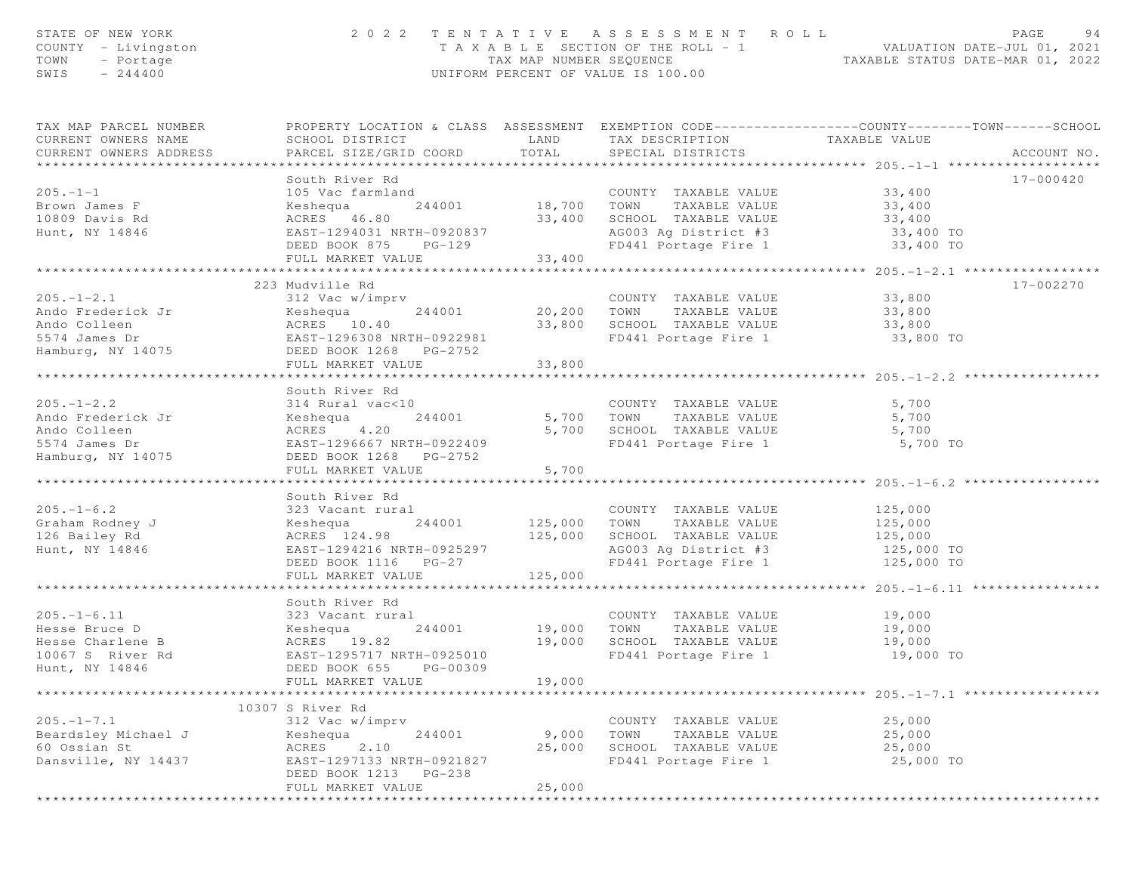| STATE OF NEW YORK<br>COUNTY - Livingston<br>TOWN<br>- Portage<br>$SWIS = 244400$ |                                                                           |                        | 2022 TENTATIVE ASSESSMENT ROLL<br>UNIFORM PERCENT OF VALUE IS 100.00  | PAGE<br>TAXABLE SECTION OF THE ROLL - 1<br>TAX MAP NUMBER SEQUENCE TAXABLE STATUS DATE-JUL 01, 2021<br>INIEOPM PERCENT OF VALUE IS 100.00 | 94 |
|----------------------------------------------------------------------------------|---------------------------------------------------------------------------|------------------------|-----------------------------------------------------------------------|-------------------------------------------------------------------------------------------------------------------------------------------|----|
| TAX MAP PARCEL NUMBER<br>CURRENT OWNERS NAME<br>CURRENT OWNERS ADDRESS           | SCHOOL DISTRICT<br>PARCEL SIZE/GRID COORD                                 | LAND<br>TOTAL          | TAX DESCRIPTION TAXABLE VALUE<br>SPECIAL DISTRICTS                    | PROPERTY LOCATION & CLASS ASSESSMENT EXEMPTION CODE----------------COUNTY-------TOWN------SCHOOL<br>ACCOUNT NO.                           |    |
|                                                                                  |                                                                           |                        |                                                                       |                                                                                                                                           |    |
| $205. -1 - 1$                                                                    | South River Rd<br>105 Vac farmland                                        |                        | COUNTY TAXABLE VALUE                                                  | 17-000420<br>33,400                                                                                                                       |    |
| Brown James F                                                                    | 244001 18,700 TOWN<br>Keshequa                                            |                        |                                                                       |                                                                                                                                           |    |
| 10809 Davis Rd                                                                   | ACRES 46.80                                                               |                        | 18,700 TOWN TAXABLE VALUE<br>33,400 SCHOOL TAXABLE VALUE              | 33,400<br>33,400                                                                                                                          |    |
| Hunt, NY 14846                                                                   |                                                                           |                        |                                                                       |                                                                                                                                           |    |
|                                                                                  | EAST-1294031 NRTH-0920837<br>DEED BOOK 875 PG-129<br>DEED BOOK 875 PG-129 |                        | AG003 Ag District #3 33,400 TO<br>FD441 Portage Fire 1 33,400 TO      |                                                                                                                                           |    |
|                                                                                  | FULL MARKET VALUE                                                         | 33,400                 |                                                                       |                                                                                                                                           |    |
|                                                                                  |                                                                           |                        |                                                                       | **************** 205.-1-2.1 ******************                                                                                            |    |
|                                                                                  | 223 Mudville Rd                                                           |                        |                                                                       | 17-002270                                                                                                                                 |    |
| $205. -1 - 2.1$                                                                  | 312 Vac w/imprv (COUNT)<br>Keshequa (244001 / 20,200 TOWN)                |                        | COUNTY TAXABLE VALUE                                                  | 33,800                                                                                                                                    |    |
| Ando Frederick Jr                                                                |                                                                           |                        |                                                                       | TAXABLE VALUE 33,800                                                                                                                      |    |
|                                                                                  |                                                                           |                        | 33,800 SCHOOL TAXABLE VALUE 33,800<br>FD441 Portage Fire 1 33,800 TO  |                                                                                                                                           |    |
|                                                                                  |                                                                           |                        |                                                                       |                                                                                                                                           |    |
| Hamburg, NY 14075                                                                | DEED BOOK 1268 PG-2752<br>FULL MARKET VALUE                               | 33,800                 |                                                                       |                                                                                                                                           |    |
|                                                                                  |                                                                           |                        |                                                                       |                                                                                                                                           |    |
|                                                                                  | South River Rd                                                            |                        |                                                                       |                                                                                                                                           |    |
| $205. - 1 - 2.2$                                                                 | 314 Rural vac<10                                                          |                        |                                                                       |                                                                                                                                           |    |
| Ando Frederick Jr                                                                | Keshequa                                                                  |                        | 0 COUNTY TAXABLE VALUE 5,700<br>244001 5,700 TOWN TAXABLE VALUE 5,700 |                                                                                                                                           |    |
| Ando Colleen                                                                     | ACRES 4.20<br>EAST-1296667 NRTH-0922409                                   |                        | 5,700 SCHOOL TAXABLE VALUE 5,700                                      |                                                                                                                                           |    |
| 5574 James Dr                                                                    |                                                                           |                        | FD441 Portage Fire 1                                                  | 5,700 TO                                                                                                                                  |    |
| Hamburg, NY 14075                                                                | DEED BOOK 1268 PG-2752                                                    |                        |                                                                       |                                                                                                                                           |    |
|                                                                                  | FULL MARKET VALUE                                                         | 5,700                  |                                                                       |                                                                                                                                           |    |
|                                                                                  |                                                                           |                        |                                                                       |                                                                                                                                           |    |
|                                                                                  | South River Rd                                                            |                        |                                                                       |                                                                                                                                           |    |
| $205. - 1 - 6.2$                                                                 | 323 Vacant rural                                                          |                        | COUNTY TAXABLE VALUE 125,000                                          |                                                                                                                                           |    |
| Graham Rodney J<br>126 Bailey Bd                                                 | Keshequa                                                                  |                        | 244001 125,000 TOWN TAXABLE VALUE<br>125,000 SCHOOL TAXABLE VALUE     | 125,000<br>125,000                                                                                                                        |    |
| 126 Bailey Rd<br>Hunt, NY 14846                                                  | ACRES 124.98<br>EAST-1294216 NRTH-0925297                                 |                        | AG003 Ag District #3                                                  |                                                                                                                                           |    |
|                                                                                  | DEED BOOK 1116 PG-27                                                      |                        | FD441 Portage Fire 1                                                  | 125,000 TO<br>125,000 TO                                                                                                                  |    |
|                                                                                  | FULL MARKET VALUE                                                         | 125,000                |                                                                       |                                                                                                                                           |    |
|                                                                                  |                                                                           |                        |                                                                       | ****************** 205.-1-6.11                                                                                                            |    |
|                                                                                  | South River Rd                                                            |                        |                                                                       |                                                                                                                                           |    |
| $205. - 1 - 6.11$                                                                | 323 Vacant rural                                                          |                        | COUNTY TAXABLE VALUE                                                  | 19,000                                                                                                                                    |    |
| Hesse Bruce D                                                                    | Keshequa 244001 19,000 TOWN                                               |                        |                                                                       | TAXABLE VALUE 19,000                                                                                                                      |    |
| Hesse Charlene B                                                                 | ACRES 19.82                                                               |                        | 19,000 SCHOOL TAXABLE VALUE                                           | 19,000                                                                                                                                    |    |
| 10067 S River Rd                                                                 | EAST-1295717 NRTH-0925010                                                 |                        | FD441 Portage Fire 1 19,000 TO                                        |                                                                                                                                           |    |
| Hunt, NY 14846                                                                   | DEED BOOK 655 PG-00309                                                    |                        |                                                                       |                                                                                                                                           |    |
|                                                                                  | FULL MARKET VALUE<br>* * * * * *                                          | 19,000<br>************ |                                                                       |                                                                                                                                           |    |
|                                                                                  | 10307 S River Rd                                                          |                        |                                                                       |                                                                                                                                           |    |
| $205. - 1 - 7.1$                                                                 | 312 Vac w/imprv                                                           |                        | COUNTY TAXABLE VALUE                                                  | 25,000                                                                                                                                    |    |
| Beardsley Michael J                                                              | 244001<br>Keshequa                                                        | 9,000                  | TOWN<br>TAXABLE VALUE                                                 | 25,000                                                                                                                                    |    |
| 60 Ossian St                                                                     | ACRES<br>2.10                                                             | 25,000                 | SCHOOL TAXABLE VALUE                                                  | 25,000                                                                                                                                    |    |
| Dansville, NY 14437                                                              | EAST-1297133 NRTH-0921827                                                 |                        | FD441 Portage Fire 1                                                  | 25,000 TO                                                                                                                                 |    |
|                                                                                  | DEED BOOK 1213<br>PG-238                                                  |                        |                                                                       |                                                                                                                                           |    |
|                                                                                  | FULL MARKET VALUE                                                         | 25,000                 |                                                                       |                                                                                                                                           |    |
|                                                                                  |                                                                           |                        |                                                                       |                                                                                                                                           |    |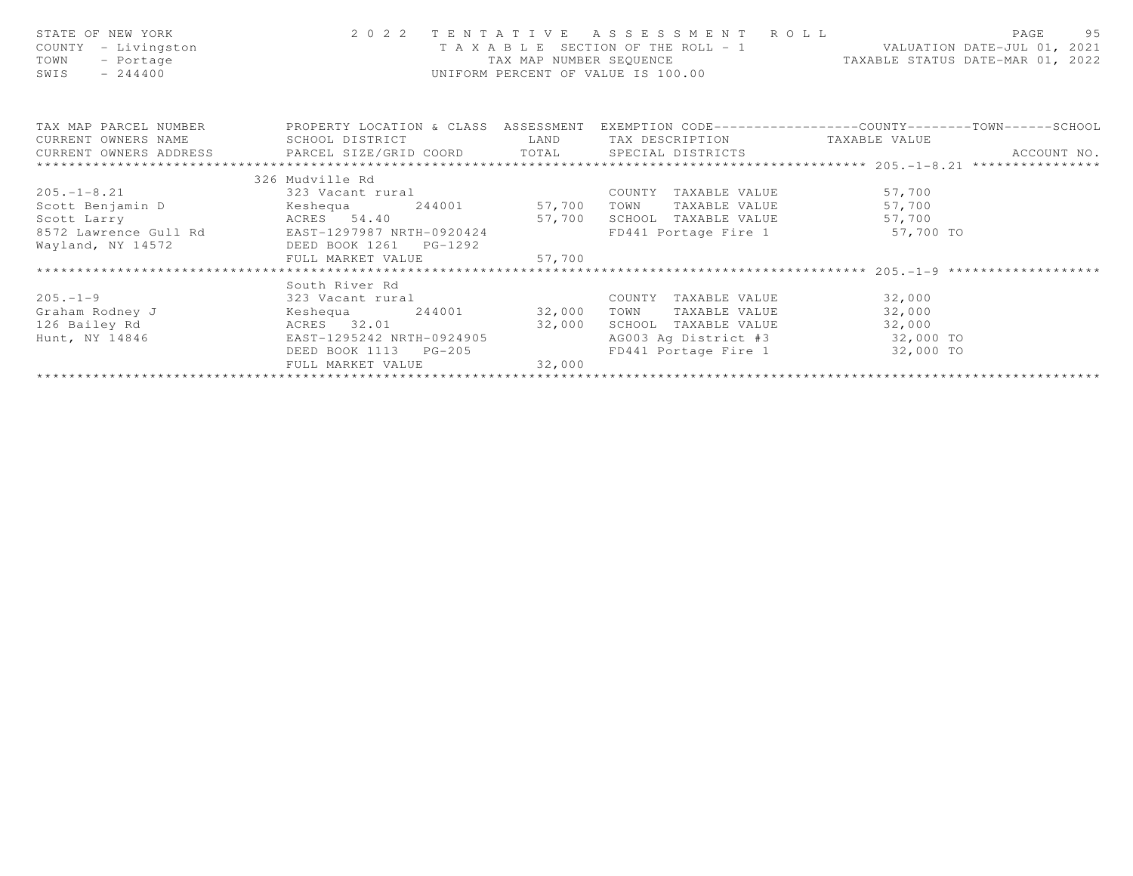| STATE OF NEW YORK<br>COUNTY - Livingston<br>- Portage<br>TOWN<br>$-244400$<br>SWIS                                         |                 | F A X A B L E SECTION OF THE ROLL -<br>TAX MAP NUMBER SEQUENCE<br>UNIFORM PERCENT OF VALUE IS 100.00 |                                |                                | $2 0 2 2  T EN T ATIVE AS SE S S M EN T R O LL\nTA X A B LE SECTION OF THE ROLL – 1\nVALUATION DATE–JUL 01, 2021$<br>TAX MAP NUMBER SEQUENCE TAXABLE STATUS DATE-MAR 01, 2022 |
|----------------------------------------------------------------------------------------------------------------------------|-----------------|------------------------------------------------------------------------------------------------------|--------------------------------|--------------------------------|-------------------------------------------------------------------------------------------------------------------------------------------------------------------------------|
| TAX MAP PARCEL NUMBER THE PROPERTY LOCATION & CLASS ASSESSMENT EXEMPTION CODE---------------COUNTY--------TOWN------SCHOOL |                 |                                                                                                      |                                |                                |                                                                                                                                                                               |
| CURRENT OWNERS NAME SCHOOL DISTRICT TAN LAND TAX DESCRIPTION TAXABLE VALUE                                                 |                 |                                                                                                      |                                |                                |                                                                                                                                                                               |
|                                                                                                                            |                 |                                                                                                      |                                |                                | ACCOUNT NO.                                                                                                                                                                   |
|                                                                                                                            |                 |                                                                                                      |                                |                                |                                                                                                                                                                               |
|                                                                                                                            | 326 Mudville Rd |                                                                                                      |                                |                                |                                                                                                                                                                               |
| 205.-1-8.21 323 Vacant rural                                                                                               |                 |                                                                                                      |                                | COUNTY TAXABLE VALUE 57,700    |                                                                                                                                                                               |
|                                                                                                                            |                 |                                                                                                      |                                | TOWN TAXABLE VALUE 57,700      |                                                                                                                                                                               |
|                                                                                                                            |                 |                                                                                                      |                                | SCHOOL TAXABLE VALUE 57,700    |                                                                                                                                                                               |
|                                                                                                                            |                 |                                                                                                      |                                | FD441 Portage Fire 1 57,700 TO |                                                                                                                                                                               |
| Wayland, NY 14572 DEED BOOK 1261 PG-1292                                                                                   |                 |                                                                                                      |                                |                                |                                                                                                                                                                               |
|                                                                                                                            |                 |                                                                                                      |                                |                                |                                                                                                                                                                               |
|                                                                                                                            |                 |                                                                                                      |                                |                                |                                                                                                                                                                               |
|                                                                                                                            | South River Rd  |                                                                                                      |                                |                                |                                                                                                                                                                               |
| $205 - 1 - 9$                                                                                                              |                 | 323 Vacant rural                                                                                     |                                | COUNTY TAXABLE VALUE 32,000    |                                                                                                                                                                               |
|                                                                                                                            |                 |                                                                                                      |                                | TOWN TAXABLE VALUE             | 32,000                                                                                                                                                                        |
| 126 Bailey Rd                   ACRES     32.01                       32,000                                               |                 |                                                                                                      |                                | SCHOOL TAXABLE VALUE           | 32,000                                                                                                                                                                        |
| Hunt, NY 14846 EAST-1295242 NRTH-0924905                                                                                   |                 |                                                                                                      |                                | AG003 Ag District #3 32,000 TO |                                                                                                                                                                               |
|                                                                                                                            |                 | DEED BOOK 1113 PG-205                                                                                | FD441 Portage Fire 1 32,000 TO |                                |                                                                                                                                                                               |
|                                                                                                                            |                 | FULL MARKET VALUE 32,000                                                                             |                                |                                |                                                                                                                                                                               |
|                                                                                                                            |                 |                                                                                                      |                                |                                |                                                                                                                                                                               |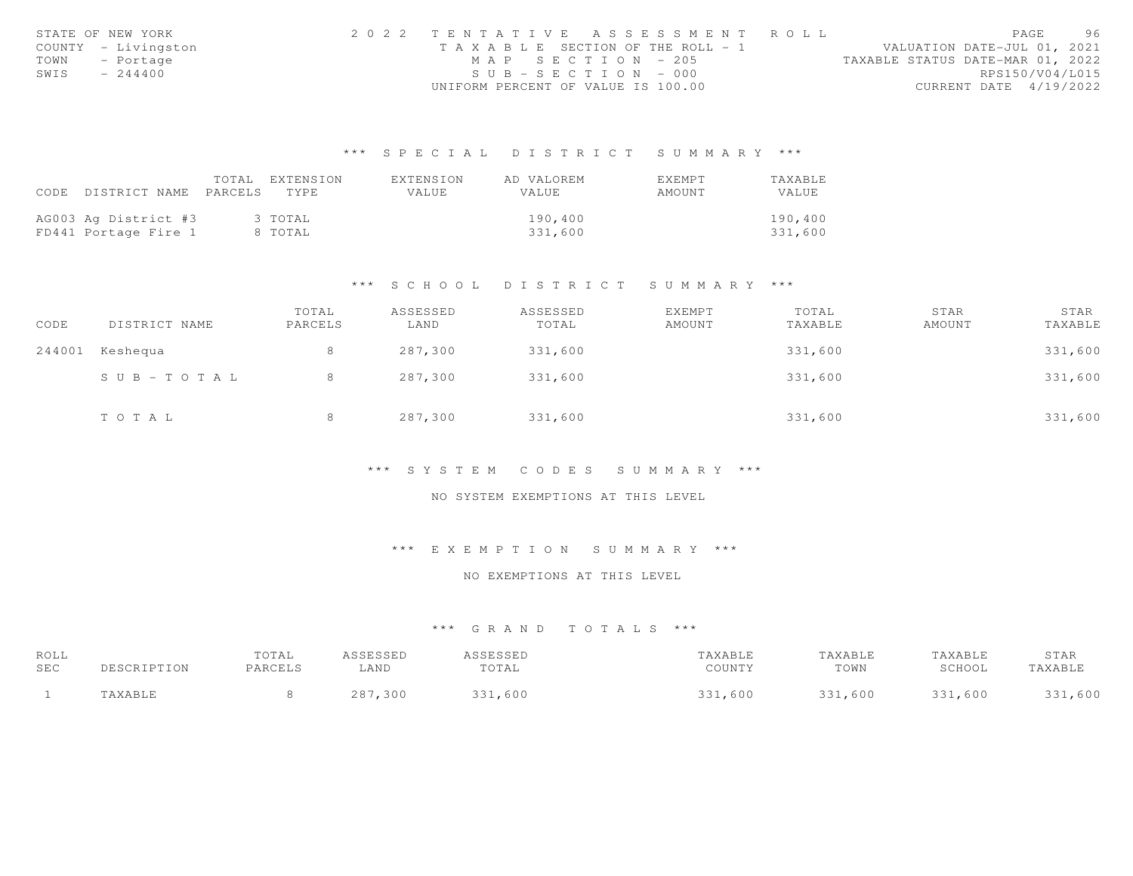|      | STATE OF NEW YORK   |                                       |                       |  | 2022 TENTATIVE ASSESSMENT ROLL |                                  |                        | PAGE | 96 |
|------|---------------------|---------------------------------------|-----------------------|--|--------------------------------|----------------------------------|------------------------|------|----|
|      | COUNTY - Livingston | T A X A B L E SECTION OF THE ROLL - 1 |                       |  |                                | VALUATION DATE-JUL 01, 2021      |                        |      |    |
|      | TOWN - Portage      |                                       | MAP SECTION - 205     |  |                                | TAXABLE STATUS DATE-MAR 01, 2022 |                        |      |    |
| SWIS | $-244400$           |                                       | $SUB - SECTION - 000$ |  |                                |                                  | RPS150/V04/L015        |      |    |
|      |                     | UNIFORM PERCENT OF VALUE IS 100.00    |                       |  |                                |                                  | CURRENT DATE 4/19/2022 |      |    |

# \*\*\* S P E C I A L D I S T R I C T S U M M A R Y \*\*\*

|                                 | TOTAL EXTENSION | EXTENSION | AD VALOREM | <b>EXEMPT</b> | <b>TAXABLE</b> |
|---------------------------------|-----------------|-----------|------------|---------------|----------------|
| CODE DISTRICT NAME PARCELS TYPE |                 | VALUE     | VALUE      | AMOUNT        | VALUE          |
|                                 |                 |           |            |               |                |
| AG003 Ag District #3            | 3 TOTAL         |           | 190,400    |               | 190,400        |
| FD441 Portage Fire 1            | 8 TOTAL         |           | 331,600    |               | 331,600        |

## \*\*\* S C H O O L D I S T R I C T S U M M A R Y \*\*\*

| CODE   | DISTRICT NAME | TOTAL<br>PARCELS | ASSESSED<br>LAND | ASSESSED<br>TOTAL | EXEMPT<br>AMOUNT | TOTAL<br>TAXABLE | STAR<br>AMOUNT | STAR<br>TAXABLE |
|--------|---------------|------------------|------------------|-------------------|------------------|------------------|----------------|-----------------|
| 244001 | Keshequa      | 8                | 287,300          | 331,600           |                  | 331,600          |                | 331,600         |
|        | SUB-TOTAL     | 8                | 287,300          | 331,600           |                  | 331,600          |                | 331,600         |
|        | TOTAL         | 8                | 287,300          | 331,600           |                  | 331,600          |                | 331,600         |

#### \*\*\* S Y S T E M C O D E S S U M M A R Y \*\*\*

#### NO SYSTEM EXEMPTIONS AT THIS LEVEL

# \*\*\* E X E M P T I O N S U M M A R Y \*\*\*

#### NO EXEMPTIONS AT THIS LEVEL

## \*\*\* G R A N D T O T A L S \*\*\*

| ROLL |             | TOTAL   | ASSESSED | <b>ASSESSED</b> | TAXABLE | TAXABLE | TAXABLE | STAR    |
|------|-------------|---------|----------|-----------------|---------|---------|---------|---------|
| SEC  | DESCRIPTION | PARCELS | LAND     | TOTAL           | COUNTY  | TOWN    | SCHOOL  | TAXABLE |
|      | TAXABLE     |         | 287,300  | 331,600         | 331,600 | 331,600 | 331,600 | 331,600 |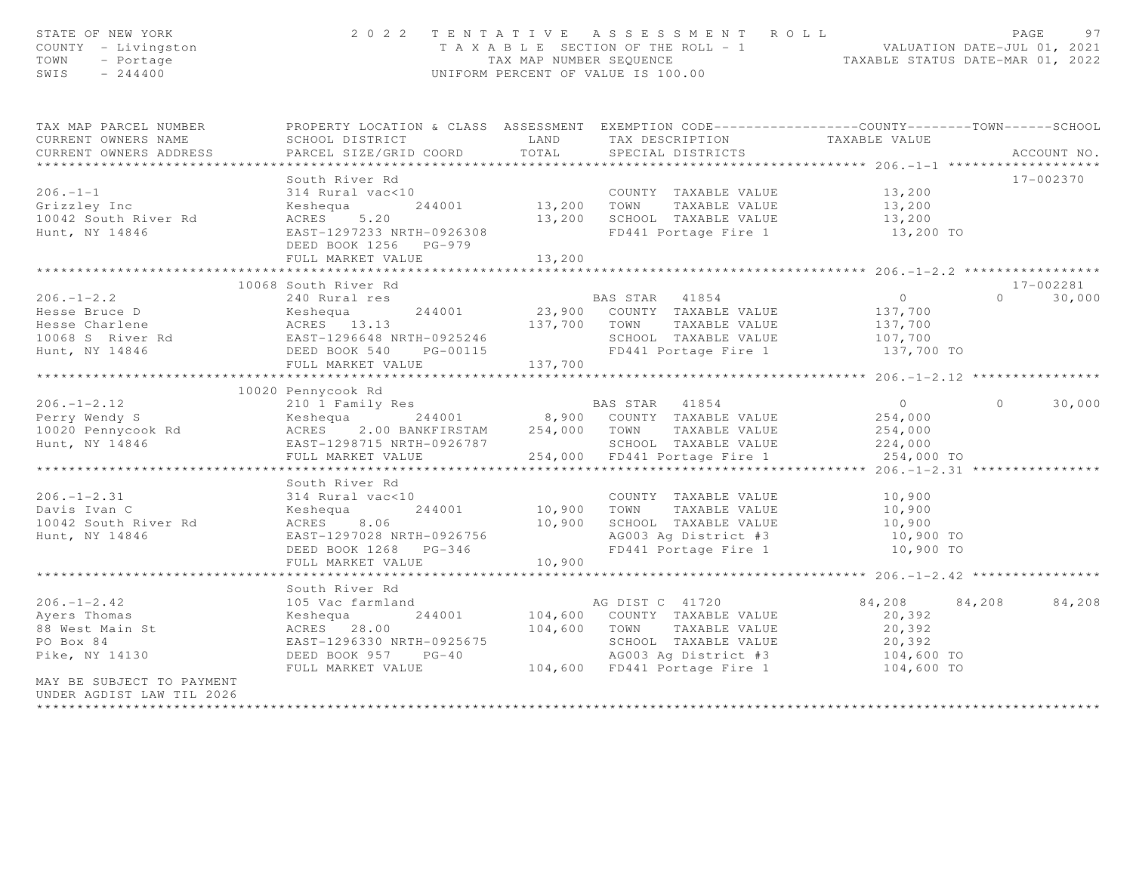| STATE OF NEW YORK<br>COUNTY - Livingston<br>TOWN<br>- Portage<br>SWIS $-244400$                                                                                                                                                                                               |                                                           |                           | 2022 TENTATIVE ASSESSMENT ROLL<br>T A X A B L E SECTION OF THE ROLL - 1 WALUATION DATE-JUL 01, 2021<br>TAX MAP NUMBER SEQUENCE TAXABLE STATUS DATE-MAR 01, 2022<br>UNIFORM PERCENT OF VALUE IS 100.00 |               |          | PAGE<br>97  |
|-------------------------------------------------------------------------------------------------------------------------------------------------------------------------------------------------------------------------------------------------------------------------------|-----------------------------------------------------------|---------------------------|-------------------------------------------------------------------------------------------------------------------------------------------------------------------------------------------------------|---------------|----------|-------------|
| TAX MAP PARCEL NUMBER THE PROPERTY LOCATION & CLASS ASSESSMENT EXEMPTION CODE---------------COUNTY-------TOWN------SCHOOL                                                                                                                                                     |                                                           |                           |                                                                                                                                                                                                       |               |          |             |
| CURRENT OWNERS NAME                                                                                                                                                                                                                                                           |                                                           |                           |                                                                                                                                                                                                       |               |          |             |
| CURRENT OWNERS ADDRESS                                                                                                                                                                                                                                                        |                                                           |                           |                                                                                                                                                                                                       |               |          | ACCOUNT NO. |
|                                                                                                                                                                                                                                                                               | South River Rd                                            |                           |                                                                                                                                                                                                       |               |          | 17-002370   |
|                                                                                                                                                                                                                                                                               |                                                           |                           |                                                                                                                                                                                                       |               |          |             |
|                                                                                                                                                                                                                                                                               |                                                           |                           |                                                                                                                                                                                                       |               |          |             |
|                                                                                                                                                                                                                                                                               |                                                           |                           |                                                                                                                                                                                                       |               |          |             |
|                                                                                                                                                                                                                                                                               | DEED BOOK 1256 PG-979                                     |                           |                                                                                                                                                                                                       |               |          |             |
|                                                                                                                                                                                                                                                                               | FULL MARKET VALUE                                         | 13,200                    |                                                                                                                                                                                                       |               |          |             |
|                                                                                                                                                                                                                                                                               | ****************************                              | * * * * * * * * * * * * * |                                                                                                                                                                                                       |               |          |             |
|                                                                                                                                                                                                                                                                               | 10068 South River Rd                                      |                           |                                                                                                                                                                                                       |               |          | 17-002281   |
|                                                                                                                                                                                                                                                                               |                                                           |                           |                                                                                                                                                                                                       |               |          |             |
|                                                                                                                                                                                                                                                                               |                                                           |                           |                                                                                                                                                                                                       |               |          |             |
|                                                                                                                                                                                                                                                                               |                                                           |                           |                                                                                                                                                                                                       |               |          |             |
|                                                                                                                                                                                                                                                                               |                                                           |                           |                                                                                                                                                                                                       |               |          |             |
|                                                                                                                                                                                                                                                                               |                                                           |                           |                                                                                                                                                                                                       |               |          |             |
|                                                                                                                                                                                                                                                                               |                                                           |                           |                                                                                                                                                                                                       |               |          |             |
|                                                                                                                                                                                                                                                                               | 10020 Pennycook Rd                                        |                           |                                                                                                                                                                                                       |               |          |             |
| 206.-1-2.12<br>Perry Wendy S<br>Perry Wendy S<br>254,000<br>254,000<br>254,000<br>254,000<br>254,000<br>254,000<br>254,000<br>254,000<br>254,000<br>254,000<br>254,000<br>254,000<br>254,000<br>254,000<br>254,000<br>254,000<br>254,000<br>254,000<br>254,000<br>254,000<br> |                                                           |                           |                                                                                                                                                                                                       |               | $\Omega$ | 30,000      |
|                                                                                                                                                                                                                                                                               |                                                           |                           |                                                                                                                                                                                                       |               |          |             |
|                                                                                                                                                                                                                                                                               |                                                           |                           |                                                                                                                                                                                                       |               |          |             |
|                                                                                                                                                                                                                                                                               |                                                           |                           |                                                                                                                                                                                                       |               |          |             |
|                                                                                                                                                                                                                                                                               |                                                           |                           |                                                                                                                                                                                                       |               |          |             |
|                                                                                                                                                                                                                                                                               |                                                           |                           |                                                                                                                                                                                                       |               |          |             |
|                                                                                                                                                                                                                                                                               |                                                           |                           |                                                                                                                                                                                                       |               |          |             |
|                                                                                                                                                                                                                                                                               |                                                           |                           |                                                                                                                                                                                                       |               |          |             |
|                                                                                                                                                                                                                                                                               |                                                           |                           |                                                                                                                                                                                                       |               |          |             |
|                                                                                                                                                                                                                                                                               |                                                           |                           |                                                                                                                                                                                                       |               |          |             |
|                                                                                                                                                                                                                                                                               |                                                           |                           |                                                                                                                                                                                                       |               |          |             |
|                                                                                                                                                                                                                                                                               |                                                           |                           |                                                                                                                                                                                                       |               |          |             |
|                                                                                                                                                                                                                                                                               |                                                           |                           |                                                                                                                                                                                                       |               |          |             |
|                                                                                                                                                                                                                                                                               | South River Rd                                            |                           |                                                                                                                                                                                                       |               |          |             |
|                                                                                                                                                                                                                                                                               |                                                           |                           |                                                                                                                                                                                                       | 84,208 84,208 |          | 84,208      |
|                                                                                                                                                                                                                                                                               |                                                           |                           |                                                                                                                                                                                                       | 20,392        |          |             |
|                                                                                                                                                                                                                                                                               |                                                           |                           |                                                                                                                                                                                                       | 20,392        |          |             |
|                                                                                                                                                                                                                                                                               |                                                           |                           |                                                                                                                                                                                                       |               |          |             |
| Pike, $NY$ 14130                                                                                                                                                                                                                                                              |                                                           |                           |                                                                                                                                                                                                       |               |          |             |
|                                                                                                                                                                                                                                                                               | FULL MARKET VALUE 104,600 FD441 Portage Fire 1 104,600 TO |                           |                                                                                                                                                                                                       |               |          |             |
| MAY BE SUBJECT TO PAYMENT<br>UNDER AGDIST LAW TIL 2026<br>*********************                                                                                                                                                                                               |                                                           |                           |                                                                                                                                                                                                       |               |          |             |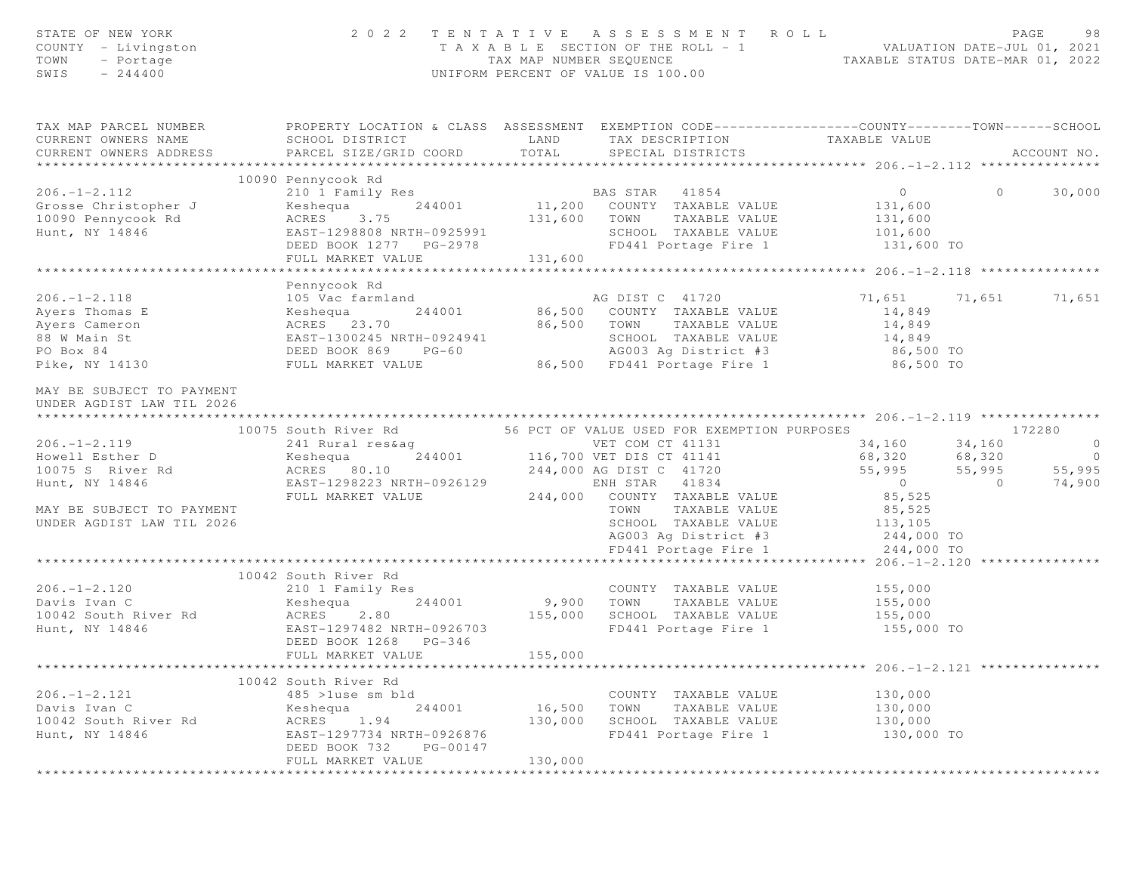| STATE OF NEW YORK<br>COUNTY - Livingston<br>TOWN<br>- Portage<br>SWIS<br>$-244400$                   |                                                                                                                                                            | TAX MAP NUMBER SEQUENCE     | 2022 TENTATIVE ASSESSMENT ROLL<br>T A X A B L E SECTION OF THE ROLL - 1<br>UNIFORM PERCENT OF VALUE IS 100.00                                                 | VALUATION DATE-JUL 01, 2021<br>TAXABLE STATUS DATE-MAR 01, 2022       | PAGE<br>98               |
|------------------------------------------------------------------------------------------------------|------------------------------------------------------------------------------------------------------------------------------------------------------------|-----------------------------|---------------------------------------------------------------------------------------------------------------------------------------------------------------|-----------------------------------------------------------------------|--------------------------|
| TAX MAP PARCEL NUMBER<br>CURRENT OWNERS NAME                                                         | PROPERTY LOCATION & CLASS ASSESSMENT EXEMPTION CODE----------------COUNTY-------TOWN------SCHOOL<br>SCHOOL DISTRICT                                        | LAND                        | TAX DESCRIPTION                                                                                                                                               | TAXABLE VALUE                                                         |                          |
| CURRENT OWNERS ADDRESS<br>***********************                                                    | PARCEL SIZE/GRID COORD                                                                                                                                     | TOTAL                       | SPECIAL DISTRICTS                                                                                                                                             |                                                                       | ACCOUNT NO.              |
|                                                                                                      | 10090 Pennycook Rd                                                                                                                                         |                             |                                                                                                                                                               |                                                                       |                          |
| $206. -1 - 2.112$<br>Grosse Christopher J<br>10090 Pennycook Rd<br>Hunt, NY 14846                    | 210 1 Family Res<br>244001<br>Keshequa<br>ACRES<br>3.75<br>EAST-1298808 NRTH-0925991<br>DEED BOOK 1277 PG-2978                                             | 131,600 TOWN                | BAS STAR 41854<br>11,200 COUNTY TAXABLE VALUE<br>TAXABLE VALUE<br>SCHOOL TAXABLE VALUE<br>FD441 Portage Fire 1                                                | $\overline{0}$<br>131,600<br>131,600<br>101,600<br>131,600 TO         | 30,000<br>$\circ$        |
|                                                                                                      | FULL MARKET VALUE                                                                                                                                          | 131,600                     |                                                                                                                                                               |                                                                       |                          |
|                                                                                                      |                                                                                                                                                            |                             |                                                                                                                                                               |                                                                       |                          |
| $206. - 1 - 2.118$<br>Avers Thomas E<br>Ayers Cameron<br>88 W Main St<br>PO Box 84<br>Pike, NY 14130 | Pennycook Rd<br>105 Vac farmland<br>244001<br>Keshequa<br>ACRES 23.70<br>EAST-1300245 NRTH-0924941<br>DEED BOOK 869 PG-60<br>FULL MARKET VALUE             |                             | AG DIST C 41720<br>86,500 COUNTY TAXABLE VALUE<br>86,500 TOWN<br>TAXABLE VALUE<br>SCHOOL TAXABLE VALUE<br>AG003 Aq District #3<br>86,500 FD441 Portage Fire 1 | 71,651 71,651<br>14,849<br>14,849<br>14,849<br>86,500 TO<br>86,500 TO | 71,651                   |
| MAY BE SUBJECT TO PAYMENT<br>UNDER AGDIST LAW TIL 2026                                               | 10075 South River Rd                                                                                                                                       |                             | 56 PCT OF VALUE USED FOR EXEMPTION PURPOSES                                                                                                                   |                                                                       | 172280                   |
| $206. - 1 - 2.119$                                                                                   | 241 Rural res&aq                                                                                                                                           |                             | VET COM CT 41131                                                                                                                                              | 34,160                                                                | $\overline{0}$<br>34,160 |
| Howell Esther D                                                                                      | Keshequa                                                                                                                                                   |                             | 244001 116,700 VET DIS CT 41141                                                                                                                               | 68,320                                                                | 68,320<br>$\overline{0}$ |
| 10075 S River Rd                                                                                     | ACRES 80.10                                                                                                                                                |                             | 244,000 AG DIST C 41720                                                                                                                                       | 55,995                                                                | 55,995<br>55,995         |
| Hunt, NY 14846                                                                                       | EAST-1298223 NRTH-0926129                                                                                                                                  |                             | ENH STAR 41834                                                                                                                                                | $\overline{0}$                                                        | 74,900<br>$\overline{0}$ |
| MAY BE SUBJECT TO PAYMENT<br>UNDER AGDIST LAW TIL 2026                                               | FULL MARKET VALUE                                                                                                                                          |                             | 244,000 COUNTY TAXABLE VALUE<br>TOWN<br>TAXABLE VALUE<br>SCHOOL TAXABLE VALUE<br>AG003 Ag District #3<br>FD441 Portage Fire 1                                 | 85,525<br>85,525<br>113,105<br>244,000 TO<br>244,000 TO               |                          |
|                                                                                                      |                                                                                                                                                            |                             |                                                                                                                                                               |                                                                       |                          |
| $206. -1 - 2.120$<br>Davis Ivan C<br>10042 South River Rd<br>Hunt, NY 14846                          | 10042 South River Rd<br>210 1 Family Res<br>244001<br>Keshequa<br>ACRES<br>2.80<br>EAST-1297482 NRTH-0926703<br>DEED BOOK 1268 PG-346<br>FULL MARKET VALUE | 9,900<br>155,000<br>155,000 | COUNTY TAXABLE VALUE<br>TOWN<br>TAXABLE VALUE<br>SCHOOL TAXABLE VALUE<br>FD441 Portage Fire 1                                                                 | 155,000<br>155,000<br>155,000<br>155,000 TO                           |                          |
|                                                                                                      |                                                                                                                                                            |                             |                                                                                                                                                               |                                                                       |                          |
| $206. - 1 - 2.121$<br>Davis Ivan C<br>10042 South River Rd<br>Hunt, NY 14846                         | 10042 South River Rd<br>485 >luse sm bld<br>244001<br>Keshequa<br>ACRES 1.94<br>EAST-1297734 NRTH-0926876                                                  | 16,500<br>130,000           | COUNTY TAXABLE VALUE<br>TOWN<br>TAXABLE VALUE<br>SCHOOL TAXABLE VALUE<br>FD441 Portage Fire 1                                                                 | 130,000<br>130,000<br>130,000<br>130,000 TO                           |                          |
|                                                                                                      | DEED BOOK 732<br>PG-00147<br>FULL MARKET VALUE<br>* * * * * * * * * * * * * * * * * * *                                                                    | 130,000<br>*************    |                                                                                                                                                               |                                                                       |                          |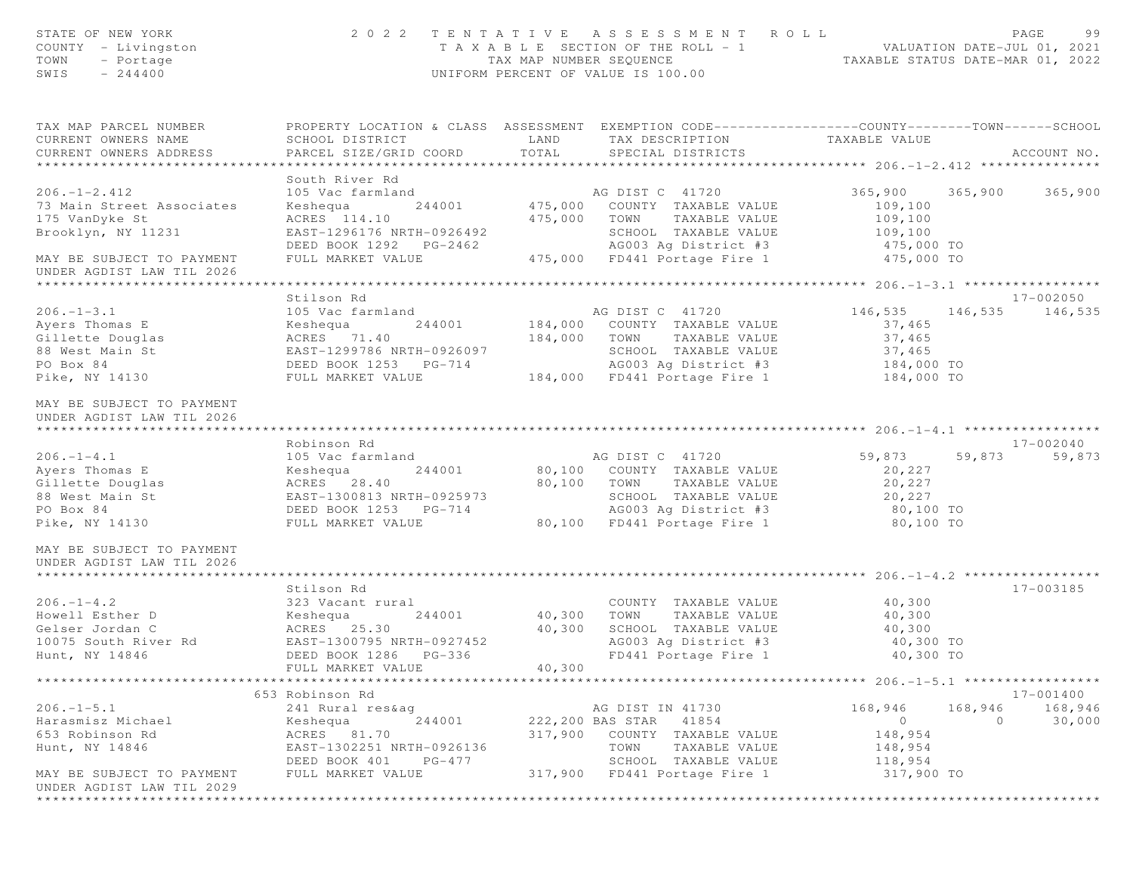| STATE OF NEW YORK<br>COUNTY - Livingston<br>TOWN<br>- Portage<br>$-244400$<br>SWIS                                                 |                                                                                                                                               |               | 2022 TENTATIVE ASSESSMENT ROLL<br>T A X A B L E SECTION OF THE ROLL - 1 VALUATION DATE-JUL 01, 2021<br>TAX MAP NUMBER SEQUENCE TAXABLE STATUS DATE-MAR 01, 2022<br>UNIFORM PERCENT OF VALUE IS 100.00 |                                                                   |         | PAGE<br>99                   |
|------------------------------------------------------------------------------------------------------------------------------------|-----------------------------------------------------------------------------------------------------------------------------------------------|---------------|-------------------------------------------------------------------------------------------------------------------------------------------------------------------------------------------------------|-------------------------------------------------------------------|---------|------------------------------|
| TAX MAP PARCEL NUMBER<br>CURRENT OWNERS NAME<br>CURRENT OWNERS ADDRESS                                                             | PROPERTY LOCATION & CLASS ASSESSMENT EXEMPTION CODE----------------COUNTY-------TOWN------SCHOOL<br>SCHOOL DISTRICT<br>PARCEL SIZE/GRID COORD | LAND<br>TOTAL | TAX DESCRIPTION<br>SPECIAL DISTRICTS                                                                                                                                                                  | TAXABLE VALUE                                                     |         | ACCOUNT NO.                  |
|                                                                                                                                    | South River Rd                                                                                                                                |               |                                                                                                                                                                                                       |                                                                   |         |                              |
| $206. - 1 - 2.412$<br>73 Main Street Associates<br>175 VanDyke St<br>Brooklyn, NY 11231                                            | 105 Vac farmland<br>244001<br>Keshequa<br>ACRES 114.10<br>EAST-1296176 NRTH-0926492                                                           | 475,000       | AG DIST C 41720<br>475,000 COUNTY TAXABLE VALUE<br>TOWN<br>TAXABLE VALUE<br>SCHOOL TAXABLE VALUE                                                                                                      | 365,900<br>109,100<br>109,100<br>109, 100                         | 365,900 | 365,900                      |
| MAY BE SUBJECT TO PAYMENT<br>UNDER AGDIST LAW TIL 2026                                                                             | DEED BOOK 1292 PG-2462 AG003 Ag District #3<br>FULL MARKET VALUE 475,000 FD441 Portage Fire 1                                                 |               | AG003 Ag District #3 475,000 TO                                                                                                                                                                       | 475,000 TO                                                        |         |                              |
|                                                                                                                                    |                                                                                                                                               |               |                                                                                                                                                                                                       |                                                                   |         |                              |
| $206. - 1 - 3.1$<br>Ayers Thomas E<br>Gillette Douglas<br>88 West Main St<br>PO Box 84<br>PO Box 84<br>PO Box 84<br>Pike, NY 14130 | Stilson Rd<br>105 Vac farmland<br>EAST-1299786 NRTH-0926097<br>DEED BOOK 1253 PG-714<br>FULL MARKET VALUE                                     |               | AG DIST C 41720<br>244001 184,000 COUNTY TAXABLE VALUE<br>184,000 TOWN TAXABLE VALUE<br>SCHOOL TAXABLE VALUE<br>PG-714 MG003 Ag District #3<br>184,000 FD441 Portage Fire 1                           | 146,535<br>37,465<br>37,465<br>37,465<br>184,000 TO<br>184,000 TO |         | 17-002050<br>146,535 146,535 |
| MAY BE SUBJECT TO PAYMENT<br>UNDER AGDIST LAW TIL 2026                                                                             | Robinson Rd                                                                                                                                   |               |                                                                                                                                                                                                       |                                                                   |         | 17-002040                    |
| $206. -1 - 4.1$                                                                                                                    | 105 Vac farmland                                                                                                                              |               | AG DIST C 41720                                                                                                                                                                                       | 59,873 59,873                                                     |         | 59,873                       |
| Ayers Thomas E<br>Gillette Douglas                                                                                                 | Keshequa<br>ACRES 28.40                                                                                                                       |               | 244001 80,100 COUNTY TAXABLE VALUE<br>80,100 TOWN TAXABLE VALUE                                                                                                                                       | 20,227<br>20,227                                                  |         |                              |
| 88 West Main St                                                                                                                    | EAST-1300813 NRTH-0925973                                                                                                                     |               | SCHOOL TAXABLE VALUE                                                                                                                                                                                  | 20,227                                                            |         |                              |
| PO Box 84                                                                                                                          | DEED BOOK 1253 PG-714                                                                                                                         |               |                                                                                                                                                                                                       | 80,100 TO                                                         |         |                              |
| Pike, NY 14130                                                                                                                     | FULL MARKET VALUE                                                                                                                             |               | AG003 Ag District #3<br>80,100 FD441 Portage Fire 1                                                                                                                                                   | 80,100 TO                                                         |         |                              |
| MAY BE SUBJECT TO PAYMENT<br>UNDER AGDIST LAW TIL 2026                                                                             |                                                                                                                                               |               |                                                                                                                                                                                                       |                                                                   |         |                              |
|                                                                                                                                    | Stilson Rd                                                                                                                                    |               |                                                                                                                                                                                                       |                                                                   |         | 17-003185                    |
| $206. -1 - 4.2$                                                                                                                    | 323 Vacant rural                                                                                                                              |               | COUNTY TAXABLE VALUE                                                                                                                                                                                  | 40,300                                                            |         |                              |
| Howell Esther D                                                                                                                    | Keshequa                                                                                                                                      | 244001 40,300 | TOWN<br>TAXABLE VALUE                                                                                                                                                                                 | 40,300                                                            |         |                              |
| Gelser Jordan C                                                                                                                    | ACRES 25.30                                                                                                                                   | 40,300        | SCHOOL TAXABLE VALUE                                                                                                                                                                                  | 40,300                                                            |         |                              |
| 10075 South River Rd                                                                                                               | EAST-1300795 NRTH-0927452                                                                                                                     |               | AG003 Ag District #3                                                                                                                                                                                  | 40,300 TO                                                         |         |                              |
| Hunt, NY 14846                                                                                                                     | DEED BOOK 1286 PG-336                                                                                                                         |               | FD441 Portage Fire 1                                                                                                                                                                                  | 40,300 TO                                                         |         |                              |
|                                                                                                                                    | FULL MARKET VALUE                                                                                                                             | 40,300        |                                                                                                                                                                                                       |                                                                   |         |                              |
|                                                                                                                                    | ****************************                                                                                                                  |               |                                                                                                                                                                                                       |                                                                   |         | 17-001400                    |
| $206. - 1 - 5.1$                                                                                                                   | 653 Robinson Rd<br>241 Rural res&ag                                                                                                           |               | AG DIST IN 41730                                                                                                                                                                                      | 168,946                                                           | 168,946 | 168,946                      |
| Harasmisz Michael                                                                                                                  | 244001<br>Keshequa                                                                                                                            |               | 222,200 BAS STAR<br>41854                                                                                                                                                                             | $\circ$                                                           | $\circ$ | 30,000                       |
| 653 Robinson Rd                                                                                                                    | ACRES 81.70                                                                                                                                   | 317,900       | COUNTY TAXABLE VALUE                                                                                                                                                                                  | 148,954                                                           |         |                              |
| Hunt, NY 14846                                                                                                                     | EAST-1302251 NRTH-0926136                                                                                                                     |               | TOWN<br>TAXABLE VALUE                                                                                                                                                                                 | 148,954                                                           |         |                              |
|                                                                                                                                    | DEED BOOK 401<br>PG-477                                                                                                                       |               | SCHOOL TAXABLE VALUE                                                                                                                                                                                  | 118,954                                                           |         |                              |
| MAY BE SUBJECT TO PAYMENT                                                                                                          | FULL MARKET VALUE                                                                                                                             | 317,900       | FD441 Portage Fire 1                                                                                                                                                                                  | 317,900 TO                                                        |         |                              |
| UNDER AGDIST LAW TIL 2029                                                                                                          |                                                                                                                                               |               |                                                                                                                                                                                                       |                                                                   |         |                              |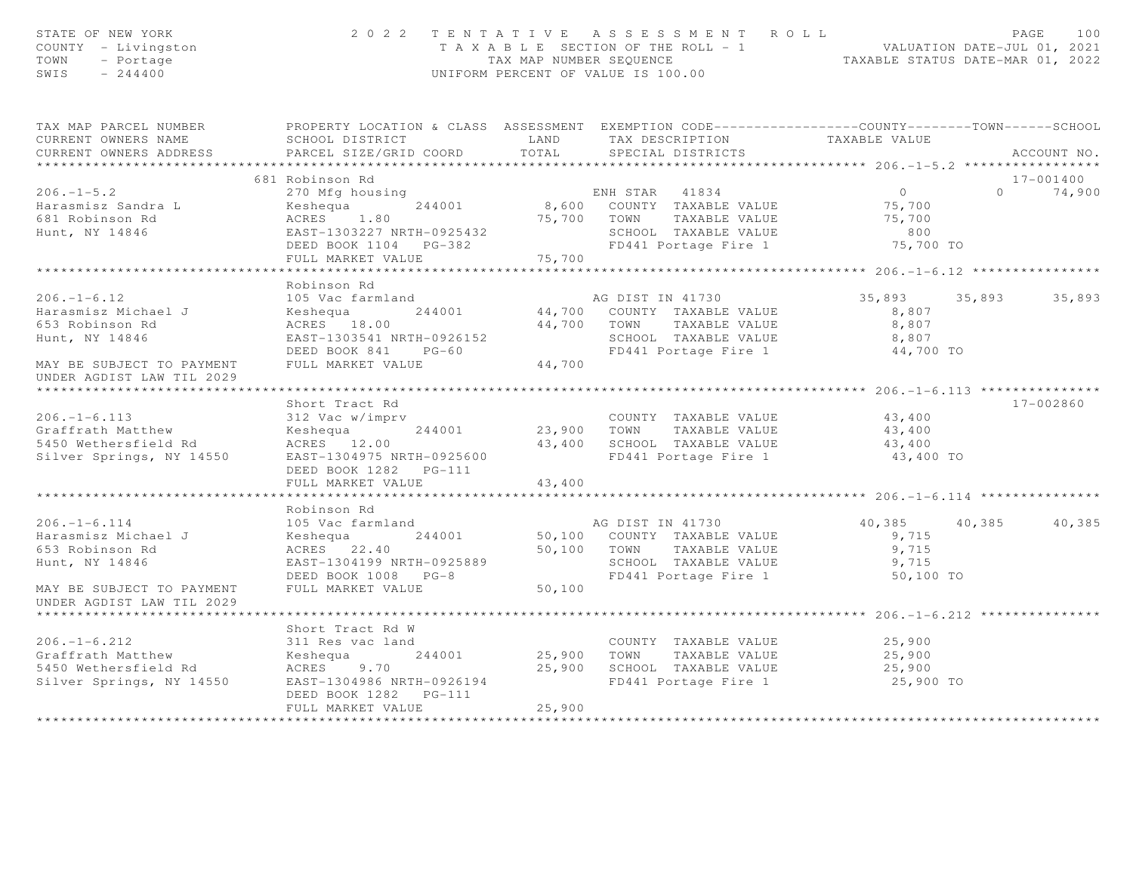| STATE OF NEW YORK<br>COUNTY - Livingston<br>TOWN<br>- Portage<br>$SWIS = 244400$                                                                                                                                                          |                                                                                |        | 2022 TENTATIVE ASSESSMENT ROLL<br>TAXABLE SECTION OF THE ROLL - 1<br>TAXABLE SECTION OF THE ROLL - 1<br>TAXABLE STATUS DATE-MAR 01, 2022<br>TAX MAP NUMBER SEQUENCE<br>UNIFORM PERCENT OF VALUE IS 100.00                                                                                          |                                                       | PAGE<br>100   |
|-------------------------------------------------------------------------------------------------------------------------------------------------------------------------------------------------------------------------------------------|--------------------------------------------------------------------------------|--------|----------------------------------------------------------------------------------------------------------------------------------------------------------------------------------------------------------------------------------------------------------------------------------------------------|-------------------------------------------------------|---------------|
| TAX MAP PARCEL NUMBER<br>CURRENT OWNERS NAME<br>CURRENT OWNERS ADDRESS                                                                                                                                                                    | SCHOOL DISTRICT TAND TAX DESCRIPTION<br>PARCEL SIZE/GRID COORD                 | TOTAL  | PROPERTY LOCATION & CLASS ASSESSMENT EXEMPTION CODE-----------------COUNTY--------TOWN------SCHOOL<br>SPECIAL DISTRICTS                                                                                                                                                                            | TAXABLE VALUE                                         | ACCOUNT NO.   |
|                                                                                                                                                                                                                                           | 681 Robinson Rd                                                                |        |                                                                                                                                                                                                                                                                                                    |                                                       | 17-001400     |
| 1996.-1-5.2<br>270 Mfg housing<br>299 Marasmisz Sandra L Keshequa 244001<br>299 Marasmisz Sandra L Keshequa 244001<br>299 Marasmisz Sandra L Keshequa 244001<br>299 Marasmisz Sandra L Keshequa 244001<br>299 Marasmisz Sandra L Keshequa | FULL MARKET VALUE 75,700                                                       |        |                                                                                                                                                                                                                                                                                                    | 75,700 TO                                             | $0 \t 74,900$ |
|                                                                                                                                                                                                                                           |                                                                                |        |                                                                                                                                                                                                                                                                                                    |                                                       |               |
| $206. - 1 - 6.12$<br>Harasmisz Michael J<br>653 Robinson Rd<br>Hunt, NY 14846<br>MAY BE SUBJECT TO PAYMENT                                                                                                                                | Robinson Rd                                                                    |        | 105 Vac farmland ag DIST IN 41730<br>Keshequa 244001 44,700 COUNTY TAXABLE VALUE 8,807<br>ACRES 18.00 44,700 TOWN TAXABLE VALUE 8,807<br>EAST-1303541 NRTH-0926152 SCHOOL TAXABLE VALUE 8,807<br>DEED BOOK 841 PG-60 FD441 Portage Fir                                                             | 35,893 35,893 35,893                                  |               |
| UNDER AGDIST LAW TIL 2029                                                                                                                                                                                                                 |                                                                                |        |                                                                                                                                                                                                                                                                                                    |                                                       |               |
| *****************************<br>$206. - 1 - 6.113$<br>Graffrath Matthew<br>5450 Wethersfield Rd<br>Silver Springs, NY 14550 EAST-1304975 NRTH-0925600                                                                                    | Short Tract Rd<br>ACRES 12.00<br>DEED BOOK 1282    PG-111<br>FULL MARKET VALUE | 43,400 | 312 Vac w/imprv<br>External de Sanction (244001 de Sanction de Sanction de Sanction de Sanction de Sanction de Sanction de Sanction de Sanction de Sanction (1999)<br>Sanction de Sanction de Sanction de Sanction de Sanction de<br>43,400 SCHOOL TAXABLE VALUE<br>FD441 Portage Fire 1 43,400 TO | $43, 400$<br>$43, 400$<br>$43, 400$                   | 17-002860     |
|                                                                                                                                                                                                                                           |                                                                                |        |                                                                                                                                                                                                                                                                                                    |                                                       |               |
| $206. - 1 - 6.114$<br>Harasmisz Michael J<br>653 Robinson Rd<br>Hunt, NY 14846                                                                                                                                                            | Robinson Rd                                                                    |        | AG DIST IN 41730<br>Neshequa 244001 50,100 COUNTY TAXABLE VALUE<br>ACRES 22.40 50,100 TOWN TAXABLE VALUE<br>EAST-1304199 NRTH-0925889 SCHOOL TAXABLE VALUE<br>DEED BOOK 1008 PG-8 FULL MARKET VALUE 50,100 FD441 Portage Fire 1                                                                    | 40,385 40,385<br>9,715<br>9,715<br>9,715<br>50,100 TO | 40,385        |
| MAY BE SUBJECT TO PAYMENT<br>UNDER AGDIST LAW TIL 2029                                                                                                                                                                                    |                                                                                |        |                                                                                                                                                                                                                                                                                                    |                                                       |               |
| $206. -1 - 6.212$<br>Graffrath Matthew<br>5450 Wethersfield Rd<br>Silver Springs, NY 14550                                                                                                                                                | Short Tract Rd W<br>EAST-1304986 NRTH-0926194<br>FULL MARKET VALUE             | 25,900 | 25,900 SCHOOL TAXABLE VALUE<br>FD441 Portage Fire 1<br>FD441 Portage Fire 1                                                                                                                                                                                                                        | 25,900 TO                                             |               |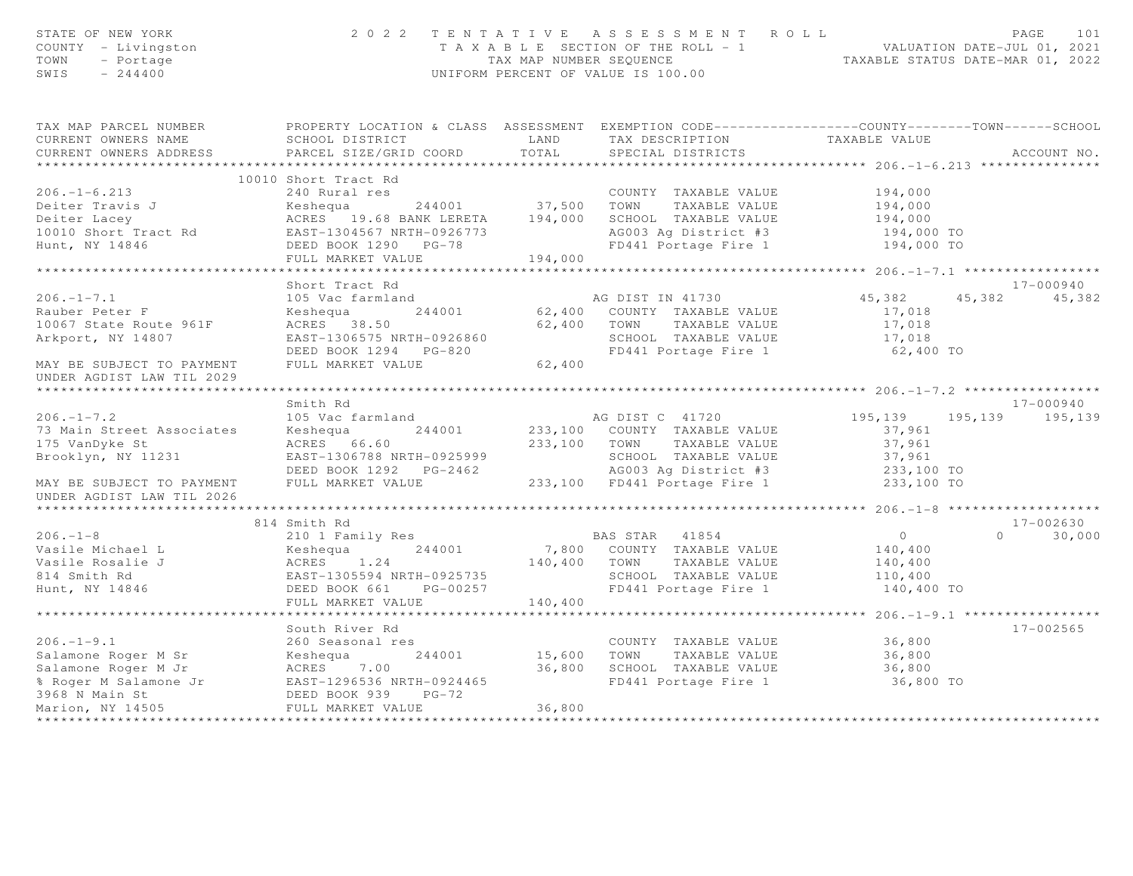| STATE OF NEW YORK<br>COUNTY - Livingston<br>TOWN<br>- Portage<br>$-244400$<br>SWIS                                                  |                                                                                                                                                                                                                                                    |         | 2022 TENTATIVE ASSESSMENT ROLL<br>T A X A B L E SECTION OF THE ROLL - 1 VALUATION DATE-JUL 01, 2021<br>TAX MAP NUMBER SEQUENCE<br>UNIFORM PERCENT OF VALUE IS 100.00 |                                                  | PAGE            | 101         |
|-------------------------------------------------------------------------------------------------------------------------------------|----------------------------------------------------------------------------------------------------------------------------------------------------------------------------------------------------------------------------------------------------|---------|----------------------------------------------------------------------------------------------------------------------------------------------------------------------|--------------------------------------------------|-----------------|-------------|
| TAX MAP PARCEL NUMBER THE PROPERTY LOCATION & CLASS ASSESSMENT EXEMPTION CODE--------------COUNTY--------TOWN------SCHOOL           |                                                                                                                                                                                                                                                    |         |                                                                                                                                                                      |                                                  |                 |             |
| CURRENT OWNERS NAME                                                                                                                 | SCHOOL DISTRICT LAND                                                                                                                                                                                                                               |         | TAX DESCRIPTION TAXABLE VALUE<br>SPECIAL DISTRICTS                                                                                                                   |                                                  |                 |             |
| CURRENT OWNERS ADDRESS                                                                                                              | PARCEL SIZE/GRID COORD TOTAL                                                                                                                                                                                                                       |         |                                                                                                                                                                      |                                                  |                 | ACCOUNT NO. |
|                                                                                                                                     |                                                                                                                                                                                                                                                    |         |                                                                                                                                                                      |                                                  |                 |             |
|                                                                                                                                     | 10010 Short Tract Rd                                                                                                                                                                                                                               |         |                                                                                                                                                                      |                                                  |                 |             |
|                                                                                                                                     |                                                                                                                                                                                                                                                    |         | COUNTY TAXABLE VALUE 194,000                                                                                                                                         |                                                  |                 |             |
|                                                                                                                                     |                                                                                                                                                                                                                                                    |         |                                                                                                                                                                      | 194,000                                          |                 |             |
|                                                                                                                                     |                                                                                                                                                                                                                                                    |         |                                                                                                                                                                      | 194,000                                          |                 |             |
|                                                                                                                                     |                                                                                                                                                                                                                                                    |         |                                                                                                                                                                      | 194,000 TO                                       |                 |             |
| Hunt, NY 14846                                                                                                                      |                                                                                                                                                                                                                                                    | 194,000 | FD441 Portage Fire 1                                                                                                                                                 | 194,000 TO                                       |                 |             |
|                                                                                                                                     | FULL MARKET VALUE                                                                                                                                                                                                                                  |         |                                                                                                                                                                      | ****************** 206.-1-7.1 ****************** |                 |             |
|                                                                                                                                     | Short Tract Rd                                                                                                                                                                                                                                     |         |                                                                                                                                                                      |                                                  |                 | 17-000940   |
| $206. -1 - 7.1$                                                                                                                     | 105 Vac farmland                                                                                                                                                                                                                                   |         | AG DIST IN 41730                                                                                                                                                     | 45,382                                           | 45, 382 45, 382 |             |
| Rauber Peter F                                                                                                                      |                                                                                                                                                                                                                                                    |         |                                                                                                                                                                      | 17,018                                           |                 |             |
| 10067 State Route 961F                                                                                                              |                                                                                                                                                                                                                                                    |         |                                                                                                                                                                      | 17,018                                           |                 |             |
| Arkport, NY 14807                                                                                                                   |                                                                                                                                                                                                                                                    |         |                                                                                                                                                                      | 17,018                                           |                 |             |
|                                                                                                                                     |                                                                                                                                                                                                                                                    |         | FD441 Portage Fire 1 62,400 TO                                                                                                                                       |                                                  |                 |             |
| MAY BE SUBJECT TO PAYMENT<br>UNDER AGDIST LAW TIL 2029                                                                              | EXECUTE 1<br>EAST-1306575 NRTH-0926860<br>EAST-1306575 NRTH-0926860<br>EED BOOK 1294 PG-820<br>FULL MARKET VALUE<br>FULL MARKET VALUE<br>FULL MARKET VALUE<br>FULL MARKET VALUE<br>FULL MARKET VALUE<br>COMPTING TRABLE VALUE<br>COMPTING TRABLE V |         |                                                                                                                                                                      |                                                  |                 |             |
|                                                                                                                                     |                                                                                                                                                                                                                                                    |         |                                                                                                                                                                      |                                                  |                 |             |
|                                                                                                                                     | Smith Rd                                                                                                                                                                                                                                           |         |                                                                                                                                                                      |                                                  |                 | 17-000940   |
| $206. - 1 - 7.2$                                                                                                                    | 105 Vac farmland                                                                                                                                                                                                                                   |         | AG DIST C 41720<br>233,100 COUNTY TAXABLE VALUE 195,139<br>37,961                                                                                                    |                                                  |                 |             |
| 73 Main Street Associates                                                                                                           | Keshequa 244001                                                                                                                                                                                                                                    |         |                                                                                                                                                                      |                                                  |                 |             |
| 175 VanDyke St                                                                                                                      |                                                                                                                                                                                                                                                    |         |                                                                                                                                                                      |                                                  |                 |             |
| Brooklyn, NY 11231                                                                                                                  |                                                                                                                                                                                                                                                    |         |                                                                                                                                                                      |                                                  |                 |             |
| MAY BE SUBJECT TO PAYMENT                                                                                                           | ACRES 66.60<br>EAST-1306788 NRTH-0925999<br>DEED BOOK 1292 PG-2462<br>FULL MARKET VALUE 233,100 FD441 Portage Fire 1 233,100 TO<br>PULL MARKET VALUE 233,100 FD441 Portage Fire 1 233,100 TO                                                       |         |                                                                                                                                                                      |                                                  |                 |             |
| UNDER AGDIST LAW TIL 2026                                                                                                           |                                                                                                                                                                                                                                                    |         |                                                                                                                                                                      |                                                  |                 |             |
|                                                                                                                                     | 814 Smith Rd                                                                                                                                                                                                                                       |         |                                                                                                                                                                      |                                                  |                 | 17-002630   |
| $206. -1 - 8$                                                                                                                       | 210 1 Family Res                                                                                                                                                                                                                                   |         | <b>BAS STAR 41854</b>                                                                                                                                                | $\overline{0}$                                   | $\Omega$        | 30,000      |
| Vasile Michael L                                                                                                                    |                                                                                                                                                                                                                                                    |         | 7,800 COUNTY TAXABLE VALUE                                                                                                                                           | 140,400                                          |                 |             |
|                                                                                                                                     |                                                                                                                                                                                                                                                    |         |                                                                                                                                                                      | 140,400                                          |                 |             |
| Vasile Rosalie J<br>814 Smith Rd<br>Hunt, NY 14846                                                                                  | External matrix of the shequa and the shequa and the country faxable value<br>ACRES 1.24 140,400 TOWN TAXABLE VALUE<br>EAST-1305594 NRTH-0925735 SCHOOL TAXABLE VALUE<br>DEED BOOK 661 PG-00257 FD441 Portage Fire 1                               |         |                                                                                                                                                                      | 110,400                                          |                 |             |
|                                                                                                                                     |                                                                                                                                                                                                                                                    |         |                                                                                                                                                                      | 140,400 TO                                       |                 |             |
|                                                                                                                                     | FULL MARKET VALUE                                                                                                                                                                                                                                  | 140,400 |                                                                                                                                                                      |                                                  |                 |             |
|                                                                                                                                     |                                                                                                                                                                                                                                                    |         |                                                                                                                                                                      |                                                  |                 |             |
|                                                                                                                                     | South River Rd                                                                                                                                                                                                                                     |         |                                                                                                                                                                      |                                                  |                 | 17-002565   |
| $206. - 1 - 9.1$                                                                                                                    | 260 Seasonal res                                                                                                                                                                                                                                   |         |                                                                                                                                                                      |                                                  |                 |             |
|                                                                                                                                     |                                                                                                                                                                                                                                                    |         | s<br>244001 15,600 TOWN TAXABLE VALUE                                                                                                                                | 36,800<br>36,800                                 |                 |             |
|                                                                                                                                     |                                                                                                                                                                                                                                                    |         |                                                                                                                                                                      | 36,800                                           |                 |             |
|                                                                                                                                     |                                                                                                                                                                                                                                                    |         | 36,800 SCHOOL TAXABLE VALUE<br>FD441 Portage Fire 1<br>FD441 Portage Fire 1                                                                                          | 36,800 TO                                        |                 |             |
| 200.-1-9.1<br>Salamone Roger M Sr<br>Salamone Roger M Jr<br>8 Roger M Salamone Jr<br>8 Roger M Salamone Jr<br>8 DEED BOOK 939 PG-72 |                                                                                                                                                                                                                                                    |         |                                                                                                                                                                      |                                                  |                 |             |
| Marion, NY 14505                                                                                                                    | FULL MARKET VALUE                                                                                                                                                                                                                                  | 36,800  |                                                                                                                                                                      |                                                  |                 |             |
|                                                                                                                                     |                                                                                                                                                                                                                                                    |         |                                                                                                                                                                      |                                                  |                 |             |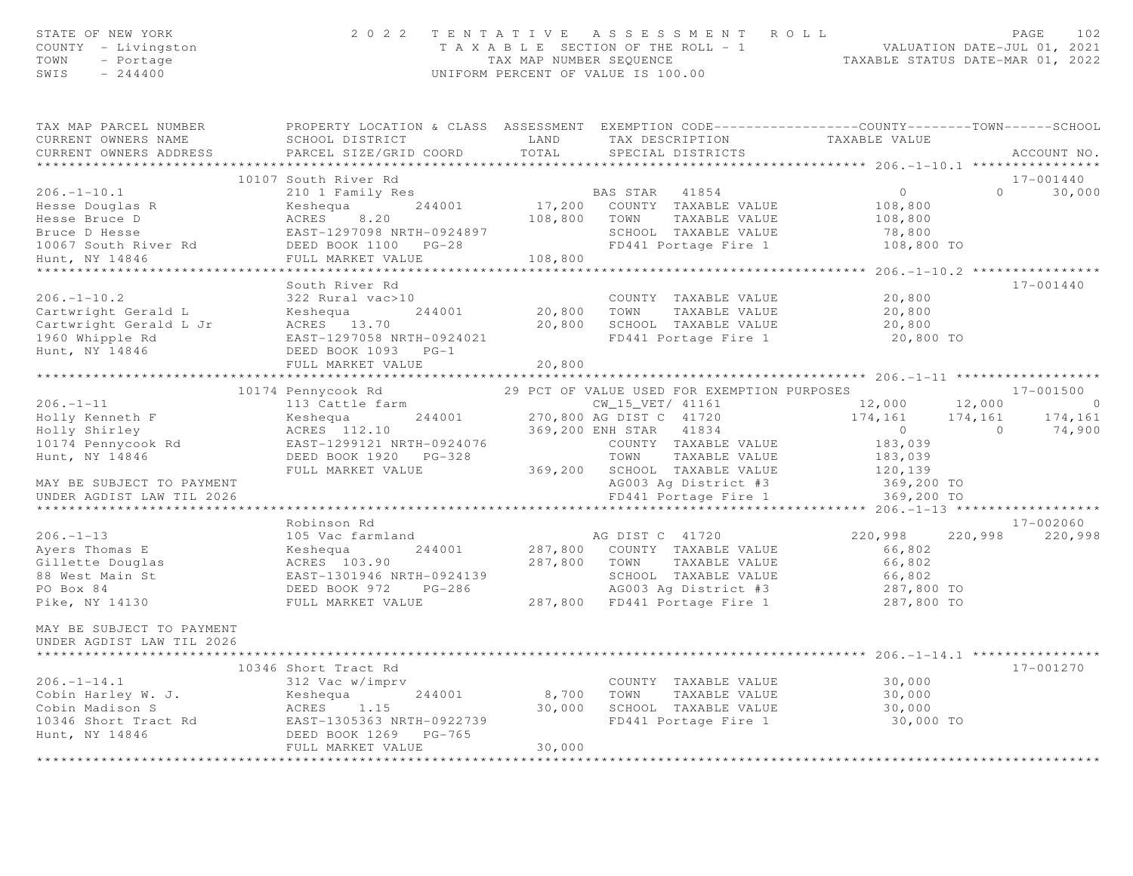| STATE OF NEW YORK<br>COUNTY - Livingston<br>TOWN<br>- Portage<br>SWIS<br>$-244400$                                                                                                                                                             |                                                                                                                                                                                  |         | 2022 TENTATIVE ASSESSMENT ROLL<br>T A X A B L E SECTION OF THE ROLL - 1<br>TA X A B L E SECTION OF THE ROLL - 1<br>TAX MAP NUMBER SEQUENCE TAXABLE STATUS DATE-MAR 01, 2022<br>UNIFORM PERCENT OF VALUE IS 100.00 |                                                 | PAGE<br>102                |
|------------------------------------------------------------------------------------------------------------------------------------------------------------------------------------------------------------------------------------------------|----------------------------------------------------------------------------------------------------------------------------------------------------------------------------------|---------|-------------------------------------------------------------------------------------------------------------------------------------------------------------------------------------------------------------------|-------------------------------------------------|----------------------------|
| TAX MAP PARCEL NUMBER<br>CURRENT OWNERS NAME<br>CURRENT OWNERS ADDRESS                                                                                                                                                                         | PROPERTY LOCATION & CLASS ASSESSMENT EXEMPTION CODE----------------COUNTY-------TOWN------SCHOOL<br>SCHOOL DISTRICT LAND TAX DESCRIPTION TAXABLE VALUE<br>PARCEL SIZE/GRID COORD | TOTAL   | SPECIAL DISTRICTS                                                                                                                                                                                                 |                                                 | ACCOUNT NO.                |
|                                                                                                                                                                                                                                                |                                                                                                                                                                                  |         |                                                                                                                                                                                                                   |                                                 |                            |
| $206. - 1 - 10.1$                                                                                                                                                                                                                              | 10107 South River Rd<br>210 1 Family Res                                                                                                                                         |         | BAS STAR 41854                                                                                                                                                                                                    | $\circ$                                         | 17-001440<br>$0 \t 30,000$ |
|                                                                                                                                                                                                                                                |                                                                                                                                                                                  |         | 244001 $17,200$ COUNTY TAXABLE VALUE                                                                                                                                                                              | 108,800                                         |                            |
|                                                                                                                                                                                                                                                |                                                                                                                                                                                  |         |                                                                                                                                                                                                                   | 108,800                                         |                            |
| Hesse Douglas R<br>Hesse Bruce D<br>Bruce D Hesse Sexter Bruce D ACRES<br>Bruce D Hesse EAST-1297098 NRTH-0924897<br>EAST-1297098 NRTH-0924897<br>DO67 SCHOOL TAXABLE VALUE<br>MRTH-0924897<br>HO67 SCHOOL TAXABLE VALUE<br>PU441 Portage Fire |                                                                                                                                                                                  |         |                                                                                                                                                                                                                   | 78,800                                          |                            |
|                                                                                                                                                                                                                                                |                                                                                                                                                                                  |         |                                                                                                                                                                                                                   | 108,800 TO                                      |                            |
| Hunt, NY 14846                                                                                                                                                                                                                                 | FULL MARKET VALUE                                                                                                                                                                | 108,800 |                                                                                                                                                                                                                   |                                                 |                            |
|                                                                                                                                                                                                                                                |                                                                                                                                                                                  |         | *************************                                                                                                                                                                                         | ***************** 206.-1-10.2 ***************** |                            |
|                                                                                                                                                                                                                                                | South River Rd                                                                                                                                                                   |         |                                                                                                                                                                                                                   |                                                 | 17-001440                  |
| $206. -1 - 10.2$                                                                                                                                                                                                                               | 322 Rural vac>10                                                                                                                                                                 |         | COUNTY TAXABLE VALUE                                                                                                                                                                                              | 20,800                                          |                            |
| Cartwright Gerald L Keshequa 244001<br>Cartwright Gerald L Jr ACRES 13.70                                                                                                                                                                      |                                                                                                                                                                                  |         | 20,800 TOWN TAXABLE VALUE<br>20,800 SCHOOL TAXABLE VALUE                                                                                                                                                          | 20,800                                          |                            |
| 1960 Whipple Rd                                                                                                                                                                                                                                | EAST-1297058 NRTH-0924021                                                                                                                                                        |         | FD441 Portage Fire 1                                                                                                                                                                                              | 20,800<br>20,800 TO                             |                            |
| Hunt, NY 14846                                                                                                                                                                                                                                 | DEED BOOK 1093 PG-1                                                                                                                                                              |         |                                                                                                                                                                                                                   |                                                 |                            |
|                                                                                                                                                                                                                                                | FULL MARKET VALUE                                                                                                                                                                | 20,800  |                                                                                                                                                                                                                   |                                                 |                            |
|                                                                                                                                                                                                                                                |                                                                                                                                                                                  |         |                                                                                                                                                                                                                   |                                                 |                            |
|                                                                                                                                                                                                                                                | 10174 Pennycook Rd                                                                                                                                                               |         | 29 PCT OF VALUE USED FOR EXEMPTION PURPOSES                                                                                                                                                                       |                                                 | 17-001500                  |
| $206. - 1 - 11$                                                                                                                                                                                                                                |                                                                                                                                                                                  |         | CW_15_VET/ 41161                                                                                                                                                                                                  | 12,000<br>12,000                                | $\overline{0}$             |
| Holly Kenneth F                                                                                                                                                                                                                                | 113 Cattle farm<br>Keshequa 244001 270,800 AG DIST C 41720<br>ACRES 112.10 369,200 ENH STAR (1990)                                                                               |         |                                                                                                                                                                                                                   | $174, 161$ $174, 161$ $174, 161$<br>0 0 74,900  |                            |
| Holly Shirley                                                                                                                                                                                                                                  |                                                                                                                                                                                  |         |                                                                                                                                                                                                                   |                                                 |                            |
| 10174 Pennycook Rd                                                                                                                                                                                                                             |                                                                                                                                                                                  |         |                                                                                                                                                                                                                   | 183,039                                         |                            |
| Hunt, NY 14846                                                                                                                                                                                                                                 |                                                                                                                                                                                  |         | TOWN TAXABLE VALUE                                                                                                                                                                                                | 183,039                                         |                            |
|                                                                                                                                                                                                                                                | FULL MARKET VALUE                                                                                                                                                                |         | 369,200 SCHOOL TAXABLE VALUE                                                                                                                                                                                      | 120,139                                         |                            |
| MAY BE SUBJECT TO PAYMENT<br>UNDER AGDIST LAW TIL 2026                                                                                                                                                                                         |                                                                                                                                                                                  |         | AG003 Ag District #3                                                                                                                                                                                              | 369,200 TO                                      |                            |
|                                                                                                                                                                                                                                                |                                                                                                                                                                                  |         | FD441 Portage Fire 1                                                                                                                                                                                              | 369,200 TO                                      |                            |
|                                                                                                                                                                                                                                                | Robinson Rd                                                                                                                                                                      |         |                                                                                                                                                                                                                   |                                                 | 17-002060                  |
| $206. - 1 - 13$                                                                                                                                                                                                                                | 105 Vac farmland                                                                                                                                                                 |         | AG DIST C 41720                                                                                                                                                                                                   | 220,998                                         | 220,998<br>220,998         |
| Ayers Thomas E                                                                                                                                                                                                                                 | Keshequa 244001                                                                                                                                                                  |         | 287,800 COUNTY TAXABLE VALUE                                                                                                                                                                                      | 66,802                                          |                            |
| Gillette Douglas                                                                                                                                                                                                                               |                                                                                                                                                                                  |         |                                                                                                                                                                                                                   | 66,802                                          |                            |
| 88 West Main St                                                                                                                                                                                                                                |                                                                                                                                                                                  |         |                                                                                                                                                                                                                   |                                                 |                            |
| PO Box 84                                                                                                                                                                                                                                      |                                                                                                                                                                                  |         |                                                                                                                                                                                                                   | 66,802<br>287,800 TO                            |                            |
| Pike, NY 14130 FULL MARKET VALUE                                                                                                                                                                                                               |                                                                                                                                                                                  |         | 287,800 FD441 Portage Fire 1 287,800 TO                                                                                                                                                                           |                                                 |                            |
| MAY BE SUBJECT TO PAYMENT<br>UNDER AGDIST LAW TIL 2026                                                                                                                                                                                         |                                                                                                                                                                                  |         |                                                                                                                                                                                                                   |                                                 |                            |
|                                                                                                                                                                                                                                                | 10346 Short Tract Rd                                                                                                                                                             |         |                                                                                                                                                                                                                   |                                                 | 17-001270                  |
| $206. -1 - 14.1$                                                                                                                                                                                                                               | 312 Vac w/imprv<br>Keshequa 244001<br>ACRES 1.15                                                                                                                                 |         | COUNTY TAXABLE VALUE                                                                                                                                                                                              | 30,000                                          |                            |
| Cobin Harley W. J.                                                                                                                                                                                                                             |                                                                                                                                                                                  |         | 8,700 TOWN TAXABLE VALUE                                                                                                                                                                                          | 30,000                                          |                            |
| Cobin Madison S                                                                                                                                                                                                                                |                                                                                                                                                                                  |         | 30,000 SCHOOL TAXABLE VALUE                                                                                                                                                                                       | 30,000                                          |                            |
|                                                                                                                                                                                                                                                |                                                                                                                                                                                  |         | FD441 Portage Fire 1                                                                                                                                                                                              | 30,000 TO                                       |                            |
|                                                                                                                                                                                                                                                |                                                                                                                                                                                  |         |                                                                                                                                                                                                                   |                                                 |                            |
|                                                                                                                                                                                                                                                | FULL MARKET VALUE                                                                                                                                                                | 30,000  |                                                                                                                                                                                                                   |                                                 |                            |
|                                                                                                                                                                                                                                                |                                                                                                                                                                                  |         |                                                                                                                                                                                                                   |                                                 |                            |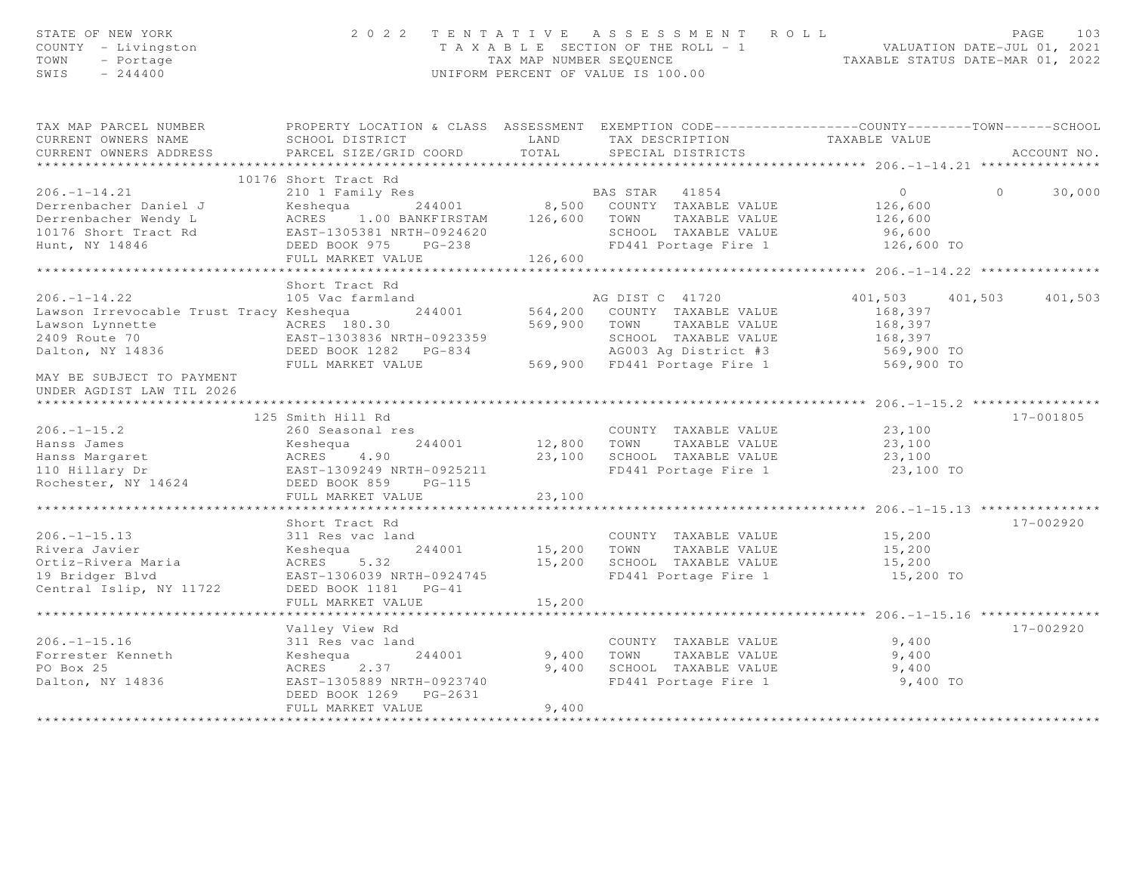| STATE OF NEW YORK<br>COUNTY - Livingston<br>TOWN<br>- Portage<br>$-244400$<br>SWIS                                                                                                                                                                                                                                                 |                                                                                                                                                     |                         | 2022 TENTATIVE ASSESSMENT ROLL<br>T A X A B L E SECTION OF THE ROLL - 1 VALUATION DATE-JUL 01, 2021<br>TAX MAP NUMBER SEQUENCE TAXABLE STATUS DATE-MAR 01, 2022<br>UNIFORM PERCENT OF VALUE IS 100.00 |                                                |         | PAGE<br>103 |
|------------------------------------------------------------------------------------------------------------------------------------------------------------------------------------------------------------------------------------------------------------------------------------------------------------------------------------|-----------------------------------------------------------------------------------------------------------------------------------------------------|-------------------------|-------------------------------------------------------------------------------------------------------------------------------------------------------------------------------------------------------|------------------------------------------------|---------|-------------|
| TAX MAP PARCEL NUMBER<br>CURRENT OWNERS NAME<br>CURRENT OWNERS ADDRESS                                                                                                                                                                                                                                                             | SCHOOL DISTRICT LAND<br>PARCEL SIZE/GRID COORD                                                                                                      | TOTAL                   | PROPERTY LOCATION & CLASS ASSESSMENT EXEMPTION CODE-----------------COUNTY-------TOWN------SCHOOL<br>TAX DESCRIPTION<br>SPECIAL DISTRICTS                                                             | TAXABLE VALUE                                  |         | ACCOUNT NO. |
|                                                                                                                                                                                                                                                                                                                                    | 10176 Short Tract Rd                                                                                                                                |                         |                                                                                                                                                                                                       |                                                |         |             |
| $206. - 1 - 14.21$                                                                                                                                                                                                                                                                                                                 |                                                                                                                                                     |                         |                                                                                                                                                                                                       | $\overline{0}$                                 | $\circ$ | 30,000      |
| Derrenbacher Daniel J<br>Derrenbacher Wendy L<br>10176 Short Tract Rd<br>Hunt, NY 14846                                                                                                                                                                                                                                            | Example 1992 1994 126,600 NESS COUNTY TO TOWN TAXABLE VALUE<br>EAST-1305381 NRTH-0924620 20 SCHOOL TAXABLE VALUE<br>DEED BOOK 975 PG-238            |                         | FD441 Portage Fire 1                                                                                                                                                                                  | 126,600<br>126,600<br>96,600<br>126,600 TO     |         |             |
|                                                                                                                                                                                                                                                                                                                                    | FULL MARKET VALUE                                                                                                                                   | 126,600                 |                                                                                                                                                                                                       |                                                |         |             |
|                                                                                                                                                                                                                                                                                                                                    |                                                                                                                                                     |                         |                                                                                                                                                                                                       | **************** 206.-1-14.22 **************** |         |             |
| $206. - 1 - 14.22$<br>Lawson Irrevocable Trust Tracy Keshequa 244001<br>14836 180.30<br>2409 Route 70<br>2409 Route 70<br>2409 Route 70<br>2409 Route 70<br>2409 Route 70<br>2409 Route 70<br>2409 Route 70<br>2409 Route 70<br>2409 Route 70<br>2409 Route 70<br>2409 Route 70<br>2409 Route 70<br>2409 Route 70<br>2409 Route 70 | Short Tract Rd<br>105 Vac farmland                                                                                                                  |                         | AG DIST C 41720<br>564,200 COUNTY TAXABLE VALUE                                                                                                                                                       | 401,503<br>168,397<br>168,397                  | 401,503 | 401,503     |
|                                                                                                                                                                                                                                                                                                                                    |                                                                                                                                                     |                         |                                                                                                                                                                                                       | 168,397                                        |         |             |
|                                                                                                                                                                                                                                                                                                                                    |                                                                                                                                                     |                         | SCHOOL TAXABLE VALUE<br>AGOO3 Ag District #3<br>569,900 FD441 Portage Fire 1                                                                                                                          | 569,900 TO                                     |         |             |
| MAY BE SUBJECT TO PAYMENT<br>UNDER AGDIST LAW TIL 2026                                                                                                                                                                                                                                                                             | FULL MARKET VALUE                                                                                                                                   |                         |                                                                                                                                                                                                       | 569,900 TO                                     |         |             |
|                                                                                                                                                                                                                                                                                                                                    | 125 Smith Hill Rd                                                                                                                                   |                         |                                                                                                                                                                                                       |                                                |         | 17-001805   |
| $206. - 1 - 15.2$                                                                                                                                                                                                                                                                                                                  | 260 Seasonal res<br>FULL MARKET VALUE                                                                                                               | 23,100                  | COUNTY TAXABLE VALUE<br>12,800 TOWN TAXABLE VALUE<br>23,100 SCHOOL TAXABLE VALUE<br>FD441 Portage Fire 1                                                                                              | 23,100<br>23,100<br>23,100<br>23,100 TO        |         |             |
|                                                                                                                                                                                                                                                                                                                                    |                                                                                                                                                     | ***************         |                                                                                                                                                                                                       |                                                |         |             |
| $206. -1 - 15.13$<br>Rivera Javier<br>Ortiz-Rivera Maria<br>19 Bridger Blvd<br>Central Islip, NY 11722                                                                                                                                                                                                                             | Short Tract Rd<br>311 Res vac land<br>Keshequa<br>ACRES 5.32<br>244001<br>EAST-1306039 NRTH-0924745<br>DEED BOOK 1181 PG-41                         |                         | COUNTY TAXABLE VALUE<br>15,200 TOWN TAXABLE VALUE<br>15,200 SCHOOL TAXABLE VALUE<br>FD441 Portage Fire 1                                                                                              | 15,200<br>15,200<br>15,200<br>15,200 TO        |         | 17-002920   |
|                                                                                                                                                                                                                                                                                                                                    | FULL MARKET VALUE                                                                                                                                   | 15,200                  |                                                                                                                                                                                                       |                                                |         |             |
|                                                                                                                                                                                                                                                                                                                                    |                                                                                                                                                     |                         |                                                                                                                                                                                                       | ************* 206.-1-15.16 ****************    |         |             |
|                                                                                                                                                                                                                                                                                                                                    | Valley View Rd                                                                                                                                      |                         |                                                                                                                                                                                                       |                                                |         | 17-002920   |
| $206. - 1 - 15.16$<br>Forrester Kenneth<br>PO Box 25<br>Dalton, NY 14836                                                                                                                                                                                                                                                           | 311 Res vac land<br>Extended to the Keshequa<br>244001<br>ACRES 2.37<br>EAST-1305889 NRTH-0923740<br>DEED BOOK 1269    PG-2631<br>FULL MARKET VALUE | 9,400<br>9,400<br>9,400 | COUNTY TAXABLE VALUE<br>TOWN<br>TAXABLE VALUE<br>SCHOOL TAXABLE VALUE<br>FD441 Portage Fire 1                                                                                                         | 9,400<br>9,400<br>9,400<br>9,400 TO            |         |             |
|                                                                                                                                                                                                                                                                                                                                    |                                                                                                                                                     |                         |                                                                                                                                                                                                       |                                                |         |             |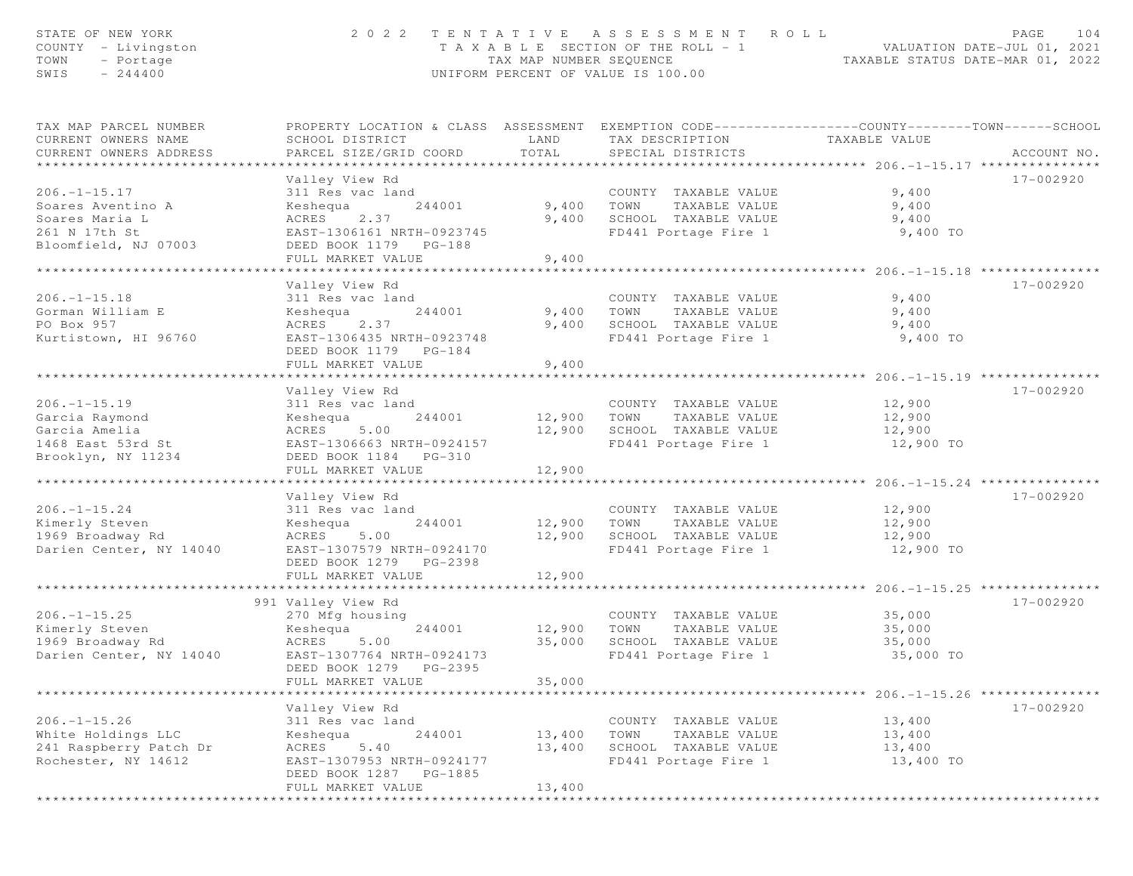| STATE OF NEW YORK<br>COUNTY - Livingston<br>TOWN<br>- Portage<br>$-244400$<br>SWIS                 | 2 0 2 2                                                                                                                                                                                       | TAX MAP NUMBER SEQUENCE                    | TENTATIVE ASSESSMENT<br>T A X A B L E SECTION OF THE ROLL - 1<br>UNIFORM PERCENT OF VALUE IS 100.00  | ROLL<br>VALUATION DATE-JUL 01, 2021<br>TAXABLE STATUS DATE-MAR 01, 2022                               | PAGE<br>104 |
|----------------------------------------------------------------------------------------------------|-----------------------------------------------------------------------------------------------------------------------------------------------------------------------------------------------|--------------------------------------------|------------------------------------------------------------------------------------------------------|-------------------------------------------------------------------------------------------------------|-------------|
| TAX MAP PARCEL NUMBER<br>CURRENT OWNERS NAME<br>CURRENT OWNERS ADDRESS                             | PROPERTY LOCATION & CLASS ASSESSMENT EXEMPTION CODE----------------COUNTY-------TOWN------SCHOOL<br>SCHOOL DISTRICT<br>PARCEL SIZE/GRID COORD                                                 | LAND<br>TOTAL                              | TAX DESCRIPTION<br>SPECIAL DISTRICTS                                                                 | TAXABLE VALUE                                                                                         | ACCOUNT NO. |
| $206. - 1 - 15.17$<br>Soares Aventino A<br>Soares Maria L<br>261 N 17th St<br>Bloomfield, NJ 07003 | Valley View Rd<br>311 Res vac land<br>Keshequa<br>244001<br>ACRES<br>2.37<br>EAST-1306161 NRTH-0923745<br>DEED BOOK 1179 PG-188<br>FULL MARKET VALUE                                          | 9,400<br>9,400<br>9,400                    | COUNTY TAXABLE VALUE<br>TOWN<br>TAXABLE VALUE<br>SCHOOL TAXABLE VALUE<br>FD441 Portage Fire 1        | 9,400<br>9,400<br>9,400<br>9,400 TO                                                                   | 17-002920   |
| $206. -1 - 15.18$<br>Gorman William E<br>PO Box 957<br>Kurtistown, HI 96760                        | * * * * * * * * * * * * * * * * * * *<br>Valley View Rd<br>311 Res vac land<br>Keshequa<br>244001<br>ACRES<br>2.37<br>EAST-1306435 NRTH-0923748<br>DEED BOOK 1179 PG-184<br>FULL MARKET VALUE | ********<br>9,400<br>9,400<br>9,400        | COUNTY TAXABLE VALUE<br>TOWN<br>TAXABLE VALUE<br>SCHOOL TAXABLE VALUE<br>FD441 Portage Fire 1        | *********** 206.-1-15.18 ********<br>9,400<br>9,400<br>9,400<br>9,400 TO                              | 17-002920   |
| $206. - 1 - 15.19$<br>Garcia Raymond<br>Garcia Amelia<br>1468 East 53rd St<br>Brooklyn, NY 11234   | Valley View Rd<br>311 Res vac land<br>Keshequa<br>244001<br>ACRES<br>5.00<br>EAST-1306663 NRTH-0924157<br>DEED BOOK 1184 PG-310<br>FULL MARKET VALUE                                          | 12,900<br>12,900                           | COUNTY TAXABLE VALUE<br>TOWN<br>TAXABLE VALUE<br>12,900 SCHOOL TAXABLE VALUE<br>FD441 Portage Fire 1 | 12,900<br>12,900<br>12,900<br>12,900 TO                                                               | 17-002920   |
| $206. - 1 - 15.24$<br>Kimerly Steven<br>1969 Broadway Rd<br>Darien Center, NY 14040                | Valley View Rd<br>311 Res vac land<br>Keshequa<br>244001<br>5.00<br>ACRES<br>EAST-1307579 NRTH-0924170<br>DEED BOOK 1279 PG-2398<br>FULL MARKET VALUE                                         | 12,900<br>12,900<br>12,900<br>************ | COUNTY TAXABLE VALUE<br>TOWN<br>TAXABLE VALUE<br>SCHOOL TAXABLE VALUE<br>FD441 Portage Fire 1        | 12,900<br>12,900<br>12,900<br>12,900 TO<br>***************************** 206.-1-15.25 *************** | 17-002920   |
| $206. - 1 - 15.25$<br>Kimerly Steven<br>1969 Broadway Rd<br>Darien Center, NY 14040                | 991 Valley View Rd<br>270 Mfg housing<br>Keshequa<br>244001<br>ACRES<br>5.00<br>EAST-1307764 NRTH-0924173<br>DEED BOOK 1279<br>PG-2395<br>FULL MARKET VALUE                                   | 12,900<br>35,000<br>35,000                 | COUNTY TAXABLE VALUE<br>TOWN<br>TAXABLE VALUE<br>SCHOOL TAXABLE VALUE<br>FD441 Portage Fire 1        | 35,000<br>35,000<br>35,000<br>35,000 TO                                                               | 17-002920   |
| $206. - 1 - 15.26$<br>White Holdings LLC<br>241 Raspberry Patch Dr<br>Rochester, NY 14612          | Valley View Rd<br>311 Res vac land<br>244001<br>Keshequa<br>5.40<br>ACRES<br>EAST-1307953 NRTH-0924177<br>DEED BOOK 1287<br>PG-1885<br>FULL MARKET VALUE                                      | 13,400<br>13,400<br>13,400                 | COUNTY TAXABLE VALUE<br>TOWN<br>TAXABLE VALUE<br>SCHOOL TAXABLE VALUE<br>FD441 Portage Fire 1        | ****************** 206.-1-15.26 ****************<br>13,400<br>13,400<br>13,400<br>13,400 TO           | 17-002920   |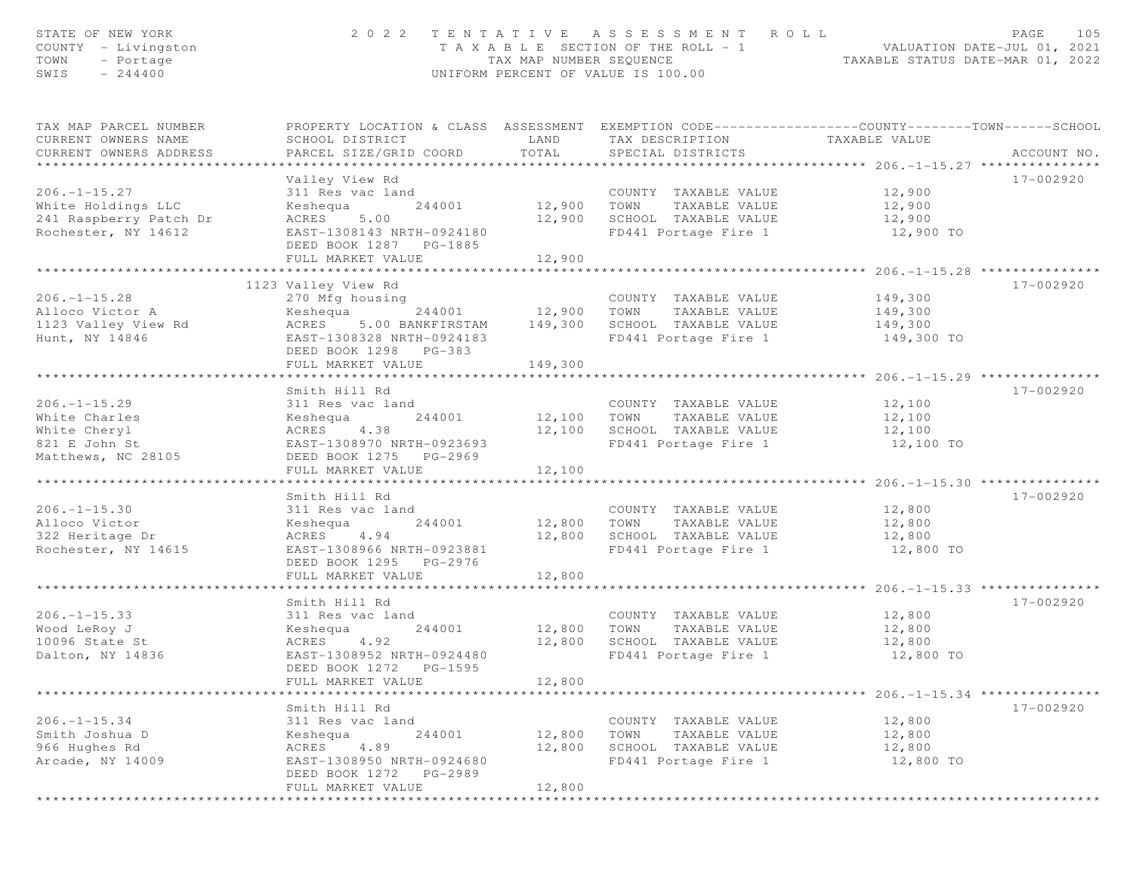| STATE OF NEW YORK<br>COUNTY - Livingston<br>- Portage<br>TOWN<br>$-244400$<br>SWIS        |                                                                                                                                                                      | TAX MAP NUMBER SEOUENCE         | 2022 TENTATIVE ASSESSMENT ROLL<br>T A X A B L E SECTION OF THE ROLL - 1<br>UNIFORM PERCENT OF VALUE IS 100.00 | VALUATION DATE-JUL 01, 2021<br>TAXABLE STATUS DATE-MAR 01, 2022 | PAGE<br>105 |
|-------------------------------------------------------------------------------------------|----------------------------------------------------------------------------------------------------------------------------------------------------------------------|---------------------------------|---------------------------------------------------------------------------------------------------------------|-----------------------------------------------------------------|-------------|
| TAX MAP PARCEL NUMBER<br>CURRENT OWNERS NAME<br>CURRENT OWNERS ADDRESS                    | PROPERTY LOCATION & CLASS ASSESSMENT EXEMPTION CODE----------------COUNTY-------TOWN------SCHOOL<br>SCHOOL DISTRICT<br>PARCEL SIZE/GRID COORD                        | LAND<br>TOTAL                   | TAX DESCRIPTION<br>SPECIAL DISTRICTS                                                                          | TAXABLE VALUE                                                   | ACCOUNT NO. |
| $206. - 1 - 15.27$<br>White Holdings LLC<br>241 Raspberry Patch Dr<br>Rochester, NY 14612 | Valley View Rd<br>311 Res vac land<br>244001<br>Keshequa<br>ACRES<br>5.00<br>EAST-1308143 NRTH-0924180<br>DEED BOOK 1287 PG-1885<br>FULL MARKET VALUE                | 12,900 TOWN<br>12,900<br>12,900 | COUNTY TAXABLE VALUE<br>TAXABLE VALUE<br>SCHOOL TAXABLE VALUE<br>FD441 Portage Fire 1                         | 12,900<br>12,900<br>12,900<br>12,900 TO                         | 17-002920   |
|                                                                                           | ***************************                                                                                                                                          | ***********                     |                                                                                                               | ********************** 206.-1-15.28 **************              |             |
| $206. -1 - 15.28$<br>Alloco Victor A<br>1123 Valley View Rd<br>Hunt, NY 14846             | 1123 Valley View Rd<br>270 Mfg housing<br>Keshequa<br>244001<br>ACRES<br>5.00 BANKFIRSTAM<br>EAST-1308328 NRTH-0924183<br>DEED BOOK 1298 PG-383<br>FULL MARKET VALUE | 12,900<br>149,300<br>149,300    | COUNTY TAXABLE VALUE<br>TOWN<br>TAXABLE VALUE<br>SCHOOL TAXABLE VALUE<br>FD441 Portage Fire 1                 | 149,300<br>149,300<br>149,300<br>149,300 TO                     | 17-002920   |
|                                                                                           |                                                                                                                                                                      |                                 |                                                                                                               |                                                                 |             |
| $206. -1 - 15.29$<br>White Charles<br>White Cheryl<br>821 E John St<br>Matthews, NC 28105 | Smith Hill Rd<br>311 Res vac land<br>Keshequa<br>244001<br>4.38<br>ACRES<br>EAST-1308970 NRTH-0923693<br>DEED BOOK 1275 PG-2969<br>FULL MARKET VALUE                 | 12,100<br>12,100<br>12,100      | COUNTY TAXABLE VALUE<br>TOWN<br>TAXABLE VALUE<br>SCHOOL TAXABLE VALUE<br>FD441 Portage Fire 1                 | 12,100<br>12,100<br>12,100<br>12,100 TO                         | 17-002920   |
|                                                                                           |                                                                                                                                                                      |                                 |                                                                                                               |                                                                 |             |
| $206. -1 - 15.30$<br>Alloco Victor<br>322 Heritage Dr<br>Rochester, NY 14615              | Smith Hill Rd<br>311 Res vac land<br>Keshequa<br>244001<br>4.94<br>ACRES<br>EAST-1308966 NRTH-0923881<br>DEED BOOK 1295 PG-2976<br>FULL MARKET VALUE                 | 12,800<br>12,800<br>12,800      | COUNTY TAXABLE VALUE<br>TAXABLE VALUE<br>TOWN<br>SCHOOL TAXABLE VALUE<br>FD441 Portage Fire 1                 | 12,800<br>12,800<br>12,800<br>12,800 TO                         | 17-002920   |
|                                                                                           | ******************                                                                                                                                                   |                                 |                                                                                                               | ****************** 206.-1-15.33 ***                             |             |
| $206. - 1 - 15.33$<br>Wood LeRoy J<br>10096 State St<br>Dalton, NY 14836                  | Smith Hill Rd<br>311 Res vac land<br>Keshequa<br>244001<br>4.92<br>ACRES<br>EAST-1308952 NRTH-0924480<br>DEED BOOK 1272<br>PG-1595<br>FULL MARKET VALUE              | 12,800<br>12,800<br>12,800      | COUNTY TAXABLE VALUE<br>TOWN<br>TAXABLE VALUE<br>SCHOOL TAXABLE VALUE<br>FD441 Portage Fire 1                 | 12,800<br>12,800<br>12,800<br>12,800 TO                         | 17-002920   |
|                                                                                           |                                                                                                                                                                      |                                 |                                                                                                               |                                                                 |             |
| $206. -1 - 15.34$<br>Smith Joshua D<br>966 Hughes Rd<br>Arcade, NY 14009                  | Smith Hill Rd<br>311 Res vac land<br>244001<br>Keshequa<br>4.89<br>ACRES<br>EAST-1308950 NRTH-0924680<br>DEED BOOK 1272<br>PG-2989<br>FULL MARKET VALUE              | 12,800<br>12,800<br>12,800      | COUNTY TAXABLE VALUE<br>TOWN<br>TAXABLE VALUE<br>SCHOOL TAXABLE VALUE<br>FD441 Portage Fire 1                 | 12,800<br>12,800<br>12,800<br>12,800 TO                         | 17-002920   |
|                                                                                           |                                                                                                                                                                      |                                 |                                                                                                               |                                                                 |             |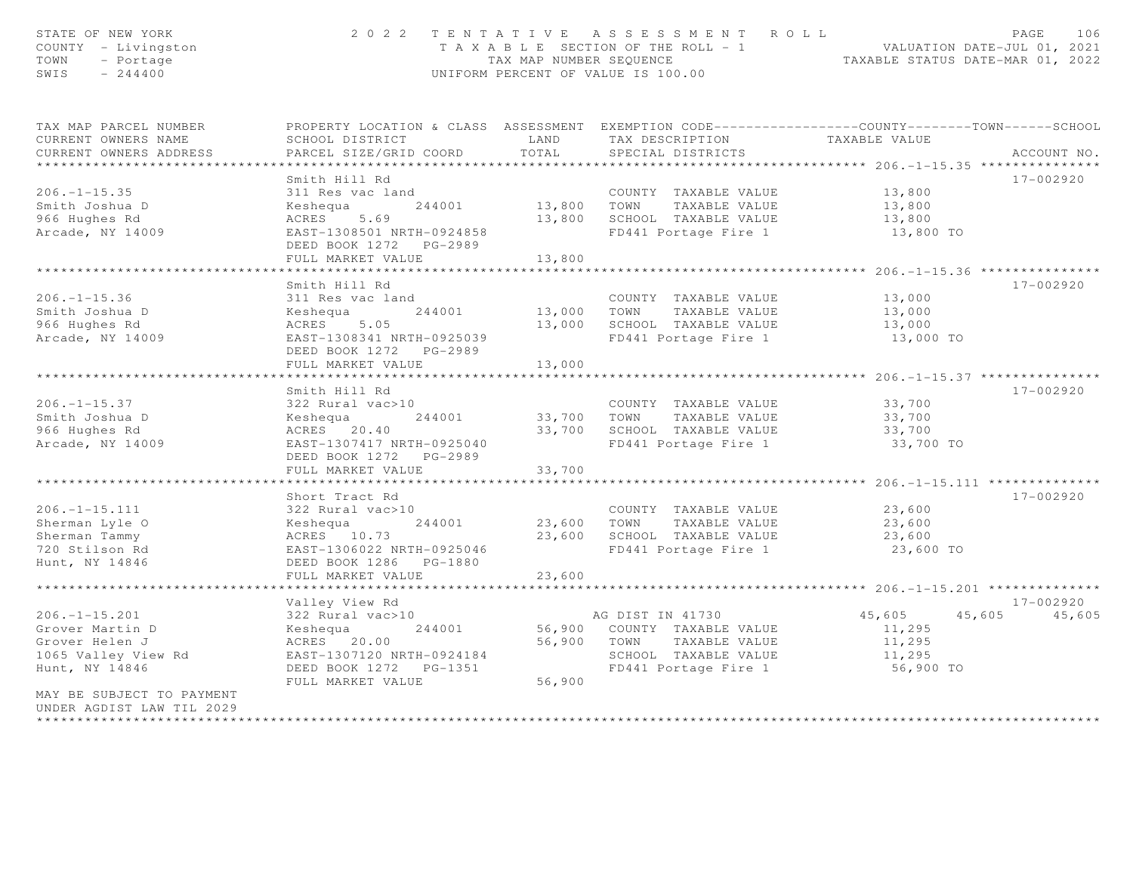| STATE OF NEW YORK<br>COUNTY - Livingston<br>TOWN<br>- Portage<br>SWIS<br>$-244400$ |                                                                                                                     |                    | 2022 TENTATIVE ASSESSMENT ROLL<br>T A X A B L E SECTION OF THE ROLL - 1 VALUATION DATE-JUL 01, 2021<br>TAX MAP NUMBER SEQUENCE TAXABLE STATUS DATE-MAR 01, 2022<br>UNIFORM PERCENT OF VALUE IS 100.00 |                                              | PAGE<br>106   |
|------------------------------------------------------------------------------------|---------------------------------------------------------------------------------------------------------------------|--------------------|-------------------------------------------------------------------------------------------------------------------------------------------------------------------------------------------------------|----------------------------------------------|---------------|
| TAX MAP PARCEL NUMBER<br>CURRENT OWNERS NAME                                       | PROPERTY LOCATION & CLASS ASSESSMENT EXEMPTION CODE----------------COUNTY-------TOWN------SCHOOL<br>SCHOOL DISTRICT | LAND               | TAX DESCRIPTION                                                                                                                                                                                       | TAXABLE VALUE                                |               |
| CURRENT OWNERS ADDRESS                                                             | PARCEL SIZE/GRID COORD                                                                                              | TOTAL              | SPECIAL DISTRICTS                                                                                                                                                                                     |                                              | ACCOUNT NO.   |
| ***********************                                                            |                                                                                                                     |                    |                                                                                                                                                                                                       |                                              |               |
|                                                                                    | Smith Hill Rd                                                                                                       |                    |                                                                                                                                                                                                       |                                              | 17-002920     |
| $206. - 1 - 15.35$                                                                 | 311 Res vac land                                                                                                    |                    | COUNTY TAXABLE VALUE                                                                                                                                                                                  | 13,800                                       |               |
| Smith Joshua D                                                                     | 244001<br>Keshequa                                                                                                  |                    | 13,800 TOWN TAXABLE VALUE                                                                                                                                                                             | 13,800                                       |               |
| 966 Hughes Rd                                                                      | ACRES 5.69<br>EAST-1308501 NRTH-0924858                                                                             |                    | 13,800 SCHOOL TAXABLE VALUE                                                                                                                                                                           | 13,800                                       |               |
| Arcade, NY 14009                                                                   |                                                                                                                     |                    | FD441 Portage Fire 1                                                                                                                                                                                  | 13,800 TO                                    |               |
|                                                                                    | FULL MARKET VALUE                                                                                                   | 13,800             |                                                                                                                                                                                                       |                                              |               |
|                                                                                    | * * * * * * * * * * * * * * * * * * * *                                                                             | ****************** |                                                                                                                                                                                                       |                                              |               |
|                                                                                    | Smith Hill Rd                                                                                                       |                    |                                                                                                                                                                                                       |                                              | 17-002920     |
| $206. - 1 - 15.36$                                                                 | 311 Res vac land                                                                                                    |                    | COUNTY TAXABLE VALUE                                                                                                                                                                                  | 13,000                                       |               |
| Smith Joshua D                                                                     | Keshequa 244001                                                                                                     |                    | 13,000 TOWN<br>TAXABLE VALUE                                                                                                                                                                          | 13,000                                       |               |
| 966 Hughes Rd                                                                      | ACRES 5.05                                                                                                          |                    | 13,000 SCHOOL TAXABLE VALUE                                                                                                                                                                           | 13,000                                       |               |
| Arcade, NY 14009                                                                   | EAST-1308341 NRTH-0925039                                                                                           |                    | FD441 Portage Fire 1                                                                                                                                                                                  | 13,000 TO                                    |               |
|                                                                                    | DEED BOOK 1272 PG-2989<br>FULL MARKET VALUE                                                                         | 13,000             |                                                                                                                                                                                                       |                                              |               |
|                                                                                    |                                                                                                                     |                    |                                                                                                                                                                                                       |                                              |               |
|                                                                                    | Smith Hill Rd                                                                                                       |                    |                                                                                                                                                                                                       |                                              | 17-002920     |
| $206. -1 - 15.37$                                                                  | 322 Rural vac>10                                                                                                    |                    | COUNTY TAXABLE VALUE                                                                                                                                                                                  | 33,700                                       |               |
| Smith Joshua D                                                                     | 244001<br>Keshequa                                                                                                  |                    | 33,700 TOWN TAXABLE VALUE                                                                                                                                                                             | 33,700                                       |               |
| 966 Hughes Rd                                                                      | ACRES 20.40                                                                                                         |                    | 33,700 SCHOOL TAXABLE VALUE                                                                                                                                                                           | 33,700                                       |               |
| Arcade, NY 14009                                                                   | EAST-1307417 NRTH-0925040                                                                                           |                    | FD441 Portage Fire 1                                                                                                                                                                                  | 33,700 TO                                    |               |
|                                                                                    | DEED BOOK 1272 PG-2989                                                                                              |                    |                                                                                                                                                                                                       |                                              |               |
|                                                                                    | FULL MARKET VALUE                                                                                                   | 33,700             |                                                                                                                                                                                                       |                                              |               |
|                                                                                    |                                                                                                                     |                    |                                                                                                                                                                                                       | ************** 206.-1-15.111 *************** |               |
|                                                                                    | Short Tract Rd                                                                                                      |                    |                                                                                                                                                                                                       |                                              | 17-002920     |
| $206. - 1 - 15.111$                                                                | 322 Rural vac>10                                                                                                    |                    | COUNTY TAXABLE VALUE                                                                                                                                                                                  | 23,600                                       |               |
| Sherman Lyle O                                                                     | 244001<br>Keshequa                                                                                                  |                    | 23,600 TOWN TAXABLE VALUE                                                                                                                                                                             | 23,600                                       |               |
| Sherman Tammy                                                                      | ACRES 10.73                                                                                                         |                    | 23,600 SCHOOL TAXABLE VALUE                                                                                                                                                                           | 23,600                                       |               |
| 720 Stilson Rd                                                                     | EAST-1306022 NRTH-0925046                                                                                           |                    | FD441 Portage Fire 1                                                                                                                                                                                  | 23,600 TO                                    |               |
| Hunt, NY 14846                                                                     | DEED BOOK 1286 PG-1880                                                                                              |                    |                                                                                                                                                                                                       |                                              |               |
|                                                                                    | FULL MARKET VALUE                                                                                                   | 23,600             |                                                                                                                                                                                                       |                                              |               |
|                                                                                    | Valley View Rd                                                                                                      |                    |                                                                                                                                                                                                       |                                              | 17-002920     |
| $206. - 1 - 15.201$                                                                | 322 Rural vac>10                                                                                                    |                    | AG DIST IN 41730                                                                                                                                                                                      | 45,605                                       | 45,605 45,605 |
| Grover Martin D                                                                    | 244001<br>Keshequa                                                                                                  |                    | 56,900 COUNTY TAXABLE VALUE                                                                                                                                                                           | 11,295                                       |               |
| Grover Helen J                                                                     | ACRES 20.00                                                                                                         |                    | 56,900 TOWN TAXABLE VALUE                                                                                                                                                                             | 11,295                                       |               |
| 1065 Valley View Rd                                                                | EAST-1307120 NRTH-0924184                                                                                           |                    | SCHOOL TAXABLE VALUE                                                                                                                                                                                  | 11,295                                       |               |
| Hunt, NY 14846                                                                     | DEED BOOK 1272 PG-1351                                                                                              |                    | FD441 Portage Fire 1                                                                                                                                                                                  | 56,900 TO                                    |               |
|                                                                                    | FULL MARKET VALUE                                                                                                   | 56,900             |                                                                                                                                                                                                       |                                              |               |
| MAY BE SUBJECT TO PAYMENT                                                          |                                                                                                                     |                    |                                                                                                                                                                                                       |                                              |               |
| UNDER AGDIST LAW TIL 2029                                                          |                                                                                                                     |                    |                                                                                                                                                                                                       |                                              |               |
| **********************                                                             |                                                                                                                     |                    |                                                                                                                                                                                                       |                                              |               |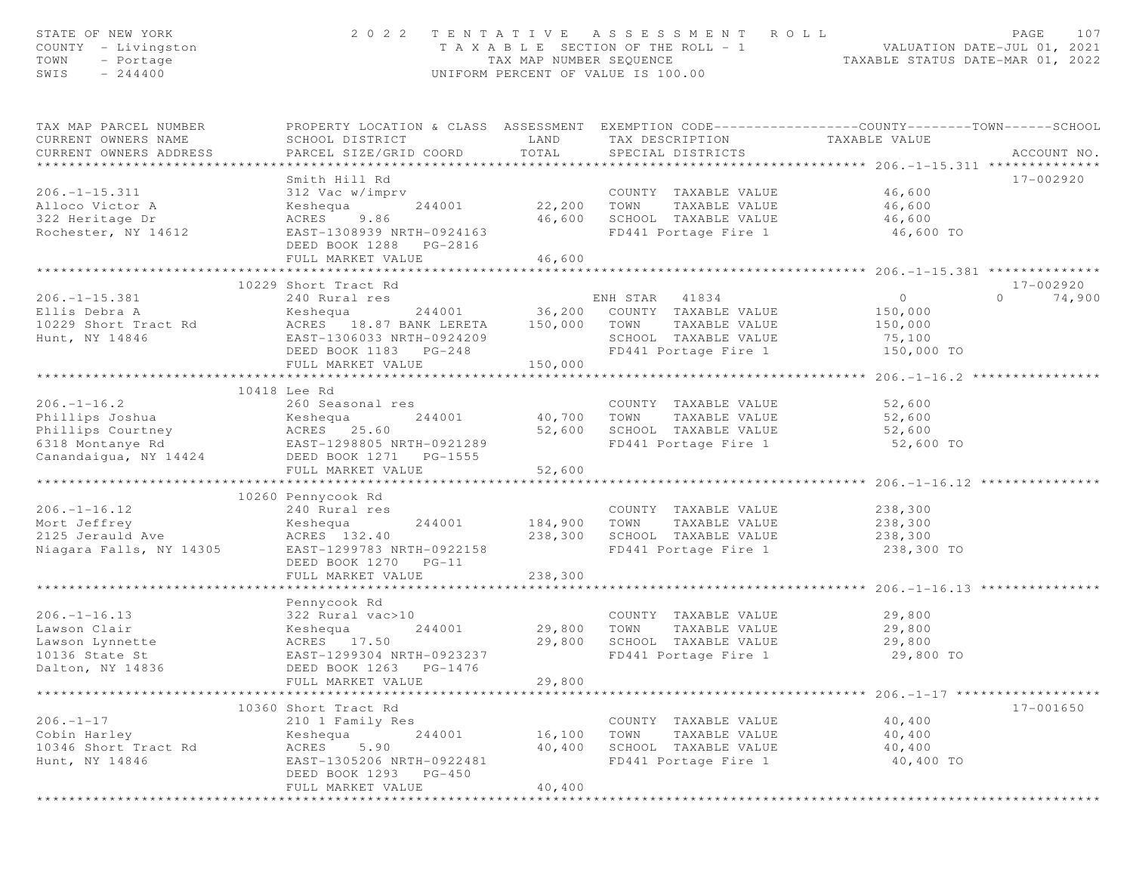| STATE OF NEW YORK<br>COUNTY - Livingston<br>TOWN<br>- Portage<br>SWIS<br>$-244400$                                                                                          |                                                                                                                                                               | TAX MAP NUMBER SEQUENCE             | 2022 TENTATIVE ASSESSMENT ROLL<br>T A X A B L E SECTION OF THE ROLL - 1<br>UNIFORM PERCENT OF VALUE IS 100.00            | ROLL - 1 VALUATION DATE-JUL 01, 2021<br>TAXABLE STATUS DATE-MAR 01, 2022 | PAGE<br>107                     |
|-----------------------------------------------------------------------------------------------------------------------------------------------------------------------------|---------------------------------------------------------------------------------------------------------------------------------------------------------------|-------------------------------------|--------------------------------------------------------------------------------------------------------------------------|--------------------------------------------------------------------------|---------------------------------|
| TAX MAP PARCEL NUMBER<br>CURRENT OWNERS NAME<br>CURRENT OWNERS ADDRESS                                                                                                      | PROPERTY LOCATION & CLASS ASSESSMENT EXEMPTION CODE----------------COUNTY-------TOWN------SCHOOL<br>SCHOOL DISTRICT<br>PARCEL SIZE/GRID COORD                 | LAND<br>TOTAL                       | TAX DESCRIPTION<br>SPECIAL DISTRICTS                                                                                     | TAXABLE VALUE                                                            | ACCOUNT NO.                     |
| $206. - 1 - 15.311$<br>Alloco Victor A<br>322 Heritage Dr<br>Rochester, NY 14612                                                                                            | Smith Hill Rd<br>312 Vac w/imprv<br>Keshequa<br>244001<br>ACRES<br>9.86<br>EAST-1308939 NRTH-0924163<br>DEED BOOK 1288 PG-2816<br>FULL MARKET VALUE           | COUNT<br>22,200      TOWN<br>46,600 | COUNTY TAXABLE VALUE<br>TAXABLE VALUE<br>46,600 SCHOOL TAXABLE VALUE<br>FD441 Portage Fire 1                             | 46,600<br>46,600<br>46,600<br>46,600 TO                                  | 17-002920                       |
|                                                                                                                                                                             |                                                                                                                                                               |                                     |                                                                                                                          |                                                                          |                                 |
| $206. -1 - 15.381$<br>Ellis Debra A<br>10229 Short Tract Rd<br>Hunt, NY 14846                                                                                               | 10229 Short Tract Rd<br>240 Rural res<br>Keshequa<br>ACRES 18.87 BANK LERETA<br>EAST-1306033 NRTH-0924209<br>DEED BOOK 1183 PG-248                            | 150,000 TOWN                        | ENH STAR<br>41834<br>244001 36,200 COUNTY TAXABLE VALUE<br>TAXABLE VALUE<br>SCHOOL TAXABLE VALUE<br>FD441 Portage Fire 1 | $\overline{0}$<br>150,000<br>150,000<br>75,100<br>150,000 TO             | 17-002920<br>$\Omega$<br>74,900 |
|                                                                                                                                                                             | FULL MARKET VALUE                                                                                                                                             | 150,000                             |                                                                                                                          |                                                                          |                                 |
| $206. - 1 - 16.2$<br>Phillips Joshua<br>Phillips Courtney<br>6318 Montanye Rd<br>6318 Montanye Rd<br>6318 Montanye Rd<br>EAST-1298805 NRTH-0921289<br>Canandaigua, NY 14424 | 10418 Lee Rd<br>260 Seasonal res<br>DEED BOOK 1271    PG-1555<br>FULL MARKET VALUE                                                                            | 40,700<br>52,600<br>52,600          | COUNTY TAXABLE VALUE<br>TOWN<br>TAXABLE VALUE<br>SCHOOL TAXABLE VALUE<br>FD441 Portage Fire 1                            | 52,600<br>52,600<br>52,600<br>52,600 TO                                  |                                 |
|                                                                                                                                                                             |                                                                                                                                                               |                                     |                                                                                                                          |                                                                          |                                 |
| $206. - 1 - 16.12$<br>Mort Jeffrey<br>2125 Jerauld Ave<br>Niagara Falls, NY 14305                                                                                           | 10260 Pennycook Rd<br>240 Rural res<br>244001<br>Keshequa<br>ACRES 132.40<br>EAST-1299783 NRTH-0922158<br>DEED BOOK 1270 PG-11<br>FULL MARKET VALUE           | 184,900<br>238,300<br>238,300       | COUNTY TAXABLE VALUE<br>TOWN<br>TAXABLE VALUE<br>SCHOOL TAXABLE VALUE<br>FD441 Portage Fire 1                            | 238,300<br>238,300<br>238,300<br>238,300 TO                              |                                 |
|                                                                                                                                                                             |                                                                                                                                                               |                                     |                                                                                                                          |                                                                          |                                 |
| $206. - 1 - 16.13$<br>Lawson Clair<br>Lawson Lynnette<br>10136 State St<br>Dalton, NY 14836                                                                                 | Pennycook Rd<br>322 Rural vac>10<br>Keshequa<br>244001<br>ACRES 17.50<br>EAST-1299304 NRTH-0923237<br>DEED BOOK 1263<br>$PG-1476$<br>FULL MARKET VALUE        | 29,800<br>29,800<br>29,800          | COUNTY TAXABLE VALUE<br>TOWN<br>TAXABLE VALUE<br>SCHOOL TAXABLE VALUE<br>FD441 Portage Fire 1                            | 29,800<br>29,800<br>29,800<br>29,800 TO                                  |                                 |
|                                                                                                                                                                             |                                                                                                                                                               |                                     |                                                                                                                          |                                                                          |                                 |
| $206. - 1 - 17$<br>Cobin Harley<br>10346 Short Tract Rd<br>Hunt, NY 14846                                                                                                   | 10360 Short Tract Rd<br>210 1 Family Res<br>244001<br>Keshequa<br>ACRES<br>5.90<br>EAST-1305206 NRTH-0922481<br>DEED BOOK 1293<br>PG-450<br>FULL MARKET VALUE | 16,100<br>40,400<br>40,400          | COUNTY TAXABLE VALUE<br>TOWN<br>TAXABLE VALUE<br>SCHOOL TAXABLE VALUE<br>FD441 Portage Fire 1                            | 40,400<br>40,400<br>40,400<br>40,400 TO                                  | 17-001650                       |
|                                                                                                                                                                             |                                                                                                                                                               |                                     |                                                                                                                          |                                                                          |                                 |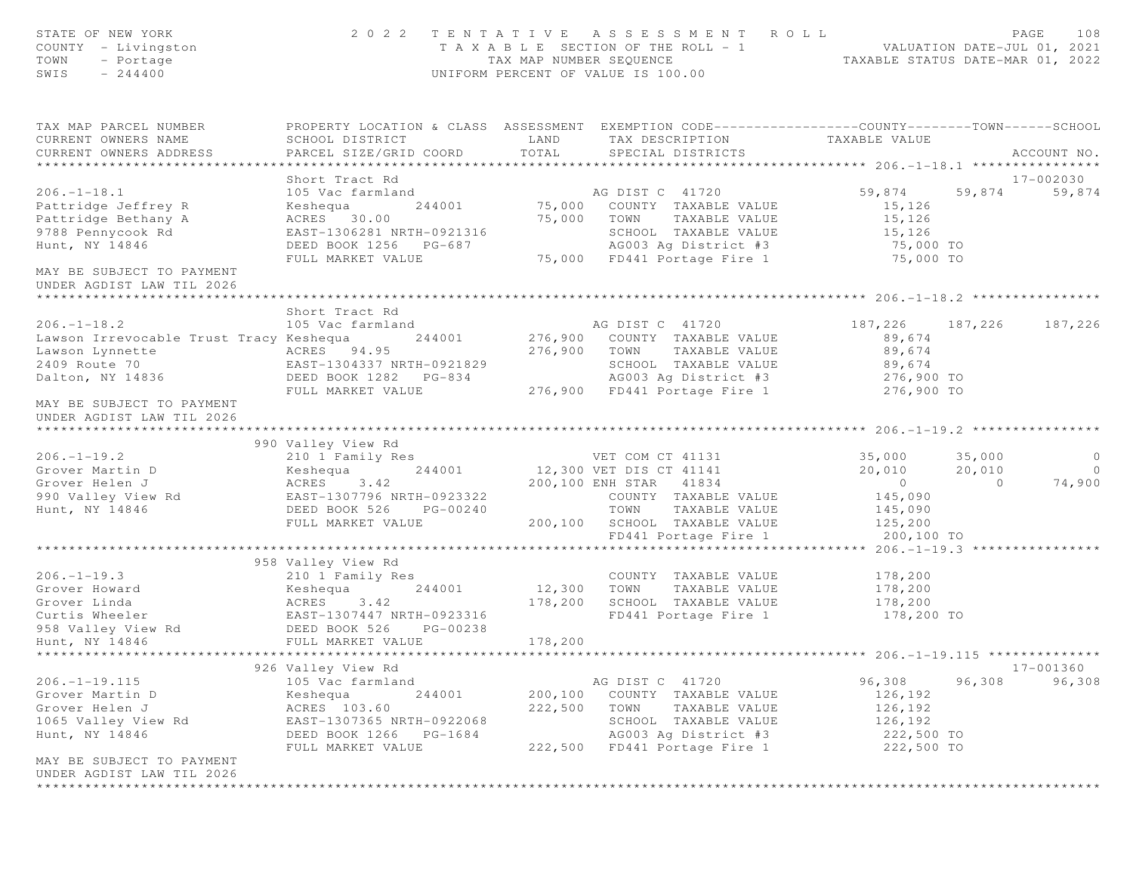| STATE OF NEW YORK<br>COUNTY - Livingston<br>TOWN<br>- Portage<br>$-244400$<br>SWIS | 2 0 2 2                                             | TAX MAP NUMBER SEOUENCE | TENTATIVE ASSESSMENT ROLL<br>T A X A B L E SECTION OF THE ROLL - 1<br>UNIFORM PERCENT OF VALUE IS 100.00                                 | ROLL - 1<br>TAXABLE STATUS DATE-MAR 01, 2022<br>TAXABLE STATUS DATE-MAR 01, 2022 | PAGE       | 108                 |
|------------------------------------------------------------------------------------|-----------------------------------------------------|-------------------------|------------------------------------------------------------------------------------------------------------------------------------------|----------------------------------------------------------------------------------|------------|---------------------|
| TAX MAP PARCEL NUMBER<br>CURRENT OWNERS NAME<br>CURRENT OWNERS ADDRESS             | SCHOOL DISTRICT<br>PARCEL SIZE/GRID COORD           | LAND<br>TOTAL           | PROPERTY LOCATION & CLASS ASSESSMENT EXEMPTION CODE----------------COUNTY-------TOWN------SCHOOL<br>TAX DESCRIPTION<br>SPECIAL DISTRICTS | TAXABLE VALUE                                                                    |            | ACCOUNT NO.         |
|                                                                                    | Short Tract Rd                                      |                         |                                                                                                                                          |                                                                                  |            |                     |
| $206. - 1 - 18.1$                                                                  | 105 Vac farmland                                    |                         | AG DIST C 41720                                                                                                                          | 59,874                                                                           | 59,874     | 17-002030<br>59,874 |
| Pattridge Jeffrey R                                                                | 244001<br>Keshequa                                  | 75,000                  | COUNTY TAXABLE VALUE                                                                                                                     | 15,126                                                                           |            |                     |
| Pattridge Bethany A                                                                | ACRES 30.00                                         | 75,000                  | TOWN<br>TAXABLE VALUE                                                                                                                    | 15,126                                                                           |            |                     |
| 9788 Pennycook Rd                                                                  | EAST-1306281 NRTH-0921316                           |                         | SCHOOL TAXABLE VALUE                                                                                                                     | 15,126                                                                           |            |                     |
| Hunt, NY 14846                                                                     | DEED BOOK 1256 PG-687                               |                         | AG003 Ag District #3                                                                                                                     | 75,000 TO                                                                        |            |                     |
|                                                                                    | FULL MARKET VALUE                                   |                         | 75,000 FD441 Portage Fire 1                                                                                                              | 75,000 TO                                                                        |            |                     |
| MAY BE SUBJECT TO PAYMENT<br>UNDER AGDIST LAW TIL 2026                             |                                                     |                         |                                                                                                                                          |                                                                                  |            |                     |
|                                                                                    | Short Tract Rd                                      |                         |                                                                                                                                          |                                                                                  |            |                     |
| $206. - 1 - 18.2$                                                                  | 105 Vac farmland                                    |                         | AG DIST C 41720                                                                                                                          | 187,226                                                                          | 187,226    | 187,226             |
| Lawson Irrevocable Trust Tracy Keshequa                                            | 244001                                              | 276,900                 | COUNTY TAXABLE VALUE                                                                                                                     | 89,674                                                                           |            |                     |
| Lawson Lynnette                                                                    | ACRES 94.95                                         | 276,900                 | TAXABLE VALUE<br>TOWN                                                                                                                    | 89,674                                                                           |            |                     |
| 2409 Route 70                                                                      | EAST-1304337 NRTH-0921829                           |                         | SCHOOL TAXABLE VALUE                                                                                                                     | 89,674                                                                           |            |                     |
| Dalton, NY 14836                                                                   | DEED BOOK 1282 PG-834                               |                         | AG003 Ag District #3                                                                                                                     | 276,900 TO                                                                       |            |                     |
|                                                                                    | FULL MARKET VALUE                                   |                         | 276,900 FD441 Portage Fire 1                                                                                                             | 276,900 TO                                                                       |            |                     |
| MAY BE SUBJECT TO PAYMENT<br>UNDER AGDIST LAW TIL 2026                             |                                                     |                         |                                                                                                                                          |                                                                                  |            |                     |
|                                                                                    | 990 Valley View Rd                                  |                         |                                                                                                                                          |                                                                                  |            |                     |
| $206. -1 - 19.2$                                                                   | 210 1 Family Res                                    |                         | VET COM CT 41131                                                                                                                         | 35,000                                                                           | 35,000     | $\circ$             |
| Grover Martin D                                                                    | Keshequa                                            |                         | 244001 12,300 VET DIS CT 41141                                                                                                           | 20,010                                                                           | 20,010     | $\overline{0}$      |
| Grover Helen J                                                                     | ACRES 3.42                                          |                         | 200,100 ENH STAR 41834                                                                                                                   | $\overline{0}$                                                                   | $\bigcirc$ | 74,900              |
| 990 Valley View Rd                                                                 | EAST-1307796 NRTH-0923322                           |                         | COUNTY TAXABLE VALUE                                                                                                                     | 145,090                                                                          |            |                     |
| Hunt, NY 14846                                                                     | DEED BOOK 526<br>PG-00240                           |                         | TOWN<br>TAXABLE VALUE                                                                                                                    | 145,090                                                                          |            |                     |
|                                                                                    | FULL MARKET VALUE                                   |                         | 200,100 SCHOOL TAXABLE VALUE                                                                                                             | 125,200                                                                          |            |                     |
|                                                                                    |                                                     |                         | FD441 Portage Fire 1                                                                                                                     | 200,100 TO                                                                       |            |                     |
|                                                                                    | 958 Valley View Rd                                  |                         |                                                                                                                                          | **** 206.-1-19.3 *******                                                         |            |                     |
| $206. -1 - 19.3$                                                                   | 210 1 Family Res                                    |                         | COUNTY TAXABLE VALUE                                                                                                                     | 178,200                                                                          |            |                     |
| Grover Howard                                                                      | Keshequa<br>244001                                  | 12,300                  | TOWN<br>TAXABLE VALUE                                                                                                                    | 178,200                                                                          |            |                     |
| Grover Linda                                                                       | ACRES 3.42                                          | 178,200                 | SCHOOL TAXABLE VALUE                                                                                                                     | 178,200                                                                          |            |                     |
| Curtis Wheeler                                                                     |                                                     |                         | FD441 Portage Fire 1                                                                                                                     | 178,200 TO                                                                       |            |                     |
| 958 Valley View Rd                                                                 | EAST-1307447 NRTH-0923316<br>DEED BOOK 526 PG-00238 |                         |                                                                                                                                          |                                                                                  |            |                     |
| Hunt, NY 14846                                                                     | FULL MARKET VALUE                                   | 178,200                 |                                                                                                                                          |                                                                                  |            |                     |
|                                                                                    |                                                     |                         |                                                                                                                                          |                                                                                  |            |                     |
|                                                                                    | 926 Valley View Rd                                  |                         |                                                                                                                                          |                                                                                  |            | 17-001360           |
| $206. - 1 - 19.115$                                                                | 105 Vac farmland                                    |                         | AG DIST C 41720                                                                                                                          | 96,308                                                                           | 96,308     | 96,308              |
| Grover Martin D                                                                    | 244001<br>Keshequa                                  | 200,100                 | COUNTY TAXABLE VALUE                                                                                                                     | 126,192                                                                          |            |                     |
| Grover Helen J                                                                     | ACRES 103.60                                        | 222,500                 | TOWN<br>TAXABLE VALUE                                                                                                                    | 126,192                                                                          |            |                     |
| 1065 Valley View Rd                                                                | EAST-1307365 NRTH-0922068                           |                         | SCHOOL TAXABLE VALUE                                                                                                                     | 126,192                                                                          |            |                     |
| Hunt, NY 14846                                                                     | DEED BOOK 1266<br>PG-1684                           |                         | AG003 Ag District #3                                                                                                                     | 222,500 TO                                                                       |            |                     |
| MAY BE SUBJECT TO PAYMENT<br>UNDER AGDIST LAW TIL 2026                             | FULL MARKET VALUE                                   | 222,500                 | FD441 Portage Fire 1                                                                                                                     | 222,500 TO                                                                       |            |                     |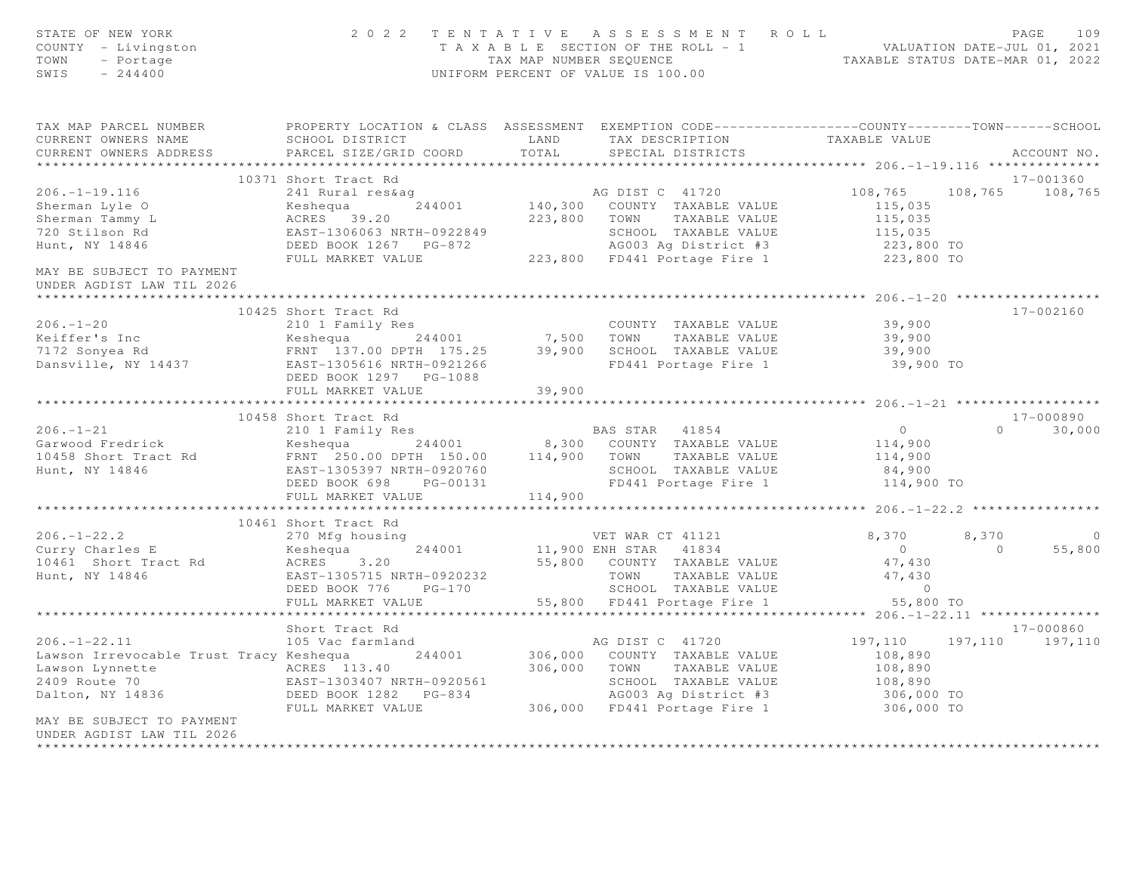| STATE OF NEW YORK<br>COUNTY - Livingston<br>TOWN<br>- Portage<br>SWIS<br>$-244400$                                                                                                                                                     |                                                     |                       | 2022 TENTATIVE ASSESSMENT ROLL<br>TAXABLE SECTION OF THE ROLL - 1<br>TAXABLE STATUS DATE-JUL 01, 2021<br>TAXABLE STATUS DATE-MAR 01, 2022<br>UNIFORM PERCENT OF VALUE IS 100.00                                                                |                                                 |                | PAGE<br>109       |
|----------------------------------------------------------------------------------------------------------------------------------------------------------------------------------------------------------------------------------------|-----------------------------------------------------|-----------------------|------------------------------------------------------------------------------------------------------------------------------------------------------------------------------------------------------------------------------------------------|-------------------------------------------------|----------------|-------------------|
| TAX MAP PARCEL NUMBER THE PROPERTY LOCATION & CLASS ASSESSMENT EXEMPTION CODE---------------COUNTY-------TOWN------SCHOOL                                                                                                              |                                                     |                       |                                                                                                                                                                                                                                                |                                                 |                |                   |
| CURRENT OWNERS NAME<br>CURRENT OWNERS ADDRESS                                                                                                                                                                                          | SCHOOL DISTRICT                                     |                       | LAND TAX DESCRIPTION                                                                                                                                                                                                                           | TAXABLE VALUE                                   |                |                   |
|                                                                                                                                                                                                                                        | PARCEL SIZE/GRID COORD                              | TOTAL                 | SPECIAL DISTRICTS                                                                                                                                                                                                                              |                                                 |                | ACCOUNT NO.       |
|                                                                                                                                                                                                                                        | 10371 Short Tract Rd                                |                       |                                                                                                                                                                                                                                                |                                                 |                | 17-001360         |
|                                                                                                                                                                                                                                        |                                                     |                       |                                                                                                                                                                                                                                                |                                                 |                | 108,765 108,765   |
|                                                                                                                                                                                                                                        |                                                     |                       |                                                                                                                                                                                                                                                |                                                 |                |                   |
|                                                                                                                                                                                                                                        |                                                     |                       |                                                                                                                                                                                                                                                |                                                 |                |                   |
| 206.-1-19.11.<br>Sherman Lyle O<br>Ann Tammy L<br>720 Stilson Rd                                                                                                                                                                       |                                                     |                       |                                                                                                                                                                                                                                                |                                                 |                |                   |
| Hunt, NY 14846                                                                                                                                                                                                                         |                                                     |                       |                                                                                                                                                                                                                                                |                                                 |                |                   |
|                                                                                                                                                                                                                                        |                                                     |                       |                                                                                                                                                                                                                                                |                                                 |                |                   |
| MAY BE SUBJECT TO PAYMENT<br>UNDER AGDIST LAW TIL 2026<br>* * * * * * * * * * * * * * * * * * * *                                                                                                                                      |                                                     |                       | 371 Short Fract Runder<br>241 Rural res&ag<br>244001 140,300 COUNTY TAXABLE VALUE<br>223,800 TOWN TAXABLE VALUE<br>223,800 TOWN TAXABLE VALUE<br>223,800 TOWN TAXABLE VALUE<br>223,800 TOWN TAXABLE VALUE<br>223,800 TOWN TAXABLE VALUE<br>223 |                                                 |                |                   |
|                                                                                                                                                                                                                                        | 10425 Short Tract Rd                                |                       |                                                                                                                                                                                                                                                |                                                 |                | 17-002160         |
|                                                                                                                                                                                                                                        |                                                     |                       |                                                                                                                                                                                                                                                | 39,900                                          |                |                   |
|                                                                                                                                                                                                                                        |                                                     |                       |                                                                                                                                                                                                                                                | 39,900                                          |                |                   |
|                                                                                                                                                                                                                                        |                                                     |                       |                                                                                                                                                                                                                                                | 39,900                                          |                |                   |
|                                                                                                                                                                                                                                        |                                                     |                       | FD441 Portage Fire 1                                                                                                                                                                                                                           | 39,900 TO                                       |                |                   |
|                                                                                                                                                                                                                                        | FULL MARKET VALUE                                   | 39,900                |                                                                                                                                                                                                                                                |                                                 |                |                   |
|                                                                                                                                                                                                                                        |                                                     | * * * * * * * * * * * |                                                                                                                                                                                                                                                | *************** 206. -1 -21 ******************* |                |                   |
|                                                                                                                                                                                                                                        | 10458 Short Tract Rd                                |                       |                                                                                                                                                                                                                                                |                                                 |                | 17-000890         |
| $206. - 1 - 21$                                                                                                                                                                                                                        | 210 1 Family Res                                    |                       | BAS STAR 41854                                                                                                                                                                                                                                 | $\overline{0}$                                  |                | $0 \t 30,000$     |
| Garwood Fredrick                                                                                                                                                                                                                       |                                                     |                       |                                                                                                                                                                                                                                                | 114,900                                         |                |                   |
| 10458 Short Tract Rd                                                                                                                                                                                                                   |                                                     |                       |                                                                                                                                                                                                                                                | 114,900                                         |                |                   |
| Hunt, NY 14846                                                                                                                                                                                                                         |                                                     |                       | SCHOOL TAXABLE VALUE                                                                                                                                                                                                                           | 84,900                                          |                |                   |
|                                                                                                                                                                                                                                        | EAST-1305397 NRTH-0920760<br>DEED BOOK 698 PG-00131 |                       | FD441 Portage Fire 1 114,900 TO                                                                                                                                                                                                                |                                                 |                |                   |
|                                                                                                                                                                                                                                        | FULL MARKET VALUE 114,900                           |                       |                                                                                                                                                                                                                                                |                                                 |                |                   |
|                                                                                                                                                                                                                                        |                                                     |                       |                                                                                                                                                                                                                                                |                                                 |                |                   |
|                                                                                                                                                                                                                                        | 10461 Short Tract Rd                                |                       |                                                                                                                                                                                                                                                |                                                 |                |                   |
| $206. - 1 - 22.2$                                                                                                                                                                                                                      | 270 Mfg housing                                     |                       |                                                                                                                                                                                                                                                | 8,370                                           | 8,370          | $\overline{0}$    |
| Curry Charles E<br>10461 Short Tract Rd 10461 Short Tract Rd 10461 ACRES 3.20                                                                                                                                                          | 244001                                              |                       | VET WAR CT 41121<br>11,900 ENH STAR 41834<br>55,800 COUNTY TAXABLE VALUE                                                                                                                                                                       | $\overline{0}$                                  | $\overline{0}$ | 55,800            |
|                                                                                                                                                                                                                                        |                                                     |                       |                                                                                                                                                                                                                                                | 47,430                                          |                |                   |
| Hunt, NY 14846                                                                                                                                                                                                                         | EAST-1305715 NRTH-0920232                           |                       | TAXABLE VALUE                                                                                                                                                                                                                                  | 47,430                                          |                |                   |
|                                                                                                                                                                                                                                        | DEED BOOK 776 PG-170                                |                       | SCHOOL TAXABLE VALUE                                                                                                                                                                                                                           | $\sim$ 0                                        |                |                   |
|                                                                                                                                                                                                                                        | FULL MARKET VALUE                                   |                       | 55,800 FD441 Portage Fire 1                                                                                                                                                                                                                    | 55,800 TO                                       |                |                   |
|                                                                                                                                                                                                                                        |                                                     |                       |                                                                                                                                                                                                                                                |                                                 |                |                   |
|                                                                                                                                                                                                                                        | Short Tract Rd                                      |                       |                                                                                                                                                                                                                                                |                                                 |                | 17-000860         |
| $206. - 1 - 22.11$                                                                                                                                                                                                                     | 105 Vac farmland                                    |                       | AG DIST C 41720                                                                                                                                                                                                                                | 197,110                                         |                | 197, 110 197, 110 |
| Lawson Irrevocable Trust Tracy Keshequa 244001                                                                                                                                                                                         |                                                     |                       | 306,000 COUNTY TAXABLE VALUE                                                                                                                                                                                                                   | 108,890                                         |                |                   |
| Lawson Lynnette MLUE<br>2409 Route 70 EAST-1303407 NRTH-0920561 SCHOOL TAXABLE VALUE<br>2409 Route 70 EAST-1303407 NRTH-0920561 SCHOOL TAXABLE VALUE<br>2409 Route 70 EAST-1303407 NRTH-0920561 SCHOOL TAXABLE VALUE<br>24003 Ag Distr |                                                     |                       |                                                                                                                                                                                                                                                | 108,890<br>108,890                              |                |                   |
|                                                                                                                                                                                                                                        |                                                     |                       |                                                                                                                                                                                                                                                |                                                 |                |                   |
|                                                                                                                                                                                                                                        | FULL MARKET VALUE                                   |                       | AG003 Ag District #3 306,000 TO<br>306,000 FD441 Portage Fire 1 306,000 TO                                                                                                                                                                     |                                                 |                |                   |
| MAY BE SUBJECT TO PAYMENT                                                                                                                                                                                                              |                                                     |                       |                                                                                                                                                                                                                                                |                                                 |                |                   |
| UNDER AGDIST LAW TIL 2026                                                                                                                                                                                                              |                                                     |                       |                                                                                                                                                                                                                                                |                                                 |                |                   |
|                                                                                                                                                                                                                                        |                                                     |                       |                                                                                                                                                                                                                                                |                                                 |                |                   |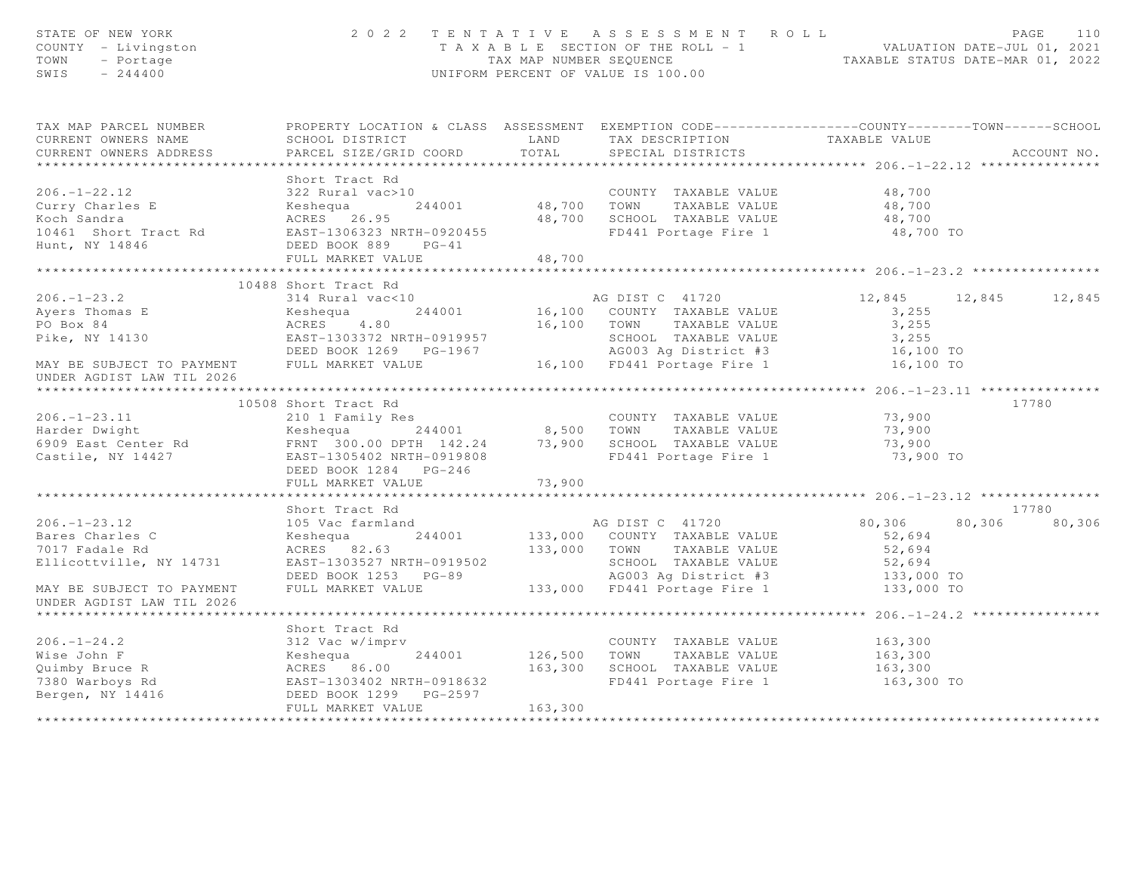| STATE OF NEW YORK<br>COUNTY - Livingston<br>TOWN<br>- Portage<br>SWIS<br>$-244400$                                                                                                                                                         | 2 0 2 2                                                                                                        |         | TENTATIVE ASSESSMENT ROLL<br>T A X A B L E SECTION OF THE ROLL - 1<br>TAX MAP NUMBER SEQUENCE<br>TAXABLE STATUS DATE-MAR 01, 2022<br>UNIFORM PERCENT OF VALUE IS 100.00      |                     |        | PAGE<br>110   |
|--------------------------------------------------------------------------------------------------------------------------------------------------------------------------------------------------------------------------------------------|----------------------------------------------------------------------------------------------------------------|---------|------------------------------------------------------------------------------------------------------------------------------------------------------------------------------|---------------------|--------|---------------|
| TAX MAP PARCEL NUMBER                                                                                                                                                                                                                      | PROPERTY LOCATION & CLASS ASSESSMENT EXEMPTION CODE-----------------COUNTY--------TOWN------SCHOOL             |         |                                                                                                                                                                              |                     |        |               |
| CURRENT OWNERS NAME                                                                                                                                                                                                                        |                                                                                                                |         |                                                                                                                                                                              |                     |        |               |
| CURRENT OWNERS ADDRESS                                                                                                                                                                                                                     | PARCEL SIZE/GRID COORD                                                                                         |         |                                                                                                                                                                              |                     |        | ACCOUNT NO.   |
|                                                                                                                                                                                                                                            |                                                                                                                |         |                                                                                                                                                                              |                     |        |               |
|                                                                                                                                                                                                                                            | Short Tract Rd                                                                                                 |         |                                                                                                                                                                              |                     |        |               |
| 206.-1-22.12<br>Curry Charles E (244001) 244001 48,700 TOWN TAXABLE VALUE<br>Koch Sandra (26.95) 26.95<br>Mort Tract Rd (26.95) 26.95<br>Mort Tract Rd (26.95) 26.95<br>Mort Tract Rd (26.95) 26.95<br>Mort Night Short Tract Rd (26.95) 2 |                                                                                                                |         | COUNTY TAXABLE VALUE 48,700                                                                                                                                                  |                     |        |               |
|                                                                                                                                                                                                                                            |                                                                                                                |         |                                                                                                                                                                              | 48,700              |        |               |
|                                                                                                                                                                                                                                            |                                                                                                                |         | 48,700 SCHOOL TAXABLE VALUE                                                                                                                                                  | 48,700<br>48,700 TO |        |               |
|                                                                                                                                                                                                                                            |                                                                                                                |         |                                                                                                                                                                              |                     |        |               |
| Hunt, NY 14846                                                                                                                                                                                                                             | DEED BOOK 889 PG-41<br>FULL MARKET VALUE                                                                       | 48,700  |                                                                                                                                                                              |                     |        |               |
|                                                                                                                                                                                                                                            |                                                                                                                |         |                                                                                                                                                                              |                     |        |               |
|                                                                                                                                                                                                                                            | 10488 Short Tract Rd                                                                                           |         |                                                                                                                                                                              |                     |        |               |
| $206. - 1 - 23.2$                                                                                                                                                                                                                          |                                                                                                                |         | AG DIST C 41720                                                                                                                                                              | 12,845              |        | 12,845 12,845 |
| Ayers Thomas E<br>PO Box 84                                                                                                                                                                                                                |                                                                                                                |         |                                                                                                                                                                              |                     |        |               |
|                                                                                                                                                                                                                                            |                                                                                                                |         |                                                                                                                                                                              |                     |        |               |
| Pike, NY 14130                                                                                                                                                                                                                             | 314 Rural vac<10<br>Keshequa 244001<br>ACRES 4.80<br>EAST-1303372 NRTH-0919957                                 |         |                                                                                                                                                                              |                     |        |               |
|                                                                                                                                                                                                                                            | DEED BOOK 1269    PG-1967                                                                                      |         |                                                                                                                                                                              |                     |        |               |
| MAY BE SUBJECT TO PAYMENT FULL MARKET VALUE                                                                                                                                                                                                |                                                                                                                |         | 16,100 COUNTY TAXABLE VALUE<br>16,100 TOWN TAXABLE VALUE<br>5CHOOL TAXABLE VALUE<br>5CHOOL TAXABLE VALUE<br>4G003 Ag District #3<br>16,100 TD441 Portage Fire 1<br>16,100 TO |                     |        |               |
| UNDER AGDIST LAW TIL 2026                                                                                                                                                                                                                  |                                                                                                                |         |                                                                                                                                                                              |                     |        |               |
|                                                                                                                                                                                                                                            | 10508 Short Tract Rd                                                                                           |         |                                                                                                                                                                              |                     |        | 17780         |
| 10000 SHOLD IRECT NO COUNTY TAXABLE VALUE<br>210 1 Family Res<br>244001 8,500 TOWN TAXABLE VALUE<br>6909 East Center Rd FRNT 300.00 DPTH 142.24 73,900 SCHOOL TAXABLE VALUE<br>Castile, NY 14427 EAST-1305402 NRTH-0919808 FD441 Porta     |                                                                                                                |         | COUNTY TAXABLE VALUE                                                                                                                                                         |                     |        |               |
|                                                                                                                                                                                                                                            |                                                                                                                |         |                                                                                                                                                                              | 73,900<br>73,900    |        |               |
|                                                                                                                                                                                                                                            |                                                                                                                |         |                                                                                                                                                                              | 73,900              |        |               |
|                                                                                                                                                                                                                                            |                                                                                                                |         | FD441 Portage Fire 1 73,900 TO                                                                                                                                               |                     |        |               |
|                                                                                                                                                                                                                                            | DEED BOOK 1284 PG-246                                                                                          |         |                                                                                                                                                                              |                     |        |               |
|                                                                                                                                                                                                                                            | FULL MARKET VALUE                                                                                              | 73,900  |                                                                                                                                                                              |                     |        |               |
|                                                                                                                                                                                                                                            |                                                                                                                |         |                                                                                                                                                                              |                     |        |               |
|                                                                                                                                                                                                                                            | Short Tract Rd                                                                                                 |         |                                                                                                                                                                              |                     |        | 17780         |
| $206. - 1 - 23.12$                                                                                                                                                                                                                         | 105 Vac farmland                                                                                               |         | AG DIST C 41720                                                                                                                                                              | 80,306              | 80,306 | 80,306        |
| Bares Charles C                                                                                                                                                                                                                            |                                                                                                                |         |                                                                                                                                                                              | 52,694              |        |               |
| 7017 Fadale Rd                                                                                                                                                                                                                             |                                                                                                                |         |                                                                                                                                                                              | 52,694              |        |               |
| Ellicottville, NY 14731                                                                                                                                                                                                                    | EAST-1303527 NRTH-0919502<br>DEED BOOK 1253 PG-89<br>FULL MARKET VALUE 133,000 FD441 Portage Fire 1 133,000 TO |         |                                                                                                                                                                              |                     |        |               |
|                                                                                                                                                                                                                                            |                                                                                                                |         |                                                                                                                                                                              |                     |        |               |
| MAY BE SUBJECT TO PAYMENT                                                                                                                                                                                                                  |                                                                                                                |         |                                                                                                                                                                              |                     |        |               |
| UNDER AGDIST LAW TIL 2026                                                                                                                                                                                                                  |                                                                                                                |         |                                                                                                                                                                              |                     |        |               |
|                                                                                                                                                                                                                                            |                                                                                                                |         |                                                                                                                                                                              |                     |        |               |
|                                                                                                                                                                                                                                            | Short Tract Rd                                                                                                 |         |                                                                                                                                                                              |                     |        |               |
|                                                                                                                                                                                                                                            |                                                                                                                |         | COUNTY TAXABLE VALUE<br>244001 126,500 TOWN TAXABLE VALUE                                                                                                                    | 163,300             |        |               |
|                                                                                                                                                                                                                                            |                                                                                                                |         |                                                                                                                                                                              | 163,300             |        |               |
|                                                                                                                                                                                                                                            |                                                                                                                |         | 163,300 SCHOOL TAXABLE VALUE                                                                                                                                                 | 163,300             |        |               |
|                                                                                                                                                                                                                                            |                                                                                                                |         | FD441 Portage Fire 1 163,300 TO                                                                                                                                              |                     |        |               |
|                                                                                                                                                                                                                                            |                                                                                                                |         |                                                                                                                                                                              |                     |        |               |
|                                                                                                                                                                                                                                            | FULL MARKET VALUE                                                                                              | 163,300 |                                                                                                                                                                              |                     |        |               |
|                                                                                                                                                                                                                                            |                                                                                                                |         |                                                                                                                                                                              |                     |        |               |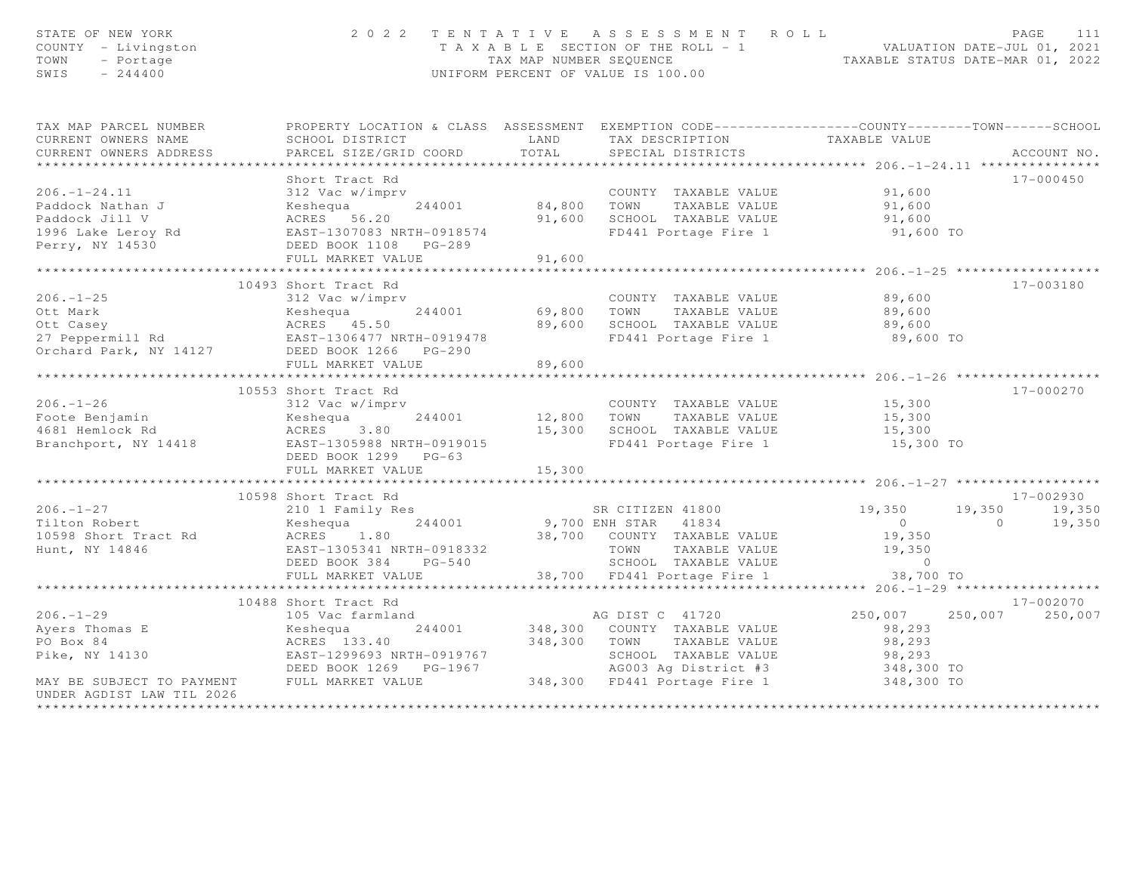| STATE OF NEW YORK<br>COUNTY - Livingston<br>TOWN<br>- Portage<br>$-244400$<br>SWIS                                                                                                                                                           |                                                                                                                                                                                                                                                  |                             | 2022 TENTATIVE ASSESSMENT ROLL<br>T A X A B L E SECTION OF THE ROLL - 1 VALUATION DATE-JUL 01, 2021<br>TAX MAP NUMBER SEQUENCE<br>UNIFORM PERCENT OF VALUE IS 100.00 |                                         | PAGE<br>111               |
|----------------------------------------------------------------------------------------------------------------------------------------------------------------------------------------------------------------------------------------------|--------------------------------------------------------------------------------------------------------------------------------------------------------------------------------------------------------------------------------------------------|-----------------------------|----------------------------------------------------------------------------------------------------------------------------------------------------------------------|-----------------------------------------|---------------------------|
| TAX MAP PARCEL NUMBER                                                                                                                                                                                                                        | PROPERTY LOCATION & CLASS ASSESSMENT EXEMPTION CODE-----------------COUNTY-------TOWN------SCHOOL                                                                                                                                                |                             |                                                                                                                                                                      |                                         |                           |
| CURRENT OWNERS NAME                                                                                                                                                                                                                          |                                                                                                                                                                                                                                                  |                             |                                                                                                                                                                      |                                         |                           |
| CURRENT OWNERS ADDRESS                                                                                                                                                                                                                       |                                                                                                                                                                                                                                                  |                             |                                                                                                                                                                      |                                         | ACCOUNT NO.               |
| COUNTY TAXABLE VALUE<br>Paddock Nathan J<br>Paddock Jill V ACRES 56.20<br>Paddock Jill V ACRES 56.20<br>Paddock Jill V ACRES 56.20<br>Paddock Jill V ACRES 56.20<br>Paddock Jill V ACRES 56.20<br>Paddock Jill V ACRES 56.20<br>Paddock Jill |                                                                                                                                                                                                                                                  |                             |                                                                                                                                                                      |                                         | 17-000450                 |
|                                                                                                                                                                                                                                              |                                                                                                                                                                                                                                                  |                             |                                                                                                                                                                      |                                         |                           |
|                                                                                                                                                                                                                                              |                                                                                                                                                                                                                                                  |                             |                                                                                                                                                                      |                                         |                           |
|                                                                                                                                                                                                                                              |                                                                                                                                                                                                                                                  |                             |                                                                                                                                                                      |                                         |                           |
|                                                                                                                                                                                                                                              |                                                                                                                                                                                                                                                  |                             | FD441 Portage Fire 1 91,600 TO                                                                                                                                       |                                         |                           |
|                                                                                                                                                                                                                                              |                                                                                                                                                                                                                                                  |                             |                                                                                                                                                                      |                                         |                           |
|                                                                                                                                                                                                                                              |                                                                                                                                                                                                                                                  |                             |                                                                                                                                                                      |                                         |                           |
|                                                                                                                                                                                                                                              | ****************************                                                                                                                                                                                                                     | * * * * * * * * * * * *     |                                                                                                                                                                      | ************** 206. -1-25 ************* |                           |
|                                                                                                                                                                                                                                              | 10493 Short Tract Rd                                                                                                                                                                                                                             |                             |                                                                                                                                                                      |                                         | 17-003180                 |
|                                                                                                                                                                                                                                              |                                                                                                                                                                                                                                                  |                             |                                                                                                                                                                      | 89,600<br>89,600                        |                           |
|                                                                                                                                                                                                                                              |                                                                                                                                                                                                                                                  |                             |                                                                                                                                                                      |                                         |                           |
|                                                                                                                                                                                                                                              |                                                                                                                                                                                                                                                  |                             |                                                                                                                                                                      | 89,600                                  |                           |
|                                                                                                                                                                                                                                              |                                                                                                                                                                                                                                                  |                             | FD441 Portage Fire 1 89,600 TO                                                                                                                                       |                                         |                           |
| 206.-1-25<br>Ott Mark Mark Keshequa 244001 69,800 TOWN TAXABLE VALUE<br>Ott Casey ACRES 45.50 89,600 SCHOOL TAXABLE VALUE<br>Orchard Park, NY 14127 DEED BOOK 1266 PG-290<br>Orchard Park, NY 14127 DEED BOOK 1266 PG-290                    |                                                                                                                                                                                                                                                  |                             |                                                                                                                                                                      |                                         |                           |
|                                                                                                                                                                                                                                              | FULL MARKET VALUE                                                                                                                                                                                                                                | 89,600<br>***************** |                                                                                                                                                                      |                                         |                           |
|                                                                                                                                                                                                                                              | 10553 Short Tract Rd                                                                                                                                                                                                                             |                             |                                                                                                                                                                      |                                         | 17-000270                 |
|                                                                                                                                                                                                                                              |                                                                                                                                                                                                                                                  |                             | COUNTY TAXABLE VALUE 15,300                                                                                                                                          |                                         |                           |
|                                                                                                                                                                                                                                              |                                                                                                                                                                                                                                                  |                             |                                                                                                                                                                      | 15,300                                  |                           |
|                                                                                                                                                                                                                                              |                                                                                                                                                                                                                                                  |                             |                                                                                                                                                                      | 15,300                                  |                           |
| 206.-1-26<br>Foote Benjamin<br>4681 Hemlock Rd<br>Branchport, NY 14418<br>EAST-1305988 NRTH-0919015                                                                                                                                          |                                                                                                                                                                                                                                                  |                             | 12,800 TOWN TAXABLE VALUE<br>15,300 SCHOOL TAXABLE VALUE<br>FD441 Portage Fire 1                                                                                     | 15,300 TO                               |                           |
|                                                                                                                                                                                                                                              | DEED BOOK 1299 PG-63                                                                                                                                                                                                                             |                             |                                                                                                                                                                      |                                         |                           |
|                                                                                                                                                                                                                                              | FULL MARKET VALUE                                                                                                                                                                                                                                | 15,300                      |                                                                                                                                                                      |                                         |                           |
|                                                                                                                                                                                                                                              |                                                                                                                                                                                                                                                  |                             |                                                                                                                                                                      |                                         |                           |
| 10598 Short Tract Rd<br>206.-1-27 210 1 Family Res<br>Tilton Robert Keshequa 244001 9,700 ENH STAR 41834<br>10598 Short Tract Rd<br>Hunt, NY 14846 EAST-1305341 NRTH-0918332 TOWN TAXABLE VALUE<br>DEED BOOK 384 PG-540 5CHOOL TAXABLE V     |                                                                                                                                                                                                                                                  |                             |                                                                                                                                                                      |                                         | 17-002930                 |
|                                                                                                                                                                                                                                              |                                                                                                                                                                                                                                                  |                             |                                                                                                                                                                      | 19,350                                  | 19,350 19,350<br>0 19,350 |
|                                                                                                                                                                                                                                              |                                                                                                                                                                                                                                                  |                             |                                                                                                                                                                      | $\overline{0}$                          | $\overline{0}$            |
|                                                                                                                                                                                                                                              |                                                                                                                                                                                                                                                  |                             |                                                                                                                                                                      | 19,350                                  |                           |
|                                                                                                                                                                                                                                              |                                                                                                                                                                                                                                                  |                             |                                                                                                                                                                      |                                         |                           |
|                                                                                                                                                                                                                                              |                                                                                                                                                                                                                                                  |                             |                                                                                                                                                                      |                                         |                           |
|                                                                                                                                                                                                                                              | FULL MARKET VALUE                                                                                                                                                                                                                                |                             | 38,700 FD441 Portage Fire 1                                                                                                                                          | 38,700 TO                               |                           |
|                                                                                                                                                                                                                                              | 10488 Short Tract Rd                                                                                                                                                                                                                             |                             |                                                                                                                                                                      |                                         | 17-002070                 |
| $206. -1 - 29$                                                                                                                                                                                                                               | 105 Vac farmland<br>105 Vac farmland 105 Vac farmland 105 Vac farmland 105 Vac 11720                                                                                                                                                             |                             |                                                                                                                                                                      | 250,007 250,007                         | 250,007                   |
|                                                                                                                                                                                                                                              |                                                                                                                                                                                                                                                  |                             |                                                                                                                                                                      |                                         |                           |
| Ayers Thomas E 105 Vac farmland<br>PO Box 84 ACRES 133.40<br>Pike, NY 14130 EAST-1299693 NRT<br>NOTED BOOK 1269                                                                                                                              |                                                                                                                                                                                                                                                  |                             |                                                                                                                                                                      |                                         |                           |
|                                                                                                                                                                                                                                              |                                                                                                                                                                                                                                                  |                             |                                                                                                                                                                      |                                         |                           |
|                                                                                                                                                                                                                                              |                                                                                                                                                                                                                                                  |                             |                                                                                                                                                                      |                                         |                           |
| MAY BE SUBJECT TO PAYMENT                                                                                                                                                                                                                    | EXEMPLE VALUE<br>EXERCISE 133.40<br>EAST-1299693 NRTH-0919767<br>DEED BOOK 1269 PG-1967<br>FULL MARKET VALUE<br>248,300 TOWN TAXABLE VALUE<br>348,300 TOWN TAXABLE VALUE<br>348,300 TOMN TAXABLE VALUE<br>348,300 TO AG003 Ag District #3<br>FUL |                             |                                                                                                                                                                      |                                         |                           |
| UNDER AGDIST LAW TIL 2026                                                                                                                                                                                                                    |                                                                                                                                                                                                                                                  |                             |                                                                                                                                                                      |                                         |                           |
|                                                                                                                                                                                                                                              |                                                                                                                                                                                                                                                  |                             |                                                                                                                                                                      |                                         |                           |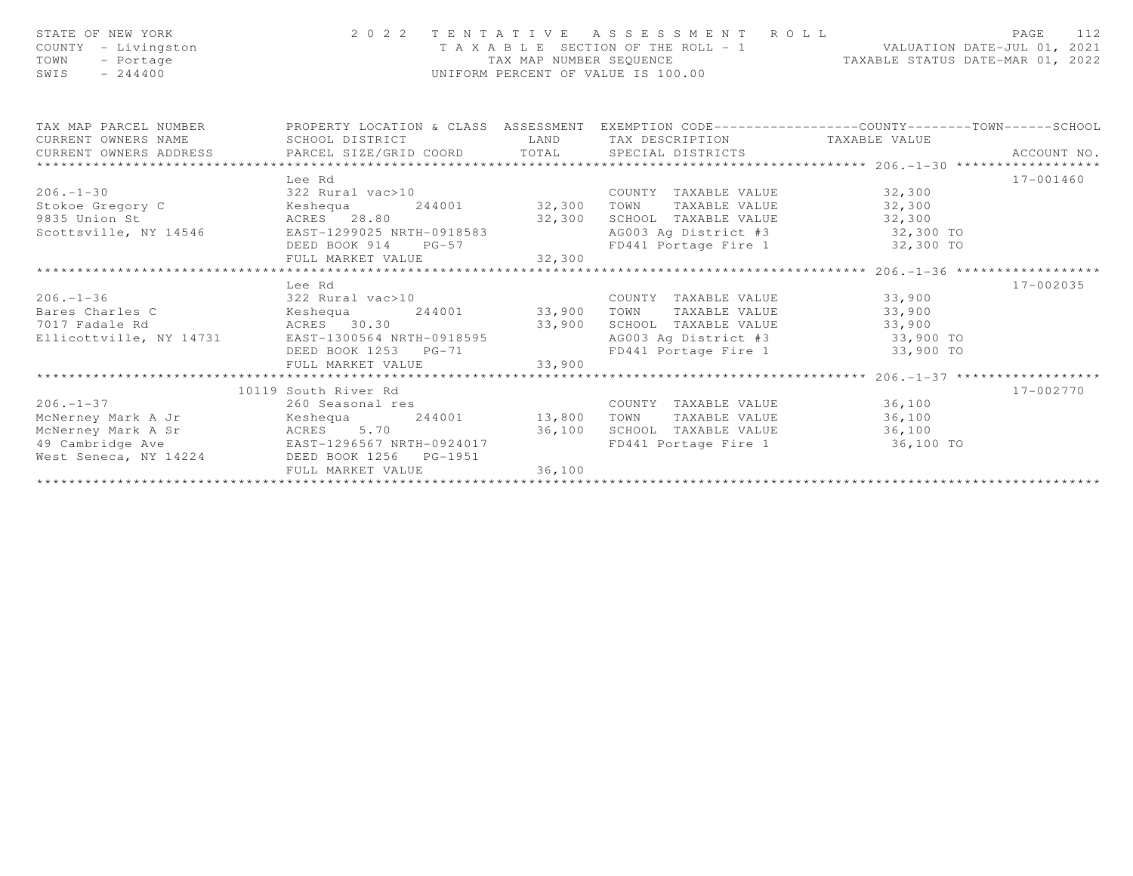| STATE OF NEW YORK<br>COUNTY - Livingston<br>- Portage<br>TOWN<br>$-244400$<br>SWIS |                                                | TAX MAP NUMBER SEQUENCE | 2022 TENTATIVE ASSESSMENT ROLL<br>T A X A B L E SECTION OF THE ROLL - 1<br>UNIFORM PERCENT OF VALUE IS 100.00                     | VALUATION DATE-JUL 01, 2021<br>TAXABLE STATUS DATE-MAR 01, 2022 | PAGE<br>112 |
|------------------------------------------------------------------------------------|------------------------------------------------|-------------------------|-----------------------------------------------------------------------------------------------------------------------------------|-----------------------------------------------------------------|-------------|
| TAX MAP PARCEL NUMBER<br>CURRENT OWNERS NAME                                       | SCHOOL DISTRICT                                | LAND                    | PROPERTY LOCATION & CLASS ASSESSMENT EXEMPTION CODE----------------COUNTY-------TOWN------SCHOOL<br>TAX DESCRIPTION TAXABLE VALUE |                                                                 |             |
| CURRENT OWNERS ADDRESS                                                             | PARCEL SIZE/GRID COORD TOTAL SPECIAL DISTRICTS |                         |                                                                                                                                   |                                                                 | ACCOUNT NO. |
|                                                                                    |                                                |                         |                                                                                                                                   |                                                                 |             |
|                                                                                    | Lee Rd                                         |                         |                                                                                                                                   |                                                                 | 17-001460   |
| $206. - 1 - 30$                                                                    | 322 Rural vac>10                               |                         | COUNTY TAXABLE VALUE 32,300                                                                                                       |                                                                 |             |
| Stokoe Gregory C                                                                   | Keshequa                                       |                         | TAXABLE VALUE 32,300<br>TOWN                                                                                                      |                                                                 |             |
| 9835 Union St                                                                      | ACRES 28.80<br>32,300                          |                         | SCHOOL TAXABLE VALUE 32,300                                                                                                       |                                                                 |             |
| Scottsville, NY 14546                                                              | EAST-1299025 NRTH-0918583                      |                         | AG003 Aq District #3 32,300 TO                                                                                                    |                                                                 |             |
|                                                                                    | DEED BOOK 914 PG-57                            |                         | FD441 Portage Fire 1 32,300 TO                                                                                                    |                                                                 |             |
|                                                                                    | FULL MARKET VALUE                              | 32,300                  |                                                                                                                                   |                                                                 |             |
|                                                                                    |                                                |                         |                                                                                                                                   | **************************** 206.-1-36 *******************      |             |
|                                                                                    | Lee Rd                                         |                         |                                                                                                                                   |                                                                 | 17-002035   |
| $206. - 1 - 36$                                                                    | 322 Rural vac>10                               |                         | COUNTY TAXABLE VALUE                                                                                                              | 33,900                                                          |             |
| Bares Charles C                                                                    | Keshequa                                       | 244001 33,900           | TAXABLE VALUE<br>TOWN                                                                                                             | 33,900                                                          |             |
| 7017 Fadale Rd                                                                     | ACRES 30.30                                    | 33,900                  | SCHOOL TAXABLE VALUE                                                                                                              | 33,900                                                          |             |
| Ellicottville, NY 14731                                                            | EAST-1300564 NRTH-0918595                      |                         | AG003 Aq District #3 33,900 TO                                                                                                    |                                                                 |             |
|                                                                                    | DEED BOOK 1253 PG-71<br>FULL MARKET VALUE      | 33,900                  | FD441 Portage Fire 1 33,900 TO                                                                                                    |                                                                 |             |
|                                                                                    |                                                |                         |                                                                                                                                   |                                                                 |             |
|                                                                                    | 10119 South River Rd                           |                         |                                                                                                                                   |                                                                 | 17-002770   |
| $206. -1 - 37$                                                                     | 260 Seasonal res                               |                         | COUNTY TAXABLE VALUE                                                                                                              | 36,100                                                          |             |
| McNerney Mark A Jr                                                                 | Keshequa                                       | 244001 13,800           | TOWN<br>TAXABLE VALUE                                                                                                             | 36,100                                                          |             |
| McNerney Mark A Sr                                                                 | ACRES 5.70                                     | 36,100                  | SCHOOL TAXABLE VALUE 36,100                                                                                                       |                                                                 |             |
| 49 Cambridge Ave                                                                   | EAST-1296567 NRTH-0924017                      |                         | FD441 Portage Fire 1 36,100 TO                                                                                                    |                                                                 |             |
| West Seneca, NY 14224                                                              | DEED BOOK 1256 PG-1951                         |                         |                                                                                                                                   |                                                                 |             |
|                                                                                    | FULL MARKET VALUE                              | 36,100                  |                                                                                                                                   |                                                                 |             |
|                                                                                    |                                                |                         |                                                                                                                                   |                                                                 |             |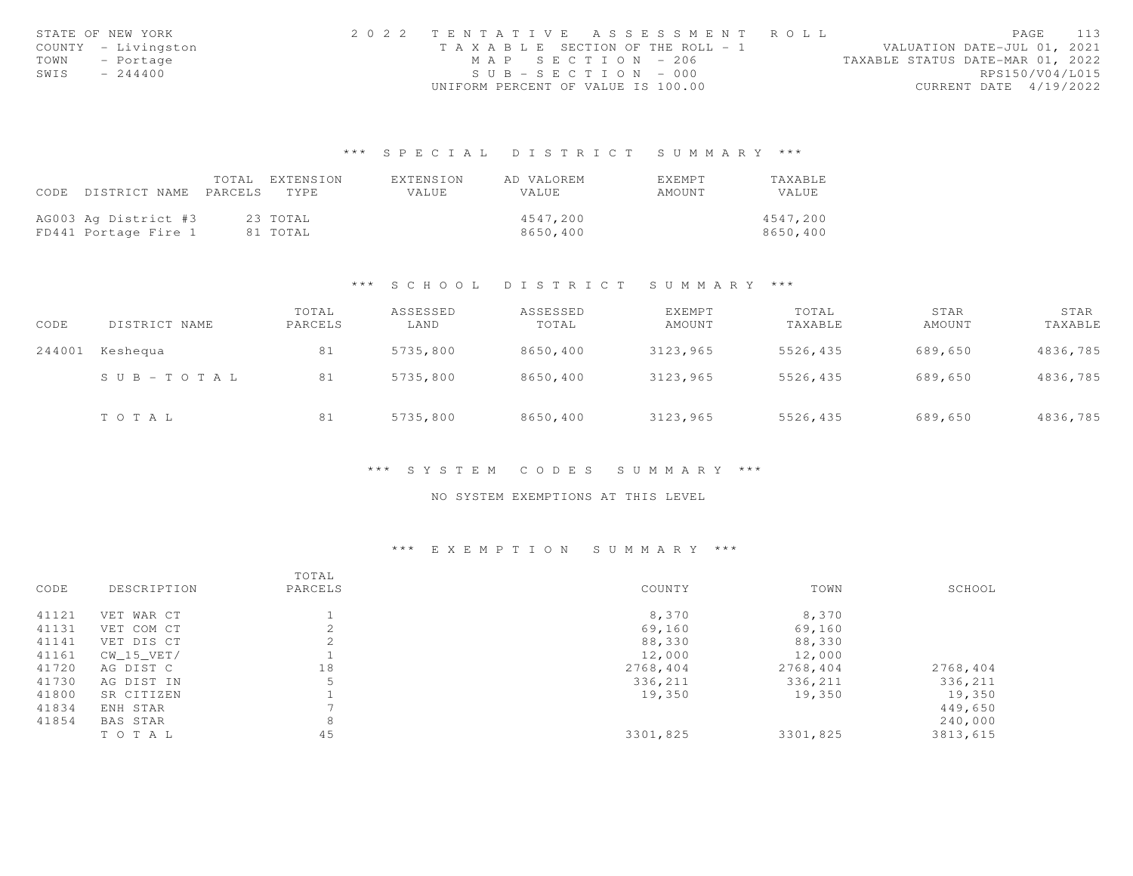|      | STATE OF NEW YORK   | 2022 TENTATIVE ASSESSMENT ROLL        |  |  |                                  |                        | PAGE | 113 |
|------|---------------------|---------------------------------------|--|--|----------------------------------|------------------------|------|-----|
|      | COUNTY - Livingston | T A X A B L E SECTION OF THE ROLL - 1 |  |  | VALUATION DATE-JUL 01, 2021      |                        |      |     |
|      | TOWN - Portage      | MAP SECTION - 206                     |  |  | TAXABLE STATUS DATE-MAR 01, 2022 |                        |      |     |
| SWIS | $-244400$           | $SUB - SECTION - 000$                 |  |  |                                  | RPS150/V04/L015        |      |     |
|      |                     | UNIFORM PERCENT OF VALUE IS 100.00    |  |  |                                  | CURRENT DATE 4/19/2022 |      |     |

|                      | TOTAL   | EXTENSION | EXTENSION | AD VALOREM   | EXEMPT | TAXABLE      |
|----------------------|---------|-----------|-----------|--------------|--------|--------------|
| CODE DISTRICT NAME   | PARCELS | TYPE.     | VALUE     | <b>VALUE</b> | AMOUNT | <b>VALUE</b> |
|                      |         |           |           |              |        |              |
| AG003 Ag District #3 |         | 23 ТОТАЬ  |           | 4547.200     |        | 4547,200     |
| FD441 Portage Fire 1 |         | 81 TOTAL  |           | 8650,400     |        | 8650,400     |

### \*\*\* S C H O O L D I S T R I C T S U M M A R Y \*\*\*

| CODE   | DISTRICT NAME         | TOTAL<br>PARCELS | ASSESSED<br>LAND | ASSESSED<br>TOTAL | <b>EXEMPT</b><br>AMOUNT | TOTAL<br>TAXABLE | STAR<br>AMOUNT | STAR<br>TAXABLE |
|--------|-----------------------|------------------|------------------|-------------------|-------------------------|------------------|----------------|-----------------|
| 244001 | Keshequa              | 81               | 5735,800         | 8650,400          | 3123,965                | 5526,435         | 689,650        | 4836,785        |
|        | $S \cup B - TO T A L$ | 81               | 5735,800         | 8650,400          | 3123,965                | 5526,435         | 689,650        | 4836,785        |
|        | TOTAL                 | 81               | 5735,800         | 8650,400          | 3123,965                | 5526,435         | 689,650        | 4836,785        |

### \*\*\* S Y S T E M C O D E S S U M M A R Y \*\*\*

# NO SYSTEM EXEMPTIONS AT THIS LEVEL

|       |              | TOTAL   |          |          |          |
|-------|--------------|---------|----------|----------|----------|
| CODE  | DESCRIPTION  | PARCELS | COUNTY   | TOWN     | SCHOOL   |
| 41121 | VET WAR CT   |         | 8,370    | 8,370    |          |
| 41131 | VET COM CT   |         | 69,160   | 69,160   |          |
| 41141 | VET DIS CT   |         | 88,330   | 88,330   |          |
| 41161 | $CW_15_VET/$ |         | 12,000   | 12,000   |          |
| 41720 | AG DIST C    | 18      | 2768,404 | 2768,404 | 2768,404 |
| 41730 | AG DIST IN   |         | 336,211  | 336,211  | 336,211  |
| 41800 | SR CITIZEN   |         | 19,350   | 19,350   | 19,350   |
| 41834 | ENH STAR     |         |          |          | 449,650  |
| 41854 | BAS STAR     | 8       |          |          | 240,000  |
|       | TO TAL       | 45      | 3301,825 | 3301,825 | 3813,615 |
|       |              |         |          |          |          |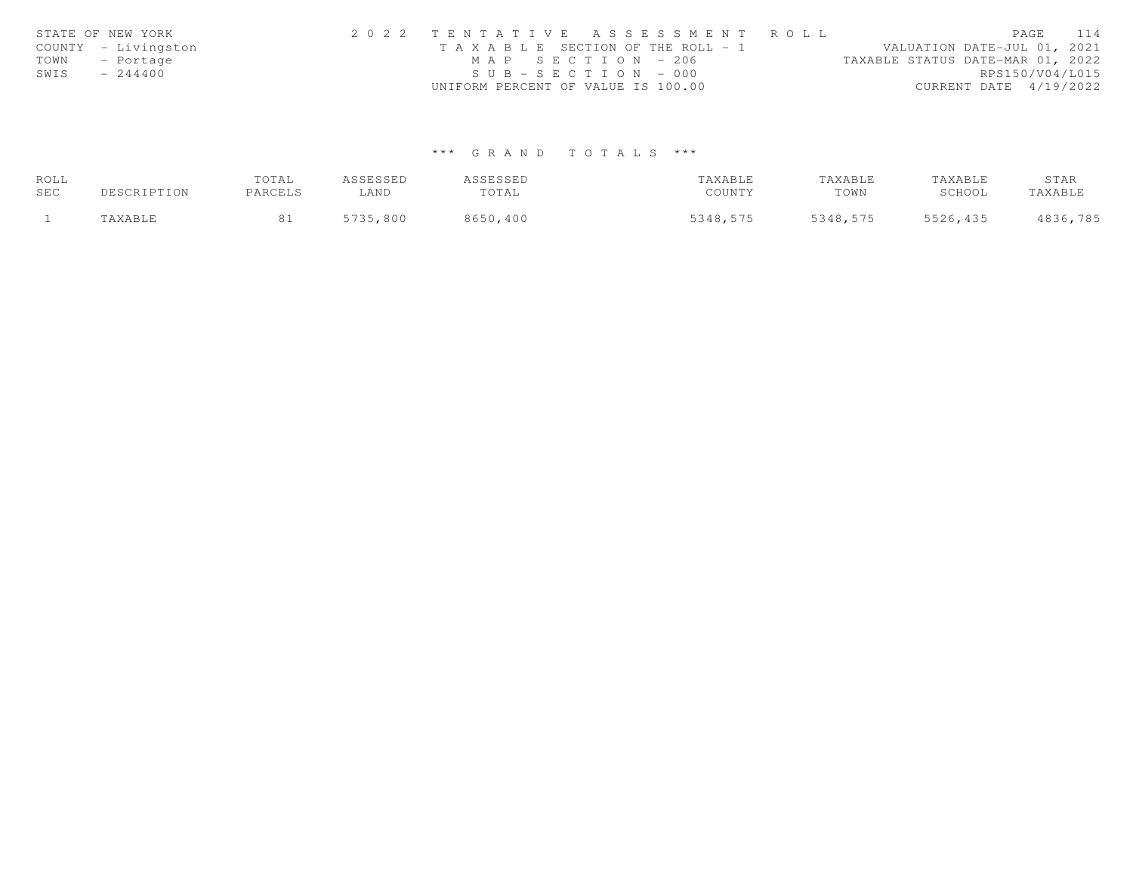|      | STATE OF NEW YORK   | 2022 TENTATIVE ASSESSMENT ROLL                                       | PAGE            | 114 |
|------|---------------------|----------------------------------------------------------------------|-----------------|-----|
|      | COUNTY - Livingston | VALUATION DATE-JUL 01, 2021<br>T A X A B L E SECTION OF THE ROLL - 1 |                 |     |
| TOWN | - Portage           | TAXABLE STATUS DATE-MAR 01, 2022<br>MAP SECTION - 206                |                 |     |
| SWIS | $-244400$           | $SUB - SECTION - 000$                                                | RPS150/V04/L015 |     |
|      |                     | UNIFORM PERCENT OF VALUE IS 100.00<br>CURRENT DATE 4/19/2022         |                 |     |

| ROLL |                      | TOTAL   | ASSESSED | ASSESSED | TAXABLE  | TAXABLE  | TAXABLE  | STAR     |
|------|----------------------|---------|----------|----------|----------|----------|----------|----------|
| SEC  | DESCRIPTION          | PARCELS | ∟AND     | TOTAL    | COUNTY   | TOWN     | SCHOOL   | TAXABLE  |
|      | <i><b>AXABLE</b></i> |         | 5735,800 | 8650,400 | 5348,575 | 5348,575 | 5526,435 | 4836,785 |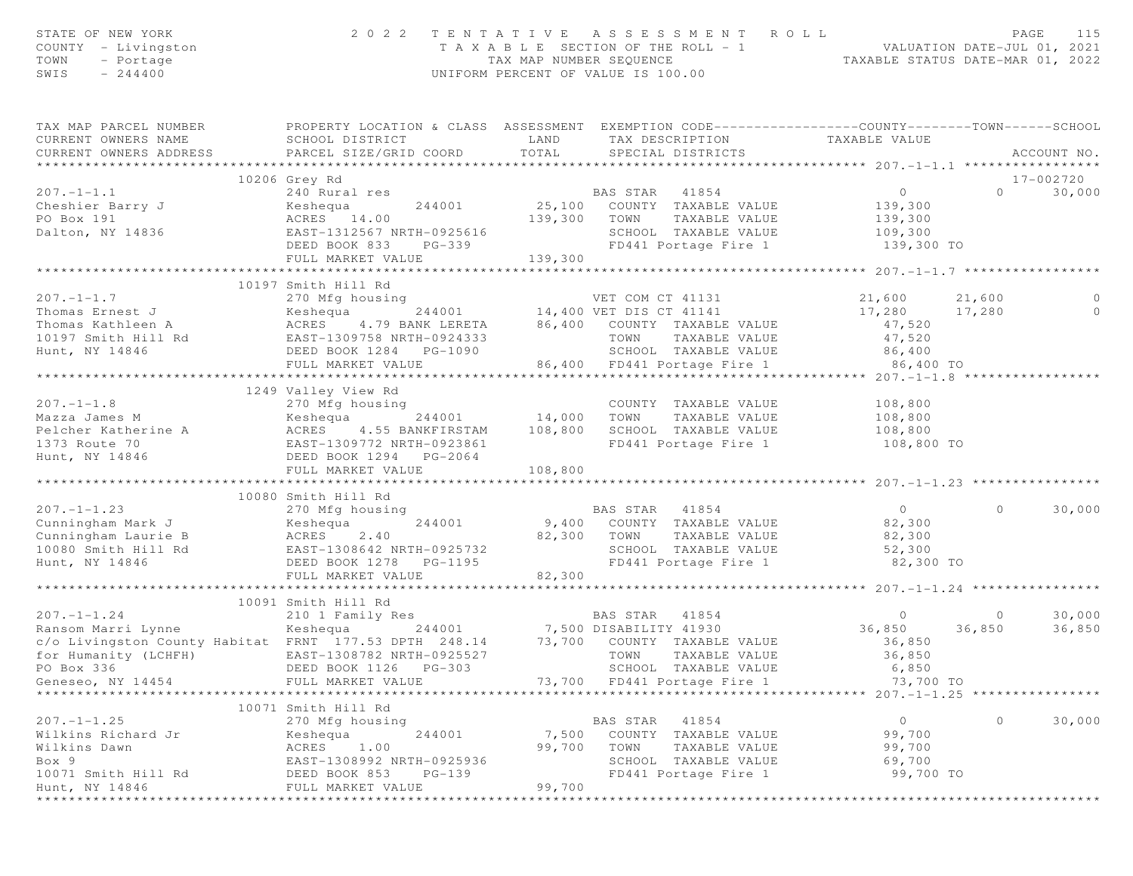| STATE OF NEW YORK<br>COUNTY - Livingston<br>- Portage<br>TOWN<br>SWIS<br>$-244400$                                                                                        |                                                                                                                                                      |                           | 2022 TENTATIVE ASSESSMENT ROLL<br>TAXABLE SECTION OF THE ROLL - 1 VALUATION DATE-JUL 01, 2021<br>TAXABLE STATUS DATE-MAR 01, 2022<br>UNIFORM PERCENT OF VALUE IS 100.00 |                                                             |                   | PAGE<br>115      |
|---------------------------------------------------------------------------------------------------------------------------------------------------------------------------|------------------------------------------------------------------------------------------------------------------------------------------------------|---------------------------|-------------------------------------------------------------------------------------------------------------------------------------------------------------------------|-------------------------------------------------------------|-------------------|------------------|
| TAX MAP PARCEL NUMBER<br>CURRENT OWNERS NAME<br>CURRENT OWNERS ADDRESS                                                                                                    | PROPERTY LOCATION & CLASS ASSESSMENT EXEMPTION CODE----------------COUNTY-------TOWN------SCHOOL<br>SCHOOL DISTRICT<br>PARCEL SIZE/GRID COORD        | LAND<br>TOTAL             | TAX DESCRIPTION<br>SPECIAL DISTRICTS                                                                                                                                    | TAXABLE VALUE                                               |                   | ACCOUNT NO.      |
|                                                                                                                                                                           | 10206 Grey Rd                                                                                                                                        |                           |                                                                                                                                                                         |                                                             |                   | 17-002720        |
| $207. - 1 - 1.1$                                                                                                                                                          | 240 Rural res                                                                                                                                        |                           | BAS STAR 41854                                                                                                                                                          | 0                                                           | $\Omega$          | 30,000           |
| Cheshier Barry J<br>PO Box 191<br>Dalton, NY 14836                                                                                                                        | Keshequa<br>244001<br>ACRES 14.00<br>EAST-1312567 NRTH-0925616                                                                                       | 139,300                   | 25,100 COUNTY TAXABLE VALUE<br>TOWN<br>TAXABLE VALUE<br>SCHOOL TAXABLE VALUE                                                                                            | 139,300<br>139,300<br>109, 300                              |                   |                  |
|                                                                                                                                                                           | PG-339<br>DEED BOOK 833                                                                                                                              |                           | FD441 Portage Fire 1                                                                                                                                                    | 139,300 TO                                                  |                   |                  |
|                                                                                                                                                                           | FULL MARKET VALUE<br>***************************                                                                                                     | 139,300                   |                                                                                                                                                                         |                                                             |                   |                  |
|                                                                                                                                                                           | 10197 Smith Hill Rd                                                                                                                                  |                           |                                                                                                                                                                         |                                                             |                   |                  |
| $207. - 1 - 1.7$<br>Thomas Ernest J<br>Thomas Kathleen A<br>10197 Smith Hill Rd                                                                                           | 270 Mfg housing<br>Keshequa 244001 14,400 VET DIS CT 41141<br>ACRES<br>EAST-1309758 NRTH-0924333                                                     |                           | 4.79 BANK LERETA 86,400 COUNTY TAXABLE VALUE<br>TOWN<br>TAXABLE VALUE                                                                                                   | 21,600 21,600<br>17,280<br>47,520<br>47,520                 | 17,280            | 0<br>$\circ$     |
| Hunt, NY 14846                                                                                                                                                            | DEED BOOK 1284 PG-1090<br>FULL MARKET VALUE                                                                                                          |                           | SCHOOL TAXABLE VALUE<br>86,400 FD441 Portage Fire 1                                                                                                                     | 86,400<br>86,400 TO                                         |                   |                  |
|                                                                                                                                                                           |                                                                                                                                                      |                           |                                                                                                                                                                         |                                                             |                   |                  |
|                                                                                                                                                                           | 1249 Valley View Rd                                                                                                                                  |                           |                                                                                                                                                                         |                                                             |                   |                  |
| $207. -1 - 1.8$<br>Mazza James M<br>Pelcher Katherine A<br>1373 Route 70                                                                                                  | 270 Mfg housing<br>Keshequa<br>Keshequa<br>ACRES<br>4.55 BANKFIRSTAM 108,800                                                                         | $244001$ $14,000$         | COUNTY TAXABLE VALUE<br>TOWN<br>TAXABLE VALUE<br>SCHOOL TAXABLE VALUE<br>FD441 Portage Fire 1 108,800 TO                                                                | 108,800<br>108,800<br>108,800                               |                   |                  |
| Hunt, NY 14846                                                                                                                                                            | DEED BOOK 1294 PG-2064                                                                                                                               |                           |                                                                                                                                                                         |                                                             |                   |                  |
|                                                                                                                                                                           | FULL MARKET VALUE                                                                                                                                    | 108,800                   |                                                                                                                                                                         |                                                             |                   |                  |
|                                                                                                                                                                           | 10080 Smith Hill Rd                                                                                                                                  |                           |                                                                                                                                                                         |                                                             |                   |                  |
| $207. -1 - 1.23$<br>Cunningham Mark J<br>Cunningham Laurie B<br>10080 Smith Hill Rd<br>Hunt, NY 14846                                                                     | 270 Mfg housing<br>Keshequa<br>244001<br>2.40<br>ACRES 2.40<br>EAST-1308642 NRTH-0925732<br>DEED BOOK 1278 PG-1195                                   |                           | BAS STAR 41854<br>9,400 COUNTY TAXABLE VALUE<br>82,300 TOWN<br>TAXABLE VALUE<br>SCHOOL TAXABLE VALUE<br>FD441 Portage Fire 1                                            | $\overline{0}$<br>82,300<br>82,300<br>52,300<br>82,300 TO   | $\Omega$          | 30,000           |
|                                                                                                                                                                           | FULL MARKET VALUE                                                                                                                                    | 82,300                    |                                                                                                                                                                         |                                                             |                   |                  |
|                                                                                                                                                                           |                                                                                                                                                      |                           |                                                                                                                                                                         | ********************** 207.-1-1.24 ****                     |                   |                  |
| $207. -1 -1.24$<br>Ransom Marri Lynne<br>c/o Livingston County Habitat FRNT 177.53 DPTH 248.14<br>for Humanity (LCHFH)<br>PO Box 336<br>Geneseo, NY 14454<br>************ | 10091 Smith Hill Rd<br>210 1 Family Res<br>Keshequa<br>EAST-1308782 NRTH-0925527<br>DEED BOOK 1126<br>PG-303<br>FULL MARKET VALUE<br>*************** | 73,700<br>73,700          | BAS STAR 41854<br>244001 7,500 DISABILITY 41930<br>COUNTY TAXABLE VALUE<br>TOWN<br>TAXABLE VALUE<br>SCHOOL TAXABLE VALUE<br>FD441 Portage Fire 1                        | $\circ$<br>36,850<br>36,850<br>36,850<br>6,850<br>73,700 TO | $\circ$<br>36,850 | 30,000<br>36,850 |
|                                                                                                                                                                           | 10071 Smith Hill Rd                                                                                                                                  |                           |                                                                                                                                                                         | **************** 207.-1-1.25 *****************              |                   |                  |
| $207. - 1 - 1.25$<br>Wilkins Richard Jr<br>Wilkins Dawn<br>Box 9<br>10071 Smith Hill Rd<br>Hunt, NY 14846                                                                 | 270 Mfg housing<br>Keshequa<br>244001<br>1.00<br>ACRES<br>EAST-1308992 NRTH-0925936<br>DEED BOOK 853<br>$PG-139$                                     | 7,500<br>99,700<br>99,700 | 41854<br>BAS STAR<br>COUNTY TAXABLE VALUE<br>TOWN<br>TAXABLE VALUE<br>SCHOOL TAXABLE VALUE<br>FD441 Portage Fire 1                                                      | $\circ$<br>99,700<br>99,700<br>69,700<br>99,700 TO          | 0                 | 30,000           |
|                                                                                                                                                                           | FULL MARKET VALUE                                                                                                                                    |                           |                                                                                                                                                                         |                                                             |                   |                  |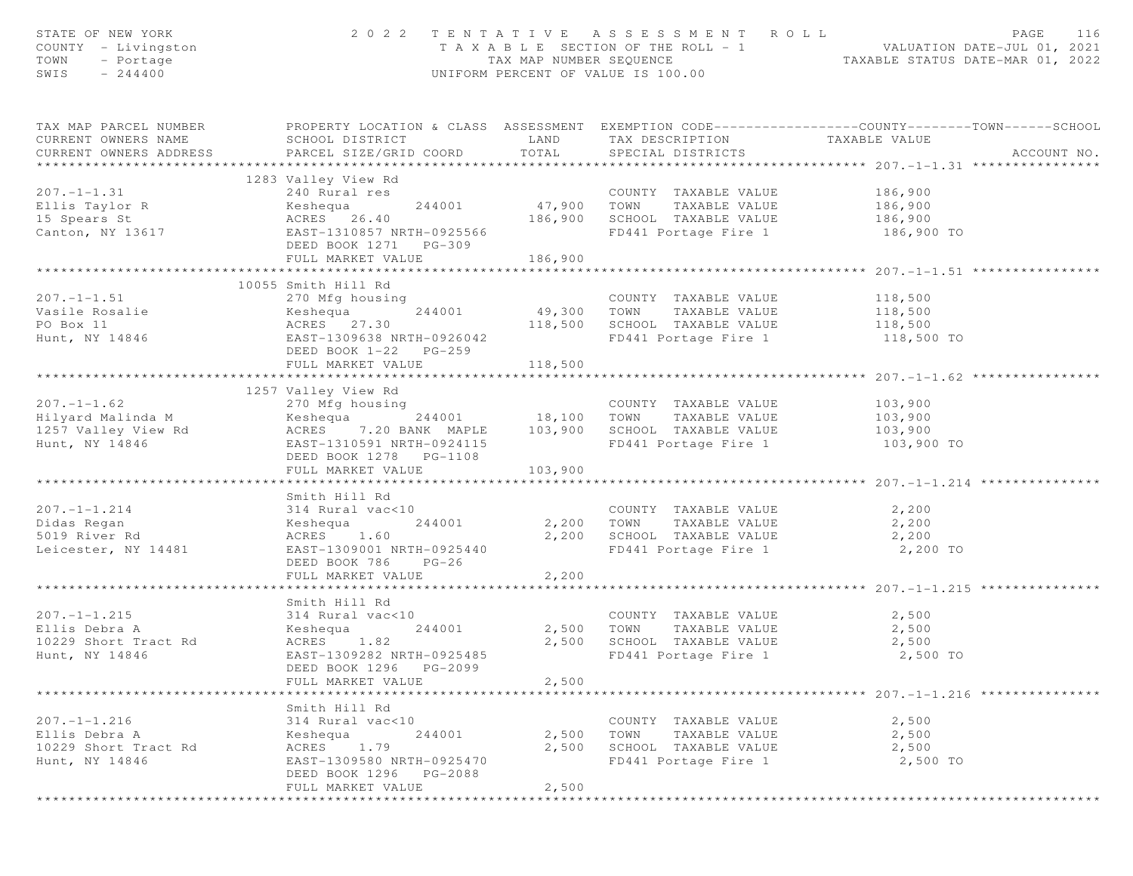| STATE OF NEW YORK<br>COUNTY - Livingston<br>- Portage<br>TOWN<br>$-244400$<br>SWIS |                                                                                                                                                                           |                              | 2022 TENTATIVE ASSESSMENT ROLL                                                                                                    | PAGE<br>116<br>T A X A B L E SECTION OF THE ROLL - 1 VALUATION DATE-JUL 01, 2021<br>TAX MAP NUMBER SEQUENCE TAXABLE STATUS DATE-MAR 01, 2022<br>UNIFORM PERCENT OF VALUE IS 100.00 |
|------------------------------------------------------------------------------------|---------------------------------------------------------------------------------------------------------------------------------------------------------------------------|------------------------------|-----------------------------------------------------------------------------------------------------------------------------------|------------------------------------------------------------------------------------------------------------------------------------------------------------------------------------|
| CURRENT OWNERS NAME<br>CURRENT OWNERS ADDRESS                                      | SCHOOL DISTRICT<br>PARCEL SIZE/GRID COORD                                                                                                                                 | TOTAL                        | LAND TAX DESCRIPTION TAXABLE VALUE<br>SPECIAL DISTRICTS                                                                           | TAX MAP PARCEL NUMBER FROPERTY LOCATION & CLASS ASSESSMENT EXEMPTION CODE---------------COUNTY-------TOWN------SCHOOL<br>ACCOUNT NO.                                               |
| $207. -1 - 1.31$<br>Ellis Taylor R<br>15 Spears St<br>Canton, NY 13617             | 1283 Valley View Rd<br>240 Rural res<br>240 Rural Ies<br>Keshequa 244001<br>ACRES 26.40<br>EAST-1310857 NRTH-0925566<br>DEED BOOK 1271 PG-309<br>FULL MARKET VALUE        | 186,900                      | COUNTY TAXABLE VALUE<br>47,900 TOWN TAXABLE VALUE<br>COUNTY TAXABLE VALUE<br>186,900 SCHOOL TAXABLE VALUE<br>FD441 Portage Fire 1 | 186,900<br>186,900<br>186,900<br>186,900 TO                                                                                                                                        |
| $207. - 1 - 1.51$<br>Vasile Rosalie<br>PO Box 11<br>Hunt, NY 14846                 | 10055 Smith Hill Rd<br>Keshequa<br>ACRES 27.30<br>EAST-1309638 NRTH-0926042<br>DEED BOOK 1-22 PG-259<br>FULL MARKET VALUE                                                 | *************<br>118,500     | COUNTY TAXABLE VALUE 118,500<br>118,500 SCHOOL TAXABLE VALUE 118,500<br>FD441 Portage Fire 1 118,500 TO                           | 118,500                                                                                                                                                                            |
| $207. - 1 - 1.62$<br>Hunt, NY 14846                                                | 1257 Valley View Rd<br>270 Mfg housing<br>EAST-1310591 NRTH-0924115<br>DEED BOOK 1278    PG-1108<br>FULL MARKET VALUE                                                     | 103,900                      | COUNTY TAXABLE VALUE 103,900<br>FD441 Portage Fire 1 103,900 TO                                                                   |                                                                                                                                                                                    |
| $207. - 1 - 1.214$<br>Didas Regan<br>5019 River Rd<br>Leicester, NY 14481          | Smith Hill Rd<br>314 Rural vac<10<br>Keshequa 244001 2,200 TOWN TAXABLE VALUE<br>ACRES 1.60<br>EAST-1309001 NRTH-0925440<br>DEED BOOK 786<br>$PG-26$<br>FULL MARKET VALUE | 2,200                        | COUNTY TAXABLE VALUE<br>2,200 SCHOOL TAXABLE VALUE<br>FD441 Portage Fire 1                                                        | 2,200<br>2,200<br>2,200<br>2,200 TO<br>************************************ 207.-1-1.215 ***                                                                                       |
| $207. -1 - 1.215$<br>Ellis Debra A<br>10229 Short Tract Rd<br>Hunt, NY 14846       | Smith Hill Rd<br>314 Rural vac<10<br>244001<br>Keshequa<br>ACRES 1.82<br>EAST-1309282 NRTH-0925485<br>DEED BOOK 1296<br>PG-2099<br>FULL MARKET VALUE                      | 2,500 TOWN<br>2,500<br>2,500 | COUNTY TAXABLE VALUE<br>TAXABLE VALUE<br>SCHOOL TAXABLE VALUE<br>FD441 Portage Fire 1                                             | 2,500<br>2,500<br>2,500<br>2,500 TO                                                                                                                                                |
| $207. - 1 - 1.216$<br>Ellis Debra A<br>10229 Short Tract Rd<br>Hunt, NY 14846      | Smith Hill Rd<br>314 Rural vac<10<br>Keshequa<br>244001<br>ACRES<br>1.79<br>EAST-1309580 NRTH-0925470<br>DEED BOOK 1296 PG-2088<br>FULL MARKET VALUE                      | 2,500<br>2,500<br>2,500      | COUNTY TAXABLE VALUE<br>TOWN<br>TAXABLE VALUE<br>SCHOOL TAXABLE VALUE<br>FD441 Portage Fire 1                                     | ************************************ 207. -1-1.216 ****************<br>2,500<br>2,500<br>2,500<br>2,500 TO                                                                         |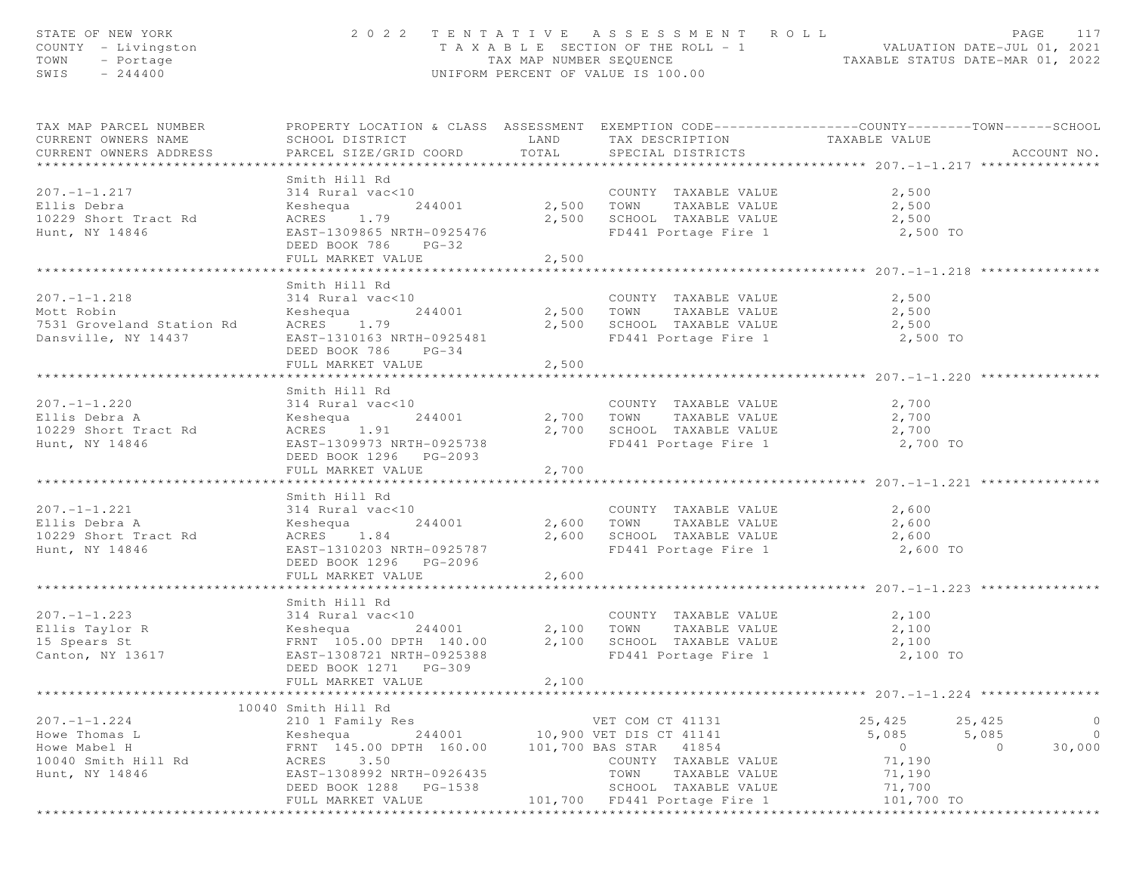| STATE OF NEW YORK<br>COUNTY - Livingston<br>TOWN<br>- Portage<br>SWIS<br>$-244400$                | 2022 TENTATIVE ASSESSMENT ROLL<br>UNIFORM PERCENT OF VALUE IS 100.00                                                                                                                           | PAGE<br>117<br>T A X A B L E SECTION OF THE ROLL - 1 VALUATION DATE-JUL 01, 2021<br>TAX MAP NUMBER SEQUENCE TAXABLE STATUS DATE-MAR 01, 2022 |                                                                                                                                                                           |                                                                        |                                                            |
|---------------------------------------------------------------------------------------------------|------------------------------------------------------------------------------------------------------------------------------------------------------------------------------------------------|----------------------------------------------------------------------------------------------------------------------------------------------|---------------------------------------------------------------------------------------------------------------------------------------------------------------------------|------------------------------------------------------------------------|------------------------------------------------------------|
| TAX MAP PARCEL NUMBER<br>CURRENT OWNERS NAME<br>CURRENT OWNERS ADDRESS                            | PROPERTY LOCATION & CLASS ASSESSMENT EXEMPTION CODE----------------COUNTY-------TOWN------SCHOOL<br>SCHOOL DISTRICT<br>PARCEL SIZE/GRID COORD TOTAL                                            |                                                                                                                                              | LAND TAX DESCRIPTION TAXABLE VALUE<br>SPECIAL DISTRICTS                                                                                                                   |                                                                        | ACCOUNT NO.                                                |
|                                                                                                   |                                                                                                                                                                                                |                                                                                                                                              |                                                                                                                                                                           |                                                                        |                                                            |
| $207. - 1 - 1.217$<br>Ellis Debra<br>10229 Short Tract Rd<br>Hunt, NY 14846                       | Smith Hill Rd<br>314 Rural vac<10             COUNTY TAXABLE VALUE<br>Keshequa     244001       2,500   TOWN   TAXABLE VALUE<br>ACRES 1.79<br>EAST-1309865 NRTH-0925476<br>DEED BOOK 786 PG-32 |                                                                                                                                              | 2,500 SCHOOL TAXABLE VALUE<br>FD441 Portage Fire 1 2,500 TO                                                                                                               | 2,500<br>2,500<br>2,500                                                |                                                            |
|                                                                                                   | FULL MARKET VALUE                                                                                                                                                                              | 2,500                                                                                                                                        |                                                                                                                                                                           |                                                                        |                                                            |
| $207. - 1 - 1.218$<br>Mott Robin<br>7531 Groveland Station Rd<br>Dansville, NY 14437              | Smith Hill Rd<br>314 Rural vac<10<br>Keshequa<br>ACRES 1.79<br>EAST-1310163 NRTH-0925481<br>DEED BOOK 786 PG-34<br>FULL MARKET VALUE                                                           | 2,500                                                                                                                                        | $2,500$ SCHOOL TAXABLE VALUE $2,500$<br>FD441 Portage Fire 1                                                                                                              | $2,500$<br>$2,500$<br>2,500 TO                                         |                                                            |
|                                                                                                   |                                                                                                                                                                                                |                                                                                                                                              |                                                                                                                                                                           |                                                                        |                                                            |
| $207. -1 - 1.220$<br>Ellis Debra A<br>10229 Short Tract Rd<br>Hunt, NY 14846                      | Smith Hill Rd<br>314 Rural vac<10<br>244001<br>Keshequa<br>ACRES 1.91<br>EAST-1309973 NRTH-0925738<br>DEED BOOK 1296 PG-2093                                                                   |                                                                                                                                              | COUNTY TAXABLE VALUE 2,700<br>2,700    TOWN      TAXABLE VALUE<br>2,700    SCHOOL   TAXABLE VALUE<br>FD441 Portage Fire 1 2,700 TO                                        | 2,700<br>2,700                                                         |                                                            |
|                                                                                                   | FULL MARKET VALUE                                                                                                                                                                              | 2,700                                                                                                                                        |                                                                                                                                                                           |                                                                        |                                                            |
| $207. - 1 - 1.221$<br>Ellis Debra A<br>10229 Short Tract Rd<br>Hunt, NY 14846                     | Smith Hill Rd<br>314 Rural vac<10<br>Keshequa<br>ACRES 1.84<br>EAST-1310203 NRTH-0925787<br>DEED BOOK 1296    PG-2096<br>FULL MARKET VALUE                                                     | 2,600                                                                                                                                        | COUNTY TAXABLE VALUE<br>244001 2,600 TOWN TAXABLE VALUE<br>2,600 SCHOOL TAXABLE VALUE 2,600<br>FD441 Portage Fire 1 2,600 TO                                              | 2,600<br>2,600                                                         |                                                            |
|                                                                                                   |                                                                                                                                                                                                |                                                                                                                                              |                                                                                                                                                                           |                                                                        |                                                            |
| $207. - 1 - 1.223$<br>314 Rura⊥<br>Keshequa<br>Ellis Taylor R<br>15 Spears St<br>Canton, NY 13617 | Smith Hill Rd<br>314 Rural vac<10<br>244001 2,100 TOWN<br>K<br>FRNT 105.00 DPTH 140.00<br>617 EAST-1308721 NRTH-0925388<br>DEED BOOK 1271<br>PG-309                                            |                                                                                                                                              | COUNTY TAXABLE VALUE<br>TAXABLE VALUE<br>2,100 SCHOOL TAXABLE VALUE<br>FD441 Portage Fire 1                                                                               | 2,100<br>2,100<br>2,100<br>2,100 TO                                    |                                                            |
|                                                                                                   | FULL MARKET VALUE                                                                                                                                                                              | 2,100                                                                                                                                        |                                                                                                                                                                           |                                                                        |                                                            |
|                                                                                                   | 10040 Smith Hill Rd                                                                                                                                                                            |                                                                                                                                              |                                                                                                                                                                           | ************ 207.-1-1.224 *******                                      |                                                            |
| $207. - 1 - 1.224$<br>Howe Thomas L<br>Howe Mabel H<br>10040 Smith Hill Rd<br>Hunt, NY 14846      | 210 1 Family Res<br>Keshequa<br>244001<br>FRNT 145.00 DPTH 160.00<br>ACRES<br>3.50<br>EAST-1308992 NRTH-0926435<br>DEED BOOK 1288<br>PG-1538<br>FULL MARKET VALUE                              | 101,700                                                                                                                                      | VET COM CT 41131<br>10,900 VET DIS CT 41141<br>101,700 BAS STAR<br>41854<br>COUNTY TAXABLE VALUE<br>TOWN<br>TAXABLE VALUE<br>SCHOOL TAXABLE VALUE<br>FD441 Portage Fire 1 | 25,425<br>5,085<br>$\circ$<br>71,190<br>71,190<br>71,700<br>101,700 TO | $\circ$<br>25,425<br>$\circ$<br>5,085<br>30,000<br>$\circ$ |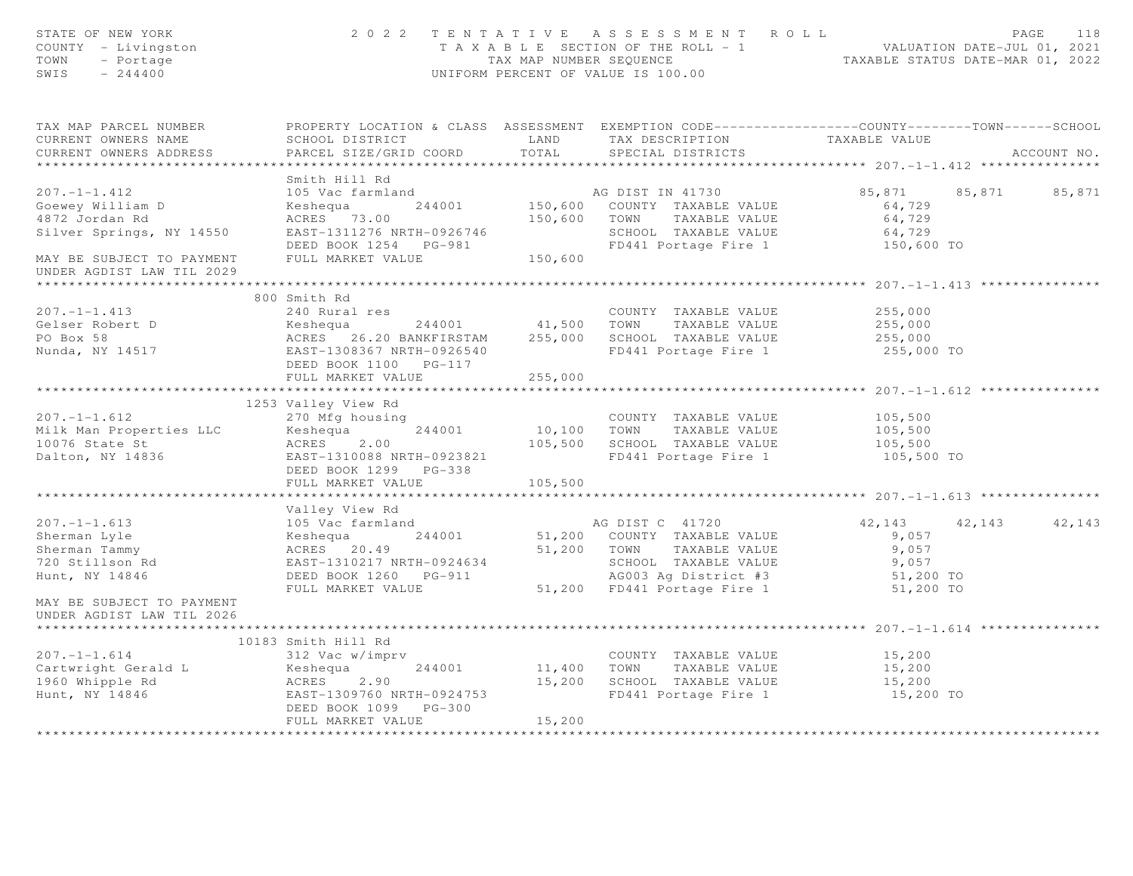| STATE OF NEW YORK<br>COUNTY - Livingston<br>TOWN<br>- Portage<br>$-244400$<br>SWIS                                                                                                                                                               |                                                                                                                                                                                                                                                      |         | 2022 TENTATIVE ASSESSMENT ROLL<br>TAXABLE SECTION OF THE ROLL - 1<br>TAXABLE SECTION OF THE ROLL - 1<br>TAXABLE STATUS DATE-MAR 01, 2021<br>UNIFORM PERCENT OF VALUE IS 100.00 |                         |             |
|--------------------------------------------------------------------------------------------------------------------------------------------------------------------------------------------------------------------------------------------------|------------------------------------------------------------------------------------------------------------------------------------------------------------------------------------------------------------------------------------------------------|---------|--------------------------------------------------------------------------------------------------------------------------------------------------------------------------------|-------------------------|-------------|
| TAX MAP PARCEL NUMBER<br>CURRENT OWNERS NAME                                                                                                                                                                                                     | PROPERTY LOCATION & CLASS ASSESSMENT EXEMPTION CODE-----------------COUNTY--------TOWN------SCHOOL                                                                                                                                                   |         |                                                                                                                                                                                |                         |             |
| CURRENT OWNERS ADDRESS                                                                                                                                                                                                                           | PARCEL SIZE/GRID COORD                                                                                                                                                                                                                               |         | SPECIAL DISTRICTS                                                                                                                                                              |                         | ACCOUNT NO. |
|                                                                                                                                                                                                                                                  | Smith Hill Rd                                                                                                                                                                                                                                        |         |                                                                                                                                                                                |                         |             |
| $207. -1 - 1.412$                                                                                                                                                                                                                                |                                                                                                                                                                                                                                                      |         |                                                                                                                                                                                | 85,871 85,871 85,871    |             |
| Goewey William D                                                                                                                                                                                                                                 |                                                                                                                                                                                                                                                      |         |                                                                                                                                                                                | 64,729                  |             |
| 4872 Jordan Rd                                                                                                                                                                                                                                   |                                                                                                                                                                                                                                                      |         |                                                                                                                                                                                | 64,729                  |             |
|                                                                                                                                                                                                                                                  |                                                                                                                                                                                                                                                      |         |                                                                                                                                                                                |                         |             |
|                                                                                                                                                                                                                                                  |                                                                                                                                                                                                                                                      |         |                                                                                                                                                                                | 64,729<br>150,600 TO    |             |
| Silver Springs, NY 14550<br>EAST-1311276 NRTH-0926746<br>DEED BOOK 1254 PG-981<br>MAY BE SUBJECT TO PAYMENT FULL MARKET VALUE 150,600<br>UNDER AGDIST LAW TIL 2029                                                                               |                                                                                                                                                                                                                                                      |         |                                                                                                                                                                                |                         |             |
|                                                                                                                                                                                                                                                  |                                                                                                                                                                                                                                                      |         |                                                                                                                                                                                |                         |             |
|                                                                                                                                                                                                                                                  | 800 Smith Rd                                                                                                                                                                                                                                         |         |                                                                                                                                                                                |                         |             |
|                                                                                                                                                                                                                                                  |                                                                                                                                                                                                                                                      |         |                                                                                                                                                                                |                         |             |
|                                                                                                                                                                                                                                                  |                                                                                                                                                                                                                                                      |         |                                                                                                                                                                                |                         |             |
|                                                                                                                                                                                                                                                  |                                                                                                                                                                                                                                                      |         |                                                                                                                                                                                |                         |             |
|                                                                                                                                                                                                                                                  | 24001 COUNTY TAXABLE VALUE<br>24001 41,500 TOWN TAXABLE VALUE<br>255,000 ACRES 26.20 BANKFIRSTAM 255,000 SCHOOL TAXABLE VALUE<br>255,000 EAST-1308367 NRTH-0926540 FD441 Portage Fire 1 255,000 TO<br>REED BOOK 1100 PG-117<br>DEED BOOK 1100 PG-117 |         |                                                                                                                                                                                |                         |             |
| 207.-1-1.413<br>Gelser Robert D<br>PO Box 58<br>Nunda, NY 14517                                                                                                                                                                                  | FULL MARKET VALUE                                                                                                                                                                                                                                    | 255,000 |                                                                                                                                                                                |                         |             |
|                                                                                                                                                                                                                                                  |                                                                                                                                                                                                                                                      |         |                                                                                                                                                                                |                         |             |
|                                                                                                                                                                                                                                                  | 1253 Valley View Rd                                                                                                                                                                                                                                  |         |                                                                                                                                                                                |                         |             |
|                                                                                                                                                                                                                                                  |                                                                                                                                                                                                                                                      |         |                                                                                                                                                                                |                         |             |
|                                                                                                                                                                                                                                                  |                                                                                                                                                                                                                                                      |         |                                                                                                                                                                                |                         |             |
|                                                                                                                                                                                                                                                  |                                                                                                                                                                                                                                                      |         |                                                                                                                                                                                |                         |             |
|                                                                                                                                                                                                                                                  |                                                                                                                                                                                                                                                      |         |                                                                                                                                                                                | 105,500 TO              |             |
|                                                                                                                                                                                                                                                  |                                                                                                                                                                                                                                                      |         |                                                                                                                                                                                |                         |             |
|                                                                                                                                                                                                                                                  | FULL MARKET VALUE                                                                                                                                                                                                                                    | 105,500 |                                                                                                                                                                                |                         |             |
|                                                                                                                                                                                                                                                  |                                                                                                                                                                                                                                                      |         |                                                                                                                                                                                |                         |             |
|                                                                                                                                                                                                                                                  |                                                                                                                                                                                                                                                      |         |                                                                                                                                                                                |                         |             |
|                                                                                                                                                                                                                                                  |                                                                                                                                                                                                                                                      |         |                                                                                                                                                                                | 42, 143 42, 143 42, 143 |             |
|                                                                                                                                                                                                                                                  |                                                                                                                                                                                                                                                      |         |                                                                                                                                                                                |                         |             |
|                                                                                                                                                                                                                                                  |                                                                                                                                                                                                                                                      |         |                                                                                                                                                                                |                         |             |
|                                                                                                                                                                                                                                                  |                                                                                                                                                                                                                                                      |         |                                                                                                                                                                                |                         |             |
| Valley View Rd 207.-1-1.613<br>Sherman Lyle Keshequa 244001<br>Sherman Tammy ACRES 20.49<br>Taxable Value 9,057<br>Taxable Value 9,057<br>Taxable Value 9,057<br>Taxable Value 9,057<br>Taxable Value 9,057<br>Taxable Value 9,057<br>Taxable Va |                                                                                                                                                                                                                                                      |         |                                                                                                                                                                                |                         |             |
| MAY BE SUBJECT TO PAYMENT<br>UNDER AGDIST LAW TIL 2026                                                                                                                                                                                           |                                                                                                                                                                                                                                                      |         |                                                                                                                                                                                |                         |             |
|                                                                                                                                                                                                                                                  |                                                                                                                                                                                                                                                      |         |                                                                                                                                                                                |                         |             |
|                                                                                                                                                                                                                                                  | 10183 Smith Hill Rd                                                                                                                                                                                                                                  |         |                                                                                                                                                                                |                         |             |
|                                                                                                                                                                                                                                                  | 312 Vac w/imprv                                                                                                                                                                                                                                      |         | COUNTY TAXABLE VALUE<br>11,400 TOWN TAXABLE VALUE<br>COUNTY TAXABLE VALUE 15,200                                                                                               |                         |             |
|                                                                                                                                                                                                                                                  |                                                                                                                                                                                                                                                      |         |                                                                                                                                                                                | 15,200                  |             |
|                                                                                                                                                                                                                                                  |                                                                                                                                                                                                                                                      |         | 15,200 SCHOOL TAXABLE VALUE<br>FD441 Portage Fire 1                                                                                                                            | 15,200<br>$15,200$ TO   |             |
|                                                                                                                                                                                                                                                  | DEED BOOK 1099 PG-300                                                                                                                                                                                                                                |         |                                                                                                                                                                                |                         |             |
|                                                                                                                                                                                                                                                  | FULL MARKET VALUE                                                                                                                                                                                                                                    | 15,200  |                                                                                                                                                                                |                         |             |
|                                                                                                                                                                                                                                                  |                                                                                                                                                                                                                                                      |         |                                                                                                                                                                                |                         |             |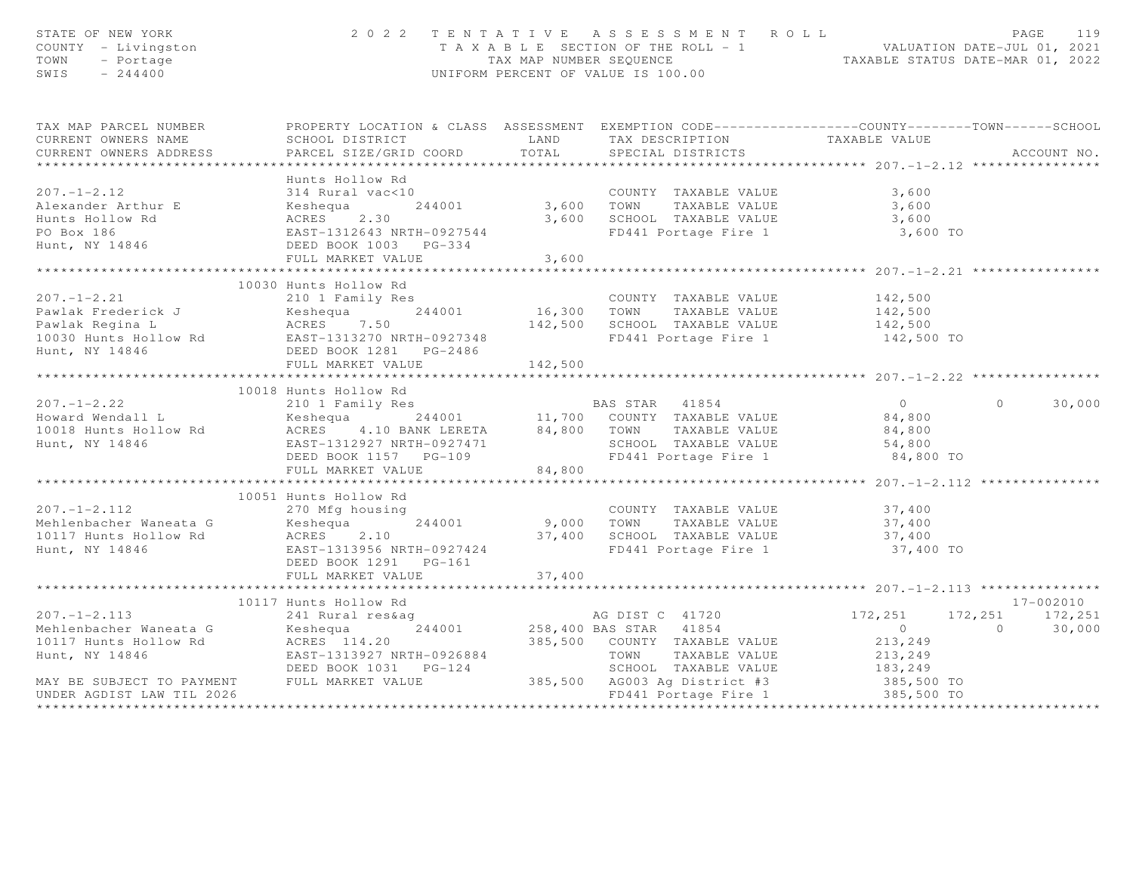| STATE OF NEW YORK<br>COUNTY - Livingston<br>TOWN - Portage<br>SWIS - 244400                                                                                                                                                                                                                                                                                                                                                                                                         |                         |        | 2022 TENTATIVE ASSESSMENT ROLL<br>T A X A B L E SECTION OF THE ROLL - 1<br>TAX MAP NUMBER SEQUENCE<br>UNIFORM PERCENT OF VALUE IS 100.00 |       | 119<br>PAGE   |
|-------------------------------------------------------------------------------------------------------------------------------------------------------------------------------------------------------------------------------------------------------------------------------------------------------------------------------------------------------------------------------------------------------------------------------------------------------------------------------------|-------------------------|--------|------------------------------------------------------------------------------------------------------------------------------------------|-------|---------------|
| TAX MAP PARCEL NUMBER FROPERTY LOCATION & CLASS ASSESSMENT EXEMPTION CODE---------------COUNTY-------TOWN-----SCHOOL                                                                                                                                                                                                                                                                                                                                                                |                         |        |                                                                                                                                          |       |               |
| CURRENT OWNERS NAME                                                                                                                                                                                                                                                                                                                                                                                                                                                                 |                         |        |                                                                                                                                          |       |               |
| CURRENT OWNERS ADDRESS                                                                                                                                                                                                                                                                                                                                                                                                                                                              |                         |        |                                                                                                                                          |       | ACCOUNT NO.   |
|                                                                                                                                                                                                                                                                                                                                                                                                                                                                                     | Hunts Hollow Rd         |        |                                                                                                                                          |       |               |
| $207. - 1 - 2.12$                                                                                                                                                                                                                                                                                                                                                                                                                                                                   | 314 Rural vac<10        |        | COUNTY TAXABLE VALUE                                                                                                                     | 3,600 |               |
|                                                                                                                                                                                                                                                                                                                                                                                                                                                                                     |                         |        |                                                                                                                                          |       |               |
|                                                                                                                                                                                                                                                                                                                                                                                                                                                                                     |                         |        |                                                                                                                                          |       |               |
|                                                                                                                                                                                                                                                                                                                                                                                                                                                                                     |                         |        |                                                                                                                                          |       |               |
| 2011 COUNTY TAXABLE VALUE<br>2011 COUNTY TAXABLE VALUE<br>214 Runts Hollow Rd 244001<br>244001 3,600 TOWN TAXABLE VALUE<br>3,600 SCHOOL TAXABLE VALUE<br>2.30<br>2.30<br>2.30<br>2.30<br>2.30<br>2.30<br>2.30<br>2.500 SCHOOL TAXABLE VALUE<br>3,600<br>2.                                                                                                                                                                                                                          |                         |        |                                                                                                                                          |       |               |
|                                                                                                                                                                                                                                                                                                                                                                                                                                                                                     | FULL MARKET VALUE 3,600 |        |                                                                                                                                          |       |               |
|                                                                                                                                                                                                                                                                                                                                                                                                                                                                                     |                         |        |                                                                                                                                          |       |               |
|                                                                                                                                                                                                                                                                                                                                                                                                                                                                                     |                         |        |                                                                                                                                          |       |               |
|                                                                                                                                                                                                                                                                                                                                                                                                                                                                                     |                         |        |                                                                                                                                          |       |               |
|                                                                                                                                                                                                                                                                                                                                                                                                                                                                                     |                         |        |                                                                                                                                          |       |               |
|                                                                                                                                                                                                                                                                                                                                                                                                                                                                                     |                         |        |                                                                                                                                          |       |               |
|                                                                                                                                                                                                                                                                                                                                                                                                                                                                                     |                         |        |                                                                                                                                          |       |               |
|                                                                                                                                                                                                                                                                                                                                                                                                                                                                                     |                         |        |                                                                                                                                          |       |               |
| $\begin{tabular}{lllllllllllllllllllll} \multicolumn{3}{l}{} & \multicolumn{3}{l}{} & \multicolumn{3}{l}{} & \multicolumn{3}{l}{} & \multicolumn{3}{l}{} & \multicolumn{3}{l}{} & \multicolumn{3}{l}{} & \multicolumn{3}{l}{} & \multicolumn{3}{l}{} & \multicolumn{3}{l}{} & \multicolumn{3}{l}{} & \multicolumn{3}{l}{} & \multicolumn{3}{l}{} & \multicolumn{3}{l}{} & \multicolumn{3}{l}{} & \multicolumn{3}{l}{} & \multicolumn{3}{l}{} & \multicolumn{3}{l}{} & \multicolumn$ |                         |        |                                                                                                                                          |       |               |
|                                                                                                                                                                                                                                                                                                                                                                                                                                                                                     | 10018 Hunts Hollow Rd   |        |                                                                                                                                          |       |               |
|                                                                                                                                                                                                                                                                                                                                                                                                                                                                                     |                         |        |                                                                                                                                          |       | $0 \t 30,000$ |
|                                                                                                                                                                                                                                                                                                                                                                                                                                                                                     |                         |        |                                                                                                                                          |       |               |
|                                                                                                                                                                                                                                                                                                                                                                                                                                                                                     |                         |        |                                                                                                                                          |       |               |
|                                                                                                                                                                                                                                                                                                                                                                                                                                                                                     |                         |        |                                                                                                                                          |       |               |
|                                                                                                                                                                                                                                                                                                                                                                                                                                                                                     |                         |        |                                                                                                                                          |       |               |
|                                                                                                                                                                                                                                                                                                                                                                                                                                                                                     |                         |        |                                                                                                                                          |       |               |
|                                                                                                                                                                                                                                                                                                                                                                                                                                                                                     |                         |        |                                                                                                                                          |       |               |
| 270 Mfg housing<br>Mehlenbacher Waneata G (244001) 244001 9,000 TOWN TAXABLE VALUE 37,400<br>10117 Hunts Hollow Rd (2.10 37,400 SCHOOL TAXABLE VALUE 37,400<br>2.10 37,400 SCHOOL TAXABLE VALUE 37,400<br>2.10 57,400 SCHOOL TAXABLE V                                                                                                                                                                                                                                              | 10051 Hunts Hollow Rd   |        |                                                                                                                                          |       |               |
|                                                                                                                                                                                                                                                                                                                                                                                                                                                                                     |                         |        |                                                                                                                                          |       |               |
|                                                                                                                                                                                                                                                                                                                                                                                                                                                                                     |                         |        |                                                                                                                                          |       |               |
|                                                                                                                                                                                                                                                                                                                                                                                                                                                                                     |                         |        |                                                                                                                                          |       |               |
|                                                                                                                                                                                                                                                                                                                                                                                                                                                                                     |                         |        |                                                                                                                                          |       |               |
|                                                                                                                                                                                                                                                                                                                                                                                                                                                                                     | FULL MARKET VALUE       | 37,400 |                                                                                                                                          |       |               |
|                                                                                                                                                                                                                                                                                                                                                                                                                                                                                     |                         |        |                                                                                                                                          |       |               |
|                                                                                                                                                                                                                                                                                                                                                                                                                                                                                     |                         |        |                                                                                                                                          |       |               |
|                                                                                                                                                                                                                                                                                                                                                                                                                                                                                     |                         |        |                                                                                                                                          |       |               |
|                                                                                                                                                                                                                                                                                                                                                                                                                                                                                     |                         |        |                                                                                                                                          |       |               |
|                                                                                                                                                                                                                                                                                                                                                                                                                                                                                     |                         |        |                                                                                                                                          |       |               |
|                                                                                                                                                                                                                                                                                                                                                                                                                                                                                     |                         |        |                                                                                                                                          |       |               |
|                                                                                                                                                                                                                                                                                                                                                                                                                                                                                     |                         |        |                                                                                                                                          |       |               |
|                                                                                                                                                                                                                                                                                                                                                                                                                                                                                     |                         |        |                                                                                                                                          |       |               |
| 10117 Hunts Hollow Rd<br>207.-1-2.113 10117 Hunts Hollow Rd<br>207.-1-2.113 241 Runta C<br>Mehlenbacher Waneata G<br>258,400 BAS STAR 41854 0<br>258,400 BAS STAR 41854 0<br>258,400 BAS STAR 41854 0<br>258,400 BAS STAR 41854 0<br>258,500 C                                                                                                                                                                                                                                      |                         |        |                                                                                                                                          |       |               |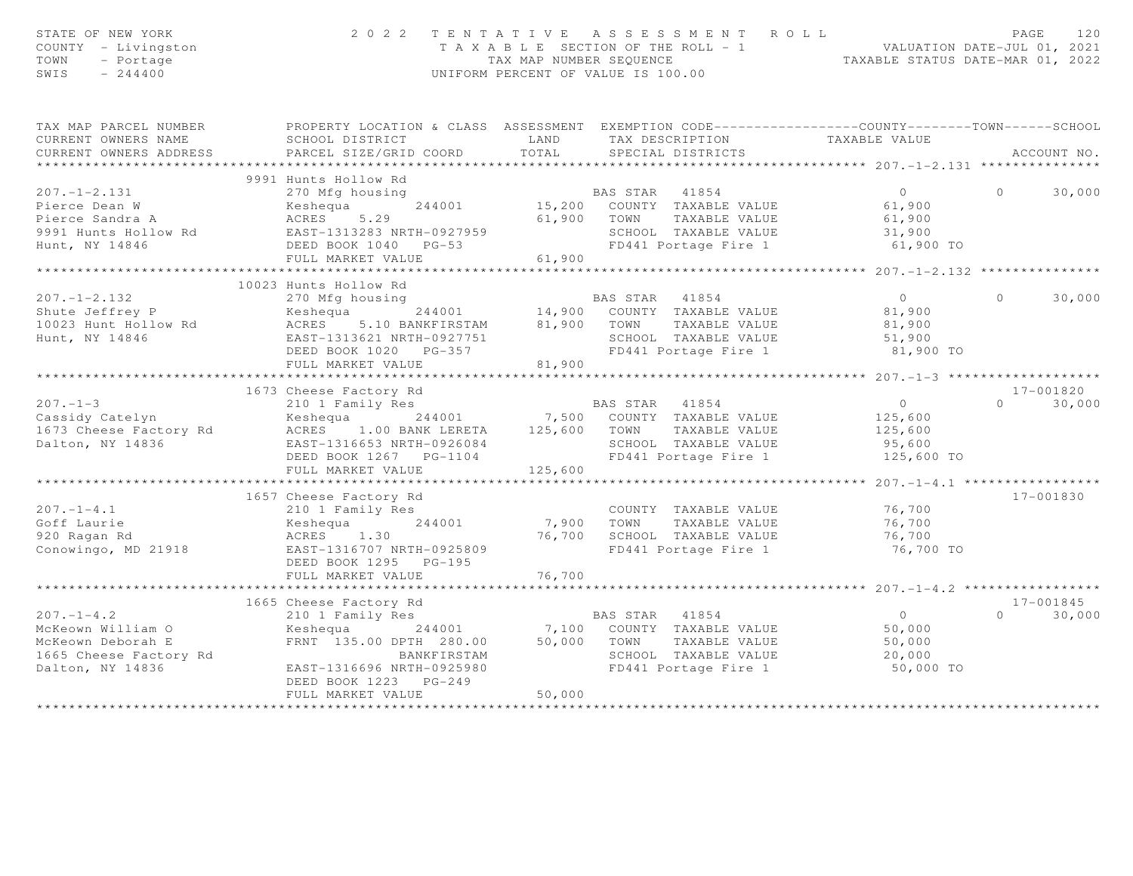| STATE OF NEW YORK<br>COUNTY - Livingston<br>TOWN<br>- Portage<br>$-244400$<br>SWIS                                                                                                                                                        |                                                                                                                                                                                                                                                                                                     |                      | 2022 TENTATIVE ASSESSMENT ROLL<br>T A X A B L E SECTION OF THE ROLL - 1 VALUATION DATE-JUL 01, 2021<br>TAX MAP NUMBER SEQUENCE TAXABLE STATUS DATE-MAR 01, 2022<br>UNIFORM PERCENT OF VALUE IS 100.00 |                                                      | PAGE    | 120           |
|-------------------------------------------------------------------------------------------------------------------------------------------------------------------------------------------------------------------------------------------|-----------------------------------------------------------------------------------------------------------------------------------------------------------------------------------------------------------------------------------------------------------------------------------------------------|----------------------|-------------------------------------------------------------------------------------------------------------------------------------------------------------------------------------------------------|------------------------------------------------------|---------|---------------|
| TAX MAP PARCEL NUMBER THE PROPERTY LOCATION & CLASS ASSESSMENT EXEMPTION CODE--------------COUNTY-------TOWN------SCHOOL<br>CURRENT OWNERS NAME                                                                                           | SCHOOL DISTRICT                                                                                                                                                                                                                                                                                     | LAND                 | TAX DESCRIPTION<br>TAXABLE VALUE<br>SPECIAL DISTRICTS                                                                                                                                                 |                                                      |         |               |
| CURRENT OWNERS ADDRESS                                                                                                                                                                                                                    | PARCEL SIZE/GRID COORD                                                                                                                                                                                                                                                                              | TOTAL                |                                                                                                                                                                                                       |                                                      |         | ACCOUNT NO.   |
|                                                                                                                                                                                                                                           | 9991 Hunts Hollow Rd                                                                                                                                                                                                                                                                                |                      |                                                                                                                                                                                                       |                                                      |         |               |
| 9991 Hunts Hollow Rd 207.-1-2.131 270 Mfg housing 207.-1-2.131 270 Mfg housing 207.-1-2.131 270 Mfg housing 21991 Hunts Hollow Rd 207.-1-2.131 270 Mfg housing 21991 Hunts Hollow Rd 219991 Hunts Hollow Rd 219991 Hunts Holl             |                                                                                                                                                                                                                                                                                                     |                      |                                                                                                                                                                                                       |                                                      |         | $0 \t 30,000$ |
|                                                                                                                                                                                                                                           | ****************************                                                                                                                                                                                                                                                                        |                      |                                                                                                                                                                                                       | ********************** 207.-1-2.132 **************** |         |               |
|                                                                                                                                                                                                                                           | 10023 Hunts Hollow Rd                                                                                                                                                                                                                                                                               |                      |                                                                                                                                                                                                       |                                                      |         |               |
| $207. - 1 - 2.132$<br>Shute Jeffrey P<br>10023 Hunt Hollow Rd<br>Hunt, NY 14846                                                                                                                                                           | 270 Mfg housing<br>EAS STAR 41854<br>EAS STAR 41854<br>MERES 5.10 BANKFIRSTAM 81,900 COUNTY TAXABLE VALUE<br>EAST-1313621 NRTH-0927751<br>DEED BOOK 1020 PG-357<br>DEED BOOK 1020 PG-357<br>CASTRO CONSING TAXABLE VALUE<br>DEED BOOK 1020 PG-                                                      |                      |                                                                                                                                                                                                       | 81,900 TO                                            | $\circ$ | 30,000        |
|                                                                                                                                                                                                                                           |                                                                                                                                                                                                                                                                                                     |                      |                                                                                                                                                                                                       |                                                      |         |               |
|                                                                                                                                                                                                                                           |                                                                                                                                                                                                                                                                                                     |                      |                                                                                                                                                                                                       |                                                      |         | 17-001820     |
| 1673 Cheese Factory Rd<br>207.-1-3 1673 Cheese Factory Rd<br>244001 7,500 COUNTY TAXABLE VALUE<br>1673 Cheese Factory Rd<br>244001 7,500 COUNTY TAXABLE VALUE<br>125,600 1673 Cheese Factory Rd<br>2651-1316653 NRTH-0926084 125,600 TOWN |                                                                                                                                                                                                                                                                                                     |                      |                                                                                                                                                                                                       |                                                      |         | $0 \t 30,000$ |
|                                                                                                                                                                                                                                           |                                                                                                                                                                                                                                                                                                     |                      |                                                                                                                                                                                                       |                                                      |         |               |
| $207. - 1 - 4.1$<br>Goff Laurie<br>920 Ragan Rd<br>Conowingo, MD 21918                                                                                                                                                                    | 1657 Cheese Factory Rd<br>210 1 Family Res<br>Keshequa 2002<br>ACRES 1.30<br>2016707 NRTH-092580<br>Keshequa 244001<br>EAST-1316707 NRTH-0925809<br>DEED BOOK 1295 PG-195<br>FULL MARKET VALUE                                                                                                      | 7,900 TOWN<br>76,700 | COUNTY TAXABLE VALUE<br>TAXABLE VALUE<br>76,700 SCHOOL TAXABLE VALUE 76,700<br>FD441 Portage Fire 1 76,700 TO                                                                                         | 76,700<br>76,700<br>76,700                           |         | 17-001830     |
|                                                                                                                                                                                                                                           |                                                                                                                                                                                                                                                                                                     |                      |                                                                                                                                                                                                       |                                                      |         |               |
|                                                                                                                                                                                                                                           | 1665 Cheese Factory Rd                                                                                                                                                                                                                                                                              |                      |                                                                                                                                                                                                       |                                                      |         | 17-001845     |
| $207. -1 - 4.2$<br>McKeown William O<br>McKeown Deborah E<br>1665 Cheese Factory Rd<br>Dalton, NY 14836                                                                                                                                   | 665 Cheese Factory Rd<br>210 1 Family Res<br>Keshequa 244001 7,100 COUNTY TAXABLE VALUE 50,000<br>FRNT 135.00 DPTH 280.00 50,000 TOWN TAXABLE VALUE 50,000<br>SCHOOL TAXABLE VALUE 20,000<br>SCHOOL TAXABLE VALUE 20,000<br>EAST-1316696 NRTH-0925980<br>DEED BOOK 1223 PG-249<br>FULL MARKET VALUE | 50,000               | SCHOOL TAXABLE VALUE<br>FD441 Portage Fire 1                                                                                                                                                          | 50,000 TO                                            | $\cap$  | 30,000        |
|                                                                                                                                                                                                                                           |                                                                                                                                                                                                                                                                                                     |                      |                                                                                                                                                                                                       |                                                      |         |               |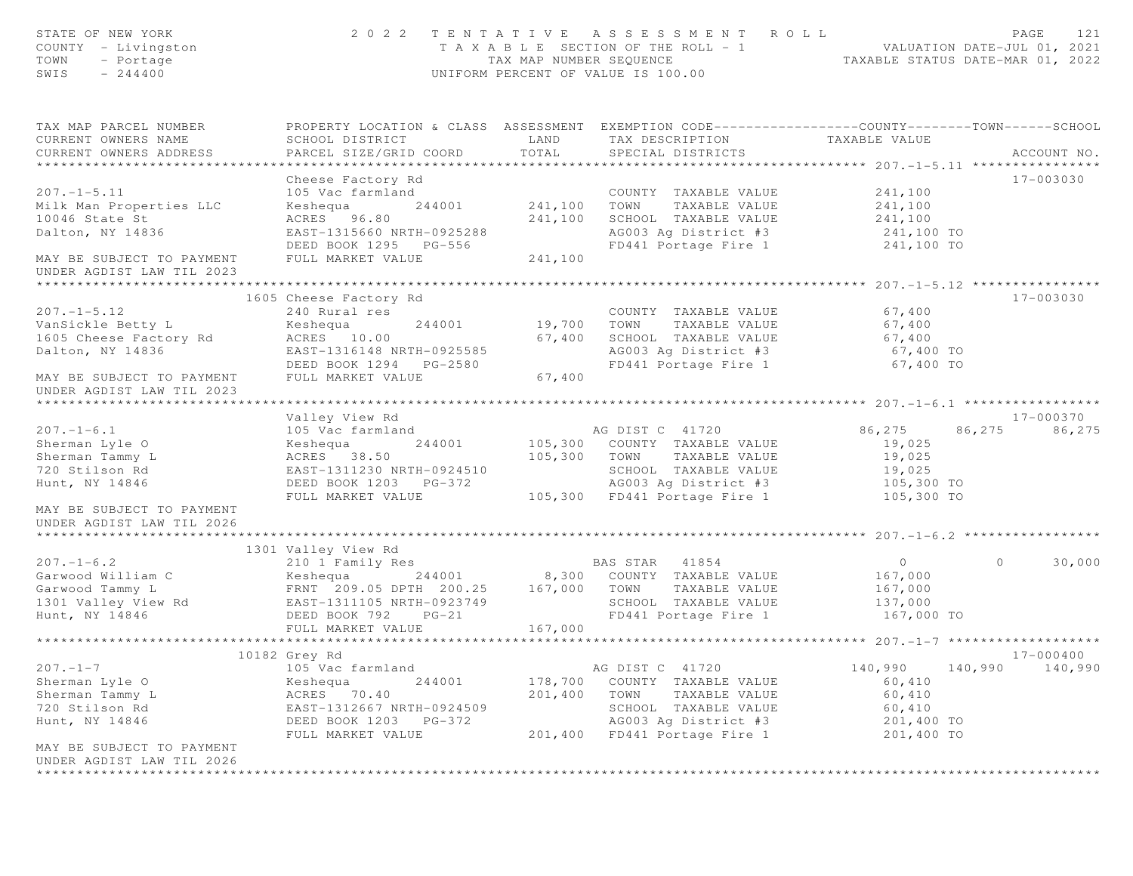| STATE OF NEW YORK<br>COUNTY - Livingston<br>- Portage<br>TOWN<br>$-244400$<br>SWIS      | 2 0 2 2                                                                                                                                       | TAX MAP NUMBER SEQUENCE   | TENTATIVE ASSESSMENT ROLL<br>T A X A B L E SECTION OF THE ROLL - 1<br>UNIFORM PERCENT OF VALUE IS 100.00              | VALUATION DATE-JUL UI, 2021<br>TAXABLE STATUS DATE-MAR 01, 2022 | PAGE<br>121        |
|-----------------------------------------------------------------------------------------|-----------------------------------------------------------------------------------------------------------------------------------------------|---------------------------|-----------------------------------------------------------------------------------------------------------------------|-----------------------------------------------------------------|--------------------|
| TAX MAP PARCEL NUMBER<br>CURRENT OWNERS NAME<br>CURRENT OWNERS ADDRESS                  | PROPERTY LOCATION & CLASS ASSESSMENT EXEMPTION CODE----------------COUNTY-------TOWN------SCHOOL<br>SCHOOL DISTRICT<br>PARCEL SIZE/GRID COORD | LAND<br>TOTAL             | TAX DESCRIPTION<br>SPECIAL DISTRICTS                                                                                  | TAXABLE VALUE                                                   | ACCOUNT NO.        |
|                                                                                         | Cheese Factory Rd                                                                                                                             |                           |                                                                                                                       |                                                                 | 17-003030          |
| $207. - 1 - 5.11$<br>Milk Man Properties LLC<br>10046 State St<br>Dalton, NY 14836      | 105 Vac farmland<br>Keshequa<br>ACRES 96.80<br>EAST-1315660 NRTH-0925288<br>DEED BOOK 1295 PG-556                                             | 244001 241,100<br>241,100 | COUNTY TAXABLE VALUE<br>TAXABLE VALUE<br>TOWN<br>SCHOOL TAXABLE VALUE<br>AG003 Ag District #3<br>FD441 Portage Fire 1 | 241,100<br>241,100<br>241,100<br>241,100 TO<br>241,100 TO       |                    |
| MAY BE SUBJECT TO PAYMENT<br>UNDER AGDIST LAW TIL 2023                                  | FULL MARKET VALUE                                                                                                                             | 241,100                   |                                                                                                                       |                                                                 |                    |
|                                                                                         |                                                                                                                                               |                           |                                                                                                                       |                                                                 |                    |
| $207. - 1 - 5.12$<br>VanSickle Betty L<br>1605 Cheese Factory Rd<br>Dalton, NY 14836    | 1605 Cheese Factory Rd<br>240 Rural res<br>Keshequa<br>244001<br>ACRES 10.00<br>EAST-1316148 NRTH-0925585<br>DEED BOOK 1294    PG-2580        | 19,700<br>67,400          | COUNTY TAXABLE VALUE<br>TAXABLE VALUE<br>TOWN<br>SCHOOL TAXABLE VALUE<br>AG003 Ag District #3<br>FD441 Portage Fire 1 | 67,400<br>67,400<br>67,400<br>67,400 TO<br>67,400 TO            | 17-003030          |
| MAY BE SUBJECT TO PAYMENT<br>UNDER AGDIST LAW TIL 2023                                  | FULL MARKET VALUE                                                                                                                             | 67,400                    |                                                                                                                       |                                                                 |                    |
|                                                                                         | Valley View Rd                                                                                                                                |                           |                                                                                                                       |                                                                 | 17-000370          |
| $207. - 1 - 6.1$                                                                        | 105 Vac farmland                                                                                                                              |                           | AG DIST C 41720                                                                                                       | 86,275                                                          | 86,275<br>86,275   |
| Sherman Lyle O                                                                          | 244001<br>Keshequa                                                                                                                            |                           | 105,300 COUNTY TAXABLE VALUE                                                                                          | 19,025                                                          |                    |
| Sherman Tammy L                                                                         | ACRES 38.50                                                                                                                                   |                           | 105,300 TOWN TAXABLE VALUE                                                                                            | 19,025                                                          |                    |
| 720 Stilson Rd                                                                          | EAST-1311230 NRTH-0924510                                                                                                                     |                           | SCHOOL TAXABLE VALUE                                                                                                  | 19,025                                                          |                    |
| Hunt, NY 14846                                                                          | DEED BOOK 1203 PG-372                                                                                                                         |                           | AG003 Ag District #3                                                                                                  | 105,300 TO                                                      |                    |
| MAY BE SUBJECT TO PAYMENT<br>UNDER AGDIST LAW TIL 2026<br>***************************** | FULL MARKET VALUE                                                                                                                             |                           | 105,300 FD441 Portage Fire 1                                                                                          | 105,300 TO                                                      |                    |
|                                                                                         | 1301 Valley View Rd                                                                                                                           |                           |                                                                                                                       |                                                                 |                    |
| $207. - 1 - 6.2$                                                                        | 210 1 Family Res                                                                                                                              |                           | BAS STAR 41854                                                                                                        | $\overline{0}$                                                  | 30,000<br>$\circ$  |
| Garwood William C                                                                       | Keshequa                                                                                                                                      |                           | 244001 8,300 COUNTY TAXABLE VALUE                                                                                     | 167,000                                                         |                    |
| Garwood Tammy L<br>1301 Valley View Rd                                                  | FRNT 209.05 DPTH 200.25 167,000 TOWN TAXABLE VALUE<br>EAST-1311105 NRTH-0923749 SCHOOL TAXABLE VALUE                                          |                           |                                                                                                                       | 167,000                                                         |                    |
|                                                                                         |                                                                                                                                               |                           | SCHOOL TAXABLE VALUE                                                                                                  | 137,000                                                         |                    |
| Hunt, NY 14846                                                                          | DEED BOOK 792 PG-21<br>FULL MARKET VALUE                                                                                                      | 167,000                   | FD441 Portage Fire 1                                                                                                  | 167,000 TO                                                      |                    |
|                                                                                         | *************************                                                                                                                     |                           |                                                                                                                       |                                                                 |                    |
|                                                                                         | 10182 Grey Rd                                                                                                                                 |                           |                                                                                                                       |                                                                 | 17-000400          |
| $207. -1 - 7$                                                                           | 105 Vac farmland                                                                                                                              |                           | AG DIST C 41720                                                                                                       | 140,990                                                         | 140,990<br>140,990 |
| Sherman Lyle O                                                                          | Keshequa<br>244001                                                                                                                            | 178,700                   | COUNTY TAXABLE VALUE                                                                                                  | 60,410                                                          |                    |
| Sherman Tammy L                                                                         | ACRES<br>70.40                                                                                                                                | 201,400                   | TOWN<br>TAXABLE VALUE                                                                                                 | 60,410                                                          |                    |
| 720 Stilson Rd                                                                          | EAST-1312667 NRTH-0924509                                                                                                                     |                           | SCHOOL TAXABLE VALUE                                                                                                  | 60,410                                                          |                    |
| Hunt, NY 14846                                                                          | DEED BOOK 1203<br>PG-372                                                                                                                      |                           | AG003 Ag District #3                                                                                                  | 201,400 TO                                                      |                    |
| MAY BE SUBJECT TO PAYMENT<br>UNDER AGDIST LAW TIL 2026                                  | FULL MARKET VALUE                                                                                                                             | 201,400                   | FD441 Portage Fire 1                                                                                                  | 201,400 TO                                                      |                    |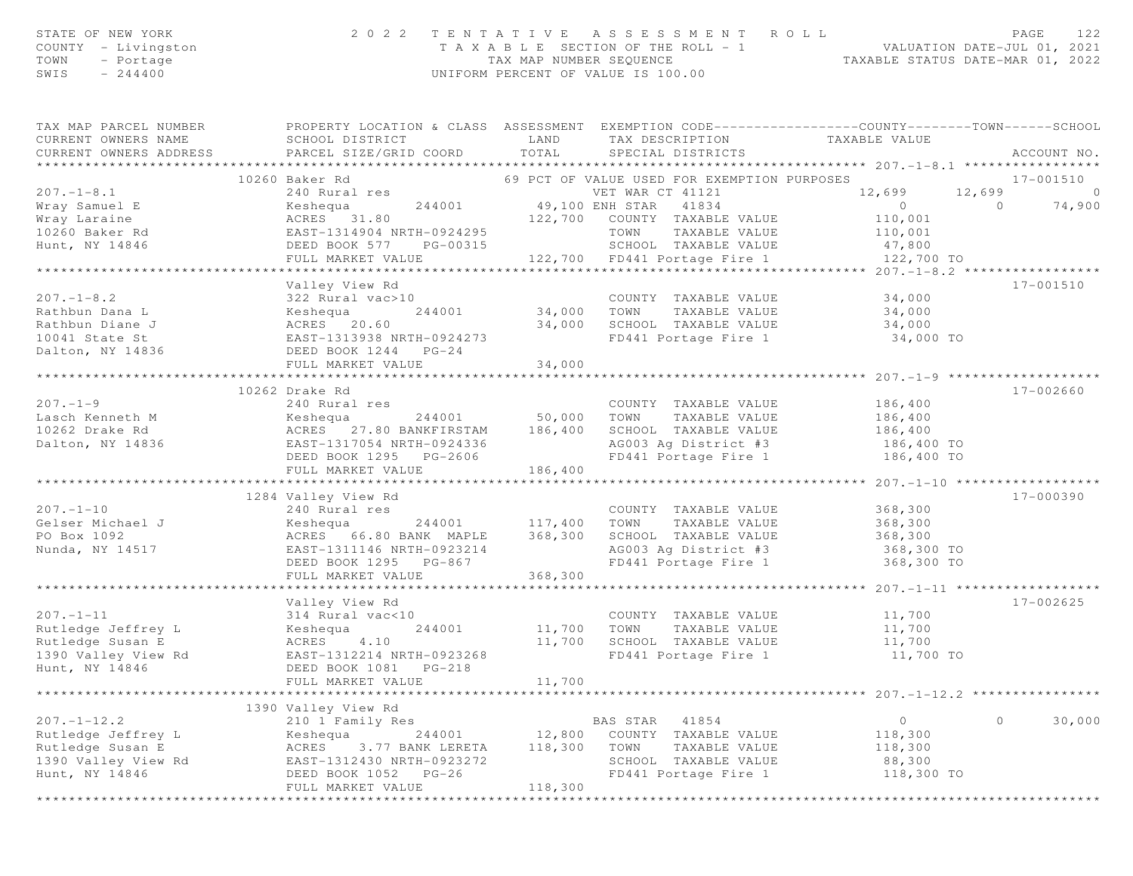| STATE OF NEW YORK   | 2022 TENTATIVE ASSESSMENT ROLL        | PAGE                             |
|---------------------|---------------------------------------|----------------------------------|
| COUNTY - Livingston | T A X A B L E SECTION OF THE ROLL - 1 | VALUATION DATE-JUL 01, 2021      |
| TOWN - Portage      | TAX MAP NUMBER SEOUENCE               | TAXABLE STATUS DATE-MAR 01, 2022 |
| $-244400$<br>SWIS   | UNIFORM PERCENT OF VALUE IS 100.00    |                                  |

| TAX MAP PARCEL NUMBER | PROPERTY LOCATION & CLASS ASSESSMENT EXEMPTION CODE----------------COUNTY-------TOWN------SCHOOL                                                                                                                                                                           |      |                                                                                            |                       |                   |
|-----------------------|----------------------------------------------------------------------------------------------------------------------------------------------------------------------------------------------------------------------------------------------------------------------------|------|--------------------------------------------------------------------------------------------|-----------------------|-------------------|
| CURRENT OWNERS NAME   | SCHOOL DISTRICT                                                                                                                                                                                                                                                            | LAND |                                                                                            |                       |                   |
|                       | CURRENT OWNERS NAME SCHOOL DISIRICI COORD EAND                                                                                                                                                                                                                             |      | TAX DESCRIPTION TAXABLE VALUE SPECIAL DISTRICTS                                            |                       | ACCOUNT NO.       |
|                       |                                                                                                                                                                                                                                                                            |      |                                                                                            |                       |                   |
|                       | 10260 Baker Rd                                                                                                                                                                                                                                                             |      | 69 PCT OF VALUE USED FOR EXEMPTION PURPOSES                                                |                       | 17-001510         |
| $207. - 1 - 8.1$      | 240 Rural res                                                                                                                                                                                                                                                              |      | VET WAR CT 41121                                                                           | 12,699 12,699         | $\circ$           |
|                       |                                                                                                                                                                                                                                                                            |      |                                                                                            |                       |                   |
|                       |                                                                                                                                                                                                                                                                            |      |                                                                                            |                       |                   |
|                       |                                                                                                                                                                                                                                                                            |      |                                                                                            |                       |                   |
|                       |                                                                                                                                                                                                                                                                            |      |                                                                                            |                       |                   |
|                       |                                                                                                                                                                                                                                                                            |      |                                                                                            |                       |                   |
|                       |                                                                                                                                                                                                                                                                            |      |                                                                                            |                       |                   |
|                       | Valley View Rd                                                                                                                                                                                                                                                             |      |                                                                                            |                       | 17-001510         |
|                       |                                                                                                                                                                                                                                                                            |      |                                                                                            |                       |                   |
|                       |                                                                                                                                                                                                                                                                            |      |                                                                                            |                       |                   |
|                       |                                                                                                                                                                                                                                                                            |      |                                                                                            |                       |                   |
|                       |                                                                                                                                                                                                                                                                            |      |                                                                                            | 34,000 TO             |                   |
|                       |                                                                                                                                                                                                                                                                            |      |                                                                                            |                       |                   |
|                       |                                                                                                                                                                                                                                                                            |      |                                                                                            |                       |                   |
|                       |                                                                                                                                                                                                                                                                            |      |                                                                                            |                       |                   |
|                       | 10262 Drake Rd                                                                                                                                                                                                                                                             |      |                                                                                            |                       | 17-002660         |
| $207 - 1 - 9$         | 240 Rural res                                                                                                                                                                                                                                                              |      | COUNTY TAXABLE VALUE                                                                       | 186,400               |                   |
|                       |                                                                                                                                                                                                                                                                            |      |                                                                                            | TAXABLE VALUE 186,400 |                   |
|                       |                                                                                                                                                                                                                                                                            |      | SCHOOL TAXABLE VALUE                                                                       | 186,400               |                   |
|                       | 10262 Drake Rd<br>10262 Drake Rd<br>10262 Drake Rd<br>186,400 SCHOOL<br>240 Rutal 1es<br>240 Rutal 1es<br>240 Rutal 1es<br>244001 50,000 TOWN<br>244001 50,000 TOWN<br>244001 50,000 TOWN<br>244001 50,000 TOWN<br>244001 186,400 SCHOOL<br>ERST-13170                     |      | SCHOOL IAAADDE VADUD<br>AG003 Ag District #3 186,400 TO<br>FD441 Portage Fire 1 186,400 TO |                       |                   |
|                       |                                                                                                                                                                                                                                                                            |      |                                                                                            |                       |                   |
|                       |                                                                                                                                                                                                                                                                            |      |                                                                                            |                       |                   |
|                       |                                                                                                                                                                                                                                                                            |      |                                                                                            |                       |                   |
|                       | 1284 Valley View Rd                                                                                                                                                                                                                                                        |      |                                                                                            |                       | $17 - 000390$     |
| $207 - 1 - 10$        | 240 Rural res                                                                                                                                                                                                                                                              |      | COUNTY TAXABLE VALUE 368,300                                                               |                       |                   |
|                       |                                                                                                                                                                                                                                                                            |      |                                                                                            |                       |                   |
|                       |                                                                                                                                                                                                                                                                            |      |                                                                                            |                       |                   |
|                       |                                                                                                                                                                                                                                                                            |      |                                                                                            |                       |                   |
|                       | EAST-1311146 NRTH-0923214<br>DEED BOOK 1295 PG-867<br>FULL MARKET VALUE 368,300                                                                                                                                                                                            |      | AG003 Ag District #3 368,300 TO<br>FD441 Portage Fire 1 368,300 TO                         |                       |                   |
|                       |                                                                                                                                                                                                                                                                            |      |                                                                                            |                       |                   |
|                       |                                                                                                                                                                                                                                                                            |      |                                                                                            |                       |                   |
|                       | Valley View Rd                                                                                                                                                                                                                                                             |      |                                                                                            |                       | 17-002625         |
|                       |                                                                                                                                                                                                                                                                            |      |                                                                                            |                       |                   |
|                       |                                                                                                                                                                                                                                                                            |      |                                                                                            |                       |                   |
|                       |                                                                                                                                                                                                                                                                            |      |                                                                                            |                       |                   |
|                       | 11,700<br>Rutledge Jeffrey L<br>Rutledge Susan E<br>Rutledge Susan E<br>11,700<br>Rutledge Susan E<br>244001<br>244001<br>244001<br>244001<br>244001<br>244001<br>244001<br>244001<br>244001<br>244001<br>244001<br>244001<br>244001<br>244001<br>244001<br>27700<br>27700 |      |                                                                                            |                       |                   |
|                       |                                                                                                                                                                                                                                                                            |      |                                                                                            |                       |                   |
|                       |                                                                                                                                                                                                                                                                            |      |                                                                                            |                       |                   |
|                       |                                                                                                                                                                                                                                                                            |      |                                                                                            |                       |                   |
|                       |                                                                                                                                                                                                                                                                            |      |                                                                                            |                       |                   |
|                       |                                                                                                                                                                                                                                                                            |      |                                                                                            |                       | 30,000<br>$\circ$ |
|                       |                                                                                                                                                                                                                                                                            |      |                                                                                            |                       |                   |
|                       |                                                                                                                                                                                                                                                                            |      |                                                                                            |                       |                   |
|                       |                                                                                                                                                                                                                                                                            |      |                                                                                            |                       |                   |
|                       |                                                                                                                                                                                                                                                                            |      | SCHOOL TAXABLE VALUE 88,300<br>FD441 Portage Fire 1 118,300 TO                             |                       |                   |
|                       | 207.-1-12.2<br>207.-1-12.2<br>210 1 Family Res<br>Rutledge Jeffrey L<br>210 1 Family Res<br>244001<br>244001<br>22,800 COUNTY TAXABLE VALUE<br>244001<br>22,800 COUNTY TAXABLE VALUE<br>244001<br>2.800 COUNTY TAXABLE VALUE<br>22,800 COUNTY TAXABLE                      |      |                                                                                            |                       |                   |
|                       |                                                                                                                                                                                                                                                                            |      |                                                                                            |                       |                   |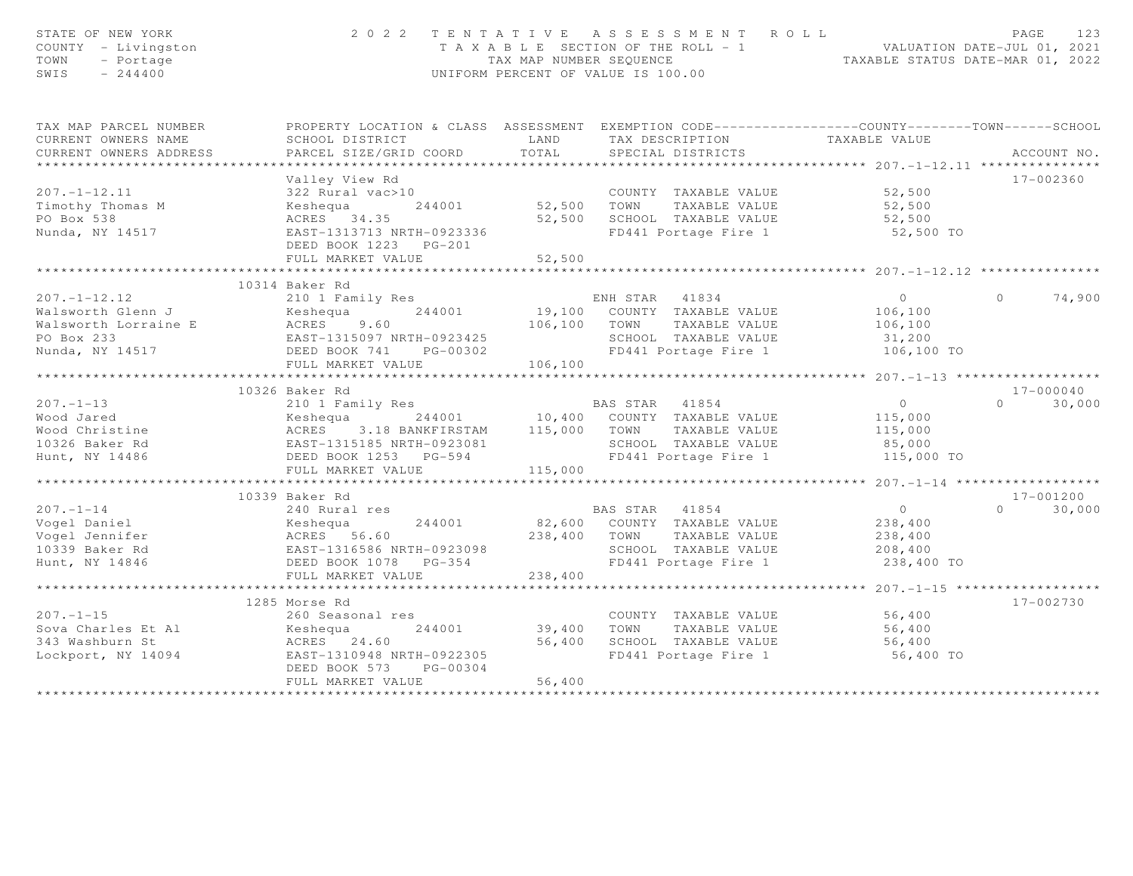| STATE OF NEW YORK<br>COUNTY - Livingston<br>TOWN<br>- Portage<br>SWIS<br>$-244400$ |                                          |              | 2022 TENTATIVE ASSESSMENT ROLL<br>T A X A B L E SECTION OF THE ROLL - 1 VALUATION DATE-JUL 01, 2021<br>TAX MAP NUMBER SEQUENCE TAXABLE STATUS DATE-MAR 01, 2022<br>UNIFORM PERCENT OF VALUE IS 100.00 |                                              | PAGE<br>123        |
|------------------------------------------------------------------------------------|------------------------------------------|--------------|-------------------------------------------------------------------------------------------------------------------------------------------------------------------------------------------------------|----------------------------------------------|--------------------|
| TAX MAP PARCEL NUMBER                                                              |                                          |              | PROPERTY LOCATION & CLASS ASSESSMENT EXEMPTION CODE----------------COUNTY-------TOWN------SCHOOL                                                                                                      |                                              |                    |
| CURRENT OWNERS NAME                                                                | SCHOOL DISTRICT                          | LAND         | TAX DESCRIPTION                                                                                                                                                                                       | TAXABLE VALUE                                |                    |
| CURRENT OWNERS ADDRESS                                                             | PARCEL SIZE/GRID COORD                   | TOTAL        | SPECIAL DISTRICTS                                                                                                                                                                                     |                                              | ACCOUNT NO.        |
| **********************                                                             | ************************                 |              |                                                                                                                                                                                                       |                                              |                    |
|                                                                                    | Valley View Rd                           |              |                                                                                                                                                                                                       |                                              | 17-002360          |
| $207. - 1 - 12.11$                                                                 | 322 Rural vac>10                         |              | COUNTY TAXABLE VALUE                                                                                                                                                                                  | 52,500                                       |                    |
| Timothy Thomas M                                                                   | Keshequa<br>244001                       | 52,500 TOWN  | TAXABLE VALUE                                                                                                                                                                                         | 52,500                                       |                    |
| PO Box 538<br>Nunda, NY 14517                                                      | ACRES 34.35<br>EAST-1313713 NRTH-0923336 | 52,500       | SCHOOL TAXABLE VALUE<br>FD441 Portage Fire 1                                                                                                                                                          | 52,500                                       |                    |
|                                                                                    | DEED BOOK 1223 PG-201                    |              |                                                                                                                                                                                                       | 52,500 TO                                    |                    |
|                                                                                    | FULL MARKET VALUE                        | 52,500       |                                                                                                                                                                                                       |                                              |                    |
|                                                                                    |                                          |              |                                                                                                                                                                                                       |                                              |                    |
|                                                                                    | 10314 Baker Rd                           |              |                                                                                                                                                                                                       |                                              |                    |
| $207. - 1 - 12.12$                                                                 | 210 1 Family Res                         |              | ENH STAR 41834                                                                                                                                                                                        | $\overline{O}$                               | $\Omega$<br>74,900 |
| Walsworth Glenn J                                                                  | 244001<br>Keshequa                       |              | 19,100 COUNTY TAXABLE VALUE                                                                                                                                                                           | 106,100                                      |                    |
| Walsworth Lorraine E                                                               | ACRES 9.60                               |              | 106,100 TOWN TAXABLE VALUE                                                                                                                                                                            | 106,100                                      |                    |
| PO Box 233                                                                         | EAST-1315097 NRTH-0923425                |              |                                                                                                                                                                                                       | 31,200                                       |                    |
| Nunda, NY 14517                                                                    | DEED BOOK 741 PG-00302                   |              | SCHOOL TAXABLE VALUE<br>FD441 Portage Fire 1                                                                                                                                                          | 106,100 TO                                   |                    |
|                                                                                    | FULL MARKET VALUE                        | 106,100      |                                                                                                                                                                                                       |                                              |                    |
|                                                                                    |                                          |              |                                                                                                                                                                                                       |                                              |                    |
|                                                                                    | 10326 Baker Rd                           |              |                                                                                                                                                                                                       |                                              | $17 - 000040$      |
| $207. - 1 - 13$                                                                    | 210 1 Family Res                         |              | BAS STAR 41854                                                                                                                                                                                        | $\overline{0}$                               | 30,000<br>$\Omega$ |
| Wood Jared                                                                         | Keshequa                                 |              | 244001 10,400 COUNTY TAXABLE VALUE                                                                                                                                                                    | 115,000                                      |                    |
| Wood Christine                                                                     |                                          | 115,000 TOWN | TAXABLE VALUE                                                                                                                                                                                         | 115,000                                      |                    |
| 10326 Baker Rd<br>Hunt, NY 14486                                                   | DEED BOOK 1253 PG-594                    |              | SCHOOL TAXABLE VALUE<br>FD441 Portage Fire 1                                                                                                                                                          | 85,000<br>115,000 TO                         |                    |
|                                                                                    | FULL MARKET VALUE                        | 115,000      |                                                                                                                                                                                                       |                                              |                    |
|                                                                                    | *************************                |              |                                                                                                                                                                                                       | ************* 207. -1-14 ******************* |                    |
|                                                                                    | 10339 Baker Rd                           |              |                                                                                                                                                                                                       |                                              | 17-001200          |
| $207. - 1 - 14$                                                                    | 240 Rural res                            |              | BAS STAR 41854                                                                                                                                                                                        | $\overline{0}$                               | $\Omega$<br>30,000 |
| Vogel Daniel                                                                       | Keshequa<br>244001                       |              | 82,600 COUNTY TAXABLE VALUE                                                                                                                                                                           | 238,400                                      |                    |
| ves:<br>Vogel Jennifer                                                             | ACRES 56.60                              | 238,400      | TOWN<br>TAXABLE VALUE                                                                                                                                                                                 | 238,400                                      |                    |
| 10339 Baker Rd                                                                     | EAST-1316586 NRTH-0923098                |              | SCHOOL TAXABLE VALUE                                                                                                                                                                                  | 208,400                                      |                    |
| Hunt, NY 14846                                                                     | DEED BOOK 1078    PG-354                 |              | FD441 Portage Fire 1                                                                                                                                                                                  | 238,400 TO                                   |                    |
|                                                                                    | FULL MARKET VALUE                        | 238,400      |                                                                                                                                                                                                       |                                              |                    |
|                                                                                    | ************************                 |              |                                                                                                                                                                                                       | ************* 207. -1-15 ******************* |                    |
|                                                                                    | 1285 Morse Rd                            |              |                                                                                                                                                                                                       |                                              | 17-002730          |
| $207. - 1 - 15$                                                                    | 260 Seasonal res                         |              | COUNTY TAXABLE VALUE                                                                                                                                                                                  | 56,400                                       |                    |
| Sova Charles Et Al                                                                 | 244001<br>Keshequa                       | 39,400       | TOWN<br>TAXABLE VALUE                                                                                                                                                                                 | 56,400                                       |                    |
| 343 Washburn St<br>Lockport, NY 14094                                              | ACRES 24.60<br>EAST-1310948 NRTH-0922305 | 56,400       | SCHOOL TAXABLE VALUE<br>FD441 Portage Fire 1                                                                                                                                                          | 56,400<br>56,400 TO                          |                    |
|                                                                                    | DEED BOOK 573<br>PG-00304                |              |                                                                                                                                                                                                       |                                              |                    |
|                                                                                    | FULL MARKET VALUE                        | 56,400       |                                                                                                                                                                                                       |                                              |                    |
|                                                                                    |                                          |              |                                                                                                                                                                                                       |                                              |                    |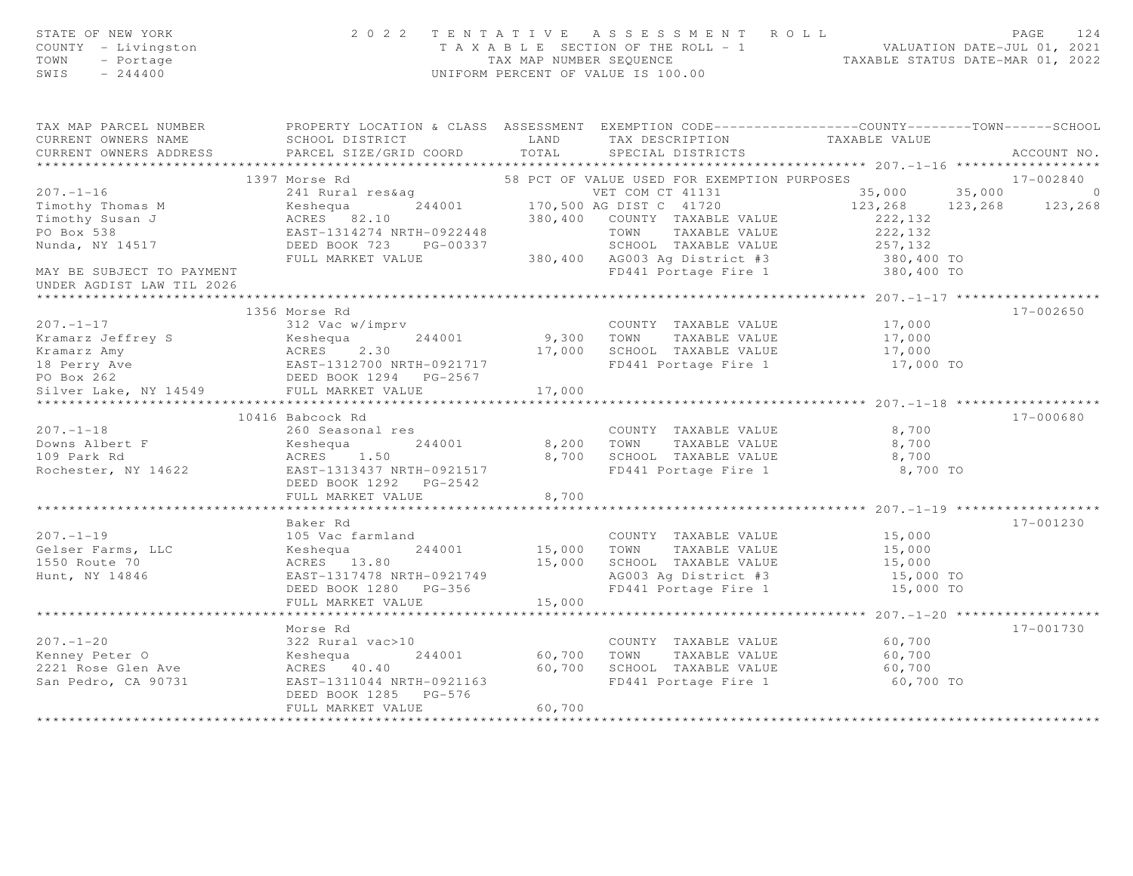| STATE OF NEW YORK<br>COUNTY - Livingston<br>TOWN<br>- Portage<br>SWIS<br>$-244400$                                                           |                                                                                                                                               | UNIFORM PERCENT OF VALUE IS 100.00 | 2022 TENTATIVE ASSESSMENT ROLL<br>T A X A B L E SECTION OF THE ROLL - 1 WALUATION DATE-JUL 01, 2021<br>TAX MAP NUMBER SEQUENCE TAXABLE STATUS DATE-MAR 01, 2022 |                                                | PAGE<br>124          |
|----------------------------------------------------------------------------------------------------------------------------------------------|-----------------------------------------------------------------------------------------------------------------------------------------------|------------------------------------|-----------------------------------------------------------------------------------------------------------------------------------------------------------------|------------------------------------------------|----------------------|
| TAX MAP PARCEL NUMBER FROPERTY LOCATION & CLASS ASSESSMENT EXEMPTION CODE---------------COUNTY-------TOWN------SCHOOL<br>CURRENT OWNERS NAME | SCHOOL DISTRICT<br>LAND                                                                                                                       |                                    | TAX DESCRIPTION TAXABLE VALUE                                                                                                                                   |                                                |                      |
| CURRENT OWNERS ADDRESS                                                                                                                       | PARCEL SIZE/GRID COORD                                                                                                                        | TOTAL                              | SPECIAL DISTRICTS                                                                                                                                               |                                                | ACCOUNT NO.          |
|                                                                                                                                              |                                                                                                                                               |                                    |                                                                                                                                                                 |                                                |                      |
| $207. - 1 - 16$                                                                                                                              | 1397 Morse Rd                                                                                                                                 |                                    | 58 PCT OF VALUE USED FOR EXEMPTION PURPOSES                                                                                                                     |                                                | 17-002840<br>$\circ$ |
|                                                                                                                                              | 241 Rural res&ag                                                                                                                              |                                    | VET COM CT 41131                                                                                                                                                | 35,000 35,000<br>123, 268 123, 268             |                      |
| Timothy Thomas M<br>Timothy Susan J                                                                                                          | Example 170,500 AG DIST C 41720<br>ACRES 82.10 380,400 COUNTY TAXABLE VALUE                                                                   |                                    | 380,400 COUNTY TAXABLE VALUE                                                                                                                                    | 222, 132                                       | 123,268              |
| PO Box 538                                                                                                                                   |                                                                                                                                               |                                    |                                                                                                                                                                 | 222,132                                        |                      |
| Nunda, NY 14517                                                                                                                              | EAST-1314274 NRTH-0922448 TOWN TAXABLE VALUE<br>DEED BOOK 723 PG-00337 SCHOOL TAXABLE VALUE<br>FULL MARKET VALUE 380,400 AG003 Ag District #3 |                                    | SCHOOL TAXABLE VALUE                                                                                                                                            | 257,132                                        |                      |
|                                                                                                                                              |                                                                                                                                               |                                    |                                                                                                                                                                 | 380,400 TO                                     |                      |
| MAY BE SUBJECT TO PAYMENT<br>UNDER AGDIST LAW TIL 2026                                                                                       |                                                                                                                                               |                                    | FD441 Portage Fire 1                                                                                                                                            | 380,400 TO                                     |                      |
| ******************                                                                                                                           |                                                                                                                                               |                                    |                                                                                                                                                                 | **************** 207.-1-17 ******************* |                      |
|                                                                                                                                              | 1356 Morse Rd                                                                                                                                 |                                    |                                                                                                                                                                 |                                                | 17-002650            |
| $207. -1 - 17$                                                                                                                               | 312 Vac w/imprv                                                                                                                               |                                    | COUNTY TAXABLE VALUE                                                                                                                                            | 17,000                                         |                      |
| Kramarz Jeffrey S                                                                                                                            |                                                                                                                                               | 9,300 TOWN                         | TAXABLE VALUE                                                                                                                                                   | 17,000                                         |                      |
| Kramarz Amy                                                                                                                                  |                                                                                                                                               |                                    | 17,000 SCHOOL TAXABLE VALUE                                                                                                                                     | 17,000                                         |                      |
| 18 Perry Ave                                                                                                                                 |                                                                                                                                               |                                    | FD441 Portage Fire 1                                                                                                                                            | 17,000 TO                                      |                      |
| PO Box 262                                                                                                                                   |                                                                                                                                               |                                    |                                                                                                                                                                 |                                                |                      |
| Silver Lake, NY 14549                                                                                                                        | FULL MARKET VALUE                                                                                                                             | 17,000                             |                                                                                                                                                                 |                                                |                      |
|                                                                                                                                              |                                                                                                                                               |                                    |                                                                                                                                                                 |                                                |                      |
| $207. - 1 - 18$                                                                                                                              | 10416 Babcock Rd                                                                                                                              |                                    |                                                                                                                                                                 |                                                | 17-000680            |
| Downs Albert F                                                                                                                               | 260 Seasonal res<br>Keshequa<br>244001                                                                                                        | 8,200 TOWN                         | COUNTY TAXABLE VALUE<br>TAXABLE VALUE                                                                                                                           | 8,700<br>8,700                                 |                      |
| 109 Park Rd                                                                                                                                  |                                                                                                                                               |                                    | 8,700 SCHOOL TAXABLE VALUE                                                                                                                                      | 8,700                                          |                      |
| Rochester, NY 14622                                                                                                                          | ACRES 1.50<br>EAST-1313437 NRTH-0921517                                                                                                       |                                    | FD441 Portage Fire 1                                                                                                                                            | 8,700 TO                                       |                      |
|                                                                                                                                              |                                                                                                                                               |                                    |                                                                                                                                                                 |                                                |                      |
|                                                                                                                                              | FULL MARKET VALUE                                                                                                                             | 8,700                              |                                                                                                                                                                 |                                                |                      |
|                                                                                                                                              |                                                                                                                                               |                                    |                                                                                                                                                                 |                                                |                      |
|                                                                                                                                              | Baker Rd                                                                                                                                      |                                    |                                                                                                                                                                 |                                                | 17-001230            |
| $207. - 1 - 19$                                                                                                                              | 105 Vac farmland                                                                                                                              |                                    | COUNTY TAXABLE VALUE                                                                                                                                            | 15,000                                         |                      |
| Gelser Farms, LLC                                                                                                                            | Keshequa<br>244001                                                                                                                            |                                    | 15,000 TOWN TAXABLE VALUE                                                                                                                                       | 15,000                                         |                      |
| 1550 Route 70                                                                                                                                | ACRES 13.80                                                                                                                                   |                                    | 15,000 SCHOOL TAXABLE VALUE                                                                                                                                     | 15,000                                         |                      |
| Hunt, NY 14846                                                                                                                               | EAST-1317478 NRTH-0921749<br>DEED BOOK 1280 PG-356                                                                                            |                                    | AG003 Ag District #3<br>FD441 Portage Fire 1                                                                                                                    | 15,000 TO                                      |                      |
|                                                                                                                                              | FULL MARKET VALUE                                                                                                                             | 15,000                             |                                                                                                                                                                 | 15,000 TO                                      |                      |
|                                                                                                                                              | *******************                                                                                                                           |                                    |                                                                                                                                                                 | ********** 207.-1-20 ****************          |                      |
|                                                                                                                                              | Morse Rd                                                                                                                                      |                                    |                                                                                                                                                                 |                                                | 17-001730            |
| $207 - 1 - 20$                                                                                                                               | 322 Rural vac>10                                                                                                                              |                                    | COUNTY TAXABLE VALUE                                                                                                                                            | 60,700                                         |                      |
| Kenney Peter O                                                                                                                               | Keshequa<br>244001                                                                                                                            | 60,700 TOWN                        | TAXABLE VALUE                                                                                                                                                   | 60,700                                         |                      |
| 2221 Rose Glen Ave                                                                                                                           | ACRES 40.40                                                                                                                                   | 60,700                             | SCHOOL TAXABLE VALUE                                                                                                                                            | 60,700                                         |                      |
| San Pedro, CA 90731                                                                                                                          | EAST-1311044 NRTH-0921163                                                                                                                     |                                    | FD441 Portage Fire 1                                                                                                                                            | 60,700 TO                                      |                      |
|                                                                                                                                              | DEED BOOK 1285 PG-576                                                                                                                         |                                    |                                                                                                                                                                 |                                                |                      |
|                                                                                                                                              | FULL MARKET VALUE                                                                                                                             | 60,700                             |                                                                                                                                                                 |                                                |                      |
|                                                                                                                                              |                                                                                                                                               |                                    |                                                                                                                                                                 |                                                |                      |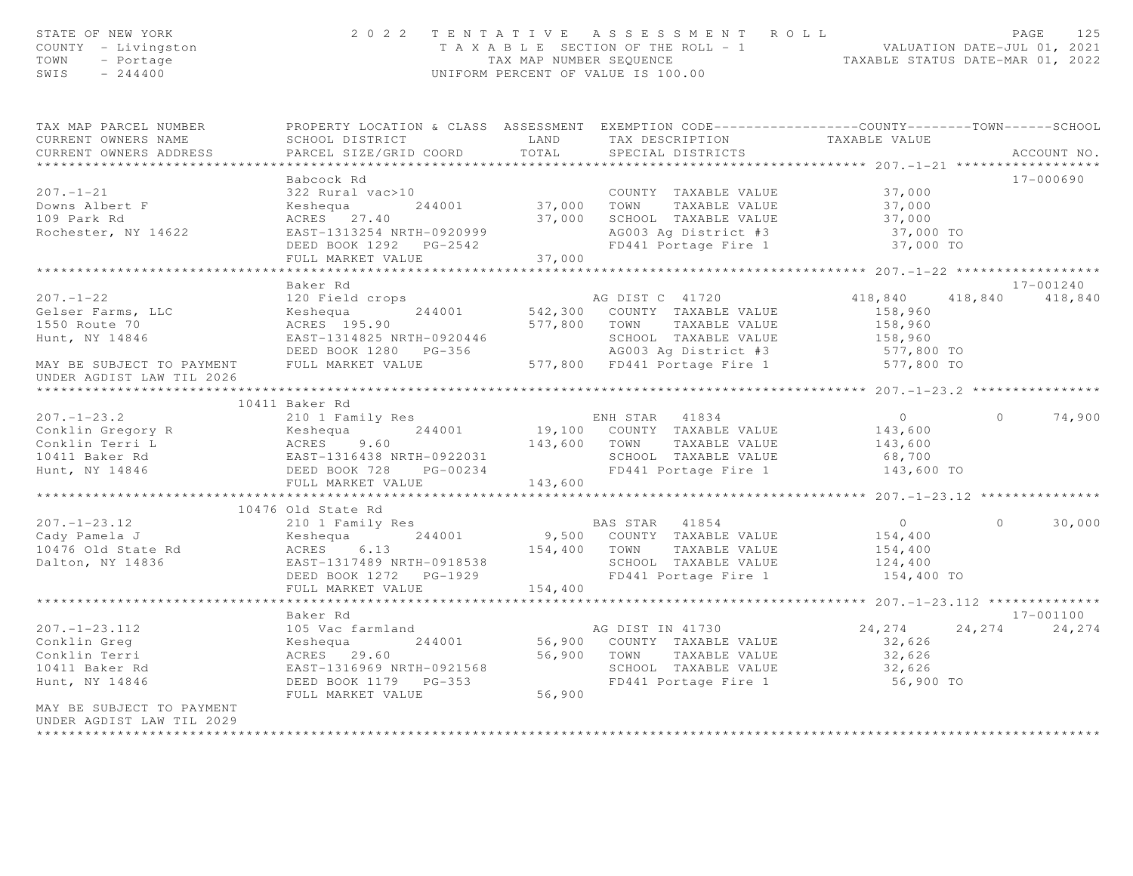| STATE OF NEW YORK<br>COUNTY - Livingston<br>TOWN<br>- Portage<br>SWIS<br>$-244400$                                                                                                                                    |                                                                                                                                                     |         | 2022 TENTATIVE ASSESSMENT ROLL<br>T A X A B L E SECTION OF THE ROLL - 1<br>TAX MAP NUMBER SEQUENCE TAXABLE STATUS DATE-MAR 01, 2022<br>UNIFORM PERCENT OF VALUE IS 100.00 |                                                                                        |          | PAGE<br>125         |
|-----------------------------------------------------------------------------------------------------------------------------------------------------------------------------------------------------------------------|-----------------------------------------------------------------------------------------------------------------------------------------------------|---------|---------------------------------------------------------------------------------------------------------------------------------------------------------------------------|----------------------------------------------------------------------------------------|----------|---------------------|
| TAX MAP PARCEL NUMBER<br>CURRENT OWNERS NAME<br>CURRENT OWNERS ADDRESS                                                                                                                                                | PROPERTY LOCATION & CLASS ASSESSMENT EXEMPTION CODE-----------------COUNTY-------TOWN------SCHOOL<br>SCHOOL DISTRICT LAND<br>PARCEL SIZE/GRID COORD | TOTAL   | TAX DESCRIPTION<br>SPECIAL DISTRICTS                                                                                                                                      | TAXABLE VALUE                                                                          |          | ACCOUNT NO.         |
| $207 - 1 - 21$<br>Downs Albert F<br>109 Park Rd<br>109 Park Rd<br>Rochester, NY 14622                                                                                                                                 | Babcock Rd<br>322 Rural vac>10<br>244001<br>Keshequa<br>ACRES 27.40<br>EAST-1313254 NRTH-0920999<br>DEED BOOK 1292 PG-2542<br>FULL MARKET VALUE     |         | COUNTY TAXABLE VALUE<br>TAXABLE VALUE<br>37,000 SCHOOL TAXABLE VALUE<br>AG003 Ag District #3<br>FD441 Portage Fire 1 37,000 TO                                            | 37,000<br>37,000<br>37,000<br>37,000 TO                                                |          | 17-000690           |
|                                                                                                                                                                                                                       |                                                                                                                                                     |         |                                                                                                                                                                           |                                                                                        |          |                     |
| $207. - 1 - 22$<br>Gelser Farms, LLC<br>1550 Route 70<br>Hunt, NY 14846<br>MAY BE SUBJECT TO PAYMENT FULL MARKET VALUE<br>UNDER AGDIST LAW TIL 2026                                                                   | Baker Rd<br>120 Field crops<br>244001<br>Keshequa<br>ACRES 195.90<br>EAST-1314825 NRTH-0920446<br>DEED BOOK 1280 PG-356                             |         | AG DIST C 41720<br>542,300 COUNTY TAXABLE VALUE<br>577,800 TOWN TAXABLE VALUE<br>SCHOOL TAXABLE VALUE<br>AG003 Ag District #3<br>577,800 FD441 Portage Fire 1             | 418,840 418,840 418,840<br>158,960<br>158,960<br>158,960<br>$577,800$ TO<br>577,800 TO |          | 17-001240           |
|                                                                                                                                                                                                                       |                                                                                                                                                     |         |                                                                                                                                                                           |                                                                                        |          |                     |
| $207. - 1 - 23.2$<br>207.-1-23.2<br>Conklin Gregory R<br>Conklin Terri L<br>10411 Baker Rd<br>10411 Baker Rd<br>EAST-1316438 NRTH-0922031<br>EAST-1316438 NRTH-0922031<br>EAST-1316438 NRTH-0922031<br>Hunt, NY 14846 | 10411 Baker Rd<br>210 1 Family Res<br>DEED BOOK 728 PG-00234                                                                                        |         | ENH STAR 41834<br>19,100 COUNTY TAXABLE VALUE<br>143,600 TOWN TAXABLE VALUE<br>SCHOOL TAXABLE VALUE<br>FD441 Portage Fire 1                                               | $0 \qquad \qquad$<br>143,600<br>143,600<br>68,700<br>143,600 TO                        | $\Omega$ | 74,900              |
|                                                                                                                                                                                                                       | FULL MARKET VALUE                                                                                                                                   | 143,600 |                                                                                                                                                                           |                                                                                        |          |                     |
|                                                                                                                                                                                                                       |                                                                                                                                                     |         |                                                                                                                                                                           |                                                                                        |          |                     |
| $207. - 1 - 23.12$<br>Cady Pamela J<br>10476 Old State Rd<br>Dalton, NY 14836                                                                                                                                         | 10476 Old State Rd<br>210 1 Family Res<br>244001<br>Keshequa<br>EAST-1317489 NRTH-0918538<br>DEED BOOK 1272    PG-1929<br>FULL MARKET VALUE         | 154,400 | BAS STAR 41854<br>9,500 COUNTY TAXABLE VALUE<br>154,400 TOWN TAXABLE VALUE<br>SCHOOL TAXABLE VALUE<br>FD441 Portage Fire 1                                                | $\overline{0}$<br>154,400<br>154,400<br>124, 400<br>154,400 TO                         | $\Omega$ | 30,000              |
|                                                                                                                                                                                                                       | **********************                                                                                                                              |         |                                                                                                                                                                           | ************** 207. -1-23. 112 ***************                                         |          |                     |
| $207. - 1 - 23.112$<br>Conklin Greg<br>Conklin Terri<br>10411 Baker Rd<br>Hunt, NY 14846<br>MAY BE SUBJECT TO PAYMENT                                                                                                 | Baker Rd<br>105 Vac farmland<br>244001<br>Keshequa<br>ACRES 29.60<br>EAST-1316969 NRTH-0921568<br>DEED BOOK 1179    PG-353<br>FULL MARKET VALUE     | 56,900  | AG DIST IN 41730<br>56,900 COUNTY TAXABLE VALUE<br>56,900 TOWN TAXABLE VALUE<br>SCHOOL TAXABLE VALUE<br>FD441 Portage Fire 1                                              | 24, 274<br>32,626<br>32,626<br>32,626<br>56,900 TO                                     | 24, 274  | 17-001100<br>24,274 |
| UNDER AGDIST LAW TIL 2029<br>********************                                                                                                                                                                     |                                                                                                                                                     |         |                                                                                                                                                                           |                                                                                        |          |                     |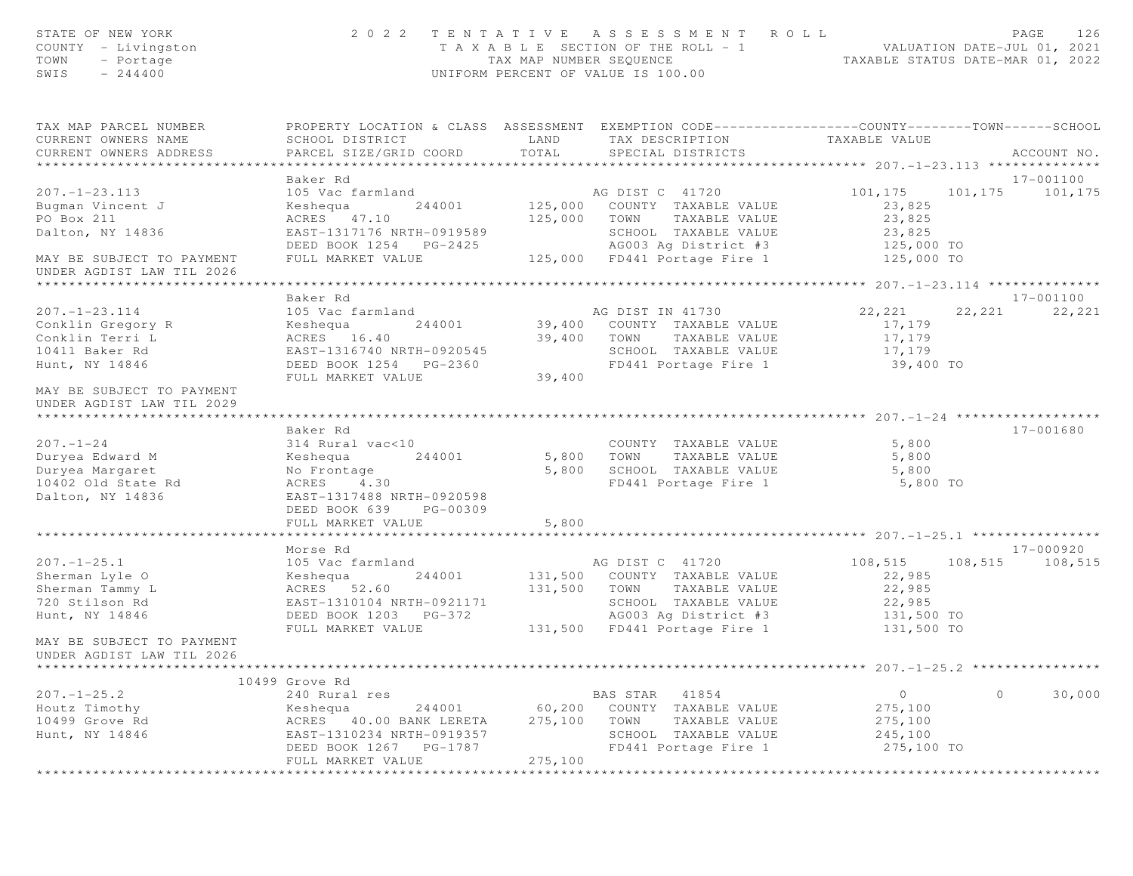| STATE OF NEW YORK<br>COUNTY - Livingston<br>TOWN<br>- Portage<br>SWIS<br>$-244400$ | 2 0 2 2                                       | TENTATIVE ASSESSMENT ROLL<br>T A X A B L E SECTION OF THE ROLL - 1<br>TAX MAP NUMBER SEQUENCE<br>UNIFORM PERCENT OF VALUE IS 100.00 |                    | PAGE<br>126<br>VALUATION DATE-JUL 01, 2021<br>TAXABLE STATUS DATE-MAR 01, 2022 |
|------------------------------------------------------------------------------------|-----------------------------------------------|-------------------------------------------------------------------------------------------------------------------------------------|--------------------|--------------------------------------------------------------------------------|
| TAX MAP PARCEL NUMBER<br>CURRENT OWNERS NAME                                       | SCHOOL DISTRICT                               | PROPERTY LOCATION & CLASS ASSESSMENT EXEMPTION CODE---------------COUNTY-------TOWN------SCHOOL<br>LAND<br>TAX DESCRIPTION          | TAXABLE VALUE      |                                                                                |
| CURRENT OWNERS ADDRESS<br>******************************                           | PARCEL SIZE/GRID COORD                        | TOTAL<br>SPECIAL DISTRICTS                                                                                                          |                    | ACCOUNT NO.                                                                    |
|                                                                                    | Baker Rd                                      |                                                                                                                                     |                    | 17-001100                                                                      |
| $207. - 1 - 23.113$                                                                | 105 Vac farmland                              | AG DIST C 41720                                                                                                                     | 101,175            | 101,175<br>101,175                                                             |
| Bugman Vincent J                                                                   | Keshequa<br>244001                            | 125,000<br>COUNTY TAXABLE VALUE                                                                                                     | 23,825             |                                                                                |
| PO Box 211                                                                         | ACRES 47.10                                   | 125,000<br>TAXABLE VALUE<br>TOWN                                                                                                    | 23,825             |                                                                                |
| Dalton, NY 14836                                                                   | EAST-1317176 NRTH-0919589                     | SCHOOL TAXABLE VALUE                                                                                                                | 23,825             |                                                                                |
|                                                                                    | DEED BOOK 1254 PG-2425                        | AG003 Ag District #3                                                                                                                | 125,000 TO         |                                                                                |
| MAY BE SUBJECT TO PAYMENT                                                          | FULL MARKET VALUE                             | 125,000 FD441 Portage Fire 1                                                                                                        | 125,000 TO         |                                                                                |
| UNDER AGDIST LAW TIL 2026                                                          |                                               |                                                                                                                                     |                    |                                                                                |
|                                                                                    | Baker Rd                                      |                                                                                                                                     |                    | 17-001100                                                                      |
| $207. - 1 - 23.114$                                                                | 105 Vac farmland                              | AG DIST IN 41730                                                                                                                    | 22,221             | 22,221<br>22,221                                                               |
| Conklin Gregory R                                                                  | Keshequa<br>244001                            | COUNTY TAXABLE VALUE<br>39,400                                                                                                      | 17,179             |                                                                                |
| Conklin Terri L                                                                    | ACRES 16.40                                   | 39,400<br>TOWN<br>TAXABLE VALUE                                                                                                     | 17,179             |                                                                                |
| 10411 Baker Rd                                                                     | EAST-1316740 NRTH-0920545                     | SCHOOL TAXABLE VALUE                                                                                                                | 17,179             |                                                                                |
| Hunt, NY 14846                                                                     | DEED BOOK 1254 PG-2360                        | FD441 Portage Fire 1                                                                                                                | 39,400 TO          |                                                                                |
|                                                                                    | FULL MARKET VALUE                             | 39,400                                                                                                                              |                    |                                                                                |
| MAY BE SUBJECT TO PAYMENT<br>UNDER AGDIST LAW TIL 2029                             |                                               |                                                                                                                                     |                    |                                                                                |
|                                                                                    | Baker Rd                                      |                                                                                                                                     |                    | 17-001680                                                                      |
| $207. - 1 - 24$                                                                    | 314 Rural vac<10                              | COUNTY TAXABLE VALUE                                                                                                                | 5,800              |                                                                                |
| Duryea Edward M                                                                    | Keshequa<br>244001                            | 5,800<br>TAXABLE VALUE<br>TOWN                                                                                                      | 5,800              |                                                                                |
| Duryea Margaret                                                                    | No Frontage                                   | 5,800<br>SCHOOL TAXABLE VALUE                                                                                                       | 5,800              |                                                                                |
| 10402 Old State Rd                                                                 | ACRES<br>4.30                                 | FD441 Portage Fire 1                                                                                                                | 5,800 TO           |                                                                                |
| Dalton, NY 14836                                                                   | EAST-1317488 NRTH-0920598                     |                                                                                                                                     |                    |                                                                                |
|                                                                                    | DEED BOOK 639<br>PG-00309                     |                                                                                                                                     |                    |                                                                                |
|                                                                                    | FULL MARKET VALUE                             | 5,800                                                                                                                               |                    |                                                                                |
|                                                                                    | *******************                           |                                                                                                                                     |                    |                                                                                |
|                                                                                    | Morse Rd                                      |                                                                                                                                     |                    | 17-000920                                                                      |
| $207. - 1 - 25.1$<br>Sherman Lyle O                                                | 105 Vac farmland<br>Keshequa<br>244001        | AG DIST C 41720<br>131,500<br>COUNTY TAXABLE VALUE                                                                                  | 108,515<br>22,985  | 108,515<br>108,515                                                             |
| Sherman Tammy L                                                                    | ACRES 52.60                                   | 131,500<br>TOWN<br>TAXABLE VALUE                                                                                                    | 22,985             |                                                                                |
| 720 Stilson Rd                                                                     | EAST-1310104 NRTH-0921171                     | SCHOOL TAXABLE VALUE                                                                                                                | 22,985             |                                                                                |
| Hunt, NY 14846                                                                     | DEED BOOK 1203 PG-372                         | AG003 Ag District #3                                                                                                                | 131,500 TO         |                                                                                |
|                                                                                    | FULL MARKET VALUE                             | 131,500 FD441 Portage Fire 1                                                                                                        | 131,500 TO         |                                                                                |
| MAY BE SUBJECT TO PAYMENT<br>UNDER AGDIST LAW TIL 2026                             |                                               |                                                                                                                                     |                    |                                                                                |
|                                                                                    |                                               |                                                                                                                                     |                    |                                                                                |
|                                                                                    | 10499 Grove Rd                                |                                                                                                                                     |                    |                                                                                |
| $207. - 1 - 25.2$                                                                  | 240 Rural res                                 | BAS STAR 41854                                                                                                                      | $\circ$            | $\circ$<br>30,000                                                              |
| Houtz Timothy<br>10499 Grove Rd                                                    | Keshequa<br>244001<br>ACRES 40.00 BANK LERETA | 60,200<br>COUNTY TAXABLE VALUE<br>275,100<br>TOWN                                                                                   | 275,100<br>275,100 |                                                                                |
| Hunt, NY 14846                                                                     | EAST-1310234 NRTH-0919357                     | TAXABLE VALUE<br>SCHOOL TAXABLE VALUE                                                                                               | 245,100            |                                                                                |
|                                                                                    | DEED BOOK 1267 PG-1787                        | FD441 Portage Fire 1                                                                                                                | 275,100 TO         |                                                                                |
|                                                                                    | FULL MARKET VALUE                             | 275,100                                                                                                                             |                    |                                                                                |
|                                                                                    | *******************************               | *********************************                                                                                                   |                    |                                                                                |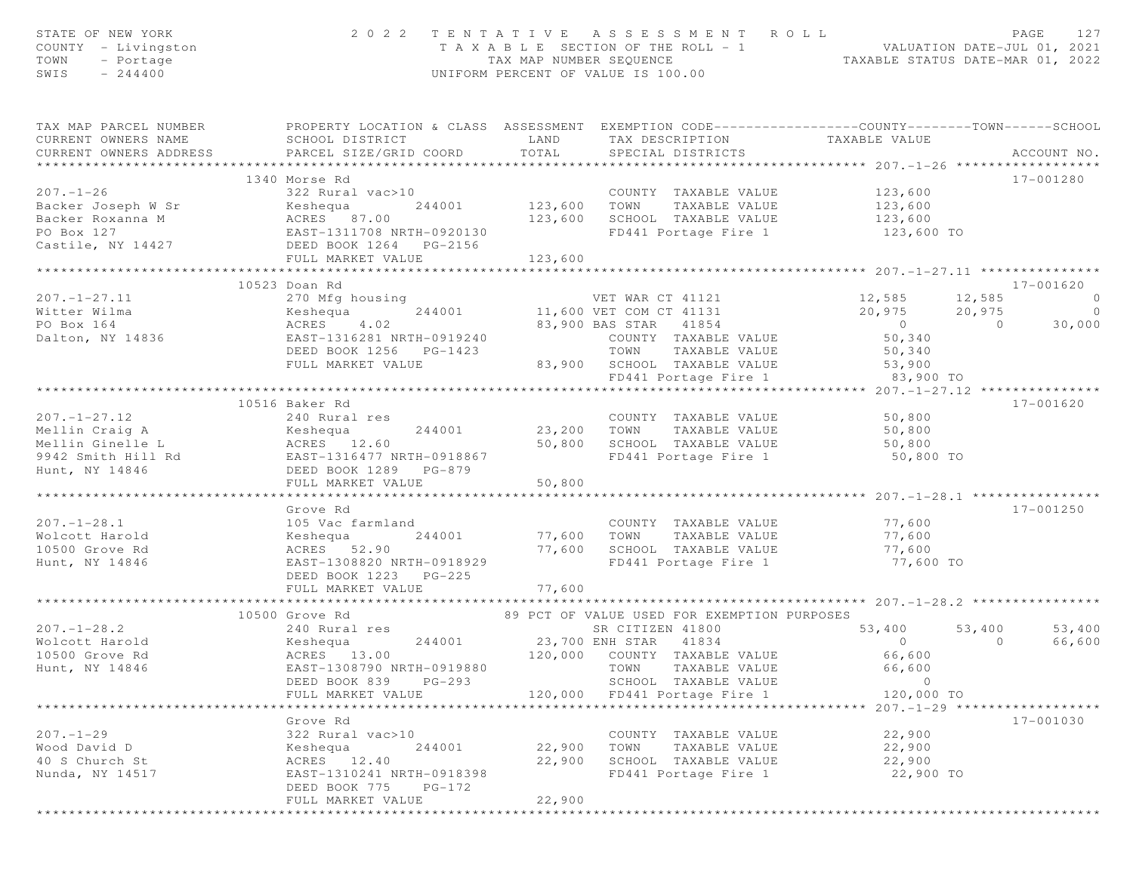| STATE OF NEW YORK<br>COUNTY - Livingston<br>- Portage<br>TOWN<br>SWIS<br>$-244400$ |                                                                                                                                               |                                     | 2022 TENTATIVE ASSESSMENT ROLL<br>T A X A B L E SECTION OF THE ROLL - 1 VALUATION DATE-JUL 01, 2021<br>TAX MAP NUMBER SEQUENCE TAXABLE STATUS DATE-MAR 01, 2022<br>UNIFORM PERCENT OF VALUE IS 100.00 |                                                        |          | PAGE<br>127                        |
|------------------------------------------------------------------------------------|-----------------------------------------------------------------------------------------------------------------------------------------------|-------------------------------------|-------------------------------------------------------------------------------------------------------------------------------------------------------------------------------------------------------|--------------------------------------------------------|----------|------------------------------------|
| TAX MAP PARCEL NUMBER<br>CURRENT OWNERS NAME<br>CURRENT OWNERS ADDRESS             | PROPERTY LOCATION & CLASS ASSESSMENT EXEMPTION CODE----------------COUNTY-------TOWN------SCHOOL<br>SCHOOL DISTRICT<br>PARCEL SIZE/GRID COORD | LAND<br>TOTAL                       | TAX DESCRIPTION<br>SPECIAL DISTRICTS                                                                                                                                                                  | TAXABLE VALUE                                          |          | ACCOUNT NO.                        |
|                                                                                    | 1340 Morse Rd                                                                                                                                 |                                     |                                                                                                                                                                                                       |                                                        |          | 17-001280                          |
| $207. - 1 - 26$                                                                    | 322 Rural vac>10                                                                                                                              |                                     | COUNTY TAXABLE VALUE                                                                                                                                                                                  | 123,600                                                |          |                                    |
| Backer Joseph W Sr                                                                 | 244001<br>Keshequa                                                                                                                            | COUNT<br>123,600      TOWN          | TAXABLE VALUE                                                                                                                                                                                         | 123,600                                                |          |                                    |
| Backer Roxanna M                                                                   |                                                                                                                                               | 123,600                             | SCHOOL TAXABLE VALUE                                                                                                                                                                                  | 123,600                                                |          |                                    |
| PO Box 127                                                                         | ACRES 87.00<br>EAST-1311708 NRTH-0920130                                                                                                      |                                     | FD441 Portage Fire 1                                                                                                                                                                                  | 123,600 TO                                             |          |                                    |
| Castile, NY 14427 DEED BOOK 1264 PG-2156                                           |                                                                                                                                               |                                     |                                                                                                                                                                                                       |                                                        |          |                                    |
|                                                                                    | FULL MARKET VALUE                                                                                                                             | 123,600                             |                                                                                                                                                                                                       |                                                        |          |                                    |
|                                                                                    | **************************                                                                                                                    | ***********                         |                                                                                                                                                                                                       |                                                        |          |                                    |
| $207. - 1 - 27.11$                                                                 | 10523 Doan Rd<br>270 Mfg housing                                                                                                              |                                     | VET WAR CT 41121                                                                                                                                                                                      | $12,585$ $12,585$                                      |          | 17-001620<br>$\overline{0}$        |
| Witter Wilma                                                                       | 244001<br>Keshequa                                                                                                                            |                                     | 11,600 VET COM CT 41131                                                                                                                                                                               | 20,975 20,975                                          |          | $\overline{0}$                     |
| PO Box 164                                                                         | ACRES 4.02                                                                                                                                    |                                     | 83,900 BAS STAR 41854                                                                                                                                                                                 | $\overline{0}$                                         | $\Omega$ | 30,000                             |
| Dalton, NY 14836                                                                   | EAST-1316281 NRTH-0919240                                                                                                                     |                                     | COUNTY TAXABLE VALUE                                                                                                                                                                                  | 50,340                                                 |          |                                    |
|                                                                                    | DEED BOOK 1256 PG-1423                                                                                                                        |                                     | TOWN<br>TAXABLE VALUE                                                                                                                                                                                 | 50, 340                                                |          |                                    |
|                                                                                    | FULL MARKET VALUE                                                                                                                             |                                     | 83,900 SCHOOL TAXABLE VALUE                                                                                                                                                                           | 53,900                                                 |          |                                    |
|                                                                                    |                                                                                                                                               |                                     | FD441 Portage Fire 1                                                                                                                                                                                  | 83,900 TO                                              |          |                                    |
|                                                                                    |                                                                                                                                               |                                     |                                                                                                                                                                                                       |                                                        |          |                                    |
|                                                                                    | 10516 Baker Rd                                                                                                                                |                                     |                                                                                                                                                                                                       |                                                        |          | 17-001620                          |
| $207. - 1 - 27.12$                                                                 | 240 Rural res                                                                                                                                 |                                     | COUNTY TAXABLE VALUE                                                                                                                                                                                  | 50,800                                                 |          |                                    |
| Mellin Craig A<br>Mellin Ginelle L                                                 |                                                                                                                                               |                                     | 23,200 TOWN<br>TAXABLE VALUE<br>50,800 SCHOOL TAXABLE VALUE                                                                                                                                           | 50,800                                                 |          |                                    |
| 9942 Smith Hill Rd                                                                 | EFF Nurur FCS<br>Keshequa 244001<br>ACRES 12.60<br>EAST-1316477 NRTH-0918867                                                                  |                                     | FD441 Portage Fire 1                                                                                                                                                                                  | 50,800<br>50,800 TO                                    |          |                                    |
| Hunt, NY 14846                                                                     | DEED BOOK 1289 PG-879                                                                                                                         |                                     |                                                                                                                                                                                                       |                                                        |          |                                    |
|                                                                                    | FULL MARKET VALUE                                                                                                                             | 50,800                              |                                                                                                                                                                                                       |                                                        |          |                                    |
|                                                                                    |                                                                                                                                               |                                     |                                                                                                                                                                                                       | ************************ 207. -1-28.1 **************** |          |                                    |
|                                                                                    | Grove Rd                                                                                                                                      |                                     |                                                                                                                                                                                                       |                                                        |          | 17-001250                          |
| $207. - 1 - 28.1$                                                                  | 105 Vac farmland                                                                                                                              |                                     | COUNTY TAXABLE VALUE                                                                                                                                                                                  | 77,600                                                 |          |                                    |
| Wolcott Harold                                                                     | 244001<br>Keshequa                                                                                                                            | 77,600                              | TOWN<br>TAXABLE VALUE                                                                                                                                                                                 | 77,600                                                 |          |                                    |
| 10500 Grove Rd                                                                     | ACRES 52.90                                                                                                                                   | 77,600                              | SCHOOL TAXABLE VALUE                                                                                                                                                                                  | 77,600                                                 |          |                                    |
| Hunt, NY 14846                                                                     | EAST-1308820 NRTH-0918929<br>DEED BOOK 1223 PG-225                                                                                            |                                     | FD441 Portage Fire 1                                                                                                                                                                                  | 77,600 TO                                              |          |                                    |
|                                                                                    | FULL MARKET VALUE<br>****************************                                                                                             | 77,600<br>* * * * * * * * * * * * * | **************************************207.-1-28.2 *****                                                                                                                                               |                                                        |          |                                    |
|                                                                                    | 10500 Grove Rd                                                                                                                                |                                     | 89 PCT OF VALUE USED FOR EXEMPTION PURPOSES                                                                                                                                                           |                                                        |          |                                    |
| $207. - 1 - 28.2$                                                                  | 240 Rural res                                                                                                                                 |                                     | SR CITIZEN 41800                                                                                                                                                                                      | 53,400                                                 | 53,400   | 53,400                             |
| Wolcott Harold                                                                     | 244001<br>Keshequa                                                                                                                            | 23,700 ENH STAR                     | 41834                                                                                                                                                                                                 | $\bigcirc$                                             | $\Omega$ | 66,600                             |
| 10500 Grove Rd                                                                     | ACRES 13.00                                                                                                                                   |                                     | 120,000 COUNTY TAXABLE VALUE                                                                                                                                                                          | 66,600                                                 |          |                                    |
| Hunt, NY 14846                                                                     | EAST-1308790 NRTH-0919880                                                                                                                     |                                     | TAXABLE VALUE<br>TOWN                                                                                                                                                                                 | 66,600                                                 |          |                                    |
|                                                                                    | DEED BOOK 839<br>$PG-293$                                                                                                                     |                                     | SCHOOL TAXABLE VALUE                                                                                                                                                                                  | $\circ$                                                |          |                                    |
|                                                                                    | FULL MARKET VALUE                                                                                                                             | 120,000                             | FD441 Portage Fire 1                                                                                                                                                                                  | 120,000 TO                                             |          |                                    |
|                                                                                    |                                                                                                                                               |                                     |                                                                                                                                                                                                       |                                                        |          | $207 - 1 - 29$ ******************* |
|                                                                                    | Grove Rd                                                                                                                                      |                                     |                                                                                                                                                                                                       |                                                        |          | 17-001030                          |
| $207. - 1 - 29$                                                                    | 322 Rural vac>10                                                                                                                              |                                     | COUNTY TAXABLE VALUE                                                                                                                                                                                  | 22,900                                                 |          |                                    |
| Wood David D                                                                       | Keshequa<br>244001                                                                                                                            | 22,900                              | TOWN<br>TAXABLE VALUE                                                                                                                                                                                 | 22,900                                                 |          |                                    |
| 40 S Church St                                                                     | ACRES 12.40                                                                                                                                   | 22,900                              | SCHOOL TAXABLE VALUE                                                                                                                                                                                  | 22,900                                                 |          |                                    |
| Nunda, NY 14517                                                                    | EAST-1310241 NRTH-0918398<br>DEED BOOK 775<br>PG-172                                                                                          |                                     | FD441 Portage Fire 1                                                                                                                                                                                  | 22,900 TO                                              |          |                                    |
|                                                                                    | FULL MARKET VALUE                                                                                                                             | 22,900                              |                                                                                                                                                                                                       |                                                        |          |                                    |
|                                                                                    | * * * * * * * * * * * * * * * * * *                                                                                                           | **********                          |                                                                                                                                                                                                       |                                                        |          |                                    |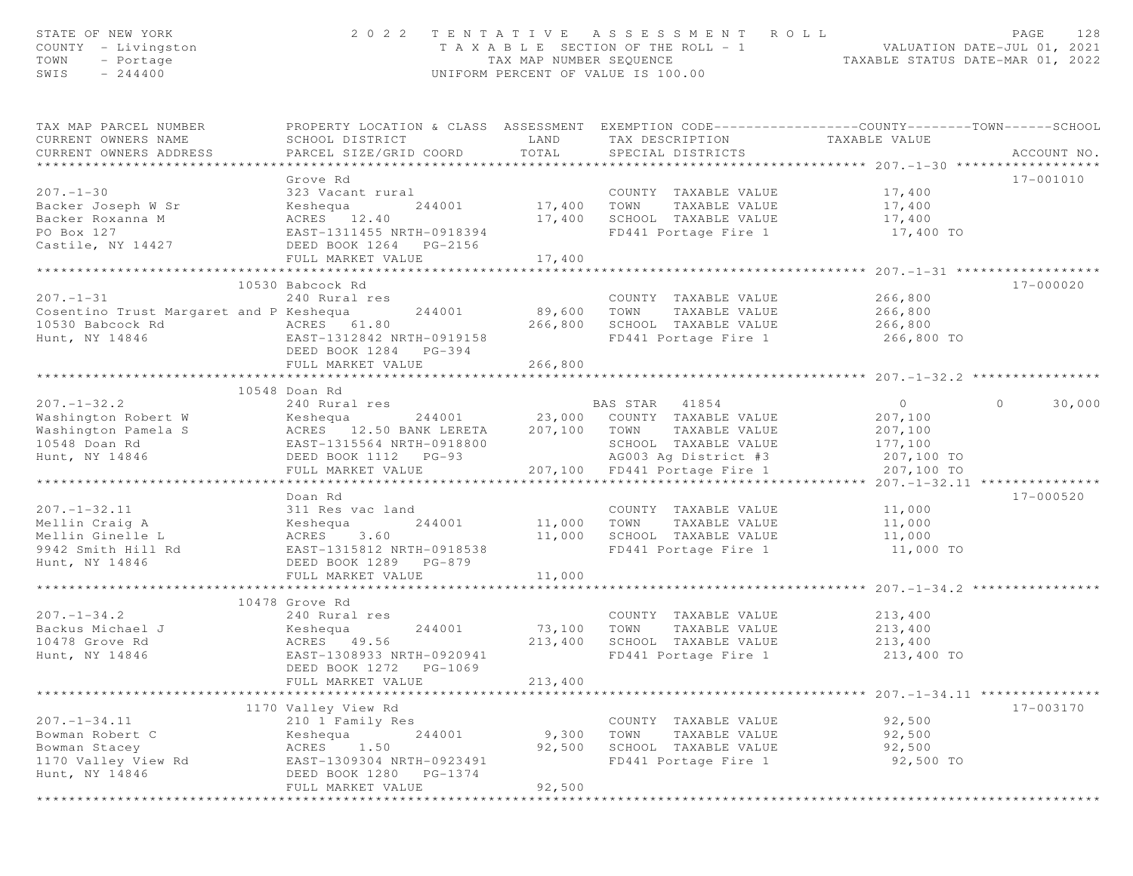| STATE OF NEW YORK<br>COUNTY - Livingston<br>TOWN<br>- Portage<br>SWIS<br>$-244400$                 |                                                                                                                                                               | TAX MAP NUMBER SEQUENCE<br>UNIFORM PERCENT OF VALUE IS 100.00 | 2022 TENTATIVE ASSESSMENT ROLL<br>T A X A B L E SECTION OF THE ROLL - 1                                                                                               | TAXABLE STATUS DATE-MAR 01, 2022                                            | PAGE<br>128<br>VALUATION DATE-JUL 01, 2021 |
|----------------------------------------------------------------------------------------------------|---------------------------------------------------------------------------------------------------------------------------------------------------------------|---------------------------------------------------------------|-----------------------------------------------------------------------------------------------------------------------------------------------------------------------|-----------------------------------------------------------------------------|--------------------------------------------|
| TAX MAP PARCEL NUMBER<br>CURRENT OWNERS NAME<br>CURRENT OWNERS ADDRESS                             | SCHOOL DISTRICT<br>PARCEL SIZE/GRID COORD                                                                                                                     | LAND<br>TOTAL                                                 | PROPERTY LOCATION & CLASS ASSESSMENT EXEMPTION CODE----------------COUNTY-------TOWN------SCHOOL<br>TAX DESCRIPTION<br>SPECIAL DISTRICTS                              | TAXABLE VALUE                                                               | ACCOUNT NO.                                |
| $207. - 1 - 30$<br>Backer Joseph W Sr<br>Backer Roxanna M<br>PO Box 127<br>Castile, NY 14427       | Grove Rd<br>323 Vacant rural<br>Keshequa<br>244001<br>ACRES 12.40<br>EAST-1311455 NRTH-0918394<br>DEED BOOK 1264 PG-2156<br>FULL MARKET VALUE                 | 17,400 TOWN<br>17,400                                         | COUNTY TAXABLE VALUE<br>TAXABLE VALUE<br>SCHOOL TAXABLE VALUE<br>FD441 Portage Fire 1                                                                                 | 17,400<br>17,400<br>17,400<br>17,400 TO                                     | 17-001010                                  |
|                                                                                                    |                                                                                                                                                               | 17,400                                                        |                                                                                                                                                                       |                                                                             |                                            |
| $207. - 1 - 31$<br>Cosentino Trust Margaret and P Keshequa<br>10530 Babcock Rd<br>Hunt, NY 14846   | 10530 Babcock Rd<br>240 Rural res<br>244001<br>ACRES 61.80<br>EAST-1312842 NRTH-0919158<br>DEED BOOK 1284 PG-394                                              | 89,600<br>266,800                                             | COUNTY TAXABLE VALUE<br>TAXABLE VALUE<br>TOWN<br>SCHOOL TAXABLE VALUE<br>FD441 Portage Fire 1                                                                         | 266,800<br>266,800<br>266,800<br>266,800 TO                                 | 17-000020                                  |
|                                                                                                    | FULL MARKET VALUE                                                                                                                                             | 266,800                                                       |                                                                                                                                                                       |                                                                             |                                            |
|                                                                                                    |                                                                                                                                                               |                                                               |                                                                                                                                                                       |                                                                             |                                            |
| $207. - 1 - 32.2$<br>Washington Robert W<br>Washington Pamela S<br>10548 Doan Rd<br>Hunt, NY 14846 | 10548 Doan Rd<br>240 Rural res<br>Keshequa<br>ACRES 12.50 BANK LERETA<br>EAST-1315564 NRTH-0918800<br>DEED BOOK 1112 PG-93<br>FULL MARKET VALUE               |                                                               | BAS STAR 41854<br>244001 23,000 COUNTY TAXABLE VALUE<br>207,100 TOWN<br>TAXABLE VALUE<br>SCHOOL TAXABLE VALUE<br>AG003 Ag District #3<br>207,100 FD441 Portage Fire 1 | $\overline{O}$<br>207,100<br>207,100<br>177,100<br>207,100 TO<br>207,100 TO | $\Omega$<br>30,000                         |
|                                                                                                    |                                                                                                                                                               |                                                               |                                                                                                                                                                       |                                                                             |                                            |
| $207. - 1 - 32.11$<br>Mellin Craig A<br>Mellin Ginelle L<br>9942 Smith Hill Rd<br>Hunt, NY 14846   | Doan Rd<br>311 Res vac land<br>Keshequa<br>244001<br>ACRES<br>3.60<br>EAST-1315812 NRTH-0918538<br>DEED BOOK 1289 PG-879<br>FULL MARKET VALUE                 | 11,000<br>11,000<br>11,000                                    | COUNTY TAXABLE VALUE<br>TOWN<br>TAXABLE VALUE<br>SCHOOL TAXABLE VALUE<br>FD441 Portage Fire 1                                                                         | 11,000<br>11,000<br>11,000<br>11,000 TO                                     | 17-000520                                  |
|                                                                                                    |                                                                                                                                                               |                                                               |                                                                                                                                                                       |                                                                             |                                            |
| $207. - 1 - 34.2$<br>Backus Michael J<br>10478 Grove Rd<br>Hunt, NY 14846                          | 10478 Grove Rd<br>240 Rural res<br>Keshequa<br>244001<br>ACRES<br>49.56<br>EAST-1308933 NRTH-0920941<br>DEED BOOK 1272<br>PG-1069                             | 73,100<br>213,400                                             | COUNTY TAXABLE VALUE<br>TOWN<br>TAXABLE VALUE<br>SCHOOL TAXABLE VALUE<br>FD441 Portage Fire 1                                                                         | 213,400<br>213,400<br>213,400<br>213,400 TO                                 |                                            |
|                                                                                                    | FULL MARKET VALUE                                                                                                                                             | 213,400                                                       |                                                                                                                                                                       | ************** 207. -1-34. 11 ***************                               |                                            |
| $207. - 1 - 34.11$<br>Bowman Robert C<br>Bowman Stacey<br>1170 Valley View Rd<br>Hunt, NY 14846    | 1170 Valley View Rd<br>210 1 Family Res<br>244001<br>Keshequa<br>1.50<br>ACRES<br>EAST-1309304 NRTH-0923491<br>DEED BOOK 1280<br>PG-1374<br>FULL MARKET VALUE | 9,300<br>92,500<br>92,500                                     | COUNTY TAXABLE VALUE<br>TOWN<br>TAXABLE VALUE<br>SCHOOL TAXABLE VALUE<br>FD441 Portage Fire 1                                                                         | 92,500<br>92,500<br>92,500<br>92,500 TO                                     | 17-003170                                  |
|                                                                                                    |                                                                                                                                                               |                                                               |                                                                                                                                                                       |                                                                             |                                            |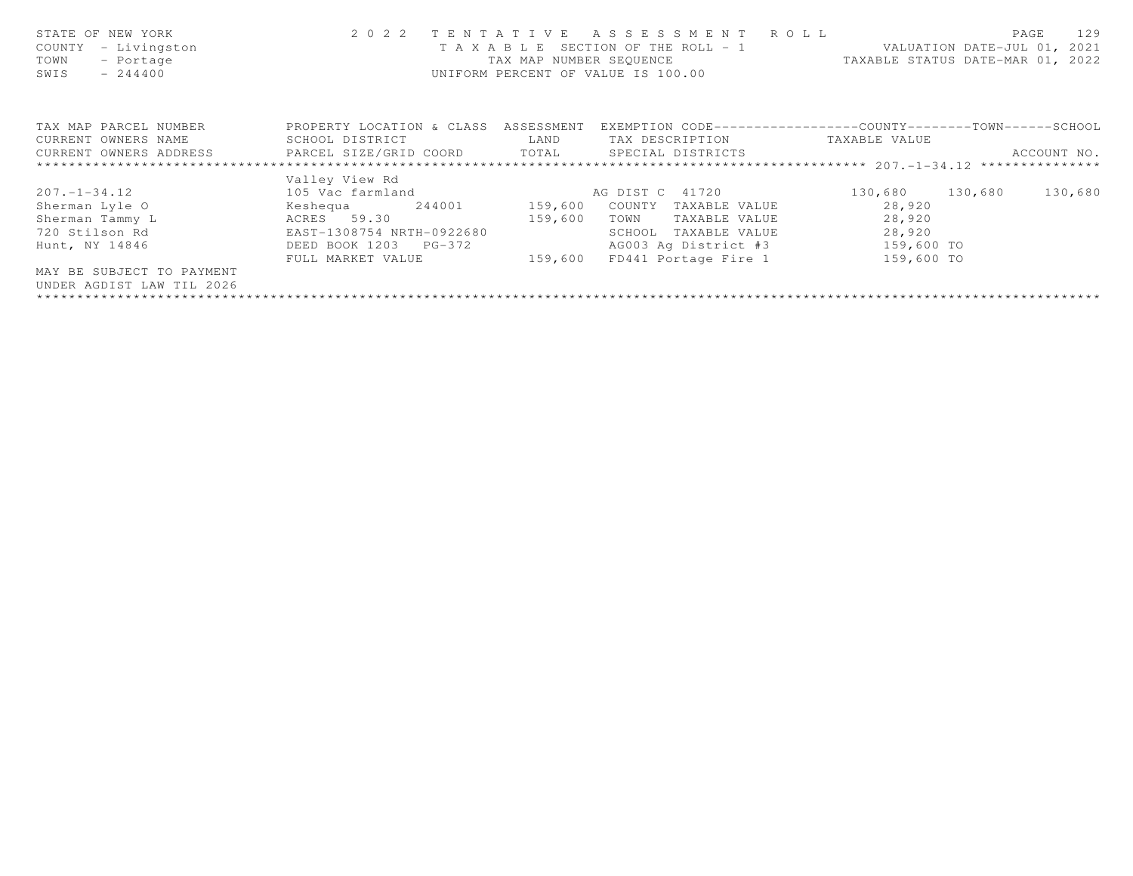| STATE OF NEW YORK<br>- Livingston<br>COUNTY<br>- Portage<br>TOWN<br>SWIS<br>$-244400$ |                                      | TAX MAP NUMBER SEQUENCE | 2022 TENTATIVE ASSESSMENT ROLL<br>T A X A B L E SECTION OF THE ROLL - 1<br>UNIFORM PERCENT OF VALUE IS 100.00 |                 | 129<br>PAGE<br>VALUATION DATE-JUL 01, 2021<br>TAXABLE STATUS DATE-MAR 01, 2022 |
|---------------------------------------------------------------------------------------|--------------------------------------|-------------------------|---------------------------------------------------------------------------------------------------------------|-----------------|--------------------------------------------------------------------------------|
| TAX MAP PARCEL NUMBER                                                                 | PROPERTY LOCATION & CLASS ASSESSMENT |                         | EXEMPTION CODE-----------------COUNTY-------TOWN------SCHOOL                                                  |                 |                                                                                |
| CURRENT OWNERS NAME                                                                   | SCHOOL DISTRICT                      | LAND                    | TAX DESCRIPTION                                                                                               | TAXABLE VALUE   |                                                                                |
| CURRENT OWNERS ADDRESS <b>EXABLE PARCEL SIZE/GRID COORD</b> TOTAL SPECIAL DISTRICTS   |                                      |                         |                                                                                                               |                 | ACCOUNT NO.                                                                    |
|                                                                                       |                                      |                         |                                                                                                               |                 |                                                                                |
|                                                                                       | Valley View Rd                       |                         |                                                                                                               |                 |                                                                                |
| $207. - 1 - 34.12$                                                                    | 105 Vac farmland                     |                         | AG DIST C 41720                                                                                               | 130,680 130,680 | 130,680                                                                        |
| Sherman Lyle O                                                                        | Keshequa 244001 159,600              |                         | COUNTY<br>TAXABLE VALUE                                                                                       | 28,920          |                                                                                |
| Sherman Tammy L                                                                       | ACRES 59.30                          | 159,600                 | TOWN<br>TAXABLE VALUE                                                                                         | 28,920          |                                                                                |
| 720 Stilson Rd                                                                        | EAST-1308754 NRTH-0922680            |                         | SCHOOL<br>TAXABLE VALUE                                                                                       | 28,920          |                                                                                |
| Hunt, NY 14846                                                                        | DEED BOOK 1203 PG-372                |                         | AG003 Aq District #3 159,600 TO                                                                               |                 |                                                                                |
|                                                                                       | FULL MARKET VALUE                    | 159,600                 | FD441 Portage Fire 1                                                                                          | 159,600 TO      |                                                                                |
| MAY BE SUBJECT TO PAYMENT                                                             |                                      |                         |                                                                                                               |                 |                                                                                |
| UNDER AGDIST LAW TIL 2026                                                             |                                      |                         |                                                                                                               |                 |                                                                                |
|                                                                                       |                                      |                         |                                                                                                               |                 |                                                                                |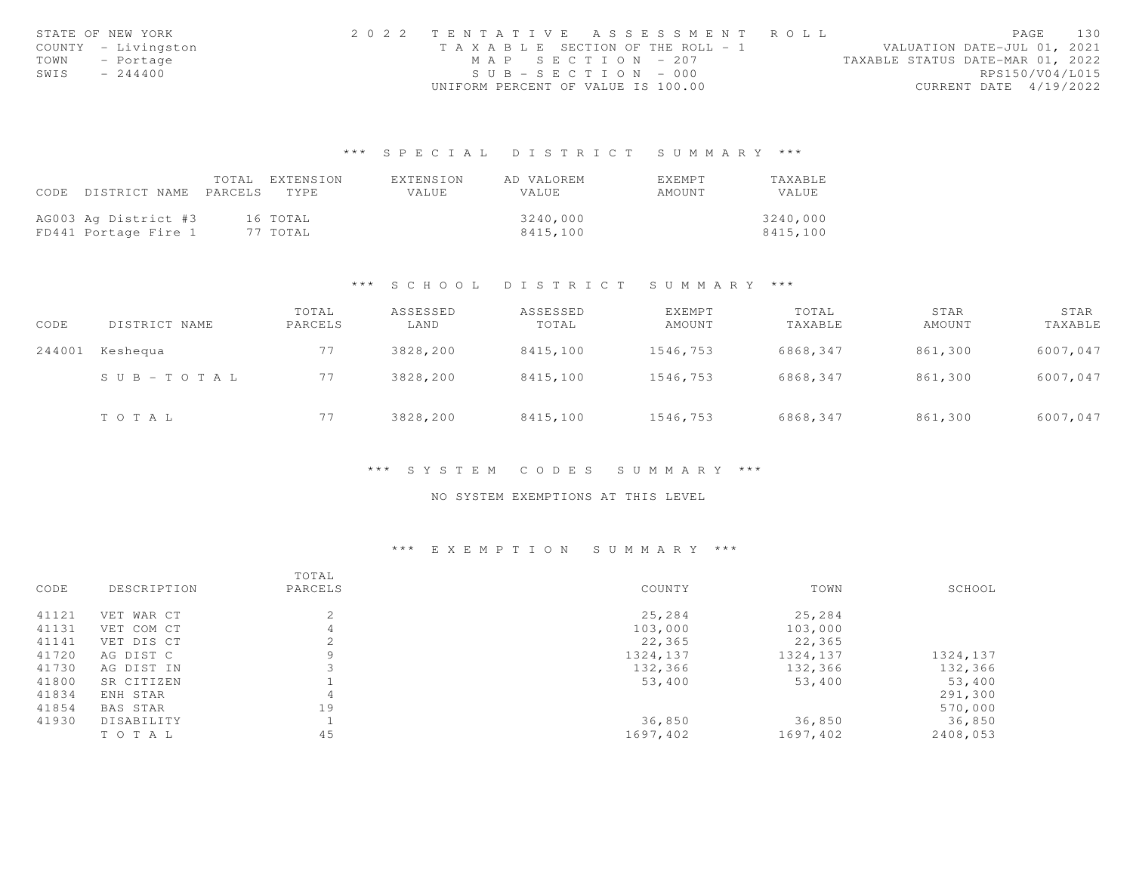|      | STATE OF NEW YORK   | 2022 TENTATIVE ASSESSMENT ROLL     |                   |  |                                  | PAGE                   | 130 |
|------|---------------------|------------------------------------|-------------------|--|----------------------------------|------------------------|-----|
|      | COUNTY - Livingston | TAXABLE SECTION OF THE ROLL - 1    |                   |  | VALUATION DATE-JUL 01, 2021      |                        |     |
| TOWN | - Portage           |                                    | MAP SECTION - 207 |  | TAXABLE STATUS DATE-MAR 01, 2022 |                        |     |
| SWIS | $-244400$           | $SUB - SECTION - 000$              |                   |  |                                  | RPS150/V04/L015        |     |
|      |                     | UNIFORM PERCENT OF VALUE IS 100.00 |                   |  |                                  | CURRENT DATE 4/19/2022 |     |

|                                 | TOTAL | EXTENSION | EXTENSION | AD VALOREM   | EXEMPT | TAXABLE  |
|---------------------------------|-------|-----------|-----------|--------------|--------|----------|
| CODE DISTRICT NAME PARCELS TYPE |       |           | VALUE     | <b>VALUE</b> | AMOUNT | VALUE    |
|                                 |       |           |           |              |        |          |
| AG003 Ag District #3            |       | 16 TOTAL  |           | 3240,000     |        | 3240,000 |
| FD441 Portage Fire 1            |       | 77 TOTAL  |           | 8415,100     |        | 8415,100 |

### \*\*\* S C H O O L D I S T R I C T S U M M A R Y \*\*\*

| CODE   | DISTRICT NAME         | TOTAL<br>PARCELS | ASSESSED<br>LAND | ASSESSED<br>TOTAL | EXEMPT<br>AMOUNT | TOTAL<br>TAXABLE | STAR<br>AMOUNT | STAR<br>TAXABLE |
|--------|-----------------------|------------------|------------------|-------------------|------------------|------------------|----------------|-----------------|
| 244001 | Keshequa              | 77               | 3828,200         | 8415,100          | 1546,753         | 6868,347         | 861,300        | 6007,047        |
|        | $S \cup B - TO T A L$ | 77               | 3828,200         | 8415,100          | 1546,753         | 6868,347         | 861,300        | 6007,047        |
|        | TOTAL                 | 77               | 3828,200         | 8415,100          | 1546,753         | 6868,347         | 861,300        | 6007,047        |

### \*\*\* S Y S T E M C O D E S S U M M A R Y \*\*\*

# NO SYSTEM EXEMPTIONS AT THIS LEVEL

| CODE  | DESCRIPTION     | TOTAL<br>PARCELS | COUNTY   | TOWN     | SCHOOL   |
|-------|-----------------|------------------|----------|----------|----------|
|       |                 |                  |          |          |          |
| 41121 | VET WAR CT      | 2                | 25,284   | 25,284   |          |
| 41131 | VET COM CT      | 4                | 103,000  | 103,000  |          |
| 41141 | VET DIS CT      | 2                | 22,365   | 22,365   |          |
| 41720 | AG DIST C       | 9                | 1324,137 | 1324,137 | 1324,137 |
| 41730 | AG DIST IN      |                  | 132,366  | 132,366  | 132,366  |
| 41800 | SR CITIZEN      |                  | 53,400   | 53,400   | 53,400   |
| 41834 | ENH STAR        | 4                |          |          | 291,300  |
| 41854 | <b>BAS STAR</b> | 19               |          |          | 570,000  |
| 41930 | DISABILITY      |                  | 36,850   | 36,850   | 36,850   |
|       | TO TAL          | 45               | 1697,402 | 1697,402 | 2408,053 |
|       |                 |                  |          |          |          |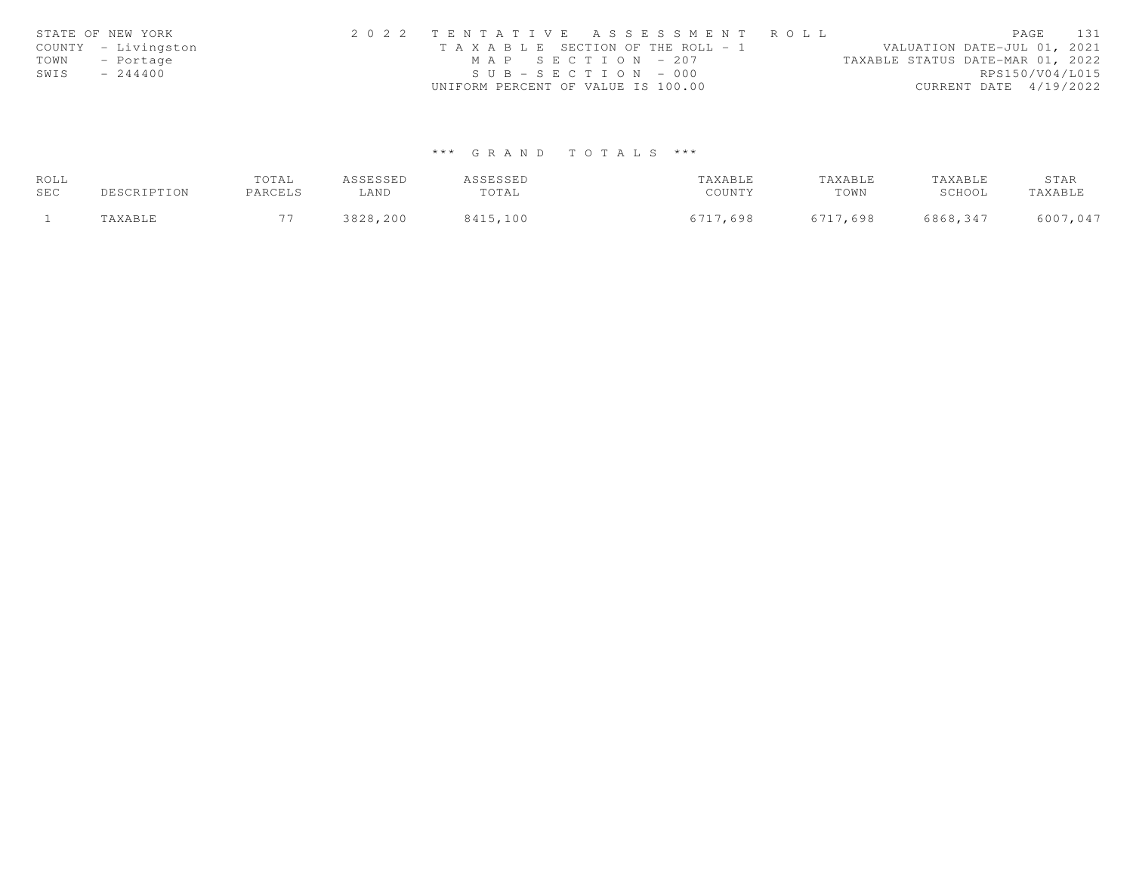|      | STATE OF NEW YORK   | 2022 TENTATIVE ASSESSMENT ROLL                                       | PAGE            | 131 |
|------|---------------------|----------------------------------------------------------------------|-----------------|-----|
|      | COUNTY - Livingston | VALUATION DATE-JUL 01, 2021<br>T A X A B L E SECTION OF THE ROLL - 1 |                 |     |
|      | TOWN - Portage      | $MAP$ SECTION - 207<br>TAXABLE STATUS DATE-MAR 01, 2022              |                 |     |
| SWIS | $-244400$           | $SUB - SECTION - 000$                                                | RPS150/V04/L015 |     |
|      |                     | CURRENT DATE $4/19/2022$<br>UNIFORM PERCENT OF VALUE IS 100.00       |                 |     |

| ROLL |             | TOTAL   | ASSESSED | ASSESSED | TAXABLE  | TAXABLE  | TAXABLE  | STAR     |
|------|-------------|---------|----------|----------|----------|----------|----------|----------|
| SEC  | DESCRIPTION | PARCELS | LAND     | TOTAL    | COUNTY   | TOWN     | SCHOOL   | TAXABLE  |
|      | TAXABLE     |         | 3828,200 | 8415,100 | 6717,698 | 6717,698 | 6868,347 | 6007,047 |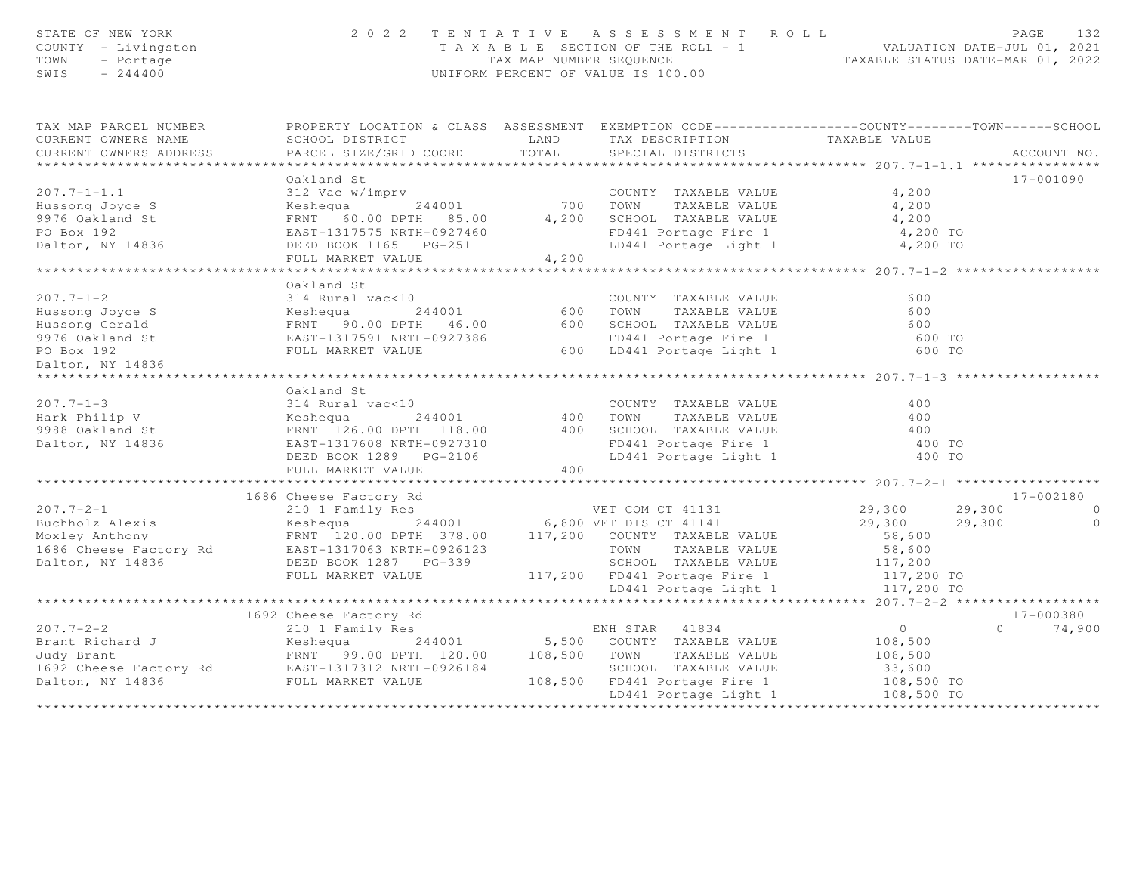| STATE OF NEW YORK<br>COUNTY - Livingston<br>TOWN<br>- Portage<br>SWIS<br>$-244400$                                                                                                                                                                                                                                                                                                                                                                                                 |                        | $\begin{tabular}{lllllllllllll} \multicolumn{3}{c}{2\ 0\ 2\ 2\ 1\ E\ N\ T\ A\ X\ A\ B\ L\ E\ &\begin{tabular}{lcllll} \multicolumn{3}{c}{\end{tabular}} & \multicolumn{3}{c}{\end{tabular}} & \multicolumn{3}{c}{\end{tabular}} & \multicolumn{3}{c}{\end{tabular}} & \multicolumn{3}{c}{\end{tabular}} & \multicolumn{3}{c}{\end{tabular}} & \multicolumn{3}{c}{\end{tabular}} & \multicolumn{3}{c}{\end{tabular}} & \multicolumn{3}{c}{\end{tabular}} & \multicolumn{3}{c}{$ |                |
|------------------------------------------------------------------------------------------------------------------------------------------------------------------------------------------------------------------------------------------------------------------------------------------------------------------------------------------------------------------------------------------------------------------------------------------------------------------------------------|------------------------|--------------------------------------------------------------------------------------------------------------------------------------------------------------------------------------------------------------------------------------------------------------------------------------------------------------------------------------------------------------------------------------------------------------------------------------------------------------------------------|----------------|
| TAX MAP PARCEL NUMBER                                                                                                                                                                                                                                                                                                                                                                                                                                                              |                        |                                                                                                                                                                                                                                                                                                                                                                                                                                                                                |                |
| CURRENT OWNERS NAME                                                                                                                                                                                                                                                                                                                                                                                                                                                                |                        |                                                                                                                                                                                                                                                                                                                                                                                                                                                                                |                |
| CURRENT OWNERS ADDRESS                                                                                                                                                                                                                                                                                                                                                                                                                                                             |                        |                                                                                                                                                                                                                                                                                                                                                                                                                                                                                |                |
|                                                                                                                                                                                                                                                                                                                                                                                                                                                                                    |                        |                                                                                                                                                                                                                                                                                                                                                                                                                                                                                |                |
|                                                                                                                                                                                                                                                                                                                                                                                                                                                                                    | Oakland St             |                                                                                                                                                                                                                                                                                                                                                                                                                                                                                | 17-001090      |
|                                                                                                                                                                                                                                                                                                                                                                                                                                                                                    |                        |                                                                                                                                                                                                                                                                                                                                                                                                                                                                                |                |
|                                                                                                                                                                                                                                                                                                                                                                                                                                                                                    |                        |                                                                                                                                                                                                                                                                                                                                                                                                                                                                                |                |
|                                                                                                                                                                                                                                                                                                                                                                                                                                                                                    |                        |                                                                                                                                                                                                                                                                                                                                                                                                                                                                                |                |
|                                                                                                                                                                                                                                                                                                                                                                                                                                                                                    |                        |                                                                                                                                                                                                                                                                                                                                                                                                                                                                                |                |
|                                                                                                                                                                                                                                                                                                                                                                                                                                                                                    |                        |                                                                                                                                                                                                                                                                                                                                                                                                                                                                                |                |
|                                                                                                                                                                                                                                                                                                                                                                                                                                                                                    |                        |                                                                                                                                                                                                                                                                                                                                                                                                                                                                                |                |
|                                                                                                                                                                                                                                                                                                                                                                                                                                                                                    |                        |                                                                                                                                                                                                                                                                                                                                                                                                                                                                                |                |
|                                                                                                                                                                                                                                                                                                                                                                                                                                                                                    |                        |                                                                                                                                                                                                                                                                                                                                                                                                                                                                                |                |
|                                                                                                                                                                                                                                                                                                                                                                                                                                                                                    |                        |                                                                                                                                                                                                                                                                                                                                                                                                                                                                                |                |
|                                                                                                                                                                                                                                                                                                                                                                                                                                                                                    |                        |                                                                                                                                                                                                                                                                                                                                                                                                                                                                                |                |
| $\begin{tabular}{lllllllllllllllllll} \multicolumn{3}{l}{} & \multicolumn{3}{l}{} & \multicolumn{3}{l}{} & \multicolumn{3}{l}{} & \multicolumn{3}{l}{} & \multicolumn{3}{l}{} & \multicolumn{3}{l}{} & \multicolumn{3}{l}{} & \multicolumn{3}{l}{} & \multicolumn{3}{l}{} & \multicolumn{3}{l}{} & \multicolumn{3}{l}{} & \multicolumn{3}{l}{} & \multicolumn{3}{l}{} & \multicolumn{3}{l}{} & \multicolumn{3}{l}{} & \multicolumn{3}{l}{} & \multicolumn{3}{l}{} & \multicolumn{$ |                        |                                                                                                                                                                                                                                                                                                                                                                                                                                                                                |                |
|                                                                                                                                                                                                                                                                                                                                                                                                                                                                                    |                        |                                                                                                                                                                                                                                                                                                                                                                                                                                                                                |                |
|                                                                                                                                                                                                                                                                                                                                                                                                                                                                                    |                        |                                                                                                                                                                                                                                                                                                                                                                                                                                                                                |                |
|                                                                                                                                                                                                                                                                                                                                                                                                                                                                                    |                        |                                                                                                                                                                                                                                                                                                                                                                                                                                                                                |                |
|                                                                                                                                                                                                                                                                                                                                                                                                                                                                                    | Oakland St             |                                                                                                                                                                                                                                                                                                                                                                                                                                                                                |                |
|                                                                                                                                                                                                                                                                                                                                                                                                                                                                                    |                        |                                                                                                                                                                                                                                                                                                                                                                                                                                                                                |                |
|                                                                                                                                                                                                                                                                                                                                                                                                                                                                                    |                        |                                                                                                                                                                                                                                                                                                                                                                                                                                                                                |                |
| $\begin{array}{cccccccc} 207.7-1-3 & 0 \times 14 & 00 \times 10 & 0 & 0 \times 10 & 0 & 0 \times 10 & 0 & 0 \times 10 & 0 & 0 \times 10 & 0 & 0 \times 10 & 0 & 0 \times 10 & 0 & 0 \times 10 & 0 & 0 \times 10 & 0 & 0 \times 10 & 0 & 0 \times 10 & 0 & 0 \times 10 & 0 & 0 \times 10 & 0 & 0 \times 10 & 0 & 0 \times 10 & 0 & 0 \times 10 & 0 & 0 \times 10 & 0 & 0 & 0$                                                                                                       |                        |                                                                                                                                                                                                                                                                                                                                                                                                                                                                                |                |
|                                                                                                                                                                                                                                                                                                                                                                                                                                                                                    |                        |                                                                                                                                                                                                                                                                                                                                                                                                                                                                                |                |
|                                                                                                                                                                                                                                                                                                                                                                                                                                                                                    |                        |                                                                                                                                                                                                                                                                                                                                                                                                                                                                                |                |
|                                                                                                                                                                                                                                                                                                                                                                                                                                                                                    |                        |                                                                                                                                                                                                                                                                                                                                                                                                                                                                                |                |
|                                                                                                                                                                                                                                                                                                                                                                                                                                                                                    |                        |                                                                                                                                                                                                                                                                                                                                                                                                                                                                                |                |
|                                                                                                                                                                                                                                                                                                                                                                                                                                                                                    |                        |                                                                                                                                                                                                                                                                                                                                                                                                                                                                                |                |
|                                                                                                                                                                                                                                                                                                                                                                                                                                                                                    |                        |                                                                                                                                                                                                                                                                                                                                                                                                                                                                                | $\sim$ 0       |
|                                                                                                                                                                                                                                                                                                                                                                                                                                                                                    |                        |                                                                                                                                                                                                                                                                                                                                                                                                                                                                                | $\overline{0}$ |
|                                                                                                                                                                                                                                                                                                                                                                                                                                                                                    |                        |                                                                                                                                                                                                                                                                                                                                                                                                                                                                                |                |
|                                                                                                                                                                                                                                                                                                                                                                                                                                                                                    |                        |                                                                                                                                                                                                                                                                                                                                                                                                                                                                                |                |
|                                                                                                                                                                                                                                                                                                                                                                                                                                                                                    |                        |                                                                                                                                                                                                                                                                                                                                                                                                                                                                                |                |
|                                                                                                                                                                                                                                                                                                                                                                                                                                                                                    |                        |                                                                                                                                                                                                                                                                                                                                                                                                                                                                                |                |
|                                                                                                                                                                                                                                                                                                                                                                                                                                                                                    |                        |                                                                                                                                                                                                                                                                                                                                                                                                                                                                                |                |
| 1686 Cheese Factory Rd<br>207.7-2-1 1686 Cheese Factory Rd<br>Buchholz Alexis 210 I Family Res<br>207.7-2-1 1686 Cheese Factory Rd<br>29,300 29,300 29,300 29,300 29,300 29,300 29,300 29,300 29,300 29,300 29,300 29,300 29,300 29,30                                                                                                                                                                                                                                             | 1692 Cheese Factory Rd |                                                                                                                                                                                                                                                                                                                                                                                                                                                                                | 17-000380      |
|                                                                                                                                                                                                                                                                                                                                                                                                                                                                                    |                        |                                                                                                                                                                                                                                                                                                                                                                                                                                                                                | $0 \t 74,900$  |
| $\begin{array}{cccccccc} 207.7-2-2 & & & & 1692 \text{ Cheese Factory Rd} & & & & \text{ENH STAR} & 41834 & & & 0 \\ \text{Brand Richard J} & & & & & & & 210 1 Family Res & & & \text{ENH STAR} & 41834 & & & 0 \\ \text{Start Richard J} & & & & & & & 244001 & & 5,500 & \text{COUNTY TAXABLE VALUE} & 108,500 \\ \text{Judy Brant} & & & & & & & \text{ERNT} & 99.00 DPTH & 120.00 & 108,500 & \text{TOWN} & TAXABLE VALUE & 108$                                              |                        |                                                                                                                                                                                                                                                                                                                                                                                                                                                                                |                |
|                                                                                                                                                                                                                                                                                                                                                                                                                                                                                    |                        |                                                                                                                                                                                                                                                                                                                                                                                                                                                                                |                |
|                                                                                                                                                                                                                                                                                                                                                                                                                                                                                    |                        |                                                                                                                                                                                                                                                                                                                                                                                                                                                                                |                |
|                                                                                                                                                                                                                                                                                                                                                                                                                                                                                    |                        |                                                                                                                                                                                                                                                                                                                                                                                                                                                                                |                |
|                                                                                                                                                                                                                                                                                                                                                                                                                                                                                    |                        |                                                                                                                                                                                                                                                                                                                                                                                                                                                                                |                |
|                                                                                                                                                                                                                                                                                                                                                                                                                                                                                    |                        |                                                                                                                                                                                                                                                                                                                                                                                                                                                                                |                |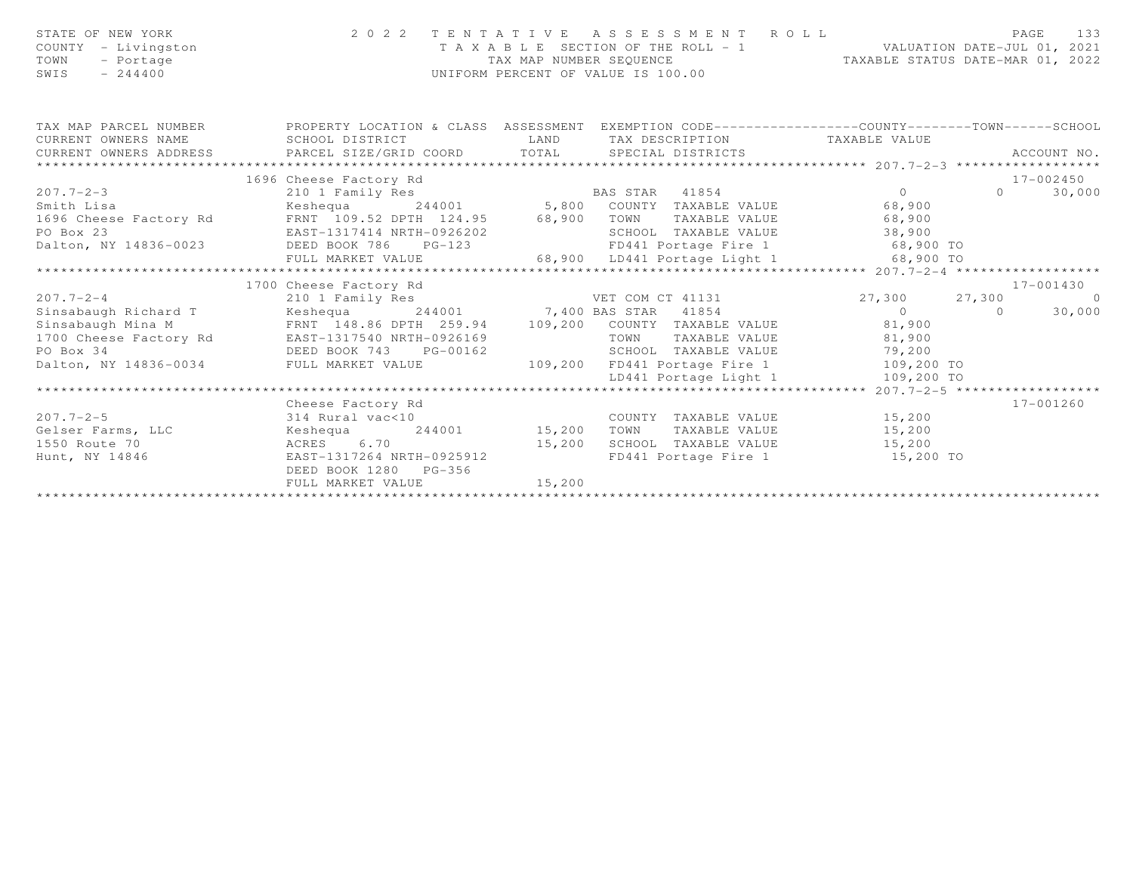| STATE OF NEW YORK<br>COUNTY - Livingston<br>- Portage<br>TOWN<br>$-244400$<br>SWIS |                                                                                                                               | 2022 TENTATIVE ASSESSMENT ROLL<br>T A X A B L E SECTION OF THE ROLL - 1 VALUATION DATE-JUL 01, 2021<br>TAX MAP NUMBER SEQUENCE TAXABLE STATUS DATE-MAR 01, 2022<br>UNIFORM PERCENT OF VALUE IS 100.00                                                                                                                                                                       | PAGE<br>133                                       |
|------------------------------------------------------------------------------------|-------------------------------------------------------------------------------------------------------------------------------|-----------------------------------------------------------------------------------------------------------------------------------------------------------------------------------------------------------------------------------------------------------------------------------------------------------------------------------------------------------------------------|---------------------------------------------------|
| TAX MAP PARCEL NUMBER<br>CURRENT OWNERS NAME<br>CURRENT OWNERS ADDRESS             | SCHOOL DISTRICT                                                                                                               | PROPERTY LOCATION & CLASS ASSESSMENT EXEMPTION CODE----------------COUNTY-------TOWN------SCHOOL<br>LAND TAX DESCRIPTION TAXABLE VALUE<br>CONNENT OWNERS ADDRESS FARCEL SIZE/GRID COORD TOTAL SPECIAL DISTRICTS FARENT OWNERS ADDRESS FARCEL SIZE/GRID COORD TOTAL SPECIAL DISTRICTS ACCOUNT NO.                                                                            |                                                   |
|                                                                                    |                                                                                                                               |                                                                                                                                                                                                                                                                                                                                                                             |                                                   |
|                                                                                    | 1696 Cheese Factory Rd                                                                                                        |                                                                                                                                                                                                                                                                                                                                                                             | 17-002450                                         |
| $207.7 - 2 - 3$<br>Smith Lisa                                                      | 210 1 Family Res<br>1700 Cheese Factory Rd                                                                                    | BAS STAR 41854<br>Keshequa 244001 5,800 COUNTY TAXABLE VALUE 68,900<br>9 1696 Cheese Factory Rd FRNT 109.52 DPTH 124.95<br>PO Box 23 ERST 109.52 DPTH 124.95 68,900 TOWN TAXABLE VALUE<br>PO Box 23 DEED BOOK 786 PG-123 FD441 Portage Fire 1 68,900 TO<br>FULL MARKET VALUE 68,900 LD441 Portage Light 1 6                                                                 | $\Omega$<br>30,000<br>$\overline{0}$<br>17-001430 |
| $207.7 - 2 - 4$                                                                    | 210 1 Family Res                                                                                                              | e de la companya de la companya de la companya de la companya de la companya de la companya de la companya de<br>La companya de la companya de la companya de la companya de la companya de la companya de la companya de la co<br>VET COM CT 41131 27,300 27,300                                                                                                           | $\overline{0}$                                    |
| Dalton, NY 14836-0034 FULL MARKET VALUE                                            | Sinsabaugh Richard T Keshequa 244001 7,400 BAS STAR 41854                                                                     | Sinsabaugh Nina M<br>Sinsabaugh Mina M<br>1700 Cheese Factory Rd<br>EAST-1317540 NRTH-0926169<br>DEED BOOK 743<br>DEED BOOK 743<br>DEED BOOK 743<br>TOWN TAXABLE VALUE<br>SCHOOL TAXABLE VALUE<br>SCHOOL TAXABLE VALUE<br>29.200<br>SCHOOL TAXABLE V<br>0926169 TOWN TAXABLE VALUE 81,900<br>3-00162 SCHOOL TAXABLE VALUE 79,200<br>109,200 FD441 Portage Fire 1 109,200 TO | 30,000                                            |
|                                                                                    |                                                                                                                               |                                                                                                                                                                                                                                                                                                                                                                             |                                                   |
| $207.7 - 2 - 5$<br>Gelser Farms, LLC<br>1550 Route 70<br>Hunt, NY 14846            | Cheese Factory Rd<br>314 Rural vac<10<br>Keshequa<br>6.70<br>ACRES<br>EAST-1317264 NRTH-0925912<br>DEED BOOK 1280<br>$PG-356$ | COUNTY TAXABLE VALUE<br>244001 15,200<br>TAXABLE VALUE<br>TOWN<br>15,200<br>SCHOOL TAXABLE VALUE<br>FD441 Portage Fire 1 15,200 TO                                                                                                                                                                                                                                          | 17-001260<br>15,200<br>15,200<br>15,200           |

FULL MARKET VALUE 15,200 \*\*\*\*\*\*\*\*\*\*\*\*\*\*\*\*\*\*\*\*\*\*\*\*\*\*\*\*\*\*\*\*\*\*\*\*\*\*\*\*\*\*\*\*\*\*\*\*\*\*\*\*\*\*\*\*\*\*\*\*\*\*\*\*\*\*\*\*\*\*\*\*\*\*\*\*\*\*\*\*\*\*\*\*\*\*\*\*\*\*\*\*\*\*\*\*\*\*\*\*\*\*\*\*\*\*\*\*\*\*\*\*\*\*\*\*\*\*\*\*\*\*\*\*\*\*\*\*\*\*\*\*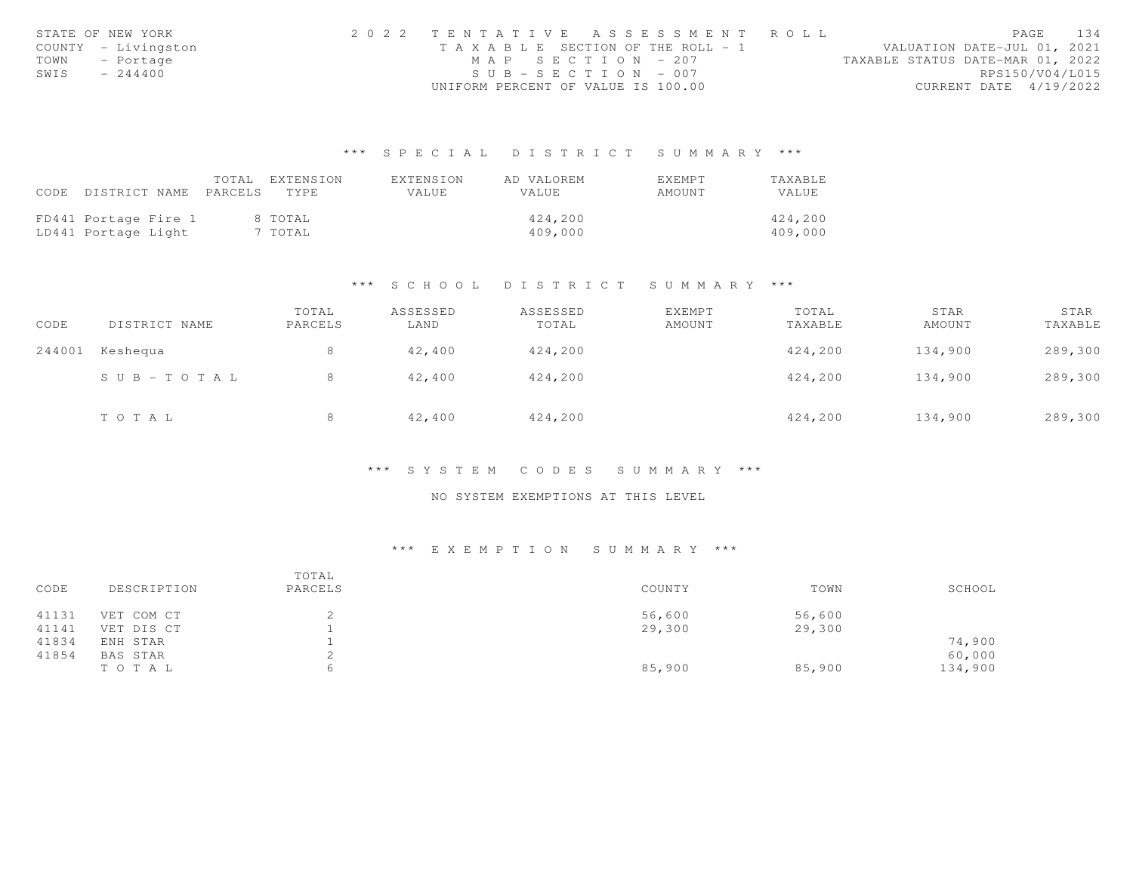|      | STATE OF NEW YORK   |                                    | 2022 TENTATIVE ASSESSMENT ROLL  |                                  | PAGE                   | 134 |
|------|---------------------|------------------------------------|---------------------------------|----------------------------------|------------------------|-----|
|      | COUNTY - Livingston |                                    | TAXABLE SECTION OF THE ROLL - 1 | VALUATION DATE-JUL 01, 2021      |                        |     |
| TOWN | - Portage           |                                    | MAP SECTION - 207               | TAXABLE STATUS DATE-MAR 01, 2022 |                        |     |
| SWIS | $-244400$           |                                    | $SUB - SECTION - 007$           |                                  | RPS150/V04/L015        |     |
|      |                     | UNIFORM PERCENT OF VALUE IS 100.00 |                                 |                                  | CURRENT DATE 4/19/2022 |     |

|      |                            | TOTAL | EXTENSION | EXTENSION | AD VALOREM   | EXEMPT | TAXABLE |
|------|----------------------------|-------|-----------|-----------|--------------|--------|---------|
| CODE | DISTRICT NAME PARCELS TYPE |       |           | VALUE     | <b>VALUE</b> | AMOUNT | VALUE   |
|      |                            |       |           |           |              |        |         |
|      | FD441 Portage Fire 1       |       | 8 TOTAL   |           | 424,200      |        | 424,200 |
|      | LD441 Portage Light        |       | 7 TOTAL   |           | 409,000      |        | 409,000 |

### \*\*\* S C H O O L D I S T R I C T S U M M A R Y \*\*\*

| CODE   | DISTRICT NAME             | TOTAL<br>PARCELS | ASSESSED<br>LAND | ASSESSED<br>TOTAL | EXEMPT<br>AMOUNT | TOTAL<br>TAXABLE | STAR<br>AMOUNT | STAR<br>TAXABLE |
|--------|---------------------------|------------------|------------------|-------------------|------------------|------------------|----------------|-----------------|
| 244001 | Keshequa                  | 8                | 42,400           | 424,200           |                  | 424,200          | 134,900        | 289,300         |
|        | $S \cup B = T \cup T A L$ | 8                | 42,400           | 424,200           |                  | 424,200          | 134,900        | 289,300         |
|        | TOTAL                     |                  | 42,400           | 424,200           |                  | 424,200          | 134,900        | 289,300         |

### \*\*\* S Y S T E M C O D E S S U M M A R Y \*\*\*

# NO SYSTEM EXEMPTIONS AT THIS LEVEL

| CODE  | DESCRIPTION | TOTAL<br>PARCELS | COUNTY | TOWN   | SCHOOL  |
|-------|-------------|------------------|--------|--------|---------|
| 41131 | VET COM CT  |                  | 56,600 | 56,600 |         |
| 41141 | VET DIS CT  |                  | 29,300 | 29,300 |         |
| 41834 | ENH STAR    |                  |        |        | 74,900  |
| 41854 | BAS STAR    |                  |        |        | 60,000  |
|       | TOTAL       | 6                | 85,900 | 85,900 | 134,900 |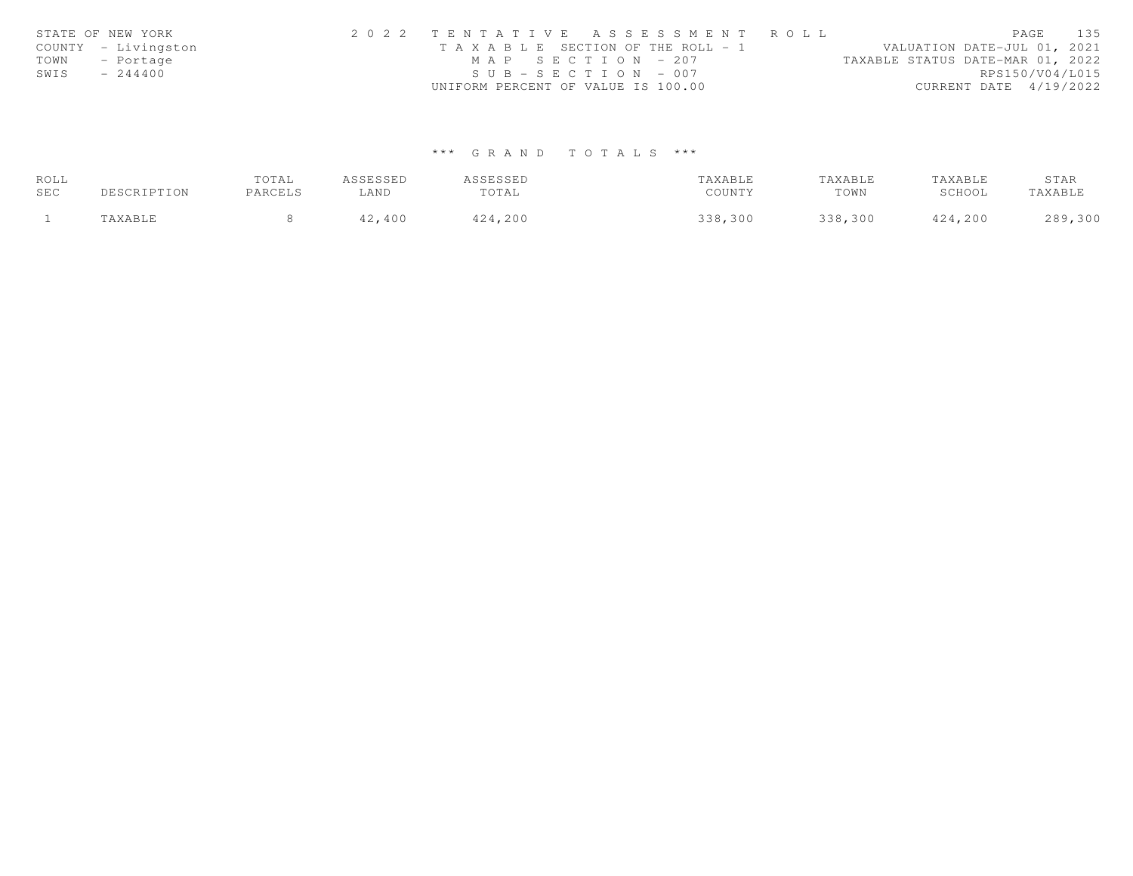| STATE OF NEW YORK   | 2022 TENTATIVE ASSESSMENT ROLL        | PAGE 135                         |
|---------------------|---------------------------------------|----------------------------------|
| COUNTY - Livingston | T A X A B L E SECTION OF THE ROLL - 1 | VALUATION DATE-JUL 01, 2021      |
| TOWN - Portage      | MAP SECTION - 207                     | TAXABLE STATUS DATE-MAR 01, 2022 |
| SWIS<br>$-244400$   | $SUB - SECTION - 007$                 | RPS150/V04/L015                  |
|                     | UNIFORM PERCENT OF VALUE IS 100.00    | CURRENT DATE $4/19/2022$         |

| ROLL |             | <b>TOTAL</b> | ASSESSED | ASSESSED | TAXABLE | TAXABLE | TAXABLE | STAR    |
|------|-------------|--------------|----------|----------|---------|---------|---------|---------|
| SEC  | DESCRIPTION | PARCELS      | LAND     | TOTAL    | COUNTY  | TOWN    | SCHOOL  | TAXABLE |
|      | TAXABLE     |              | 42,400   | 424,200  | 338,300 | 338,300 | 424,200 | 289,300 |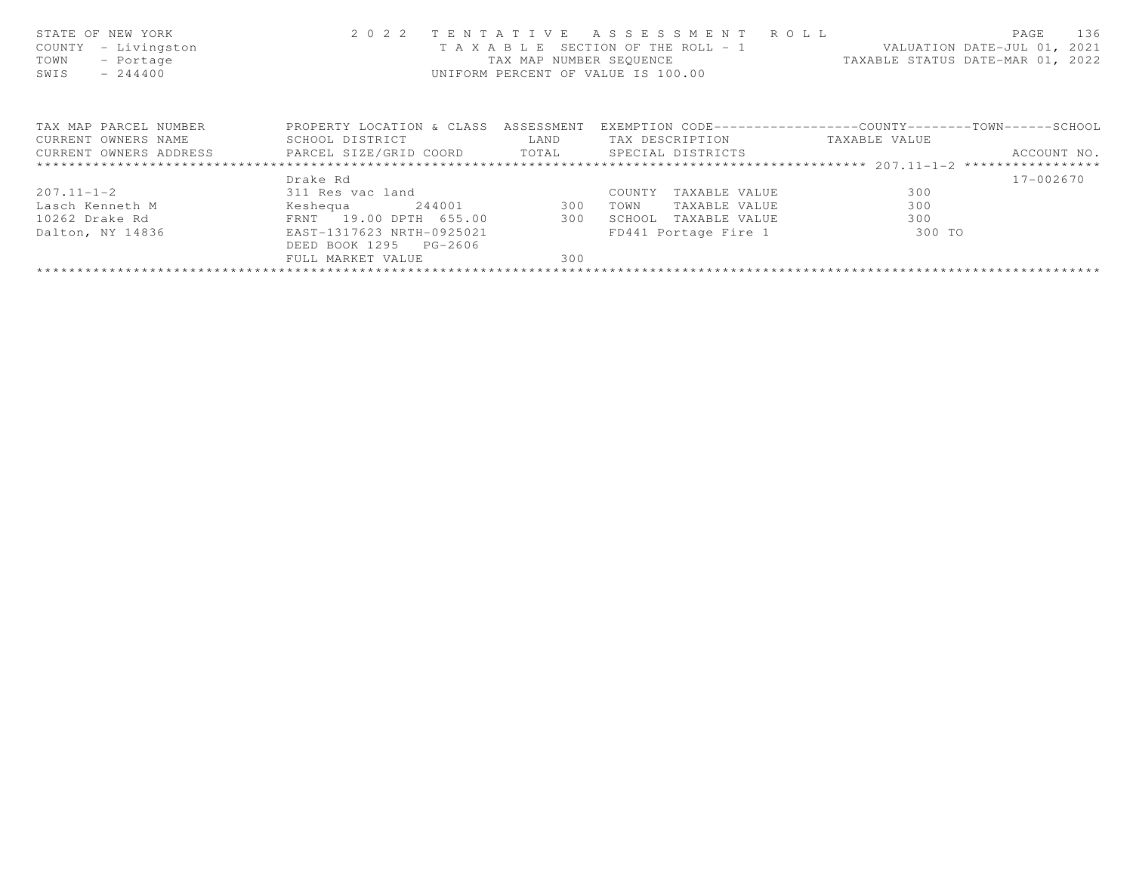| STATE OF NEW YORK<br>- Livingston<br>COUNTY<br>TOWN<br>- Portage<br>$-244400$<br>SWIS | 2 0 2 2                              |            | TENTATIVE ASSESSMENT ROLL<br>UNIFORM PERCENT OF VALUE IS 100.00 | T A X A B L E SECTION OF THE ROLL - 1 VALUATION DATE-JUL 01, 2021<br>TAX MAP NUMBER SEQUENCE TAXABLE STATUS DATE-MAR 01, 2022 | PAGE<br>136 |
|---------------------------------------------------------------------------------------|--------------------------------------|------------|-----------------------------------------------------------------|-------------------------------------------------------------------------------------------------------------------------------|-------------|
| TAX MAP PARCEL NUMBER                                                                 | PROPERTY LOCATION & CLASS ASSESSMENT |            |                                                                 | EXEMPTION CODE-----------------COUNTY-------TOWN------SCHOOL                                                                  |             |
| CURRENT OWNERS NAME                                                                   | SCHOOL DISTRICT                      | LAND       | TAX DESCRIPTION TAXABLE VALUE                                   |                                                                                                                               |             |
| CURRENT OWNERS ADDRESS     PARCEL SIZE/GRID COORD     TOTAL     SPECIAL DISTRICTS     |                                      |            |                                                                 |                                                                                                                               | ACCOUNT NO. |
|                                                                                       |                                      |            |                                                                 |                                                                                                                               |             |
|                                                                                       | Drake Rd                             |            |                                                                 |                                                                                                                               | 17-002670   |
| $207.11 - 1 - 2$                                                                      | 311 Res vac land                     |            | COUNTY<br>TAXABLE VALUE                                         | 300                                                                                                                           |             |
| Lasch Kenneth M                                                                       | Keshequa                             | 244001 300 | TOWN<br>TAXABLE VALUE                                           | 300                                                                                                                           |             |
| 10262 Drake Rd                                                                        | FRNT 19.00 DPTH 655.00               | 300        | SCHOOL TAXABLE VALUE                                            | 300                                                                                                                           |             |
| Dalton, NY 14836                                                                      | EAST-1317623 NRTH-0925021            |            | FD441 Portage Fire 1                                            | 300 TO                                                                                                                        |             |
|                                                                                       | DEED BOOK 1295 PG-2606               |            |                                                                 |                                                                                                                               |             |
|                                                                                       | FULL MARKET VALUE                    | 300        |                                                                 |                                                                                                                               |             |
|                                                                                       |                                      |            |                                                                 |                                                                                                                               |             |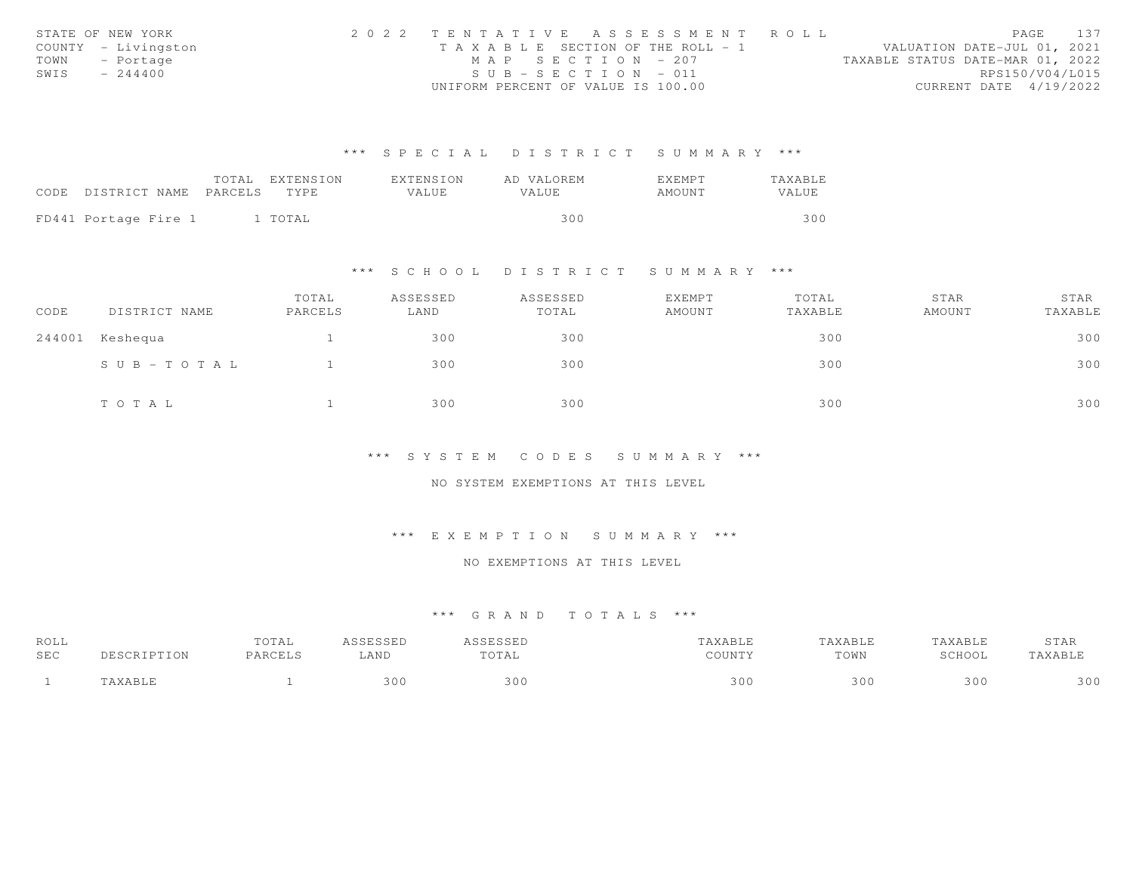|      | STATE OF NEW YORK   | 2022 TENTATIVE ASSESSMENT ROLL        |  |                                  |                        | PAGE 137 |
|------|---------------------|---------------------------------------|--|----------------------------------|------------------------|----------|
|      | COUNTY - Livingston | T A X A B L E SECTION OF THE ROLL - 1 |  | VALUATION DATE-JUL 01, 2021      |                        |          |
|      | TOWN - Portage      | MAP SECTION - 207                     |  | TAXABLE STATUS DATE-MAR 01, 2022 |                        |          |
| SWIS | $-244400$           | $SUB - SECTION - 011$                 |  |                                  | RPS150/V04/L015        |          |
|      |                     | UNIFORM PERCENT OF VALUE IS 100.00    |  |                                  | CURRENT DATE 4/19/2022 |          |

|                                 | TOTAL EXTENSION | EXTENSION | AD VALOREM | EXEMPT | TAXABLE      |
|---------------------------------|-----------------|-----------|------------|--------|--------------|
| CODE DISTRICT NAME PARCELS TYPE |                 | VALUE.    | VALUE      | AMOUNT | <b>VALUE</b> |
|                                 |                 |           |            |        |              |
| FD441 Portage Fire 1            | 1 TOTAL         |           | 300        |        | 300          |

#### \*\*\* S C H O O L D I S T R I C T S U M M A R Y \*\*\*

| CODE   | DISTRICT NAME         | TOTAL<br>PARCELS | ASSESSED<br>LAND | ASSESSED<br>TOTAL | EXEMPT<br>AMOUNT | TOTAL<br>TAXABLE | STAR<br>AMOUNT | STAR<br>TAXABLE |
|--------|-----------------------|------------------|------------------|-------------------|------------------|------------------|----------------|-----------------|
| 244001 | Keshequa              |                  | 300              | 300               |                  | 300              |                | 300             |
|        | $S \cup B - TO T A L$ |                  | 300              | 300               |                  | 300              |                | 300             |
|        | TO TAL                |                  | 300              | 300               |                  | 300              |                | 300             |

#### \*\*\* S Y S T E M C O D E S S U M M A R Y \*\*\*

#### NO SYSTEM EXEMPTIONS AT THIS LEVEL

### \*\*\* E X E M P T I O N S U M M A R Y \*\*\*

# NO EXEMPTIONS AT THIS LEVEL

| ROLL<br>SEC | UIAL | LAND | . <i>.</i><br>. v 1 m 1 | <b>COTTAINS</b> | XABLE<br>TOWN | ABLI<br>5017007<br>LVVI | 3TAR |
|-------------|------|------|-------------------------|-----------------|---------------|-------------------------|------|
|             |      | 301  | 300                     | 30              | 300           | 300                     | 30C  |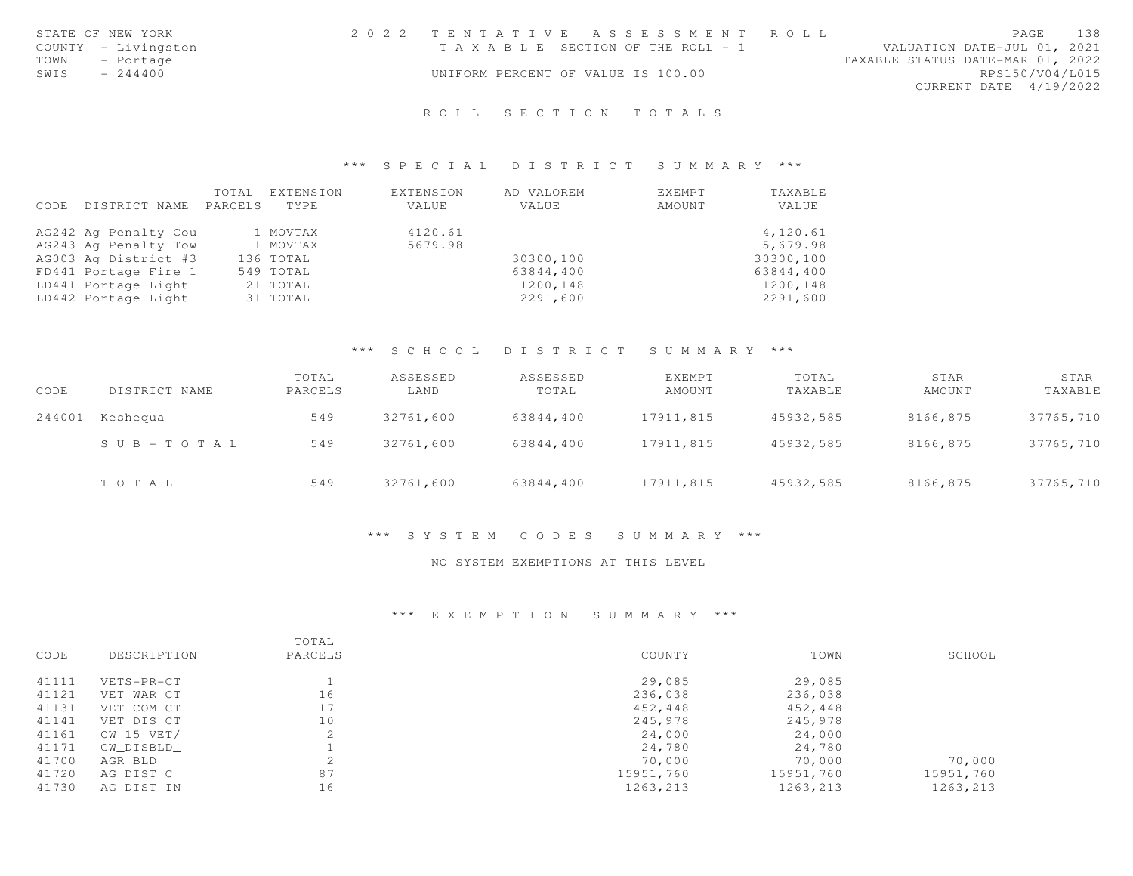|      | STATE OF NEW YORK   | 2022 TENTATIVE ASSESSMENT ROLL        |  |  |                                  |                        | PAGE | 138 |
|------|---------------------|---------------------------------------|--|--|----------------------------------|------------------------|------|-----|
|      | COUNTY - Livingston | T A X A B L E SECTION OF THE ROLL - 1 |  |  | VALUATION DATE-JUL 01, 2021      |                        |      |     |
| TOWN | - Portage           |                                       |  |  | TAXABLE STATUS DATE-MAR 01, 2022 |                        |      |     |
| SWIS | $-244400$           | UNIFORM PERCENT OF VALUE IS 100.00    |  |  |                                  | RPS150/V04/L015        |      |     |
|      |                     |                                       |  |  |                                  | CURRENT DATE 4/19/2022 |      |     |
|      |                     |                                       |  |  |                                  |                        |      |     |

# R O L L S E C T I O N T O T A L S

### \*\*\* S P E C I A L D I S T R I C T S U M M A R Y \*\*\*

|      |                      | TOTAL   | EXTENSION | EXTENSION | AD VALOREM | EXEMPT | TAXABLE   |
|------|----------------------|---------|-----------|-----------|------------|--------|-----------|
| CODE | DISTRICT NAME        | PARCELS | TYPE.     | VALUE     | VALUE      | AMOUNT | VALUE     |
|      |                      |         |           |           |            |        |           |
|      | AG242 Ag Penalty Cou |         | 1 MOVTAX  | 4120.61   |            |        | 4,120.61  |
|      | AG243 Ag Penalty Tow |         | 1 MOVTAX  | 5679.98   |            |        | 5,679.98  |
|      | AG003 Ag District #3 |         | 136 TOTAL |           | 30300,100  |        | 30300,100 |
|      | FD441 Portage Fire 1 |         | 549 TOTAL |           | 63844,400  |        | 63844,400 |
|      | LD441 Portage Light  |         | 21 TOTAL  |           | 1200,148   |        | 1200,148  |
|      | LD442 Portage Light  |         | 31 TOTAL  |           | 2291,600   |        | 2291,600  |

# \*\*\* S C H O O L D I S T R I C T S U M M A R Y \*\*\*

| CODE   | DISTRICT NAME | TOTAL<br>PARCELS | ASSESSED<br>LAND | ASSESSED<br>TOTAL | EXEMPT<br>AMOUNT | TOTAL<br>TAXABLE | STAR<br>AMOUNT | STAR<br>TAXABLE |
|--------|---------------|------------------|------------------|-------------------|------------------|------------------|----------------|-----------------|
| 244001 | Keshequa      | 549              | 32761,600        | 63844,400         | 17911,815        | 45932,585        | 8166,875       | 37765,710       |
|        | SUB-TOTAL     | 549              | 32761,600        | 63844,400         | 17911,815        | 45932,585        | 8166,875       | 37765,710       |
|        | TOTAL         | 549              | 32761,600        | 63844,400         | 17911,815        | 45932,585        | 8166,875       | 37765,710       |

## \*\*\* S Y S T E M C O D E S S U M M A R Y \*\*\*

## NO SYSTEM EXEMPTIONS AT THIS LEVEL

| CODE  | DESCRIPTION  | TOTAL<br>PARCELS | COUNTY    | TOWN      | SCHOOL    |
|-------|--------------|------------------|-----------|-----------|-----------|
| 41111 | VETS-PR-CT   |                  | 29,085    | 29,085    |           |
| 41121 | VET WAR CT   | 16               | 236,038   | 236,038   |           |
| 41131 | VET COM CT   | 17               | 452,448   | 452,448   |           |
| 41141 | VET DIS CT   | 10               | 245,978   | 245,978   |           |
| 41161 | $CW_15_VET/$ |                  | 24,000    | 24,000    |           |
| 41171 | CW DISBLD    |                  | 24,780    | 24,780    |           |
| 41700 | AGR BLD      | $\sim$           | 70,000    | 70,000    | 70,000    |
| 41720 | AG DIST C    | 87               | 15951,760 | 15951,760 | 15951,760 |
| 41730 | AG DIST IN   | 16               | 1263,213  | 1263,213  | 1263,213  |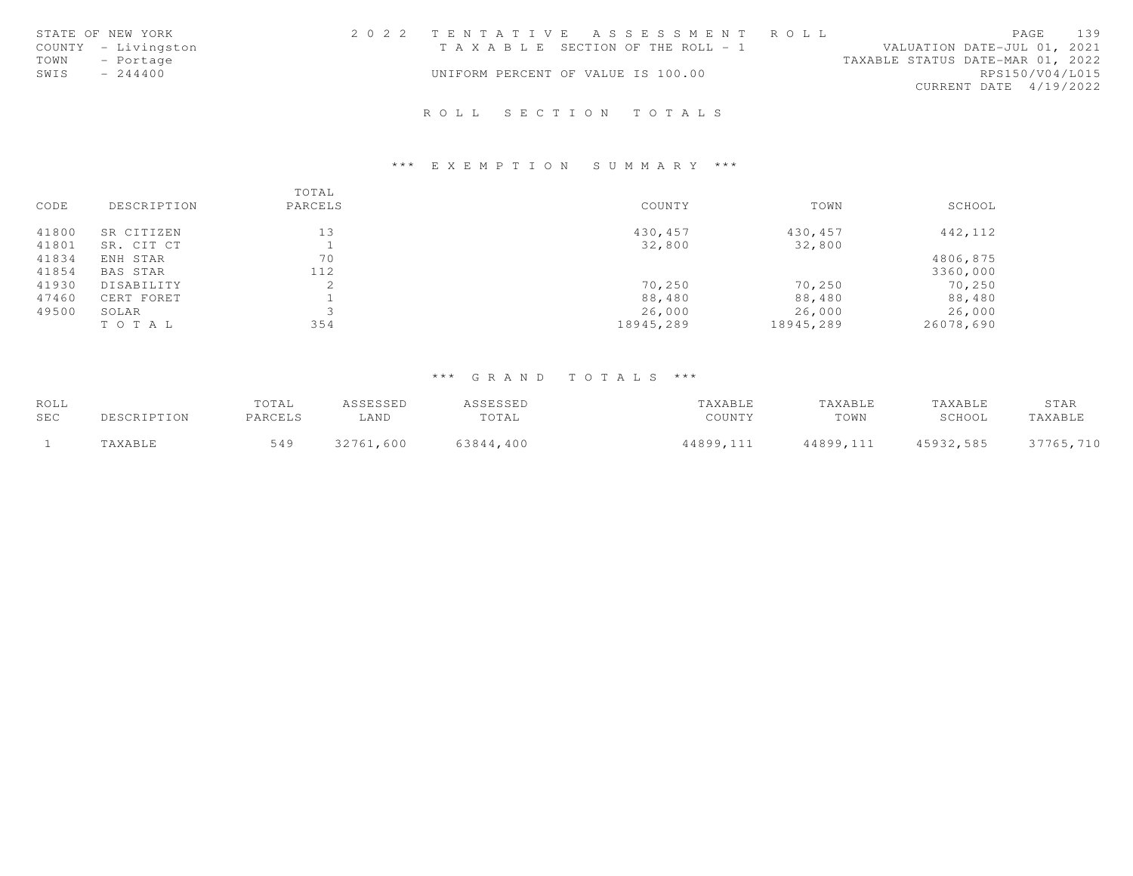| STATE OF NEW YORK   |  | 2022 TENTATIVE ASSESSMENT ROLL     |                                  | PAGE                   | 139 |
|---------------------|--|------------------------------------|----------------------------------|------------------------|-----|
| COUNTY - Livingston |  | TAXABLE SECTION OF THE ROLL - 1    | VALUATION DATE-JUL 01, 2021      |                        |     |
| TOWN - Portage      |  |                                    | TAXABLE STATUS DATE-MAR 01, 2022 |                        |     |
| SWIS<br>$-244400$   |  | UNIFORM PERCENT OF VALUE IS 100.00 |                                  | RPS150/V04/L015        |     |
|                     |  |                                    |                                  | CURRENT DATE 4/19/2022 |     |
|                     |  |                                    |                                  |                        |     |

# R O L L S E C T I O N T O T A L S

### \*\*\* E X E M P T I O N S U M M A R Y \*\*\*

|       |             | TOTAL   |           |           |           |
|-------|-------------|---------|-----------|-----------|-----------|
| CODE  | DESCRIPTION | PARCELS | COUNTY    | TOWN      | SCHOOL    |
| 41800 | SR CITIZEN  | 13      | 430,457   | 430,457   | 442,112   |
| 41801 | SR. CIT CT  |         | 32,800    | 32,800    |           |
| 41834 | ENH STAR    | 70      |           |           | 4806,875  |
| 41854 | BAS STAR    | 112     |           |           | 3360,000  |
| 41930 | DISABILITY  | 2       | 70,250    | 70,250    | 70,250    |
| 47460 | CERT FORET  |         | 88,480    | 88,480    | 88,480    |
| 49500 | SOLAR       |         | 26,000    | 26,000    | 26,000    |
|       | TO TAL      | 354     | 18945,289 | 18945,289 | 26078,690 |

| ROLL |             | TOTAL   | ASSESSED  | ASSESSED  | TAXABLE   | TAXABLE   | TAXABLE   | STAR      |
|------|-------------|---------|-----------|-----------|-----------|-----------|-----------|-----------|
| SEC  | DESCRIPTION | PARCELS | LAND      | TOTAL     | COUNTY    | TOWN      | SCHOOL    | TAXABLE   |
|      | TAXABLE     | 549     | 32761,600 | 63844.400 | 44899,111 | 44899,111 | 45932,585 | 37765,710 |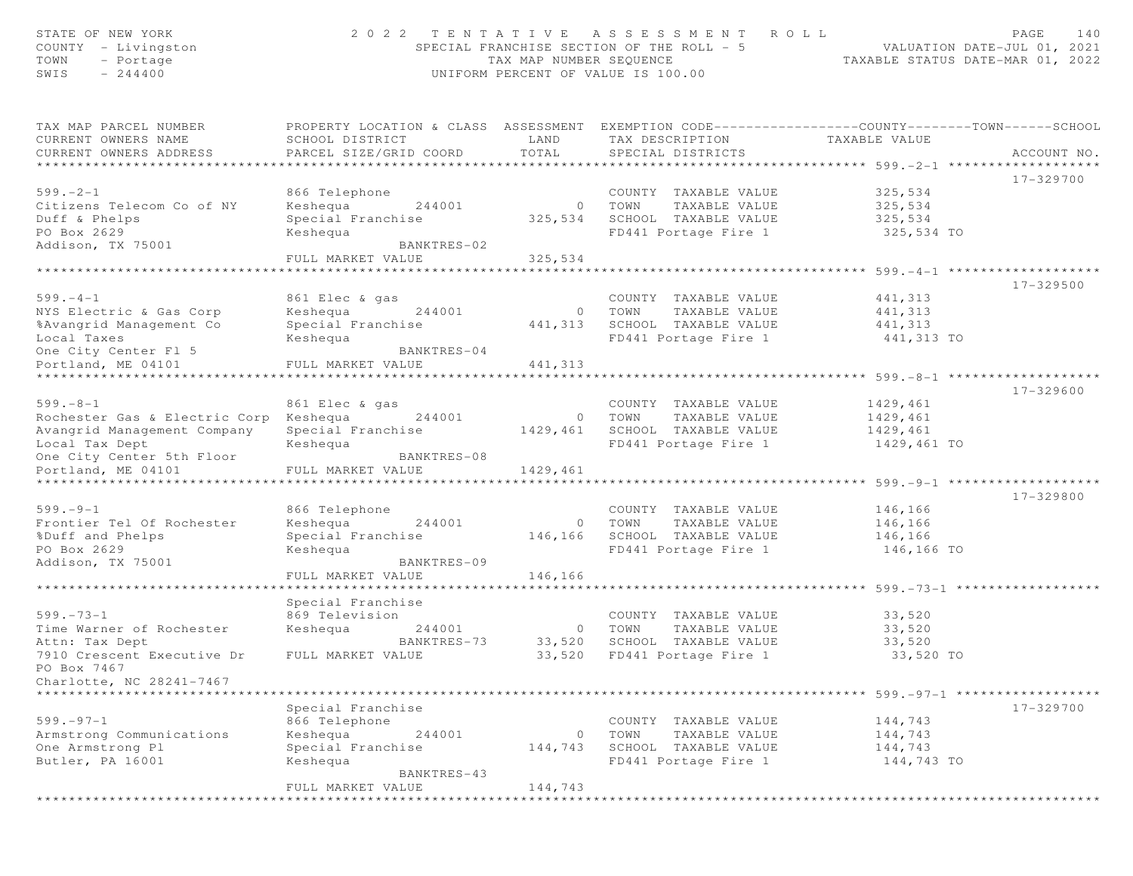| STATE OF NEW YORK<br>$COUNTY = Livingston$<br>TOWN<br>- Portage<br>$-244400$<br>SWIS | 2022 TENTATIVE                                                                                                                                 | TAX MAP NUMBER SEOUENCE | A S S E S S M E N T<br>SPECIAL FRANCHISE SECTION OF THE ROLL - 5<br>UNIFORM PERCENT OF VALUE IS 100.00 | R O L L<br>TAXABLE STATUS DATE-MAR 01, 2022 | PAGE<br>140<br>VALUATION DATE-JUL 01, 2021 |
|--------------------------------------------------------------------------------------|------------------------------------------------------------------------------------------------------------------------------------------------|-------------------------|--------------------------------------------------------------------------------------------------------|---------------------------------------------|--------------------------------------------|
| TAX MAP PARCEL NUMBER<br>CURRENT OWNERS NAME<br>CURRENT OWNERS ADDRESS               | PROPERTY LOCATION & CLASS ASSESSMENT EXEMPTION CODE----------------COUNTY--------TOWN------SCHOOL<br>SCHOOL DISTRICT<br>PARCEL SIZE/GRID COORD | LAND<br>TOTAL           | TAX DESCRIPTION<br>SPECIAL DISTRICTS                                                                   | TAXABLE VALUE                               | ACCOUNT NO.                                |
|                                                                                      |                                                                                                                                                |                         |                                                                                                        |                                             |                                            |
| $599. - 2 - 1$<br>Citizens Telecom Co of NY<br>Duff & Phelps                         | 866 Telephone<br>Keshequa<br>244001<br>Special Franchise                                                                                       | $\circ$<br>325,534      | COUNTY TAXABLE VALUE<br>TOWN<br>TAXABLE VALUE<br>SCHOOL TAXABLE VALUE                                  | 325,534<br>325,534<br>325,534               | 17-329700                                  |
| PO Box 2629<br>Addison, TX 75001                                                     | Keshequa<br>BANKTRES-02                                                                                                                        |                         | FD441 Portage Fire 1                                                                                   | 325,534 TO                                  |                                            |
|                                                                                      | FULL MARKET VALUE                                                                                                                              | 325,534                 |                                                                                                        |                                             |                                            |
|                                                                                      | * * * * * * * * * * * * * * * * * * * *                                                                                                        |                         |                                                                                                        |                                             |                                            |
|                                                                                      |                                                                                                                                                |                         |                                                                                                        |                                             | 17-329500                                  |
| $599. - 4 - 1$                                                                       | 861 Elec & gas                                                                                                                                 |                         | COUNTY TAXABLE VALUE                                                                                   | 441,313                                     |                                            |
| NYS Electric & Gas Corp<br>%Avangrid Management Co                                   | Keshequa<br>244001<br>Special Franchise                                                                                                        | $\circ$<br>441,313      | TOWN<br>TAXABLE VALUE<br>SCHOOL TAXABLE VALUE                                                          | 441,313<br>441,313                          |                                            |
| Local Taxes                                                                          | Keshequa                                                                                                                                       |                         | FD441 Portage Fire 1                                                                                   | 441,313 TO                                  |                                            |
| One City Center Fl 5                                                                 | BANKTRES-04                                                                                                                                    |                         |                                                                                                        |                                             |                                            |
| Portland, ME 04101                                                                   | FULL MARKET VALUE                                                                                                                              | 441,313                 |                                                                                                        |                                             |                                            |
|                                                                                      |                                                                                                                                                |                         |                                                                                                        | ********* 599. -8-1 *****                   |                                            |
|                                                                                      |                                                                                                                                                |                         |                                                                                                        |                                             | 17-329600                                  |
| $599. - 8 - 1$                                                                       | 861 Elec & gas                                                                                                                                 |                         | COUNTY TAXABLE VALUE                                                                                   | 1429,461<br>1429,461                        |                                            |
| Rochester Gas & Electric Corp<br>Avangrid Management Company                         | Keshequa<br>244001<br>Special Franchise                                                                                                        | $\circ$<br>1429,461     | TOWN<br>TAXABLE VALUE<br>SCHOOL TAXABLE VALUE                                                          | 1429,461                                    |                                            |
| Local Tax Dept                                                                       | Keshequa                                                                                                                                       |                         | FD441 Portage Fire 1                                                                                   | 1429,461 TO                                 |                                            |
| One City Center 5th Floor                                                            | BANKTRES-08                                                                                                                                    |                         |                                                                                                        |                                             |                                            |
| Portland, ME 04101                                                                   | FULL MARKET VALUE                                                                                                                              | 1429,461                |                                                                                                        |                                             |                                            |
| *****************************                                                        |                                                                                                                                                |                         |                                                                                                        |                                             |                                            |
|                                                                                      |                                                                                                                                                |                         |                                                                                                        |                                             | 17-329800                                  |
| $599. - 9 - 1$<br>Frontier Tel Of Rochester                                          | 866 Telephone<br>Keshequa<br>244001                                                                                                            | $\circ$                 | COUNTY TAXABLE VALUE<br>TOWN<br>TAXABLE VALUE                                                          | 146,166<br>146,166                          |                                            |
| %Duff and Phelps                                                                     | Special Franchise                                                                                                                              | 146,166                 | SCHOOL TAXABLE VALUE                                                                                   | 146,166                                     |                                            |
| PO Box 2629                                                                          | Keshequa                                                                                                                                       |                         | FD441 Portage Fire 1                                                                                   | 146,166 TO                                  |                                            |
| Addison, TX 75001                                                                    | BANKTRES-09                                                                                                                                    |                         |                                                                                                        |                                             |                                            |
|                                                                                      | FULL MARKET VALUE                                                                                                                              | 146,166                 |                                                                                                        |                                             |                                            |
|                                                                                      |                                                                                                                                                |                         |                                                                                                        |                                             |                                            |
| $599. - 73 - 1$                                                                      | Special Franchise<br>869 Television                                                                                                            |                         | COUNTY TAXABLE VALUE                                                                                   | 33,520                                      |                                            |
| Time Warner of Rochester                                                             | Keshequa<br>244001                                                                                                                             | $\circ$                 | TOWN<br>TAXABLE VALUE                                                                                  | 33,520                                      |                                            |
| Attn: Tax Dept                                                                       | BANKTRES-73                                                                                                                                    | 33,520                  | SCHOOL TAXABLE VALUE                                                                                   | 33,520                                      |                                            |
| 7910 Crescent Executive Dr                                                           | FULL MARKET VALUE                                                                                                                              | 33,520                  | FD441 Portage Fire 1                                                                                   | 33,520 TO                                   |                                            |
| PO Box 7467                                                                          |                                                                                                                                                |                         |                                                                                                        |                                             |                                            |
| Charlotte, NC 28241-7467                                                             |                                                                                                                                                |                         |                                                                                                        |                                             |                                            |
|                                                                                      | Special Franchise                                                                                                                              |                         |                                                                                                        |                                             | 17-329700                                  |
| $599. - 97 - 1$                                                                      | 866 Telephone                                                                                                                                  |                         | COUNTY TAXABLE VALUE                                                                                   | 144,743                                     |                                            |
| Armstrong Communications                                                             | 244001<br>Keshequa                                                                                                                             | 0                       | TOWN<br>TAXABLE VALUE                                                                                  | 144,743                                     |                                            |
| One Armstrong Pl                                                                     | Special Franchise                                                                                                                              | 144,743                 | SCHOOL TAXABLE VALUE                                                                                   | 144,743                                     |                                            |
| Butler, PA 16001                                                                     | Keshequa<br>BANKTRES-43                                                                                                                        |                         | FD441 Portage Fire 1                                                                                   | 144,743 TO                                  |                                            |
|                                                                                      | FULL MARKET VALUE                                                                                                                              | 144,743                 |                                                                                                        |                                             |                                            |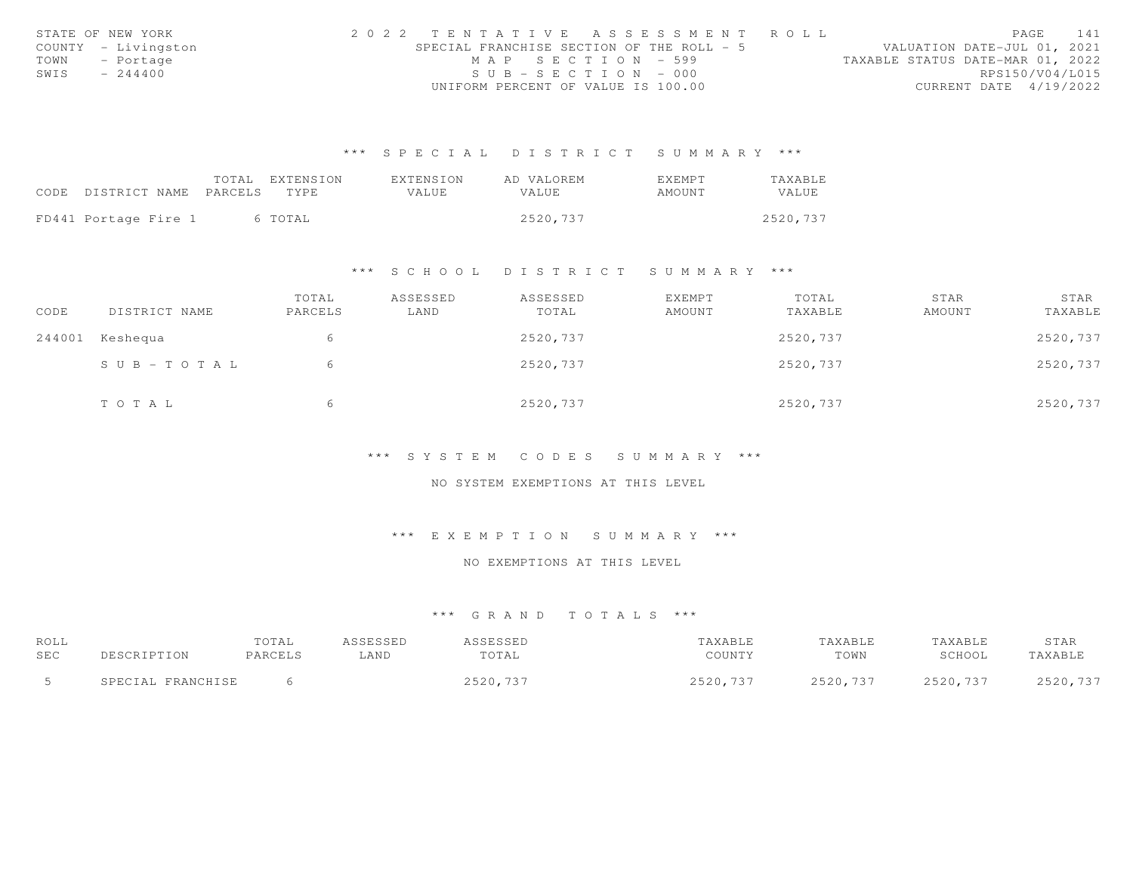|      | STATE OF NEW YORK   | 2022 TENTATIVE ASSESSMENT ROLL            |                       |  |  |                                  |                        | PAGE | 141 |
|------|---------------------|-------------------------------------------|-----------------------|--|--|----------------------------------|------------------------|------|-----|
|      | COUNTY - Livingston | SPECIAL FRANCHISE SECTION OF THE ROLL - 5 |                       |  |  | VALUATION DATE-JUL 01, 2021      |                        |      |     |
|      | TOWN - Portage      |                                           | MAP SECTION - 599     |  |  | TAXABLE STATUS DATE-MAR 01, 2022 |                        |      |     |
| SWIS | $-244400$           |                                           | $SUB - SECTION - 000$ |  |  |                                  | RPS150/V04/L015        |      |     |
|      |                     | UNIFORM PERCENT OF VALUE IS 100.00        |                       |  |  |                                  | CURRENT DATE 4/19/2022 |      |     |

|                            | TOTAL | EXTENSION | EXTENSION | AD VALOREM   | <b>EXEMPT</b> | TAXABLE  |
|----------------------------|-------|-----------|-----------|--------------|---------------|----------|
| CODE DISTRICT NAME PARCELS |       | TYPE.     | VALUE.    | <b>VALUE</b> | AMOUNT        | VALUE    |
|                            |       |           |           |              |               |          |
| FD441 Portage Fire 1       |       | 6 TOTAL   |           | 2520.737     |               | 2520,737 |

#### \*\*\* S C H O O L D I S T R I C T S U M M A R Y \*\*\*

| CODE   | DISTRICT NAME         | TOTAL<br>PARCELS | ASSESSED<br>LAND | ASSESSED<br>TOTAL | <b>EXEMPT</b><br>AMOUNT | TOTAL<br>TAXABLE | STAR<br>AMOUNT | STAR<br>TAXABLE |
|--------|-----------------------|------------------|------------------|-------------------|-------------------------|------------------|----------------|-----------------|
| 244001 | Keshequa              | 6                |                  | 2520,737          |                         | 2520,737         |                | 2520,737        |
|        | $S \cup B - TO T A L$ | 6                |                  | 2520,737          |                         | 2520,737         |                | 2520,737        |
|        | TOTAL                 | h                |                  | 2520,737          |                         | 2520,737         |                | 2520,737        |

#### \*\*\* S Y S T E M C O D E S S U M M A R Y \*\*\*

#### NO SYSTEM EXEMPTIONS AT THIS LEVEL

### \*\*\* E X E M P T I O N S U M M A R Y \*\*\*

# NO EXEMPTIONS AT THIS LEVEL

| ROLL<br>SEC | DESCRIPTION       | TOTAL<br>PARCELS | ASSESSED<br>LAND | ASSESSED<br>TOTAL | TAXABLE<br>COUNTY | TAXABLE<br>TOWN | TAXABLE<br>SCHOOL | STAR<br>TAXABLE |
|-------------|-------------------|------------------|------------------|-------------------|-------------------|-----------------|-------------------|-----------------|
|             | SPECIAL FRANCHISE |                  |                  | 2520,737          | 2520,737          | 2520,737        | 2520,737          | 2520,737        |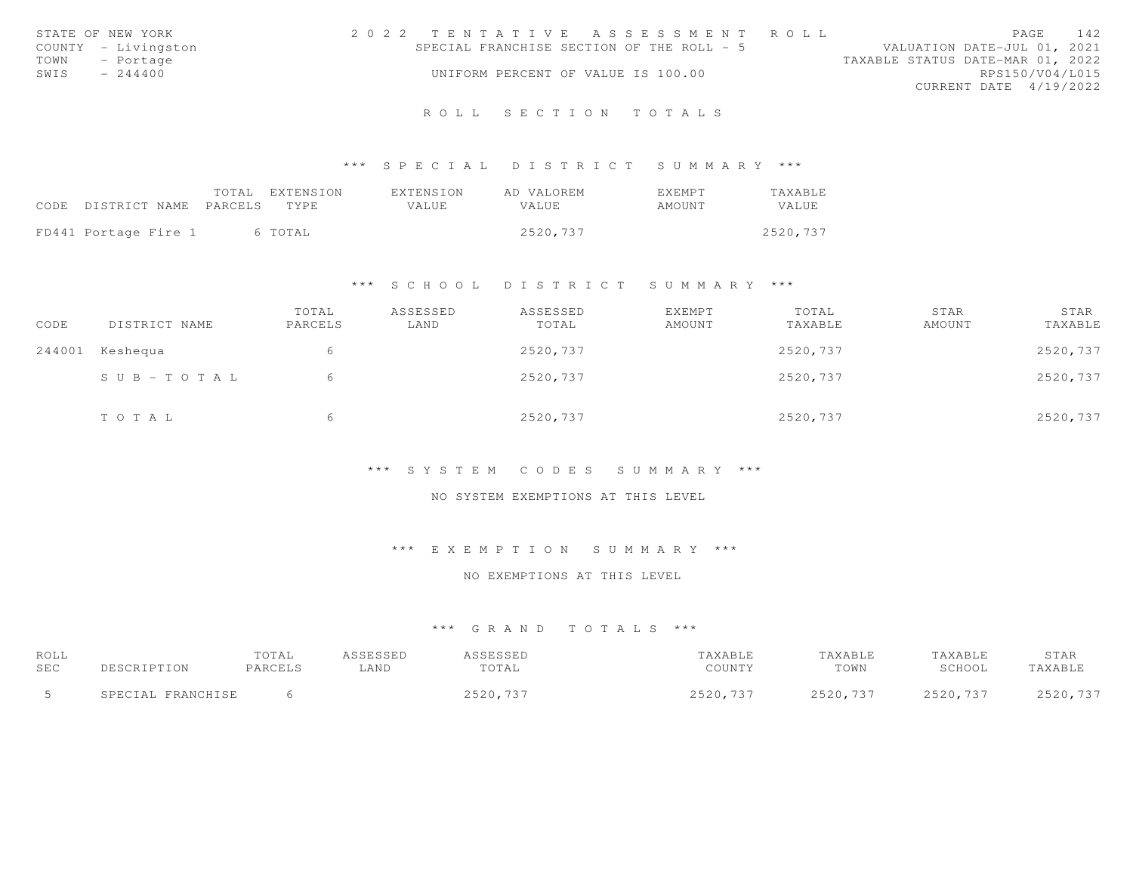|      | STATE OF NEW YORK   | 2022 TENTATIVE ASSESSMENT ROLL                                           | PAGE                   | 142 |
|------|---------------------|--------------------------------------------------------------------------|------------------------|-----|
|      | COUNTY - Livingston | SPECIAL FRANCHISE SECTION OF THE ROLL - 5<br>VALUATION DATE-JUL 01, 2021 |                        |     |
| TOWN | - Portage           | TAXABLE STATUS DATE-MAR 01, 2022                                         |                        |     |
| SWIS | $-244400$           | UNIFORM PERCENT OF VALUE IS 100.00                                       | RPS150/V04/L015        |     |
|      |                     |                                                                          | CURRENT DATE 4/19/2022 |     |
|      |                     |                                                                          |                        |     |

# R O L L S E C T I O N T O T A L S

### \*\*\* S P E C I A L D I S T R I C T S U M M A R Y \*\*\*

|                                 | TOTAL EXTENSION | EXTENSION | AD VALOREM | <b>EXEMPT</b> | <b>TAXABLE</b> |
|---------------------------------|-----------------|-----------|------------|---------------|----------------|
| CODE DISTRICT NAME PARCELS TYPE |                 | VALUE     | VALUE.     | AMOUNT        | VALUE          |
| FD441 Portage Fire 1            | 6 TOTAL         |           | 2520,737   |               | 2520,737       |

### \*\*\* S C H O O L D I S T R I C T S U M M A R Y \*\*\*

| CODE   | DISTRICT NAME         | TOTAL<br>PARCELS | ASSESSED<br>LAND | ASSESSED<br>TOTAL | EXEMPT<br>AMOUNT | TOTAL<br>TAXABLE | STAR<br>AMOUNT | STAR<br>TAXABLE |
|--------|-----------------------|------------------|------------------|-------------------|------------------|------------------|----------------|-----------------|
| 244001 | Keshequa              | 6                |                  | 2520,737          |                  | 2520,737         |                | 2520,737        |
|        | $S \cup B - TO T A L$ | 6                |                  | 2520,737          |                  | 2520,737         |                | 2520,737        |
|        | TOTAL                 | b                |                  | 2520,737          |                  | 2520,737         |                | 2520,737        |

#### \*\*\* S Y S T E M C O D E S S U M M A R Y \*\*\*

# NO SYSTEM EXEMPTIONS AT THIS LEVEL

# \*\*\* E X E M P T I O N S U M M A R Y \*\*\*

#### NO EXEMPTIONS AT THIS LEVEL

| ROLL |                   | TOTAL   | ASSESSED | ASSESSED | TAXABLE  | TAXABLE  | TAXABLE  | STAR     |
|------|-------------------|---------|----------|----------|----------|----------|----------|----------|
| SEC  | DESCRIPTION       | PARCELS | LAND     | TOTAL    | COUNTY   | TOWN     | SCHOOL   | TAXABLE  |
|      | SPECIAL FRANCHISE |         |          | 2520,737 | 2520,737 | 2520,737 | 2520,737 | 2520,737 |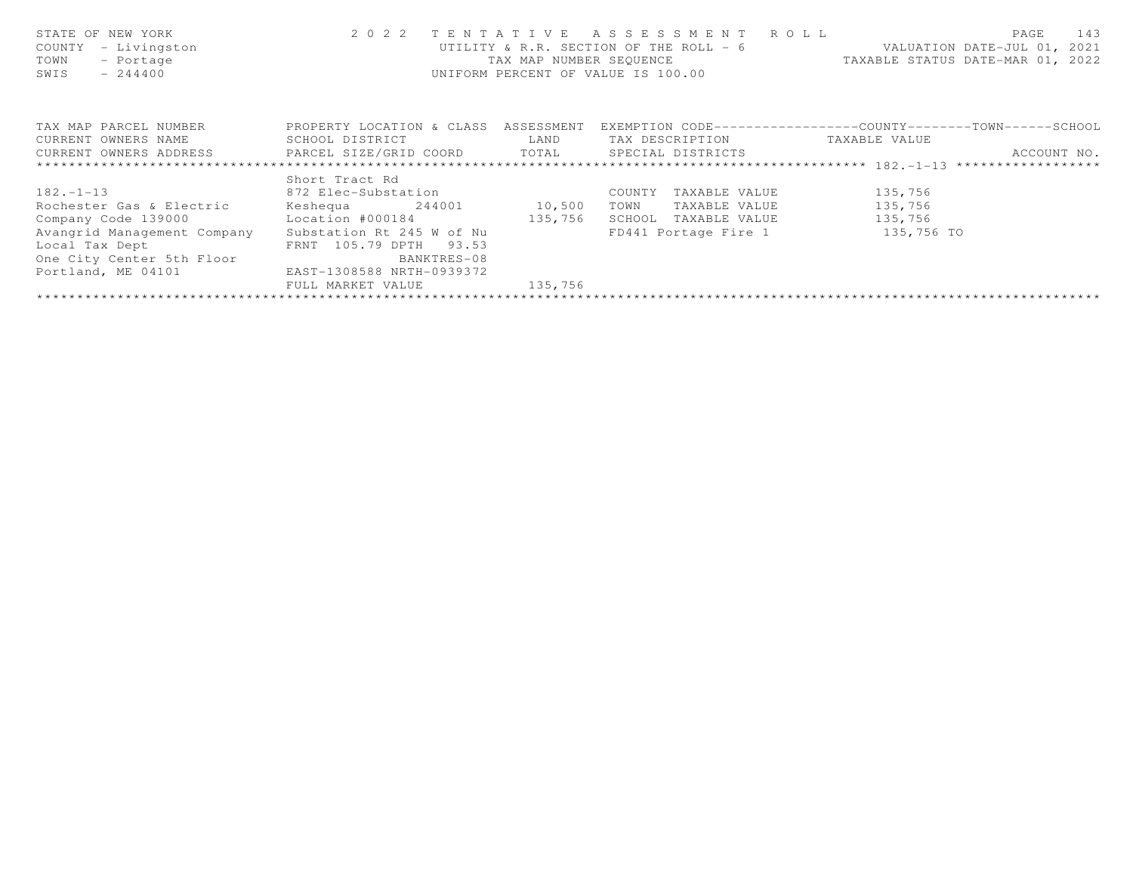| STATE OF NEW YORK<br>- Livingston<br>COUNTY<br>TOWN<br>- Portage<br>$-244400$<br>SWIS | 2 0 2 2                              | TENTATIVE<br>TAX MAP NUMBER SEOUENCE | A S S E S S M E N T R O L L<br>UTILITY & R.R. SECTION OF THE ROLL - 6<br>UNIFORM PERCENT OF VALUE IS 100.00 | 143<br>PAGE<br>VALUATION DATE-JUL 01, 2021<br>TAXABLE STATUS DATE-MAR 01, 2022 |
|---------------------------------------------------------------------------------------|--------------------------------------|--------------------------------------|-------------------------------------------------------------------------------------------------------------|--------------------------------------------------------------------------------|
| TAX MAP PARCEL NUMBER                                                                 | PROPERTY LOCATION & CLASS ASSESSMENT |                                      |                                                                                                             | EXEMPTION CODE-----------------COUNTY-------TOWN-----SCHOOL                    |
| CURRENT OWNERS NAME                                                                   | SCHOOL DISTRICT                      | LAND                                 | TAX DESCRIPTION                                                                                             | TAXABLE VALUE                                                                  |
| CURRENT OWNERS ADDRESS     PARCEL SIZE/GRID COORD     TOTAL     SPECIAL DISTRICTS     |                                      |                                      |                                                                                                             | ACCOUNT NO.                                                                    |
|                                                                                       |                                      |                                      |                                                                                                             |                                                                                |
|                                                                                       | Short Tract Rd                       |                                      |                                                                                                             |                                                                                |
| $182. - 1 - 13$                                                                       | 872 Elec-Substation                  |                                      | COUNTY<br>TAXABLE VALUE                                                                                     | 135,756                                                                        |
| Rochester Gas & Electric                                                              | Keshequa 244001 10,500               |                                      | TOWN<br>TAXABLE VALUE                                                                                       | 135,756                                                                        |
| Company Code 139000                                                                   | Location #000184 135,756             |                                      | SCHOOL<br>TAXABLE VALUE                                                                                     | 135,756                                                                        |
| Avangrid Management Company                                                           | Substation Rt 245 W of Nu            |                                      | FD441 Portage Fire 1 135,756 TO                                                                             |                                                                                |
| Local Tax Dept                                                                        | FRNT 105.79 DPTH<br>93.53            |                                      |                                                                                                             |                                                                                |
| One City Center 5th Floor                                                             | BANKTRES-08                          |                                      |                                                                                                             |                                                                                |
| Portland, ME 04101                                                                    | EAST-1308588 NRTH-0939372            |                                      |                                                                                                             |                                                                                |
|                                                                                       | FULL MARKET VALUE                    | 135,756                              |                                                                                                             |                                                                                |
|                                                                                       |                                      |                                      |                                                                                                             |                                                                                |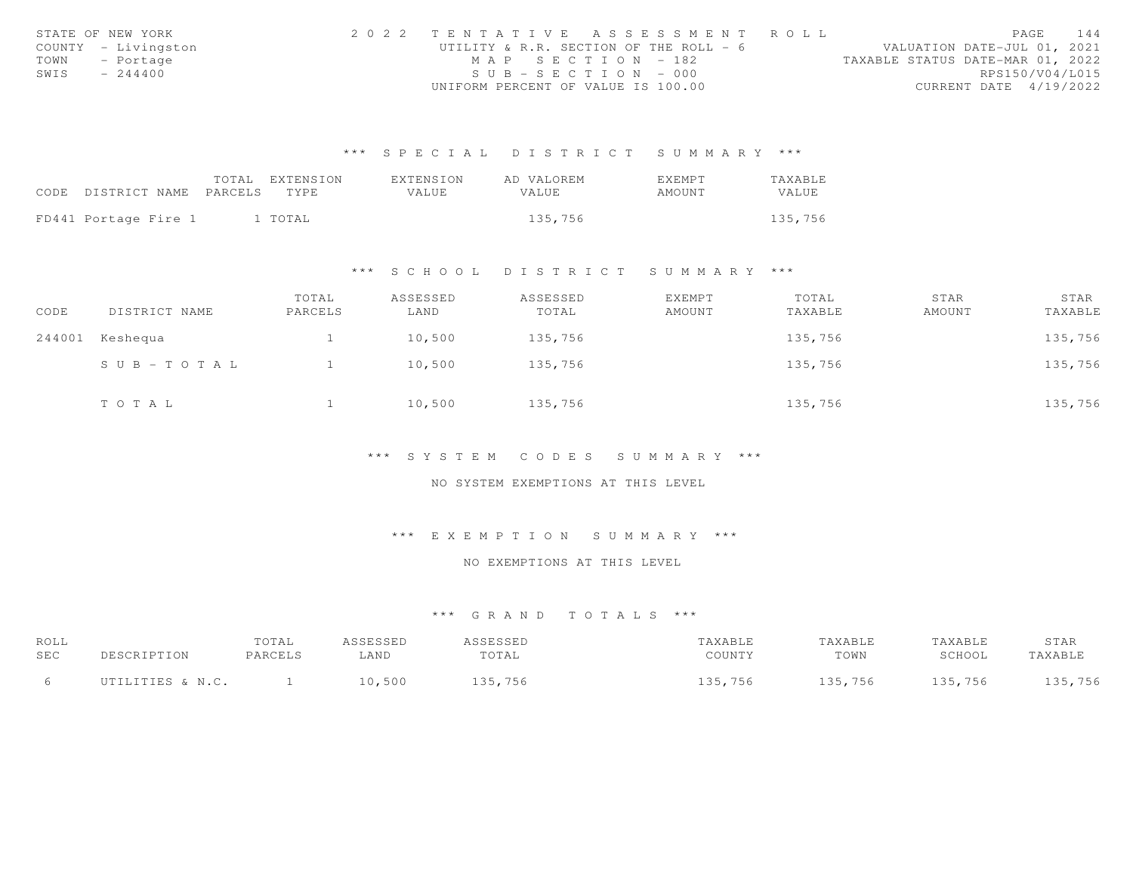|      | STATE OF NEW YORK   | 2022 TENTATIVE ASSESSMENT ROLL         |  |                                  | PAGE | 144 |
|------|---------------------|----------------------------------------|--|----------------------------------|------|-----|
|      | COUNTY - Livingston | UTILITY & R.R. SECTION OF THE ROLL - 6 |  | VALUATION DATE-JUL 01, 2021      |      |     |
|      | TOWN - Portage      | MAP SECTION - 182                      |  | TAXABLE STATUS DATE-MAR 01, 2022 |      |     |
| SWIS | $-244400$           | $SUB - SECTION - 000$                  |  | RPS150/V04/L015                  |      |     |
|      |                     | UNIFORM PERCENT OF VALUE IS 100.00     |  | CURRENT DATE 4/19/2022           |      |     |

|                            | TOTAL | EXTENSION | EXTENSION | AD VALOREM   | EXEMPT | TAXABLE |
|----------------------------|-------|-----------|-----------|--------------|--------|---------|
| CODE DISTRICT NAME PARCELS |       | TYPE.     | VALUE.    | <b>VALUE</b> | AMOUNT | VALUE   |
|                            |       |           |           |              |        |         |
| FD441 Portage Fire 1       |       | 1 TOTAL   |           | 135,756      |        | 135,756 |

#### \*\*\* S C H O O L D I S T R I C T S U M M A R Y \*\*\*

| CODE   | DISTRICT NAME | TOTAL<br>PARCELS | ASSESSED<br>LAND | ASSESSED<br>TOTAL | EXEMPT<br>AMOUNT | TOTAL<br>TAXABLE | STAR<br>AMOUNT | STAR<br>TAXABLE |
|--------|---------------|------------------|------------------|-------------------|------------------|------------------|----------------|-----------------|
| 244001 | Keshequa      |                  | 10,500           | 135,756           |                  | 135,756          |                | 135,756         |
|        | SUB-TOTAL     |                  | 10,500           | 135,756           |                  | 135,756          |                | 135,756         |
|        | TOTAL         |                  | 10,500           | 135,756           |                  | 135,756          |                | 135,756         |

#### \*\*\* S Y S T E M C O D E S S U M M A R Y \*\*\*

#### NO SYSTEM EXEMPTIONS AT THIS LEVEL

### \*\*\* E X E M P T I O N S U M M A R Y \*\*\*

# NO EXEMPTIONS AT THIS LEVEL

| ROLL<br>SEC |                  | TOTAL<br>PARCELS | ASSESSED<br>AND | ASSESSED<br>TOTAL | TAXABLE<br>COUNTY | <b>TAXABLE</b><br>TOWN | TAXABLE<br>SCHOOL | STAR<br>TAXABLE |
|-------------|------------------|------------------|-----------------|-------------------|-------------------|------------------------|-------------------|-----------------|
|             | UTILITIES & N.C. |                  | 10,500          | 135,756           | 135,756           | 135,756                | 135,756           | 135,756         |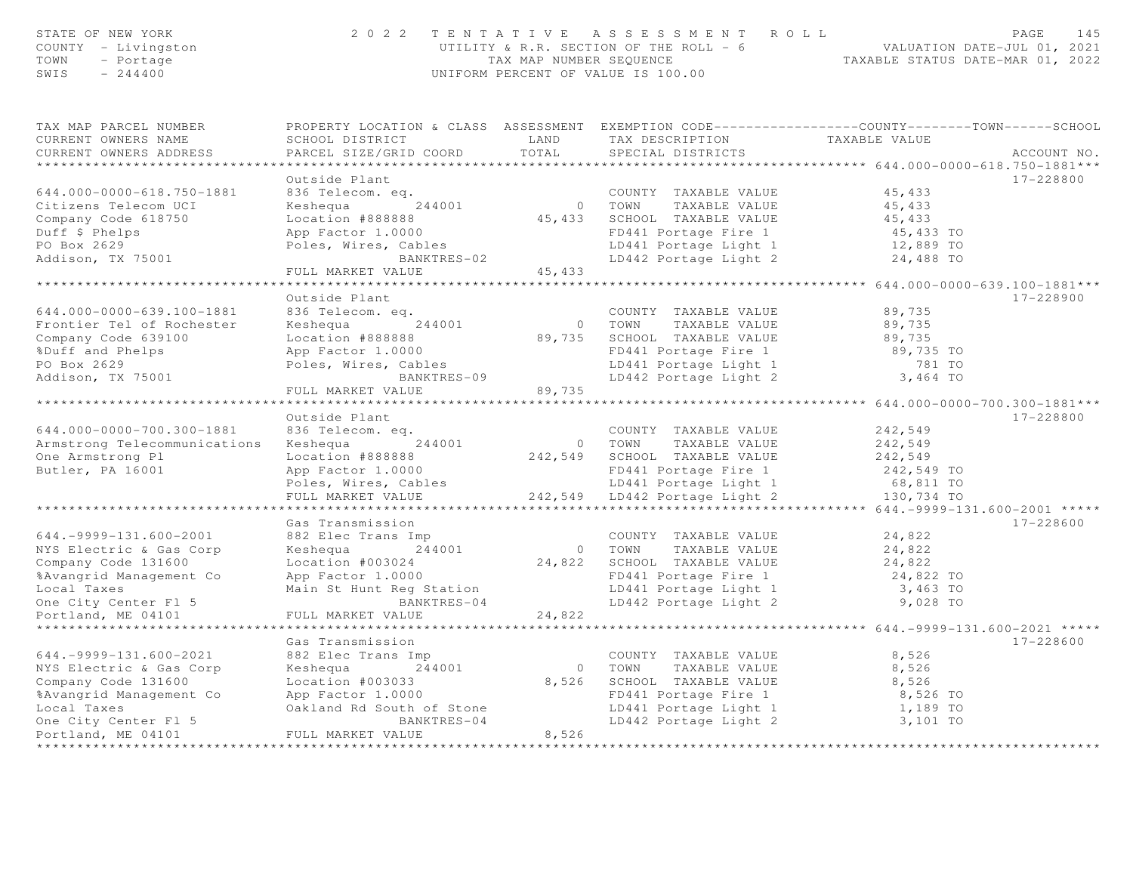| STATE OF NEW YORK<br>COUNTY - Livingston<br>TOWN<br>- Portage<br>SWIS<br>$-244400$ | 2 0 2 2                                                                                                                                      | TAX MAP NUMBER SEQUENCE     | TENTATIVE ASSESSMENT<br>ROLL<br>UTILITY & R.R. SECTION OF THE ROLL = 6<br>UNIFORM PERCENT OF VALUE IS 100.00 | TAXABLE STATUS DATE-MAR 01, 2022         | PAGE<br>145<br>VALUATION DATE-JUL 01, 2021 |
|------------------------------------------------------------------------------------|----------------------------------------------------------------------------------------------------------------------------------------------|-----------------------------|--------------------------------------------------------------------------------------------------------------|------------------------------------------|--------------------------------------------|
| TAX MAP PARCEL NUMBER<br>CURRENT OWNERS NAME<br>CURRENT OWNERS ADDRESS             | PROPERTY LOCATION & CLASS ASSESSMENT EXEMPTION CODE---------------COUNTY-------TOWN------SCHOOL<br>SCHOOL DISTRICT<br>PARCEL SIZE/GRID COORD | LAND<br>TOTAL               | TAX DESCRIPTION<br>SPECIAL DISTRICTS                                                                         | TAXABLE VALUE                            | ACCOUNT NO.                                |
| ******************************                                                     |                                                                                                                                              |                             |                                                                                                              |                                          |                                            |
| 644.000-0000-618.750-1881                                                          | Outside Plant                                                                                                                                |                             |                                                                                                              |                                          | 17-228800                                  |
| Citizens Telecom UCI                                                               | 836 Telecom. eq.<br>Keshequa<br>244001                                                                                                       |                             | COUNTY TAXABLE VALUE<br>0 TOWN<br>TAXABLE VALUE                                                              | 45,433<br>45,433                         |                                            |
| Company Code 618750                                                                | Location #888888                                                                                                                             |                             | 45, 433 SCHOOL TAXABLE VALUE                                                                                 | 45,433                                   |                                            |
| Duff \$ Phelps                                                                     | App Factor 1.0000                                                                                                                            |                             | FD441 Portage Fire 1                                                                                         | 45,433 TO                                |                                            |
| PO Box 2629                                                                        | Poles, Wires, Cables                                                                                                                         |                             | LD441 Portage Light 1                                                                                        | 12,889 TO                                |                                            |
| Addison, TX 75001                                                                  | BANKTRES-02                                                                                                                                  |                             | LD442 Portage Light 2                                                                                        | 24,488 TO                                |                                            |
|                                                                                    | FULL MARKET VALUE                                                                                                                            | 45,433                      |                                                                                                              |                                          |                                            |
|                                                                                    | .                                                                                                                                            | * * * * * * * * * * *       |                                                                                                              | *********** 644.000-0000-639.100-1881*** |                                            |
|                                                                                    | Outside Plant                                                                                                                                |                             |                                                                                                              |                                          | 17-228900                                  |
| 644.000-0000-639.100-1881                                                          | 836 Telecom. eq.                                                                                                                             |                             | COUNTY TAXABLE VALUE                                                                                         | 89,735                                   |                                            |
| Frontier Tel of Rochester                                                          | Keshequa<br>244001                                                                                                                           | $\circ$                     | TOWN<br>TAXABLE VALUE                                                                                        | 89,735                                   |                                            |
| Company Code 639100                                                                | Location #888888                                                                                                                             | 89,735                      | SCHOOL TAXABLE VALUE                                                                                         | 89,735                                   |                                            |
| %Duff and Phelps                                                                   | App Factor 1.0000                                                                                                                            |                             | FD441 Portage Fire 1                                                                                         | 89,735 TO                                |                                            |
| PO Box 2629<br>Addison, TX 75001                                                   | Poles, Wires, Cables<br>BANKTRES-09                                                                                                          |                             | LD441 Portage Light 1<br>LD442 Portage Light 2                                                               | 781 TO<br>3,464 TO                       |                                            |
|                                                                                    | FULL MARKET VALUE                                                                                                                            | 89,735                      |                                                                                                              |                                          |                                            |
|                                                                                    | * * * * * * * * * * * * * * * * * *                                                                                                          |                             |                                                                                                              |                                          |                                            |
|                                                                                    | Outside Plant                                                                                                                                |                             |                                                                                                              |                                          | 17-228800                                  |
| 644.000-0000-700.300-1881                                                          | 836 Telecom. eq.                                                                                                                             |                             | COUNTY TAXABLE VALUE                                                                                         | 242,549                                  |                                            |
| Armstrong Telecommunications                                                       | Keshequa<br>244001                                                                                                                           | 0 TOWN                      | TAXABLE VALUE                                                                                                | 242,549                                  |                                            |
| One Armstrong Pl                                                                   | Location #888888                                                                                                                             |                             | 242,549 SCHOOL TAXABLE VALUE                                                                                 | 242,549                                  |                                            |
| Butler, PA 16001                                                                   | App Factor 1.0000                                                                                                                            |                             | FD441 Portage Fire 1                                                                                         | 242,549 TO                               |                                            |
|                                                                                    | Poles, Wires, Cables                                                                                                                         |                             | LD441 Portage Light 1                                                                                        | 68,811 TO                                |                                            |
|                                                                                    | FULL MARKET VALUE                                                                                                                            |                             | 242,549 LD442 Portage Light 2                                                                                | 130,734 TO                               |                                            |
|                                                                                    |                                                                                                                                              | * * * * * * * * * * *       |                                                                                                              | *** $644. -9999 - 131.600 - 2001$ *****  |                                            |
|                                                                                    | Gas Transmission                                                                                                                             |                             |                                                                                                              |                                          | 17-228600                                  |
| $644. -9999 - 131.600 - 2001$                                                      | 882 Elec Trans Imp<br>244001                                                                                                                 |                             | COUNTY TAXABLE VALUE                                                                                         | 24,822<br>24,822                         |                                            |
| NYS Electric & Gas Corp<br>Company Code 131600                                     | Keshequa<br>Location #003024                                                                                                                 | 0 TOWN                      | TAXABLE VALUE<br>24,822 SCHOOL TAXABLE VALUE                                                                 | 24,822                                   |                                            |
| %Avangrid Management Co                                                            | App Factor 1.0000                                                                                                                            |                             | FD441 Portage Fire 1                                                                                         | 24,822 TO                                |                                            |
| Local Taxes                                                                        | Main St Hunt Reg Station                                                                                                                     |                             | LD441 Portage Light 1                                                                                        | 3,463 TO                                 |                                            |
| One City Center Fl 5                                                               | BANKTRES-04                                                                                                                                  |                             | LD442 Portage Light 2                                                                                        | 9,028 TO                                 |                                            |
| Portland, ME 04101                                                                 | FULL MARKET VALUE                                                                                                                            | 24,822                      |                                                                                                              |                                          |                                            |
|                                                                                    |                                                                                                                                              |                             |                                                                                                              |                                          |                                            |
|                                                                                    | Gas Transmission                                                                                                                             |                             |                                                                                                              |                                          | 17-228600                                  |
| $644. -9999 - 131.600 - 2021$                                                      | 882 Elec Trans Imp                                                                                                                           |                             | COUNTY TAXABLE VALUE                                                                                         | 8,526                                    |                                            |
| NYS Electric & Gas Corp                                                            | 244001<br>Keshequa                                                                                                                           | $\overline{0}$              | TAXABLE VALUE<br>TOWN                                                                                        | 8,526                                    |                                            |
| Company Code 131600                                                                | Location #003033                                                                                                                             | 8,526                       | SCHOOL TAXABLE VALUE                                                                                         | 8,526                                    |                                            |
| %Avangrid Management Co                                                            | App Factor 1.0000                                                                                                                            |                             | FD441 Portage Fire 1                                                                                         | 8,526 TO                                 |                                            |
| Local Taxes                                                                        | Oakland Rd South of Stone                                                                                                                    |                             | LD441 Portage Light 1                                                                                        | 1,189 TO                                 |                                            |
| One City Center Fl 5                                                               | BANKTRES-04<br>FULL MARKET VALUE                                                                                                             | 8,526                       | LD442 Portage Light 2                                                                                        | 3,101 TO                                 |                                            |
| Portland, ME 04101<br>********************                                         | ***********************                                                                                                                      | * * * * * * * * * * * * * * |                                                                                                              |                                          |                                            |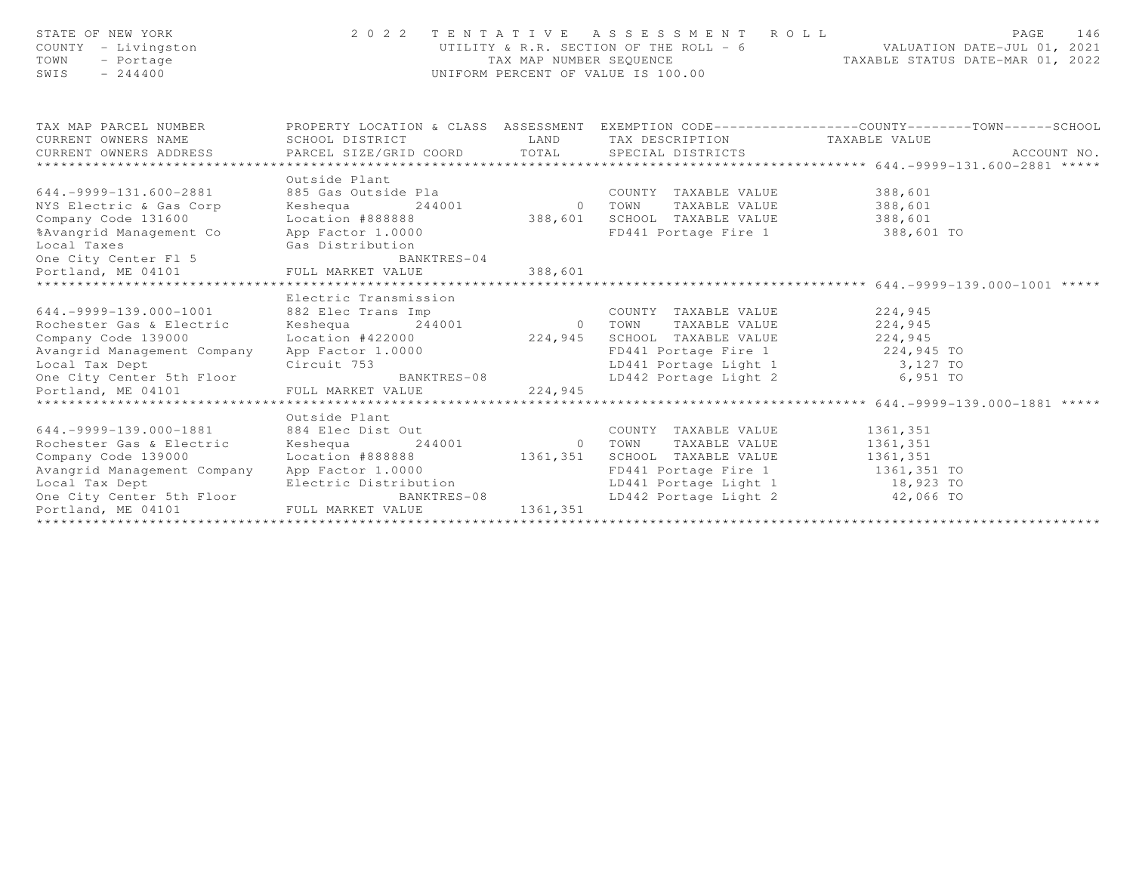| STATE OF NEW YORK<br>COUNTY - Livingston<br>TOWN<br>- Portage<br>$SWIS = 244400$                                                 |                                                                                        |           | UNIFORM PERCENT OF VALUE IS 100.00                                                                     | 2022 TENTATIVE ASSESSMENT ROLL PAGE 146<br>UTILITY & R.R. SECTION OF THE ROLL - 6 VALUATION DATE-JUL 01, 2021<br>TAX MAP NUMBER SEQUENCE TAXABLE STATUS DATE-MAR 01, 2022                                                                    |
|----------------------------------------------------------------------------------------------------------------------------------|----------------------------------------------------------------------------------------|-----------|--------------------------------------------------------------------------------------------------------|----------------------------------------------------------------------------------------------------------------------------------------------------------------------------------------------------------------------------------------------|
| CURRENT OWNERS NAME                                                                                                              | SCHOOL DISTRICT                                                                        |           | LAND TAX DESCRIPTION TAXABLE VALUE                                                                     | TAX MAP PARCEL NUMBER THE PROPERTY LOCATION & CLASS ASSESSMENT EXEMPTION CODE--------------COUNTY-------TOWN------SCHOOL                                                                                                                     |
|                                                                                                                                  |                                                                                        |           |                                                                                                        |                                                                                                                                                                                                                                              |
|                                                                                                                                  | Outside Plant                                                                          |           |                                                                                                        |                                                                                                                                                                                                                                              |
| $644. -9999 - 131.600 - 2881$                                                                                                    |                                                                                        |           |                                                                                                        |                                                                                                                                                                                                                                              |
| NYS Electric & Gas Corp                                                                                                          |                                                                                        |           |                                                                                                        |                                                                                                                                                                                                                                              |
| Company Code 131600                                                                                                              |                                                                                        |           |                                                                                                        |                                                                                                                                                                                                                                              |
| %Avangrid Management Co                                                                                                          | App Factor 1.0000                                                                      |           | FD441 Portage Fire 1 388,601 TO                                                                        |                                                                                                                                                                                                                                              |
|                                                                                                                                  |                                                                                        |           |                                                                                                        |                                                                                                                                                                                                                                              |
|                                                                                                                                  | BANKTRES-04                                                                            |           |                                                                                                        |                                                                                                                                                                                                                                              |
| Local Taxes<br>One City Center F1 5<br>Portland, ME 04101<br>Portland, ME 04101<br>FULL MARKET VALUE                             |                                                                                        | 388,601   |                                                                                                        |                                                                                                                                                                                                                                              |
|                                                                                                                                  | Electric Transmission                                                                  |           |                                                                                                        |                                                                                                                                                                                                                                              |
|                                                                                                                                  |                                                                                        |           |                                                                                                        |                                                                                                                                                                                                                                              |
|                                                                                                                                  |                                                                                        |           |                                                                                                        |                                                                                                                                                                                                                                              |
| Company Code 139000<br>Company Code 139000 Location #422000 224,945 SCHOOL TAXABLE VALUE 224,945<br>RD441 Portage Fire 1 224,945 |                                                                                        |           |                                                                                                        |                                                                                                                                                                                                                                              |
|                                                                                                                                  |                                                                                        |           |                                                                                                        |                                                                                                                                                                                                                                              |
|                                                                                                                                  |                                                                                        |           |                                                                                                        |                                                                                                                                                                                                                                              |
|                                                                                                                                  |                                                                                        |           | FD441 Portage Fire 1 224,945 TO<br>LD441 Portage Light 1 3,127 TO<br>LD442 Portage Light 2 6,951 TO    |                                                                                                                                                                                                                                              |
|                                                                                                                                  |                                                                                        |           |                                                                                                        | 1.0001 Tax Dept<br>Circuit 753<br>One City Center 5th Floor BANKTRES-08<br>Portland, ME 04101 FULL MARKET VALUE 224,945<br>FOR LEVIN MARKET VALUE 224,945<br>FOR THE MARKET VALUE 224,945<br>The set of the SANKTRES-08 LEMARKET 224,945<br> |
|                                                                                                                                  |                                                                                        |           |                                                                                                        |                                                                                                                                                                                                                                              |
|                                                                                                                                  | Outside Plant                                                                          |           |                                                                                                        |                                                                                                                                                                                                                                              |
| 644.-9999-139.000-1881 884 Elec Dist Out                                                                                         | 884 Elec Dist Out<br>244001 244001 0 TOWN TAXABLE VALUE<br>244001 0 TOWN TAXABLE VALUE |           | COUNTY TAXABLE VALUE                                                                                   | 1361,351                                                                                                                                                                                                                                     |
| Rochester Gas & Electric                                                                                                         |                                                                                        |           |                                                                                                        | 1361,351                                                                                                                                                                                                                                     |
| Company Code 139000                                                                                                              | Location #888888 1361,351 SCHOOL TAXABLE VALUE                                         |           |                                                                                                        | 1361,351                                                                                                                                                                                                                                     |
| Avangrid Management Company                                                                                                      | App Factor 1.0000<br>Electric Distribution<br>BANKTRES-08                              |           | FD441 Portage Fire 1 1361,351 TO<br>LD441 Portage Light 1 18,923 TO<br>LD442 Portage Light 2 42,066 TO |                                                                                                                                                                                                                                              |
| Local Tax Dept<br>One City Center 5th Floor BANK<br>Portland, ME 04101 FULL MARKET VALUE                                         |                                                                                        |           |                                                                                                        |                                                                                                                                                                                                                                              |
|                                                                                                                                  |                                                                                        | 1361, 351 |                                                                                                        |                                                                                                                                                                                                                                              |
|                                                                                                                                  |                                                                                        |           |                                                                                                        |                                                                                                                                                                                                                                              |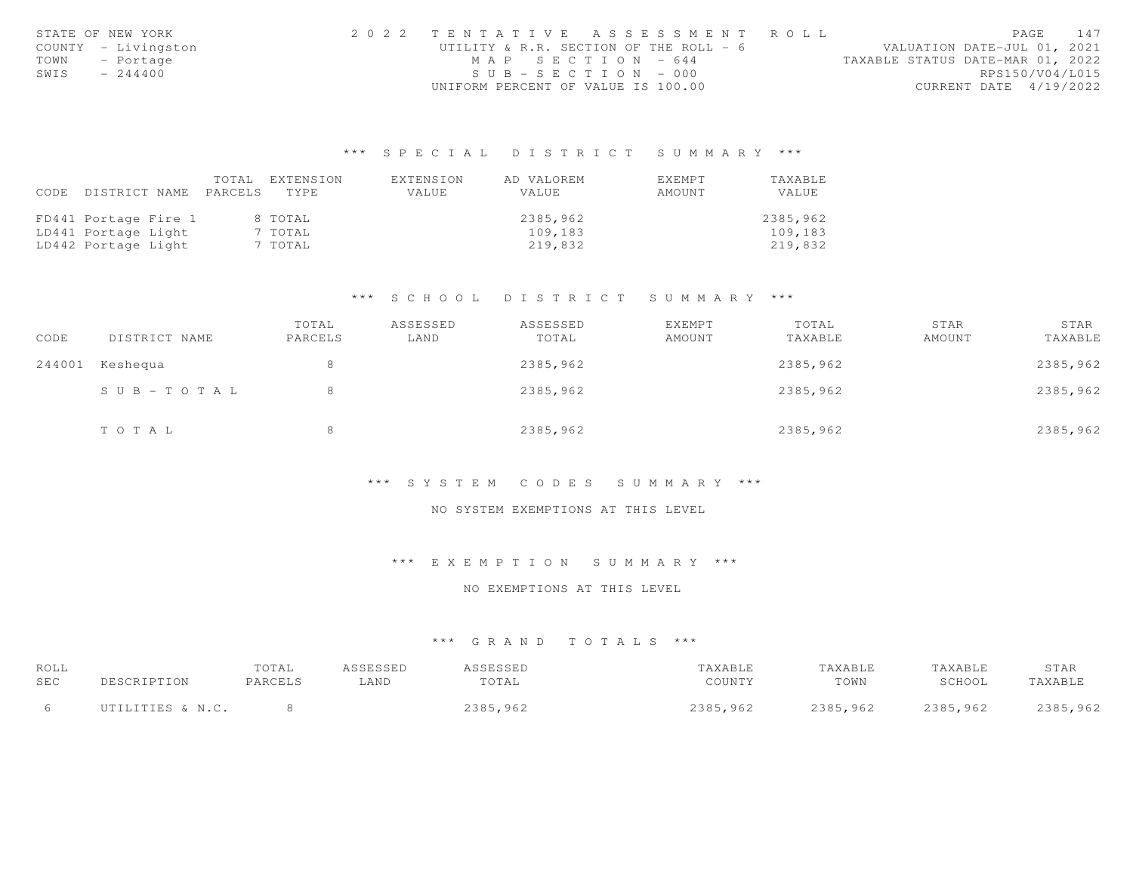|      | STATE OF NEW YORK   | 2022 TENTATIVE ASSESSMENT ROLL         |  |                                  | PAGE                   | 147 |
|------|---------------------|----------------------------------------|--|----------------------------------|------------------------|-----|
|      | COUNTY - Livingston | UTILITY & R.R. SECTION OF THE ROLL - 6 |  | VALUATION DATE-JUL 01, 2021      |                        |     |
|      | TOWN - Portage      | MAP SECTION $-644$                     |  | TAXABLE STATUS DATE-MAR 01, 2022 |                        |     |
| SWIS | $-244400$           | $SUB - SECTION - 000$                  |  |                                  | RPS150/V04/L015        |     |
|      |                     | UNIFORM PERCENT OF VALUE IS 100.00     |  |                                  | CURRENT DATE 4/19/2022 |     |

|      |                            | TOTAL. | EXTENSION | EXTENSION | AD VALOREM   | <b>EXEMPT</b> | TAXABLE  |
|------|----------------------------|--------|-----------|-----------|--------------|---------------|----------|
| CODE | DISTRICT NAME PARCELS TYPE |        |           | VALUE     | <b>VALUE</b> | AMOUNT        | VALUE    |
|      |                            |        |           |           |              |               |          |
|      | FD441 Portage Fire 1       |        | 8 TOTAL   |           | 2385,962     |               | 2385,962 |
|      | LD441 Portage Light        |        | 7 TOTAL   |           | 109,183      |               | 109,183  |
|      | LD442 Portage Light        |        | 7 TOTAL   |           | 219,832      |               | 219,832  |

## \*\*\* S C H O O L D I S T R I C T S U M M A R Y \*\*\*

| CODE   | DISTRICT NAME | TOTAL<br>PARCELS | ASSESSED<br>LAND | ASSESSED<br>TOTAL | <b>EXEMPT</b><br>AMOUNT | TOTAL<br>TAXABLE | STAR<br>AMOUNT | STAR<br>TAXABLE |
|--------|---------------|------------------|------------------|-------------------|-------------------------|------------------|----------------|-----------------|
| 244001 | Keshequa      | 8                |                  | 2385,962          |                         | 2385,962         |                | 2385,962        |
|        | SUB-TOTAL     | 8                |                  | 2385,962          |                         | 2385,962         |                | 2385,962        |
|        | TOTAL         | 8                |                  | 2385,962          |                         | 2385,962         |                | 2385,962        |

#### \*\*\* S Y S T E M C O D E S S U M M A R Y \*\*\*

#### NO SYSTEM EXEMPTIONS AT THIS LEVEL

#### \*\*\* E X E M P T I O N S U M M A R Y \*\*\*

#### NO EXEMPTIONS AT THIS LEVEL

| ROLL |                  | TOTAL   | <i><b>ISSESSED</b></i> | <i>I</i> CCFCCFD<br>طظ ف ف شاف | 'AXABLE  | TAXABLE  | TAXABLE  | STAR     |
|------|------------------|---------|------------------------|--------------------------------|----------|----------|----------|----------|
| SEC  |                  | PARCELS | LAND                   | TOTAL                          | COUNTY   | TOWN     | SCHOOL   | TAXABLE  |
|      | UTILITIES & N.C. |         |                        | 2385,962                       | 2385,962 | 2385,962 | 2385,962 | 2385,962 |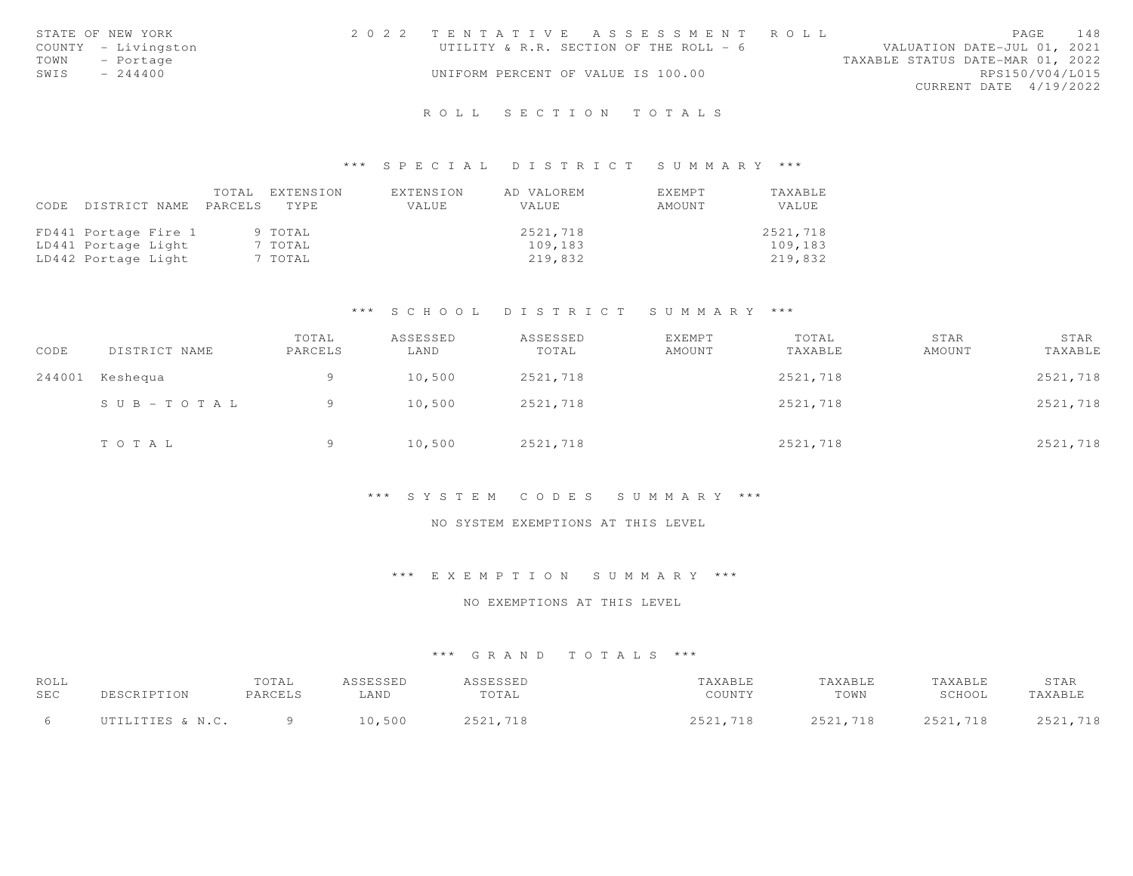|      | STATE OF NEW YORK   | 2022 TENTATIVE ASSESSMENT ROLL         |  |                                  | PAGE                   | 148 |
|------|---------------------|----------------------------------------|--|----------------------------------|------------------------|-----|
|      | COUNTY - Livingston | UTILITY & R.R. SECTION OF THE ROLL - 6 |  | VALUATION DATE-JUL 01, 2021      |                        |     |
| TOWN | - Portage           |                                        |  | TAXABLE STATUS DATE-MAR 01, 2022 |                        |     |
| SWIS | $-244400$           | UNIFORM PERCENT OF VALUE IS 100.00     |  |                                  | RPS150/V04/L015        |     |
|      |                     |                                        |  |                                  | CURRENT DATE 4/19/2022 |     |
|      |                     |                                        |  |                                  |                        |     |

# R O L L S E C T I O N T O T A L S

#### \*\*\* S P E C I A L D I S T R I C T S U M M A R Y \*\*\*

| CODE | DISTRICT NAME PARCELS | TOTAL | EXTENSION<br>TYPE | EXTENSION<br>VALUE | AD VALOREM<br>VALUE | EXEMPT<br>AMOUNT | TAXABLE<br>VALUE |
|------|-----------------------|-------|-------------------|--------------------|---------------------|------------------|------------------|
|      | FD441 Portage Fire 1  |       | 9 TOTAL           |                    | 2521,718            |                  | 2521,718         |
|      | LD441 Portage Light   |       | 7 TOTAL           |                    | 109,183             |                  | 109,183          |
|      | LD442 Portage Light   |       | 7 TOTAL           |                    | 219,832             |                  | 219,832          |

#### \*\*\* S C H O O L D I S T R I C T S U M M A R Y \*\*\*

| CODE   | DISTRICT NAME         | TOTAL<br>PARCELS | ASSESSED<br>LAND | ASSESSED<br>TOTAL | <b>EXEMPT</b><br>AMOUNT | TOTAL<br>TAXABLE | STAR<br>AMOUNT | STAR<br>TAXABLE |
|--------|-----------------------|------------------|------------------|-------------------|-------------------------|------------------|----------------|-----------------|
| 244001 | Keshequa              | 9                | 10,500           | 2521,718          |                         | 2521,718         |                | 2521,718        |
|        | $S \cup B - TO T A L$ | Q                | 10,500           | 2521,718          |                         | 2521,718         |                | 2521,718        |
|        | TOTAL                 | a                | 10,500           | 2521,718          |                         | 2521,718         |                | 2521,718        |

### \*\*\* S Y S T E M C O D E S S U M M A R Y \*\*\*

#### NO SYSTEM EXEMPTIONS AT THIS LEVEL

#### \*\*\* E X E M P T I O N S U M M A R Y \*\*\*

#### NO EXEMPTIONS AT THIS LEVEL

| ROLL       |                  | TOTAL   | ASSESSED | ASSESSED | TAXABLE  | TAXABLE  | TAXABLE  | STAR     |
|------------|------------------|---------|----------|----------|----------|----------|----------|----------|
| <b>SEC</b> | DESCRIPTION      | PARCELS | ∟AND     | TOTAL    | COUNTY   | TOWN     | SCHOOL   | TAXABLE  |
|            | UTILITIES & N.C. |         | 10,500   | 2521,718 | 2521,718 | 2521,718 | 2521,718 | 2521,718 |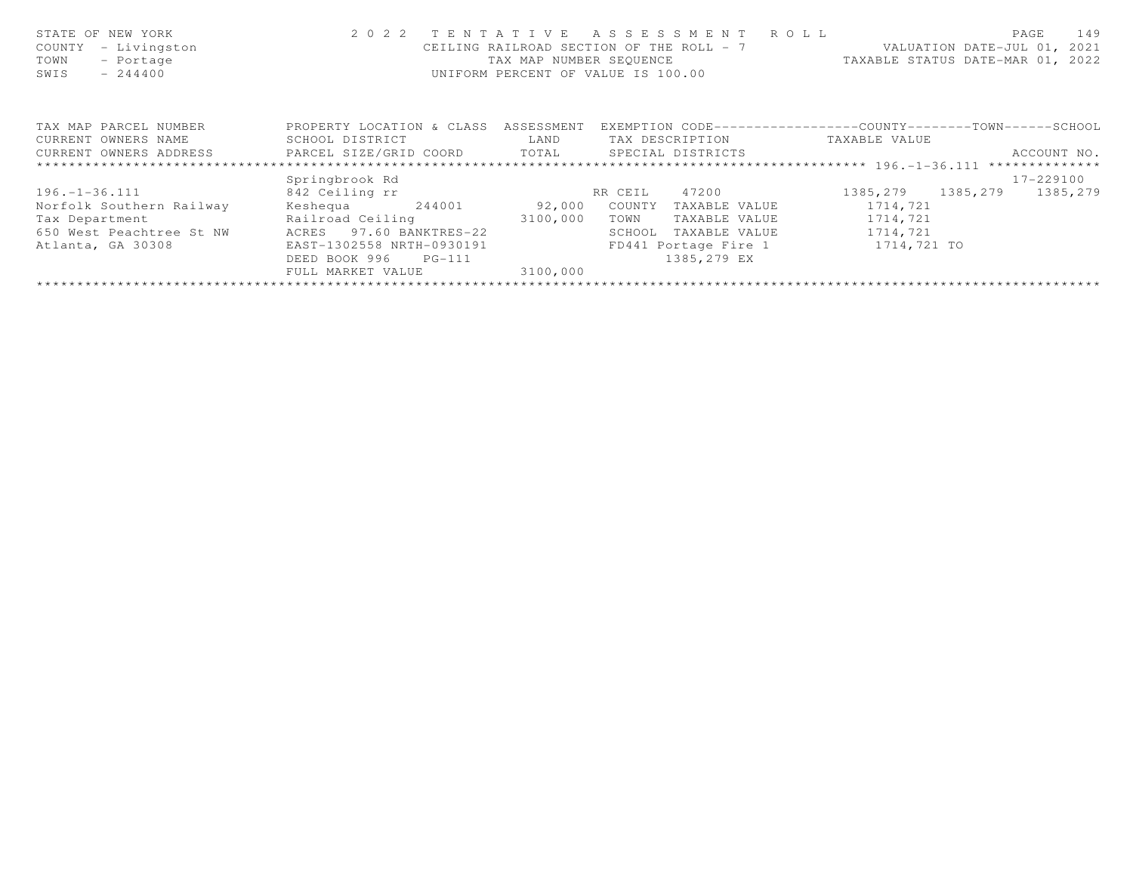| STATE OF NEW YORK<br>- Livingston<br>COUNTY<br>TOWN<br>- Portage<br>SWIS<br>$-244400$ | 2 0 2 2                              | TENTATIVE<br>TAX MAP NUMBER SEOUENCE | A S S E S S M E N T<br>CEILING RAILROAD SECTION OF THE ROLL - 7<br>UNIFORM PERCENT OF VALUE IS 100.00 | R O L L | TAXABLE STATUS DATE-MAR 01, 2022 | PAGE<br>VALUATION DATE-JUL 01, 2021 | 149       |
|---------------------------------------------------------------------------------------|--------------------------------------|--------------------------------------|-------------------------------------------------------------------------------------------------------|---------|----------------------------------|-------------------------------------|-----------|
| TAX MAP PARCEL NUMBER                                                                 | PROPERTY LOCATION & CLASS ASSESSMENT |                                      | EXEMPTION CODE-----------------COUNTY-------TOWN------SCHOOL                                          |         |                                  |                                     |           |
| CURRENT OWNERS NAME                                                                   | SCHOOL DISTRICT                      | LAND                                 | TAX DESCRIPTION                                                                                       |         | TAXABLE VALUE                    |                                     |           |
| CURRENT OWNERS ADDRESS                                                                | PARCEL SIZE/GRID COORD<br>TOTAL      | SPECIAL DISTRICTS                    |                                                                                                       |         |                                  | ACCOUNT NO.                         |           |
|                                                                                       |                                      |                                      |                                                                                                       |         |                                  |                                     |           |
|                                                                                       | Springbrook Rd                       |                                      |                                                                                                       |         |                                  |                                     | 17-229100 |
| $196. - 1 - 36.111$                                                                   | 842 Ceiling rr                       |                                      | RR CEIL<br>47200                                                                                      |         | 1385, 279 1385, 279              |                                     | 1385,279  |
| Norfolk Southern Railway                                                              | Keshequa<br>244001                   | 92,000                               | COUNTY<br>TAXABLE VALUE                                                                               |         | 1714,721                         |                                     |           |
| Tax Department                                                                        | Railroad Ceiling                     | 3100,000                             | TAXABLE VALUE<br>TOWN                                                                                 |         | 1714,721                         |                                     |           |
| 650 West Peachtree St NW                                                              | ACRES 97.60 BANKTRES-22              |                                      | SCHOOL<br>TAXABLE VALUE                                                                               |         | 1714,721                         |                                     |           |
| Atlanta, GA 30308                                                                     | EAST-1302558 NRTH-0930191            |                                      | FD441 Portage Fire 1                                                                                  |         | 1714,721 TO                      |                                     |           |
|                                                                                       | DEED BOOK 996<br>$PG-111$            |                                      | 1385,279 EX                                                                                           |         |                                  |                                     |           |
|                                                                                       | FULL MARKET VALUE                    | 3100,000                             |                                                                                                       |         |                                  |                                     |           |
|                                                                                       |                                      |                                      |                                                                                                       |         |                                  |                                     |           |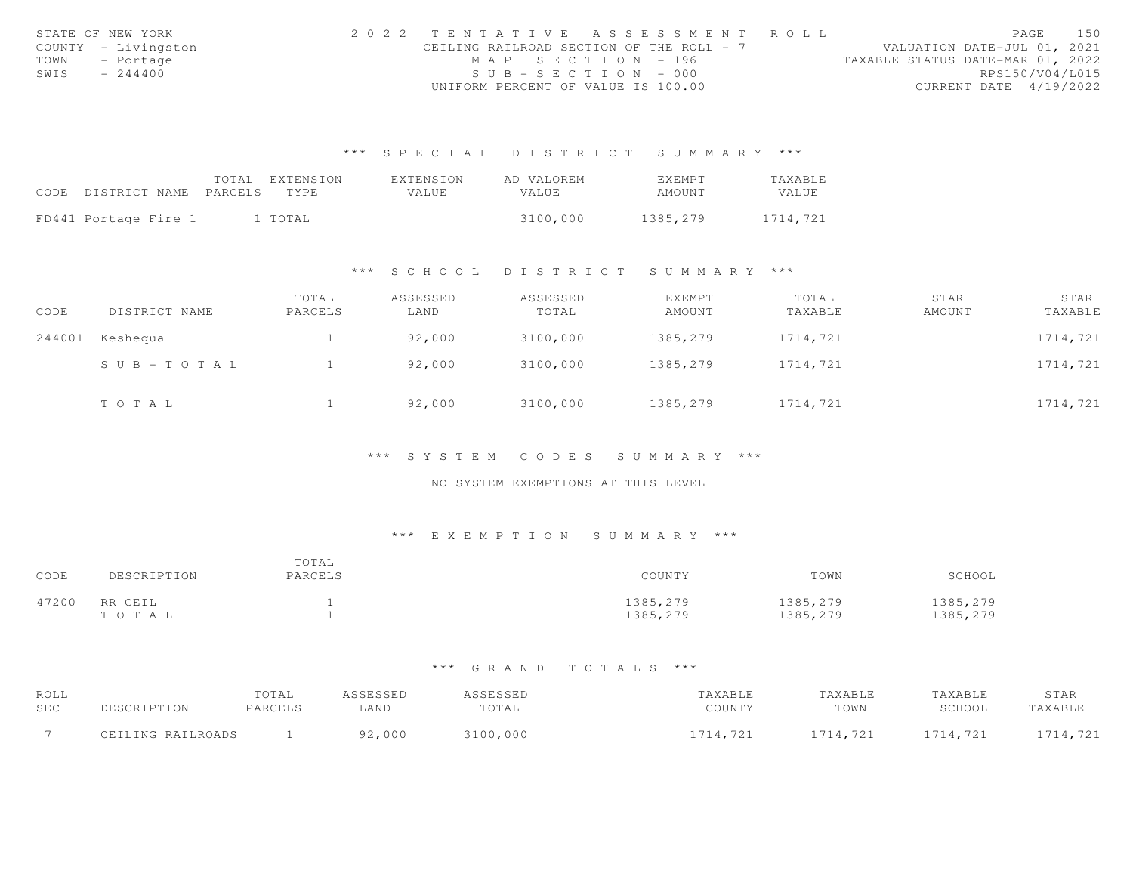|      | STATE OF NEW YORK   | 2022 TENTATIVE ASSESSMENT ROLL           |                       |                                  | PAGE                        | 150 |
|------|---------------------|------------------------------------------|-----------------------|----------------------------------|-----------------------------|-----|
|      | COUNTY - Livingston | CEILING RAILROAD SECTION OF THE ROLL - 7 |                       |                                  | VALUATION DATE-JUL 01, 2021 |     |
|      | TOWN - Portage      |                                          | MAP SECTION - 196     | TAXABLE STATUS DATE-MAR 01, 2022 |                             |     |
| SWIS | $-244400$           |                                          | $SUB - SECTION - 000$ |                                  | RPS150/V04/L015             |     |
|      |                     | UNIFORM PERCENT OF VALUE IS 100.00       |                       |                                  | CURRENT DATE 4/19/2022      |     |

|                            | TOTAL EXTENSION | <b>FXTENSION</b> | AD VALOREM | <b>FXFMPT</b> | TAXABLE  |
|----------------------------|-----------------|------------------|------------|---------------|----------|
| CODE DISTRICT NAME PARCELS | TYPE            | <b>VALUE</b>     | VALUE      | AMOUNT        | VALUE    |
|                            |                 |                  |            |               |          |
| FD441 Portage Fire 1       | 1 TOTAL         |                  | 3100,000   | 1385,279      | 1714.721 |

#### \*\*\* S C H O O L D I S T R I C T S U M M A R Y \*\*\*

| CODE   | DISTRICT NAME | TOTAL<br>PARCELS | ASSESSED<br>LAND | ASSESSED<br>TOTAL | <b>EXEMPT</b><br>AMOUNT | TOTAL<br>TAXABLE | STAR<br>AMOUNT | STAR<br>TAXABLE |
|--------|---------------|------------------|------------------|-------------------|-------------------------|------------------|----------------|-----------------|
| 244001 | Keshequa      |                  | 92,000           | 3100,000          | 1385,279                | 1714,721         |                | 1714,721        |
|        | SUB-TOTAL     |                  | 92,000           | 3100,000          | 1385,279                | 1714,721         |                | 1714,721        |
|        | TOTAL         |                  | 92,000           | 3100,000          | 1385,279                | 1714,721         |                | 1714,721        |

#### \*\*\* S Y S T E M C O D E S S U M M A R Y \*\*\*

### NO SYSTEM EXEMPTIONS AT THIS LEVEL

### \*\*\* E X E M P T I O N S U M M A R Y \*\*\*

| CODE  | DESCRIPTION      | TOTAL<br>PARCELS | COUNTY               | TOWN                 | SCHOOL               |
|-------|------------------|------------------|----------------------|----------------------|----------------------|
| 47200 | RR CEIL<br>TOTAL |                  | 1385,279<br>1385,279 | 1385,279<br>1385,279 | 1385,279<br>1385,279 |

| ROLL       |                   | TOTAL   | ASSESSED | ASSESSED | TAXABLE  | TAXABLE  | TAXABLE  | STAR     |
|------------|-------------------|---------|----------|----------|----------|----------|----------|----------|
| <b>SEC</b> | DESCRIPTION       | PARCELS | LAND     | TOTAL    | COUNTY   | TOWN     | SCHOOL   | TAXABLE  |
|            | CEILING RAILROADS |         | 92,000   | 3100,000 | 1714.721 | 1714,721 | 1714,721 | 1714,721 |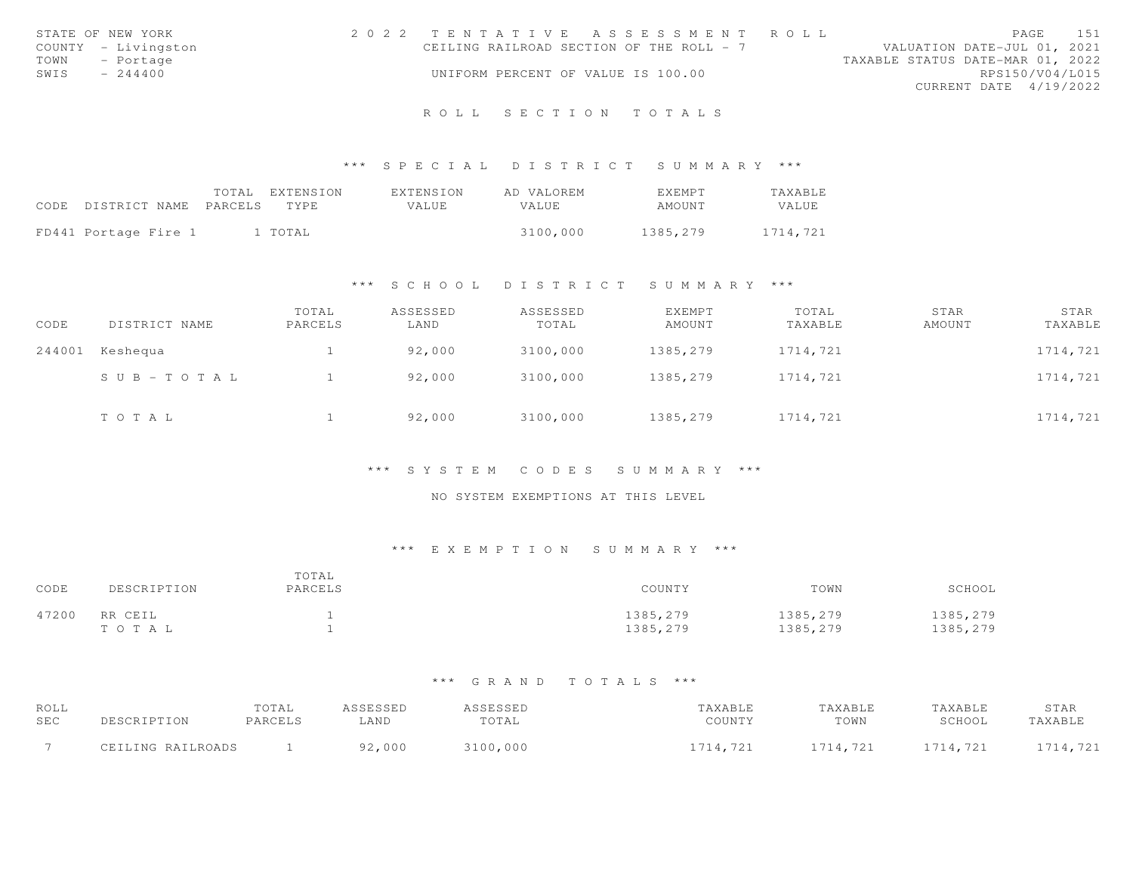|      | STATE OF NEW YORK   | 2022 TENTATIVE ASSESSMENT ROLL           |  |  |                                  |                        | PAGE | 151 |
|------|---------------------|------------------------------------------|--|--|----------------------------------|------------------------|------|-----|
|      | COUNTY - Livingston | CEILING RAILROAD SECTION OF THE ROLL - 7 |  |  | VALUATION DATE-JUL 01, 2021      |                        |      |     |
| TOWN | - Portage           |                                          |  |  | TAXABLE STATUS DATE-MAR 01, 2022 |                        |      |     |
| SWIS | $-244400$           | UNIFORM PERCENT OF VALUE IS 100.00       |  |  |                                  | RPS150/V04/L015        |      |     |
|      |                     |                                          |  |  |                                  | CURRENT DATE 4/19/2022 |      |     |
|      |                     |                                          |  |  |                                  |                        |      |     |

# R O L L S E C T I O N T O T A L S

#### \*\*\* S P E C I A L D I S T R I C T S U M M A R Y \*\*\*

|                                 | TOTAL EXTENSION | EXTENSION | AD VALOREM | EXEMPT   | <b>TAXABLE</b> |
|---------------------------------|-----------------|-----------|------------|----------|----------------|
| CODE DISTRICT NAME PARCELS TYPE |                 | VALUE     | VALUE      | AMOUNT   | <b>VALUE</b>   |
| FD441 Portage Fire 1            | 1 TOTAL         |           | 3100,000   | 1385,279 | 1714,721       |

#### \*\*\* S C H O O L D I S T R I C T S U M M A R Y \*\*\*

| CODE   | DISTRICT NAME | TOTAL<br>PARCELS | ASSESSED<br>LAND | ASSESSED<br>TOTAL | EXEMPT<br>AMOUNT | TOTAL<br>TAXABLE | STAR<br>AMOUNT | STAR<br>TAXABLE |
|--------|---------------|------------------|------------------|-------------------|------------------|------------------|----------------|-----------------|
| 244001 | Keshequa      |                  | 92,000           | 3100,000          | 1385,279         | 1714,721         |                | 1714,721        |
|        | SUB-TOTAL     |                  | 92,000           | 3100,000          | 1385,279         | 1714,721         |                | 1714,721        |
|        | TOTAL         |                  | 92,000           | 3100,000          | 1385,279         | 1714,721         |                | 1714,721        |

#### \*\*\* S Y S T E M C O D E S S U M M A R Y \*\*\*

## NO SYSTEM EXEMPTIONS AT THIS LEVEL

## \*\*\* E X E M P T I O N S U M M A R Y \*\*\*

| CODE  | DESCRIPTION      | TOTAL<br>PARCELS | COUNTY               | TOWN                 | SCHOOL               |
|-------|------------------|------------------|----------------------|----------------------|----------------------|
| 47200 | RR CEIL<br>TOTAL |                  | 1385,279<br>1385,279 | 1385,279<br>1385,279 | 1385,279<br>1385,279 |

| ROLL |                   | TOTAL   |        |               |                             |                                    | <b><i>TAXABLE</i></b> | STAR                      |
|------|-------------------|---------|--------|---------------|-----------------------------|------------------------------------|-----------------------|---------------------------|
| SEC  |                   | PARCELS | LAND   | TOTAL         | $C$ $C$ $T$ $T$ $T$ $T$ $V$ | TOWN                               | SCHOOL                | TAXABLE                   |
|      | CEILING RAILROADS |         | 92,000 | ,000<br>1 N N |                             | 714.721<br><b><i>LILIII LL</i></b> | 714.721               | 7117701<br>. <i>. .</i> . |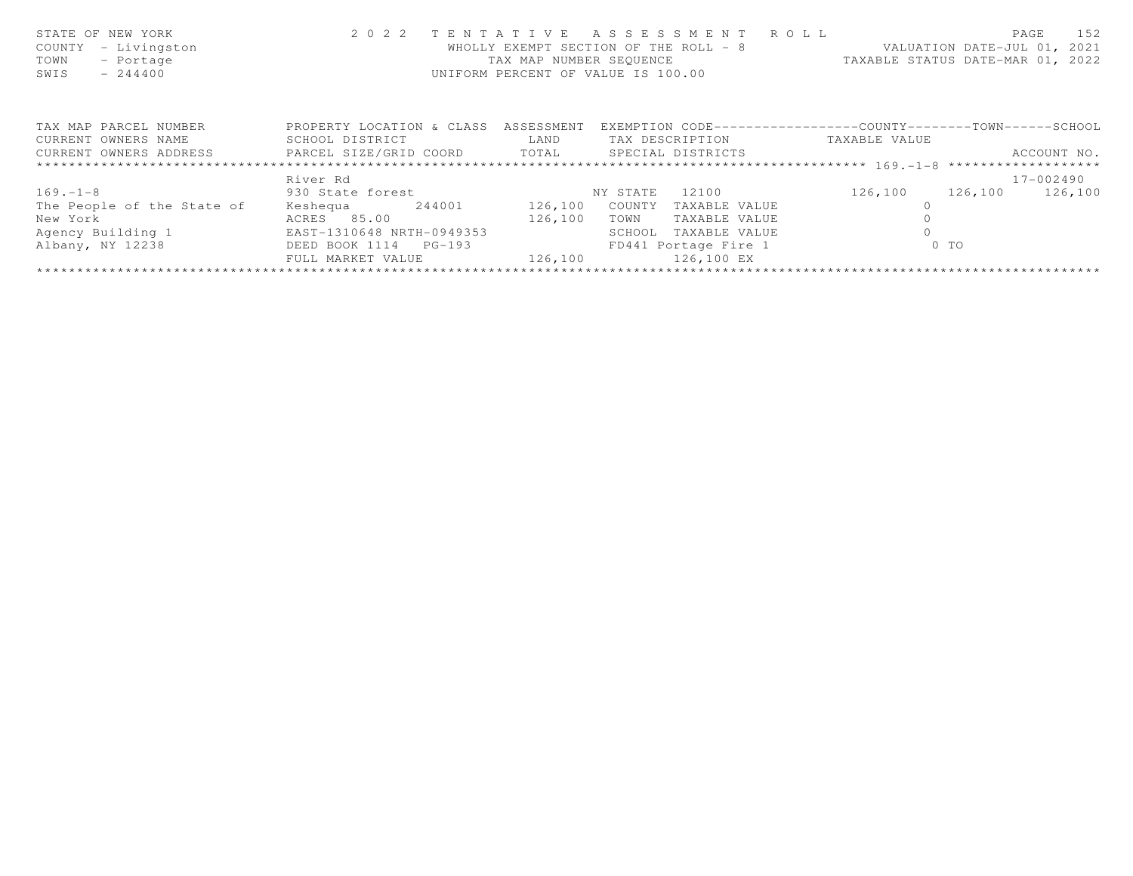| STATE OF NEW YORK<br>- Livingston<br>COUNTY<br>TOWN<br>- Portage<br>SWIS<br>$-244400$ | 2 0 2 2                   | TENTATIVE   | ASSESSMENT ROLL<br>WHOLLY EXEMPT SECTION OF THE ROLL - 8<br>TAX MAP NUMBER SEQUENCE TAXABLE STATUS DATE-MAR 01, 2022<br>UNIFORM PERCENT OF VALUE IS 100.00 |                                                              | PAGE<br>152<br>VALUATION DATE-JUL 01, 2021 |
|---------------------------------------------------------------------------------------|---------------------------|-------------|------------------------------------------------------------------------------------------------------------------------------------------------------------|--------------------------------------------------------------|--------------------------------------------|
| TAX MAP PARCEL NUMBER                                                                 | PROPERTY LOCATION & CLASS | ASSESSMENT  |                                                                                                                                                            | EXEMPTION CODE-----------------COUNTY-------TOWN------SCHOOL |                                            |
| CURRENT OWNERS NAME                                                                   | SCHOOL DISTRICT           | <b>LAND</b> | TAX DESCRIPTION                                                                                                                                            | TAXABLE VALUE                                                |                                            |
| CURRENT OWNERS ADDRESS <b>EXELL SIZE/GRID COORD</b> TOTAL SPECIAL DISTRICTS           |                           |             |                                                                                                                                                            |                                                              | ACCOUNT NO.                                |
|                                                                                       |                           |             |                                                                                                                                                            |                                                              |                                            |
|                                                                                       | River Rd                  |             |                                                                                                                                                            |                                                              | 17-002490                                  |
| $169. - 1 - 8$                                                                        | 930 State forest          |             | NY STATE<br>12100                                                                                                                                          | 126,100                                                      | 126,100<br>126,100                         |
| The People of the State of                                                            | Keshequa 244001 126,100   |             | COUNTY<br>TAXABLE VALUE                                                                                                                                    |                                                              |                                            |
| New York                                                                              | ACRES 85.00               | 126,100     | TOWN<br>TAXABLE VALUE                                                                                                                                      |                                                              |                                            |
| Agency Building 1                                                                     | EAST-1310648 NRTH-0949353 |             | SCHOOL<br>TAXABLE VALUE                                                                                                                                    |                                                              |                                            |
| Albany, NY 12238                                                                      | DEED BOOK 1114 PG-193     |             | FD441 Portage Fire 1                                                                                                                                       | $0$ TO                                                       |                                            |
|                                                                                       | FULL MARKET VALUE         | 126,100     | 126,100 EX                                                                                                                                                 |                                                              |                                            |
|                                                                                       |                           |             |                                                                                                                                                            |                                                              |                                            |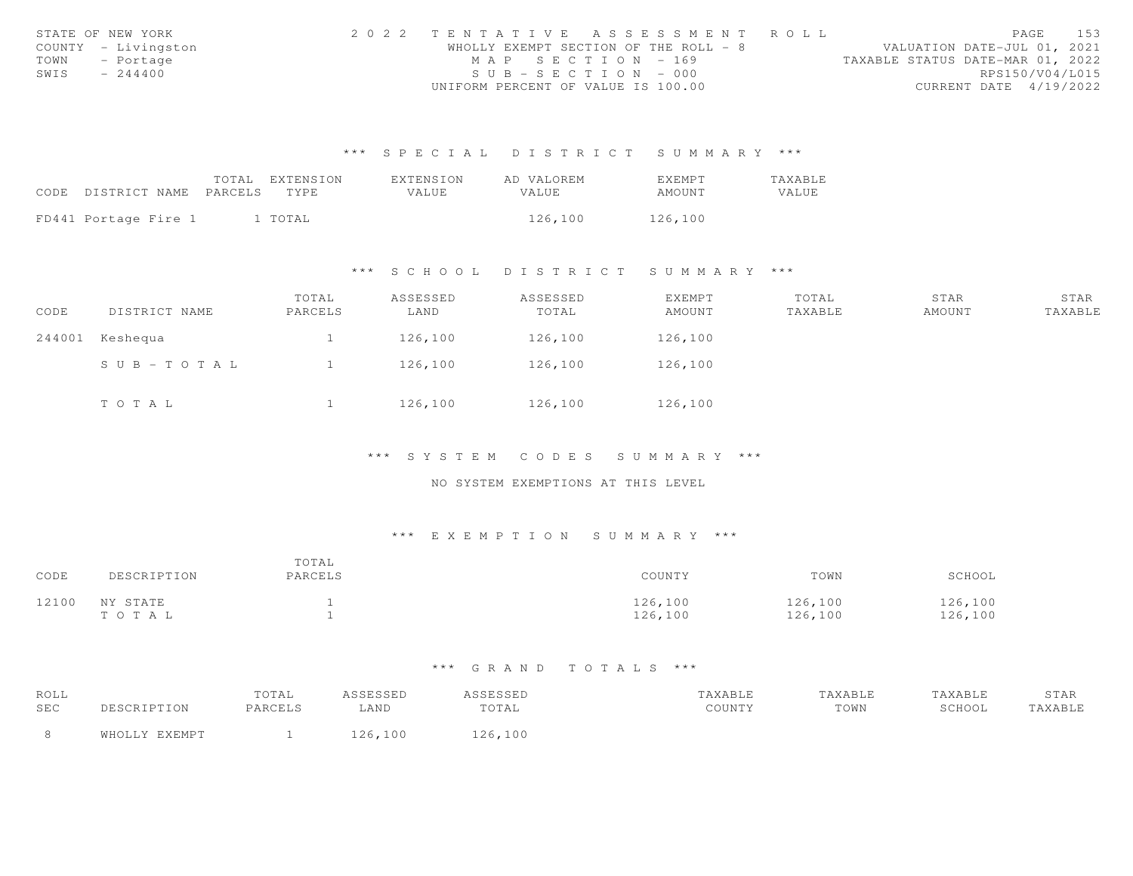|      | STATE OF NEW YORK   | 2022 TENTATIVE ASSESSMENT ROLL        |  |                                  | PAGE            | 153 |
|------|---------------------|---------------------------------------|--|----------------------------------|-----------------|-----|
|      | COUNTY - Livingston | WHOLLY EXEMPT SECTION OF THE ROLL - 8 |  | VALUATION DATE-JUL 01, 2021      |                 |     |
| TOWN | - Portage           | MAP SECTION - 169                     |  | TAXABLE STATUS DATE-MAR 01, 2022 |                 |     |
| SWIS | $-244400$           | $SUB - SECTION - 000$                 |  |                                  | RPS150/V04/L015 |     |
|      |                     | UNIFORM PERCENT OF VALUE IS 100.00    |  | CURRENT DATE 4/19/2022           |                 |     |

|                                 | TOTAL EXTENSION | EXTENSION | AD VALOREM | <b>EXEMPT</b> | TAXABLE |
|---------------------------------|-----------------|-----------|------------|---------------|---------|
| CODE DISTRICT NAME PARCELS TYPE |                 | VALUE     | VALUE.     | AMOUNT        | VALUE   |
|                                 |                 |           |            |               |         |
| FD441 Portage Fire 1            | 1 TOTAL         |           | 126,100    | 126,100       |         |

\*\*\* S C H O O L D I S T R I C T S U M M A R Y \*\*\*

| CODE | DISTRICT NAME   | TOTAL<br>PARCELS | ASSESSED<br>LAND | ASSESSED<br>TOTAL | EXEMPT<br>AMOUNT | TOTAL<br>TAXABLE | STAR<br>AMOUNT | STAR<br>TAXABLE |
|------|-----------------|------------------|------------------|-------------------|------------------|------------------|----------------|-----------------|
|      | 244001 Keshequa |                  | 126,100          | 126,100           | 126,100          |                  |                |                 |
|      | SUB-TOTAL       |                  | 126,100          | 126,100           | 126,100          |                  |                |                 |
|      | TOTAL           |                  | 126,100          | 126,100           | 126,100          |                  |                |                 |

\*\*\* S Y S T E M C O D E S S U M M A R Y \*\*\*

NO SYSTEM EXEMPTIONS AT THIS LEVEL

### \*\*\* E X E M P T I O N S U M M A R Y \*\*\*

| CODE  | DESCRIPTION       | TOTAL<br>PARCELS | COUNTY             | TOWN               | SCHOOL             |
|-------|-------------------|------------------|--------------------|--------------------|--------------------|
| 12100 | NY STATE<br>тотаь |                  | 126,100<br>126,100 | 126,100<br>126,100 | 126,100<br>126,100 |

| ROLL |               | TOTAL   | ASSESSED | ASSESSED | TAXABLE | TAXABLE | TAXABLE | STAR    |
|------|---------------|---------|----------|----------|---------|---------|---------|---------|
| SEC  | DESCRIPTION   | PARCELS | LAND     | TOTAL    | COUNTY  | TOWN    | SCHOOL  | TAXABLE |
|      | WHOLLY EXEMPT |         | 126,100  | 126.100  |         |         |         |         |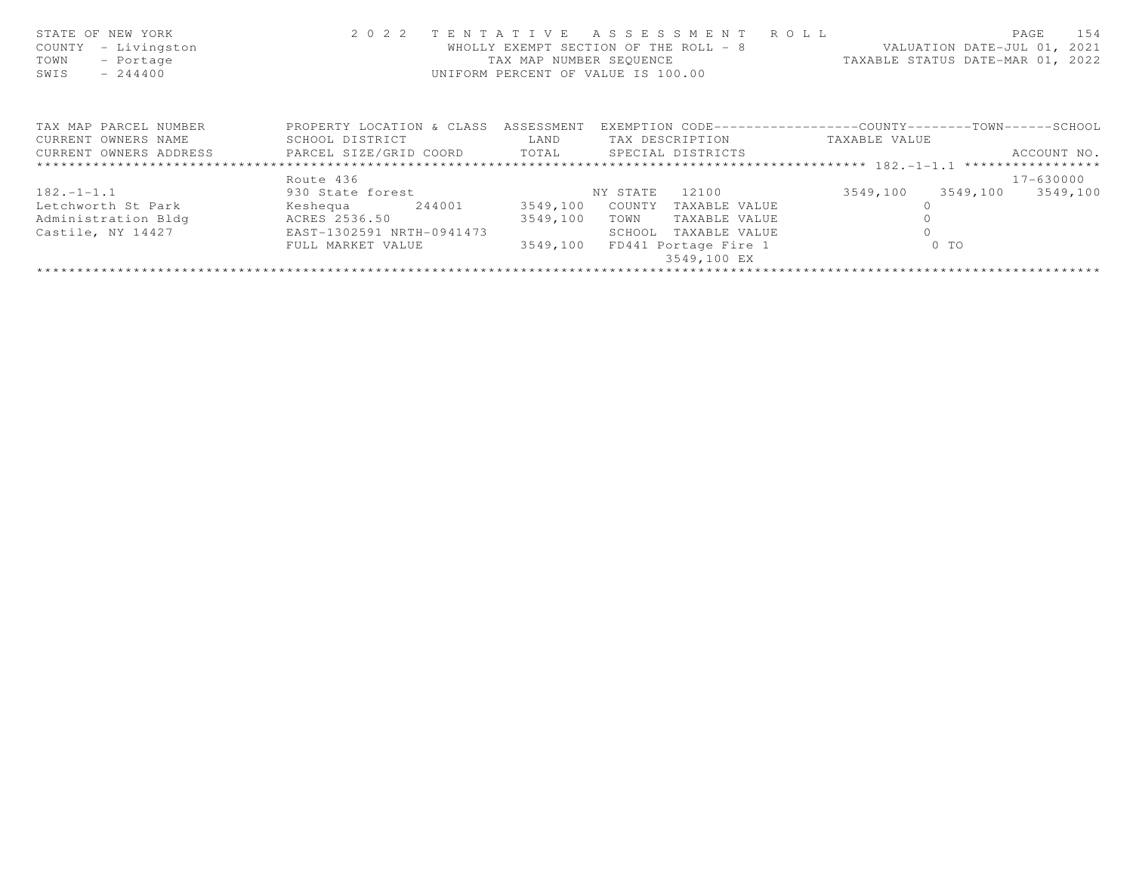| STATE OF NEW YORK<br>- Livingston<br>COUNTY<br>TOWN<br>- Portage<br>$-244400$<br>SWIS | 2 0 2 2                                        | TENTATIVE<br>TAX MAP NUMBER SEOUENCE<br>UNIFORM PERCENT OF VALUE IS 100.00 | ASSESSMENT ROLL<br>WHOLLY EXEMPT SECTION OF THE ROLL - 8 |               | 154<br>PAGE<br>VALUATION DATE-JUL 01, 2021<br>TAXABLE STATUS DATE-MAR 01, 2022 |
|---------------------------------------------------------------------------------------|------------------------------------------------|----------------------------------------------------------------------------|----------------------------------------------------------|---------------|--------------------------------------------------------------------------------|
| TAX MAP PARCEL NUMBER                                                                 | PROPERTY LOCATION & CLASS ASSESSMENT           |                                                                            |                                                          |               | EXEMPTION CODE-----------------COUNTY-------TOWN------SCHOOL                   |
| CURRENT OWNERS NAME                                                                   | SCHOOL DISTRICT                                | LAND                                                                       | TAX DESCRIPTION                                          | TAXABLE VALUE |                                                                                |
| CURRENT OWNERS ADDRESS                                                                | PARCEL SIZE/GRID COORD TOTAL SPECIAL DISTRICTS |                                                                            |                                                          |               | ACCOUNT NO.                                                                    |
|                                                                                       |                                                |                                                                            |                                                          |               |                                                                                |
|                                                                                       | Route 436                                      |                                                                            |                                                          |               | 17-630000                                                                      |
| $182. - 1 - 1.1$                                                                      | 930 State forest                               |                                                                            | 12100<br>NY STATE                                        | 3549,100      | 3549,100<br>3549,100                                                           |
| Letchworth St Park                                                                    | Keshequa 244001                                | 3549,100                                                                   | COUNTY<br>TAXABLE VALUE                                  |               |                                                                                |
| Administration Bldg                                                                   | ACRES 2536.50                                  | 3549,100                                                                   | TOWN<br>TAXABLE VALUE                                    |               |                                                                                |
| Castile, NY 14427                                                                     | EAST-1302591 NRTH-0941473                      |                                                                            | SCHOOL<br>TAXABLE VALUE                                  |               |                                                                                |
|                                                                                       | FULL MARKET VALUE                              | 3549,100                                                                   | FD441 Portage Fire 1                                     |               | $0$ TO                                                                         |
|                                                                                       |                                                |                                                                            | 3549,100 EX                                              |               |                                                                                |
|                                                                                       |                                                |                                                                            |                                                          |               |                                                                                |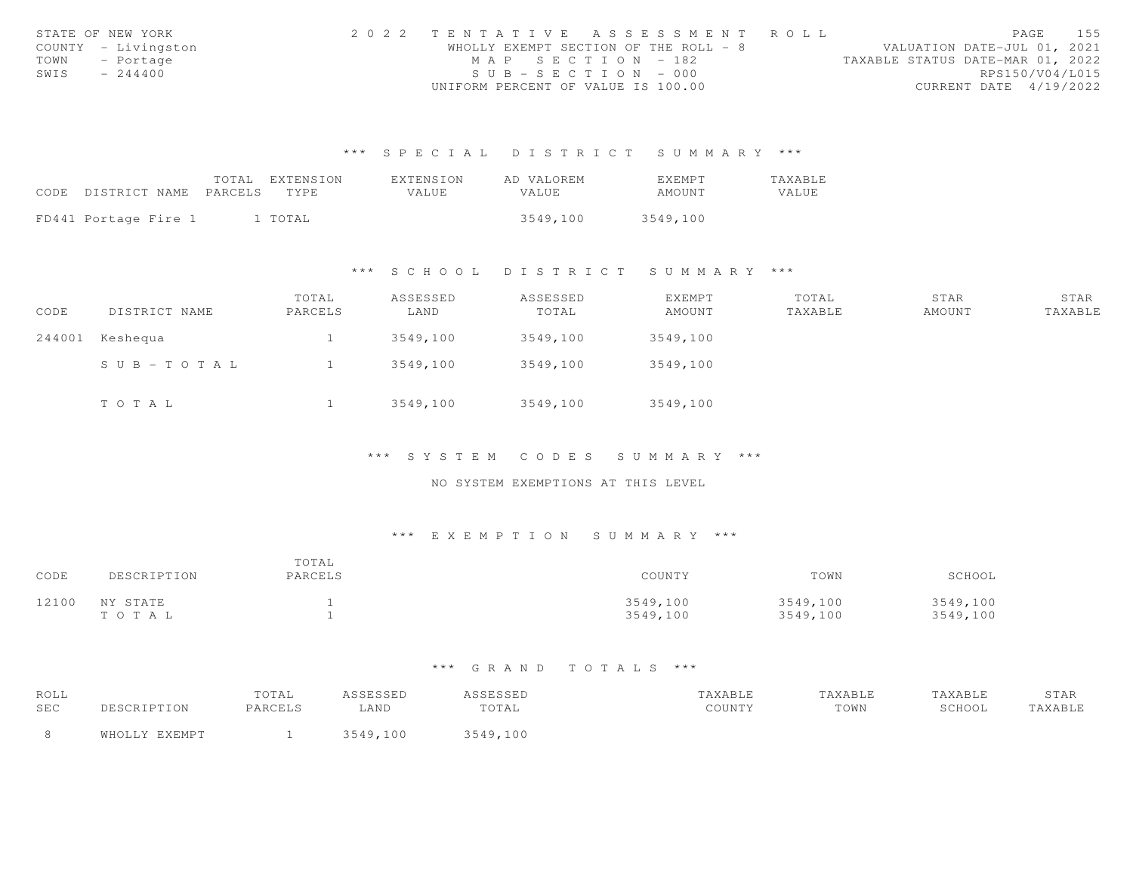|      | STATE OF NEW YORK   | 2022 TENTATIVE ASSESSMENT ROLL     |                                       |                                  |                        | PAGE | 155 |
|------|---------------------|------------------------------------|---------------------------------------|----------------------------------|------------------------|------|-----|
|      | COUNTY - Livingston |                                    | WHOLLY EXEMPT SECTION OF THE ROLL - 8 | VALUATION DATE-JUL 01, 2021      |                        |      |     |
|      | TOWN - Portage      | MAP SECTION - 182                  |                                       | TAXABLE STATUS DATE-MAR 01, 2022 |                        |      |     |
| SWIS | $-244400$           | $SUB - SECTION - 000$              |                                       |                                  | RPS150/V04/L015        |      |     |
|      |                     | UNIFORM PERCENT OF VALUE IS 100.00 |                                       |                                  | CURRENT DATE 4/19/2022 |      |     |

|                                 | TOTAL EXTENSION | EXTENSION | AD VALOREM | <b>EXEMPT</b> | TAXABLE |
|---------------------------------|-----------------|-----------|------------|---------------|---------|
| CODE DISTRICT NAME PARCELS TYPE |                 | VALUE     | VALUE      | AMOUNT        | VALUE.  |
|                                 |                 |           |            |               |         |
| FD441 Portage Fire 1            | 1 TOTAL         |           | 3549.100   | 3549,100      |         |

\*\*\* S C H O O L D I S T R I C T S U M M A R Y \*\*\*

| CODE | DISTRICT NAME   | TOTAL<br>PARCELS | ASSESSED<br>LAND | ASSESSED<br>TOTAL | EXEMPT<br>AMOUNT | TOTAL<br>TAXABLE | STAR<br>AMOUNT | STAR<br>TAXABLE |
|------|-----------------|------------------|------------------|-------------------|------------------|------------------|----------------|-----------------|
|      | 244001 Keshequa |                  | 3549,100         | 3549,100          | 3549,100         |                  |                |                 |
|      | SUB-TOTAL       |                  | 3549,100         | 3549,100          | 3549,100         |                  |                |                 |
|      | TOTAL           |                  | 3549,100         | 3549,100          | 3549,100         |                  |                |                 |

\*\*\* S Y S T E M C O D E S S U M M A R Y \*\*\*

NO SYSTEM EXEMPTIONS AT THIS LEVEL

### \*\*\* E X E M P T I O N S U M M A R Y \*\*\*

| CODE  | DESCRIPTION        | TOTAL<br>PARCELS | COUNTY               | TOWN                 | SCHOOL               |
|-------|--------------------|------------------|----------------------|----------------------|----------------------|
| 12100 | NY STATE<br>тота L |                  | 3549,100<br>3549,100 | 3549,100<br>3549,100 | 3549,100<br>3549,100 |

| ROLL |               | TOTAL   | ASSESSED    | ASSESSED | TAXABLE | TAXABLE | TAXABLE | STAR    |
|------|---------------|---------|-------------|----------|---------|---------|---------|---------|
| SEC  | DESCRIPTION   | PARCELS | -AND        | TOTAL    | COUNTY  | TOWN    | SCHOOL  | TAXABLE |
|      | WHOLLY EXEMPT |         | 3549<br>100 | 3549,100 |         |         |         |         |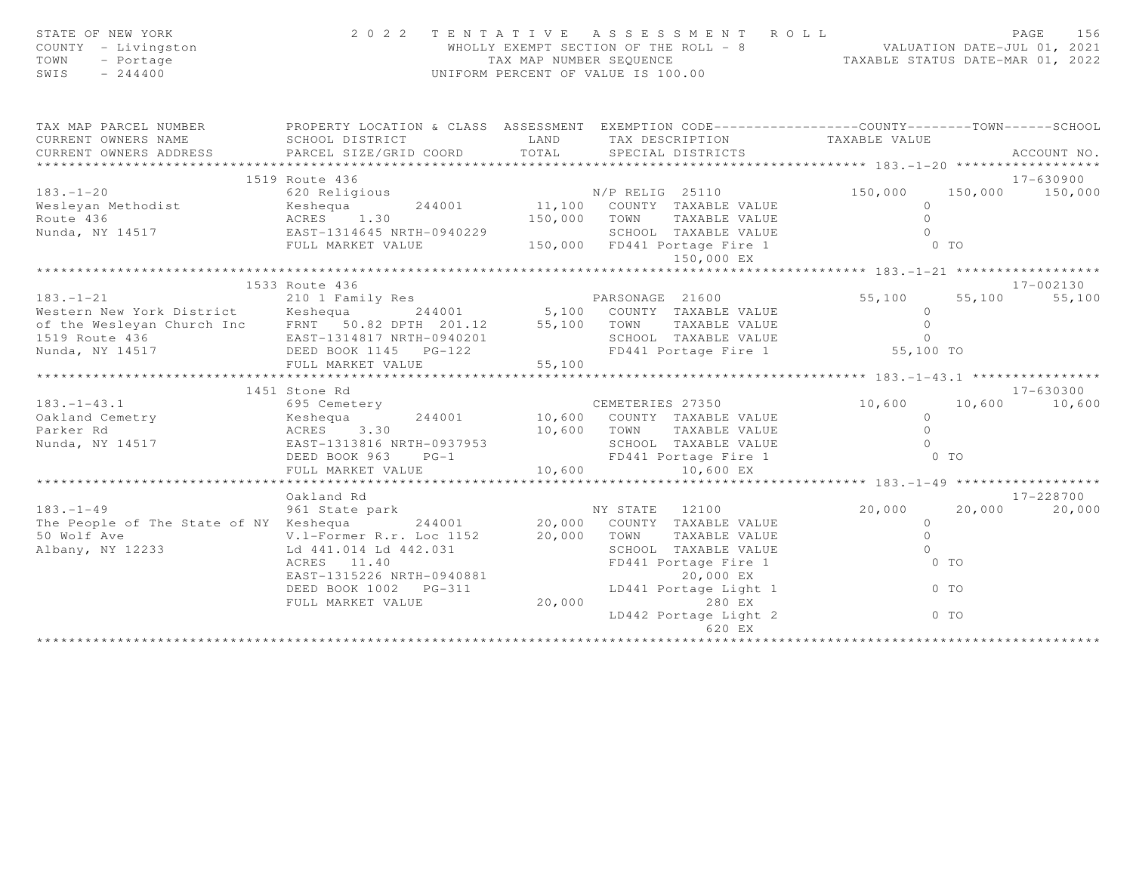| STATE OF NEW YORK<br>COUNTY - Livingston<br>TOWN<br>- Portage<br>SWIS<br>$-244400$                                                                                                                                                   |                                                   |             | 2022 TENTATIVE ASSESSMENT ROLL<br>WHOLLY EXEMPT SECTION OF THE ROLL - 8 VALUATION DATE-JUL 01, 2021<br>TAX MAP NUMBER SEQUENCE TAXABLE STATUS DATE-MAR 01, 2022<br>UNIFORM PERCENT OF VALUE IS 100.00 |                    |                | PAGE<br>156     |
|--------------------------------------------------------------------------------------------------------------------------------------------------------------------------------------------------------------------------------------|---------------------------------------------------|-------------|-------------------------------------------------------------------------------------------------------------------------------------------------------------------------------------------------------|--------------------|----------------|-----------------|
| TAX MAP PARCEL NUMBER FROPERTY LOCATION & CLASS ASSESSMENT EXEMPTION CODE---------------COUNTY-------TOWN------SCHOOL                                                                                                                |                                                   |             |                                                                                                                                                                                                       |                    |                |                 |
| CURRENT OWNERS NAME                                                                                                                                                                                                                  | SCHOOL DISTRICT                                   | LAND        | TAX DESCRIPTION                                                                                                                                                                                       | TAXABLE VALUE      |                |                 |
| CURRENT OWNERS ADDRESS                                                                                                                                                                                                               | PARCEL SIZE/GRID COORD                            | TOTAL       | SPECIAL DISTRICTS                                                                                                                                                                                     |                    |                | ACCOUNT NO.     |
|                                                                                                                                                                                                                                      |                                                   |             |                                                                                                                                                                                                       |                    |                |                 |
|                                                                                                                                                                                                                                      | 1519 Route 436<br>620 Religious N/P RELIG 25110   |             |                                                                                                                                                                                                       |                    |                | 17-630900       |
| $183. - 1 - 20$                                                                                                                                                                                                                      |                                                   |             | 11,100 COUNTY TAXABLE VALUE                                                                                                                                                                           | 150,000<br>$\circ$ |                | 150,000 150,000 |
| Wesleyan Methodist<br>Route 436                                                                                                                                                                                                      | Keshequa<br>244001<br>ACRES 1.30                  |             | 150,000 TOWN TAXABLE VALUE                                                                                                                                                                            | $\Omega$           |                |                 |
| Nunda, NY 14517 EAST-1314645 NRTH-0940229                                                                                                                                                                                            |                                                   |             |                                                                                                                                                                                                       | $\Omega$           |                |                 |
|                                                                                                                                                                                                                                      |                                                   |             |                                                                                                                                                                                                       |                    | $0$ TO         |                 |
|                                                                                                                                                                                                                                      |                                                   |             |                                                                                                                                                                                                       |                    |                |                 |
|                                                                                                                                                                                                                                      |                                                   |             |                                                                                                                                                                                                       |                    |                |                 |
| PARSONAGE 21600<br>Western New York District Keshequa 244001 5,100 COUNTY TAXABLE VALUE<br>of the Wesleyan Church Inc FRNT 50.82 DPTH 201.12 55,100 TOWN TAXABLE VALUE<br>1519 Route 436 EAST-1314817 NRTH-0940201 SCHOOL TAXABLE VA |                                                   |             |                                                                                                                                                                                                       |                    |                | 17-002130       |
|                                                                                                                                                                                                                                      |                                                   |             |                                                                                                                                                                                                       | 55,100             | 55,100         | 55,100          |
|                                                                                                                                                                                                                                      |                                                   |             |                                                                                                                                                                                                       | $\Omega$           |                |                 |
|                                                                                                                                                                                                                                      |                                                   |             |                                                                                                                                                                                                       | $\circ$            |                |                 |
|                                                                                                                                                                                                                                      |                                                   |             |                                                                                                                                                                                                       |                    |                |                 |
|                                                                                                                                                                                                                                      |                                                   |             |                                                                                                                                                                                                       |                    |                |                 |
|                                                                                                                                                                                                                                      |                                                   |             |                                                                                                                                                                                                       |                    |                |                 |
|                                                                                                                                                                                                                                      | 1451 Stone Rd                                     |             |                                                                                                                                                                                                       |                    |                | 17-630300       |
| $183. - 1 - 43.1$                                                                                                                                                                                                                    | 695 Cemetery                                      |             | CEMETERIES 27350                                                                                                                                                                                      | 10,600             |                | 10,600 10,600   |
| Oakland Cemetry                                                                                                                                                                                                                      | 244001                                            |             |                                                                                                                                                                                                       | $\Omega$           |                |                 |
| Parker Rd                                                                                                                                                                                                                            |                                                   | 10,600 TOWN | TAXABLE VALUE                                                                                                                                                                                         | $\circ$            |                |                 |
| Nunda, NY 14517                                                                                                                                                                                                                      | Example 1988<br>EAST-1313816 NRTH-0937953         |             | SCHOOL TAXABLE VALUE                                                                                                                                                                                  | $\Omega$           |                |                 |
|                                                                                                                                                                                                                                      | DEED BOOK 963<br>$PG-1$                           |             | FD441 Portage Fire 1                                                                                                                                                                                  |                    | 0 <sub>T</sub> |                 |
|                                                                                                                                                                                                                                      | FULL MARKET VALUE                                 | 10,600      | 10,600 EX                                                                                                                                                                                             |                    |                |                 |
|                                                                                                                                                                                                                                      |                                                   |             |                                                                                                                                                                                                       |                    |                |                 |
|                                                                                                                                                                                                                                      | Oakland Rd<br>vaniana na<br>961 State park        |             |                                                                                                                                                                                                       |                    |                | $17 - 228700$   |
| $183. - 1 - 49$                                                                                                                                                                                                                      |                                                   |             | NY STATE 12100                                                                                                                                                                                        | 20,000             | 20,000         | 20,000          |
| The People of The State of NY Keshequa                                                                                                                                                                                               |                                                   | 20,000      | $244001$ 20,000 COUNTY TAXABLE VALUE                                                                                                                                                                  | $\circ$<br>$\circ$ |                |                 |
| 50 Wolf Ave<br>Albany, NY 12233                                                                                                                                                                                                      | V.1-Former R.r. Loc 1152<br>Ld 441.014 Ld 442.031 |             | TOWN<br>TAXABLE VALUE<br>SCHOOL TAXABLE VALUE                                                                                                                                                         | $\Omega$           |                |                 |
|                                                                                                                                                                                                                                      | ACRES 11.40                                       |             | FD441 Portage Fire 1                                                                                                                                                                                  |                    | $0$ TO         |                 |
|                                                                                                                                                                                                                                      | EAST-1315226 NRTH-0940881                         |             | 20,000 EX                                                                                                                                                                                             |                    |                |                 |
|                                                                                                                                                                                                                                      | DEED BOOK 1002 PG-311                             |             | LD441 Portage Light 1                                                                                                                                                                                 |                    | $0$ TO         |                 |
|                                                                                                                                                                                                                                      | FULL MARKET VALUE                                 | 20,000      | 280 EX                                                                                                                                                                                                |                    |                |                 |
|                                                                                                                                                                                                                                      |                                                   |             | LD442 Portage Light 2                                                                                                                                                                                 |                    | $0$ TO         |                 |
|                                                                                                                                                                                                                                      |                                                   |             | 620 EX                                                                                                                                                                                                |                    |                |                 |
|                                                                                                                                                                                                                                      |                                                   |             |                                                                                                                                                                                                       |                    |                |                 |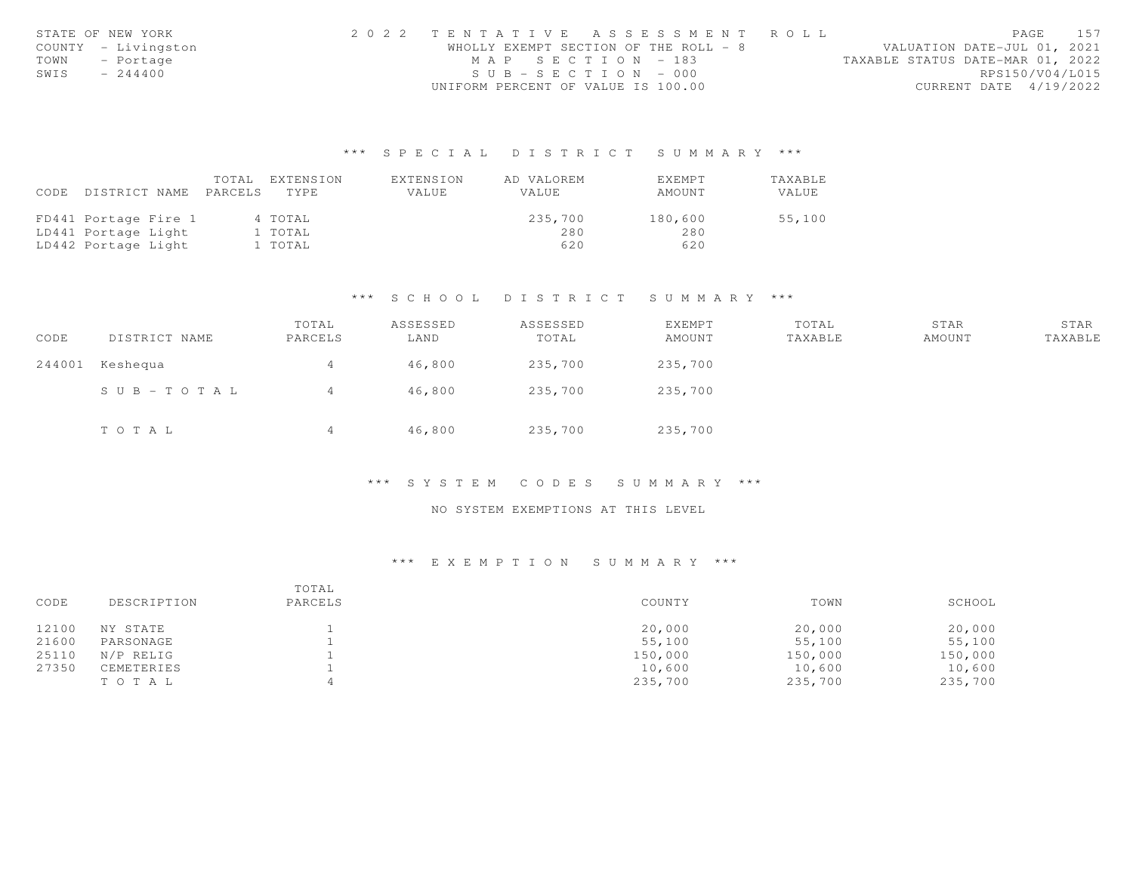|      | STATE OF NEW YORK   | 2022 TENTATIVE ASSESSMENT ROLL        |  |  |                                  |                        | PAGE 157 |
|------|---------------------|---------------------------------------|--|--|----------------------------------|------------------------|----------|
|      | COUNTY - Livingston | WHOLLY EXEMPT SECTION OF THE ROLL - 8 |  |  | VALUATION DATE-JUL 01, 2021      |                        |          |
|      | TOWN - Portage      | MAP SECTION - 183                     |  |  | TAXABLE STATUS DATE-MAR 01, 2022 |                        |          |
| SWIS | $-244400$           | $SUB - SECTION - 000$                 |  |  |                                  | RPS150/V04/L015        |          |
|      |                     | UNIFORM PERCENT OF VALUE IS 100.00    |  |  |                                  | CURRENT DATE 4/19/2022 |          |

|      |                      | TOTAL   | EXTENSION | EXTENSION | AD VALOREM | <b>EXEMPT</b> | TAXABLE |
|------|----------------------|---------|-----------|-----------|------------|---------------|---------|
| CODE | DISTRICT NAME        | PARCELS | TYPE      | VALUE     | VALUE      | AMOUNT        | VALUE   |
|      |                      |         |           |           |            |               |         |
|      | FD441 Portage Fire 1 |         | 4 TOTAL   |           | 235,700    | 180,600       | 55,100  |
|      | LD441 Portage Light  |         | 1 TOTAL   |           | 280        | 280           |         |
|      | LD442 Portage Light  |         | 1 TOTAL   |           | 620        | 620           |         |

## \*\*\* S C H O O L D I S T R I C T S U M M A R Y \*\*\*

| CODE   | DISTRICT NAME | TOTAL<br>PARCELS | ASSESSED<br>LAND | ASSESSED<br>TOTAL | EXEMPT<br>AMOUNT | TOTAL<br>TAXABLE | STAR<br>AMOUNT | STAR<br>TAXABLE |
|--------|---------------|------------------|------------------|-------------------|------------------|------------------|----------------|-----------------|
| 244001 | Keshequa      | 4                | 46,800           | 235,700           | 235,700          |                  |                |                 |
|        | SUB-TOTAL     | 4                | 46,800           | 235,700           | 235,700          |                  |                |                 |
|        | TOTAL         | 4                | 46,800           | 235,700           | 235,700          |                  |                |                 |

#### \*\*\* S Y S T E M C O D E S S U M M A R Y \*\*\*

## NO SYSTEM EXEMPTIONS AT THIS LEVEL

| CODE  | DESCRIPTION | TOTAL<br>PARCELS | COUNTY  | TOWN    | SCHOOL  |
|-------|-------------|------------------|---------|---------|---------|
| 12100 | NY STATE    |                  | 20,000  | 20,000  | 20,000  |
| 21600 | PARSONAGE   |                  | 55,100  | 55,100  | 55,100  |
| 25110 | N/P RELIG   |                  | 150,000 | 150,000 | 150,000 |
| 27350 | CEMETERIES  |                  | 10,600  | 10,600  | 10,600  |
|       | TOTAL       |                  | 235,700 | 235,700 | 235,700 |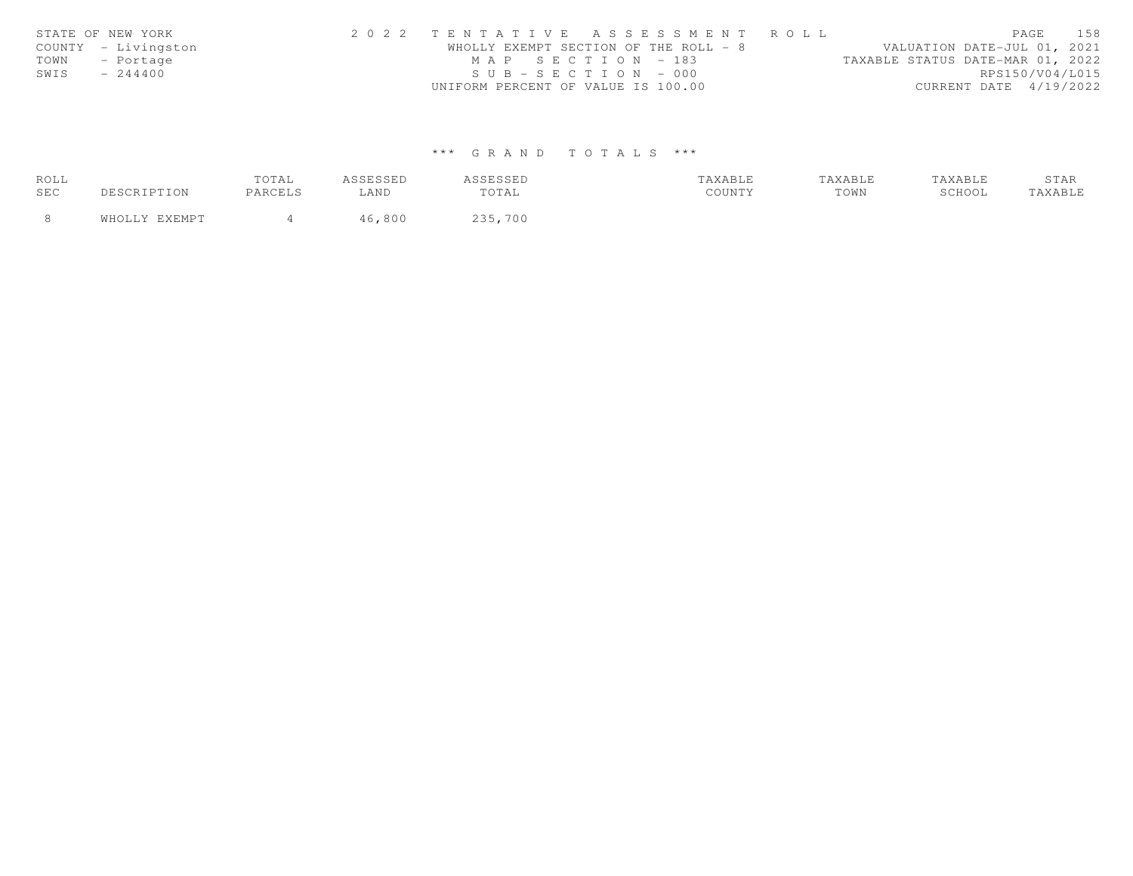|      | STATE OF NEW YORK   | 2022 TENTATIVE ASSESSMENT ROLL        |  |  |                                  | PAGE            | 158 |
|------|---------------------|---------------------------------------|--|--|----------------------------------|-----------------|-----|
|      | COUNTY - Livingston | WHOLLY EXEMPT SECTION OF THE ROLL - 8 |  |  | VALUATION DATE-JUL 01, 2021      |                 |     |
|      | TOWN - Portage      | MAP SECTION - 183                     |  |  | TAXABLE STATUS DATE-MAR 01, 2022 |                 |     |
| SWIS | $-244400$           | $SUB - SECTION - 000$                 |  |  |                                  | RPS150/V04/L015 |     |
|      |                     | UNIFORM PERCENT OF VALUE IS 100.00    |  |  | CURRENT DATE 4/19/2022           |                 |     |

| ROLL |           | TOTAL   | .      | <b>CCTCCTD</b><br>1 | TAXABLE | TAXABLE |        | STAR   |
|------|-----------|---------|--------|---------------------|---------|---------|--------|--------|
| SEC  | $\tau$ on | PARCELS | LAND   | TOTAL               | COUNTY  | TOWN    | SCHOOL | AXABLE |
|      |           |         | 16,800 | 235,700             |         |         |        |        |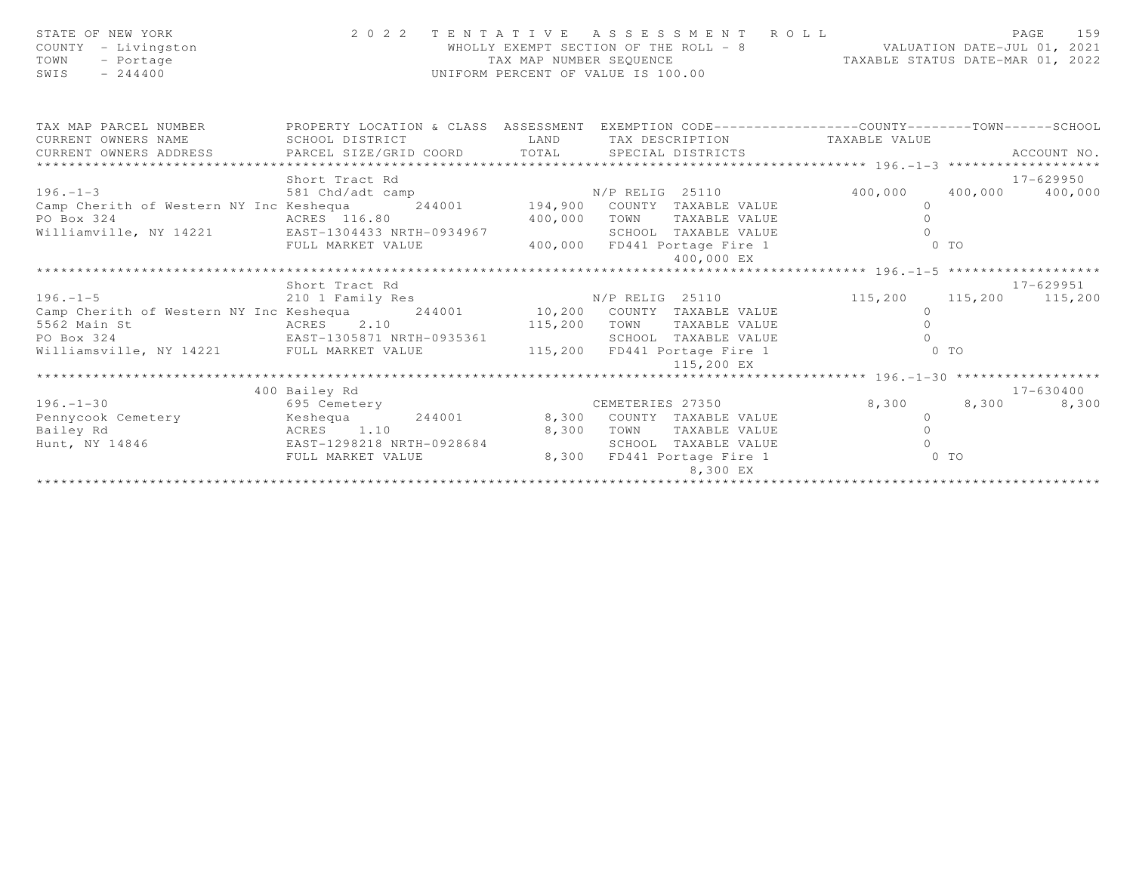| STATE OF NEW YORK<br>COUNTY - Livingston<br>- Portage<br>TOWN<br>$-244400$<br>SWIS |                           | TAX MAP NUMBER SEOUENCE | 2022 TENTATIVE ASSESSMENT ROLL<br>WHOLLY EXEMPT SECTION OF THE ROLL - 8<br>UNIFORM PERCENT OF VALUE IS 100.00 | VALUATION DATE-JUL 01, 2021<br>TAXABLE STATUS DATE-MAR 01, 2022 | 159<br>PAGE     |
|------------------------------------------------------------------------------------|---------------------------|-------------------------|---------------------------------------------------------------------------------------------------------------|-----------------------------------------------------------------|-----------------|
| TAX MAP PARCEL NUMBER                                                              |                           |                         | PROPERTY LOCATION & CLASS ASSESSMENT EXEMPTION CODE-----------------COUNTY-------TOWN------SCHOOL             |                                                                 |                 |
| CURRENT OWNERS NAME                                                                | SCHOOL DISTRICT           | <b>LAND</b>             | TAX DESCRIPTION                                                                                               | TAXABLE VALUE                                                   |                 |
| CURRENT OWNERS ADDRESS<br>******************************                           | PARCEL SIZE/GRID COORD    | TOTAL                   | SPECIAL DISTRICTS                                                                                             |                                                                 | ACCOUNT NO.     |
|                                                                                    | Short Tract Rd            |                         |                                                                                                               |                                                                 | 17-629950       |
| $196. - 1 - 3$                                                                     | 581 Chd/adt camp          |                         |                                                                                                               | 400,000                                                         | 400,000 400,000 |
| Camp Cherith of Western NY Inc Keshequa                                            |                           |                         | p<br>244001 194,900 COUNTY TAXABLE VALUE                                                                      | $\circ$                                                         |                 |
| ACRES 116.80<br>PO Box 324                                                         |                           | 400,000                 | TOWN<br>TAXABLE VALUE                                                                                         | $\Omega$                                                        |                 |
| Williamville, NY 14221 EAST-1304433 NRTH-0934967                                   |                           |                         | SCHOOL TAXABLE VALUE                                                                                          |                                                                 |                 |
|                                                                                    | FULL MARKET VALUE         |                         | 400,000 FD441 Portage Fire 1                                                                                  | 0 <sub>T</sub>                                                  |                 |
|                                                                                    |                           |                         | 400,000 EX                                                                                                    |                                                                 |                 |
|                                                                                    |                           |                         |                                                                                                               |                                                                 |                 |
|                                                                                    | Short Tract Rd            |                         |                                                                                                               |                                                                 | 17-629951       |
| $196. - 1 - 5$                                                                     | 210 1 Family Res          |                         | N/P RELIG 25110                                                                                               | 115,200 115,200 115,200                                         |                 |
| Camp Cherith of Western NY Inc Keshequa                                            | 244001                    |                         | 10,200 COUNTY TAXABLE VALUE                                                                                   | $\circ$                                                         |                 |
| 5562 Main St                                                                       | ACRES 2.10                | 115,200                 | TOWN<br>TAXABLE VALUE                                                                                         | $\circ$                                                         |                 |
| PO Box 324                                                                         | EAST-1305871 NRTH-0935361 |                         | SCHOOL TAXABLE VALUE                                                                                          | $\cap$                                                          |                 |
| Williamsville, NY 14221 FULL MARKET VALUE                                          |                           |                         | 115,200 FD441 Portage Fire 1<br>115,200 EX                                                                    | $0$ TO                                                          |                 |
|                                                                                    |                           |                         |                                                                                                               |                                                                 |                 |
|                                                                                    | 400 Bailey Rd             |                         |                                                                                                               |                                                                 | 17-630400       |
| $196. - 1 - 30$                                                                    | 695 Cemetery              |                         | CEMETERIES 27350                                                                                              | 8,300<br>8,300                                                  | 8,300           |
| Pennycook Cemetery                                                                 | Keshequa<br>244001        | 8,300                   | COUNTY TAXABLE VALUE                                                                                          | $\circ$                                                         |                 |
| Bailey Rd                                                                          | ACRES 1.10                | 8,300                   | TOWN<br>TAXABLE VALUE                                                                                         | $\Omega$                                                        |                 |
| Hunt, NY 14846                                                                     | EAST-1298218 NRTH-0928684 |                         | SCHOOL<br>TAXABLE VALUE                                                                                       | $\cap$                                                          |                 |
|                                                                                    | FULL MARKET VALUE         | 8,300                   | FD441 Portage Fire 1                                                                                          | $0$ TO                                                          |                 |
|                                                                                    |                           |                         | 8,300 EX                                                                                                      |                                                                 |                 |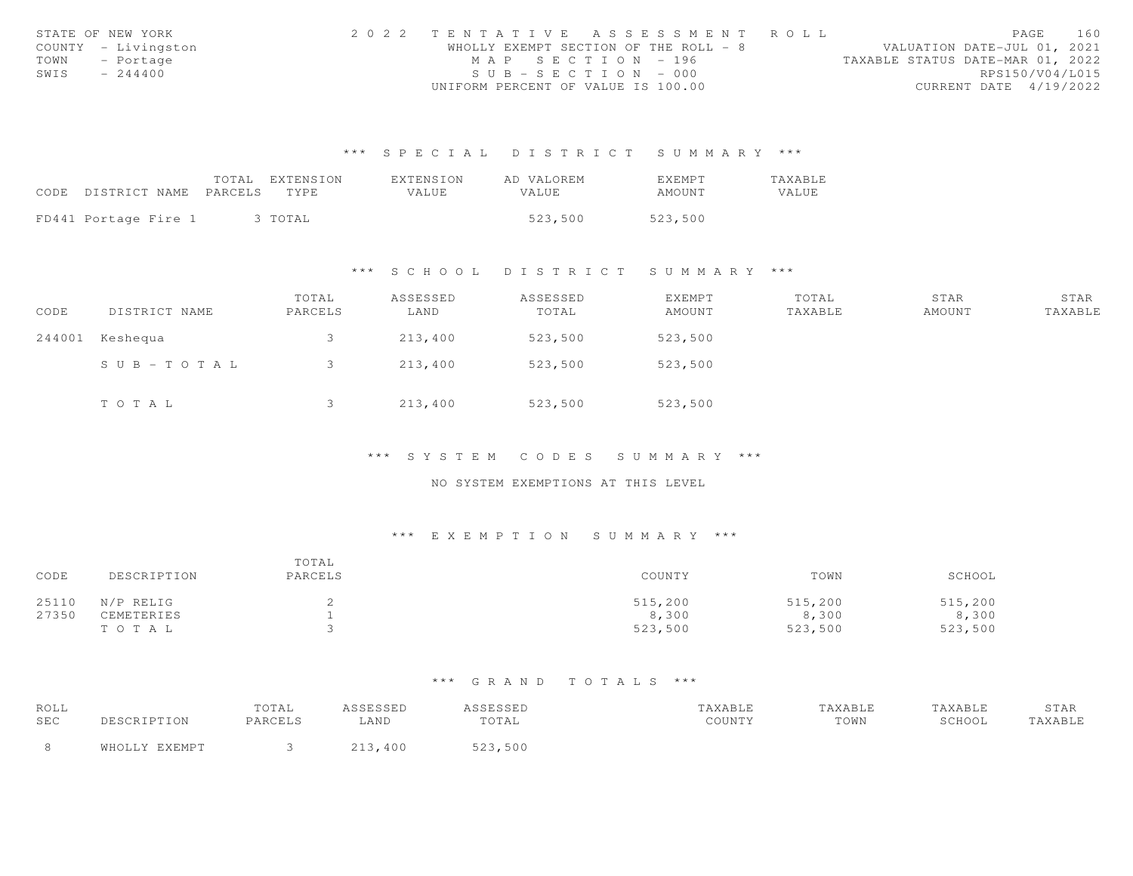|      | STATE OF NEW YORK   | 2022 TENTATIVE ASSESSMENT ROLL        |  |  |                                  |                        | PAGE | 160 |
|------|---------------------|---------------------------------------|--|--|----------------------------------|------------------------|------|-----|
|      | COUNTY - Livingston | WHOLLY EXEMPT SECTION OF THE ROLL - 8 |  |  | VALUATION DATE-JUL 01, 2021      |                        |      |     |
|      | TOWN - Portage      | MAP SECTION - 196                     |  |  | TAXABLE STATUS DATE-MAR 01, 2022 |                        |      |     |
| SWIS | $-244400$           | $SUB - SECTION - 000$                 |  |  |                                  | RPS150/V04/L015        |      |     |
|      |                     | UNIFORM PERCENT OF VALUE IS 100.00    |  |  |                                  | CURRENT DATE 4/19/2022 |      |     |

|                            | TOTAL | EXTENSION | EXTENSION | AD VALOREM | <b>EXEMPT</b> | <b>TAXABLE</b> |
|----------------------------|-------|-----------|-----------|------------|---------------|----------------|
| CODE DISTRICT NAME PARCELS |       | TYPE.     | VALUE     | VALUE.     | AMOUNT        | VALUE          |
|                            |       |           |           |            |               |                |
| FD441 Portage Fire 1       |       | 3 TOTAL   |           | 523,500    | 523,500       |                |

#### \*\*\* S C H O O L D I S T R I C T S U M M A R Y \*\*\*

| CODE | DISTRICT NAME   | TOTAL<br>PARCELS | ASSESSED<br>LAND | ASSESSED<br>TOTAL | EXEMPT<br>AMOUNT | TOTAL<br>TAXABLE | STAR<br>AMOUNT | STAR<br>TAXABLE |
|------|-----------------|------------------|------------------|-------------------|------------------|------------------|----------------|-----------------|
|      | 244001 Keshequa |                  | 213,400          | 523,500           | 523,500          |                  |                |                 |
|      | SUB-TOTAL       |                  | 213,400          | 523,500           | 523,500          |                  |                |                 |
|      | TOTAL           |                  | 213,400          | 523,500           | 523,500          |                  |                |                 |

## \*\*\* S Y S T E M C O D E S S U M M A R Y \*\*\*

### NO SYSTEM EXEMPTIONS AT THIS LEVEL

### \*\*\* E X E M P T I O N S U M M A R Y \*\*\*

| CODE  | DESCRIPTION | TOTAL<br>PARCELS | COUNTY  | TOWN    | SCHOOL  |
|-------|-------------|------------------|---------|---------|---------|
| 25110 | N/P RELIG   |                  | 515,200 | 515,200 | 515,200 |
| 27350 | CEMETERIES  |                  | 8,300   | 8,300   | 8,300   |
|       | TOTAL       |                  | 523,500 | 523,500 | 523,500 |

| ROLL |                | TOTAL   | <b>CCTCCTD</b><br>ىلىل بىلىر | ASSESSED         | TAXABLE | "AXABLE | TAXABLE | STAR    |
|------|----------------|---------|------------------------------|------------------|---------|---------|---------|---------|
| SEC  | DESCRIPTION    | PARCELS | <b>AND</b>                   | TOTAL            | COUNTY  | TOWN    | SCHOOL  | TAXABLE |
|      | FVFMDT<br>ធាម∩ |         |                              | r ^ ^<br>523,500 |         |         |         |         |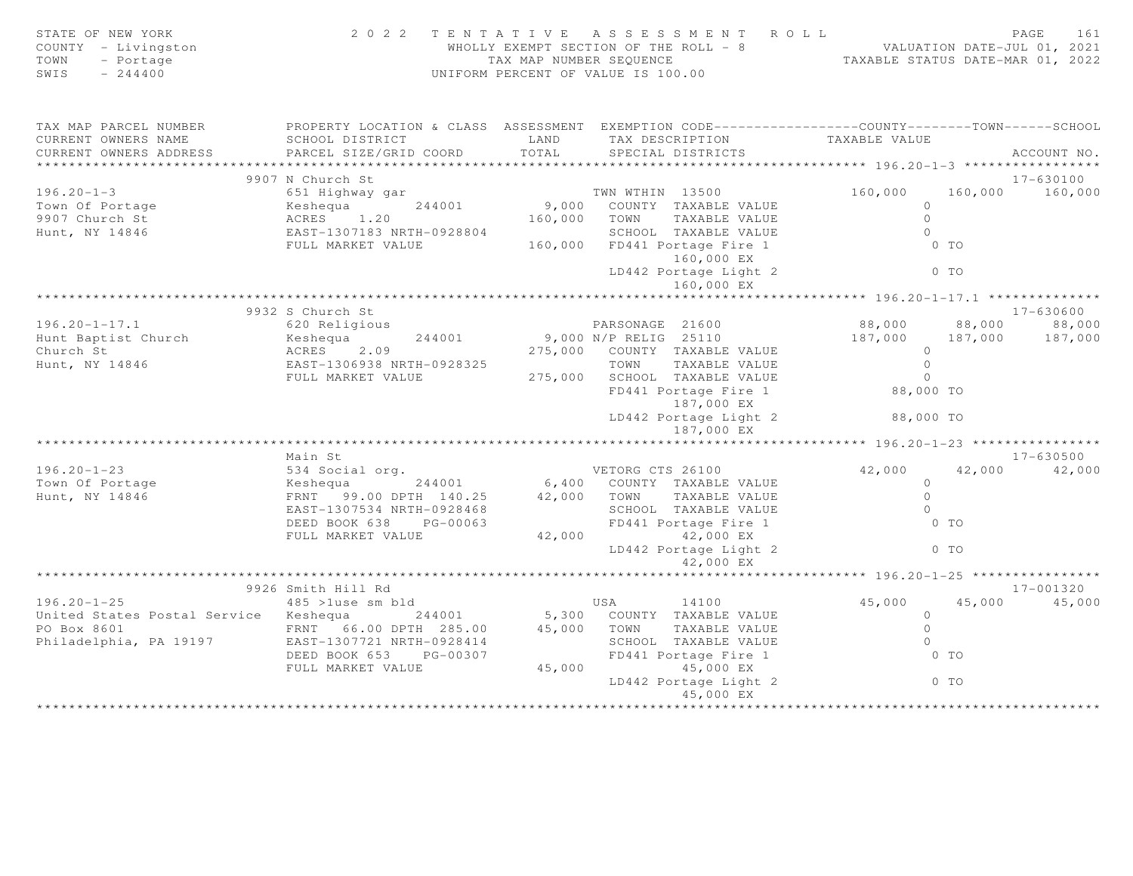| STATE OF NEW YORK<br>COUNTY - Livingston<br>TOWN<br>- Portage<br>SWIS<br>$-244400$ | 2 0 2 2                                                                                          | UNIFORM PERCENT OF VALUE IS 100.00 |                       | TENTATIVE ASSESSMENT ROLL           | WHOLLY EXEMPT SECTION OF THE ROLL - 8 WALUATION DATE-JUL 01, 2021<br>TAX MAP NUMBER SEQUENCE TAXABLE STATUS DATE-MAR 01, 2022 |                                       | PAGE<br>161          |
|------------------------------------------------------------------------------------|--------------------------------------------------------------------------------------------------|------------------------------------|-----------------------|-------------------------------------|-------------------------------------------------------------------------------------------------------------------------------|---------------------------------------|----------------------|
| TAX MAP PARCEL NUMBER                                                              | PROPERTY LOCATION & CLASS ASSESSMENT EXEMPTION CODE----------------COUNTY-------TOWN------SCHOOL |                                    |                       |                                     |                                                                                                                               |                                       |                      |
| CURRENT OWNERS NAME                                                                | SCHOOL DISTRICT                                                                                  | LAND                               |                       | TAX DESCRIPTION                     | TAXABLE VALUE                                                                                                                 |                                       |                      |
| CURRENT OWNERS ADDRESS                                                             | PARCEL SIZE/GRID COORD                                                                           | TOTAL                              |                       | SPECIAL DISTRICTS                   |                                                                                                                               |                                       | ACCOUNT NO.          |
|                                                                                    |                                                                                                  |                                    |                       |                                     |                                                                                                                               |                                       |                      |
| $196.20 - 1 - 3$                                                                   | 9907 N Church St<br>651 Highway gar                                                              |                                    | TWN WTHIN 13500       |                                     | 160,000                                                                                                                       | 160,000                               | 17-630100<br>160,000 |
| Town Of Portage                                                                    | 244001<br>Keshequa                                                                               | 9,000                              |                       | COUNTY TAXABLE VALUE                |                                                                                                                               | $\Omega$                              |                      |
| 9907 Church St                                                                     | ACRES 1.20                                                                                       | 160,000                            | TOWN                  | TAXABLE VALUE                       |                                                                                                                               | $\Omega$                              |                      |
| Hunt, NY 14846                                                                     | EAST-1307183 NRTH-0928804                                                                        |                                    |                       | SCHOOL TAXABLE VALUE                |                                                                                                                               | $\Omega$                              |                      |
|                                                                                    | FULL MARKET VALUE                                                                                | 160,000                            |                       | FD441 Portage Fire 1                |                                                                                                                               | $0$ TO                                |                      |
|                                                                                    |                                                                                                  |                                    |                       | 160,000 EX                          |                                                                                                                               |                                       |                      |
|                                                                                    |                                                                                                  |                                    |                       | LD442 Portage Light 2               |                                                                                                                               | $0$ TO                                |                      |
|                                                                                    |                                                                                                  |                                    |                       | 160,000 EX                          |                                                                                                                               |                                       |                      |
|                                                                                    |                                                                                                  |                                    |                       |                                     | ****************** 196.20-1-17.1 **************                                                                               |                                       |                      |
|                                                                                    | 9932 S Church St                                                                                 |                                    |                       |                                     |                                                                                                                               |                                       | $17 - 630600$        |
| $196.20 - 1 - 17.1$                                                                | 620 Religious                                                                                    |                                    | PARSONAGE 21600       |                                     | 88,000                                                                                                                        | 88,000                                | 88,000               |
| Hunt Baptist Church                                                                | 244001<br>Keshequa                                                                               |                                    | 9,000 N/P RELIG 25110 |                                     | 187,000                                                                                                                       | 187,000                               | 187,000              |
| Church St                                                                          | ACRES 2.09                                                                                       |                                    |                       | 275,000 COUNTY TAXABLE VALUE        |                                                                                                                               | $\Omega$                              |                      |
| Hunt, NY 14846                                                                     | EAST-1306938 NRTH-0928325                                                                        |                                    | TOWN                  | TAXABLE VALUE                       |                                                                                                                               | $\Omega$                              |                      |
|                                                                                    | FULL MARKET VALUE                                                                                |                                    |                       | 275,000 SCHOOL TAXABLE VALUE        |                                                                                                                               | $\Omega$                              |                      |
|                                                                                    |                                                                                                  |                                    |                       | FD441 Portage Fire 1<br>187,000 EX  |                                                                                                                               | 88,000 TO                             |                      |
|                                                                                    |                                                                                                  |                                    |                       | LD442 Portage Light 2<br>187,000 EX |                                                                                                                               | 88,000 TO                             |                      |
|                                                                                    |                                                                                                  |                                    |                       |                                     |                                                                                                                               | ******* 196.20-1-23 ***************** |                      |
|                                                                                    | Main St                                                                                          |                                    |                       |                                     |                                                                                                                               |                                       | $17 - 630500$        |
| $196.20 - 1 - 23$                                                                  | 534 Social org.                                                                                  |                                    | VETORG CTS 26100      |                                     | 42,000                                                                                                                        | 42,000                                | 42,000               |
| Town Of Portage                                                                    | 244001<br>Keshequa                                                                               |                                    |                       | 6,400 COUNTY TAXABLE VALUE          |                                                                                                                               | $\Omega$                              |                      |
| Hunt, NY 14846                                                                     | FRNT 99.00 DPTH 140.25                                                                           | 42,000 TOWN                        |                       | TAXABLE VALUE                       |                                                                                                                               | $\Omega$                              |                      |
|                                                                                    | EAST-1307534 NRTH-0928468                                                                        |                                    |                       | SCHOOL TAXABLE VALUE                |                                                                                                                               | $\Omega$                              |                      |
|                                                                                    | DEED BOOK 638 PG-00063                                                                           |                                    |                       | FD441 Portage Fire 1                |                                                                                                                               | $0$ TO                                |                      |
|                                                                                    | FULL MARKET VALUE                                                                                | 42,000                             |                       | 42,000 EX<br>LD442 Portage Light 2  |                                                                                                                               | $0$ TO                                |                      |
|                                                                                    |                                                                                                  |                                    |                       | 42,000 EX                           |                                                                                                                               |                                       |                      |
|                                                                                    |                                                                                                  |                                    |                       |                                     | ******** 196.20-1-25 **                                                                                                       |                                       |                      |
|                                                                                    | 9926 Smith Hill Rd                                                                               |                                    |                       |                                     |                                                                                                                               |                                       | 17-001320            |
| $196.20 - 1 - 25$                                                                  | 485 >luse sm bld                                                                                 |                                    | USA                   | 14100                               | 45,000                                                                                                                        | 45,000                                | 45,000               |
| United States Postal Service Keshequa                                              | 244001                                                                                           |                                    |                       | 5,300 COUNTY TAXABLE VALUE          |                                                                                                                               | $\overline{0}$                        |                      |
| PO Box 8601                                                                        | FRNT 66.00 DPTH 285.00                                                                           | 45,000                             | TOWN                  | TAXABLE VALUE                       |                                                                                                                               | $\Omega$                              |                      |
| Philadelphia, PA 19197                                                             | EAST-1307721 NRTH-0928414                                                                        |                                    |                       | SCHOOL TAXABLE VALUE                |                                                                                                                               | $\circ$                               |                      |
|                                                                                    | DEED BOOK 653 PG-00307                                                                           |                                    |                       | FD441 Portage Fire 1                |                                                                                                                               | $0$ TO                                |                      |
|                                                                                    | FULL MARKET VALUE                                                                                | 45,000                             |                       | 45,000 EX                           |                                                                                                                               |                                       |                      |
|                                                                                    |                                                                                                  |                                    |                       | LD442 Portage Light 2<br>45,000 EX  |                                                                                                                               | $0$ TO                                |                      |
|                                                                                    |                                                                                                  |                                    |                       |                                     |                                                                                                                               |                                       |                      |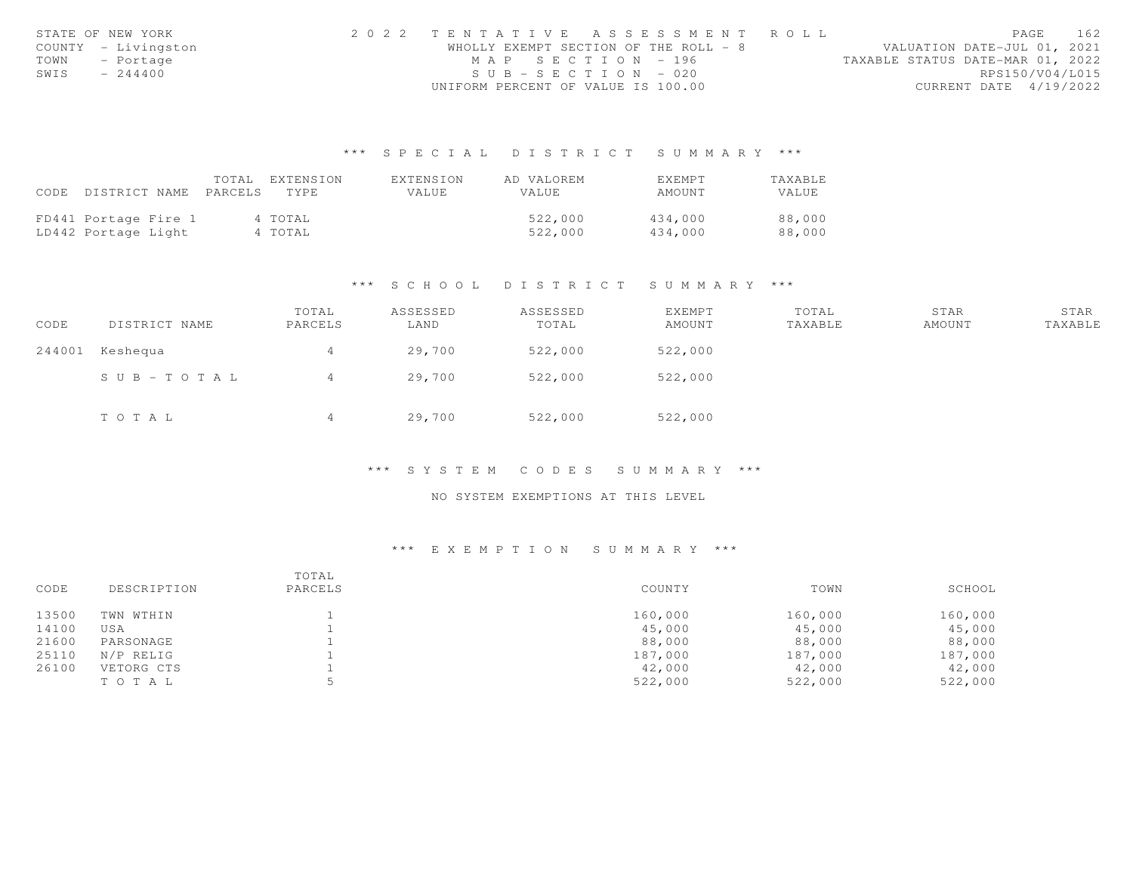|      | STATE OF NEW YORK   | 2022 TENTATIVE ASSESSMENT ROLL        |                                  | PAGE                   | 162 |
|------|---------------------|---------------------------------------|----------------------------------|------------------------|-----|
|      | COUNTY - Livingston | WHOLLY EXEMPT SECTION OF THE ROLL - 8 | VALUATION DATE-JUL 01, 2021      |                        |     |
|      | TOWN - Portage      | MAP SECTION - 196                     | TAXABLE STATUS DATE-MAR 01, 2022 |                        |     |
| SWIS | $-244400$           | $SUB - SECTION - 020$                 |                                  | RPS150/V04/L015        |     |
|      |                     | UNIFORM PERCENT OF VALUE IS 100.00    |                                  | CURRENT DATE 4/19/2022 |     |

|      |                      | TOTAL.  | EXTENSION | EXTENSION    | AD VALOREM   | EXEMPT  | TAXABLE |
|------|----------------------|---------|-----------|--------------|--------------|---------|---------|
| CODE | DISTRICT NAME        | PARCELS | TYPE.     | <b>VALUE</b> | <b>VALUE</b> | AMOUNT  | VALUE   |
|      |                      |         |           |              |              |         |         |
|      | FD441 Portage Fire 1 |         | 4 TOTAL   |              | 522,000      | 434,000 | 88,000  |
|      | LD442 Portage Light  |         | 4 TOTAL   |              | 522,000      | 434.000 | 88,000  |

#### \*\*\* S C H O O L D I S T R I C T S U M M A R Y \*\*\*

| CODE   | DISTRICT NAME | TOTAL<br>PARCELS | ASSESSED<br>LAND | ASSESSED<br>TOTAL | EXEMPT<br>AMOUNT | TOTAL<br>TAXABLE | STAR<br>AMOUNT | STAR<br>TAXABLE |
|--------|---------------|------------------|------------------|-------------------|------------------|------------------|----------------|-----------------|
| 244001 | Keshequa      | 4                | 29,700           | 522,000           | 522,000          |                  |                |                 |
|        | SUB-TOTAL     | 4                | 29,700           | 522,000           | 522,000          |                  |                |                 |
|        | TOTAL         | 4                | 29,700           | 522,000           | 522,000          |                  |                |                 |

#### \*\*\* S Y S T E M C O D E S S U M M A R Y \*\*\*

### NO SYSTEM EXEMPTIONS AT THIS LEVEL

| CODE  | DESCRIPTION | TOTAL<br>PARCELS | COUNTY  | TOWN    | SCHOOL  |
|-------|-------------|------------------|---------|---------|---------|
| 13500 | TWN WTHIN   |                  | 160,000 | 160,000 | 160,000 |
| 14100 | USA         |                  | 45,000  | 45,000  | 45,000  |
| 21600 | PARSONAGE   |                  | 88,000  | 88,000  | 88,000  |
| 25110 | N/P RELIG   |                  | 187,000 | 187,000 | 187,000 |
| 26100 | VETORG CTS  |                  | 42,000  | 42,000  | 42,000  |
|       | TOTAL       |                  | 522,000 | 522,000 | 522,000 |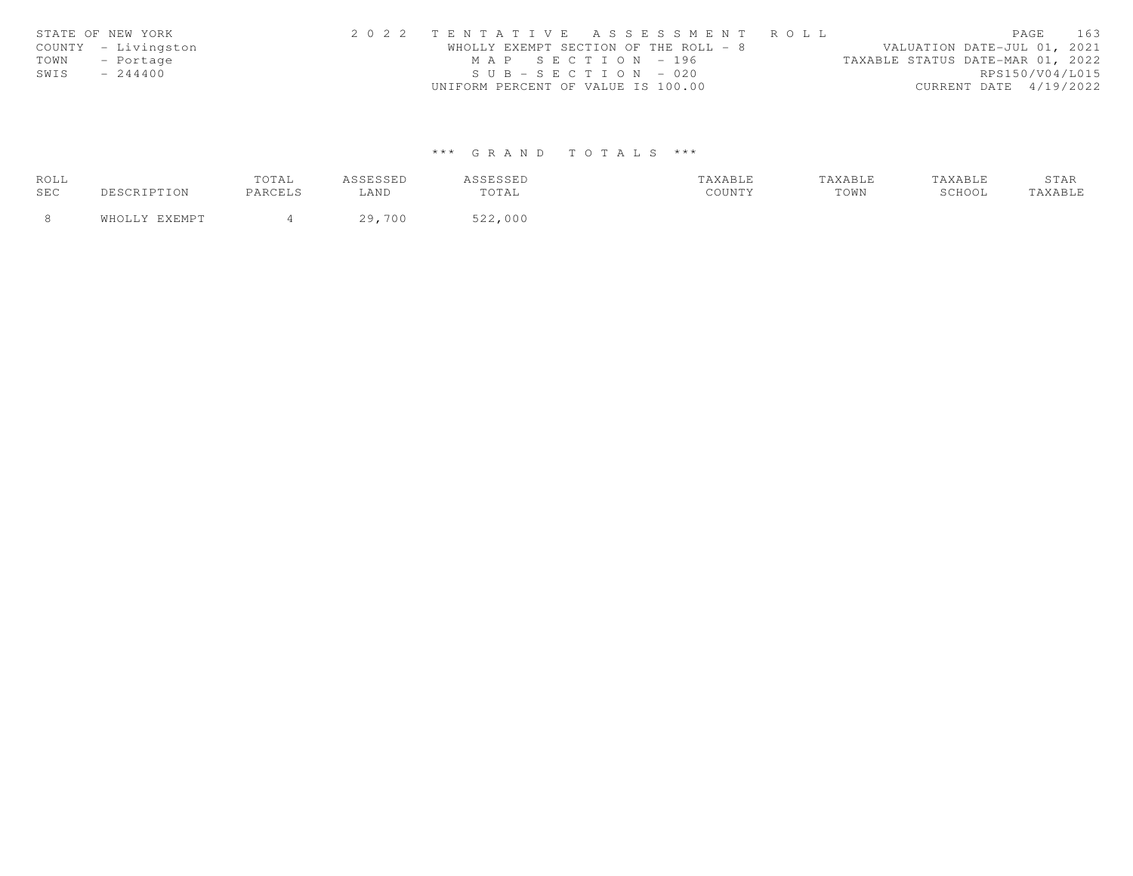| STATE OF NEW YORK |                     | 2022 TENTATIVE ASSESSMENT ROLL        |  |  |  |                                  | PAGE | 163             |
|-------------------|---------------------|---------------------------------------|--|--|--|----------------------------------|------|-----------------|
|                   | COUNTY - Livingston | WHOLLY EXEMPT SECTION OF THE ROLL - 8 |  |  |  | VALUATION DATE-JUL 01, 2021      |      |                 |
| TOWN - Portage    |                     | MAP SECTION - 196                     |  |  |  | TAXABLE STATUS DATE-MAR 01, 2022 |      |                 |
| SWIS              | $-244400$           | $SUB - SECTION - 020$                 |  |  |  |                                  |      | RPS150/V04/L015 |
|                   |                     | UNIFORM PERCENT OF VALUE IS 100.00    |  |  |  | CURRENT DATE 4/19/2022           |      |                 |

| ROLL |           | TOTAL   | ം പറപ്പ    | <b>CCTCCTD</b><br>1 | TAXABLE | TAXABLE |        | STAR   |
|------|-----------|---------|------------|---------------------|---------|---------|--------|--------|
| SEC  | $\tau$ ON | PARCELS | LAND       | TOTAL               | COUNTY  | TOWN    | SCHOOL | AXABLE |
|      |           |         | ,700<br>29 | 522,000             |         |         |        |        |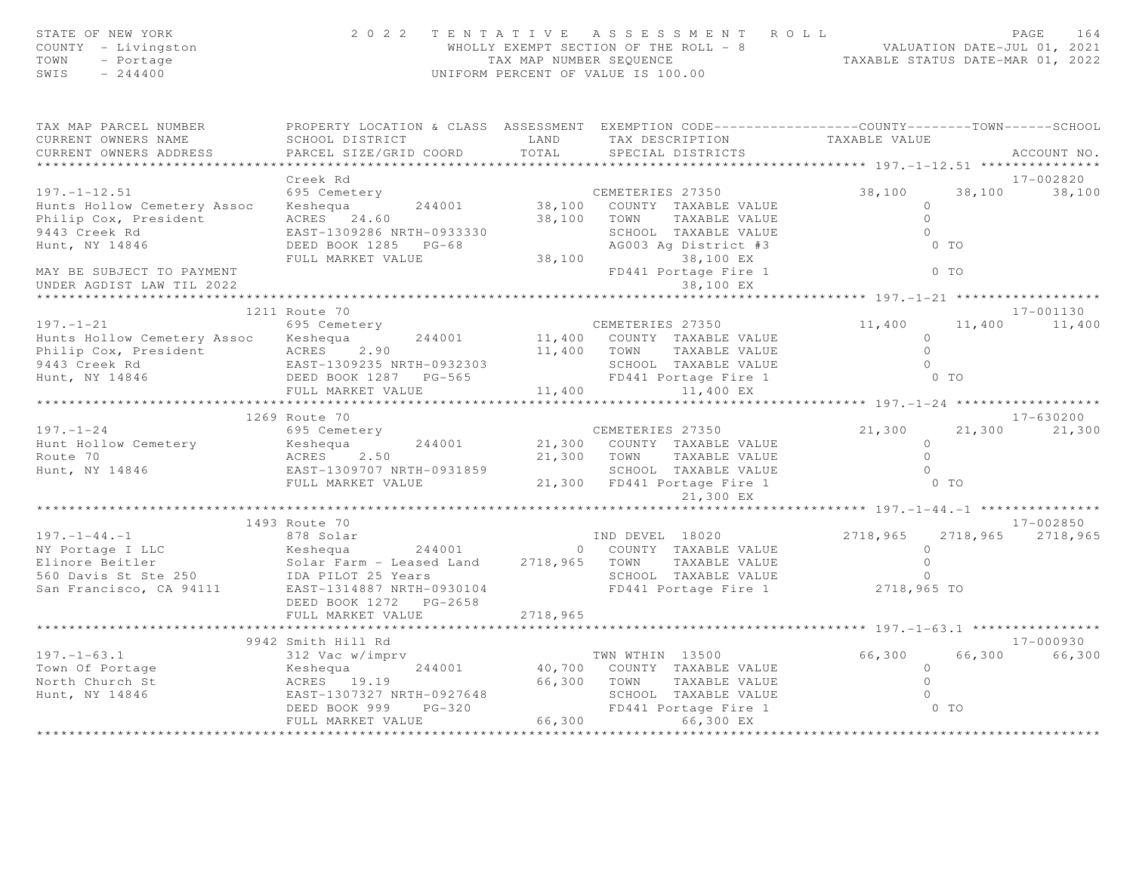| STATE OF NEW YORK<br>COUNTY - Livingston<br>TOWN<br>- Portage<br>SWIS<br>$-244400$                                                                                |                                                                                                                      | TAX MAP NUMBER SEQUENCE | 2022 TENTATIVE ASSESSMENT ROLL<br>WHOLLY EXEMPT SECTION OF THE ROLL - 8<br>UNIFORM PERCENT OF VALUE IS 100.00 | VALUATION DATE-JUL 01, 2021<br>TAXABLE STATUS DATE-MAR 01, 2022 | PAGE<br>164       |
|-------------------------------------------------------------------------------------------------------------------------------------------------------------------|----------------------------------------------------------------------------------------------------------------------|-------------------------|---------------------------------------------------------------------------------------------------------------|-----------------------------------------------------------------|-------------------|
| TAX MAP PARCEL NUMBER<br>CURRENT OWNERS NAME                                                                                                                      | PROPERTY LOCATION & CLASS ASSESSMENT EXEMPTION CODE----------------COUNTY--------TOWN------SCHOOL<br>SCHOOL DISTRICT |                         | LAND TAX DESCRIPTION                                                                                          | TAXABLE VALUE                                                   |                   |
| CURRENT OWNERS ADDRESS                                                                                                                                            | PARCEL SIZE/GRID COORD                                                                                               | TOTAL                   | SPECIAL DISTRICTS                                                                                             |                                                                 | ACCOUNT NO.       |
|                                                                                                                                                                   |                                                                                                                      |                         |                                                                                                               |                                                                 |                   |
|                                                                                                                                                                   | Creek Rd                                                                                                             |                         |                                                                                                               |                                                                 | 17-002820         |
| $197. - 1 - 12.51$                                                                                                                                                | 695 Cemetery                                                                                                         |                         | CEMETERIES 27350                                                                                              | 38,100                                                          | 38,100<br>38,100  |
| Hunts Hollow Cemetery Assoc                                                                                                                                       | Keshequa<br>244001                                                                                                   |                         | 38,100 COUNTY TAXABLE VALUE                                                                                   | $\circ$                                                         |                   |
| Philip Cox, President                                                                                                                                             | ACRES 24.60                                                                                                          | 38,100 TOWN             | TAXABLE VALUE                                                                                                 | $\Omega$<br>$\Omega$                                            |                   |
| 9443 Creek Rd<br>Hunt, NY 14846                                                                                                                                   | EAST-1309286 NRTH-0933330<br>DEED BOOK 1285 PG-68                                                                    |                         | SCHOOL TAXABLE VALUE<br>AG003 Ag District #3                                                                  | $0$ TO                                                          |                   |
|                                                                                                                                                                   | FULL MARKET VALUE                                                                                                    |                         | 38,100 38,100 EX                                                                                              |                                                                 |                   |
| MAY BE SUBJECT TO PAYMENT<br>UNDER AGDIST LAW TIL 2022                                                                                                            |                                                                                                                      |                         | FD441 Portage Fire 1<br>38,100 EX                                                                             | $0$ TO                                                          |                   |
|                                                                                                                                                                   |                                                                                                                      |                         |                                                                                                               | ****************** 197.-1-21 *******************                |                   |
|                                                                                                                                                                   | 1211 Route 70                                                                                                        |                         |                                                                                                               |                                                                 | 17-001130         |
| $197. - 1 - 21$                                                                                                                                                   | 695 Cemetery                                                                                                         |                         | CEMETERIES 27350                                                                                              | 11,400                                                          | 11,400 11,400     |
| Hunts Hollow Cemetery Assoc Keshequa                                                                                                                              | 244001                                                                                                               |                         | 11,400 COUNTY TAXABLE VALUE                                                                                   | $\circ$<br>$\Omega$                                             |                   |
| Philip Cox, President<br>9443 Creek Rd                                                                                                                            | ACRES 2.90<br>EAST-1309235 NRTH-0932303                                                                              | 11,400 TOWN             | TAXABLE VALUE<br>SCHOOL TAXABLE VALUE                                                                         | $\Omega$                                                        |                   |
| Hunt, NY 14846                                                                                                                                                    | DEED BOOK 1287 PG-565                                                                                                |                         | FD441 Portage Fire 1                                                                                          | 0 TO                                                            |                   |
|                                                                                                                                                                   | FULL MARKET VALUE                                                                                                    | 11,400                  | 11,400 EX                                                                                                     |                                                                 |                   |
|                                                                                                                                                                   | **************************                                                                                           |                         |                                                                                                               | ********** 197. -1-24 *******************                       |                   |
|                                                                                                                                                                   | 1269 Route 70                                                                                                        |                         |                                                                                                               |                                                                 | 17-630200         |
| $197. - 1 - 24$                                                                                                                                                   | 695 Cemetery                                                                                                         |                         | CEMETERIES 27350                                                                                              | 21,300                                                          | 21,300<br>21,300  |
| Hunt Hollow Cemetery                                                                                                                                              | 244001<br>Keshequa                                                                                                   |                         | 21,300 COUNTY TAXABLE VALUE                                                                                   | $\Omega$                                                        |                   |
| Route 70                                                                                                                                                          | ACRES 2.50                                                                                                           |                         | 21,300 TOWN<br>TAXABLE VALUE                                                                                  | $\circ$                                                         |                   |
| Hunt, NY 14846                                                                                                                                                    | EAST-1309707 NRTH-0931859                                                                                            |                         | SCHOOL TAXABLE VALUE                                                                                          | $\Omega$<br>$0$ TO                                              |                   |
|                                                                                                                                                                   | FULL MARKET VALUE                                                                                                    |                         | 21,300 FD441 Portage Fire 1<br>21,300 EX                                                                      |                                                                 |                   |
|                                                                                                                                                                   |                                                                                                                      |                         |                                                                                                               |                                                                 |                   |
|                                                                                                                                                                   | 1493 Route 70                                                                                                        |                         |                                                                                                               |                                                                 | 17-002850         |
|                                                                                                                                                                   |                                                                                                                      |                         | IND DEVEL 18020                                                                                               | 2718,965                                                        | 2718,965 2718,965 |
|                                                                                                                                                                   |                                                                                                                      |                         | 0 COUNTY TAXABLE VALUE                                                                                        | $\Omega$                                                        |                   |
|                                                                                                                                                                   |                                                                                                                      | 2718,965 TOWN           | TAXABLE VALUE                                                                                                 | $\Omega$                                                        |                   |
|                                                                                                                                                                   |                                                                                                                      |                         | SCHOOL TAXABLE VALUE                                                                                          | $\Omega$                                                        |                   |
| Elinore Beitler<br>Elinore Beitler<br>Solar Farm – Leased Land<br>Solar Farm – Leased Land<br>Solar Farm – Leased Land<br>San Francisco, CA 94111<br>EAST-1314997 |                                                                                                                      |                         | FD441 Portage Fire 1                                                                                          | 2718,965 TO                                                     |                   |
|                                                                                                                                                                   |                                                                                                                      |                         |                                                                                                               |                                                                 |                   |
|                                                                                                                                                                   | FULL MARKET VALUE<br>******************************                                                                  | 2718,965                |                                                                                                               |                                                                 |                   |
|                                                                                                                                                                   | 9942 Smith Hill Rd                                                                                                   |                         |                                                                                                               |                                                                 | 17-000930         |
| $197. - 1 - 63.1$                                                                                                                                                 | 312 Vac w/imprv                                                                                                      |                         | TWN WTHIN 13500                                                                                               | 66,300                                                          | 66,300<br>66,300  |
| Town Of Portage                                                                                                                                                   | 244001<br>Keshequa                                                                                                   |                         | 40,700 COUNTY TAXABLE VALUE                                                                                   | $\circ$                                                         |                   |
| North Church St                                                                                                                                                   | ACRES 19.19                                                                                                          | 66,300 TOWN             | TAXABLE VALUE                                                                                                 | $\circ$                                                         |                   |
| Hunt, NY 14846                                                                                                                                                    | EAST-1307327 NRTH-0927648                                                                                            |                         | SCHOOL TAXABLE VALUE                                                                                          | $\bigcirc$                                                      |                   |
|                                                                                                                                                                   | DEED BOOK 999<br>PG-320                                                                                              |                         | FD441 Portage Fire 1                                                                                          | $0$ TO                                                          |                   |
|                                                                                                                                                                   | FULL MARKET VALUE                                                                                                    | 66,300                  | 66,300 EX                                                                                                     |                                                                 |                   |
|                                                                                                                                                                   |                                                                                                                      |                         |                                                                                                               |                                                                 |                   |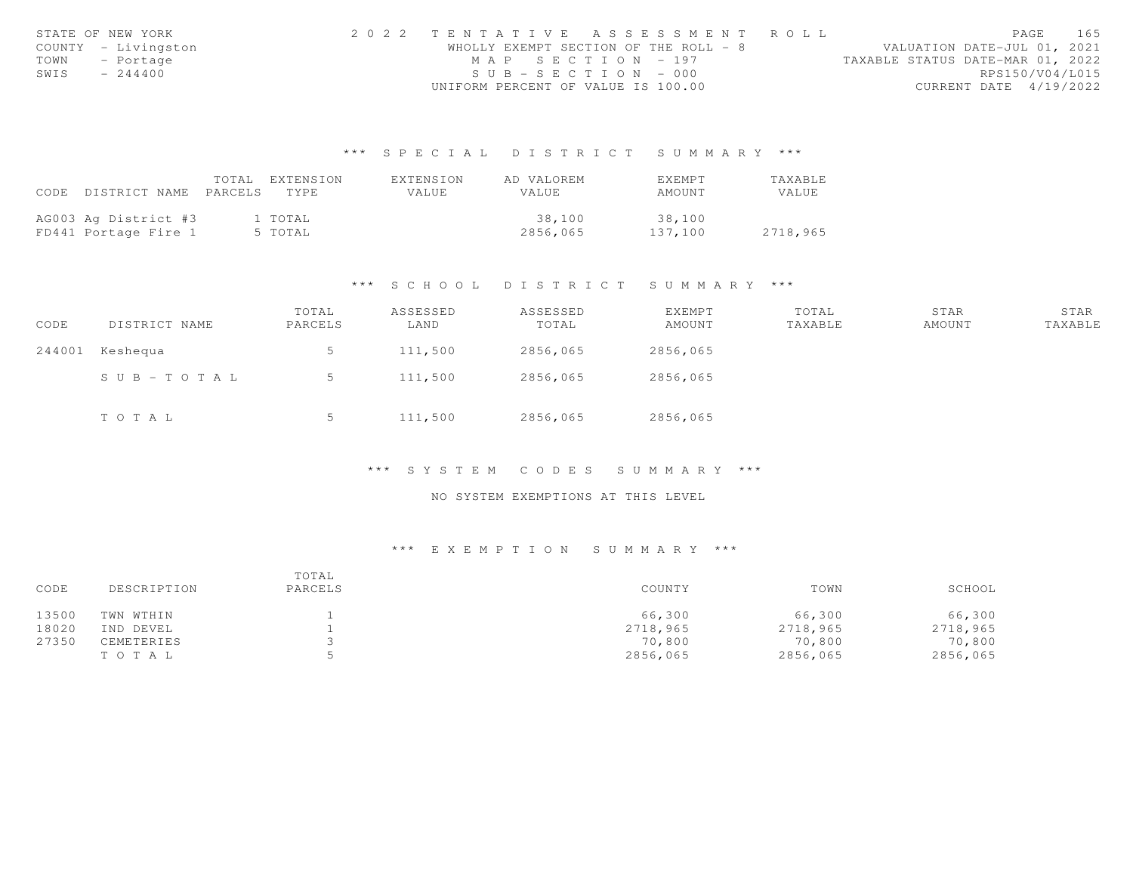|      | STATE OF NEW YORK   | 2022 TENTATIVE ASSESSMENT ROLL |                                       |  | PAGE                             | 165 |
|------|---------------------|--------------------------------|---------------------------------------|--|----------------------------------|-----|
|      | COUNTY - Livingston |                                | WHOLLY EXEMPT SECTION OF THE ROLL - 8 |  | VALUATION DATE-JUL 01, 2021      |     |
|      | TOWN - Portage      |                                | MAP SECTION - 197                     |  | TAXABLE STATUS DATE-MAR 01, 2022 |     |
| SWIS | $-244400$           |                                | $SUB - SECTION - 000$                 |  | RPS150/V04/L015                  |     |
|      |                     |                                | UNIFORM PERCENT OF VALUE IS 100.00    |  | CURRENT DATE 4/19/2022           |     |

|      |                       | TOTAL EXTENSION | EXTENSION | AD VALOREM | <b>EXEMPT</b> | <b>TAXABLE</b> |
|------|-----------------------|-----------------|-----------|------------|---------------|----------------|
| CODE | DISTRICT NAME PARCELS | TYPE.           | VALUE.    | VALUE      | AMOUNT        | <b>VALUE</b>   |
|      |                       |                 |           |            |               |                |
|      | AG003 Ag District #3  | 1 TOTAL         |           | 38,100     | 38,100        |                |
|      | FD441 Portage Fire 1  | 5 TOTAL         |           | 2856,065   | 137,100       | 2718,965       |

#### \*\*\* S C H O O L D I S T R I C T S U M M A R Y \*\*\*

| CODE   | DISTRICT NAME         | TOTAL<br>PARCELS | ASSESSED<br>LAND | ASSESSED<br>TOTAL | EXEMPT<br>AMOUNT | TOTAL<br>TAXABLE | STAR<br>AMOUNT | STAR<br>TAXABLE |
|--------|-----------------------|------------------|------------------|-------------------|------------------|------------------|----------------|-----------------|
| 244001 | Keshequa              | 5                | 111,500          | 2856,065          | 2856,065         |                  |                |                 |
|        | $S \cup B - TO T A L$ | 5                | 111,500          | 2856,065          | 2856,065         |                  |                |                 |
|        | TOTAL                 | ◡                | 111,500          | 2856,065          | 2856,065         |                  |                |                 |

#### \*\*\* S Y S T E M C O D E S S U M M A R Y \*\*\*

## NO SYSTEM EXEMPTIONS AT THIS LEVEL

| CODE  | DESCRIPTION | TOTAL<br>PARCELS | COUNTY   | TOWN     | SCHOOL   |
|-------|-------------|------------------|----------|----------|----------|
| 13500 | TWN WTHIN   |                  | 66,300   | 66,300   | 66,300   |
| 18020 | IND DEVEL   |                  | 2718,965 | 2718,965 | 2718,965 |
| 27350 | CEMETERIES  |                  | 70,800   | 70,800   | 70,800   |
|       | TOTAL       |                  | 2856,065 | 2856,065 | 2856,065 |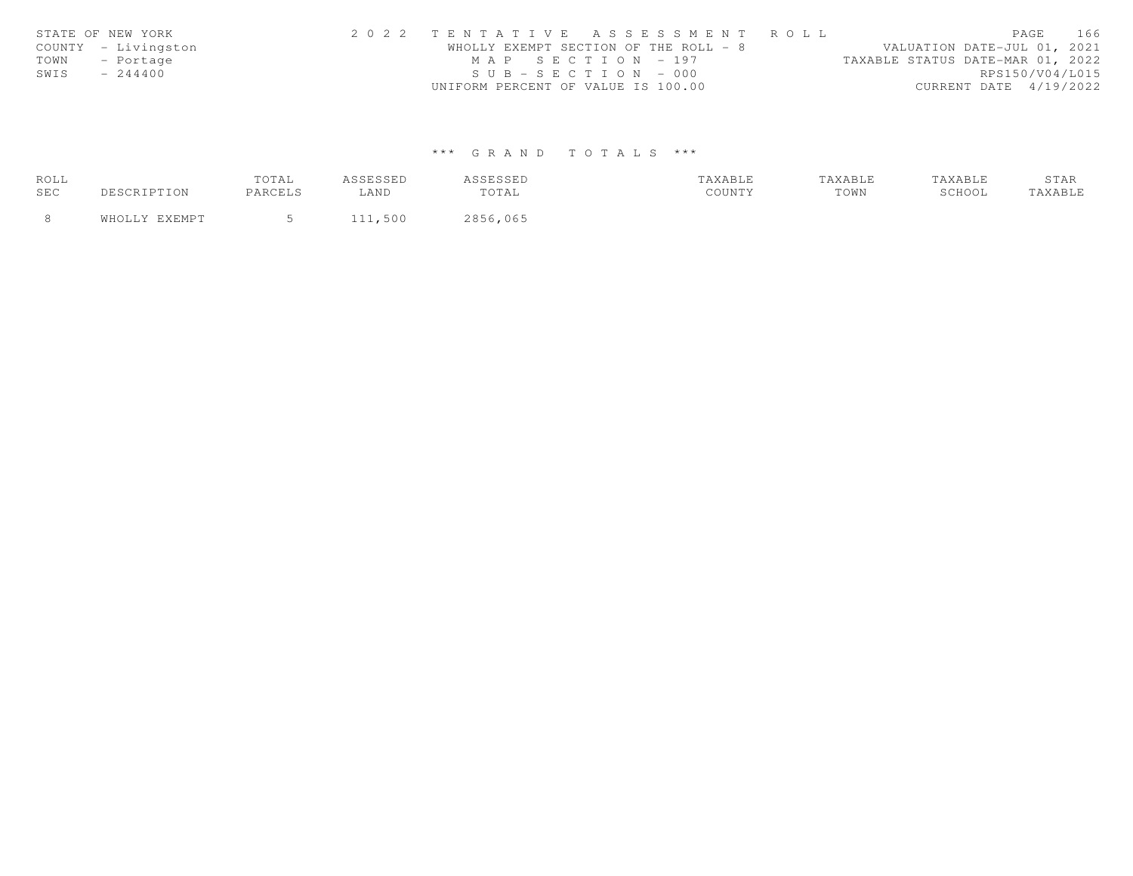|      | STATE OF NEW YORK   | 2022 TENTATIVE ASSESSMENT ROLL        |  |  |                                  |                        | PAGE | 166             |
|------|---------------------|---------------------------------------|--|--|----------------------------------|------------------------|------|-----------------|
|      | COUNTY - Livingston | WHOLLY EXEMPT SECTION OF THE ROLL - 8 |  |  | VALUATION DATE-JUL 01, 2021      |                        |      |                 |
|      | TOWN - Portage      | MAP SECTION - 197                     |  |  | TAXABLE STATUS DATE-MAR 01, 2022 |                        |      |                 |
| SWIS | $-244400$           | $SUB - SECTION - 000$                 |  |  |                                  |                        |      | RPS150/V04/L015 |
|      |                     | UNIFORM PERCENT OF VALUE IS 100.00    |  |  |                                  | CURRENT DATE 4/19/2022 |      |                 |

| ROLL |               | TOTAL   | ASSESSED | ASSESSED | TAXABLE | TAXABLE | TAXABLE | STAR    |
|------|---------------|---------|----------|----------|---------|---------|---------|---------|
| SEC  | DESCRIPTION   | PARCELS | LAND     | TOTAL    | COUNTY  | TOWN    | SCHOOL  | TAXABLE |
|      | WHOLLY EXEMPT | $\sim$  | 111,500  | 2856,065 |         |         |         |         |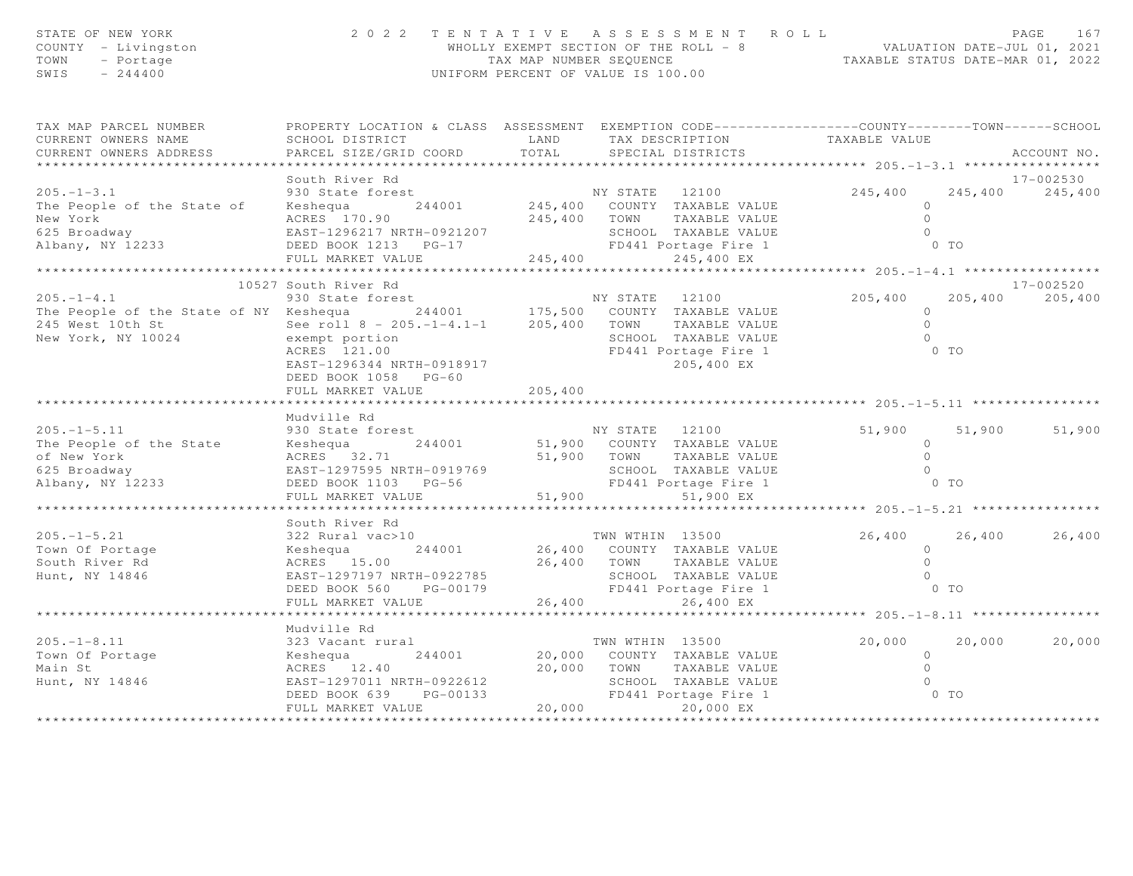| TAX MAP PARCEL NUMBER<br>PROPERTY LOCATION & CLASS ASSESSMENT EXEMPTION CODE---------------COUNTY-------TOWN------SCHOOL<br>TAXABLE VALUE<br>CURRENT OWNERS NAME<br>SCHOOL DISTRICT<br>LAND<br>TAX DESCRIPTION<br>TOTAL<br>CURRENT OWNERS ADDRESS<br>PARCEL SIZE/GRID COORD<br>SPECIAL DISTRICTS<br>ACCOUNT NO.<br>**********************<br>17-002530<br>South River Rd<br>245,400<br>245,400<br>$205. - 1 - 3.1$<br>930 State forest<br>245,400<br>NY STATE 12100<br>244001 245,400 COUNTY TAXABLE VALUE<br>The People of the State of<br>Keshequa<br>$\Omega$<br>New York<br>$\circ$<br>ACRES 170.90<br>245,400 TOWN<br>TAXABLE VALUE<br>625 Broadway<br>EAST-1296217 NRTH-0921207<br>$\Omega$<br>SCHOOL TAXABLE VALUE<br>FD441 Portage Fire 1<br>Albany, NY 12233<br>DEED BOOK 1213 PG-17<br>$0$ TO<br>FULL MARKET VALUE 245,400<br>245,400 EX<br>10527 South River Rd<br>17-002520<br>930 State forest<br>205,400<br>205,400<br>$205. -1 - 4.1$<br>NY STATE 12100<br>205,400<br>The People of the State of NY Keshequa 244001 175,500 COUNTY TAXABLE VALUE<br>$\circ$<br>See roll 8 - 205.-1-4.1-1 205,400 TOWN<br>245 West 10th St<br>New York, NY 10024<br>TAXABLE VALUE<br>$\bigcirc$<br>New York, NY 10024<br>SCHOOL TAXABLE VALUE<br>$\bigcirc$<br>exempt portion<br>ACRES 121.00<br>FD441 Portage Fire 1<br>$0$ TO<br>EAST-1296344 NRTH-0918917<br>205,400 EX<br>DEED BOOK 1058 PG-60<br>205,400<br>FULL MARKET VALUE<br>Mudville Rd<br>$205. -1 - 5.11$<br>51,900<br>51,900<br>930 State forest<br>NY STATE 12100<br>51,900<br>The People of the State<br>244001<br>51,900 COUNTY TAXABLE VALUE<br>$\circ$<br>Keshequa<br>of New York<br>$\Omega$<br>ACRES 32.71<br>51,900 TOWN<br>TAXABLE VALUE<br>EAST-1297595 NRTH-0919769<br>SCH OOL<br>FD441 Poi<br>51,900<br>$\bigcirc$<br>625 Broadway<br>SCHOOL TAXABLE VALUE<br>O TO<br>Albany, NY 12233<br>FD441 Portage Fire 1<br>DEED BOOK 1103 PG-56<br>FULL MARKET VALUE<br>51,900 EX<br>South River Rd<br>TWN WTHIN 13500<br>26,400<br>$205. -1 - 5.21$<br>322 Rural vac>10<br>26,400<br>26,400<br>26,400 COUNTY TAXABLE VALUE<br>Town Of Portage<br>244001<br>$\circ$<br>Keshequa<br>26,400 TOWN<br>$\bigcirc$<br>South River Rd<br>ACRES 15.00<br>TAXABLE VALUE<br>Hunt, NY 14846<br>EAST-1297197 NRTH-0922785<br>SCHOOL TAXABLE VALUE<br>FD441 Portage Fire 1<br>$\bigcirc$<br>$0$ TO<br>DEED BOOK 560<br>PG-00179<br>26,400<br>26,400 EX<br>FULL MARKET VALUE<br>*********************************<br>* * * * * * * * * * * * * *<br>Mudville Rd<br>TWN WTHIN 13500<br>20,000 COUNTY TAXABLE VALUE<br>$205. - 1 - 8.11$<br>20,000<br>20,000<br>323 Vacant rural<br>20,000<br>Keshequa<br>Town Of Portage<br>244001<br>$\overline{0}$<br>20,000 TOWN<br>$\overline{0}$<br>Main St<br>ACRES 12.40<br>TAXABLE VALUE<br>SCHOOL TAXABLE VALUE<br>Hunt, NY 14846<br>EAST-1297011 NRTH-0922612<br>$\overline{0}$<br>8012 SCHOOL TAXABLE VALUE 133<br>133 FD441 Portage Fire 1<br>20,000 20,000 EX<br>$0$ TO<br>DEED BOOK 639<br>PG-00133<br>20,000<br>20,000 EX<br>FULL MARKET VALUE | STATE OF NEW YORK<br>COUNTY - Livingston<br>TOWN<br>- Portage<br>$-244400$<br>SWIS | 2022 TENTATIVE ASSESSMENT ROLL<br>UNIFORM PERCENT OF VALUE IS 100.00 | PAGE<br>167<br>WHOLLY EXEMPT SECTION OF THE ROLL - 8 WALUATION DATE-JUL 01, 2021<br>TAX MAP NUMBER SEQUENCE TAXABLE STATUS DATE-MAR 01, 2022 |  |  |
|----------------------------------------------------------------------------------------------------------------------------------------------------------------------------------------------------------------------------------------------------------------------------------------------------------------------------------------------------------------------------------------------------------------------------------------------------------------------------------------------------------------------------------------------------------------------------------------------------------------------------------------------------------------------------------------------------------------------------------------------------------------------------------------------------------------------------------------------------------------------------------------------------------------------------------------------------------------------------------------------------------------------------------------------------------------------------------------------------------------------------------------------------------------------------------------------------------------------------------------------------------------------------------------------------------------------------------------------------------------------------------------------------------------------------------------------------------------------------------------------------------------------------------------------------------------------------------------------------------------------------------------------------------------------------------------------------------------------------------------------------------------------------------------------------------------------------------------------------------------------------------------------------------------------------------------------------------------------------------------------------------------------------------------------------------------------------------------------------------------------------------------------------------------------------------------------------------------------------------------------------------------------------------------------------------------------------------------------------------------------------------------------------------------------------------------------------------------------------------------------------------------------------------------------------------------------------------------------------------------------------------------------------------------------------------------------------------------------------------------------------------------------------------------------------------------------------------------------------------------------------------------------------------------------------------------------------------------------------------------------------------------------------------------------|------------------------------------------------------------------------------------|----------------------------------------------------------------------|----------------------------------------------------------------------------------------------------------------------------------------------|--|--|
|                                                                                                                                                                                                                                                                                                                                                                                                                                                                                                                                                                                                                                                                                                                                                                                                                                                                                                                                                                                                                                                                                                                                                                                                                                                                                                                                                                                                                                                                                                                                                                                                                                                                                                                                                                                                                                                                                                                                                                                                                                                                                                                                                                                                                                                                                                                                                                                                                                                                                                                                                                                                                                                                                                                                                                                                                                                                                                                                                                                                                                              |                                                                                    |                                                                      |                                                                                                                                              |  |  |
|                                                                                                                                                                                                                                                                                                                                                                                                                                                                                                                                                                                                                                                                                                                                                                                                                                                                                                                                                                                                                                                                                                                                                                                                                                                                                                                                                                                                                                                                                                                                                                                                                                                                                                                                                                                                                                                                                                                                                                                                                                                                                                                                                                                                                                                                                                                                                                                                                                                                                                                                                                                                                                                                                                                                                                                                                                                                                                                                                                                                                                              |                                                                                    |                                                                      |                                                                                                                                              |  |  |
|                                                                                                                                                                                                                                                                                                                                                                                                                                                                                                                                                                                                                                                                                                                                                                                                                                                                                                                                                                                                                                                                                                                                                                                                                                                                                                                                                                                                                                                                                                                                                                                                                                                                                                                                                                                                                                                                                                                                                                                                                                                                                                                                                                                                                                                                                                                                                                                                                                                                                                                                                                                                                                                                                                                                                                                                                                                                                                                                                                                                                                              |                                                                                    |                                                                      |                                                                                                                                              |  |  |
|                                                                                                                                                                                                                                                                                                                                                                                                                                                                                                                                                                                                                                                                                                                                                                                                                                                                                                                                                                                                                                                                                                                                                                                                                                                                                                                                                                                                                                                                                                                                                                                                                                                                                                                                                                                                                                                                                                                                                                                                                                                                                                                                                                                                                                                                                                                                                                                                                                                                                                                                                                                                                                                                                                                                                                                                                                                                                                                                                                                                                                              |                                                                                    |                                                                      |                                                                                                                                              |  |  |
|                                                                                                                                                                                                                                                                                                                                                                                                                                                                                                                                                                                                                                                                                                                                                                                                                                                                                                                                                                                                                                                                                                                                                                                                                                                                                                                                                                                                                                                                                                                                                                                                                                                                                                                                                                                                                                                                                                                                                                                                                                                                                                                                                                                                                                                                                                                                                                                                                                                                                                                                                                                                                                                                                                                                                                                                                                                                                                                                                                                                                                              |                                                                                    |                                                                      |                                                                                                                                              |  |  |
|                                                                                                                                                                                                                                                                                                                                                                                                                                                                                                                                                                                                                                                                                                                                                                                                                                                                                                                                                                                                                                                                                                                                                                                                                                                                                                                                                                                                                                                                                                                                                                                                                                                                                                                                                                                                                                                                                                                                                                                                                                                                                                                                                                                                                                                                                                                                                                                                                                                                                                                                                                                                                                                                                                                                                                                                                                                                                                                                                                                                                                              |                                                                                    |                                                                      |                                                                                                                                              |  |  |
|                                                                                                                                                                                                                                                                                                                                                                                                                                                                                                                                                                                                                                                                                                                                                                                                                                                                                                                                                                                                                                                                                                                                                                                                                                                                                                                                                                                                                                                                                                                                                                                                                                                                                                                                                                                                                                                                                                                                                                                                                                                                                                                                                                                                                                                                                                                                                                                                                                                                                                                                                                                                                                                                                                                                                                                                                                                                                                                                                                                                                                              |                                                                                    |                                                                      |                                                                                                                                              |  |  |
|                                                                                                                                                                                                                                                                                                                                                                                                                                                                                                                                                                                                                                                                                                                                                                                                                                                                                                                                                                                                                                                                                                                                                                                                                                                                                                                                                                                                                                                                                                                                                                                                                                                                                                                                                                                                                                                                                                                                                                                                                                                                                                                                                                                                                                                                                                                                                                                                                                                                                                                                                                                                                                                                                                                                                                                                                                                                                                                                                                                                                                              |                                                                                    |                                                                      |                                                                                                                                              |  |  |
|                                                                                                                                                                                                                                                                                                                                                                                                                                                                                                                                                                                                                                                                                                                                                                                                                                                                                                                                                                                                                                                                                                                                                                                                                                                                                                                                                                                                                                                                                                                                                                                                                                                                                                                                                                                                                                                                                                                                                                                                                                                                                                                                                                                                                                                                                                                                                                                                                                                                                                                                                                                                                                                                                                                                                                                                                                                                                                                                                                                                                                              |                                                                                    |                                                                      |                                                                                                                                              |  |  |
|                                                                                                                                                                                                                                                                                                                                                                                                                                                                                                                                                                                                                                                                                                                                                                                                                                                                                                                                                                                                                                                                                                                                                                                                                                                                                                                                                                                                                                                                                                                                                                                                                                                                                                                                                                                                                                                                                                                                                                                                                                                                                                                                                                                                                                                                                                                                                                                                                                                                                                                                                                                                                                                                                                                                                                                                                                                                                                                                                                                                                                              |                                                                                    |                                                                      |                                                                                                                                              |  |  |
|                                                                                                                                                                                                                                                                                                                                                                                                                                                                                                                                                                                                                                                                                                                                                                                                                                                                                                                                                                                                                                                                                                                                                                                                                                                                                                                                                                                                                                                                                                                                                                                                                                                                                                                                                                                                                                                                                                                                                                                                                                                                                                                                                                                                                                                                                                                                                                                                                                                                                                                                                                                                                                                                                                                                                                                                                                                                                                                                                                                                                                              |                                                                                    |                                                                      |                                                                                                                                              |  |  |
|                                                                                                                                                                                                                                                                                                                                                                                                                                                                                                                                                                                                                                                                                                                                                                                                                                                                                                                                                                                                                                                                                                                                                                                                                                                                                                                                                                                                                                                                                                                                                                                                                                                                                                                                                                                                                                                                                                                                                                                                                                                                                                                                                                                                                                                                                                                                                                                                                                                                                                                                                                                                                                                                                                                                                                                                                                                                                                                                                                                                                                              |                                                                                    |                                                                      |                                                                                                                                              |  |  |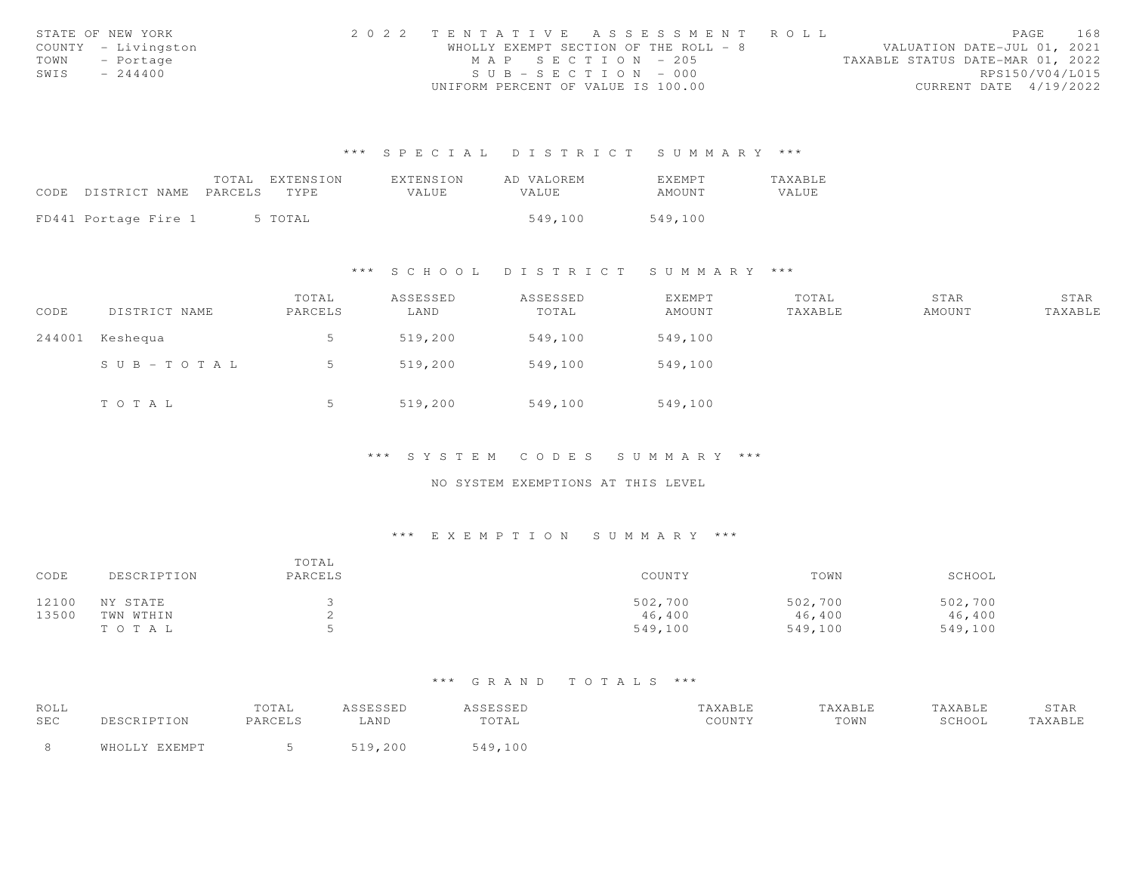|      | STATE OF NEW YORK   | 2022 TENTATIVE ASSESSMENT ROLL        |  |  |                                  |                        | PAGE | 168 |
|------|---------------------|---------------------------------------|--|--|----------------------------------|------------------------|------|-----|
|      | COUNTY - Livingston | WHOLLY EXEMPT SECTION OF THE ROLL - 8 |  |  | VALUATION DATE-JUL 01, 2021      |                        |      |     |
|      | TOWN - Portage      | MAP SECTION - 205                     |  |  | TAXABLE STATUS DATE-MAR 01, 2022 |                        |      |     |
| SWIS | $-244400$           | $SUB - SECTION - 000$                 |  |  |                                  | RPS150/V04/L015        |      |     |
|      |                     | UNIFORM PERCENT OF VALUE IS 100.00    |  |  |                                  | CURRENT DATE 4/19/2022 |      |     |

|                            | TOTAL | EXTENSION | EXTENSION | AD VALOREM | <b>EXEMPT</b> | <b>TAXABLE</b> |
|----------------------------|-------|-----------|-----------|------------|---------------|----------------|
| CODE DISTRICT NAME PARCELS |       | TYPE.     | VALUE     | VALUE.     | AMOUNT        | VALUE          |
|                            |       |           |           |            |               |                |
| FD441 Portage Fire 1       |       | 5 TOTAL   |           | 549,100    | 549,100       |                |

#### \*\*\* S C H O O L D I S T R I C T S U M M A R Y \*\*\*

| CODE | DISTRICT NAME   | TOTAL<br>PARCELS | ASSESSED<br>LAND | ASSESSED<br>TOTAL | EXEMPT<br>AMOUNT | TOTAL<br>TAXABLE | STAR<br>AMOUNT | STAR<br>TAXABLE |
|------|-----------------|------------------|------------------|-------------------|------------------|------------------|----------------|-----------------|
|      | 244001 Keshequa |                  | 519,200          | 549,100           | 549,100          |                  |                |                 |
|      | SUB-TOTAL       |                  | 519,200          | 549,100           | 549,100          |                  |                |                 |
|      | TOTAL           |                  | 519,200          | 549,100           | 549,100          |                  |                |                 |

#### \*\*\* S Y S T E M C O D E S S U M M A R Y \*\*\*

### NO SYSTEM EXEMPTIONS AT THIS LEVEL

### \*\*\* E X E M P T I O N S U M M A R Y \*\*\*

| CODE  | DESCRIPTION | TOTAL<br>PARCELS | COUNTY  | TOWN    | SCHOOL  |
|-------|-------------|------------------|---------|---------|---------|
| 12100 | NY STATE    |                  | 502,700 | 502,700 | 502,700 |
| 13500 | TWN WTHIN   |                  | 46,400  | 46,400  | 46,400  |
|       | TOTAL       |                  | 549,100 | 549,100 | 549,100 |

| ROLL |                       | TOTAL   | <b>ACCECCEP</b><br>ستددت | ASSESSED  | TAXABLE | "AXABLE | TAXABLE | STAR    |
|------|-----------------------|---------|--------------------------|-----------|---------|---------|---------|---------|
| SEC  | DESCRIPTION           | PARCELS | <b>AND</b>               | TOTAL     | COUNTY  | TOWN    | SCHOOL  | TAXABLE |
|      | <b>LALLWD</b><br>ធាម∩ |         | 200                      | 0.49, 100 |         |         |         |         |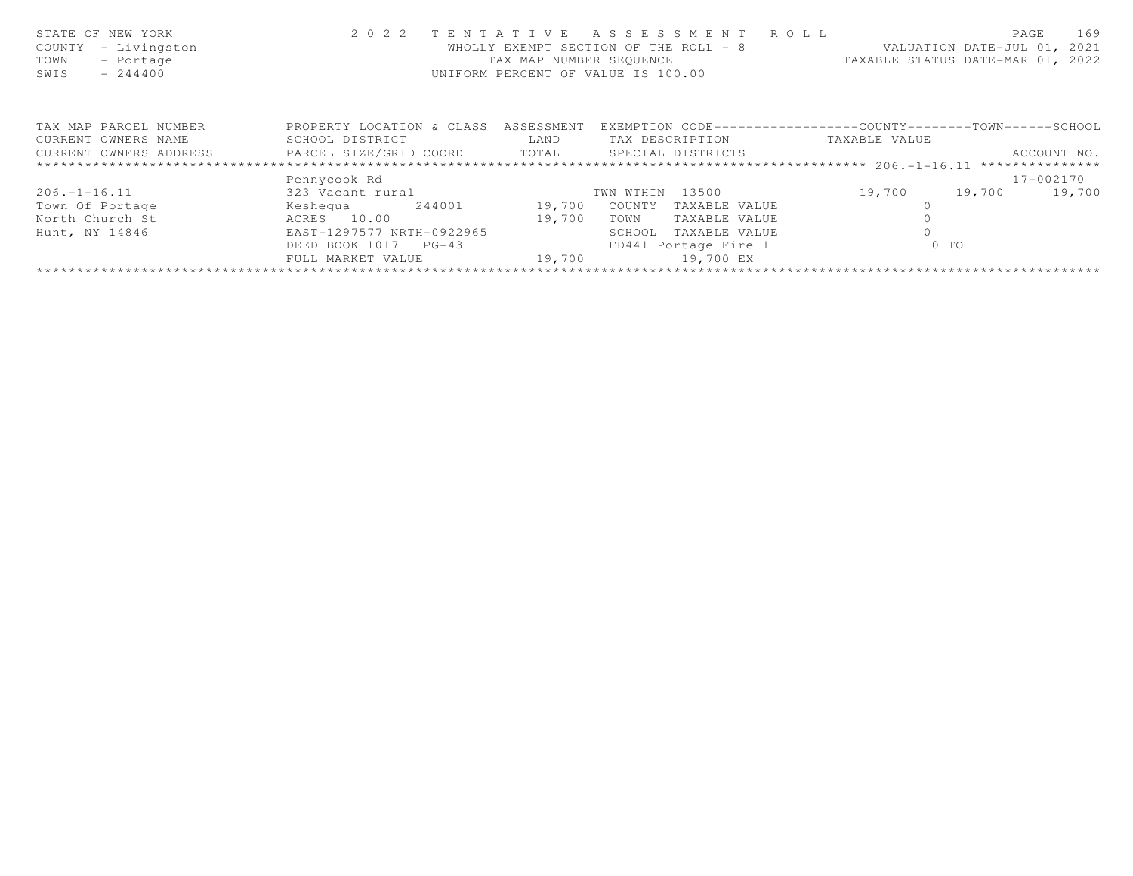| STATE OF NEW YORK<br>COUNTY<br>- Livingston<br>TOWN<br>- Portage<br>$-244400$<br>SWIS | 2 0 2 2                              | TENTATIVE<br>TAX MAP NUMBER SEQUENCE | ASSESSMENT ROLL<br>WHOLLY EXEMPT SECTION OF THE ROLL - 8<br>UNIFORM PERCENT OF VALUE IS 100.00 | TAXABLE STATUS DATE-MAR 01, 2022 | PAGE<br>169<br>VALUATION DATE-JUL 01, 2021 |
|---------------------------------------------------------------------------------------|--------------------------------------|--------------------------------------|------------------------------------------------------------------------------------------------|----------------------------------|--------------------------------------------|
| TAX MAP PARCEL NUMBER                                                                 | PROPERTY LOCATION & CLASS ASSESSMENT |                                      | EXEMPTION CODE-----------------COUNTY-------TOWN------SCHOOL                                   |                                  |                                            |
| CURRENT OWNERS NAME                                                                   | SCHOOL DISTRICT                      | LAND                                 | TAX DESCRIPTION                                                                                | TAXABLE VALUE                    |                                            |
| CURRENT OWNERS ADDRESS                                                                | PARCEL SIZE/GRID COORD TOTAL         |                                      | SPECIAL DISTRICTS                                                                              |                                  | ACCOUNT NO.                                |
|                                                                                       |                                      |                                      |                                                                                                |                                  |                                            |
|                                                                                       | Pennycook Rd                         |                                      |                                                                                                |                                  | 17-002170                                  |
| $206. - 1 - 16.11$                                                                    | 323 Vacant rural                     |                                      | TWN WTHIN 13500                                                                                | 19,700                           | 19,700<br>19,700                           |
| Town Of Portage                                                                       | 244001<br>Keshequa                   | 19,700                               | COUNTY<br>TAXABLE VALUE                                                                        |                                  |                                            |
| North Church St                                                                       | ACRES 10.00                          | 19,700                               | TAXABLE VALUE<br>TOWN                                                                          |                                  |                                            |
| Hunt, NY 14846                                                                        | EAST-1297577 NRTH-0922965            |                                      | SCHOOL<br>TAXABLE VALUE                                                                        |                                  |                                            |
|                                                                                       | DEED BOOK 1017<br>$PG-43$            |                                      | FD441 Portage Fire 1                                                                           | $0$ TO                           |                                            |
|                                                                                       | FULL MARKET VALUE                    | 19,700                               | 19,700 EX                                                                                      |                                  |                                            |
|                                                                                       |                                      |                                      |                                                                                                |                                  |                                            |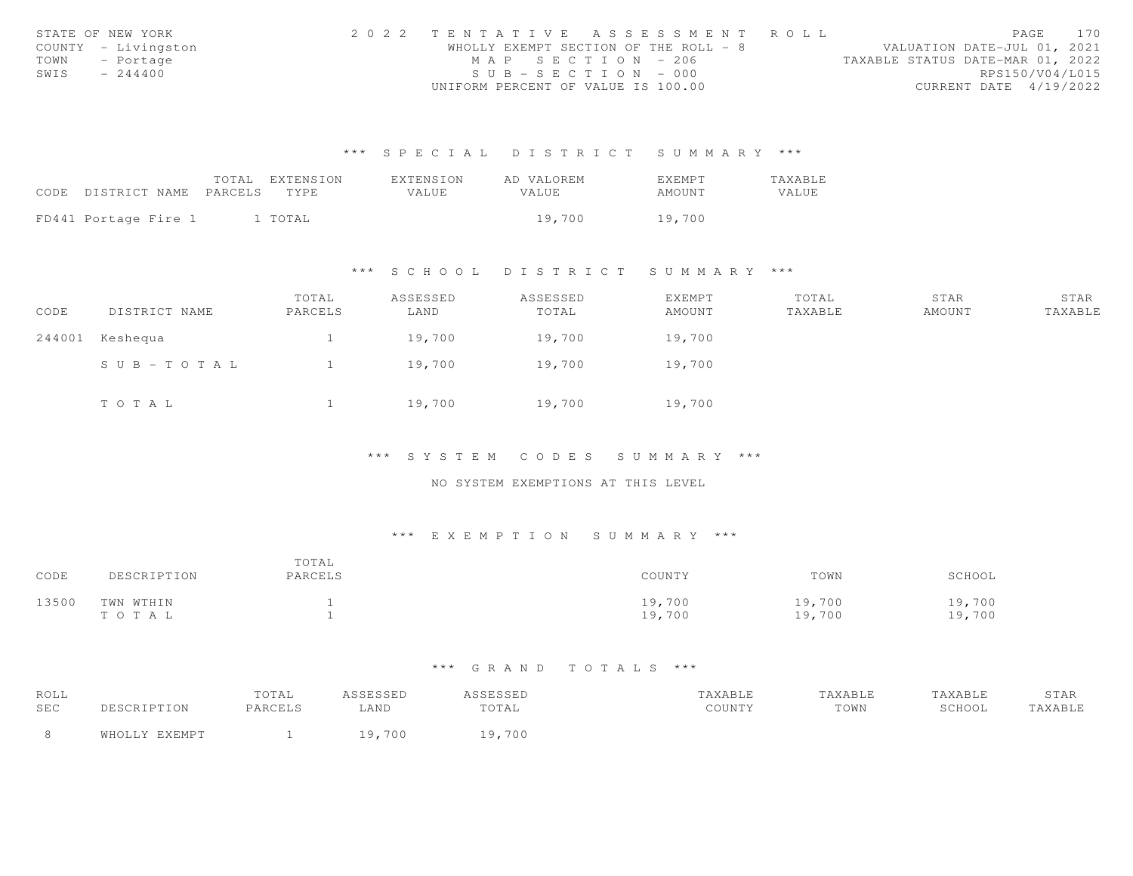|      | STATE OF NEW YORK   | 2022 TENTATIVE ASSESSMENT ROLL        |  |                                  | PAGE            | 170 |
|------|---------------------|---------------------------------------|--|----------------------------------|-----------------|-----|
|      | COUNTY - Livingston | WHOLLY EXEMPT SECTION OF THE ROLL - 8 |  | VALUATION DATE-JUL 01, 2021      |                 |     |
| TOWN | - Portage           | MAP SECTION - 206                     |  | TAXABLE STATUS DATE-MAR 01, 2022 |                 |     |
| SWIS | $-244400$           | $SUB - SECTION - 000$                 |  |                                  | RPS150/V04/L015 |     |
|      |                     | UNIFORM PERCENT OF VALUE IS 100.00    |  | CURRENT DATE 4/19/2022           |                 |     |

|                            | TOTAL EXTENSION | <b>FXTENSION</b> | AD VALOREM   | <b>FXFMPT</b> | TAXABLE |
|----------------------------|-----------------|------------------|--------------|---------------|---------|
| CODE DISTRICT NAME PARCELS | TYPE.           | VALUE            | <b>VALUE</b> | AMOUNT        | VALUE   |
|                            |                 |                  |              |               |         |
| FD441 Portage Fire 1       | 1 TOTAL         |                  | 19.700       | 19,700        |         |

### \*\*\* S C H O O L D I S T R I C T S U M M A R Y \*\*\*

| CODE   | DISTRICT NAME | TOTAL<br>PARCELS | ASSESSED<br>LAND | ASSESSED<br>TOTAL | EXEMPT<br>AMOUNT | TOTAL<br>TAXABLE | STAR<br>AMOUNT | STAR<br>TAXABLE |
|--------|---------------|------------------|------------------|-------------------|------------------|------------------|----------------|-----------------|
| 244001 | Keshequa      |                  | 19,700           | 19,700            | 19,700           |                  |                |                 |
|        | SUB-TOTAL     |                  | 19,700           | 19,700            | 19,700           |                  |                |                 |
|        | TOTAL         |                  | 19,700           | 19,700            | 19,700           |                  |                |                 |

\*\*\* S Y S T E M C O D E S S U M M A R Y \*\*\*

NO SYSTEM EXEMPTIONS AT THIS LEVEL

### \*\*\* E X E M P T I O N S U M M A R Y \*\*\*

| CODE  | DESCRIPTION            | TOTAL<br>PARCELS | COUNTY           | TOWN             | SCHOOL           |
|-------|------------------------|------------------|------------------|------------------|------------------|
| 13500 | TWN WTHIN<br>T O T A L |                  | 19,700<br>19,700 | 19,700<br>19,700 | 19,700<br>19,700 |

| ROLL |               | TOTAL   | ASSESSED | ASSESSED | TAXABLE | TAXABLE | TAXABLE | STAR    |
|------|---------------|---------|----------|----------|---------|---------|---------|---------|
| SEC  | DESCRIPTION   | PARCELS | AND      | TOTAL    | COUNTY  | TOWN    | SCHOOL  | TAXABLE |
|      | WHOLLY EXEMPT |         | 700      | ,700     |         |         |         |         |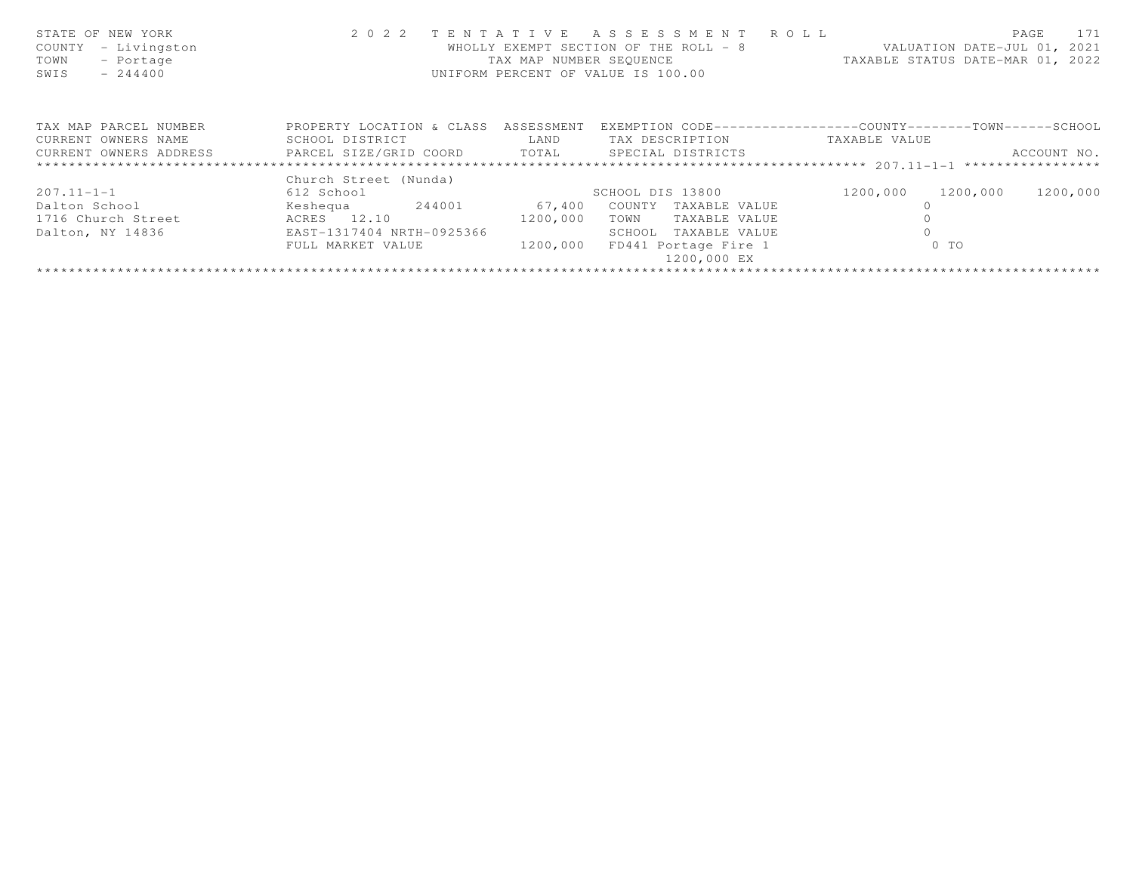| STATE OF NEW YORK<br>COUNTY<br>- Livingston<br>TOWN<br>- Portage<br>$-244400$<br>SWIS | 2 0 2 2                              | TAX MAP NUMBER SEOUENCE | TENTATIVE ASSESSMENT ROLL<br>WHOLLY EXEMPT SECTION OF THE ROLL - 8<br>UNIFORM PERCENT OF VALUE IS 100.00 | VALUATION DATE-JUL 01, 2021<br>TAXABLE STATUS DATE-MAR 01, 2022 | PAGE<br>171 |
|---------------------------------------------------------------------------------------|--------------------------------------|-------------------------|----------------------------------------------------------------------------------------------------------|-----------------------------------------------------------------|-------------|
| TAX MAP PARCEL NUMBER                                                                 | PROPERTY LOCATION & CLASS ASSESSMENT |                         |                                                                                                          | EXEMPTION CODE-----------------COUNTY-------TOWN------SCHOOL    |             |
| CURRENT OWNERS NAME                                                                   | SCHOOL DISTRICT                      | LAND                    | TAX DESCRIPTION                                                                                          | TAXABLE VALUE                                                   |             |
| CURRENT OWNERS ADDRESS <b>THE PARCEL SIZE/GRID COORD</b> TOTAL SPECIAL DISTRICTS      |                                      |                         |                                                                                                          |                                                                 | ACCOUNT NO. |
|                                                                                       |                                      |                         |                                                                                                          |                                                                 |             |
|                                                                                       | Church Street (Nunda)                |                         |                                                                                                          |                                                                 |             |
| $207.11 - 1 - 1$                                                                      | 612 School                           |                         | SCHOOL DIS 13800                                                                                         | 1200,000<br>1200,000                                            | 1200,000    |
| Dalton School                                                                         | Keshequa 244001                      | 67,400                  | COUNTY<br>TAXABLE VALUE                                                                                  |                                                                 |             |
| 1716 Church Street                                                                    | ACRES 12.10                          | 1200,000                | TOWN<br>TAXABLE VALUE                                                                                    |                                                                 |             |
| Dalton, NY 14836                                                                      | EAST-1317404 NRTH-0925366            |                         | SCHOOL<br>TAXABLE VALUE                                                                                  |                                                                 |             |
|                                                                                       | FULL MARKET VALUE                    | 1200,000                | FD441 Portage Fire 1                                                                                     | $0$ TO                                                          |             |
|                                                                                       |                                      |                         | 1200,000 EX                                                                                              |                                                                 |             |
|                                                                                       |                                      |                         |                                                                                                          |                                                                 |             |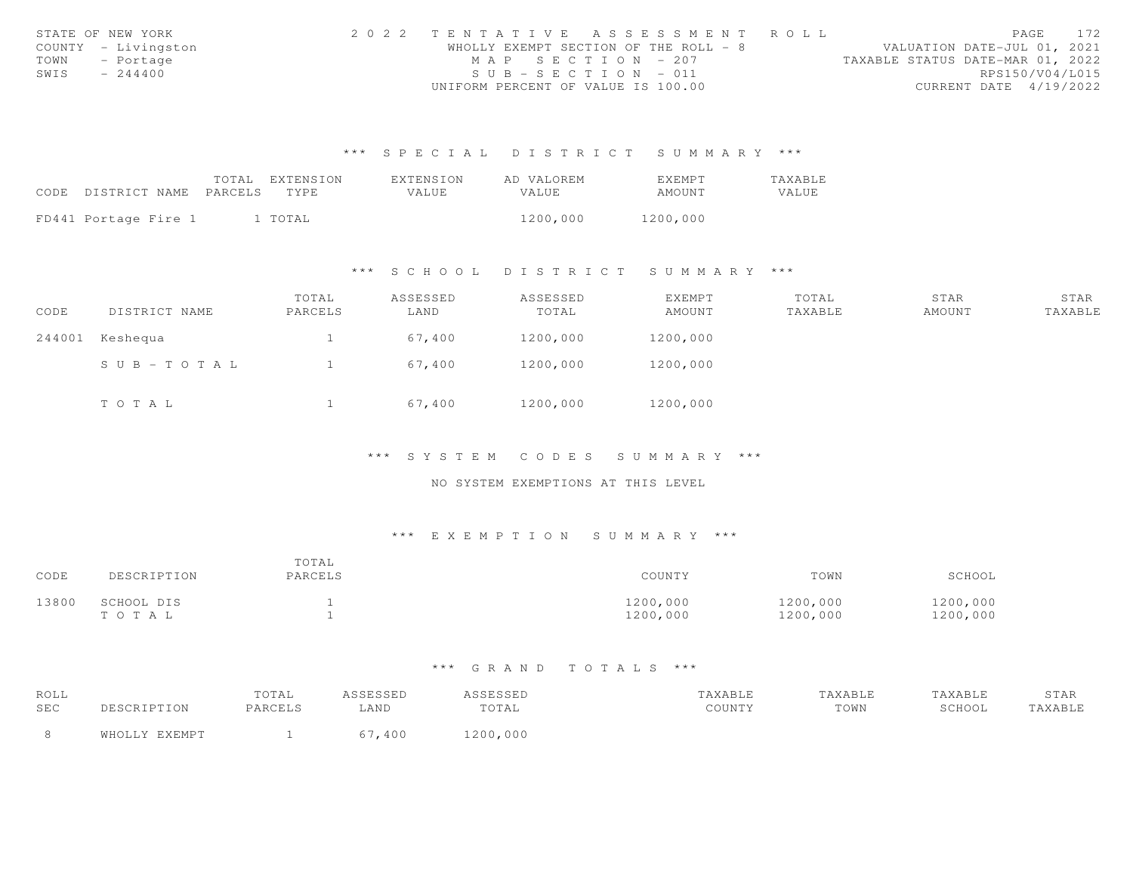|      | STATE OF NEW YORK   | 2022 TENTATIVE ASSESSMENT ROLL        |  |  |                                  |                        | PAGE | 172 |
|------|---------------------|---------------------------------------|--|--|----------------------------------|------------------------|------|-----|
|      | COUNTY - Livingston | WHOLLY EXEMPT SECTION OF THE ROLL - 8 |  |  | VALUATION DATE-JUL 01, 2021      |                        |      |     |
|      | TOWN - Portage      | MAP SECTION - 207                     |  |  | TAXABLE STATUS DATE-MAR 01, 2022 |                        |      |     |
| SWIS | $-244400$           | $SUB - SECTION - 011$                 |  |  |                                  | RPS150/V04/L015        |      |     |
|      |                     | UNIFORM PERCENT OF VALUE IS 100.00    |  |  |                                  | CURRENT DATE 4/19/2022 |      |     |

|                                 | TOTAL EXTENSION | EXTENSION | AD VALOREM | EXEMPT   | TAXABLE      |
|---------------------------------|-----------------|-----------|------------|----------|--------------|
| CODE DISTRICT NAME PARCELS TYPE |                 | VALUE     | VALUE.     | AMOUNT   | <b>VALUE</b> |
|                                 |                 |           |            |          |              |
| FD441 Portage Fire 1            | 1 TOTAL         |           | 1200,000   | 1200,000 |              |

#### \*\*\* S C H O O L D I S T R I C T S U M M A R Y \*\*\*

| CODE | DISTRICT NAME   | TOTAL<br>PARCELS | ASSESSED<br>LAND | ASSESSED<br>TOTAL | EXEMPT<br>AMOUNT | TOTAL<br>TAXABLE | STAR<br>AMOUNT | STAR<br>TAXABLE |
|------|-----------------|------------------|------------------|-------------------|------------------|------------------|----------------|-----------------|
|      | 244001 Keshequa |                  | 67,400           | 1200,000          | 1200,000         |                  |                |                 |
|      | SUB-TOTAL       |                  | 67,400           | 1200,000          | 1200,000         |                  |                |                 |
|      | TOTAL           |                  | 67,400           | 1200,000          | 1200,000         |                  |                |                 |

#### \*\*\* S Y S T E M C O D E S S U M M A R Y \*\*\*

### NO SYSTEM EXEMPTIONS AT THIS LEVEL

### \*\*\* E X E M P T I O N S U M M A R Y \*\*\*

| CODE  | DESCRIPTION             | TOTAL<br>PARCELS | COUNTY               | TOWN                 | SCHOOL               |
|-------|-------------------------|------------------|----------------------|----------------------|----------------------|
| 13800 | SCHOOL DIS<br>T O T A L |                  | 1200,000<br>1200,000 | 1200,000<br>1200,000 | 1200,000<br>1200,000 |

| ROLL |               | TOTAL   | ASSESSED | ASSESSED | TAXABLE | TAXABLE | TAXABLE | STAR    |
|------|---------------|---------|----------|----------|---------|---------|---------|---------|
| SEC  | DESCRIPTION   | PARCELS | LAND     | TOTAL    | COUNTY  | TOWN    | SCHOOL  | TAXABLE |
|      | WHOLLY EXEMPT |         | 67,400   | 1200,000 |         |         |         |         |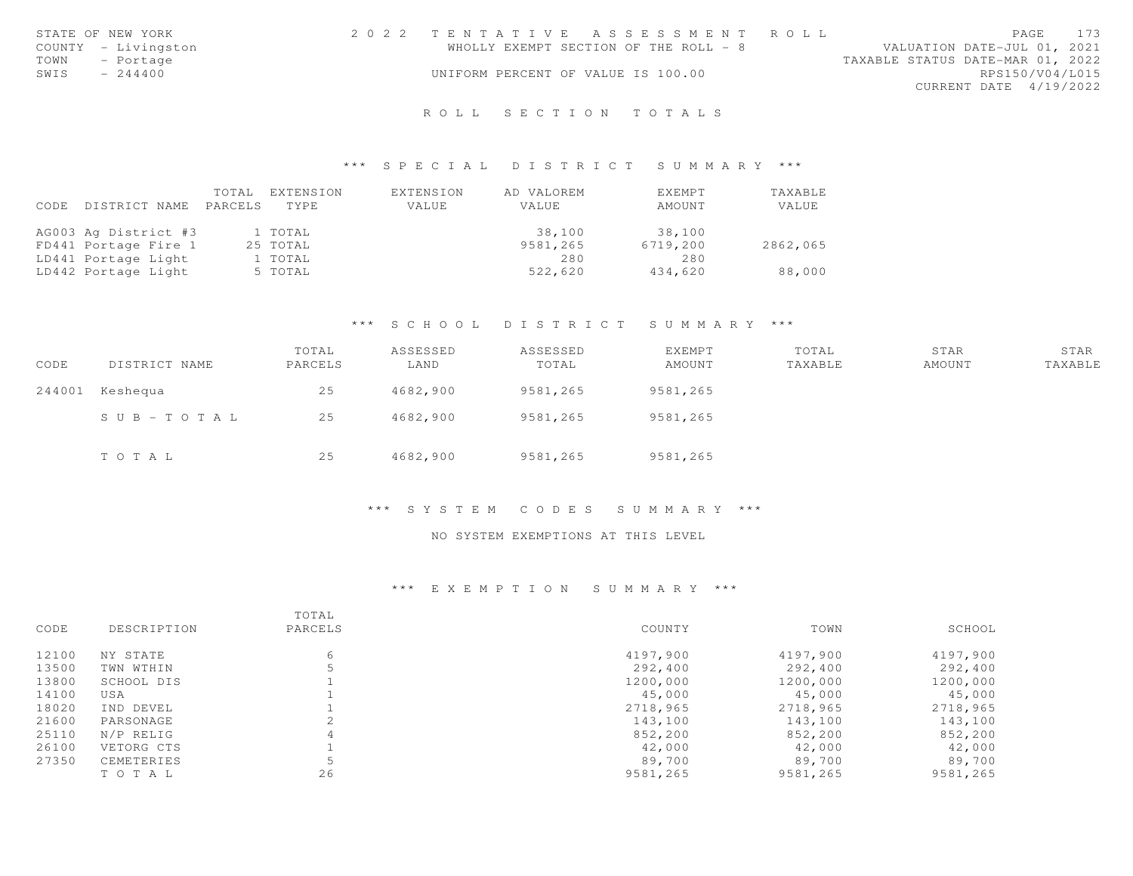|      | STATE OF NEW YORK   | 2022 TENTATIVE ASSESSMENT ROLL        |  |  |                                  |                        | PAGE 173 |
|------|---------------------|---------------------------------------|--|--|----------------------------------|------------------------|----------|
|      | COUNTY - Livingston | WHOLLY EXEMPT SECTION OF THE ROLL - 8 |  |  | VALUATION DATE-JUL 01, 2021      |                        |          |
| TOWN | - Portage           |                                       |  |  | TAXABLE STATUS DATE-MAR 01, 2022 |                        |          |
| SWIS | $-244400$           | UNIFORM PERCENT OF VALUE IS 100.00    |  |  |                                  | RPS150/V04/L015        |          |
|      |                     |                                       |  |  |                                  | CURRENT DATE 4/19/2022 |          |
|      |                     |                                       |  |  |                                  |                        |          |

# R O L L S E C T I O N T O T A L S

#### \*\*\* S P E C I A L D I S T R I C T S U M M A R Y \*\*\*

| CODE | DISTRICT NAME        | TOTAL<br>PARCELS | EXTENSION<br>TYPE. | EXTENSION<br>VALUE | AD VALOREM<br>VALUE | EXEMPT<br>AMOUNT | TAXABLE<br>VALUE |
|------|----------------------|------------------|--------------------|--------------------|---------------------|------------------|------------------|
|      | AG003 Ag District #3 |                  | 1 TOTAL            |                    | 38,100              | 38,100           |                  |
|      | FD441 Portage Fire 1 |                  | 25 TOTAL           |                    | 9581,265            | 6719,200         | 2862,065         |
|      | LD441 Portage Light  |                  | 1 TOTAL            |                    | 280                 | 280              |                  |
|      | LD442 Portage Light  |                  | 5 TOTAL            |                    | 522,620             | 434,620          | 88,000           |

### \*\*\* S C H O O L D I S T R I C T S U M M A R Y \*\*\*

| CODE   | DISTRICT NAME | TOTAL<br>PARCELS | ASSESSED<br>LAND | ASSESSED<br>TOTAL | <b>EXEMPT</b><br>AMOUNT | TOTAL<br>TAXABLE | STAR<br>AMOUNT | STAR<br>TAXABLE |
|--------|---------------|------------------|------------------|-------------------|-------------------------|------------------|----------------|-----------------|
| 244001 | Keshequa      | 25               | 4682,900         | 9581,265          | 9581,265                |                  |                |                 |
|        | SUB-TOTAL     | 25               | 4682,900         | 9581,265          | 9581,265                |                  |                |                 |
|        | TOTAL         | 25               | 4682,900         | 9581,265          | 9581,265                |                  |                |                 |

### \*\*\* S Y S T E M C O D E S S U M M A R Y \*\*\*

#### NO SYSTEM EXEMPTIONS AT THIS LEVEL

| CODE  | DESCRIPTION | TOTAL<br>PARCELS | COUNTY   | TOWN     | SCHOOL   |
|-------|-------------|------------------|----------|----------|----------|
| 12100 | NY STATE    | 6                | 4197,900 | 4197,900 | 4197,900 |
| 13500 | TWN WTHIN   |                  | 292,400  | 292,400  | 292,400  |
| 13800 | SCHOOL DIS  |                  | 1200,000 | 1200,000 | 1200,000 |
| 14100 | USA         |                  | 45,000   | 45,000   | 45,000   |
| 18020 | IND DEVEL   |                  | 2718,965 | 2718,965 | 2718,965 |
| 21600 | PARSONAGE   |                  | 143,100  | 143,100  | 143,100  |
| 25110 | N/P RELIG   | 4                | 852,200  | 852,200  | 852,200  |
| 26100 | VETORG CTS  |                  | 42,000   | 42,000   | 42,000   |
| 27350 | CEMETERIES  |                  | 89,700   | 89,700   | 89,700   |
|       | TO TAL      | 26               | 9581,265 | 9581,265 | 9581,265 |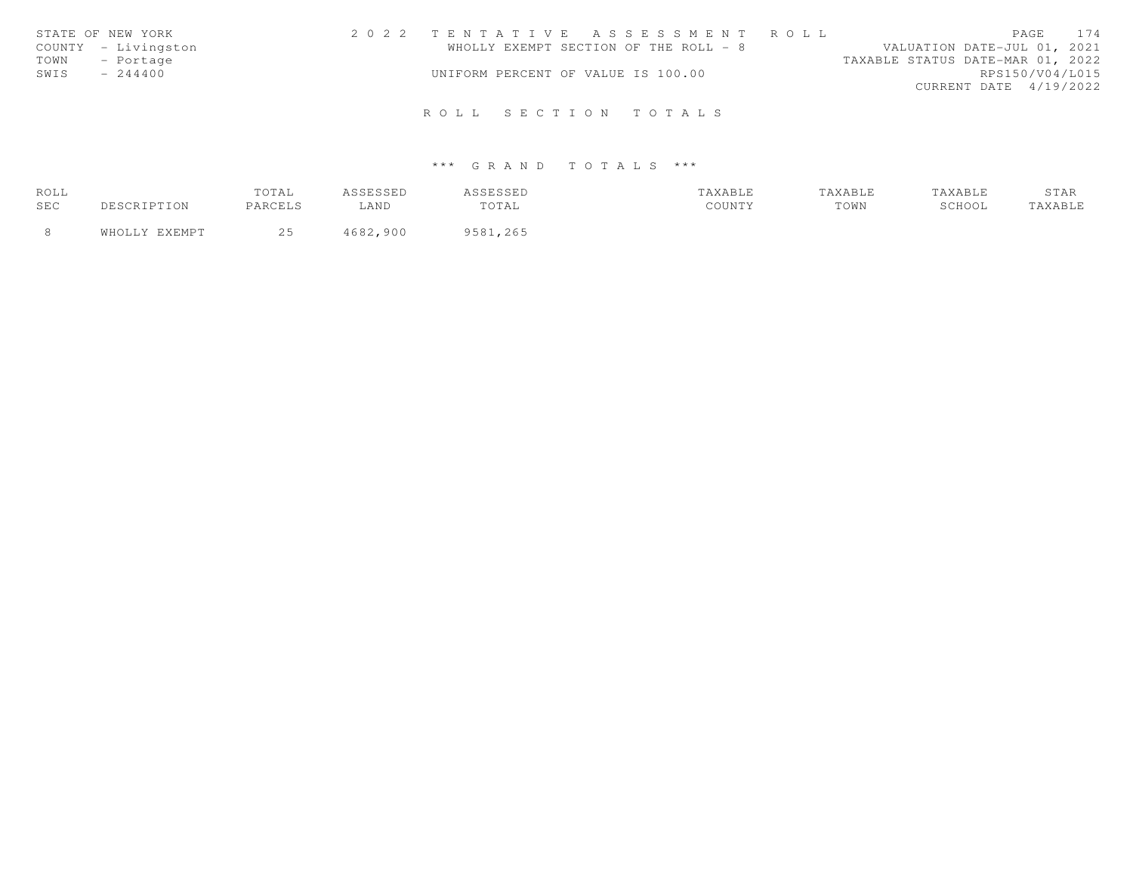| STATE OF NEW YORK   | 2022 TENTATIVE ASSESSMENT ROLL        | PAGE 174                         |
|---------------------|---------------------------------------|----------------------------------|
| COUNTY - Livingston | WHOLLY EXEMPT SECTION OF THE ROLL - 8 | VALUATION DATE-JUL 01, 2021      |
| TOWN - Portage      |                                       | TAXABLE STATUS DATE-MAR 01, 2022 |
| SWIS<br>$-244400$   | UNIFORM PERCENT OF VALUE IS 100.00    | RPS150/V04/L015                  |
|                     |                                       | CURRENT DATE 4/19/2022           |
|                     |                                       |                                  |
|                     | ROLL SECTION TOTALS                   |                                  |

| ROLL | TOTAL   | ----           | ستعاملتك      |                             | 'AXABLE | <b>AXABLE</b> | ----- |
|------|---------|----------------|---------------|-----------------------------|---------|---------------|-------|
| SEC  | PARCELS | LAND           | TOTAL         | $C$ $C$ $T$ $T$ $T$ $T$ $V$ | TOWN    | SCHOOL        |       |
|      |         | 1600<br>. 900. | QEQ1<br>, 265 |                             |         |               |       |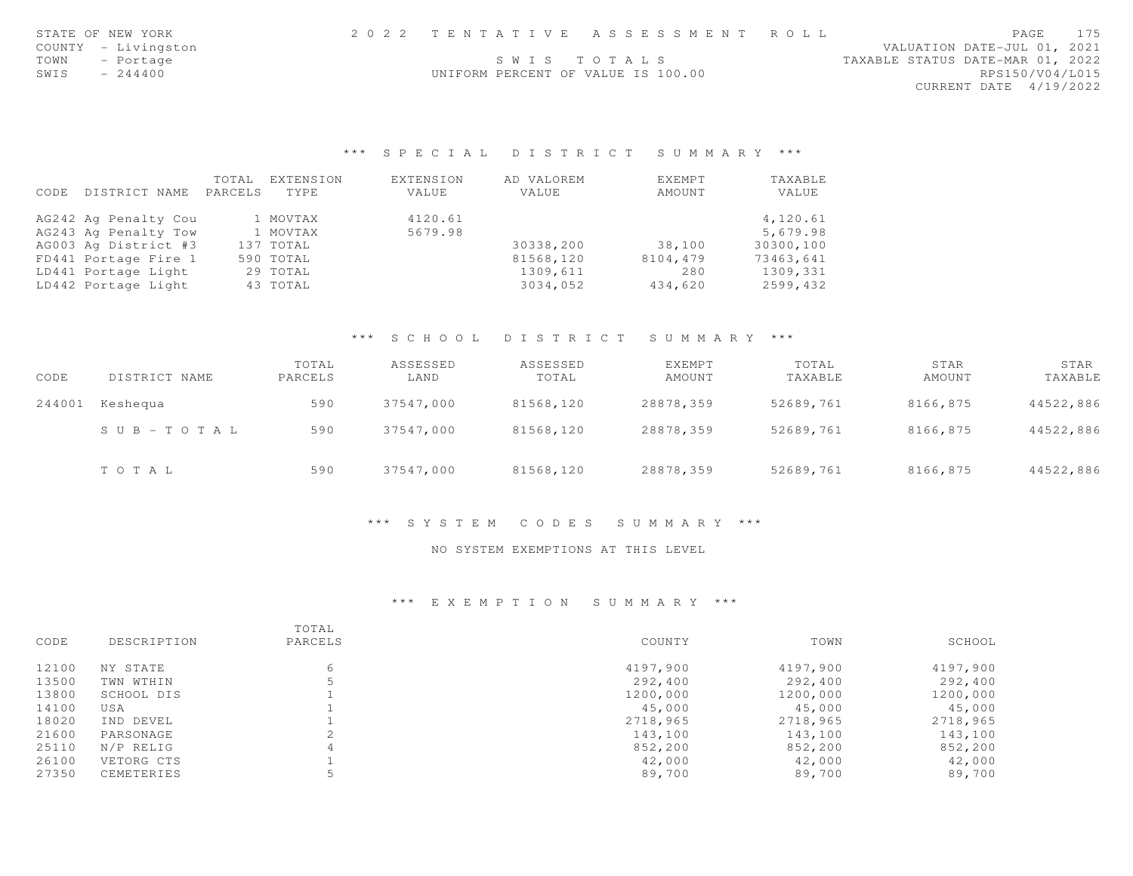| STATE OF NEW YORK   |                                    | 2022 TENTATIVE ASSESSMENT ROLL | PAGE                             | 175 |
|---------------------|------------------------------------|--------------------------------|----------------------------------|-----|
| COUNTY - Livingston |                                    |                                | VALUATION DATE-JUL 01, 2021      |     |
| TOWN - Portage      |                                    | SWIS TOTALS                    | TAXABLE STATUS DATE-MAR 01, 2022 |     |
| SWIS<br>$-244400$   | UNIFORM PERCENT OF VALUE IS 100.00 |                                | RPS150/V04/L015                  |     |
|                     |                                    |                                | CURRENT DATE 4/19/2022           |     |
|                     |                                    |                                |                                  |     |

|      |                      | TOTAL   | EXTENSION | <b>EXTENSION</b> | AD VALOREM | EXEMPT   | TAXABLE   |
|------|----------------------|---------|-----------|------------------|------------|----------|-----------|
| CODE | DISTRICT NAME        | PARCELS | TYPE.     | VALUE            | VALUE      | AMOUNT   | VALUE     |
|      | AG242 Ag Penalty Cou |         | 1 MOVTAX  | 4120.61          |            |          | 4,120.61  |
|      | AG243 Ag Penalty Tow |         | 1 MOVTAX  | 5679.98          |            |          | 5,679.98  |
|      | AG003 Ag District #3 |         | 137 TOTAL |                  | 30338,200  | 38,100   | 30300,100 |
|      | FD441 Portage Fire 1 |         | 590 TOTAL |                  | 81568,120  | 8104,479 | 73463,641 |
|      | LD441 Portage Light  |         | 29 TOTAL  |                  | 1309,611   | 280      | 1309,331  |
|      | LD442 Portage Light  |         | 43 TOTAL  |                  | 3034,052   | 434,620  | 2599,432  |

### \*\*\* S C H O O L D I S T R I C T S U M M A R Y \*\*\*

| CODE   | DISTRICT NAME | TOTAL<br>PARCELS | ASSESSED<br>LAND | ASSESSED<br>TOTAL | EXEMPT<br>AMOUNT | TOTAL<br>TAXABLE | STAR<br>AMOUNT | STAR<br>TAXABLE |
|--------|---------------|------------------|------------------|-------------------|------------------|------------------|----------------|-----------------|
| 244001 | Keshequa      | 590              | 37547,000        | 81568,120         | 28878,359        | 52689,761        | 8166,875       | 44522,886       |
|        | SUB-TOTAL     | 590              | 37547,000        | 81568,120         | 28878,359        | 52689,761        | 8166,875       | 44522,886       |
|        | TOTAL         | 590              | 37547,000        | 81568,120         | 28878,359        | 52689,761        | 8166,875       | 44522,886       |

#### \*\*\* S Y S T E M C O D E S S U M M A R Y \*\*\*

#### NO SYSTEM EXEMPTIONS AT THIS LEVEL

| CODE  | DESCRIPTION | TOTAL<br>PARCELS | COUNTY   | TOWN     | SCHOOL   |
|-------|-------------|------------------|----------|----------|----------|
| 12100 | NY STATE    | 6                | 4197,900 | 4197,900 | 4197,900 |
| 13500 | TWN WTHIN   |                  | 292,400  | 292,400  | 292,400  |
| 13800 | SCHOOL DIS  |                  | 1200,000 | 1200,000 | 1200,000 |
| 14100 | USA         |                  | 45,000   | 45,000   | 45,000   |
| 18020 | IND DEVEL   |                  | 2718,965 | 2718,965 | 2718,965 |
| 21600 | PARSONAGE   |                  | 143,100  | 143,100  | 143,100  |
| 25110 | N/P RELIG   | 4                | 852,200  | 852,200  | 852,200  |
| 26100 | VETORG CTS  |                  | 42,000   | 42,000   | 42,000   |
| 27350 | CEMETERIES  |                  | 89,700   | 89,700   | 89,700   |
|       |             |                  |          |          |          |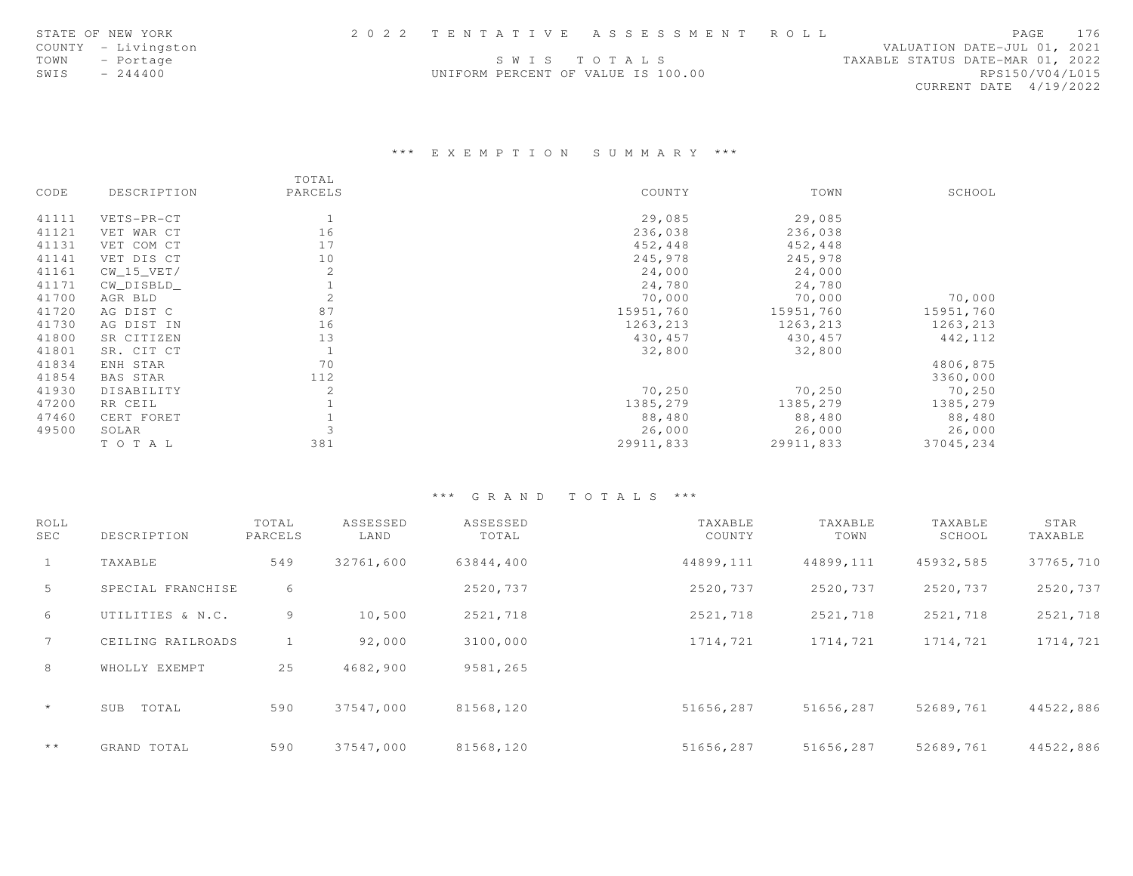|      | STATE OF NEW YORK   |                                    | 2022 TENTATIVE ASSESSMENT ROLL |                                  | PAGE                   | 176 |
|------|---------------------|------------------------------------|--------------------------------|----------------------------------|------------------------|-----|
|      | COUNTY - Livingston |                                    |                                | VALUATION DATE-JUL 01, 2021      |                        |     |
|      | TOWN - Portage      |                                    | SWIS TOTALS                    | TAXABLE STATUS DATE-MAR 01, 2022 |                        |     |
| SWIS | $-244400$           | UNIFORM PERCENT OF VALUE IS 100.00 |                                |                                  | RPS150/V04/L015        |     |
|      |                     |                                    |                                |                                  | CURRENT DATE 4/19/2022 |     |

## \*\*\* E X E M P T I O N S U M M A R Y \*\*\*

|       |              | TOTAL          |           |           |           |
|-------|--------------|----------------|-----------|-----------|-----------|
| CODE  | DESCRIPTION  | PARCELS        | COUNTY    | TOWN      | SCHOOL    |
| 41111 | VETS-PR-CT   | 1              | 29,085    | 29,085    |           |
| 41121 | VET WAR CT   | 16             | 236,038   | 236,038   |           |
| 41131 | VET COM CT   | 17             | 452,448   | 452,448   |           |
| 41141 | VET DIS CT   | 10             | 245,978   | 245,978   |           |
| 41161 | $CW_15_VET/$ | 2              | 24,000    | 24,000    |           |
| 41171 | CW DISBLD    |                | 24,780    | 24,780    |           |
| 41700 | AGR BLD      | 2              | 70,000    | 70,000    | 70,000    |
| 41720 | AG DIST C    | 87             | 15951,760 | 15951,760 | 15951,760 |
| 41730 | AG DIST IN   | 16             | 1263,213  | 1263,213  | 1263,213  |
| 41800 | SR CITIZEN   | 13             | 430,457   | 430,457   | 442,112   |
| 41801 | SR. CIT CT   | $\mathbf{1}$   | 32,800    | 32,800    |           |
| 41834 | ENH STAR     | 70             |           |           | 4806,875  |
| 41854 | BAS STAR     | 112            |           |           | 3360,000  |
| 41930 | DISABILITY   | $\overline{2}$ | 70,250    | 70,250    | 70,250    |
| 47200 | RR CEIL      |                | 1385,279  | 1385,279  | 1385,279  |
| 47460 | CERT FORET   |                | 88,480    | 88,480    | 88,480    |
| 49500 | SOLAR        |                | 26,000    | 26,000    | 26,000    |
|       | TO TAL       | 381            | 29911,833 | 29911,833 | 37045,234 |

| ROLL<br><b>SEC</b> | DESCRIPTION       | TOTAL<br>PARCELS | ASSESSED<br>LAND | ASSESSED<br>TOTAL | TAXABLE<br>COUNTY | TAXABLE<br>TOWN | TAXABLE<br>SCHOOL | STAR<br>TAXABLE |
|--------------------|-------------------|------------------|------------------|-------------------|-------------------|-----------------|-------------------|-----------------|
| $\mathbf{1}$       | TAXABLE           | 549              | 32761,600        | 63844,400         | 44899,111         | 44899,111       | 45932,585         | 37765,710       |
| 5                  | SPECIAL FRANCHISE | 6                |                  | 2520,737          | 2520,737          | 2520,737        | 2520,737          | 2520,737        |
| 6                  | UTILITIES & N.C.  | 9                | 10,500           | 2521,718          | 2521,718          | 2521,718        | 2521,718          | 2521,718        |
| $7\overline{ }$    | CEILING RAILROADS |                  | 92,000           | 3100,000          | 1714,721          | 1714,721        | 1714,721          | 1714,721        |
| 8                  | WHOLLY EXEMPT     | 25               | 4682,900         | 9581,265          |                   |                 |                   |                 |
| $\star$            | TOTAL<br>SUB      | 590              | 37547,000        | 81568,120         | 51656,287         | 51656,287       | 52689,761         | 44522,886       |
| $+ +$              | GRAND TOTAL       | 590              | 37547.000        | 81568,120         | 51656,287         | 51656,287       | 52689,761         | 44522,886       |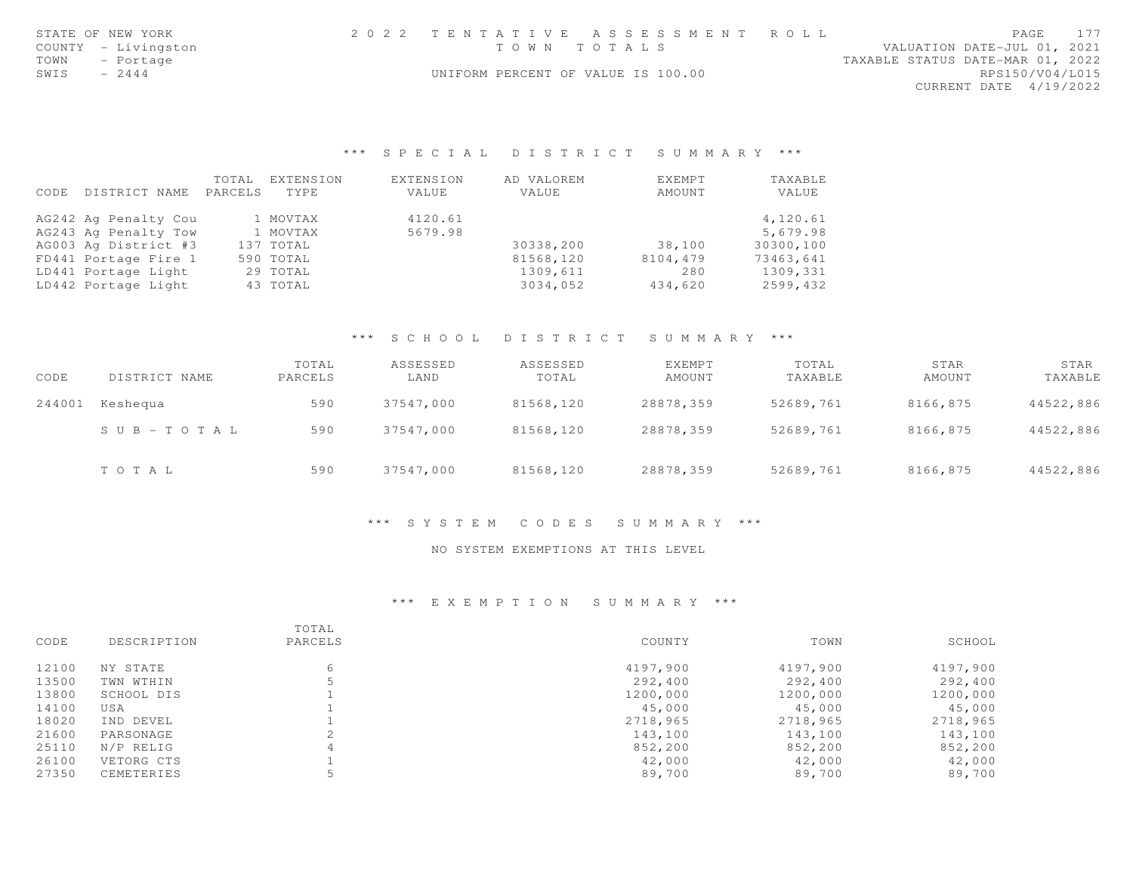| STATE OF NEW YORK   |                                    | 2022 TENTATIVE ASSESSMENT ROLL |                                  | PAGE            | 177 |
|---------------------|------------------------------------|--------------------------------|----------------------------------|-----------------|-----|
| COUNTY - Livingston |                                    | TOWN TOTALS                    | VALUATION DATE-JUL 01, 2021      |                 |     |
| TOWN - Portage      |                                    |                                | TAXABLE STATUS DATE-MAR 01, 2022 |                 |     |
| SWIS<br>$-2444$     | UNIFORM PERCENT OF VALUE IS 100.00 |                                |                                  | RPS150/V04/L015 |     |
|                     |                                    |                                | CURRENT DATE 4/19/2022           |                 |     |
|                     |                                    |                                |                                  |                 |     |
|                     |                                    |                                |                                  |                 |     |

|      |                      | TOTAL   | EXTENSION | EXTENSION | AD VALOREM | EXEMPT   | TAXABLE   |
|------|----------------------|---------|-----------|-----------|------------|----------|-----------|
| CODE | DISTRICT NAME        | PARCELS | TYPE      | VALUE     | VALUE      | AMOUNT   | VALUE     |
|      | AG242 Ag Penalty Cou |         | 1 MOVTAX  | 4120.61   |            |          | 4,120.61  |
|      | AG243 Ag Penalty Tow |         | 1 MOVTAX  | 5679.98   |            |          | 5,679.98  |
|      | AG003 Ag District #3 |         | 137 TOTAL |           | 30338,200  | 38,100   | 30300,100 |
|      | FD441 Portage Fire 1 |         | 590 TOTAL |           | 81568,120  | 8104,479 | 73463,641 |
|      | LD441 Portage Light  |         | 29 TOTAL  |           | 1309,611   | 280      | 1309,331  |
|      | LD442 Portage Light  |         | 43 TOTAL  |           | 3034,052   | 434,620  | 2599,432  |

### \*\*\* S C H O O L D I S T R I C T S U M M A R Y \*\*\*

| CODE   | DISTRICT NAME             | TOTAL<br>PARCELS | ASSESSED<br>LAND | ASSESSED<br>TOTAL | EXEMPT<br>AMOUNT | TOTAL<br>TAXABLE | STAR<br>AMOUNT | STAR<br>TAXABLE |
|--------|---------------------------|------------------|------------------|-------------------|------------------|------------------|----------------|-----------------|
| 244001 | Keshequa                  | 590              | 37547,000        | 81568,120         | 28878,359        | 52689,761        | 8166,875       | 44522,886       |
|        | $S \cup B = T \cup T A L$ | 590              | 37547.000        | 81568,120         | 28878.359        | 52689,761        | 8166,875       | 44522,886       |
|        | TOTAL                     | 590              | 37547,000        | 81568,120         | 28878,359        | 52689,761        | 8166,875       | 44522,886       |

#### \*\*\* S Y S T E M C O D E S S U M M A R Y \*\*\*

#### NO SYSTEM EXEMPTIONS AT THIS LEVEL

| CODE  | DESCRIPTION | TOTAL<br>PARCELS | COUNTY   | TOWN     | SCHOOL   |
|-------|-------------|------------------|----------|----------|----------|
| 12100 | NY STATE    | 6                | 4197,900 | 4197,900 | 4197,900 |
| 13500 | TWN WTHIN   |                  | 292,400  | 292,400  | 292,400  |
| 13800 | SCHOOL DIS  |                  | 1200,000 | 1200,000 | 1200,000 |
| 14100 | USA         |                  | 45,000   | 45,000   | 45,000   |
| 18020 | IND DEVEL   |                  | 2718,965 | 2718,965 | 2718,965 |
| 21600 | PARSONAGE   |                  | 143,100  | 143,100  | 143,100  |
| 25110 | N/P RELIG   | 4                | 852,200  | 852,200  | 852,200  |
| 26100 | VETORG CTS  |                  | 42,000   | 42,000   | 42,000   |
| 27350 | CEMETERIES  |                  | 89,700   | 89,700   | 89,700   |
|       |             |                  |          |          |          |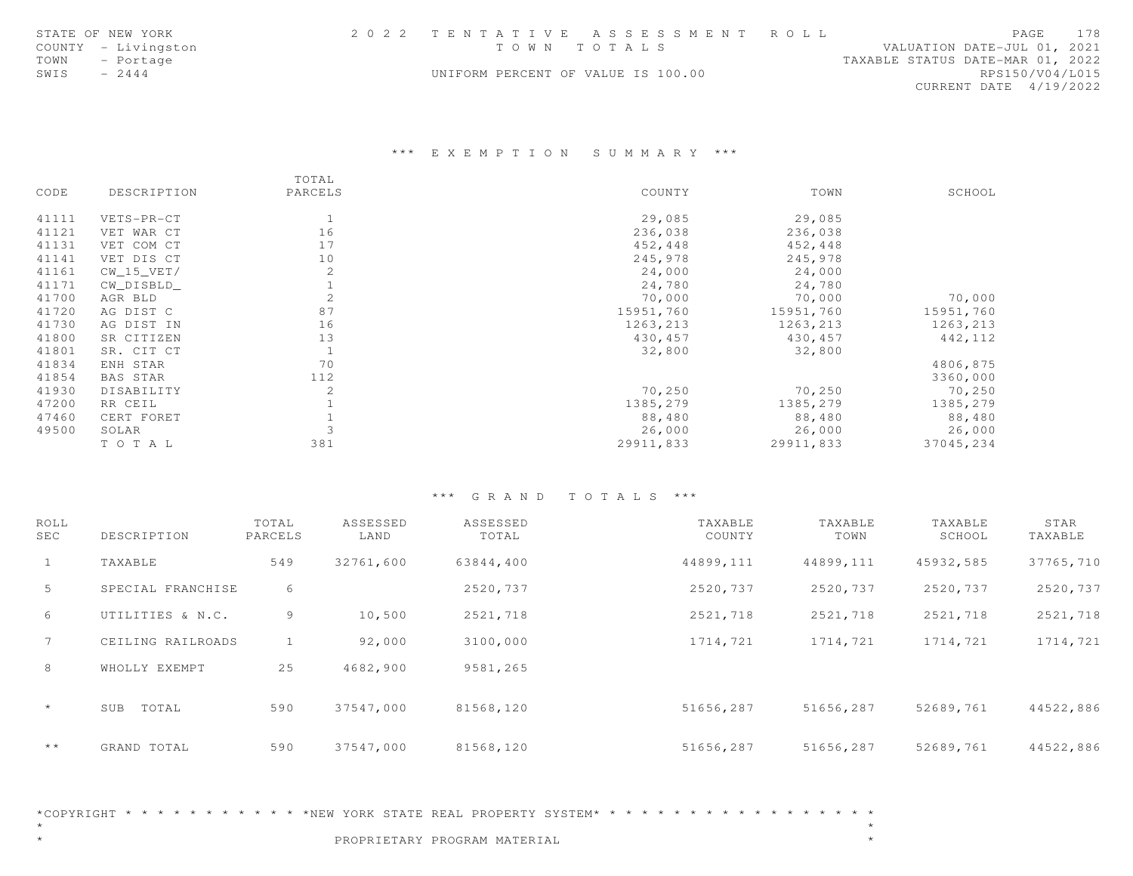|      | STATE OF NEW YORK   | 2022 TENTATIVE ASSESSMENT ROLL     |  |  |                                  |  | PAGE 178        |
|------|---------------------|------------------------------------|--|--|----------------------------------|--|-----------------|
|      | COUNTY - Livingston | TOWN TOTALS                        |  |  | VALUATION DATE-JUL 01, 2021      |  |                 |
|      | TOWN - Portage      |                                    |  |  | TAXABLE STATUS DATE-MAR 01, 2022 |  |                 |
| SWIS | $-2444$             | UNIFORM PERCENT OF VALUE IS 100.00 |  |  |                                  |  | RPS150/V04/L015 |
|      |                     |                                    |  |  | CURRENT DATE 4/19/2022           |  |                 |

#### \*\*\* E X E M P T I O N S U M M A R Y \*\*\*

|       |              | TOTAL   |           |           |           |
|-------|--------------|---------|-----------|-----------|-----------|
| CODE  | DESCRIPTION  | PARCELS | COUNTY    | TOWN      | SCHOOL    |
| 41111 | VETS-PR-CT   | 1       | 29,085    | 29,085    |           |
| 41121 | VET WAR CT   | 16      | 236,038   | 236,038   |           |
| 41131 | VET COM CT   | 17      | 452,448   | 452,448   |           |
| 41141 | VET DIS CT   | 10      | 245,978   | 245,978   |           |
| 41161 | $CW_15_VET/$ | 2       | 24,000    | 24,000    |           |
| 41171 | CW_DISBLD_   |         | 24,780    | 24,780    |           |
| 41700 | AGR BLD      | 2       | 70,000    | 70,000    | 70,000    |
| 41720 | AG DIST C    | 87      | 15951,760 | 15951,760 | 15951,760 |
| 41730 | AG DIST IN   | 16      | 1263,213  | 1263,213  | 1263,213  |
| 41800 | SR CITIZEN   | 13      | 430, 457  | 430,457   | 442, 112  |
| 41801 | SR. CIT CT   |         | 32,800    | 32,800    |           |
| 41834 | ENH STAR     | 70      |           |           | 4806,875  |
| 41854 | BAS STAR     | 112     |           |           | 3360,000  |
| 41930 | DISABILITY   | 2       | 70,250    | 70,250    | 70,250    |
| 47200 | RR CEIL      |         | 1385,279  | 1385,279  | 1385,279  |
| 47460 | CERT FORET   |         | 88,480    | 88,480    | 88,480    |
| 49500 | SOLAR        |         | 26,000    | 26,000    | 26,000    |
|       | TO TAL       | 381     | 29911,833 | 29911,833 | 37045,234 |

#### \*\*\* G R A N D T O T A L S \*\*\*

| ROLL<br><b>SEC</b> | DESCRIPTION       | TOTAL<br>PARCELS | ASSESSED<br>LAND | ASSESSED<br>TOTAL | TAXABLE<br>COUNTY | TAXABLE<br>TOWN | TAXABLE<br>SCHOOL | STAR<br>TAXABLE |
|--------------------|-------------------|------------------|------------------|-------------------|-------------------|-----------------|-------------------|-----------------|
| $\mathbf{1}$       | TAXABLE           | 549              | 32761,600        | 63844,400         | 44899,111         | 44899,111       | 45932,585         | 37765,710       |
| 5                  | SPECIAL FRANCHISE | 6                |                  | 2520,737          | 2520,737          | 2520,737        | 2520,737          | 2520,737        |
| 6                  | UTILITIES & N.C.  | 9                | 10,500           | 2521,718          | 2521,718          | 2521,718        | 2521,718          | 2521,718        |
| $7\overline{ }$    | CEILING RAILROADS |                  | 92,000           | 3100,000          | 1714,721          | 1714,721        | 1714,721          | 1714,721        |
| 8                  | WHOLLY EXEMPT     | 25               | 4682,900         | 9581,265          |                   |                 |                   |                 |
| $\star$            | TOTAL<br>SUB      | 590              | 37547,000        | 81568,120         | 51656,287         | 51656,287       | 52689,761         | 44522,886       |
| $+ +$              | GRAND TOTAL       | 590              | 37547.000        | 81568,120         | 51656,287         | 51656,287       | 52689,761         | 44522,886       |

 $\star$ 

 $\star$ 

\*COPYRIGHT \* \* \* \* \* \* \* \* \* \* \* \*NEW YORK STATE REAL PROPERTY SYSTEM\* \* \* \* \* \* \* \* \* \* \* \* \* \* \* \* \* \*

\* \*